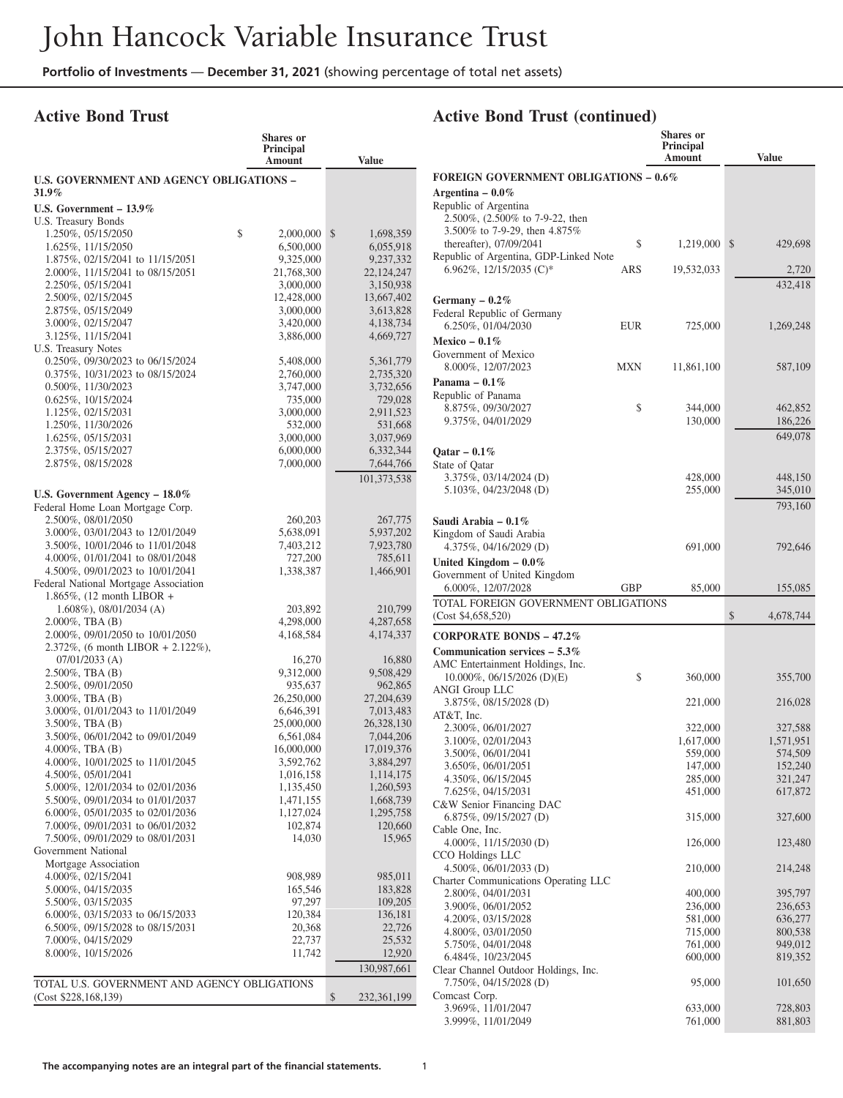## **Active Bond Trust**

|                                                                      | Shares or<br>Principal  |                         |
|----------------------------------------------------------------------|-------------------------|-------------------------|
|                                                                      | Amount                  | <b>Value</b>            |
| <b>U.S. GOVERNMENT AND AGENCY OBLIGATIONS -</b><br>31.9%             |                         |                         |
| U.S. Government - 13.9%                                              |                         |                         |
| U.S. Treasury Bonds                                                  |                         |                         |
| 1.250%, 05/15/2050                                                   | \$<br>2,000,000         | \$<br>1,698,359         |
| 1.625%, 11/15/2050                                                   | 6,500,000               | 6,055,918               |
| 1.875%, 02/15/2041 to 11/15/2051                                     | 9,325,000               | 9,237,332               |
| 2.000%, 11/15/2041 to 08/15/2051                                     | 21,768,300              | 22, 124, 247            |
| 2.250%, 05/15/2041<br>2.500%, 02/15/2045                             | 3,000,000<br>12,428,000 | 3,150,938<br>13,667,402 |
| 2.875%, 05/15/2049                                                   | 3,000,000               | 3,613,828               |
| 3.000%, 02/15/2047                                                   | 3,420,000               | 4,138,734               |
| 3.125%, 11/15/2041                                                   | 3,886,000               | 4,669,727               |
| U.S. Treasury Notes                                                  |                         |                         |
| 0.250%, 09/30/2023 to 06/15/2024                                     | 5,408,000               | 5,361,779               |
| 0.375%, 10/31/2023 to 08/15/2024                                     | 2,760,000               | 2,735,320               |
| 0.500%, 11/30/2023                                                   | 3,747,000               | 3,732,656               |
| $0.625\%, 10/15/2024$                                                | 735,000                 | 729,028                 |
| 1.125%, 02/15/2031                                                   | 3,000,000               | 2,911,523               |
| 1.250%, 11/30/2026                                                   | 532,000                 | 531,668                 |
| 1.625%, 05/15/2031                                                   | 3,000,000               | 3,037,969               |
| 2.375%, 05/15/2027                                                   | 6,000,000               | 6,332,344               |
| 2.875%, 08/15/2028                                                   | 7,000,000               | 7,644,766               |
|                                                                      |                         | 101,373,538             |
| U.S. Government Agency $-18.0\%$                                     |                         |                         |
| Federal Home Loan Mortgage Corp.                                     |                         |                         |
| 2.500%, 08/01/2050                                                   | 260,203                 | 267,775                 |
| 3.000%, 03/01/2043 to 12/01/2049                                     | 5,638,091               | 5,937,202               |
| 3.500%, 10/01/2046 to 11/01/2048                                     | 7,403,212               | 7,923,780               |
| 4.000%, 01/01/2041 to 08/01/2048                                     | 727,200                 | 785,611                 |
| 4.500%, 09/01/2023 to 10/01/2041                                     | 1,338,387               | 1,466,901               |
| Federal National Mortgage Association                                |                         |                         |
| 1.865%, (12 month LIBOR +<br>$1.608\%$ ), 08/01/2034 (A)             | 203,892                 | 210,799                 |
| $2.000\%$ , TBA $(B)$                                                | 4,298,000               | 4,287,658               |
| 2.000%, 09/01/2050 to 10/01/2050                                     | 4,168,584               | 4,174,337               |
| 2.372\%, (6 month LIBOR + 2.122\%),                                  |                         |                         |
| $07/01/2033$ (A)                                                     | 16,270                  | 16,880                  |
| 2.500%, TBA (B)                                                      | 9,312,000               | 9,508,429               |
| 2.500%, 09/01/2050                                                   | 935,637                 | 962,865                 |
| 3.000%, TBA (B)                                                      | 26,250,000              | 27,204,639              |
| 3.000%, 01/01/2043 to 11/01/2049                                     | 6,646,391               | 7,013,483               |
| $3.500\%$ , TBA $(B)$                                                | 25,000,000              | 26,328,130              |
| 3.500%, 06/01/2042 to 09/01/2049                                     | 6,561,084               | 7,044,206               |
| $4.000\%$ , TBA $(B)$                                                | 16,000,000              | 17,019,376              |
| 4.000%, 10/01/2025 to 11/01/2045                                     | 3,592,762               | 3,884,297               |
| 4.500%, 05/01/2041                                                   | 1,016,158               | 1,114,175               |
| 5.000%, 12/01/2034 to 02/01/2036                                     | 1,135,450               | 1,260,593               |
| 5.500%, 09/01/2034 to 01/01/2037<br>6.000%, 05/01/2035 to 02/01/2036 | 1,471,155<br>1,127,024  | 1,668,739<br>1,295,758  |
| 7.000%, 09/01/2031 to 06/01/2032                                     | 102,874                 | 120,660                 |
| 7.500%, 09/01/2029 to 08/01/2031                                     | 14,030                  | 15,965                  |
| Government National                                                  |                         |                         |
| Mortgage Association                                                 |                         |                         |
| 4.000%, 02/15/2041                                                   | 908,989                 | 985,011                 |
| 5.000%, 04/15/2035                                                   | 165,546                 | 183,828                 |
| 5.500%, 03/15/2035                                                   | 97,297                  | 109,205                 |
| 6.000%, 03/15/2033 to 06/15/2033                                     | 120,384                 | 136,181                 |
| 6.500%, 09/15/2028 to 08/15/2031                                     | 20,368                  | 22,726                  |
| 7.000%, 04/15/2029                                                   | 22,737                  | 25,532                  |
| 8.000%, 10/15/2026                                                   | 11,742                  | 12,920                  |
|                                                                      |                         | 130,987,661             |
| TOTAL U.S. GOVERNMENT AND AGENCY OBLIGATIONS                         |                         |                         |
| (Cost \$228,168,139)                                                 |                         | \$<br>232,361,199       |
|                                                                      |                         |                         |

|                                                                |     | Shares or<br><b>Principal</b><br>Amount | <b>Value</b>       |
|----------------------------------------------------------------|-----|-----------------------------------------|--------------------|
| <b>FOREIGN GOVERNMENT OBLIGATIONS - 0.6%</b>                   |     |                                         |                    |
| Argentina – $0.0\%$                                            |     |                                         |                    |
| Republic of Argentina                                          |     |                                         |                    |
| 2.500%, (2.500% to 7-9-22, then                                |     |                                         |                    |
| 3.500% to 7-9-29, then 4.875%<br>thereafter), 07/09/2041       | \$  | 1,219,000                               | \$<br>429,698      |
| Republic of Argentina, GDP-Linked Note                         |     |                                         |                    |
| 6.962\%, 12/15/2035 (C)*                                       | ARS | 19,532,033                              | 2,720              |
|                                                                |     |                                         | 432,418            |
| Germany $-0.2%$                                                |     |                                         |                    |
| Federal Republic of Germany<br>6.250%, 01/04/2030              | EUR | 725,000                                 | 1,269,248          |
| Mexico $-0.1\%$                                                |     |                                         |                    |
| Government of Mexico                                           |     |                                         |                    |
| 8.000%, 12/07/2023                                             | MXN | 11,861,100                              | 587,109            |
| Panama $-0.1\%$                                                |     |                                         |                    |
| Republic of Panama                                             |     |                                         |                    |
| 8.875%, 09/30/2027<br>9.375%, 04/01/2029                       | \$  | 344,000<br>130,000                      | 462,852<br>186,226 |
|                                                                |     |                                         | 649,078            |
| Qatar – $0.1\%$                                                |     |                                         |                    |
| State of Qatar                                                 |     |                                         |                    |
| 3.375%, 03/14/2024 (D)                                         |     | 428,000                                 | 448,150            |
| 5.103%, 04/23/2048 (D)                                         |     | 255,000                                 | 345,010            |
|                                                                |     |                                         | 793,160            |
| Saudi Arabia – 0.1%<br>Kingdom of Saudi Arabia                 |     |                                         |                    |
| 4.375%, 04/16/2029 (D)                                         |     | 691,000                                 | 792,646            |
| United Kingdom $-0.0\%$                                        |     |                                         |                    |
| Government of United Kingdom                                   |     |                                         |                    |
| 6.000%, 12/07/2028<br>TOTAL FOREIGN GOVERNMENT OBLIGATIONS     | GBP | 85,000                                  | 155,085            |
| (Cost \$4,658,520)                                             |     |                                         | \$<br>4,678,744    |
| <b>CORPORATE BONDS - 47.2%</b>                                 |     |                                         |                    |
| Communication services $-5.3\%$                                |     |                                         |                    |
| AMC Entertainment Holdings, Inc.                               |     |                                         |                    |
|                                                                |     |                                         |                    |
| $10.000\%$ , 06/15/2026 (D)(E)                                 | \$  | 360,000                                 | 355,700            |
| <b>ANGI Group LLC</b>                                          |     |                                         |                    |
| 3.875%, 08/15/2028 (D)<br>AT&T, Inc.                           |     | 221,000                                 | 216,028            |
| 2.300%, 06/01/2027                                             |     | 322,000                                 | 327,588            |
| 3.100%, 02/01/2043                                             |     | 1,617,000                               | 1,571,951          |
| 3.500%, 06/01/2041                                             |     | 559,000                                 | 574,509            |
| 3.650%, 06/01/2051                                             |     | 147,000                                 | 152,240            |
| 4.350%, 06/15/2045<br>7.625%, 04/15/2031                       |     | 285,000<br>451,000                      | 321,247<br>617,872 |
| C&W Senior Financing DAC                                       |     |                                         |                    |
| $6.875\%, 09/15/2027$ (D)                                      |     | 315,000                                 | 327,600            |
| Cable One, Inc.                                                |     | 126,000                                 | 123,480            |
| 4.000%, 11/15/2030 (D)<br>CCO Holdings LLC                     |     |                                         |                    |
| 4.500%, 06/01/2033 (D)                                         |     | 210,000                                 | 214,248            |
| Charter Communications Operating LLC                           |     |                                         |                    |
| 2.800%, 04/01/2031<br>3.900%, 06/01/2052                       |     | 400,000                                 | 395,797<br>236,653 |
| 4.200%, 03/15/2028                                             |     | 236,000<br>581,000                      | 636,277            |
| 4.800%, 03/01/2050                                             |     | 715,000                                 | 800,538            |
| 5.750%, 04/01/2048                                             |     | 761,000                                 | 949,012            |
| 6.484%, 10/23/2045                                             |     | 600,000                                 | 819,352            |
| Clear Channel Outdoor Holdings, Inc.<br>7.750%, 04/15/2028 (D) |     | 95,000                                  | 101,650            |
| Comcast Corp.                                                  |     |                                         |                    |
| 3.969%, 11/01/2047<br>3.999%, 11/01/2049                       |     | 633,000<br>761,000                      | 728,803<br>881,803 |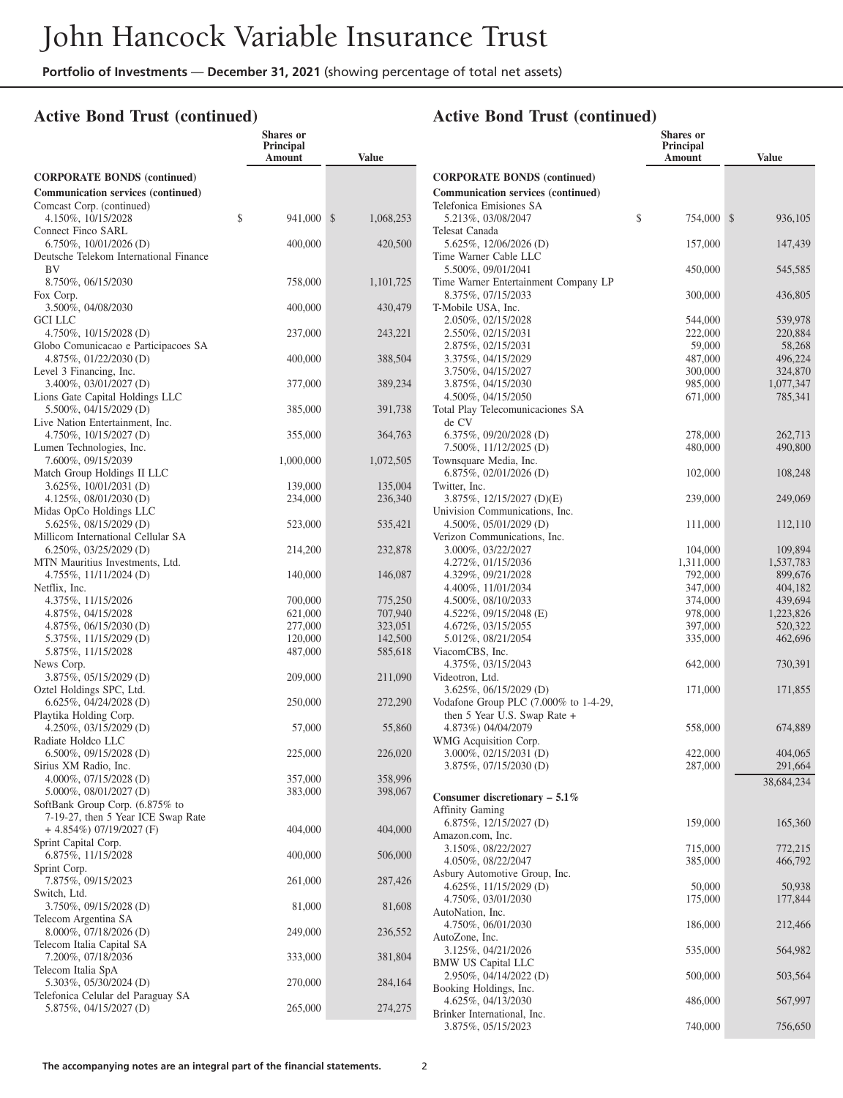#### **Active Bond Trust (continued)**

|                                                                       | <b>Shares</b> or<br><b>Principal</b><br>Amount | <b>Value</b>       |
|-----------------------------------------------------------------------|------------------------------------------------|--------------------|
| <b>CORPORATE BONDS</b> (continued)                                    |                                                |                    |
| <b>Communication services (continued)</b>                             |                                                |                    |
| Comcast Corp. (continued)                                             |                                                |                    |
| 4.150%, 10/15/2028                                                    | \$<br>941,000                                  | \$<br>1,068,253    |
| Connect Finco SARL                                                    |                                                |                    |
| $6.750\%$ , 10/01/2026 (D)                                            | 400,000                                        | 420,500            |
| Deutsche Telekom International Finance<br>BV                          |                                                |                    |
| 8.750%, 06/15/2030                                                    | 758,000                                        | 1,101,725          |
| Fox Corp.                                                             |                                                |                    |
| 3.500%, 04/08/2030                                                    | 400,000                                        | 430,479            |
| GCI LLC                                                               |                                                |                    |
| 4.750%, 10/15/2028 (D)                                                | 237,000                                        | 243,221            |
| Globo Comunicacao e Participacoes SA                                  |                                                |                    |
| 4.875%, 01/22/2030 (D)                                                | 400,000                                        | 388,504            |
| Level 3 Financing, Inc.<br>3.400%, 03/01/2027 (D)                     | 377,000                                        | 389,234            |
| Lions Gate Capital Holdings LLC                                       |                                                |                    |
| 5.500%, 04/15/2029 (D)                                                | 385,000                                        | 391,738            |
| Live Nation Entertainment, Inc.                                       |                                                |                    |
| $4.750\%, 10/15/2027$ (D)                                             | 355,000                                        | 364,763            |
| Lumen Technologies, Inc.                                              |                                                |                    |
| 7.600%, 09/15/2039                                                    | 1,000,000                                      | 1,072,505          |
| Match Group Holdings II LLC                                           |                                                |                    |
| $3.625\%$ , 10/01/2031 (D)<br>4.125%, 08/01/2030 (D)                  | 139,000<br>234,000                             | 135,004            |
| Midas OpCo Holdings LLC                                               |                                                | 236,340            |
| $5.625\%, 08/15/2029$ (D)                                             | 523,000                                        | 535,421            |
| Millicom International Cellular SA                                    |                                                |                    |
| $6.250\%, 03/25/2029$ (D)                                             | 214,200                                        | 232,878            |
| MTN Mauritius Investments, Ltd.                                       |                                                |                    |
| $4.755\%, 11/11/2024$ (D)                                             | 140,000                                        | 146,087            |
| Netflix, Inc.<br>4.375%, 11/15/2026                                   |                                                |                    |
| 4.875%, 04/15/2028                                                    | 700,000<br>621,000                             | 775,250<br>707,940 |
| $4.875\%, 06/15/2030$ (D)                                             | 277,000                                        | 323,051            |
| 5.375%, 11/15/2029 (D)                                                | 120,000                                        | 142,500            |
| 5.875%, 11/15/2028                                                    | 487,000                                        | 585,618            |
| News Corp.                                                            |                                                |                    |
| 3.875%, 05/15/2029 (D)                                                | 209,000                                        | 211,090            |
| Oztel Holdings SPC, Ltd.                                              |                                                |                    |
| $6.625\%, 04/24/2028$ (D)<br>Playtika Holding Corp.                   | 250,000                                        | 272,290            |
| $4.250\%$ , 03/15/2029 (D)                                            | 57,000                                         | 55,860             |
| Radiate Holdco LLC                                                    |                                                |                    |
| $6.500\%, 09/15/2028$ (D)                                             | 225,000                                        | 226,020            |
| Sirius XM Radio, Inc.                                                 |                                                |                    |
| 4.000%, $07/15/2028$ (D)                                              | 357,000                                        | 358,996            |
| $5.000\%$ , 08/01/2027 (D)                                            | 383,000                                        | 398,067            |
| SoftBank Group Corp. (6.875% to<br>7-19-27, then 5 Year ICE Swap Rate |                                                |                    |
| $+$ 4.854%) 07/19/2027 (F)                                            | 404,000                                        | 404,000            |
| Sprint Capital Corp.                                                  |                                                |                    |
| 6.875%, 11/15/2028                                                    | 400,000                                        | 506,000            |
| Sprint Corp.                                                          |                                                |                    |
| 7.875%, 09/15/2023                                                    | 261,000                                        | 287,426            |
| Switch, Ltd.                                                          |                                                |                    |
| 3.750%, 09/15/2028 (D)<br>Telecom Argentina SA                        | 81,000                                         | 81,608             |
| $8.000\%, 07/18/2026$ (D)                                             | 249,000                                        | 236,552            |
| Telecom Italia Capital SA                                             |                                                |                    |
| 7.200%, 07/18/2036                                                    | 333,000                                        | 381,804            |
| Telecom Italia SpA                                                    |                                                |                    |
| 5.303%, 05/30/2024 (D)                                                | 270,000                                        | 284,164            |
| Telefonica Celular del Paraguay SA                                    |                                                |                    |
| 5.875%, 04/15/2027 (D)                                                | 265,000                                        | 274,275            |

|                                                        | <b>Shares</b> or           |                      |
|--------------------------------------------------------|----------------------------|----------------------|
|                                                        | Principal<br><b>Amount</b> | <b>Value</b>         |
| <b>CORPORATE BONDS (continued)</b>                     |                            |                      |
| <b>Communication services (continued)</b>              |                            |                      |
| Telefonica Emisiones SA                                |                            |                      |
| 5.213%, 03/08/2047                                     | \$<br>754,000              | \$<br>936,105        |
| Telesat Canada                                         |                            |                      |
| 5.625%, 12/06/2026 (D)                                 | 157,000                    | 147,439              |
| Time Warner Cable LLC<br>5.500%, 09/01/2041            | 450,000                    | 545,585              |
| Time Warner Entertainment Company LP                   |                            |                      |
| 8.375%, 07/15/2033                                     | 300,000                    | 436,805              |
| T-Mobile USA, Inc.                                     |                            |                      |
| 2.050%, 02/15/2028<br>2.550%, 02/15/2031               | 544,000<br>222,000         | 539,978<br>220,884   |
| 2.875%, 02/15/2031                                     | 59,000                     | 58,268               |
| 3.375%, 04/15/2029                                     | 487,000                    | 496,224              |
| 3.750%, 04/15/2027                                     | 300,000                    | 324,870              |
| 3.875%, 04/15/2030                                     | 985,000                    | 1,077,347            |
| 4.500%, 04/15/2050<br>Total Play Telecomunicaciones SA | 671,000                    | 785,341              |
| de CV                                                  |                            |                      |
| $6.375\%, 09/20/2028$ (D)                              | 278,000                    | 262,713              |
| 7.500%, 11/12/2025 (D)                                 | 480,000                    | 490,800              |
| Townsquare Media, Inc.                                 |                            |                      |
| 6.875%, 02/01/2026 (D)<br>Twitter, Inc.                | 102,000                    | 108,248              |
| 3.875%, 12/15/2027 (D)(E)                              | 239,000                    | 249,069              |
| Univision Communications, Inc.                         |                            |                      |
| $4.500\%$ , 05/01/2029 (D)                             | 111,000                    | 112,110              |
| Verizon Communications, Inc.                           |                            |                      |
| 3.000%, 03/22/2027                                     | 104,000                    | 109,894              |
| 4.272%, 01/15/2036<br>4.329%, 09/21/2028               | 1,311,000<br>792,000       | 1,537,783<br>899,676 |
| 4.400%, 11/01/2034                                     | 347,000                    | 404,182              |
| 4.500%, 08/10/2033                                     | 374,000                    | 439,694              |
| 4.522\%, 09/15/2048 (E)                                | 978,000                    | 1,223,826            |
| 4.672%, 03/15/2055                                     | 397,000                    | 520,322              |
| 5.012%, 08/21/2054<br>ViacomCBS, Inc.                  | 335,000                    | 462,696              |
| 4.375%, 03/15/2043                                     | 642,000                    | 730,391              |
| Videotron, Ltd.                                        |                            |                      |
| 3.625%, 06/15/2029 (D)                                 | 171,000                    | 171,855              |
| Vodafone Group PLC $(7.000\%$ to 1-4-29,               |                            |                      |
| then 5 Year U.S. Swap Rate +<br>4.873%) 04/04/2079     | 558,000                    | 674,889              |
| WMG Acquisition Corp.                                  |                            |                      |
| 3.000%, 02/15/2031 (D)                                 | 422,000                    | 404,065              |
| 3.875%, 07/15/2030 (D)                                 | 287,000                    | 291,664              |
|                                                        |                            | 38,684,234           |
| Consumer discretionary $-5.1\%$                        |                            |                      |
| <b>Affinity Gaming</b>                                 |                            |                      |
| 6.875%, 12/15/2027 (D)<br>Amazon.com, Inc.             | 159,000                    | 165,360              |
| 3.150%, 08/22/2027                                     | 715,000                    | 772,215              |
| 4.050%, 08/22/2047                                     | 385,000                    | 466,792              |
| Asbury Automotive Group, Inc.                          |                            |                      |
| 4.625%, 11/15/2029 (D)                                 | 50,000                     | 50,938               |
| 4.750%, 03/01/2030<br>AutoNation, Inc.                 | 175,000                    | 177,844              |
| 4.750%, 06/01/2030                                     | 186,000                    | 212,466              |
| AutoZone, Inc.                                         |                            |                      |
| 3.125%, 04/21/2026                                     | 535,000                    | 564,982              |
| <b>BMW US Capital LLC</b>                              |                            |                      |
| 2.950%, 04/14/2022 (D)                                 | 500,000                    | 503,564              |
| Booking Holdings, Inc.<br>4.625%, 04/13/2030           | 486,000                    | 567,997              |
| Brinker International, Inc.                            |                            |                      |
| 3.875%, 05/15/2023                                     | 740,000                    | 756,650              |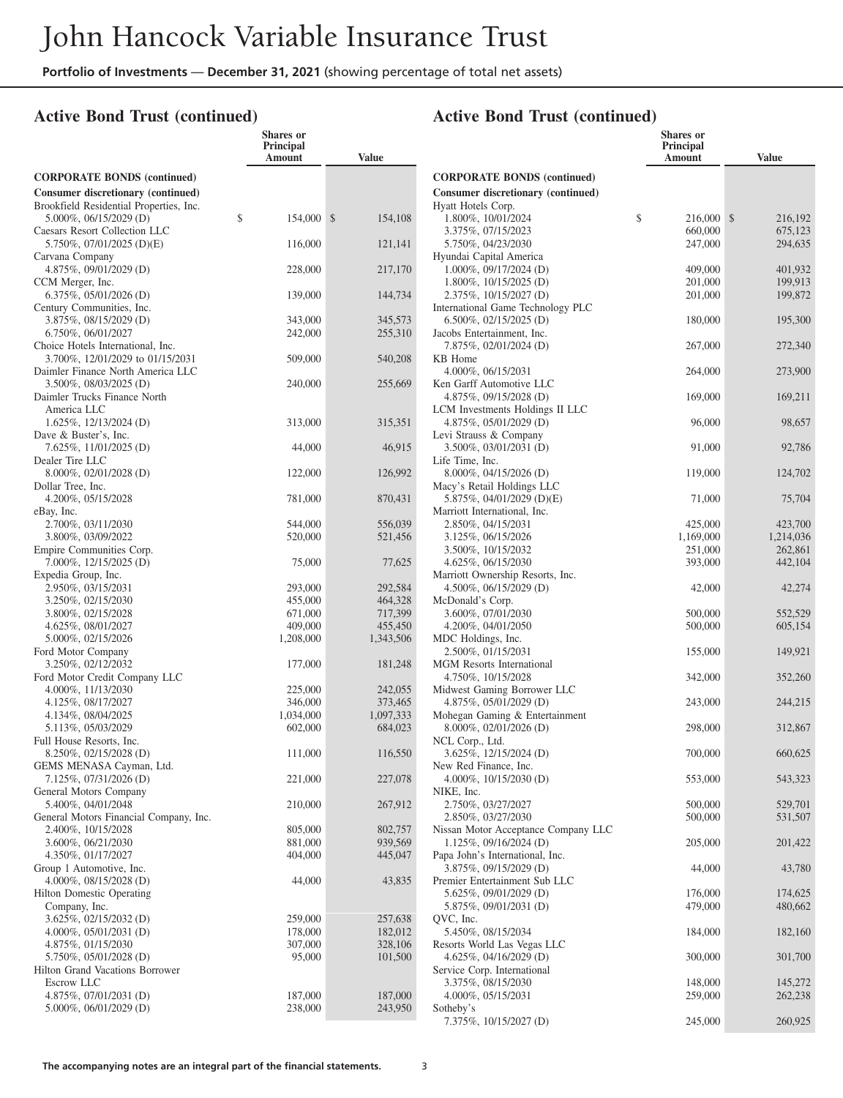**Shares or**

#### **Active Bond Trust (continued)**

|                                                                               | <b>Principal</b><br>Amount | <b>Value</b>       |
|-------------------------------------------------------------------------------|----------------------------|--------------------|
| <b>CORPORATE BONDS</b> (continued)                                            |                            |                    |
| Consumer discretionary (continued)<br>Brookfield Residential Properties, Inc. |                            |                    |
| 5.000%, 06/15/2029 (D)<br>Caesars Resort Collection LLC                       | \$<br>154,000              | \$<br>154,108      |
| 5.750%, 07/01/2025 (D)(E)<br>Carvana Company                                  | 116,000                    | 121,141            |
| 4.875%, 09/01/2029 (D)<br>CCM Merger, Inc.                                    | 228,000                    | 217,170            |
| 6.375%, 05/01/2026 (D)<br>Century Communities, Inc.                           | 139,000                    | 144,734            |
| 3.875%, 08/15/2029 (D)                                                        | 343,000                    | 345,573            |
| 6.750%, 06/01/2027<br>Choice Hotels International, Inc.                       | 242,000                    | 255,310            |
| 3.700%, 12/01/2029 to 01/15/2031<br>Daimler Finance North America LLC         | 509,000                    | 540,208            |
| 3.500%, 08/03/2025 (D)<br>Daimler Trucks Finance North                        | 240,000                    | 255,669            |
| America LLC<br>1.625%, 12/13/2024 (D)                                         |                            |                    |
| Dave & Buster's, Inc.                                                         | 313,000                    | 315,351            |
| 7.625%, 11/01/2025 (D)<br>Dealer Tire LLC                                     | 44,000                     | 46,915             |
| 8.000%, 02/01/2028 (D)<br>Dollar Tree, Inc.                                   | 122,000                    | 126,992            |
| 4.200%, 05/15/2028                                                            | 781,000                    | 870,431            |
| eBay, Inc.<br>2.700%, 03/11/2030                                              | 544,000                    | 556,039            |
| 3.800%, 03/09/2022<br>Empire Communities Corp.                                | 520,000                    | 521,456            |
| 7.000%, 12/15/2025 (D)<br>Expedia Group, Inc.                                 | 75,000                     | 77,625             |
| 2.950%, 03/15/2031                                                            | 293,000                    | 292,584            |
| 3.250%, 02/15/2030                                                            | 455,000                    | 464,328            |
| 3.800%, 02/15/2028<br>4.625%, 08/01/2027                                      | 671,000<br>409,000         | 717,399<br>455,450 |
| 5.000%, 02/15/2026                                                            | 1,208,000                  | 1,343,506          |
| Ford Motor Company                                                            |                            |                    |
| 3.250%, 02/12/2032                                                            | 177,000                    | 181,248            |
| Ford Motor Credit Company LLC                                                 |                            |                    |
| 4.000%, 11/13/2030                                                            | 225,000                    | 242,055            |
| 4.125%, 08/17/2027                                                            | 346,000                    | 373,465            |
| 4.134%, 08/04/2025                                                            | 1,034,000                  | 1,097,333          |
| 5.113%, 05/03/2029                                                            | 602,000                    | 684,023            |
| Full House Resorts, Inc.                                                      |                            |                    |
| 8.250%, 02/15/2028 (D)                                                        | 111,000                    | 116,550            |
| GEMS MENASA Cayman, Ltd.                                                      |                            |                    |
| 7.125%, 07/31/2026 (D)<br>General Motors Company                              | 221,000                    | 227,078            |
| 5.400%, 04/01/2048                                                            | 210,000                    | 267,912            |
| General Motors Financial Company, Inc.                                        |                            |                    |
| 2.400%, 10/15/2028                                                            | 805,000                    | 802,757            |
| 3.600%, 06/21/2030                                                            | 881,000                    | 939,569            |
| 4.350%, 01/17/2027                                                            | 404,000                    | 445,047            |
| Group 1 Automotive, Inc.                                                      |                            |                    |
| 4.000%, $08/15/2028$ (D)                                                      | 44,000                     | 43,835             |
| <b>Hilton Domestic Operating</b>                                              |                            |                    |
| Company, Inc.                                                                 |                            |                    |
| 3.625%, 02/15/2032 (D)                                                        | 259,000                    | 257,638            |
| 4.000%, $05/01/2031$ (D)                                                      | 178,000                    | 182,012            |
| 4.875%, 01/15/2030<br>5.750%, 05/01/2028 (D)                                  | 307,000<br>95,000          | 328,106            |
| Hilton Grand Vacations Borrower                                               |                            | 101,500            |
| <b>Escrow LLC</b>                                                             |                            |                    |
| $4.875\%, 07/01/2031$ (D)                                                     | 187,000                    | 187,000            |
| 5.000%, 06/01/2029 (D)                                                        | 238,000                    | 243,950            |

|                                                                | <b>Shares</b> or<br><b>Principal</b><br>Amount | <b>Value</b>  |
|----------------------------------------------------------------|------------------------------------------------|---------------|
| <b>CORPORATE BONDS (continued)</b>                             |                                                |               |
| Consumer discretionary (continued)                             |                                                |               |
| Hyatt Hotels Corp.                                             |                                                |               |
| 1.800%, 10/01/2024                                             | \$<br>216,000                                  | \$<br>216,192 |
| 3.375%, 07/15/2023                                             | 660,000                                        | 675,123       |
| 5.750%, 04/23/2030<br>Hyundai Capital America                  | 247,000                                        | 294,635       |
| $1.000\%$ , 09/17/2024 (D)                                     | 409,000                                        | 401,932       |
| $1.800\%, 10/15/2025$ (D)                                      | 201,000                                        | 199,913       |
| 2.375%, 10/15/2027 (D)                                         | 201,000                                        | 199,872       |
| International Game Technology PLC                              |                                                |               |
| $6.500\%$ , 02/15/2025 (D)                                     | 180,000                                        | 195,300       |
| Jacobs Entertainment, Inc.<br>7.875%, 02/01/2024 (D)           | 267,000                                        | 272,340       |
| KB Home                                                        |                                                |               |
| 4.000%, 06/15/2031                                             | 264,000                                        | 273,900       |
| Ken Garff Automotive LLC                                       |                                                |               |
| 4.875%, 09/15/2028 (D)                                         | 169,000                                        | 169,211       |
| LCM Investments Holdings II LLC                                |                                                |               |
| 4.875%, 05/01/2029 (D)<br>Levi Strauss & Company               | 96,000                                         | 98,657        |
| 3.500\%, 03/01/2031 (D)                                        | 91,000                                         | 92,786        |
| Life Time, Inc.                                                |                                                |               |
| 8.000%, 04/15/2026 (D)                                         | 119,000                                        | 124,702       |
| Macy's Retail Holdings LLC                                     |                                                |               |
| 5.875%, 04/01/2029 (D)(E)                                      | 71,000                                         | 75,704        |
| Marriott International, Inc.<br>2.850%, 04/15/2031             | 425,000                                        | 423,700       |
| 3.125%, 06/15/2026                                             | 1,169,000                                      | 1,214,036     |
| 3.500%, 10/15/2032                                             | 251,000                                        | 262,861       |
| 4.625%, 06/15/2030                                             | 393,000                                        | 442,104       |
| Marriott Ownership Resorts, Inc.<br>$4.500\%$ , 06/15/2029 (D) | 42,000                                         | 42,274        |
| McDonald's Corp.                                               |                                                |               |
| 3.600%, 07/01/2030                                             | 500,000                                        | 552,529       |
| 4.200%, 04/01/2050<br>MDC Holdings, Inc.                       | 500,000                                        | 605,154       |
| 2.500%, 01/15/2031                                             | 155,000                                        | 149,921       |
| <b>MGM</b> Resorts International                               |                                                |               |
| 4.750%, 10/15/2028                                             | 342,000                                        | 352,260       |
| Midwest Gaming Borrower LLC                                    |                                                |               |
| 4.875%, 05/01/2029 (D)                                         | 243,000                                        | 244,215       |
| Mohegan Gaming & Entertainment<br>$8.000\%$ , 02/01/2026 (D)   | 298,000                                        | 312,867       |
| NCL Corp., Ltd.                                                |                                                |               |
| 3.625%, 12/15/2024 (D)                                         | 700,000                                        | 660,625       |
| New Red Finance, Inc.                                          |                                                |               |
| 4.000\%, $10/15/2030$ (D)<br>NIKE, Inc.                        | 553,000                                        | 543,323       |
| 2.750%, 03/27/2027                                             | 500,000                                        | 529,701       |
| 2.850%, 03/27/2030                                             | 500,000                                        | 531,507       |
| Nissan Motor Acceptance Company LLC                            |                                                |               |
| $1.125\%, 09/16/2024$ (D)                                      | 205,000                                        | 201,422       |
| Papa John's International, Inc.                                |                                                |               |
| 3.875%, 09/15/2029 (D)                                         | 44,000                                         | 43,780        |
| Premier Entertainment Sub LLC<br>5.625%, 09/01/2029 (D)        | 176,000                                        | 174,625       |
| 5.875%, 09/01/2031 (D)                                         | 479,000                                        | 480,662       |
| QVC, Inc.                                                      |                                                |               |
| 5.450%, 08/15/2034                                             | 184,000                                        | 182,160       |
| Resorts World Las Vegas LLC                                    |                                                |               |
| 4.625%, 04/16/2029 (D)                                         | 300,000                                        | 301,700       |
| Service Corp. International<br>3.375%, 08/15/2030              | 148,000                                        | 145,272       |
| 4.000%, 05/15/2031                                             | 259,000                                        | 262,238       |
| Sotheby's                                                      |                                                |               |

7.375%, 10/15/2027 (D) 245,000 260,925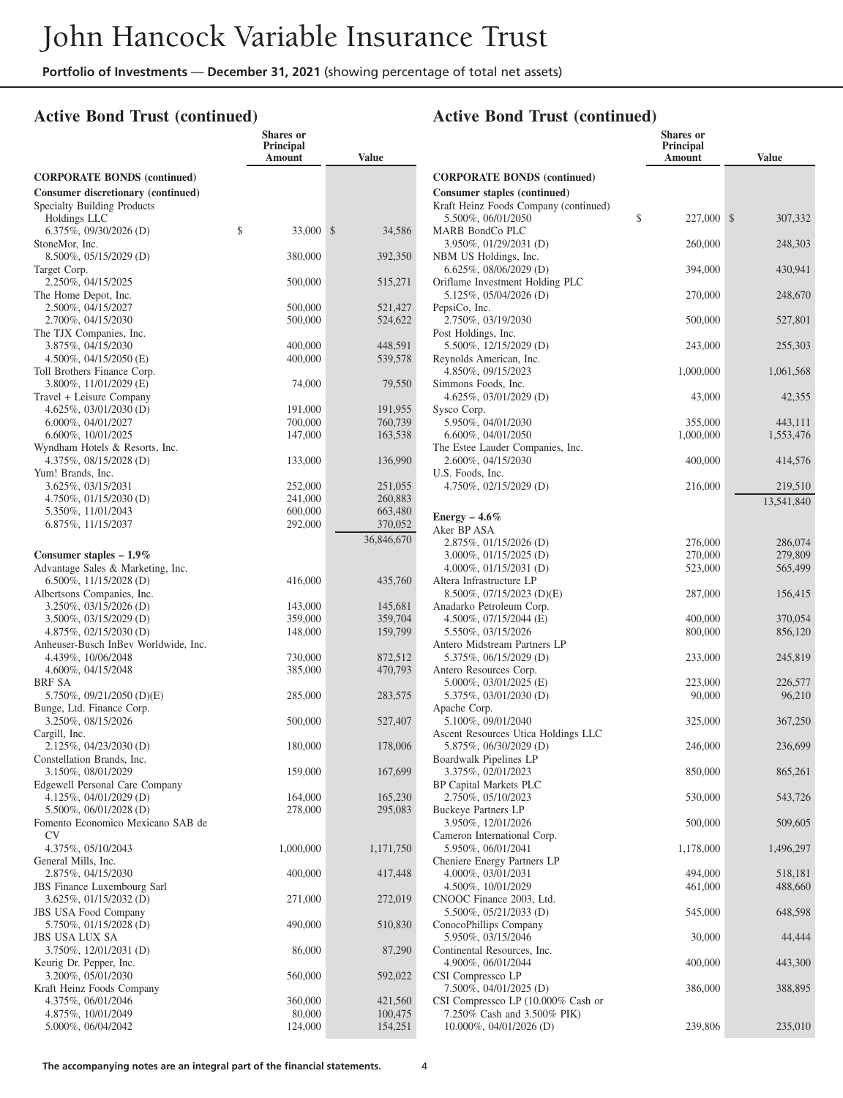#### **Active Bond Trust (continued)**

|                                                                | <b>Shares</b> or<br><b>Principal</b><br>Amount | <b>Value</b>           |
|----------------------------------------------------------------|------------------------------------------------|------------------------|
| <b>CORPORATE BONDS (continued)</b>                             |                                                |                        |
| Consumer discretionary (continued)                             |                                                |                        |
| Specialty Building Products                                    |                                                |                        |
| Holdings LLC                                                   |                                                |                        |
| $6.375\%, 09/30/2026$ (D)                                      | \$<br>33,000                                   | $\mathbb{S}$<br>34,586 |
| StoneMor, Inc.<br>8.500%, 05/15/2029 (D)                       | 380,000                                        | 392,350                |
| Target Corp.                                                   |                                                |                        |
| 2.250%, 04/15/2025                                             | 500,000                                        | 515,271                |
| The Home Depot, Inc.                                           |                                                |                        |
| 2.500%, 04/15/2027                                             | 500,000                                        | 521,427                |
| 2.700%, 04/15/2030                                             | 500,000                                        | 524,622                |
| The TJX Companies, Inc.<br>3.875%, 04/15/2030                  | 400,000                                        | 448,591                |
| 4.500%, 04/15/2050 (E)                                         | 400,000                                        | 539,578                |
| Toll Brothers Finance Corp.                                    |                                                |                        |
| 3.800%, 11/01/2029 (E)                                         | 74,000                                         | 79,550                 |
| Travel + Leisure Company                                       |                                                |                        |
| 4.625%, 03/01/2030 (D)                                         | 191,000                                        | 191,955                |
| 6.000%, 04/01/2027<br>6.600%, 10/01/2025                       | 700,000<br>147,000                             | 760,739<br>163,538     |
| Wyndham Hotels & Resorts, Inc.                                 |                                                |                        |
| 4.375%, 08/15/2028 (D)                                         | 133,000                                        | 136,990                |
| Yum! Brands, Inc.                                              |                                                |                        |
| 3.625%, 03/15/2031                                             | 252,000                                        | 251,055                |
| 4.750%, 01/15/2030 (D)                                         | 241,000                                        | 260,883                |
| 5.350%, 11/01/2043                                             | 600,000                                        | 663,480                |
| 6.875%, 11/15/2037                                             | 292,000                                        | 370,052                |
|                                                                |                                                | 36,846,670             |
| Consumer staples $-1.9\%$<br>Advantage Sales & Marketing, Inc. |                                                |                        |
| $6.500\%, 11/15/2028$ (D)                                      | 416,000                                        | 435,760                |
| Albertsons Companies, Inc.                                     |                                                |                        |
| 3.250%, 03/15/2026 (D)                                         | 143,000                                        | 145,681                |
| 3.500%, 03/15/2029 (D)                                         | 359,000                                        | 359,704                |
| 4.875%, 02/15/2030 (D)                                         | 148,000                                        | 159,799                |
| Anheuser-Busch InBev Worldwide, Inc.<br>4.439%, 10/06/2048     | 730,000                                        | 872,512                |
| 4.600%, 04/15/2048                                             | 385,000                                        | 470,793                |
| BRF SA                                                         |                                                |                        |
| 5.750%, 09/21/2050 (D)(E)                                      | 285,000                                        | 283,575                |
| Bunge, Ltd. Finance Corp.                                      |                                                |                        |
| 3.250%, 08/15/2026                                             | 500,000                                        | 527,407                |
| Cargill, Inc.<br>2.125%, 04/23/2030 (D)                        | 180,000                                        | 178,006                |
| Constellation Brands, Inc.                                     |                                                |                        |
| 3.150%, 08/01/2029                                             | 159,000                                        | 167,699                |
| <b>Edgewell Personal Care Company</b>                          |                                                |                        |
| 4.125%, 04/01/2029 (D)                                         | 164,000                                        | 165,230                |
| 5.500%, 06/01/2028 (D)<br>Fomento Economico Mexicano SAB de    | 278,000                                        | 295,083                |
| CV                                                             |                                                |                        |
| 4.375%, 05/10/2043                                             | 1,000,000                                      | 1,171,750              |
| General Mills, Inc.                                            |                                                |                        |
| 2.875%, 04/15/2030                                             | 400,000                                        | 417,448                |
| <b>JBS</b> Finance Luxembourg Sarl                             |                                                |                        |
| 3.625%, 01/15/2032 (D)<br><b>JBS USA Food Company</b>          | 271,000                                        | 272,019                |
| 5.750%, 01/15/2028 (D)                                         | 490,000                                        | 510,830                |
| <b>JBS USA LUX SA</b>                                          |                                                |                        |
| 3.750%, 12/01/2031 (D)                                         | 86,000                                         | 87,290                 |
| Keurig Dr. Pepper, Inc.                                        |                                                |                        |
| 3.200%, 05/01/2030                                             | 560,000                                        | 592,022                |
| Kraft Heinz Foods Company<br>4.375%, 06/01/2046                | 360,000                                        | 421,560                |
| 4.875%, 10/01/2049                                             | 80,000                                         | 100,475                |
| 5.000%, 06/04/2042                                             | 124,000                                        | 154,251                |
|                                                                |                                                |                        |

|                                                             | <b>Shares or</b><br>Principal<br>Amount | <b>Value</b>          |
|-------------------------------------------------------------|-----------------------------------------|-----------------------|
| <b>CORPORATE BONDS (continued)</b>                          |                                         |                       |
| Consumer staples (continued)                                |                                         |                       |
| Kraft Heinz Foods Company (continued)<br>5.500%, 06/01/2050 | \$<br>227,000                           | \$<br>307,332         |
| MARB BondCo PLC<br>3.950%, 01/29/2031 (D)                   | 260,000                                 | 248,303               |
| NBM US Holdings, Inc.<br>6.625%, 08/06/2029 (D)             | 394,000                                 | 430,941               |
| Oriflame Investment Holding PLC<br>5.125%, 05/04/2026 (D)   | 270,000                                 | 248,670               |
| PepsiCo, Inc.<br>2.750%, 03/19/2030                         | 500,000                                 | 527,801               |
| Post Holdings, Inc.<br>5.500%, 12/15/2029 (D)               | 243,000                                 | 255,303               |
| Reynolds American, Inc.<br>4.850%, 09/15/2023               | 1,000,000                               | 1,061,568             |
| Simmons Foods, Inc.                                         |                                         |                       |
| 4.625%, 03/01/2029 (D)<br>Sysco Corp.                       | 43,000                                  | 42,355                |
| 5.950%, 04/01/2030                                          | 355,000                                 | 443,111               |
| 6.600%, 04/01/2050<br>The Estee Lauder Companies, Inc.      | 1,000,000                               | 1,553,476             |
| 2.600%, 04/15/2030<br>U.S. Foods, Inc.                      | 400,000                                 | 414,576               |
| 4.750%, 02/15/2029 (D)                                      | 216,000                                 | 219,510<br>13,541,840 |
| Energy $-4.6\%$                                             |                                         |                       |
| Aker BP ASA                                                 |                                         |                       |
| 2.875%, 01/15/2026 (D)                                      | 276,000                                 | 286,074               |
| $3.000\%$ , $01/15/2025$ (D)                                | 270,000                                 | 279,809               |
| 4.000%, $01/15/2031$ (D)                                    | 523,000                                 | 565,499               |
| Altera Infrastructure LP<br>8.500%, 07/15/2023 (D)(E)       | 287,000                                 | 156,415               |
| Anadarko Petroleum Corp.                                    |                                         |                       |
| 4.500%, 07/15/2044 (E)<br>5.550%, 03/15/2026                | 400,000<br>800,000                      | 370,054<br>856,120    |
| Antero Midstream Partners LP                                |                                         |                       |
| 5.375%, 06/15/2029 (D)<br>Antero Resources Corp.            | 233,000                                 | 245,819               |
| 5.000%, 03/01/2025 (E)                                      | 223,000                                 | 226,577               |
| 5.375%, 03/01/2030(D)                                       | 90,000                                  | 96,210                |
| Apache Corp.<br>5.100%, 09/01/2040                          | 325,000                                 | 367,250               |
| Ascent Resources Utica Holdings LLC                         |                                         |                       |
| 5.875%, 06/30/2029 (D)<br>Boardwalk Pipelines LP            | 246,000                                 | 236,699               |
| 3.375%, 02/01/2023<br>BP Capital Markets PLC                | 850,000                                 | 865,261               |
| 2.750%, 05/10/2023<br><b>Buckeye Partners LP</b>            | 530,000                                 | 543,726               |
| 3.950%, 12/01/2026<br>Cameron International Corp.           | 500,000                                 | 509,605               |
| 5.950%, 06/01/2041                                          | 1,178,000                               | 1,496,297             |
| Cheniere Energy Partners LP<br>4.000%, 03/01/2031           | 494,000                                 | 518,181               |
| 4.500%, 10/01/2029                                          | 461,000                                 | 488,660               |
| CNOOC Finance 2003, Ltd.                                    |                                         |                       |
| 5.500%, 05/21/2033 (D)<br>ConocoPhillips Company            | 545,000                                 | 648,598               |
| 5.950%, 03/15/2046                                          | 30,000                                  | 44,444                |
| Continental Resources, Inc.<br>4.900%, 06/01/2044           | 400,000                                 | 443,300               |
| CSI Compressco LP<br>7.500%, 04/01/2025 (D)                 | 386,000                                 | 388,895               |
| CSI Compressco LP (10.000% Cash or                          |                                         |                       |
| 7.250% Cash and 3.500% PIK)                                 |                                         |                       |
| 10.000%, 04/01/2026 (D)                                     | 239,806                                 | 235,010               |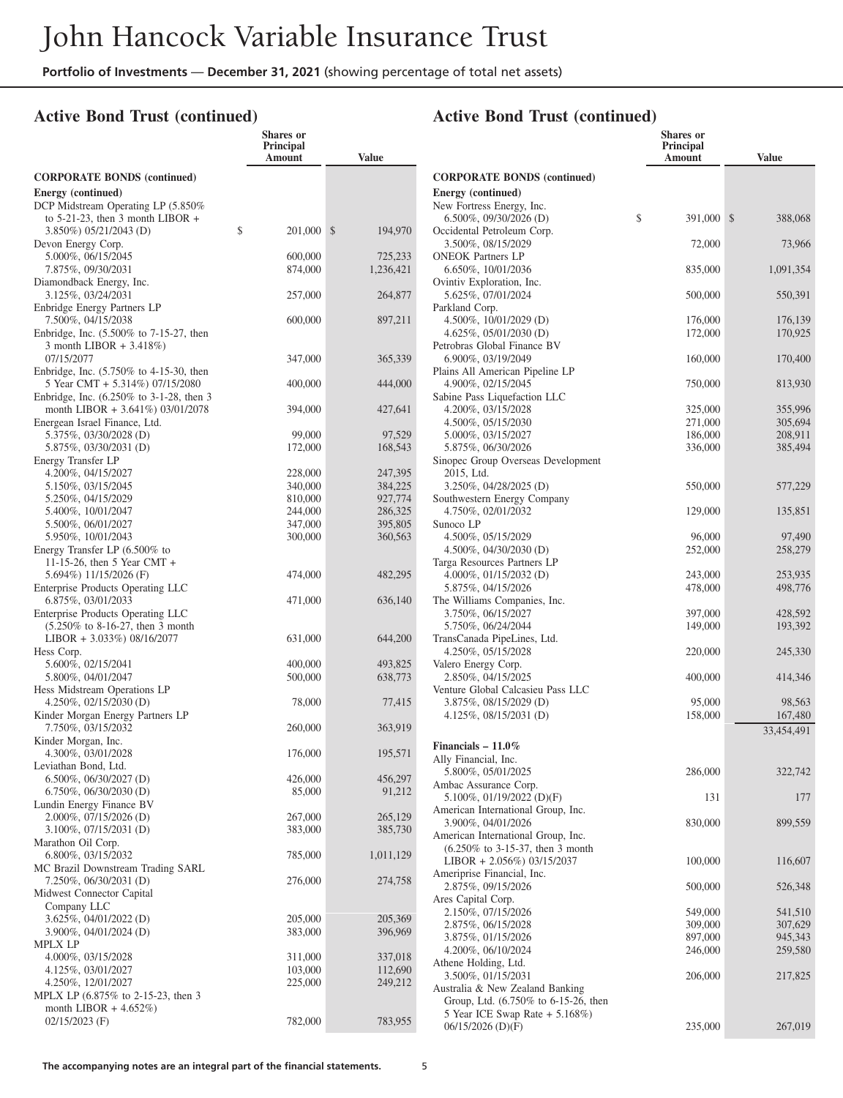**Shares or**

## **Active Bond Trust (continued)**

|                                                                | Principal<br>Amount | <b>Value</b>       |
|----------------------------------------------------------------|---------------------|--------------------|
| <b>CORPORATE BONDS (continued)</b>                             |                     |                    |
| Energy (continued)                                             |                     |                    |
| DCP Midstream Operating LP (5.850%                             |                     |                    |
| to $5-21-23$ , then 3 month LIBOR +                            |                     |                    |
| 3.850%) 05/21/2043 (D)                                         | \$<br>201,000       | \$<br>194,970      |
| Devon Energy Corp.                                             |                     |                    |
| 5.000%, 06/15/2045                                             | 600,000             | 725,233            |
| 7.875%, 09/30/2031                                             | 874,000             | 1,236,421          |
| Diamondback Energy, Inc.<br>3.125%, 03/24/2031                 | 257,000             | 264,877            |
| Enbridge Energy Partners LP                                    |                     |                    |
| 7.500%, 04/15/2038                                             | 600,000             | 897,211            |
| Enbridge, Inc. (5.500% to 7-15-27, then                        |                     |                    |
| 3 month LIBOR + 3.418%)                                        |                     |                    |
| 07/15/2077                                                     | 347,000             | 365,339            |
| Enbridge, Inc. (5.750% to 4-15-30, then                        |                     |                    |
| 5 Year CMT + 5.314%) 07/15/2080                                | 400,000             | 444,000            |
| Enbridge, Inc. (6.250% to 3-1-28, then 3                       |                     |                    |
| month LIBOR + 3.641%) 03/01/2078                               | 394,000             | 427,641            |
| Energean Israel Finance, Ltd.                                  |                     |                    |
| 5.375%, 03/30/2028 (D)                                         | 99,000              | 97,529             |
| 5.875%, 03/30/2031 (D)                                         | 172,000             | 168,543            |
| Energy Transfer LP                                             |                     |                    |
| 4.200%, 04/15/2027                                             | 228,000             | 247,395            |
| 5.150%, 03/15/2045                                             | 340,000             | 384,225            |
| 5.250%, 04/15/2029                                             | 810,000             | 927,774            |
| 5.400%, 10/01/2047<br>5.500%, 06/01/2027                       | 244,000<br>347,000  | 286,325<br>395,805 |
| 5.950%, 10/01/2043                                             | 300,000             | 360,563            |
| Energy Transfer LP (6.500% to                                  |                     |                    |
| 11-15-26, then 5 Year CMT +                                    |                     |                    |
| 5.694%) 11/15/2026 (F)                                         | 474,000             | 482,295            |
| Enterprise Products Operating LLC                              |                     |                    |
| 6.875%, 03/01/2033                                             | 471,000             | 636,140            |
| <b>Enterprise Products Operating LLC</b>                       |                     |                    |
| $(5.250\% \text{ to } 8-16-27, \text{ then } 3 \text{ month})$ |                     |                    |
| LIBOR + 3.033%) 08/16/2077                                     | 631,000             | 644,200            |
| Hess Corp.                                                     |                     |                    |
| 5.600%, 02/15/2041                                             | 400,000             | 493,825            |
| 5.800%, 04/01/2047                                             | 500,000             | 638,773            |
| Hess Midstream Operations LP                                   |                     |                    |
| 4.250%, 02/15/2030 (D)                                         | 78,000              | 77,415             |
| Kinder Morgan Energy Partners LP                               |                     |                    |
| 7.750%, 03/15/2032                                             | 260,000             | 363,919            |
| Kinder Morgan, Inc.<br>4.300%, 03/01/2028                      | 176,000             |                    |
| Leviathan Bond, Ltd.                                           |                     | 195,571            |
| 6.500%, 06/30/2027 (D)                                         | 426,000             | 456,297            |
| 6.750%, 06/30/2030 (D)                                         | 85,000              | 91,212             |
| Lundin Energy Finance BV                                       |                     |                    |
| $2.000\%$ , 07/15/2026 (D)                                     | 267,000             | 265,129            |
| $3.100\%, 07/15/2031$ (D)                                      | 383,000             | 385,730            |
| Marathon Oil Corp.                                             |                     |                    |
| 6.800%, 03/15/2032                                             | 785,000             | 1,011,129          |
| MC Brazil Downstream Trading SARL                              |                     |                    |
| 7.250%, 06/30/2031 (D)                                         | 276,000             | 274,758            |
| Midwest Connector Capital                                      |                     |                    |
| Company LLC                                                    |                     |                    |
| 3.625%, 04/01/2022 (D)                                         | 205,000             | 205,369            |
| 3.900%, 04/01/2024 (D)                                         | 383,000             | 396,969            |
| MPLX LP                                                        |                     |                    |
| 4.000%, 03/15/2028                                             | 311,000             | 337,018            |
| 4.125%, 03/01/2027                                             | 103,000             | 112,690            |
| 4.250%, 12/01/2027                                             | 225,000             | 249,212            |
| MPLX LP (6.875% to 2-15-23, then 3<br>month LIBOR $+4.652\%)$  |                     |                    |
| $02/15/2023$ (F)                                               | 782,000             | 783,955            |
|                                                                |                     |                    |

|                                                                        | Shares or<br><b>Principal</b><br>Amount | <b>Value</b>       |
|------------------------------------------------------------------------|-----------------------------------------|--------------------|
| <b>CORPORATE BONDS (continued)</b>                                     |                                         |                    |
| Energy (continued)                                                     |                                         |                    |
| New Fortress Energy, Inc.                                              |                                         |                    |
| \$<br>$6.500\%$ , 09/30/2026 (D)                                       | 391,000                                 | \$<br>388,068      |
| Occidental Petroleum Corp.<br>3.500%, 08/15/2029                       | 72,000                                  | 73,966             |
| <b>ONEOK Partners LP</b>                                               |                                         |                    |
| 6.650%, 10/01/2036                                                     | 835,000                                 | 1,091,354          |
| Ovintiv Exploration, Inc.                                              |                                         |                    |
| 5.625%, 07/01/2024                                                     | 500,000                                 | 550,391            |
| Parkland Corp.<br>4.500%, $10/01/2029$ (D)                             | 176,000                                 | 176,139            |
| $4.625\%, 05/01/2030$ (D)                                              | 172,000                                 | 170,925            |
| Petrobras Global Finance BV                                            |                                         |                    |
| 6.900%, 03/19/2049                                                     | 160,000                                 | 170,400            |
| Plains All American Pipeline LP                                        |                                         |                    |
| 4.900%, 02/15/2045<br>Sabine Pass Liquefaction LLC                     | 750,000                                 | 813,930            |
| 4.200%, 03/15/2028                                                     | 325,000                                 | 355,996            |
| 4.500%, 05/15/2030                                                     | 271,000                                 | 305,694            |
| 5.000%, 03/15/2027                                                     | 186,000                                 | 208,911            |
| 5.875%, 06/30/2026                                                     | 336,000                                 | 385,494            |
| Sinopec Group Overseas Development<br>2015, Ltd.                       |                                         |                    |
| 3.250%, 04/28/2025 (D)                                                 | 550,000                                 | 577,229            |
| Southwestern Energy Company                                            |                                         |                    |
| 4.750%, 02/01/2032                                                     | 129,000                                 | 135,851            |
| Sunoco LP<br>4.500%, 05/15/2029                                        |                                         |                    |
| 4.500%, 04/30/2030 (D)                                                 | 96,000<br>252,000                       | 97,490<br>258,279  |
| Targa Resources Partners LP                                            |                                         |                    |
| 4.000%, $01/15/2032$ (D)                                               | 243,000                                 | 253,935            |
| 5.875%, 04/15/2026                                                     | 478,000                                 | 498,776            |
| The Williams Companies, Inc.<br>3.750%, 06/15/2027                     |                                         | 428,592            |
| 5.750%, 06/24/2044                                                     | 397,000<br>149,000                      | 193,392            |
| TransCanada PipeLines, Ltd.                                            |                                         |                    |
| 4.250%, 05/15/2028                                                     | 220,000                                 | 245,330            |
| Valero Energy Corp.                                                    |                                         |                    |
| 2.850%, 04/15/2025<br>Venture Global Calcasieu Pass LLC                | 400,000                                 | 414,346            |
| 3.875%, 08/15/2029 (D)                                                 | 95,000                                  | 98,563             |
| 4.125%, 08/15/2031 (D)                                                 | 158,000                                 | 167,480            |
|                                                                        |                                         | 33,454,491         |
| Financials $-11.0\%$                                                   |                                         |                    |
| Ally Financial, Inc.                                                   |                                         |                    |
| 5.800%, 05/01/2025                                                     | 286,000                                 | 322,742            |
| Ambac Assurance Corp.<br>5.100%, 01/19/2022 (D)(F)                     | 131                                     | 177                |
| American International Group, Inc.                                     |                                         |                    |
| 3.900%, 04/01/2026                                                     | 830,000                                 | 899,559            |
| American International Group, Inc.                                     |                                         |                    |
| $(6.250\% \text{ to } 3-15-37, \text{ then } 3 \text{ month})$         |                                         |                    |
| LIBOR + 2.056%) 03/15/2037<br>Ameriprise Financial, Inc.               | 100,000                                 | 116,607            |
| 2.875%, 09/15/2026                                                     | 500,000                                 | 526,348            |
| Ares Capital Corp.                                                     |                                         |                    |
| 2.150%, 07/15/2026                                                     | 549,000                                 | 541,510            |
| 2.875%, 06/15/2028                                                     | 309,000                                 | 307,629            |
| 3.875%, 01/15/2026<br>4.200%, 06/10/2024                               | 897,000<br>246,000                      | 945,343<br>259,580 |
| Athene Holding, Ltd.                                                   |                                         |                    |
| 3.500%, 01/15/2031                                                     | 206,000                                 | 217,825            |
| Australia & New Zealand Banking                                        |                                         |                    |
| Group, Ltd. (6.750% to 6-15-26, then<br>5 Year ICE Swap Rate + 5.168%) |                                         |                    |
| 06/15/2026 (D)(F)                                                      | 235,000                                 | 267,019            |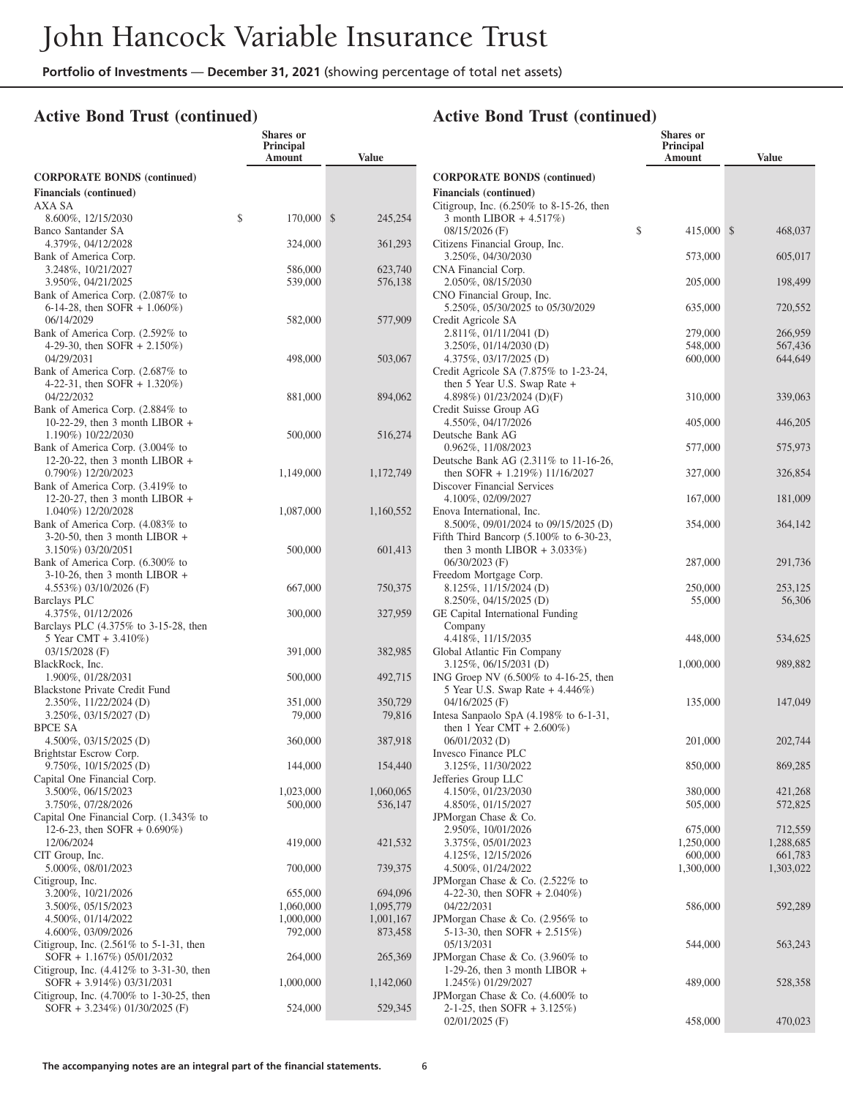**Shares or**

#### **Active Bond Trust (continued)**

|                                                                         | Principal<br>Amount | Value         |
|-------------------------------------------------------------------------|---------------------|---------------|
| <b>CORPORATE BONDS (continued)</b>                                      |                     |               |
| <b>Financials</b> (continued)                                           |                     |               |
| AXA SA                                                                  |                     |               |
| 8.600%, 12/15/2030<br>Banco Santander SA                                | \$<br>170,000       | \$<br>245,254 |
| 4.379%, 04/12/2028                                                      | 324,000             | 361,293       |
| Bank of America Corp.                                                   |                     |               |
| 3.248%, 10/21/2027                                                      | 586,000             | 623,740       |
| 3.950%, 04/21/2025                                                      | 539,000             | 576,138       |
| Bank of America Corp. (2.087% to<br>6-14-28, then SOFR $+ 1.060\%)$     |                     |               |
| 06/14/2029                                                              | 582,000             | 577,909       |
| Bank of America Corp. (2.592% to                                        |                     |               |
| 4-29-30, then SOFR $+ 2.150\%)$                                         |                     |               |
| 04/29/2031                                                              | 498,000             | 503,067       |
| Bank of America Corp. (2.687% to<br>4-22-31, then SOFR $+ 1.320\%$ )    |                     |               |
| 04/22/2032                                                              | 881,000             | 894,062       |
| Bank of America Corp. (2.884% to                                        |                     |               |
| 10-22-29, then $3$ month LIBOR +                                        |                     |               |
| 1.190%) 10/22/2030<br>Bank of America Corp. (3.004% to                  | 500,000             | 516,274       |
| 12-20-22, then $3$ month LIBOR +                                        |                     |               |
| 0.790%) 12/20/2023                                                      | 1,149,000           | 1,172,749     |
| Bank of America Corp. (3.419% to                                        |                     |               |
| 12-20-27, then 3 month LIBOR $+$                                        |                     |               |
| 1.040%) 12/20/2028<br>Bank of America Corp. (4.083% to                  | 1,087,000           | 1,160,552     |
| $3-20-50$ , then 3 month LIBOR +                                        |                     |               |
| 3.150%) 03/20/2051                                                      | 500,000             | 601,413       |
| Bank of America Corp. (6.300% to                                        |                     |               |
| $3-10-26$ , then 3 month LIBOR +                                        |                     |               |
| 4.553%) 03/10/2026 (F)<br><b>Barclays PLC</b>                           | 667,000             | 750,375       |
| 4.375%, 01/12/2026                                                      | 300,000             | 327,959       |
| Barclays PLC (4.375% to 3-15-28, then                                   |                     |               |
| 5 Year CMT + 3.410%)                                                    |                     |               |
| 03/15/2028 (F)                                                          | 391,000             | 382,985       |
| BlackRock, Inc.<br>1.900%, 01/28/2031                                   | 500,000             | 492,715       |
| Blackstone Private Credit Fund                                          |                     |               |
| 2.350%, 11/22/2024 (D)                                                  | 351,000             | 350,729       |
| $3.250\%, 03/15/2027$ (D)                                               | 79,000              | 79,816        |
| <b>BPCE SA</b><br>$4.500\%, 03/15/2025$ (D)                             | 360,000             | 387,918       |
| Brightstar Escrow Corp.                                                 |                     |               |
| 9.750%, 10/15/2025 (D)                                                  | 144,000             | 154,440       |
| Capital One Financial Corp.                                             |                     |               |
| 3.500%, 06/15/2023                                                      | 1,023,000           | 1,060,065     |
| 3.750%, 07/28/2026<br>Capital One Financial Corp. (1.343% to            | 500,000             | 536,147       |
| 12-6-23, then SOFR $+$ 0.690%)                                          |                     |               |
| 12/06/2024                                                              | 419,000             | 421,532       |
| CIT Group, Inc.                                                         |                     |               |
| 5.000%, 08/01/2023<br>Citigroup, Inc.                                   | 700,000             | 739,375       |
| 3.200%, 10/21/2026                                                      | 655,000             | 694,096       |
| 3.500%, 05/15/2023                                                      | 1,060,000           | 1,095,779     |
| 4.500%, 01/14/2022                                                      | 1,000,000           | 1,001,167     |
| 4.600%, 03/09/2026                                                      | 792,000             | 873,458       |
| Citigroup, Inc. $(2.561\%$ to 5-1-31, then<br>SOFR + 1.167%) 05/01/2032 | 264,000             | 265,369       |
| Citigroup, Inc. (4.412% to 3-31-30, then                                |                     |               |
| SOFR + 3.914%) 03/31/2031                                               | 1,000,000           | 1,142,060     |
| Citigroup, Inc. (4.700% to 1-30-25, then                                |                     |               |
| SOFR + 3.234%) 01/30/2025 (F)                                           | 524,000             | 529,345       |

|                                                                               | <b>Shares</b> or<br>Principal<br>Amount | <b>Value</b>       |
|-------------------------------------------------------------------------------|-----------------------------------------|--------------------|
| <b>CORPORATE BONDS (continued)</b>                                            |                                         |                    |
| <b>Financials</b> (continued)<br>Citigroup, Inc. (6.250% to 8-15-26, then     |                                         |                    |
| 3 month LIBOR $+4.517\%)$                                                     |                                         |                    |
| 08/15/2026 (F)                                                                | \$<br>415,000                           | \$<br>468,037      |
| Citizens Financial Group, Inc.<br>3.250%, 04/30/2030                          | 573,000                                 | 605,017            |
| CNA Financial Corp.                                                           |                                         |                    |
| 2.050%, 08/15/2030                                                            | 205,000                                 | 198,499            |
| CNO Financial Group, Inc.<br>5.250%, 05/30/2025 to 05/30/2029                 | 635,000                                 | 720,552            |
| Credit Agricole SA                                                            |                                         |                    |
| 2.811\%, 01/11/2041 (D)                                                       | 279,000                                 | 266,959            |
| 3.250%, 01/14/2030 (D)<br>4.375%, 03/17/2025 (D)                              | 548,000<br>600,000                      | 567,436<br>644,649 |
| Credit Agricole SA $(7.875\%$ to 1-23-24,                                     |                                         |                    |
| then $5$ Year U.S. Swap Rate $+$                                              |                                         |                    |
| 4.898%) 01/23/2024 (D)(F)<br>Credit Suisse Group AG                           | 310,000                                 | 339,063            |
| 4.550%, 04/17/2026                                                            | 405,000                                 | 446,205            |
| Deutsche Bank AG                                                              |                                         |                    |
| 0.962%, 11/08/2023                                                            | 577,000                                 | 575,973            |
| Deutsche Bank AG (2.311% to 11-16-26,<br>then SOFR + $1.219\%$ ) $11/16/2027$ | 327,000                                 | 326,854            |
| Discover Financial Services                                                   |                                         |                    |
| 4.100%, 02/09/2027                                                            | 167,000                                 | 181,009            |
| Enova International, Inc.<br>8.500\%, 09/01/2024 to 09/15/2025 (D)            | 354,000                                 | 364,142            |
| Fifth Third Bancorp $(5.100\%$ to 6-30-23,                                    |                                         |                    |
| then 3 month LIBOR $+ 3.033\%$ )                                              |                                         |                    |
| $06/30/2023$ (F)                                                              | 287,000                                 | 291,736            |
| Freedom Mortgage Corp.<br>8.125%, 11/15/2024 (D)                              | 250,000                                 | 253,125            |
| 8.250%, 04/15/2025 (D)                                                        | 55,000                                  | 56,306             |
| GE Capital International Funding                                              |                                         |                    |
| Company<br>4.418%, 11/15/2035                                                 | 448,000                                 | 534,625            |
| Global Atlantic Fin Company                                                   |                                         |                    |
| 3.125%, 06/15/2031 (D)                                                        | 1,000,000                               | 989,882            |
| ING Groep NV $(6.500\% \text{ to } 4-16-25, \text{ then})$                    |                                         |                    |
| 5 Year U.S. Swap Rate + 4.446%)<br>$04/16/2025$ (F)                           | 135,000                                 | 147,049            |
| Intesa Sanpaolo SpA $(4.198\%$ to 6-1-31,                                     |                                         |                    |
| then 1 Year CMT + $2.600\%$ )                                                 |                                         |                    |
| $06/01/2032$ (D)<br>Invesco Finance PLC                                       | 201,000                                 | 202,744            |
| 3.125%, 11/30/2022                                                            | 850,000                                 | 869,285            |
| Jefferies Group LLC                                                           |                                         |                    |
| 4.150%, 01/23/2030                                                            | 380,000                                 | 421,268            |
| 4.850%, 01/15/2027<br>JPMorgan Chase & Co.                                    | 505,000                                 | 572,825            |
| 2.950%, 10/01/2026                                                            | 675,000                                 | 712,559            |
| 3.375%, 05/01/2023                                                            | 1,250,000                               | 1,288,685          |
| 4.125%, 12/15/2026<br>4.500%, 01/24/2022                                      | 600,000<br>1,300,000                    | 661,783            |
| JPM organ Chase & Co. (2.522% to                                              |                                         | 1,303,022          |
| 4-22-30, then SOFR $+ 2.040\%)$                                               |                                         |                    |
| 04/22/2031                                                                    | 586,000                                 | 592,289            |
| JPMorgan Chase & Co. (2.956% to<br>5-13-30, then SOFR $+ 2.515\%)$            |                                         |                    |
| 05/13/2031                                                                    | 544,000                                 | 563,243            |
| JPMorgan Chase & Co. (3.960% to                                               |                                         |                    |
| 1-29-26, then 3 month LIBOR $+$<br>1.245%) 01/29/2027                         | 489,000                                 |                    |
| JPMorgan Chase & Co. (4.600% to                                               |                                         | 528,358            |
| 2-1-25, then SOFR $+ 3.125\%$ )                                               |                                         |                    |
| 02/01/2025 (F)                                                                | 458,000                                 | 470,023            |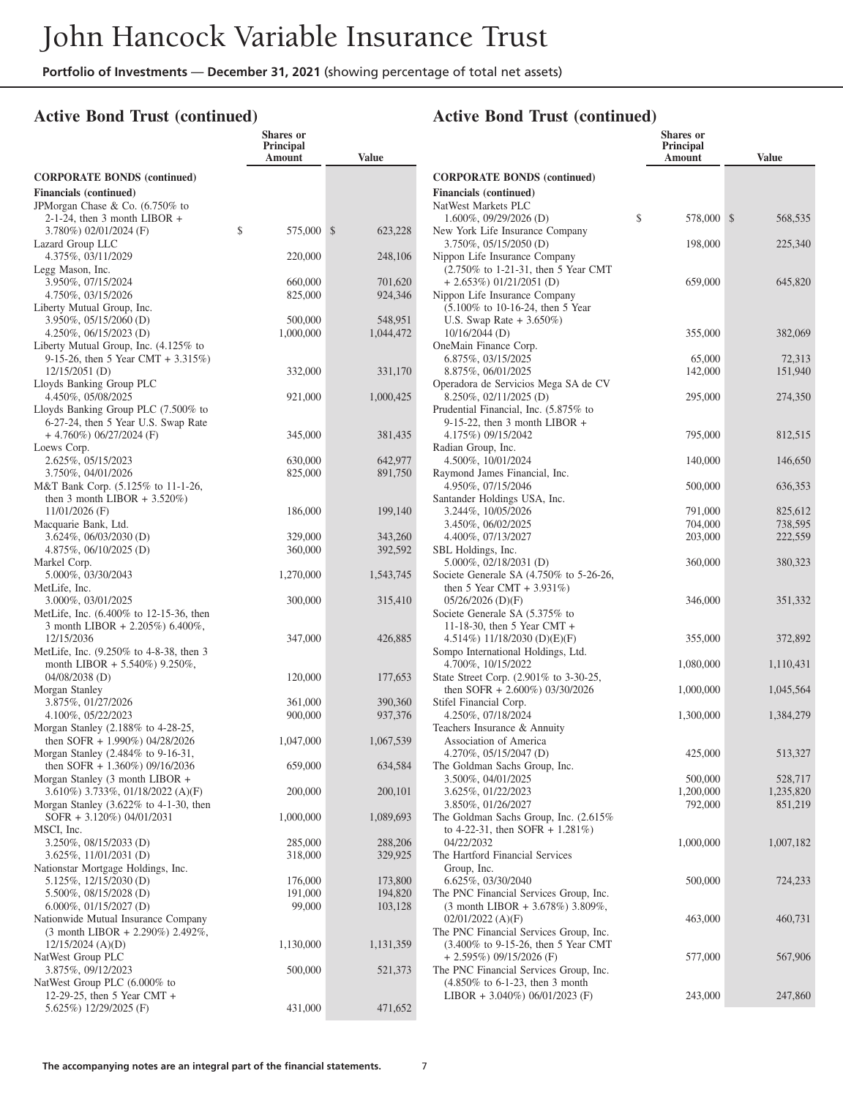**Shares or**

#### **Active Bond Trust (continued)**

|                                                                                    | Principal<br>Amount | <b>Value</b>       |
|------------------------------------------------------------------------------------|---------------------|--------------------|
| <b>CORPORATE BONDS (continued)</b>                                                 |                     |                    |
| <b>Financials</b> (continued)                                                      |                     |                    |
| JPMorgan Chase & Co. (6.750% to                                                    |                     |                    |
| $2-1-24$ , then 3 month LIBOR +                                                    |                     |                    |
| 3.780%) 02/01/2024 (F)<br>Lazard Group LLC                                         | \$<br>575,000       | \$<br>623,228      |
| 4.375%, 03/11/2029                                                                 | 220,000             | 248,106            |
| Legg Mason, Inc.                                                                   |                     |                    |
| 3.950%, 07/15/2024                                                                 | 660,000             | 701,620            |
| 4.750%, 03/15/2026                                                                 | 825,000             | 924,346            |
| Liberty Mutual Group, Inc.<br>3.950%, 05/15/2060 (D)                               | 500,000             | 548,951            |
| 4.250%, 06/15/2023 (D)                                                             | 1,000,000           | 1,044,472          |
| Liberty Mutual Group, Inc. (4.125% to                                              |                     |                    |
| 9-15-26, then 5 Year CMT + $3.315\%$ )                                             |                     |                    |
| $12/15/2051$ (D)                                                                   | 332,000             | 331,170            |
| Lloyds Banking Group PLC<br>4.450%, 05/08/2025                                     | 921,000             | 1,000,425          |
| Lloyds Banking Group PLC (7.500% to                                                |                     |                    |
| 6-27-24, then 5 Year U.S. Swap Rate                                                |                     |                    |
| $+4.760\%$ ) 06/27/2024 (F)                                                        | 345,000             | 381,435            |
| Loews Corp.                                                                        |                     |                    |
| 2.625%, 05/15/2023<br>3.750%, 04/01/2026                                           | 630,000<br>825,000  | 642,977<br>891,750 |
| M&T Bank Corp. (5.125% to 11-1-26,                                                 |                     |                    |
| then 3 month LIBOR $+3.520\%$ )                                                    |                     |                    |
| $11/01/2026$ (F)                                                                   | 186,000             | 199,140            |
| Macquarie Bank, Ltd.                                                               |                     |                    |
| 3.624%, 06/03/2030 (D)<br>$4.875\%, 06/10/2025$ (D)                                | 329,000<br>360,000  | 343,260<br>392,592 |
| Markel Corp.                                                                       |                     |                    |
| 5.000%, 03/30/2043                                                                 | 1,270,000           | 1,543,745          |
| MetLife, Inc.                                                                      |                     |                    |
| 3.000%, 03/01/2025                                                                 | 300,000             | 315,410            |
| MetLife, Inc. (6.400% to 12-15-36, then<br>3 month LIBOR + 2.205%) 6.400%,         |                     |                    |
| 12/15/2036                                                                         | 347,000             | 426,885            |
| MetLife, Inc. (9.250% to 4-8-38, then 3                                            |                     |                    |
| month LIBOR + 5.540%) $9.250\%$ ,                                                  |                     |                    |
| 04/08/2038 (D)                                                                     | 120,000             | 177,653            |
| Morgan Stanley<br>3.875%, 01/27/2026                                               | 361,000             | 390,360            |
| 4.100%, 05/22/2023                                                                 | 900,000             | 937,376            |
| Morgan Stanley (2.188% to 4-28-25,                                                 |                     |                    |
| then SOFR + 1.990%) 04/28/2026                                                     | 1,047,000           | 1,067,539          |
| Morgan Stanley (2.484% to 9-16-31,                                                 |                     |                    |
| then SOFR $+ 1.360\%$ ) 09/16/2036<br>Morgan Stanley (3 month LIBOR +              | 659,000             | 634,584            |
| 3.610%) 3.733%, 01/18/2022 (A)(F)                                                  | 200,000             | 200,101            |
| Morgan Stanley $(3.622\% \text{ to } 4-1-30, \text{ then})$                        |                     |                    |
| SOFR + 3.120%) 04/01/2031                                                          | 1,000,000           | 1,089,693          |
| MSCI, Inc.<br>3.250%, 08/15/2033 (D)                                               |                     |                    |
| 3.625%, 11/01/2031 (D)                                                             | 285,000<br>318,000  | 288,206<br>329,925 |
| Nationstar Mortgage Holdings, Inc.                                                 |                     |                    |
| 5.125%, 12/15/2030(D)                                                              | 176,000             | 173,800            |
| 5.500%, 08/15/2028 (D)                                                             | 191,000             | 194,820            |
| $6.000\%, 01/15/2027$ (D)                                                          | 99,000              | 103,128            |
| Nationwide Mutual Insurance Company<br>$(3 \text{ month LIBOR} + 2.290\%)$ 2.492%, |                     |                    |
| $12/15/2024$ (A)(D)                                                                | 1,130,000           | 1,131,359          |
| NatWest Group PLC                                                                  |                     |                    |
| 3.875%, 09/12/2023                                                                 | 500,000             | 521,373            |
| NatWest Group PLC (6.000% to                                                       |                     |                    |
| 12-29-25, then 5 Year CMT +<br>5.625%) 12/29/2025 (F)                              | 431,000             | 471,652            |
|                                                                                    |                     |                    |

|                                                                               | <b>Shares or</b><br>Principal<br>Amount | <b>Value</b>      |
|-------------------------------------------------------------------------------|-----------------------------------------|-------------------|
| <b>CORPORATE BONDS (continued)</b>                                            |                                         |                   |
| <b>Financials</b> (continued)                                                 |                                         |                   |
| NatWest Markets PLC                                                           |                                         |                   |
| 1.600%, 09/29/2026 (D)                                                        | \$<br>578,000                           | \$<br>568,535     |
| New York Life Insurance Company                                               |                                         |                   |
| 3.750\%, 05/15/2050 (D)                                                       | 198,000                                 | 225,340           |
| Nippon Life Insurance Company<br>(2.750% to 1-21-31, then 5 Year CMT          |                                         |                   |
| $+ 2.653\%) 01/21/2051 (D)$                                                   | 659,000                                 | 645,820           |
| Nippon Life Insurance Company                                                 |                                         |                   |
| $(5.100\% \text{ to } 10-16-24, \text{ then } 5 \text{ Year})$                |                                         |                   |
| U.S. Swap Rate $+3.650\%$ )                                                   |                                         |                   |
| $10/16/2044$ (D)                                                              | 355,000                                 | 382,069           |
| OneMain Finance Corp.                                                         |                                         |                   |
| 6.875%, 03/15/2025<br>8.875%, 06/01/2025                                      | 65,000<br>142,000                       | 72,313<br>151,940 |
| Operadora de Servicios Mega SA de CV                                          |                                         |                   |
| 8.250%, 02/11/2025 (D)                                                        | 295,000                                 | 274,350           |
| Prudential Financial, Inc. (5.875% to                                         |                                         |                   |
| 9-15-22, then 3 month LIBOR $+$                                               |                                         |                   |
| 4.175%) 09/15/2042                                                            | 795,000                                 | 812,515           |
| Radian Group, Inc.                                                            |                                         |                   |
| 4.500%, 10/01/2024                                                            | 140,000                                 | 146,650           |
| Raymond James Financial, Inc.                                                 |                                         |                   |
| 4.950%, 07/15/2046<br>Santander Holdings USA, Inc.                            | 500,000                                 | 636,353           |
| 3.244%, 10/05/2026                                                            | 791,000                                 | 825,612           |
| 3.450%, 06/02/2025                                                            | 704,000                                 | 738,595           |
| 4.400%, 07/13/2027                                                            | 203,000                                 | 222,559           |
| SBL Holdings, Inc.                                                            |                                         |                   |
| 5.000%, 02/18/2031 (D)                                                        | 360,000                                 | 380,323           |
| Societe Generale SA $(4.750\%$ to 5-26-26,                                    |                                         |                   |
| then 5 Year CMT + $3.931\%$ )                                                 |                                         |                   |
| $05/26/2026$ (D)(F)<br>Societe Generale SA (5.375% to                         | 346,000                                 | 351,332           |
| 11-18-30, then 5 Year CMT $+$                                                 |                                         |                   |
| 4.514%) 11/18/2030 (D)(E)(F)                                                  | 355,000                                 | 372,892           |
| Sompo International Holdings, Ltd.                                            |                                         |                   |
| 4.700%, 10/15/2022                                                            | 1,080,000                               | 1,110,431         |
| State Street Corp. (2.901\% to 3-30-25,                                       |                                         |                   |
| then SOFR + 2.600%) 03/30/2026                                                | 1,000,000                               | 1,045,564         |
| Stifel Financial Corp.                                                        |                                         |                   |
| 4.250%, 07/18/2024<br>Teachers Insurance & Annuity                            | 1,300,000                               | 1,384,279         |
| Association of America                                                        |                                         |                   |
| 4.270%, $05/15/2047$ (D)                                                      | 425,000                                 | 513,327           |
| The Goldman Sachs Group, Inc.                                                 |                                         |                   |
| 3.500%, 04/01/2025                                                            | 500,000                                 | 528,717           |
| 3.625%, 01/22/2023                                                            | 1,200,000                               | 1,235,820         |
| 3.850%, 01/26/2027                                                            | 792,000                                 | 851,219           |
| The Goldman Sachs Group, Inc. (2.615%)<br>to 4-22-31, then SOFR + $1.281\%$ ) |                                         |                   |
| 04/22/2032                                                                    | 1,000,000                               | 1,007,182         |
| The Hartford Financial Services                                               |                                         |                   |
| Group, Inc.                                                                   |                                         |                   |
| 6.625%, 03/30/2040                                                            | 500,000                                 | 724,233           |
| The PNC Financial Services Group, Inc.                                        |                                         |                   |
| (3 month LIBOR + 3.678%) 3.809%,                                              |                                         |                   |
| $02/01/2022$ (A)(F)                                                           | 463,000                                 | 460,731           |
| The PNC Financial Services Group, Inc.                                        |                                         |                   |
| (3.400% to 9-15-26, then 5 Year CMT<br>$+ 2.595\%)$ 09/15/2026 (F)            | 577,000                                 | 567,906           |
| The PNC Financial Services Group, Inc.                                        |                                         |                   |
| (4.850% to 6-1-23, then 3 month                                               |                                         |                   |
| LIBOR + 3.040%) 06/01/2023 (F)                                                | 243,000                                 | 247,860           |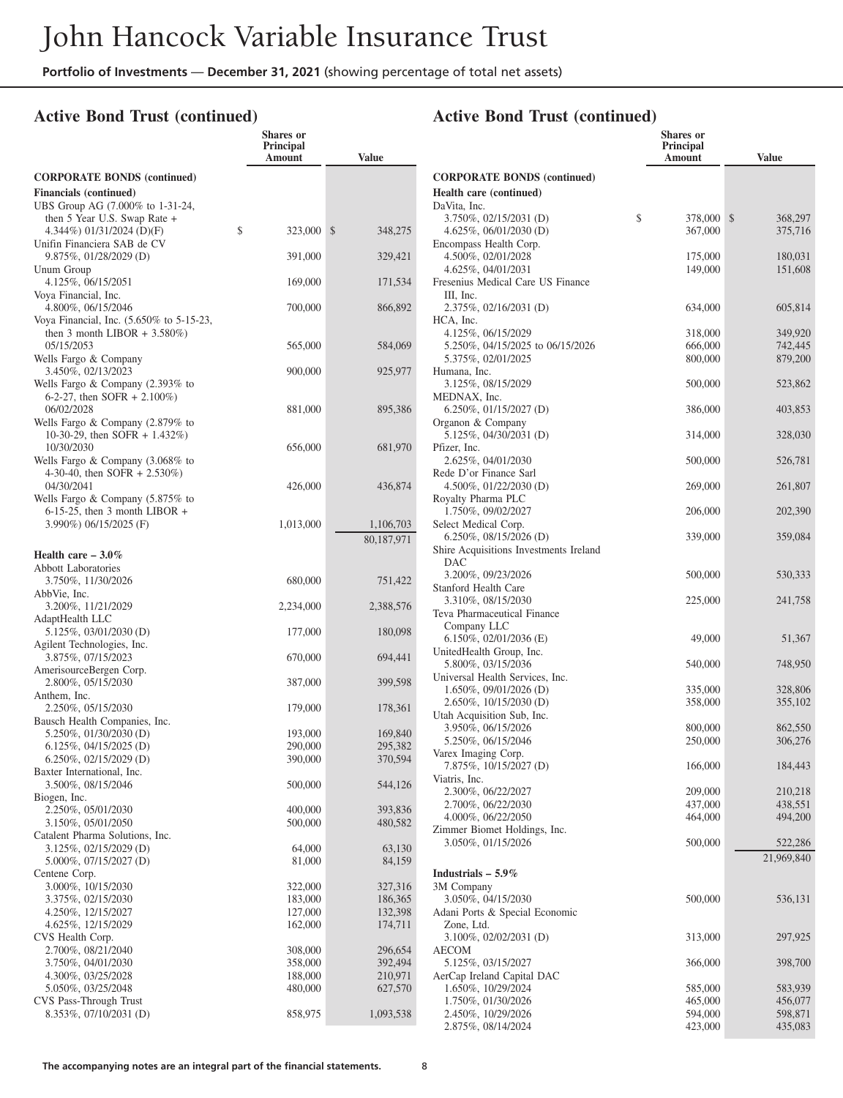**Shares or**

## **Active Bond Trust (continued)**

|                                                                       | Principal<br>Amount | <b>Value</b>     |
|-----------------------------------------------------------------------|---------------------|------------------|
| <b>CORPORATE BONDS (continued)</b>                                    |                     |                  |
| <b>Financials (continued)</b>                                         |                     |                  |
| UBS Group AG (7.000% to 1-31-24,                                      |                     |                  |
| then 5 Year U.S. Swap Rate +                                          |                     |                  |
| 4.344%) 01/31/2024 (D)(F)<br>Unifin Financiera SAB de CV              | \$<br>323,000       | \$<br>348,275    |
| 9.875%, 01/28/2029 (D)                                                | 391,000             | 329,421          |
| Unum Group                                                            |                     |                  |
| 4.125%, 06/15/2051                                                    | 169,000             | 171,534          |
| Voya Financial, Inc.<br>4.800%, 06/15/2046                            |                     |                  |
| Voya Financial, Inc. (5.650% to 5-15-23,                              | 700,000             | 866,892          |
| then 3 month LIBOR + $3.580\%$ )                                      |                     |                  |
| 05/15/2053                                                            | 565,000             | 584,069          |
| Wells Fargo & Company                                                 |                     |                  |
| 3.450%, 02/13/2023                                                    | 900,000             | 925,977          |
| Wells Fargo $&$ Company (2.393% to<br>6-2-27, then SOFR $+ 2.100\%$ ) |                     |                  |
| 06/02/2028                                                            | 881,000             | 895,386          |
| Wells Fargo & Company $(2.879\%$ to                                   |                     |                  |
| 10-30-29, then SOFR + 1.432%)                                         |                     |                  |
| 10/30/2030                                                            | 656,000             | 681,970          |
| Wells Fargo & Company (3.068% to<br>4-30-40, then SOFR $+ 2.530\%)$   |                     |                  |
| 04/30/2041                                                            | 426,000             | 436,874          |
| Wells Fargo & Company $(5.875\%$ to                                   |                     |                  |
| $6-15-25$ , then 3 month LIBOR +                                      |                     |                  |
| 3.990%) 06/15/2025 (F)                                                | 1,013,000           | 1,106,703        |
|                                                                       |                     | 80,187,971       |
| Health care $-3.0\%$                                                  |                     |                  |
| <b>Abbott Laboratories</b><br>3.750%, 11/30/2026                      | 680,000             | 751,422          |
| AbbVie, Inc.                                                          |                     |                  |
| 3.200%, 11/21/2029                                                    | 2,234,000           | 2,388,576        |
| AdaptHealth LLC                                                       |                     |                  |
| $5.125\%, 03/01/2030$ (D)<br>Agilent Technologies, Inc.               | 177,000             | 180,098          |
| 3.875%, 07/15/2023                                                    | 670,000             | 694,441          |
| AmerisourceBergen Corp.                                               |                     |                  |
| 2.800%, 05/15/2030                                                    | 387,000             | 399,598          |
| Anthem, Inc.                                                          |                     |                  |
| 2.250%, 05/15/2030<br>Bausch Health Companies, Inc.                   | 179,000             | 178,361          |
| $5.250\%$ , 01/30/2030 (D)                                            | 193,000             | 169,840          |
| $6.125\%, 04/15/2025$ (D)                                             | 290,000             | 295,382          |
| $6.250\%$ , 02/15/2029 (D)                                            | 390,000             | 370,594          |
| Baxter International, Inc.                                            |                     |                  |
| 3.500%, 08/15/2046<br>Biogen, Inc.                                    | 500,000             | 544,126          |
| 2.250%, 05/01/2030                                                    | 400,000             | 393,836          |
| 3.150%, 05/01/2050                                                    | 500,000             | 480,582          |
| Catalent Pharma Solutions, Inc.                                       |                     |                  |
| 3.125%, 02/15/2029 (D)<br>5.000%, 07/15/2027 (D)                      | 64,000<br>81,000    | 63,130<br>84,159 |
| Centene Corp.                                                         |                     |                  |
| 3.000%, 10/15/2030                                                    | 322,000             | 327,316          |
| 3.375%, 02/15/2030                                                    | 183,000             | 186,365          |
| 4.250%, 12/15/2027                                                    | 127,000             | 132,398          |
| 4.625%, 12/15/2029<br>CVS Health Corp.                                | 162,000             | 174,711          |
| 2.700%, 08/21/2040                                                    | 308,000             | 296,654          |
| 3.750%, 04/01/2030                                                    | 358,000             | 392,494          |
| 4.300%, 03/25/2028                                                    | 188,000             | 210,971          |
| 5.050%, 03/25/2048                                                    | 480,000             | 627,570          |
| CVS Pass-Through Trust                                                |                     |                  |
| 8.353%, 07/10/2031 (D)                                                | 858,975             | 1,093,538        |

|                                                        | Shares or<br><b>Principal</b><br>Amount | <b>Value</b>       |
|--------------------------------------------------------|-----------------------------------------|--------------------|
| <b>CORPORATE BONDS (continued)</b>                     |                                         |                    |
| Health care (continued)                                |                                         |                    |
| DaVita, Inc.                                           |                                         |                    |
| 3.750%, 02/15/2031 (D)                                 | \$<br>378,000                           | \$<br>368,297      |
| 4.625%, $06/01/2030$ (D)                               | 367,000                                 | 375,716            |
| Encompass Health Corp.<br>4.500%, 02/01/2028           |                                         |                    |
| 4.625%, 04/01/2031                                     | 175,000<br>149,000                      | 180,031<br>151,608 |
| Fresenius Medical Care US Finance                      |                                         |                    |
| III, Inc.                                              |                                         |                    |
| 2.375%, 02/16/2031 (D)                                 | 634,000                                 | 605,814            |
| HCA, Inc.                                              |                                         |                    |
| 4.125%, 06/15/2029                                     | 318,000                                 | 349,920            |
| 5.250%, 04/15/2025 to 06/15/2026<br>5.375%, 02/01/2025 | 666,000<br>800,000                      | 742,445<br>879,200 |
| Humana, Inc.                                           |                                         |                    |
| 3.125%, 08/15/2029                                     | 500,000                                 | 523,862            |
| MEDNAX, Inc.                                           |                                         |                    |
| $6.250\%$ , 01/15/2027 (D)                             | 386,000                                 | 403,853            |
| Organon & Company                                      |                                         |                    |
| 5.125%, 04/30/2031 (D)                                 | 314,000                                 | 328,030            |
| Pfizer, Inc.                                           |                                         |                    |
| 2.625%, 04/01/2030<br>Rede D'or Finance Sarl           | 500,000                                 | 526,781            |
| 4.500%, 01/22/2030 (D)                                 | 269,000                                 | 261,807            |
| Royalty Pharma PLC                                     |                                         |                    |
| 1.750%, 09/02/2027                                     | 206,000                                 | 202,390            |
| Select Medical Corp.                                   |                                         |                    |
| $6.250\%, 08/15/2026$ (D)                              | 339,000                                 | 359,084            |
| Shire Acquisitions Investments Ireland                 |                                         |                    |
| DAC                                                    |                                         |                    |
| 3.200%, 09/23/2026                                     | 500,000                                 | 530,333            |
| Stanford Health Care<br>3.310\%, 08/15/2030            | 225,000                                 | 241,758            |
| Teva Pharmaceutical Finance                            |                                         |                    |
| Company LLC                                            |                                         |                    |
| $6.150\%, 02/01/2036$ (E)                              | 49,000                                  | 51,367             |
| UnitedHealth Group, Inc.                               |                                         |                    |
| 5.800%, 03/15/2036                                     | 540,000                                 | 748,950            |
| Universal Health Services, Inc.                        |                                         |                    |
| 1.650%, 09/01/2026 (D)                                 | 335,000                                 | 328,806            |
| 2.650%, 10/15/2030 (D)<br>Utah Acquisition Sub, Inc.   | 358,000                                 | 355,102            |
| 3.950%, 06/15/2026                                     | 800,000                                 | 862,550            |
| 5.250%, 06/15/2046                                     | 250,000                                 | 306,276            |
| Varex Imaging Corp.                                    |                                         |                    |
| 7.875%, 10/15/2027 (D)                                 | 166,000                                 | 184,443            |
| Viatris, Inc.                                          |                                         |                    |
| 2.300%, 06/22/2027                                     | 209,000                                 | 210,218            |
| 2.700%, 06/22/2030<br>4.000%, 06/22/2050               | 437,000<br>464,000                      | 438,551<br>494,200 |
| Zimmer Biomet Holdings, Inc.                           |                                         |                    |
| 3.050%, 01/15/2026                                     | 500,000                                 | 522,286            |
|                                                        |                                         | 21,969,840         |
| Industrials $-5.9\%$                                   |                                         |                    |
| 3M Company                                             |                                         |                    |
| 3.050%, 04/15/2030                                     | 500,000                                 | 536,131            |
| Adani Ports & Special Economic                         |                                         |                    |
| Zone, Ltd.                                             |                                         |                    |
| 3.100%, 02/02/2031 (D)                                 | 313,000                                 | 297,925            |
| AECOM                                                  |                                         |                    |
| 5.125%, 03/15/2027<br>AerCap Ireland Capital DAC       | 366,000                                 | 398,700            |
| 1.650%, 10/29/2024                                     | 585,000                                 | 583,939            |
| 1.750%, 01/30/2026                                     | 465,000                                 | 456,077            |
| 2.450%, 10/29/2026                                     | 594,000                                 | 598,871            |
| 2.875%, 08/14/2024                                     | 423,000                                 | 435,083            |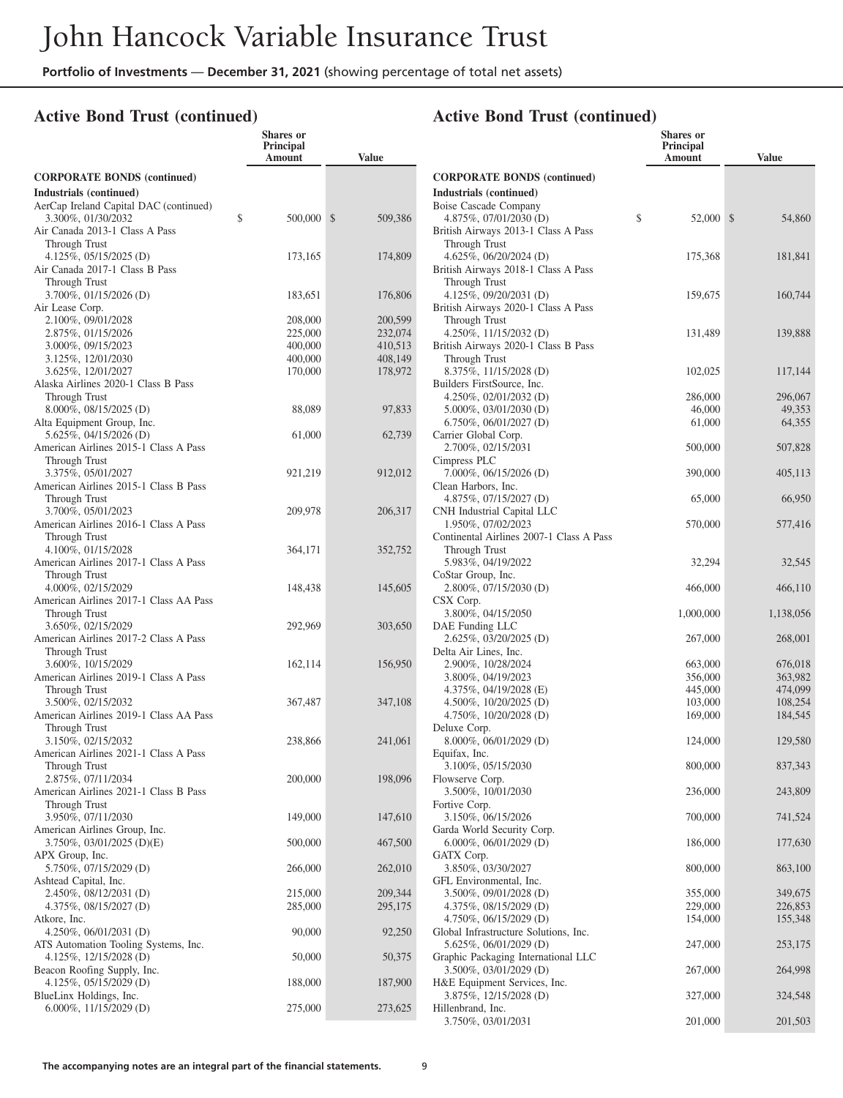**Shares or**

#### **Active Bond Trust (continued)**

|                                                                 | Principal<br>Amount | Value              |
|-----------------------------------------------------------------|---------------------|--------------------|
| <b>CORPORATE BONDS (continued)</b>                              |                     |                    |
| Industrials (continued)                                         |                     |                    |
| AerCap Ireland Capital DAC (continued)                          | \$                  | \$                 |
| 3.300%, 01/30/2032<br>Air Canada 2013-1 Class A Pass            | 500,000             | 509,386            |
| Through Trust                                                   |                     |                    |
| $4.125\%, 05/15/2025$ (D)                                       | 173,165             | 174,809            |
| Air Canada 2017-1 Class B Pass<br>Through Trust                 |                     |                    |
| 3.700%, 01/15/2026 (D)                                          | 183,651             | 176,806            |
| Air Lease Corp.                                                 |                     |                    |
| 2.100%, 09/01/2028                                              | 208,000             | 200,599            |
| 2.875%, 01/15/2026                                              | 225,000             | 232,074            |
| 3.000%, 09/15/2023<br>3.125%, 12/01/2030                        | 400,000<br>400,000  | 410,513<br>408,149 |
| 3.625%, 12/01/2027                                              | 170,000             | 178,972            |
| Alaska Airlines 2020-1 Class B Pass                             |                     |                    |
| Through Trust                                                   |                     |                    |
| 8.000%, 08/15/2025 (D)<br>Alta Equipment Group, Inc.            | 88,089              | 97,833             |
| 5.625%, 04/15/2026 (D)                                          | 61,000              | 62,739             |
| American Airlines 2015-1 Class A Pass                           |                     |                    |
| Through Trust                                                   |                     |                    |
| 3.375%, 05/01/2027<br>American Airlines 2015-1 Class B Pass     | 921,219             | 912,012            |
| Through Trust                                                   |                     |                    |
| 3.700%, 05/01/2023                                              | 209,978             | 206,317            |
| American Airlines 2016-1 Class A Pass                           |                     |                    |
| Through Trust<br>4.100%, 01/15/2028                             | 364,171             | 352,752            |
| American Airlines 2017-1 Class A Pass                           |                     |                    |
| Through Trust                                                   |                     |                    |
| 4.000%, 02/15/2029                                              | 148,438             | 145,605            |
| American Airlines 2017-1 Class AA Pass<br>Through Trust         |                     |                    |
| 3.650%, 02/15/2029                                              | 292,969             | 303,650            |
| American Airlines 2017-2 Class A Pass                           |                     |                    |
| Through Trust                                                   |                     |                    |
| 3.600%, 10/15/2029<br>American Airlines 2019-1 Class A Pass     | 162,114             | 156,950            |
| Through Trust                                                   |                     |                    |
| 3.500%, 02/15/2032                                              | 367,487             | 347,108            |
| American Airlines 2019-1 Class AA Pass                          |                     |                    |
| Through Trust                                                   |                     |                    |
| 3.150%, 02/15/2032<br>American Airlines 2021-1 Class A Pass     | 238,866             | 241,061            |
| Through Trust                                                   |                     |                    |
| 2.875%, 07/11/2034                                              | 200,000             | 198,096            |
| American Airlines 2021-1 Class B Pass                           |                     |                    |
| Through Trust<br>3.950%, 07/11/2030                             | 149,000             | 147,610            |
| American Airlines Group, Inc.                                   |                     |                    |
| 3.750%, 03/01/2025 (D)(E)                                       | 500,000             | 467,500            |
| APX Group, Inc.<br>5.750%, 07/15/2029 (D)                       | 266,000             | 262,010            |
| Ashtead Capital, Inc.                                           |                     |                    |
| 2.450%, 08/12/2031 (D)                                          | 215,000             | 209,344            |
| 4.375%, 08/15/2027 (D)                                          | 285,000             | 295,175            |
| Atkore, Inc.                                                    | 90,000              |                    |
| 4.250\%, 06/01/2031 (D)<br>ATS Automation Tooling Systems, Inc. |                     | 92,250             |
| 4.125%, 12/15/2028 (D)                                          | 50,000              | 50,375             |
| Beacon Roofing Supply, Inc.                                     |                     |                    |
| $4.125\%, 05/15/2029$ (D)                                       | 188,000             | 187,900            |
| BlueLinx Holdings, Inc.<br>$6.000\%, 11/15/2029$ (D)            | 275,000             | 273,625            |
|                                                                 |                     |                    |

|                                                               | <b>Shares</b> or<br>Principal<br>Amount | <b>Value</b>       |
|---------------------------------------------------------------|-----------------------------------------|--------------------|
| <b>CORPORATE BONDS (continued)</b>                            |                                         |                    |
| Industrials (continued)                                       |                                         |                    |
| Boise Cascade Company                                         |                                         |                    |
| 4.875%, 07/01/2030 (D)                                        | \$<br>52,000                            | \$<br>54,860       |
| British Airways 2013-1 Class A Pass                           |                                         |                    |
| Through Trust                                                 |                                         |                    |
| 4.625%, 06/20/2024 (D)<br>British Airways 2018-1 Class A Pass | 175,368                                 | 181,841            |
| Through Trust                                                 |                                         |                    |
| 4.125%, $09/20/2031$ (D)                                      | 159,675                                 | 160,744            |
| British Airways 2020-1 Class A Pass                           |                                         |                    |
| Through Trust                                                 |                                         |                    |
| 4.250\%, 11/15/2032 (D)                                       | 131,489                                 | 139,888            |
| British Airways 2020-1 Class B Pass                           |                                         |                    |
| Through Trust<br>8.375%, 11/15/2028 (D)                       | 102,025                                 | 117,144            |
| Builders FirstSource, Inc.                                    |                                         |                    |
| 4.250%, 02/01/2032 (D)                                        | 286,000                                 | 296,067            |
| $5.000\%$ , 03/01/2030 (D)                                    | 46,000                                  | 49,353             |
| $6.750\%, 06/01/2027$ (D)                                     | 61,000                                  | 64,355             |
| Carrier Global Corp.                                          |                                         |                    |
| 2.700%, 02/15/2031<br>Cimpress PLC                            | 500,000                                 | 507,828            |
| $7.000\%$ , 06/15/2026 (D)                                    | 390,000                                 | 405,113            |
| Clean Harbors, Inc.                                           |                                         |                    |
| 4.875%, 07/15/2027 (D)                                        | 65,000                                  | 66,950             |
| CNH Industrial Capital LLC                                    |                                         |                    |
| 1.950%, 07/02/2023                                            | 570,000                                 | 577,416            |
| Continental Airlines 2007-1 Class A Pass                      |                                         |                    |
| Through Trust<br>5.983%, 04/19/2022                           | 32,294                                  | 32,545             |
| CoStar Group, Inc.                                            |                                         |                    |
| 2.800%, 07/15/2030 (D)                                        | 466,000                                 | 466,110            |
| CSX Corp.                                                     |                                         |                    |
| 3.800%, 04/15/2050                                            | 1,000,000                               | 1,138,056          |
| DAE Funding LLC                                               |                                         |                    |
| 2.625%, 03/20/2025 (D)<br>Delta Air Lines, Inc.               | 267,000                                 | 268,001            |
| 2.900%, 10/28/2024                                            | 663,000                                 | 676,018            |
| 3.800%, 04/19/2023                                            | 356,000                                 | 363,982            |
| 4.375%, 04/19/2028 (E)                                        | 445,000                                 | 474,099            |
| 4.500%, $10/20/2025$ (D)                                      | 103,000                                 | 108,254            |
| 4.750\%, $10/20/2028$ (D)<br>Deluxe Corp.                     | 169,000                                 | 184,545            |
| 8.000%, 06/01/2029 (D)                                        | 124,000                                 | 129,580            |
| Equifax, Inc.                                                 |                                         |                    |
| 3.100%, 05/15/2030                                            | 800,000                                 | 837,343            |
| Flowserve Corp.                                               |                                         |                    |
| 3.500%, 10/01/2030                                            | 236,000                                 | 243,809            |
| Fortive Corp.<br>3.150%, 06/15/2026                           | 700,000                                 | 741,524            |
| Garda World Security Corp.                                    |                                         |                    |
| $6.000\%, 06/01/2029$ (D)                                     | 186,000                                 | 177,630            |
| GATX Corp.                                                    |                                         |                    |
| 3.850%, 03/30/2027                                            | 800,000                                 | 863,100            |
| GFL Environmental, Inc.                                       |                                         |                    |
| 3.500%, 09/01/2028 (D)<br>4.375%, 08/15/2029 (D)              | 355,000<br>229,000                      | 349,675<br>226,853 |
| 4.750%, 06/15/2029 (D)                                        | 154,000                                 | 155,348            |
| Global Infrastructure Solutions, Inc.                         |                                         |                    |
| 5.625%, 06/01/2029 (D)                                        | 247,000                                 | 253,175            |
| Graphic Packaging International LLC                           |                                         |                    |
| 3.500%, 03/01/2029 (D)                                        | 267,000                                 | 264,998            |
| H&E Equipment Services, Inc.<br>3.875%, 12/15/2028 (D)        | 327,000                                 | 324,548            |
| Hillenbrand, Inc.                                             |                                         |                    |
| 3.750%, 03/01/2031                                            | 201,000                                 | 201,503            |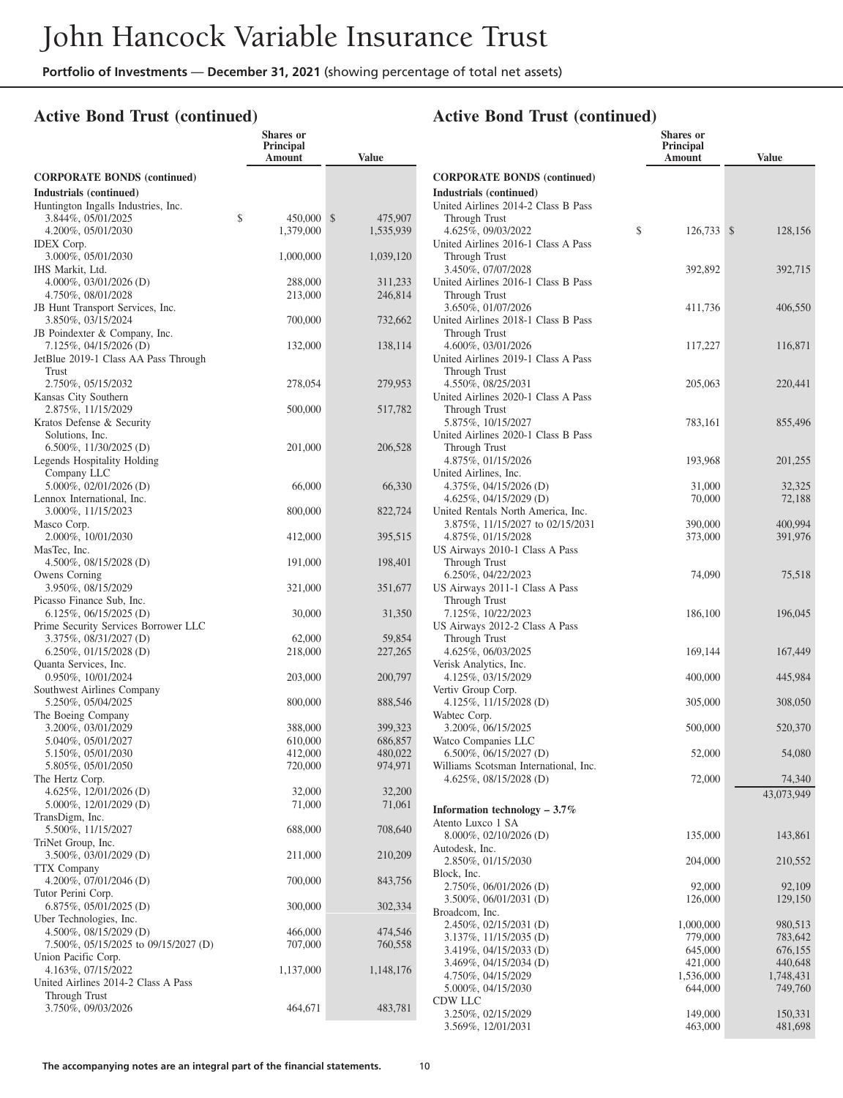**Shares or**

#### **Active Bond Trust (continued)**

|                                                  | Principal<br>Amount | Value              |
|--------------------------------------------------|---------------------|--------------------|
| <b>CORPORATE BONDS (continued)</b>               |                     |                    |
| Industrials (continued)                          |                     |                    |
| Huntington Ingalls Industries, Inc.              |                     |                    |
| 3.844%, 05/01/2025<br>\$                         | 450,000             | \$<br>475,907      |
| 4.200%, 05/01/2030                               | 1,379,000           | 1,535,939          |
| <b>IDEX</b> Corp.                                |                     |                    |
| 3.000%, 05/01/2030                               | 1,000,000           | 1,039,120          |
| IHS Markit, Ltd.                                 |                     |                    |
| 4.000%, 03/01/2026 (D)<br>4.750%, 08/01/2028     | 288,000<br>213,000  | 311,233<br>246,814 |
| JB Hunt Transport Services, Inc.                 |                     |                    |
| 3.850%, 03/15/2024                               | 700,000             | 732,662            |
| JB Poindexter & Company, Inc.                    |                     |                    |
| 7.125%, 04/15/2026 (D)                           | 132,000             | 138,114            |
| JetBlue 2019-1 Class AA Pass Through             |                     |                    |
| Trust                                            |                     |                    |
| 2.750%, 05/15/2032                               | 278,054             | 279,953            |
| Kansas City Southern                             |                     |                    |
| 2.875%, 11/15/2029                               | 500,000             | 517,782            |
| Kratos Defense & Security                        |                     |                    |
| Solutions, Inc.                                  |                     |                    |
| 6.500\%, 11/30/2025 (D)                          | 201,000             | 206,528            |
| Legends Hospitality Holding                      |                     |                    |
| Company LLC                                      |                     |                    |
| 5.000%, 02/01/2026 (D)                           | 66,000              | 66,330             |
| Lennox International, Inc.                       |                     |                    |
| 3.000%, 11/15/2023<br>Masco Corp.                | 800,000             | 822,724            |
| 2.000%, 10/01/2030                               | 412,000             | 395,515            |
| MasTec, Inc.                                     |                     |                    |
| 4.500\%, 08/15/2028 (D)                          | 191,000             | 198,401            |
| Owens Corning                                    |                     |                    |
| 3.950%, 08/15/2029                               | 321,000             | 351,677            |
| Picasso Finance Sub, Inc.                        |                     |                    |
| $6.125\%, 06/15/2025$ (D)                        | 30,000              | 31,350             |
| Prime Security Services Borrower LLC             |                     |                    |
| 3.375%, 08/31/2027 (D)                           | 62,000              | 59,854             |
| $6.250\%, 01/15/2028$ (D)                        | 218,000             | 227,265            |
| Quanta Services, Inc.                            |                     |                    |
| 0.950%, 10/01/2024<br>Southwest Airlines Company | 203,000             | 200,797            |
| 5.250%, 05/04/2025                               | 800,000             | 888,546            |
| The Boeing Company                               |                     |                    |
| 3.200%, 03/01/2029                               | 388,000             | 399,323            |
| 5.040%, 05/01/2027                               | 610,000             | 686,857            |
| 5.150%, 05/01/2030                               | 412,000             | 480,022            |
| 5.805%, 05/01/2050                               | 720,000             | 974,971            |
| The Hertz Corp.                                  |                     |                    |
| $4.625\%, 12/01/2026$ (D)                        | 32,000              | 32,200             |
| 5.000%, 12/01/2029 (D)                           | 71,000              | 71,061             |
| TransDigm, Inc.                                  |                     |                    |
| 5.500%, 11/15/2027                               | 688,000             | 708,640            |
| TriNet Group, Inc.                               |                     |                    |
| 3.500%, 03/01/2029 (D)                           | 211,000             | 210,209            |
| <b>TTX Company</b><br>4.200%, 07/01/2046 (D)     | 700,000             | 843,756            |
| Tutor Perini Corp.                               |                     |                    |
| $6.875\%, 05/01/2025$ (D)                        | 300,000             | 302,334            |
| Uber Technologies, Inc.                          |                     |                    |
| 4.500%, 08/15/2029 (D)                           | 466,000             | 474,546            |
| 7.500%, 05/15/2025 to 09/15/2027 (D)             | 707,000             | 760,558            |
| Union Pacific Corp.                              |                     |                    |
| 4.163%, 07/15/2022                               | 1,137,000           | 1,148,176          |
| United Airlines 2014-2 Class A Pass              |                     |                    |
| Through Trust                                    |                     |                    |
| 3.750%, 09/03/2026                               | 464,671             | 483,781            |
|                                                  |                     |                    |

|                                                                         | <b>Shares or</b><br>Principal<br>Amount | <b>Value</b>             |
|-------------------------------------------------------------------------|-----------------------------------------|--------------------------|
| <b>CORPORATE BONDS (continued)</b>                                      |                                         |                          |
| Industrials (continued)                                                 |                                         |                          |
| United Airlines 2014-2 Class B Pass                                     |                                         |                          |
| Through Trust                                                           |                                         |                          |
| 4.625%, 09/03/2022<br>United Airlines 2016-1 Class A Pass               | \$<br>126,733                           | $\mathcal{S}$<br>128,156 |
| Through Trust                                                           |                                         |                          |
| 3.450%, 07/07/2028                                                      | 392,892                                 | 392,715                  |
| United Airlines 2016-1 Class B Pass                                     |                                         |                          |
| Through Trust                                                           |                                         |                          |
| 3.650%, 01/07/2026<br>United Airlines 2018-1 Class B Pass               | 411,736                                 | 406,550                  |
| Through Trust                                                           |                                         |                          |
| 4.600%, 03/01/2026                                                      | 117,227                                 | 116,871                  |
| United Airlines 2019-1 Class A Pass                                     |                                         |                          |
| Through Trust                                                           |                                         |                          |
| 4.550%, 08/25/2031                                                      | 205,063                                 | 220,441                  |
| United Airlines 2020-1 Class A Pass                                     |                                         |                          |
| Through Trust<br>5.875%, 10/15/2027                                     | 783,161                                 | 855,496                  |
| United Airlines 2020-1 Class B Pass                                     |                                         |                          |
| Through Trust                                                           |                                         |                          |
| 4.875%, 01/15/2026                                                      | 193,968                                 | 201,255                  |
| United Airlines, Inc.                                                   |                                         |                          |
| 4.375%, $04/15/2026$ (D)                                                | 31,000                                  | 32,325                   |
| $4.625\%, 04/15/2029$ (D)                                               | 70,000                                  | 72,188                   |
| United Rentals North America, Inc.<br>3.875\%, 11/15/2027 to 02/15/2031 | 390,000                                 | 400,994                  |
| 4.875%, 01/15/2028                                                      | 373,000                                 | 391,976                  |
| US Airways 2010-1 Class A Pass                                          |                                         |                          |
| Through Trust                                                           |                                         |                          |
| 6.250%, 04/22/2023                                                      | 74,090                                  | 75,518                   |
| US Airways 2011-1 Class A Pass                                          |                                         |                          |
| Through Trust<br>7.125%, 10/22/2023                                     | 186,100                                 | 196,045                  |
| US Airways 2012-2 Class A Pass                                          |                                         |                          |
| Through Trust                                                           |                                         |                          |
| 4.625%, 06/03/2025                                                      | 169,144                                 | 167,449                  |
| Verisk Analytics, Inc.                                                  |                                         |                          |
| 4.125%, 03/15/2029                                                      | 400,000                                 | 445,984                  |
| Vertiv Group Corp.<br>4.125%, $11/15/2028$ (D)                          | 305,000                                 | 308,050                  |
| Wabtec Corp.                                                            |                                         |                          |
| 3.200%, 06/15/2025                                                      | 500,000                                 | 520,370                  |
| Watco Companies LLC                                                     |                                         |                          |
| 6.500%, 06/15/2027 (D)                                                  | 52,000                                  | 54,080                   |
| Williams Scotsman International, Inc.<br>4.625%, $08/15/2028$ (D)       | 72,000                                  | 74,340                   |
|                                                                         |                                         | 43,073,949               |
| Information technology $-3.7\%$                                         |                                         |                          |
| Atento Luxco 1 SA                                                       |                                         |                          |
| 8.000%, 02/10/2026 (D)                                                  | 135,000                                 | 143,861                  |
| Autodesk, Inc.                                                          |                                         |                          |
| 2.850%, 01/15/2030                                                      | 204,000                                 | 210,552                  |
| Block, Inc.                                                             |                                         |                          |
| 2.750%, 06/01/2026 (D)                                                  | 92,000                                  | 92,109                   |
| 3.500%, 06/01/2031 (D)<br>Broadcom, Inc.                                | 126,000                                 | 129,150                  |
| 2.450%, 02/15/2031 (D)                                                  | 1,000,000                               | 980,513                  |
| 3.137%, 11/15/2035 (D)                                                  | 779,000                                 | 783,642                  |
| 3.419%, 04/15/2033 (D)                                                  | 645,000                                 | 676,155                  |
| 3.469%, 04/15/2034 (D)                                                  | 421,000                                 | 440,648                  |
| 4.750%, 04/15/2029                                                      | 1,536,000                               | 1,748,431                |
| 5.000%, 04/15/2030<br>CDW LLC                                           | 644,000                                 | 749,760                  |
| 3.250%, 02/15/2029                                                      | 149,000                                 | 150,331                  |
| 3.569%, 12/01/2031                                                      | 463,000                                 | 481,698                  |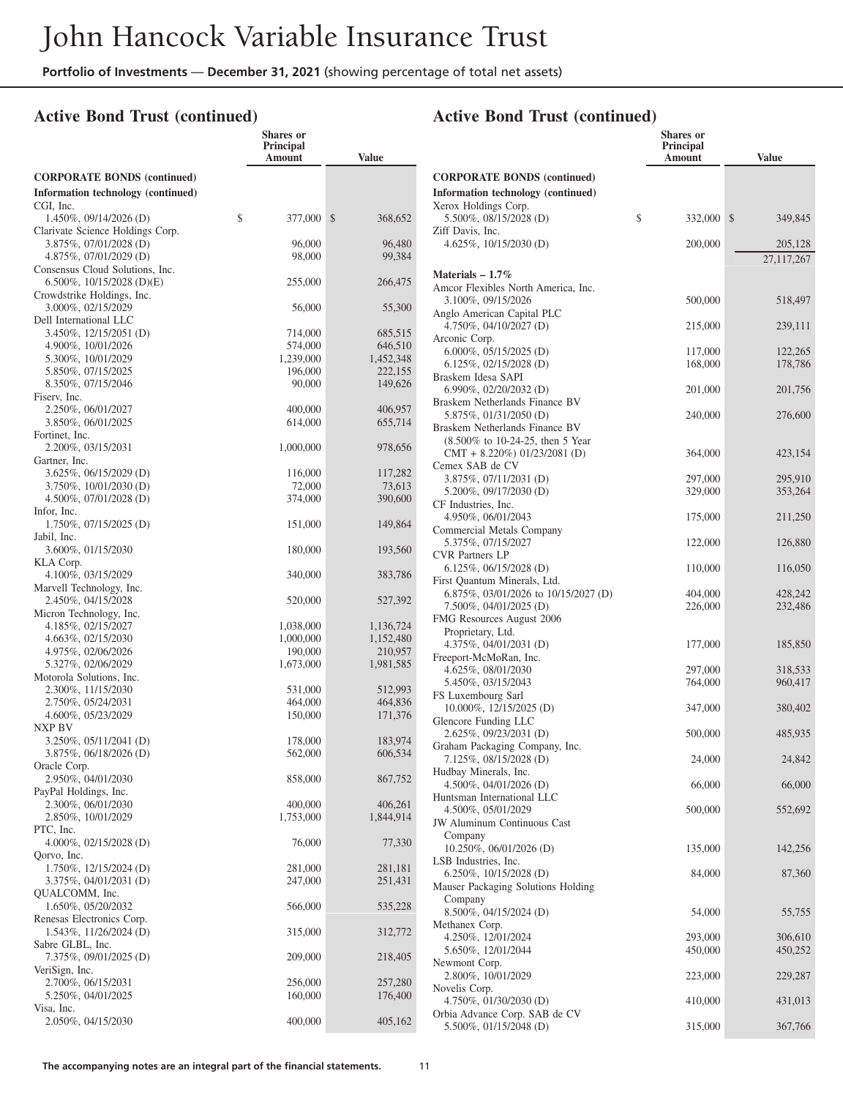**Shares or**

#### **Active Bond Trust (continued)**

|                                                | Principal<br>Amount  | <b>Value</b>         |
|------------------------------------------------|----------------------|----------------------|
| <b>CORPORATE BONDS (continued)</b>             |                      |                      |
| Information technology (continued)             |                      |                      |
| CGI, Inc.<br>1.450%, 09/14/2026 (D)            | \$<br>377,000        | \$<br>368,652        |
| Clarivate Science Holdings Corp.               |                      |                      |
| 3.875%, 07/01/2028 (D)                         | 96,000               | 96,480               |
| 4.875%, 07/01/2029 (D)                         | 98,000               | 99,384               |
| Consensus Cloud Solutions, Inc.                |                      |                      |
| 6.500%, $10/15/2028$ (D)(E)                    | 255,000              | 266,475              |
| Crowdstrike Holdings, Inc.                     |                      |                      |
| 3.000%, 02/15/2029<br>Dell International LLC   | 56,000               | 55,300               |
| 3.450%, 12/15/2051 (D)                         | 714,000              | 685,515              |
| 4.900%, 10/01/2026                             | 574,000              | 646,510              |
| 5.300%, 10/01/2029                             | 1,239,000            | 1,452,348            |
| 5.850%, 07/15/2025                             | 196,000              | 222,155              |
| 8.350%, 07/15/2046                             | 90,000               | 149,626              |
| Fiserv, Inc.                                   |                      |                      |
| 2.250%, 06/01/2027                             | 400,000              | 406,957              |
| 3.850%, 06/01/2025                             | 614,000              | 655,714              |
| Fortinet, Inc.<br>2.200%, 03/15/2031           | 1,000,000            | 978,656              |
| Gartner, Inc.                                  |                      |                      |
| 3.625%, 06/15/2029 (D)                         | 116,000              | 117,282              |
| 3.750%, 10/01/2030 (D)                         | 72,000               | 73,613               |
| 4.500%, 07/01/2028 (D)                         | 374,000              | 390,600              |
| Infor, Inc.<br>1.750%, 07/15/2025 (D)          | 151,000              | 149,864              |
| Jabil, Inc.                                    |                      |                      |
| 3.600%, 01/15/2030                             | 180,000              | 193,560              |
| KLA Corp.                                      |                      |                      |
| 4.100%, 03/15/2029                             | 340,000              | 383,786              |
| Marvell Technology, Inc.<br>2.450%, 04/15/2028 | 520,000              | 527,392              |
| Micron Technology, Inc.                        |                      |                      |
| 4.185%, 02/15/2027                             | 1,038,000            | 1,136,724            |
| 4.663%, 02/15/2030                             | 1,000,000            | 1,152,480            |
| 4.975%, 02/06/2026                             | 190,000              | 210,957              |
| 5.327%, 02/06/2029                             | 1,673,000            | 1,981,585            |
| Motorola Solutions, Inc.                       |                      |                      |
| 2.300%, 11/15/2030                             | 531,000              | 512,993              |
| 2.750%, 05/24/2031<br>4.600%, 05/23/2029       | 464,000<br>150,000   | 464,836<br>171,376   |
| NXP BV                                         |                      |                      |
| 3.250%, 05/11/2041 (D)                         | 178,000              | 183,974              |
| 3.875%, 06/18/2026 (D)                         | 562,000              | 606,534              |
| Oracle Corp.                                   |                      |                      |
| 2.950%, 04/01/2030                             | 858,000              | 867,752              |
| PayPal Holdings, Inc.                          |                      |                      |
| 2.300%, 06/01/2030<br>2.850%, 10/01/2029       | 400,000<br>1,753,000 | 406,261<br>1,844,914 |
| PTC, Inc.                                      |                      |                      |
| 4.000%, 02/15/2028 (D)                         | 76,000               | 77,330               |
| Oorvo, Inc.                                    |                      |                      |
| 1.750%, 12/15/2024 (D)                         | 281,000              | 281,181              |
| 3.375%, 04/01/2031 (D)                         | 247,000              | 251,431              |
| QUALCOMM, Inc.                                 |                      |                      |
| 1.650%, 05/20/2032                             | 566,000              | 535,228              |
| Renesas Electronics Corp.                      |                      |                      |
| 1.543%, 11/26/2024 (D)<br>Sabre GLBL, Inc.     | 315,000              | 312,772              |
| 7.375%, 09/01/2025 (D)                         | 209,000              | 218,405              |
| VeriSign, Inc.                                 |                      |                      |
| 2.700%, 06/15/2031                             | 256,000              | 257,280              |
| 5.250%, 04/01/2025                             | 160,000              | 176,400              |
| Visa, Inc.                                     |                      |                      |
| 2.050%, 04/15/2030                             | 400,000              | 405,162              |

#### **Shares or Principal Amount Value CORPORATE BONDS (continued) Information technology (continued)** Xerox Holdings Corp. 5.500%, 08/15/2028 (D) \$ 332,000 \$ 349,845 Ziff Davis, Inc. 4.625%, 10/15/2030 (D) 200,000 205,128 27,117,267 **Materials – 1.7%** Amcor Flexibles North America, Inc. 3.100%, 09/15/2026 500,000 518,497 Anglo American Capital PLC 4.750%, 04/10/2027 (D) 215,000 239,111 Arconic Corp. 6.000%, 05/15/2025 (D) 117,000 122,265<br>6.125%, 02/15/2028 (D) 168,000 178,786 6.125%, 02/15/2028 (D) 168,000 Braskem Idesa SAPI 6.990%, 02/20/2032 (D) 201,000 201,756 Braskem Netherlands Finance BV 5.875%, 01/31/2050 (D) 240,000 276,600 Braskem Netherlands Finance BV (8.500% to 10-24-25, then 5 Year CMT + 8.220%) 01/23/2081 (D) 364,000 423,154 Cemex SAB de CV 3.875%, 07/11/2031 (D) 297,000 295,910<br>5.200%, 09/17/2030 (D) 329,000 353.264 5.200%, 09/17/2030 (D) 329,000 CF Industries, Inc. 4.950%, 06/01/2043 175,000 211,250 Commercial Metals Company 5.375%, 07/15/2027 122,000 126,880 CVR Partners LP 6.125%, 06/15/2028 (D) 110,000 116,050 First Quantum Minerals, Ltd. 6.875%, 03/01/2026 to 10/15/2027 (D) 404,000 428,242 7.500%, 04/01/2025 (D) 226,000 232,486 FMG Resources August 2006 Proprietary, Ltd. 4.375%, 04/01/2031 (D) 177,000 185,850 Freeport-McMoRan, Inc. 4.625%, 08/01/2030 297,000 318,533 5.450%, 03/15/2043 764,000 960,417 FS Luxembourg Sarl 10.000%, 12/15/2025 (D) 347,000 380,402 Glencore Funding LLC 2.625%, 09/23/2031 (D) 500,000 485,935 Graham Packaging Company, Inc. 7.125%, 08/15/2028 (D) 24,000 24,842 Hudbay Minerals, Inc. 4.500%, 04/01/2026 (D) 66,000 66,000 66,000 Huntsman International LLC 4.500%, 05/01/2029 500,000 552,692 JW Aluminum Continuous Cast Company 10.250%, 06/01/2026 (D) 135,000 142,256 LSB Industries, Inc. 6.250%, 10/15/2028 (D) 84,000 87,360 Mauser Packaging Solutions Holding Company 8.500%, 04/15/2024 (D) 54,000 55,755 Methanex Corp. 4.250%, 12/01/2024 293,000 306,610 5.650%, 12/01/2044 450,000 450,252 Newmont Corp. 2.800%, 10/01/2029 223,000 229,287 Novelis Corp. 4.750%, 01/30/2030 (D) 410,000 431,013 Orbia Advance Corp. SAB de CV

5.500%, 01/15/2048 (D) 315,000 367,766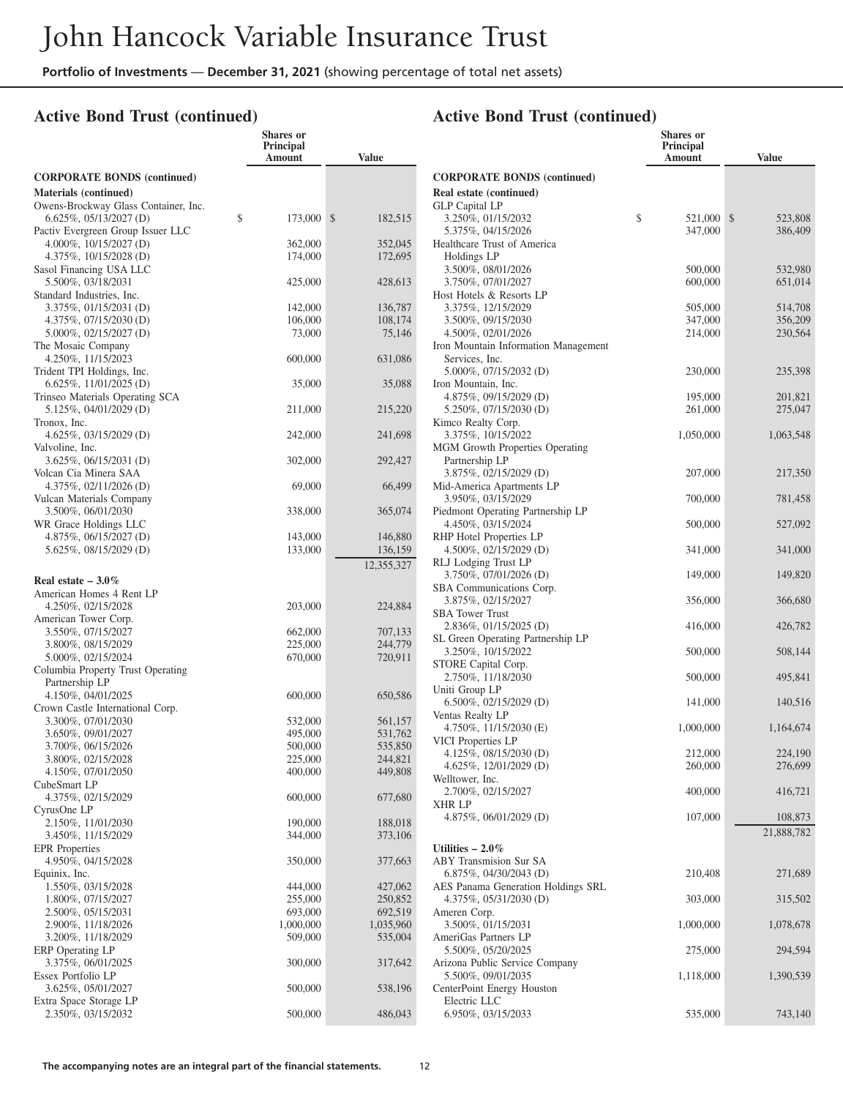**Shares or**

#### **Active Bond Trust (continued)**

|                                                                   | Principal<br>Amount | <b>Value</b>       |
|-------------------------------------------------------------------|---------------------|--------------------|
| <b>CORPORATE BONDS (continued)</b>                                |                     |                    |
| Materials (continued)                                             |                     |                    |
| Owens-Brockway Glass Container, Inc.<br>$6.625\%, 05/13/2027$ (D) | \$<br>173,000       | \$<br>182,515      |
| Pactiv Evergreen Group Issuer LLC<br>4.000%, $10/15/2027$ (D)     | 362,000             | 352,045            |
| 4.375%, 10/15/2028 (D)<br>Sasol Financing USA LLC                 | 174,000             | 172,695            |
| 5.500%, 03/18/2031                                                | 425,000             | 428,613            |
| Standard Industries, Inc.<br>3.375%, 01/15/2031 (D)               | 142,000             | 136,787            |
| 4.375%, 07/15/2030(D)                                             | 106,000             | 108,174            |
| 5.000%, 02/15/2027 (D)                                            | 73,000              | 75,146             |
| The Mosaic Company<br>4.250%, 11/15/2023                          | 600,000             | 631,086            |
| Trident TPI Holdings, Inc.                                        |                     |                    |
| $6.625\%, 11/01/2025$ (D)                                         | 35,000              | 35,088             |
| Trinseo Materials Operating SCA<br>5.125%, 04/01/2029 (D)         |                     |                    |
| Tronox, Inc.                                                      | 211,000             | 215,220            |
| 4.625%, 03/15/2029 (D)                                            | 242,000             | 241,698            |
| Valvoline, Inc.                                                   |                     |                    |
| 3.625%, 06/15/2031 (D)<br>Volcan Cia Minera SAA                   | 302,000             | 292,427            |
| 4.375%, 02/11/2026 (D)                                            | 69,000              | 66,499             |
| Vulcan Materials Company<br>3.500%, 06/01/2030                    | 338,000             | 365,074            |
| WR Grace Holdings LLC                                             |                     |                    |
| 4.875%, 06/15/2027 (D)                                            | 143,000             | 146,880<br>136,159 |
| 5.625%, 08/15/2029 (D)                                            | 133,000             | 12,355,327         |
| Real estate $-3.0\%$                                              |                     |                    |
| American Homes 4 Rent LP                                          |                     |                    |
| 4.250%, 02/15/2028                                                | 203,000             | 224,884            |
| American Tower Corp.                                              |                     |                    |
| 3.550%, 07/15/2027<br>3.800%, 08/15/2029                          | 662,000<br>225,000  | 707,133<br>244,779 |
| 5.000%, 02/15/2024                                                | 670,000             | 720,911            |
| Columbia Property Trust Operating                                 |                     |                    |
| Partnership LP<br>4.150%, 04/01/2025                              | 600,000             | 650,586            |
| Crown Castle International Corp.                                  |                     |                    |
| 3.300%, 07/01/2030                                                | 532,000             | 561,157            |
| 3.650%, 09/01/2027                                                | 495,000             | 531,762            |
| 3.700%, 06/15/2026                                                | 500,000             | 535,850            |
| 3.800%, 02/15/2028                                                | 225,000             | 244,821            |
| 4.150%, 07/01/2050<br>CubeSmart LP                                | 400,000             | 449,808            |
| 4.375%, 02/15/2029                                                | 600,000             | 677,680            |
| CyrusOne LP                                                       |                     |                    |
| 2.150%, 11/01/2030                                                | 190,000             | 188,018            |
| 3.450%, 11/15/2029<br><b>EPR</b> Properties                       | 344,000             | 373,106            |
| 4.950%, 04/15/2028                                                | 350,000             | 377,663            |
| Equinix, Inc.                                                     |                     |                    |
| 1.550%, 03/15/2028<br>1.800%, 07/15/2027                          | 444,000             | 427,062            |
| 2.500%, 05/15/2031                                                | 255,000<br>693,000  | 250,852<br>692,519 |
| 2.900%, 11/18/2026                                                | 1,000,000           | 1,035,960          |
| 3.200%, 11/18/2029                                                | 509,000             | 535,004            |
| ERP Operating LP                                                  |                     |                    |
| 3.375%, 06/01/2025                                                | 300,000             | 317,642            |
| Essex Portfolio LP                                                |                     |                    |
| 3.625%, 05/01/2027<br>Extra Space Storage LP                      | 500,000             | 538,196            |
| 2.350%, 03/15/2032                                                | 500,000             | 486,043            |

|                                                            | Shares or<br><b>Principal</b><br>Amount | <b>Value</b>  |
|------------------------------------------------------------|-----------------------------------------|---------------|
| <b>CORPORATE BONDS (continued)</b>                         |                                         |               |
| Real estate (continued)                                    |                                         |               |
| <b>GLP Capital LP</b>                                      |                                         |               |
| 3.250%, 01/15/2032                                         | \$<br>521,000                           | \$<br>523,808 |
| 5.375%, 04/15/2026<br>Healthcare Trust of America          | 347,000                                 | 386,409       |
| Holdings LP                                                |                                         |               |
| 3.500%, 08/01/2026                                         | 500,000                                 | 532,980       |
| 3.750%, 07/01/2027                                         | 600,000                                 | 651,014       |
| Host Hotels & Resorts LP                                   |                                         |               |
| 3.375%, 12/15/2029                                         | 505,000                                 | 514,708       |
| 3.500%, 09/15/2030                                         | 347,000                                 | 356,209       |
| 4.500%, 02/01/2026<br>Iron Mountain Information Management | 214,000                                 | 230,564       |
| Services, Inc.                                             |                                         |               |
| 5.000%, 07/15/2032 (D)                                     | 230,000                                 | 235,398       |
| Iron Mountain, Inc.                                        |                                         |               |
| $4.875\%, 09/15/2029$ (D)                                  | 195,000                                 | 201,821       |
| 5.250%, 07/15/2030 (D)                                     | 261,000                                 | 275,047       |
| Kimco Realty Corp.                                         |                                         |               |
| 3.375%, 10/15/2022                                         | 1,050,000                               | 1,063,548     |
| <b>MGM Growth Properties Operating</b><br>Partnership LP   |                                         |               |
| 3.875%, 02/15/2029 (D)                                     | 207,000                                 | 217,350       |
| Mid-America Apartments LP                                  |                                         |               |
| 3.950%, 03/15/2029                                         | 700,000                                 | 781,458       |
| Piedmont Operating Partnership LP                          |                                         |               |
| 4.450%, 03/15/2024                                         | 500,000                                 | 527,092       |
| RHP Hotel Properties LP                                    |                                         |               |
| 4.500\%, 02/15/2029 (D)                                    | 341,000                                 | 341,000       |
| RLJ Lodging Trust LP<br>3.750\%, 07/01/2026 (D)            | 149,000                                 | 149,820       |
| SBA Communications Corp.                                   |                                         |               |
| 3.875%, 02/15/2027                                         | 356,000                                 | 366,680       |
| <b>SBA Tower Trust</b>                                     |                                         |               |
| 2.836%, 01/15/2025 (D)                                     | 416,000                                 | 426,782       |
| SL Green Operating Partnership LP                          |                                         |               |
| 3.250%, 10/15/2022                                         | 500,000                                 | 508,144       |
| STORE Capital Corp.<br>2.750%, 11/18/2030                  | 500,000                                 | 495,841       |
| Uniti Group LP                                             |                                         |               |
| $6.500\%, 02/15/2029$ (D)                                  | 141,000                                 | 140,516       |
| Ventas Realty LP                                           |                                         |               |
| 4.750\%, 11/15/2030 (E)                                    | 1,000,000                               | 1,164,674     |
| VICI Properties LP                                         |                                         |               |
| 4.125%, $08/15/2030$ (D)                                   | 212,000                                 | 224,190       |
| 4.625%, 12/01/2029 (D)<br>Welltower, Inc.                  | 260,000                                 | 276,699       |
| 2.700%, 02/15/2027                                         | 400,000                                 | 416,721       |
| XHR LP                                                     |                                         |               |
| 4.875%, 06/01/2029 (D)                                     | 107,000                                 | 108,873       |
|                                                            |                                         | 21,888,782    |
| Utilities $-2.0\%$                                         |                                         |               |
| ABY Transmision Sur SA                                     |                                         |               |
| 6.875%, 04/30/2043 (D)                                     | 210,408                                 | 271,689       |
| AES Panama Generation Holdings SRL                         |                                         |               |
| 4.375%, 05/31/2030(D)                                      | 303,000                                 | 315,502       |
| Ameren Corp.<br>3.500%, 01/15/2031                         | 1,000,000                               | 1,078,678     |
| AmeriGas Partners LP                                       |                                         |               |
| 5.500%, 05/20/2025                                         | 275,000                                 | 294,594       |
| Arizona Public Service Company                             |                                         |               |
| 5.500%, 09/01/2035                                         | 1,118,000                               | 1,390,539     |
| CenterPoint Energy Houston                                 |                                         |               |
| Electric LLC                                               |                                         |               |
| 6.950%, 03/15/2033                                         | 535,000                                 | 743,140       |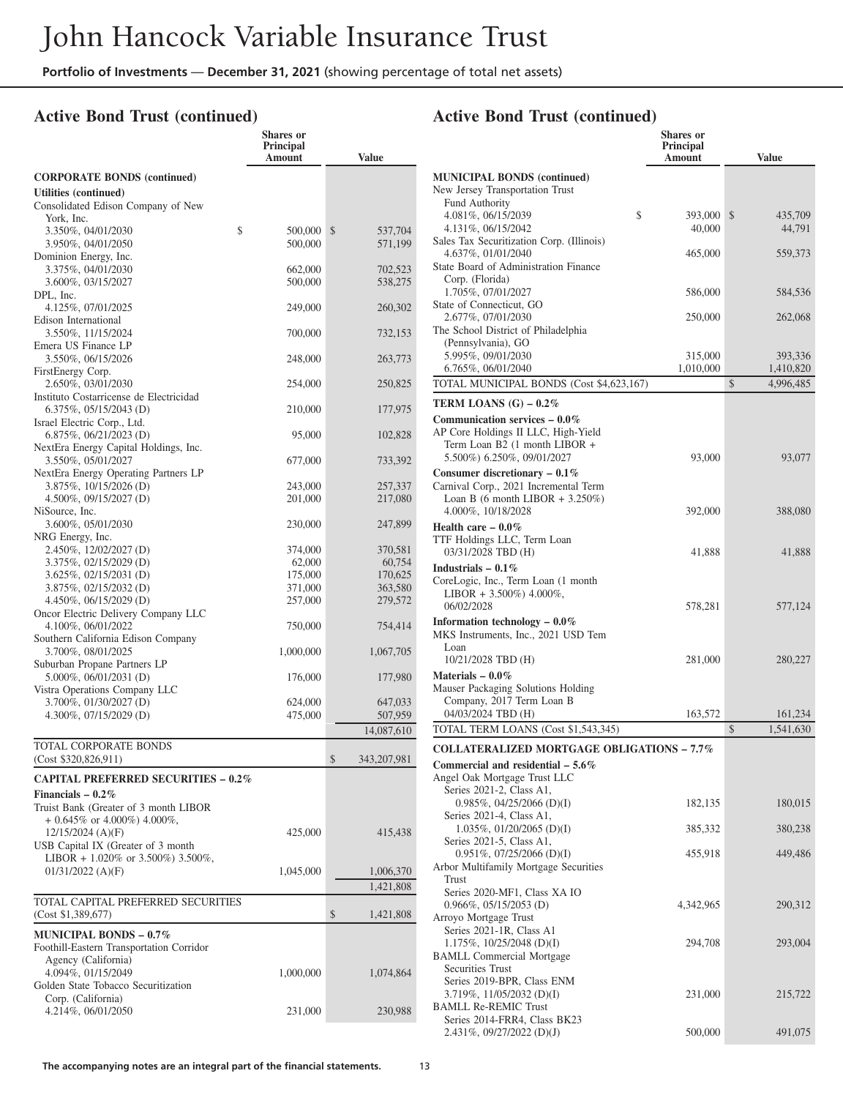**Shares or**

## **Active Bond Trust (continued)**

|                                                                        | Principal<br>Amount | <b>Value</b>        |
|------------------------------------------------------------------------|---------------------|---------------------|
| <b>CORPORATE BONDS (continued)</b>                                     |                     |                     |
| Utilities (continued)                                                  |                     |                     |
| Consolidated Edison Company of New                                     |                     |                     |
| York. Inc.                                                             |                     |                     |
| \$<br>3.350%, 04/01/2030<br>3.950%, 04/01/2050                         | 500,000<br>500,000  | \$<br>537,704       |
| Dominion Energy, Inc.                                                  |                     | 571,199             |
| 3.375%, 04/01/2030                                                     | 662,000             | 702,523             |
| 3.600%, 03/15/2027                                                     | 500,000             | 538,275             |
| DPL, Inc.                                                              |                     |                     |
| 4.125%, 07/01/2025                                                     | 249,000             | 260,302             |
| Edison International                                                   |                     |                     |
| 3.550%, 11/15/2024<br>Emera US Finance LP                              | 700,000             | 732,153             |
| 3.550%, 06/15/2026                                                     | 248,000             | 263,773             |
| FirstEnergy Corp.                                                      |                     |                     |
| 2.650%, 03/01/2030                                                     | 254,000             | 250,825             |
| Instituto Costarricense de Electricidad                                |                     |                     |
| $6.375\%, 05/15/2043$ (D)                                              | 210,000             | 177,975             |
| Israel Electric Corp., Ltd.<br>6.875%, 06/21/2023 (D)                  | 95,000              | 102,828             |
| NextEra Energy Capital Holdings, Inc.                                  |                     |                     |
| 3.550%, 05/01/2027                                                     | 677,000             | 733,392             |
| NextEra Energy Operating Partners LP                                   |                     |                     |
| 3.875%, 10/15/2026 (D)                                                 | 243,000             | 257,337             |
| 4.500%, 09/15/2027 (D)                                                 | 201,000             | 217,080             |
| NiSource, Inc.<br>3.600%, 05/01/2030                                   | 230,000             | 247,899             |
| NRG Energy, Inc.                                                       |                     |                     |
| 2.450%, 12/02/2027 (D)                                                 | 374,000             | 370,581             |
| 3.375%, 02/15/2029 (D)                                                 | 62,000              | 60,754              |
| 3.625%, 02/15/2031 (D)                                                 | 175,000             | 170,625             |
| 3.875%, 02/15/2032 (D)                                                 | 371,000             | 363,580             |
| 4.450%, 06/15/2029 (D)                                                 | 257,000             | 279,572             |
| Oncor Electric Delivery Company LLC<br>4.100%, 06/01/2022              | 750,000             | 754,414             |
| Southern California Edison Company                                     |                     |                     |
| 3.700%, 08/01/2025                                                     | 1,000,000           | 1,067,705           |
| Suburban Propane Partners LP                                           |                     |                     |
| 5.000%, 06/01/2031 (D)                                                 | 176,000             | 177,980             |
| Vistra Operations Company LLC                                          |                     |                     |
| 3.700%, 01/30/2027 (D)<br>4.300%, 07/15/2029 (D)                       | 624,000<br>475,000  | 647,033<br>507,959  |
|                                                                        |                     | 14,087,610          |
| TOTAL CORPORATE BONDS                                                  |                     |                     |
| (Cost \$320,826,911)                                                   |                     | \$<br>343, 207, 981 |
|                                                                        |                     |                     |
| <b>CAPITAL PREFERRED SECURITIES - 0.2%</b>                             |                     |                     |
| Financials $-0.2\%$                                                    |                     |                     |
| Truist Bank (Greater of 3 month LIBOR<br>$+0.645\%$ or 4.000%) 4.000%, |                     |                     |
| $12/15/2024$ (A)(F)                                                    | 425,000             | 415,438             |
| USB Capital IX (Greater of 3 month                                     |                     |                     |
| LIBOR + 1.020% or 3.500%) 3.500%,                                      |                     |                     |
| $01/31/2022$ (A)(F)                                                    | 1,045,000           | 1,006,370           |
|                                                                        |                     | 1,421,808           |
| TOTAL CAPITAL PREFERRED SECURITIES                                     |                     |                     |
| (Cost \$1,389,677)                                                     |                     | \$<br>1,421,808     |
| <b>MUNICIPAL BONDS - 0.7%</b>                                          |                     |                     |
| Foothill-Eastern Transportation Corridor                               |                     |                     |
| Agency (California)                                                    |                     |                     |
| 4.094%, 01/15/2049                                                     | 1,000,000           | 1,074,864           |
| Golden State Tobacco Securitization<br>Corp. (California)              |                     |                     |
| 4.214%, 06/01/2050                                                     | 231,000             | 230,988             |
|                                                                        |                     |                     |

|                                                                        | Shares or<br>Principal |                      |
|------------------------------------------------------------------------|------------------------|----------------------|
|                                                                        | Amount                 | <b>Value</b>         |
| <b>MUNICIPAL BONDS (continued)</b>                                     |                        |                      |
| New Jersey Transportation Trust<br><b>Fund Authority</b>               |                        |                      |
| 4.081%, 06/15/2039                                                     | \$<br>393,000          | \$<br>435,709        |
| 4.131%, 06/15/2042<br>Sales Tax Securitization Corp. (Illinois)        | 40,000                 | 44,791               |
| 4.637%, 01/01/2040                                                     | 465,000                | 559,373              |
| State Board of Administration Finance                                  |                        |                      |
| Corp. (Florida)<br>1.705%, 07/01/2027                                  | 586,000                | 584,536              |
| State of Connecticut, GO<br>2.677%, 07/01/2030                         | 250,000                | 262,068              |
| The School District of Philadelphia                                    |                        |                      |
| (Pennsylvania), GO                                                     |                        |                      |
| 5.995%, 09/01/2030<br>6.765%, 06/01/2040                               | 315,000<br>1,010,000   | 393,336<br>1,410,820 |
| TOTAL MUNICIPAL BONDS (Cost \$4,623,167)                               |                        | \$<br>4,996,485      |
| TERM LOANS $(G) - 0.2\%$                                               |                        |                      |
| Communication services $-0.0\%$                                        |                        |                      |
| AP Core Holdings II LLC, High-Yield                                    |                        |                      |
| Term Loan B2 (1 month LIBOR +<br>5.500%) 6.250%, 09/01/2027            | 93,000                 | 93,077               |
| Consumer discretionary $-0.1\%$                                        |                        |                      |
| Carnival Corp., 2021 Incremental Term                                  |                        |                      |
| Loan B (6 month LIBOR $+3.250\%)$<br>4.000%, 10/18/2028                | 392,000                | 388,080              |
| Health care $-0.0\%$                                                   |                        |                      |
| TTF Holdings LLC, Term Loan                                            |                        |                      |
| 03/31/2028 TBD (H)<br>Industrials $-0.1\%$                             | 41,888                 | 41,888               |
| CoreLogic, Inc., Term Loan (1 month                                    |                        |                      |
| LIBOR + 3.500%) 4.000%,                                                |                        |                      |
| 06/02/2028                                                             | 578,281                | 577,124              |
| Information technology $-0.0\%$<br>MKS Instruments, Inc., 2021 USD Tem |                        |                      |
| Loan                                                                   |                        |                      |
| 10/21/2028 TBD (H)                                                     | 281,000                | 280,227              |
| Materials $-0.0\%$<br>Mauser Packaging Solutions Holding               |                        |                      |
| Company, 2017 Term Loan B                                              |                        |                      |
| 04/03/2024 TBD (H)                                                     | 163,572                | 161,234              |
| TOTAL TERM LOANS (Cost \$1,543,345)                                    |                        | \$<br>1,541,630      |
| <b>COLLATERALIZED MORTGAGE OBLIGATIONS - 7.7%</b>                      |                        |                      |
| Commercial and residential $-5.6\%$<br>Angel Oak Mortgage Trust LLC    |                        |                      |
| Series 2021-2, Class A1,                                               |                        |                      |
| $0.985\%, 04/25/2066$ (D)(I)<br>Series 2021-4, Class A1,               | 182,135                | 180,015              |
| 1.035%, 01/20/2065 (D)(I)                                              | 385,332                | 380,238              |
| Series 2021-5, Class A1,<br>$0.951\%, 07/25/2066$ (D)(I)               | 455,918                | 449,486              |
| Arbor Multifamily Mortgage Securities                                  |                        |                      |
| <b>Trust</b><br>Series 2020-MF1, Class XA IO                           |                        |                      |
| 0.966%, 05/15/2053 (D)                                                 | 4,342,965              | 290,312              |
| Arroyo Mortgage Trust                                                  |                        |                      |
| Series 2021-1R, Class A1<br>$1.175\%, 10/25/2048$ (D)(I)               | 294,708                | 293,004              |
| <b>BAMLL Commercial Mortgage</b>                                       |                        |                      |
| Securities Trust                                                       |                        |                      |
| Series 2019-BPR, Class ENM<br>$3.719\%, 11/05/2032$ (D)(I)             | 231,000                | 215,722              |
| <b>BAMLL Re-REMIC Trust</b>                                            |                        |                      |
| Series 2014-FRR4, Class BK23                                           |                        |                      |
| $2.431\%, 09/27/2022 \text{ (D)(J)}$                                   | 500,000                | 491,075              |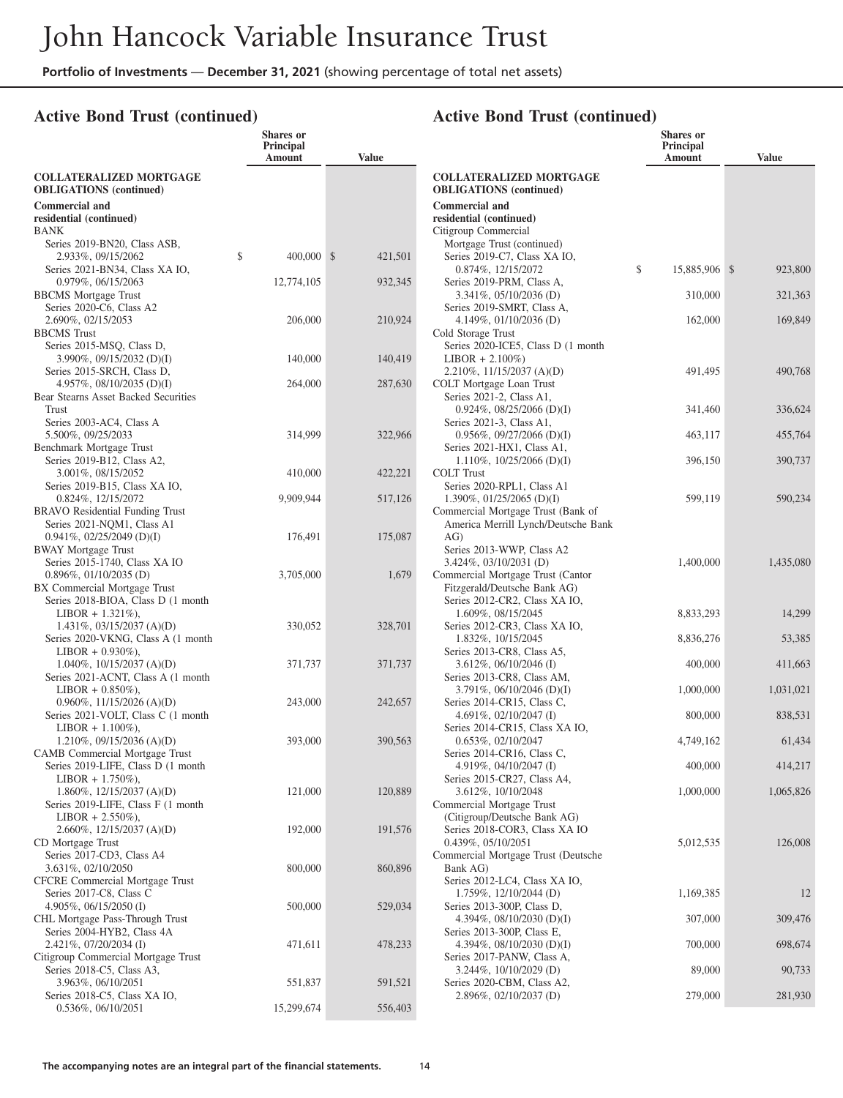## **Active Bond Trust (continued)**

|                                                                      | <b>Shares</b> or<br>Principal<br>Amount | <b>Value</b> |                                                                           | <b>Shares</b> or<br><b>Principal</b><br>Amount | <b>Value</b> |
|----------------------------------------------------------------------|-----------------------------------------|--------------|---------------------------------------------------------------------------|------------------------------------------------|--------------|
| <b>COLLATERALIZED MORTGAGE</b>                                       |                                         |              | <b>COLLATERALIZED MORTGAGE</b>                                            |                                                |              |
| <b>OBLIGATIONS</b> (continued)                                       |                                         |              | <b>OBLIGATIONS</b> (continued)                                            |                                                |              |
| <b>Commercial and</b><br>residential (continued)                     |                                         |              | <b>Commercial and</b><br>residential (continued)                          |                                                |              |
| <b>BANK</b>                                                          |                                         |              | Citigroup Commercial                                                      |                                                |              |
| Series 2019-BN20, Class ASB,                                         |                                         |              | Mortgage Trust (continued)                                                |                                                |              |
| 2.933%, 09/15/2062                                                   | \$<br>400,000 \$                        | 421,501      | Series 2019-C7, Class XA IO,                                              |                                                |              |
| Series 2021-BN34, Class XA IO,                                       |                                         |              | 0.874%, 12/15/2072                                                        | \$<br>15,885,906 \$                            | 923,800      |
| 0.979%, 06/15/2063<br><b>BBCMS</b> Mortgage Trust                    | 12,774,105                              | 932,345      | Series 2019-PRM, Class A,<br>$3.341\%$ , 05/10/2036 (D)                   | 310,000                                        | 321,363      |
| Series 2020-C6, Class A2                                             |                                         |              | Series 2019-SMRT, Class A,                                                |                                                |              |
| 2.690%, 02/15/2053                                                   | 206,000                                 | 210,924      | 4.149%, 01/10/2036 (D)                                                    | 162,000                                        | 169,849      |
| <b>BBCMS</b> Trust                                                   |                                         |              | Cold Storage Trust                                                        |                                                |              |
| Series 2015-MSQ, Class D,                                            |                                         |              | Series 2020-ICE5, Class D (1 month                                        |                                                |              |
| 3.990\%, 09/15/2032 (D)(I)<br>Series 2015-SRCH, Class D,             | 140,000                                 | 140,419      | $LIBOR + 2.100\%)$<br>2.210%, 11/15/2037 (A)(D)                           | 491,495                                        | 490,768      |
| 4.957%, $08/10/2035$ (D)(I)                                          | 264,000                                 | 287,630      | COLT Mortgage Loan Trust                                                  |                                                |              |
| Bear Stearns Asset Backed Securities                                 |                                         |              | Series 2021-2, Class A1,                                                  |                                                |              |
| Trust                                                                |                                         |              | $0.924\%$ , 08/25/2066 (D)(I)                                             | 341,460                                        | 336,624      |
| Series 2003-AC4, Class A                                             |                                         |              | Series 2021-3, Class A1,                                                  |                                                |              |
| 5.500%, 09/25/2033                                                   | 314,999                                 | 322,966      | $0.956\%, 09/27/2066$ (D)(I)                                              | 463,117                                        | 455,764      |
| Benchmark Mortgage Trust<br>Series 2019-B12, Class A2,               |                                         |              | Series 2021-HX1, Class A1,<br>$1.110\%, 10/25/2066$ (D)(I)                | 396,150                                        | 390,737      |
| 3.001%, 08/15/2052                                                   | 410,000                                 | 422,221      | <b>COLT Trust</b>                                                         |                                                |              |
| Series 2019-B15, Class XA IO,                                        |                                         |              | Series 2020-RPL1, Class A1                                                |                                                |              |
| 0.824%, 12/15/2072                                                   | 9.909.944                               | 517,126      | 1.390%, $01/25/2065$ (D)(I)                                               | 599,119                                        | 590,234      |
| <b>BRAVO</b> Residential Funding Trust                               |                                         |              | Commercial Mortgage Trust (Bank of<br>America Merrill Lynch/Deutsche Bank |                                                |              |
| Series 2021-NQM1, Class A1<br>$0.941\%, 02/25/2049$ (D)(I)           | 176,491                                 | 175,087      | AG)                                                                       |                                                |              |
| <b>BWAY Mortgage Trust</b>                                           |                                         |              | Series 2013-WWP, Class A2                                                 |                                                |              |
| Series 2015-1740, Class XA IO                                        |                                         |              | $3.424\%, 03/10/2031$ (D)                                                 | 1,400,000                                      | 1,435,080    |
| $0.896\%, 01/10/2035$ (D)                                            | 3,705,000                               | 1,679        | Commercial Mortgage Trust (Cantor                                         |                                                |              |
| BX Commercial Mortgage Trust                                         |                                         |              | Fitzgerald/Deutsche Bank AG)                                              |                                                |              |
| Series 2018-BIOA, Class D (1 month)<br>$LIBOR + 1.321\%$ ,           |                                         |              | Series 2012-CR2, Class XA IO,<br>1.609%, 08/15/2045                       | 8,833,293                                      | 14,299       |
| $1.431\%, 03/15/2037 (A)(D)$                                         | 330,052                                 | 328,701      | Series 2012-CR3, Class XA IO,                                             |                                                |              |
| Series 2020-VKNG, Class A (1 month                                   |                                         |              | 1.832%, 10/15/2045                                                        | 8,836,276                                      | 53,385       |
| $LIBOR + 0.930\%$ ),                                                 |                                         |              | Series 2013-CR8, Class A5,                                                |                                                |              |
| 1.040%, $10/15/2037$ (A)(D)                                          | 371,737                                 | 371,737      | $3.612\%, 06/10/2046$ (I)                                                 | 400,000                                        | 411,663      |
| Series 2021-ACNT, Class A (1 month<br>$LIBOR + 0.850\%$ ,            |                                         |              | Series 2013-CR8, Class AM,<br>$3.791\%, 06/10/2046$ (D)(I)                | 1,000,000                                      | 1,031,021    |
| $0.960\%, 11/15/2026$ (A)(D)                                         | 243,000                                 | 242,657      | Series 2014-CR15, Class C,                                                |                                                |              |
| Series 2021-VOLT, Class C (1 month                                   |                                         |              | 4.691%, 02/10/2047 $(I)$                                                  | 800,000                                        | 838,531      |
| $LIBOR + 1.100\%$ ),                                                 |                                         |              | Series 2014-CR15, Class XA IO,                                            |                                                |              |
| 1.210\%, 09/15/2036 (A)(D)                                           | 393,000                                 | 390,563      | 0.653%, 02/10/2047<br>Series 2014-CR16, Class C,                          | 4,749,162                                      | 61,434       |
| CAMB Commercial Mortgage Trust<br>Series 2019-LIFE, Class D (1 month |                                         |              | 4.919%, 04/10/2047 (I)                                                    | 400,000                                        | 414,217      |
| $LIBOR + 1.750\%$ ),                                                 |                                         |              | Series 2015-CR27, Class A4,                                               |                                                |              |
| $1.860\%, 12/15/2037 (A)(D)$                                         | 121,000                                 | 120,889      | 3.612%, 10/10/2048                                                        | 1,000,000                                      | 1,065,826    |
| Series 2019-LIFE, Class F (1 month)                                  |                                         |              | Commercial Mortgage Trust                                                 |                                                |              |
| $LIBOR + 2.550\%$ ),<br>2.660%, 12/15/2037 (A)(D)                    | 192,000                                 | 191,576      | (Citigroup/Deutsche Bank AG)<br>Series 2018-COR3, Class XA IO             |                                                |              |
| CD Mortgage Trust                                                    |                                         |              | 0.439%, 05/10/2051                                                        | 5,012,535                                      | 126,008      |
| Series 2017-CD3, Class A4                                            |                                         |              | Commercial Mortgage Trust (Deutsche                                       |                                                |              |
| 3.631%, 02/10/2050                                                   | 800,000                                 | 860,896      | Bank AG)                                                                  |                                                |              |
| CFCRE Commercial Mortgage Trust                                      |                                         |              | Series 2012-LC4, Class XA IO,                                             |                                                |              |
| Series 2017-C8, Class C<br>4.905%, 06/15/2050 (I)                    | 500,000                                 | 529,034      | $1.759\%, 12/10/2044$ (D)<br>Series 2013-300P, Class D,                   | 1,169,385                                      | 12           |
| CHL Mortgage Pass-Through Trust                                      |                                         |              | 4.394%, $08/10/2030$ (D)(I)                                               | 307,000                                        | 309,476      |
| Series 2004-HYB2, Class 4A                                           |                                         |              | Series 2013-300P, Class E,                                                |                                                |              |
| 2.421%, 07/20/2034 (I)                                               | 471,611                                 | 478,233      | 4.394%, $08/10/2030$ (D)(I)                                               | 700,000                                        | 698,674      |
| Citigroup Commercial Mortgage Trust                                  |                                         |              | Series 2017-PANW, Class A,                                                |                                                |              |
| Series 2018-C5, Class A3,<br>3.963%, 06/10/2051                      | 551,837                                 | 591,521      | 3.244%, 10/10/2029 (D)<br>Series 2020-CBM, Class A2,                      | 89,000                                         | 90,733       |
| Series 2018-C5, Class XA IO,                                         |                                         |              | 2.896%, 02/10/2037 (D)                                                    | 279,000                                        | 281,930      |
| $0.536\%, 06/10/2051$                                                | 15,299,674                              | 556,403      |                                                                           |                                                |              |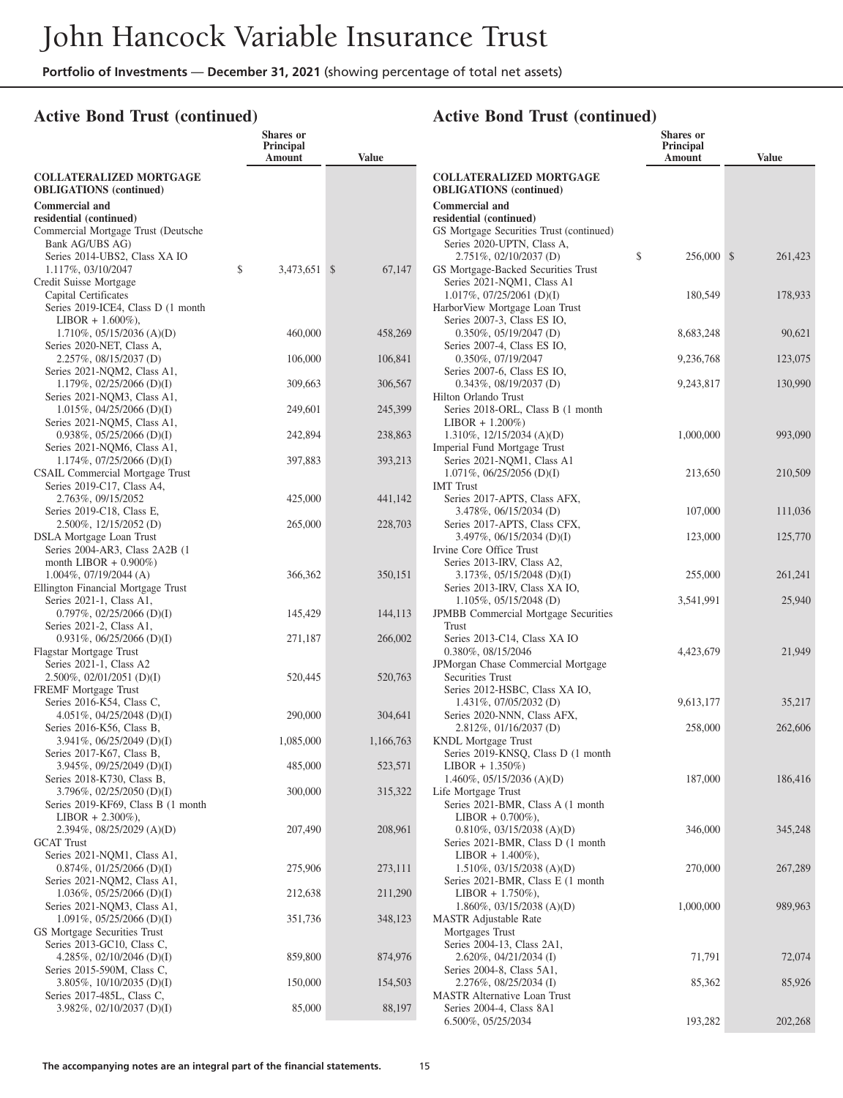## **Active Bond Trust (continued)**

|                                                                        | <b>Shares</b> or<br>Principal<br>Amount | <b>Value</b> |                                                                     | <b>Shares</b> or<br>Principal<br>Amount | <b>Value</b> |
|------------------------------------------------------------------------|-----------------------------------------|--------------|---------------------------------------------------------------------|-----------------------------------------|--------------|
| <b>COLLATERALIZED MORTGAGE</b>                                         |                                         |              | <b>COLLATERALIZED MORTGAGE</b>                                      |                                         |              |
| <b>OBLIGATIONS</b> (continued)                                         |                                         |              | <b>OBLIGATIONS</b> (continued)                                      |                                         |              |
| <b>Commercial and</b>                                                  |                                         |              | <b>Commercial and</b>                                               |                                         |              |
| residential (continued)<br>Commercial Mortgage Trust (Deutsche         |                                         |              | residential (continued)<br>GS Mortgage Securities Trust (continued) |                                         |              |
| Bank AG/UBS AG)                                                        |                                         |              | Series 2020-UPTN, Class A,                                          |                                         |              |
| Series 2014-UBS2, Class XA IO                                          |                                         |              | 2.751%, 02/10/2037 (D)                                              | \$<br>256,000 \$                        | 261,423      |
| 1.117%, 03/10/2047                                                     | \$<br>3,473,651 \$                      | 67,147       | GS Mortgage-Backed Securities Trust                                 |                                         |              |
| Credit Suisse Mortgage<br>Capital Certificates                         |                                         |              | Series 2021-NQM1, Class A1<br>$1.017\%, 07/25/2061$ (D)(I)          | 180,549                                 | 178,933      |
| Series 2019-ICE4, Class D (1 month                                     |                                         |              | HarborView Mortgage Loan Trust                                      |                                         |              |
| $LIBOR + 1.600\%$ ),                                                   |                                         |              | Series 2007-3, Class ES IO,                                         |                                         |              |
| $1.710\%$ , 05/15/2036 (A)(D)                                          | 460,000                                 | 458,269      | $0.350\%, 05/19/2047$ (D)                                           | 8,683,248                               | 90,621       |
| Series 2020-NET, Class A,<br>2.257%, 08/15/2037 (D)                    | 106,000                                 | 106,841      | Series 2007-4, Class ES IO,<br>0.350%, 07/19/2047                   | 9,236,768                               | 123,075      |
| Series 2021-NQM2, Class A1,                                            |                                         |              | Series 2007-6, Class ES IO,                                         |                                         |              |
| $1.179\%, 02/25/2066$ (D)(I)                                           | 309,663                                 | 306,567      | $0.343\%, 08/19/2037$ (D)                                           | 9,243,817                               | 130,990      |
| Series 2021-NQM3, Class A1,                                            |                                         |              | Hilton Orlando Trust                                                |                                         |              |
| $1.015\%, 04/25/2066$ (D)(I)<br>Series 2021-NQM5, Class A1,            | 249,601                                 | 245,399      | Series 2018-ORL, Class B (1 month<br>$LIBOR + 1.200\%)$             |                                         |              |
| $0.938\%, 05/25/2066$ (D)(I)                                           | 242,894                                 | 238,863      | $1.310\%$ , $12/15/2034$ (A)(D)                                     | 1,000,000                               | 993,090      |
| Series 2021-NQM6, Class A1,                                            |                                         |              | Imperial Fund Mortgage Trust                                        |                                         |              |
| $1.174\%, 07/25/2066$ (D)(I)<br><b>CSAIL Commercial Mortgage Trust</b> | 397,883                                 | 393,213      | Series 2021-NQM1, Class A1<br>$1.071\%, 06/25/2056$ (D)(I)          | 213,650                                 | 210,509      |
| Series 2019-C17, Class A4,                                             |                                         |              | <b>IMT</b> Trust                                                    |                                         |              |
| 2.763%, 09/15/2052                                                     | 425,000                                 | 441,142      | Series 2017-APTS, Class AFX,                                        |                                         |              |
| Series 2019-C18, Class E,                                              |                                         |              | 3.478%, 06/15/2034 (D)                                              | 107,000                                 | 111,036      |
| 2.500%, 12/15/2052 (D)<br><b>DSLA</b> Mortgage Loan Trust              | 265,000                                 | 228,703      | Series 2017-APTS, Class CFX,<br>$3.497\%, 06/15/2034$ (D)(I)        | 123,000                                 | 125,770      |
| Series 2004-AR3, Class 2A2B (1                                         |                                         |              | Irvine Core Office Trust                                            |                                         |              |
| month LIBOR $+$ 0.900%)                                                |                                         |              | Series 2013-IRV, Class A2,                                          |                                         |              |
| $1.004\%$ , 07/19/2044 (A)                                             | 366,362                                 | 350,151      | $3.173\%, 05/15/2048$ (D)(I)                                        | 255,000                                 | 261,241      |
| Ellington Financial Mortgage Trust<br>Series 2021-1, Class A1,         |                                         |              | Series 2013-IRV, Class XA IO,<br>$1.105\%, 05/15/2048$ (D)          | 3,541,991                               | 25,940       |
| $0.797\%, 02/25/2066$ (D)(I)                                           | 145,429                                 | 144,113      | <b>JPMBB</b> Commercial Mortgage Securities                         |                                         |              |
| Series 2021-2, Class A1,                                               |                                         |              | <b>Trust</b>                                                        |                                         |              |
| $0.931\%, 06/25/2066$ (D)(I)                                           | 271,187                                 | 266,002      | Series 2013-C14, Class XA IO<br>0.380%, 08/15/2046                  | 4,423,679                               | 21,949       |
| Flagstar Mortgage Trust<br>Series 2021-1, Class A2                     |                                         |              | JPMorgan Chase Commercial Mortgage                                  |                                         |              |
| $2.500\%$ , 02/01/2051 (D)(I)                                          | 520,445                                 | 520,763      | Securities Trust                                                    |                                         |              |
| <b>FREMF</b> Mortgage Trust                                            |                                         |              | Series 2012-HSBC, Class XA IO,                                      |                                         |              |
| Series 2016-K54, Class C,<br>4.051%, 04/25/2048 (D)(I)                 | 290,000                                 | 304,641      | $1.431\%$ , 07/05/2032 (D)<br>Series 2020-NNN, Class AFX,           | 9,613,177                               | 35,217       |
| Series 2016-K56, Class B,                                              |                                         |              | $2.812\%, 01/16/2037$ (D)                                           | 258,000                                 | 262,606      |
| $3.941\%, 06/25/2049$ (D)(I)                                           | 1,085,000                               | 1,166,763    | <b>KNDL</b> Mortgage Trust                                          |                                         |              |
| Series 2017-K67, Class B,                                              |                                         |              | Series 2019-KNSQ, Class D (1 month)                                 |                                         |              |
| 3.945\%, 09/25/2049 (D)(I)<br>Series 2018-K730, Class B,               | 485,000                                 | 523,571      | $LIBOR + 1.350\%)$<br>1.460\%, 05/15/2036 (A)(D)                    | 187,000                                 | 186,416      |
| $3.796\%, 02/25/2050$ (D)(I)                                           | 300,000                                 | 315,322      | Life Mortgage Trust                                                 |                                         |              |
| Series 2019-KF69, Class B (1 month)                                    |                                         |              | Series 2021-BMR, Class A (1 month)                                  |                                         |              |
| $LIBOR + 2.300\%$ ),<br>2.394%, $08/25/2029$ (A)(D)                    | 207,490                                 | 208,961      | $LIBOR + 0.700\%$ ),<br>$0.810\%$ , 03/15/2038 (A)(D)               | 346,000                                 | 345,248      |
| <b>GCAT</b> Trust                                                      |                                         |              | Series 2021-BMR, Class D (1 month)                                  |                                         |              |
| Series 2021-NQM1, Class A1,                                            |                                         |              | $LIBOR + 1.400\%$ ),                                                |                                         |              |
| $0.874\%, 01/25/2066$ (D)(I)                                           | 275,906                                 | 273,111      | $1.510\%, 03/15/2038 (A)(D)$                                        | 270,000                                 | 267,289      |
| Series 2021-NQM2, Class A1,<br>$1.036\%, 05/25/2066$ (D)(I)            | 212,638                                 | 211,290      | Series 2021-BMR, Class E (1 month)<br>$LIBOR + 1.750\%$ ,           |                                         |              |
| Series 2021-NOM3, Class A1,                                            |                                         |              | $1.860\%$ , 03/15/2038 (A)(D)                                       | 1,000,000                               | 989,963      |
| $1.091\%, 05/25/2066$ (D)(I)                                           | 351,736                                 | 348,123      | <b>MASTR</b> Adjustable Rate                                        |                                         |              |
| GS Mortgage Securities Trust                                           |                                         |              | Mortgages Trust                                                     |                                         |              |
| Series 2013-GC10, Class C,<br>4.285\%, 02/10/2046 (D)(I)               | 859,800                                 | 874,976      | Series 2004-13, Class 2A1,<br>$2.620\%$ , 04/21/2034 (I)            | 71,791                                  | 72,074       |
| Series 2015-590M, Class C,                                             |                                         |              | Series 2004-8, Class 5A1,                                           |                                         |              |
| 3.805\%, 10/10/2035 (D)(I)                                             | 150,000                                 | 154,503      | 2.276%, 08/25/2034 (I)                                              | 85,362                                  | 85,926       |
| Series 2017-485L, Class C,<br>3.982\%, 02/10/2037 (D)(I)               | 85,000                                  | 88,197       | <b>MASTR Alternative Loan Trust</b><br>Series 2004-4, Class 8A1     |                                         |              |
|                                                                        |                                         |              | 6.500%, 05/25/2034                                                  | 193,282                                 | 202,268      |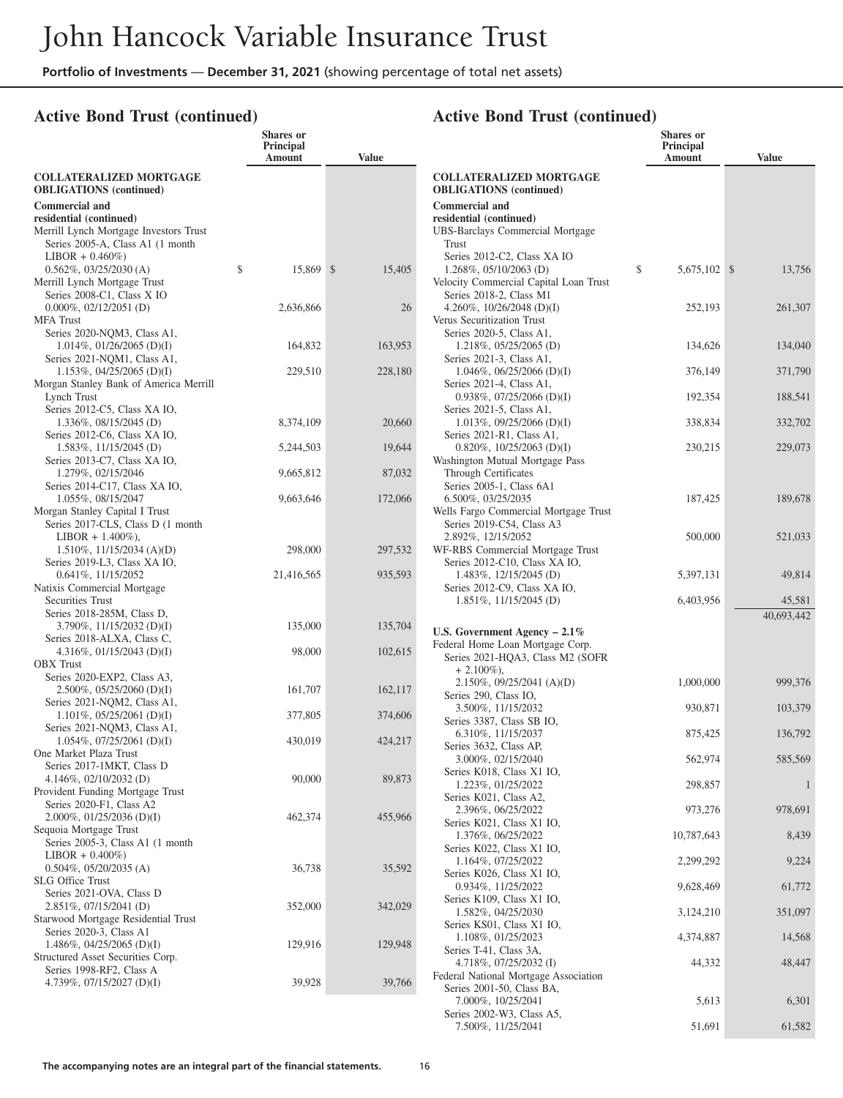## **Active Bond Trust (continued)**

|                                                             | <b>Shares</b> or<br>Principal<br>Amount |              | <b>Value</b> |                          |
|-------------------------------------------------------------|-----------------------------------------|--------------|--------------|--------------------------|
| <b>COLLATERALIZED MORTGAGE</b>                              |                                         |              |              | <b>COLLAT</b>            |
| <b>OBLIGATIONS</b> (continued)<br><b>Commercial and</b>     |                                         |              |              | <b>OBLIGA</b><br>Commerc |
| residential (continued)                                     |                                         |              |              | residentia               |
| Merrill Lynch Mortgage Investors Trust                      |                                         |              |              | <b>UBS-Barc</b>          |
| Series 2005-A, Class A1 (1 month)                           |                                         |              |              | Trust                    |
| $LIBOR + 0.460\%)$                                          |                                         |              |              | Series 2                 |
| $0.562\%$ , $03/25/2030$ (A)                                | \$<br>15,869                            | $\mathbb{S}$ | 15,405       | 1.268%                   |
| Merrill Lynch Mortgage Trust                                |                                         |              |              | Velocity C               |
| Series 2008-C1, Class X IO                                  |                                         |              |              | Series 2                 |
| $0.000\%$ , $02/12/2051$ (D)                                | 2,636,866                               |              | 26           | 4.260%                   |
| <b>MFA</b> Trust<br>Series 2020-NQM3, Class A1,             |                                         |              |              | Verus Sec<br>Series 2    |
| $1.014\%, 01/26/2065$ (D)(I)                                | 164,832                                 |              | 163,953      | 1.218                    |
| Series 2021-NQM1, Class A1,                                 |                                         |              |              | Series 2                 |
| $1.153\%, 04/25/2065$ (D)(I)                                | 229,510                                 |              | 228,180      | 1.04                     |
| Morgan Stanley Bank of America Merrill                      |                                         |              |              | Series 2                 |
| Lynch Trust                                                 |                                         |              |              | 0.938                    |
| Series 2012-C5, Class XA IO,                                |                                         |              |              | Series 2                 |
| 1.336%, 08/15/2045 (D)                                      | 8,374,109                               |              | 20,660       | 1.013                    |
| Series 2012-C6, Class XA IO,                                |                                         |              |              | Series 2                 |
| 1.583%, 11/15/2045 (D)                                      | 5,244,503                               |              | 19,644       | 0.820                    |
| Series 2013-C7, Class XA IO,                                |                                         |              |              | Washingto                |
| 1.279%, 02/15/2046                                          | 9,665,812                               |              | 87,032       | <b>Throug</b>            |
| Series 2014-C17, Class XA IO,                               | 9,663,646                               |              |              | Series 2<br>6.500%       |
| 1.055%, 08/15/2047<br>Morgan Stanley Capital I Trust        |                                         |              | 172,066      | Wells Farg               |
| Series 2017-CLS, Class D (1 month)                          |                                         |              |              | Series 2                 |
| $LIBOR + 1.400\%$ ),                                        |                                         |              |              | 2.892%                   |
| $1.510\%, 11/15/2034 (A)(D)$                                | 298,000                                 |              | 297,532      | WF-RBS                   |
| Series 2019-L3, Class XA IO,                                |                                         |              |              | Series 2                 |
| 0.641%, 11/15/2052                                          | 21,416,565                              |              | 935,593      | 1.48                     |
| Natixis Commercial Mortgage                                 |                                         |              |              | Series 2                 |
| Securities Trust                                            |                                         |              |              | 1.85                     |
| Series 2018-285M, Class D,                                  |                                         |              |              |                          |
| $3.790\%$ , $11/15/2032$ (D)(I)                             | 135,000                                 |              | 135,704      | <b>U.S. Gove</b>         |
| Series 2018-ALXA, Class C,                                  |                                         |              |              | Federal H                |
| 4.316\%, 01/15/2043 (D)(I)<br><b>OBX</b> Trust              | 98,000                                  |              | 102,615      | Series 2                 |
| Series 2020-EXP2, Class A3,                                 |                                         |              |              | $+2.1$                   |
| $2.500\%$ , 05/25/2060 (D)(I)                               | 161,707                                 |              | 162,117      | 2.15                     |
| Series 2021-NQM2, Class A1,                                 |                                         |              |              | Series 2                 |
| $1.101\%, 05/25/2061$ (D)(I)                                | 377,805                                 |              | 374,606      | 3.500                    |
| Series 2021-NQM3, Class A1,                                 |                                         |              |              | Series 3<br>6.31         |
| $1.054\%, 07/25/2061$ (D)(I)                                | 430,019                                 |              | 424,217      | Series 3                 |
| One Market Plaza Trust                                      |                                         |              |              | 3.000                    |
| Series 2017-1MKT, Class D                                   |                                         |              |              | Series 1                 |
| 4.146%, $02/10/2032$ (D)                                    | 90,000                                  |              | 89,873       | 1.223                    |
| Provident Funding Mortgage Trust                            |                                         |              |              | Series 1                 |
| Series 2020-F1, Class A2                                    |                                         |              |              | 2.39 <sub>0</sub>        |
| 2.000%, 01/25/2036 (D)(I)                                   | 462,374                                 |              | 455,966      | Series 1                 |
| Sequoia Mortgage Trust<br>Series 2005-3, Class A1 (1 month) |                                         |              |              | 1.37                     |
| $LIBOR + 0.400\%)$                                          |                                         |              |              | Series 1                 |
| $0.504\%, 05/20/2035$ (A)                                   | 36,738                                  |              | 35,592       | 1.16                     |
| <b>SLG Office Trust</b>                                     |                                         |              |              | Series 1                 |
| Series 2021-OVA, Class D                                    |                                         |              |              | 0.934                    |
| 2.851%, 07/15/2041 (D)                                      | 352,000                                 |              | 342,029      | Series 1                 |
| Starwood Mortgage Residential Trust                         |                                         |              |              | 1.58.                    |
| Series 2020-3, Class A1                                     |                                         |              |              | Series 1<br>1.10         |
| 1.486%, 04/25/2065 (D)(I)                                   | 129,916                                 |              | 129,948      | Series <sup>T</sup>      |
| Structured Asset Securities Corp.                           |                                         |              |              | 4.718                    |
| Series 1998-RF2, Class A                                    |                                         |              |              | Federal N                |
| 4.739%, $07/15/2027$ (D)(I)                                 | 39,928                                  |              | 39,766       | Series 2                 |
|                                                             |                                         |              |              | 7.000                    |

|                                                                     | <b>Shares or</b><br>Principal |              |
|---------------------------------------------------------------------|-------------------------------|--------------|
|                                                                     | Amount                        | <b>Value</b> |
| <b>COLLATERALIZED MORTGAGE</b><br><b>OBLIGATIONS</b> (continued)    |                               |              |
| <b>Commercial and</b>                                               |                               |              |
| residential (continued)                                             |                               |              |
| <b>UBS-Barclays Commercial Mortgage</b><br>Trust                    |                               |              |
| Series 2012-C2, Class XA IO                                         |                               |              |
| $1.268\%, 05/10/2063$ (D)<br>Velocity Commercial Capital Loan Trust | \$<br>5,675,102 \$            | 13,756       |
| Series 2018-2, Class M1                                             |                               |              |
| 4.260%, $10/26/2048$ (D)(I)                                         | 252,193                       | 261,307      |
| Verus Securitization Trust                                          |                               |              |
| Series 2020-5, Class A1,<br>1.218%, 05/25/2065 (D)                  | 134,626                       | 134,040      |
| Series 2021-3, Class A1,                                            |                               |              |
| 1.046%, 06/25/2066 (D)(I)                                           | 376,149                       | 371,790      |
| Series 2021-4, Class A1,                                            |                               |              |
| $0.938\%, 07/25/2066$ (D)(I)                                        | 192,354                       | 188,541      |
| Series 2021-5, Class A1,                                            |                               |              |
| 1.013%, $09/25/2066$ (D)(I)<br>Series 2021-R1, Class A1,            | 338,834                       | 332,702      |
| 0.820%, 10/25/2063 (D)(I)                                           | 230,215                       | 229,073      |
| Washington Mutual Mortgage Pass                                     |                               |              |
| <b>Through Certificates</b>                                         |                               |              |
| Series 2005-1, Class 6A1                                            |                               |              |
| 6.500%, 03/25/2035                                                  | 187,425                       | 189,678      |
| Wells Fargo Commercial Mortgage Trust<br>Series 2019-C54, Class A3  |                               |              |
| 2.892%, 12/15/2052                                                  | 500,000                       | 521,033      |
| WF-RBS Commercial Mortgage Trust                                    |                               |              |
| Series 2012-C10, Class XA IO,                                       |                               |              |
| 1.483%, 12/15/2045 (D)                                              | 5,397,131                     | 49,814       |
| Series 2012-C9, Class XA IO,<br>1.851%, 11/15/2045 (D)              | 6,403,956                     | 45,581       |
|                                                                     |                               | 40,693,442   |
| U.S. Government Agency $-2.1\%$                                     |                               |              |
| Federal Home Loan Mortgage Corp.                                    |                               |              |
| Series 2021-HQA3, Class M2 (SOFR                                    |                               |              |
| $+2.100\%$ ),                                                       |                               |              |
| 2.150%, 09/25/2041 (A)(D)                                           | 1,000,000                     | 999,376      |
| Series 290, Class IO,<br>3.500%, 11/15/2032                         | 930,871                       | 103,379      |
| Series 3387, Class SB IO,                                           |                               |              |
| 6.310%, 11/15/2037                                                  | 875,425                       | 136,792      |
| Series 3632, Class AP,                                              |                               |              |
| 3.000%, 02/15/2040                                                  | 562,974                       | 585,569      |
| Series K018, Class X1 IO,<br>1.223%, 01/25/2022                     | 298,857                       | 1            |
| Series K021, Class A2,                                              |                               |              |
| 2.396%, 06/25/2022                                                  | 973,276                       | 978,691      |
| Series K021, Class X1 IO,                                           |                               |              |
| 1.376%, 06/25/2022                                                  | 10,787,643                    | 8,439        |
| Series K022, Class X1 IO,<br>1.164%, 07/25/2022                     | 2,299,292                     | 9,224        |
| Series K026, Class X1 IO,                                           |                               |              |
| 0.934%, 11/25/2022                                                  | 9,628,469                     | 61,772       |
| Series K109, Class X1 IO,                                           |                               |              |
| 1.582%, 04/25/2030<br>Series KS01, Class X1 IO,                     | 3,124,210                     | 351,097      |
| 1.108%, 01/25/2023                                                  | 4,374,887                     | 14,568       |
| Series T-41, Class 3A,                                              |                               |              |
| 4.718%, 07/25/2032 (I)                                              | 44,332                        | 48,447       |
| Federal National Mortgage Association                               |                               |              |
| Series 2001-50, Class BA,<br>7.000%, 10/25/2041                     | 5,613                         | 6,301        |
| Series 2002-W3, Class A5,                                           |                               |              |
| 7.500%, 11/25/2041                                                  | 51,691                        | 61,582       |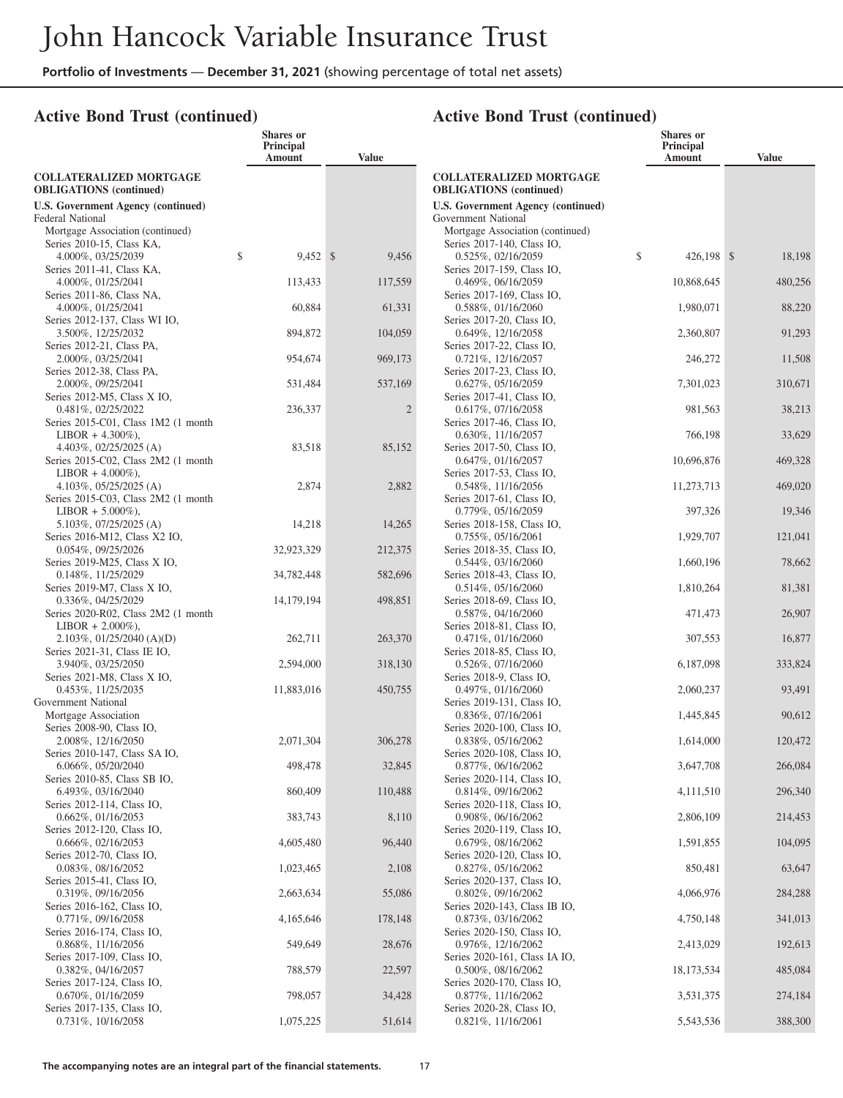**Shares or**

## **Active Bond Trust (continued)**

|                                                                 | Principal<br>Amount | <b>Value</b> |
|-----------------------------------------------------------------|---------------------|--------------|
| <b>COLLATERALIZED MORTGAGE</b>                                  |                     |              |
| <b>OBLIGATIONS</b> (continued)                                  |                     |              |
| <b>U.S. Government Agency (continued)</b><br>Federal National   |                     |              |
| Mortgage Association (continued)                                |                     |              |
| Series 2010-15, Class KA,                                       |                     |              |
| 4.000%, 03/25/2039<br>Series 2011-41, Class KA,                 | \$<br>$9,452$ \$    | 9,456        |
| 4.000%, 01/25/2041                                              | 113,433             | 117,559      |
| Series 2011-86, Class NA,                                       |                     |              |
| 4.000%, 01/25/2041<br>Series 2012-137, Class WI IO,             | 60,884              | 61,331       |
| 3.500%, 12/25/2032                                              | 894,872             | 104,059      |
| Series 2012-21, Class PA,<br>2.000%, 03/25/2041                 | 954,674             | 969,173      |
| Series 2012-38, Class PA,                                       |                     |              |
| 2.000%, 09/25/2041                                              | 531,484             | 537,169      |
| Series 2012-M5, Class X IO,<br>0.481%, 02/25/2022               | 236,337             | 2            |
| Series 2015-C01, Class 1M2 (1 month                             |                     |              |
| $LIBOR + 4.300\%$ ),                                            |                     |              |
| 4.403%, 02/25/2025 (A)<br>Series 2015-C02, Class 2M2 (1 month   | 83,518              | 85,152       |
| $LIBOR + 4.000\%$ ),                                            |                     |              |
| 4.103%, $05/25/2025$ (A)<br>Series 2015-C03, Class 2M2 (1 month | 2,874               | 2,882        |
| $LIBOR + 5.000\%$ ),                                            |                     |              |
| 5.103%, 07/25/2025 (A)                                          | 14,218              | 14,265       |
| Series 2016-M12, Class X2 IO,<br>0.054%, 09/25/2026             | 32,923,329          | 212,375      |
| Series 2019-M25, Class X IO,                                    |                     |              |
| 0.148%, 11/25/2029<br>Series 2019-M7, Class X IO,               | 34,782,448          | 582,696      |
| 0.336%, 04/25/2029                                              | 14, 179, 194        | 498,851      |
| Series 2020-R02, Class 2M2 (1 month                             |                     |              |
| $LIBOR + 2.000\%$ ),<br>$2.103\%, 01/25/2040 (A)(D)$            | 262,711             | 263,370      |
| Series 2021-31, Class IE IO,                                    |                     |              |
| 3.940%, 03/25/2050<br>Series 2021-M8, Class X IO,               | 2,594,000           | 318,130      |
| 0.453%, 11/25/2035                                              | 11,883,016          | 450,755      |
| Government National                                             |                     |              |
| Mortgage Association<br>Series 2008-90, Class IO,               |                     |              |
| 2.008%, 12/16/2050                                              | 2,071,304           | 306,278      |
| Series 2010-147, Class SA IO,<br>6.066%, 05/20/2040             |                     |              |
| Series 2010-85, Class SB IO,                                    | 498,478             | 32,845       |
| 6.493%, 03/16/2040                                              | 860,409             | 110,488      |
| Series 2012-114, Class IO,<br>0.662%, 01/16/2053                | 383,743             | 8,110        |
| Series 2012-120, Class IO,                                      |                     |              |
| 0.666%, 02/16/2053                                              | 4,605,480           | 96,440       |
| Series 2012-70, Class IO,<br>0.083%, 08/16/2052                 | 1,023,465           | 2,108        |
| Series 2015-41, Class IO,                                       |                     |              |
| 0.319%, 09/16/2056<br>Series 2016-162, Class IO,                | 2,663,634           | 55,086       |
| 0.771%, 09/16/2058                                              | 4,165,646           | 178,148      |
| Series 2016-174, Class IO,                                      |                     |              |
| 0.868%, 11/16/2056<br>Series 2017-109, Class IO,                | 549,649             | 28,676       |
| 0.382%, 04/16/2057                                              | 788,579             | 22,597       |
| Series 2017-124, Class IO,<br>0.670%, 01/16/2059                |                     |              |
| Series 2017-135, Class IO,                                      | 798,057             | 34,428       |
| $0.731\%, 10/16/2058$                                           | 1,075,225           | 51,614       |

|                                                                             | Shares or<br>Principal<br>Amount | <b>Value</b> |
|-----------------------------------------------------------------------------|----------------------------------|--------------|
| <b>COLLATERALIZED MORTGAGE</b>                                              |                                  |              |
| <b>OBLIGATIONS</b> (continued)<br><b>U.S. Government Agency (continued)</b> |                                  |              |
| Government National                                                         |                                  |              |
| Mortgage Association (continued)                                            |                                  |              |
| Series 2017-140, Class IO,                                                  | \$                               | \$           |
| 0.525%, 02/16/2059<br>Series 2017-159, Class IO,                            | 426,198                          | 18,198       |
| $0.469\%, 06/16/2059$                                                       | 10,868,645                       | 480,256      |
| Series 2017-169, Class IO,<br>0.588%, 01/16/2060                            | 1,980,071                        | 88,220       |
| Series 2017-20, Class IO,                                                   |                                  |              |
| 0.649%, 12/16/2058<br>Series 2017-22, Class IO,                             | 2,360,807                        | 91,293       |
| $0.721\%, 12/16/2057$                                                       | 246,272                          | 11,508       |
| Series 2017-23, Class IO,<br>$0.627\%, 05/16/2059$                          | 7,301,023                        | 310,671      |
| Series 2017-41, Class IO,                                                   |                                  |              |
| $0.617\%, 07/16/2058$<br>Series 2017-46, Class IO,                          | 981,563                          | 38,213       |
| $0.630\%$ , 11/16/2057                                                      | 766,198                          | 33,629       |
| Series 2017-50, Class IO,<br>$0.647\%, 01/16/2057$                          | 10,696,876                       | 469,328      |
| Series 2017-53, Class IO,                                                   |                                  |              |
| 0.548%, 11/16/2056<br>Series 2017-61, Class IO,                             | 11,273,713                       | 469,020      |
| 0.779%, 05/16/2059                                                          | 397,326                          | 19,346       |
| Series 2018-158, Class IO,<br>$0.755\%, 05/16/2061$                         | 1,929,707                        | 121,041      |
| Series 2018-35, Class IO,                                                   |                                  |              |
| $0.544\%, 03/16/2060$<br>Series 2018-43, Class IO,                          | 1,660,196                        | 78,662       |
| $0.514\%, 05/16/2060$                                                       | 1,810,264                        | 81,381       |
| Series 2018-69, Class IO,<br>$0.587\%, 04/16/2060$                          | 471,473                          | 26,907       |
| Series 2018-81, Class IO,                                                   |                                  |              |
| $0.471\%, 01/16/2060$                                                       | 307,553                          | 16,877       |
| Series 2018-85, Class IO,<br>$0.526\%, 07/16/2060$                          | 6,187,098                        | 333,824      |
| Series 2018-9, Class IO,                                                    |                                  |              |
| $0.497\%, 01/16/2060$<br>Series 2019-131, Class IO,                         | 2,060,237                        | 93,491       |
| $0.836\%, 07/16/2061$                                                       | 1,445,845                        | 90,612       |
| Series 2020-100, Class IO,<br>0.838%, 05/16/2062                            | 1,614,000                        | 120,472      |
| Series 2020-108, Class IO,                                                  |                                  |              |
| $0.877\%$ , 06/16/2062<br>Series 2020-114, Class IO,                        | 3,647,708                        | 266,084      |
| 0.814%, 09/16/2062                                                          | 4,111,510                        | 296,340      |
| Series 2020-118, Class IO,<br>0.908%, 06/16/2062                            | 2,806,109                        | 214,453      |
| Series 2020-119, Class IO,                                                  |                                  |              |
| 0.679%, 08/16/2062<br>Series 2020-120, Class IO,                            | 1,591,855                        | 104,095      |
| 0.827%, 05/16/2062                                                          | 850,481                          | 63,647       |
| Series 2020-137, Class IO,<br>0.802%, 09/16/2062                            | 4,066,976                        | 284,288      |
| Series 2020-143, Class IB IO,                                               |                                  |              |
| 0.873%, 03/16/2062                                                          | 4,750,148                        | 341,013      |
| Series 2020-150, Class IO,<br>0.976%, 12/16/2062                            | 2,413,029                        | 192,613      |
| Series 2020-161, Class IA IO,                                               |                                  |              |
| 0.500%, 08/16/2062<br>Series 2020-170, Class IO,                            | 18,173,534                       | 485,084      |
| 0.877%, 11/16/2062                                                          | 3,531,375                        | 274,184      |
| Series 2020-28, Class IO,<br>0.821%, 11/16/2061                             | 5,543,536                        | 388,300      |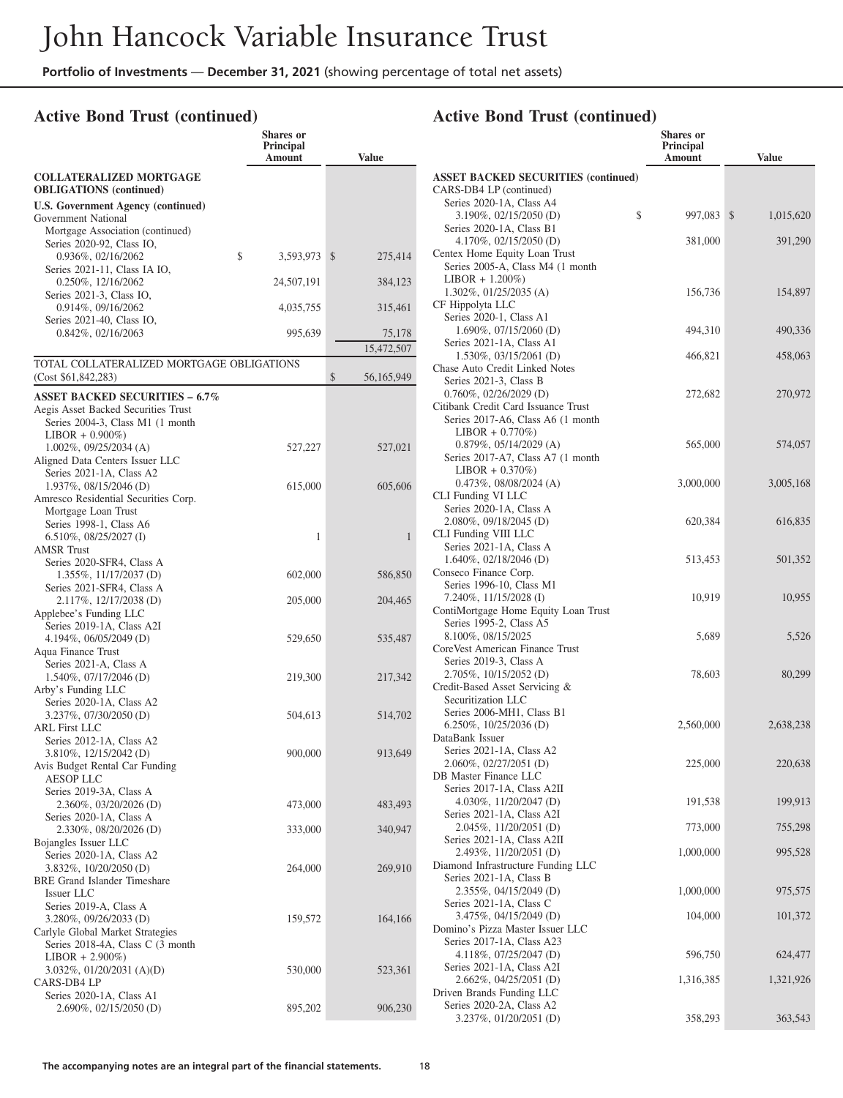**Shares or**

## **Active Bond Trust (continued)**

|                                                                                               | Principal<br>Amount | <b>Value</b>             |  |
|-----------------------------------------------------------------------------------------------|---------------------|--------------------------|--|
| <b>COLLATERALIZED MORTGAGE</b><br><b>OBLIGATIONS</b> (continued)                              |                     |                          |  |
| <b>U.S. Government Agency (continued)</b>                                                     |                     |                          |  |
| Government National<br>Mortgage Association (continued)                                       |                     |                          |  |
| Series 2020-92, Class IO,<br>0.936%, 02/16/2062                                               | \$<br>3,593,973     | $\mathcal{S}$<br>275,414 |  |
| Series 2021-11, Class IA IO,<br>0.250%, 12/16/2062                                            | 24,507,191          | 384,123                  |  |
| Series 2021-3, Class IO,                                                                      |                     |                          |  |
| 0.914%, 09/16/2062<br>Series 2021-40, Class IO,                                               | 4,035,755           | 315,461                  |  |
| 0.842%, 02/16/2063                                                                            | 995,639             | 75,178<br>15,472,507     |  |
| TOTAL COLLATERALIZED MORTGAGE OBLIGATIONS<br>(Cost \$61,842,283)                              |                     | \$<br>56,165,949         |  |
| <b>ASSET BACKED SECURITIES - 6.7%</b>                                                         |                     |                          |  |
| Aegis Asset Backed Securities Trust<br>Series 2004-3, Class M1 (1 month<br>$LIBOR + 0.900\%)$ |                     |                          |  |
| $1.002\%$ , 09/25/2034 (A)<br>Aligned Data Centers Issuer LLC                                 | 527,227             | 527,021                  |  |
| Series 2021-1A, Class A2<br>1.937%, 08/15/2046 (D)                                            | 615,000             | 605,606                  |  |
| Amresco Residential Securities Corp.<br>Mortgage Loan Trust                                   |                     |                          |  |
| Series 1998-1, Class A6<br>$6.510\%, 08/25/2027$ (I)<br><b>AMSR</b> Trust                     | 1                   | 1                        |  |
| Series 2020-SFR4, Class A                                                                     |                     |                          |  |
| 1.355%, 11/17/2037 (D)<br>Series 2021-SFR4, Class A                                           | 602,000             | 586,850                  |  |
| 2.117%, 12/17/2038 (D)<br>Applebee's Funding LLC                                              | 205,000             | 204,465                  |  |
| Series 2019-1A, Class A2I<br>4.194%, 06/05/2049 (D)                                           | 529,650             | 535,487                  |  |
| Aqua Finance Trust<br>Series 2021-A, Class A                                                  |                     |                          |  |
| 1.540%, 07/17/2046 (D)<br>Arby's Funding LLC                                                  | 219,300             | 217,342                  |  |
| Series 2020-1A, Class A2<br>3.237%, 07/30/2050 (D)<br><b>ARL First LLC</b>                    | 504,613             | 514,702                  |  |
| Series 2012-1A, Class A2<br>3.810%, 12/15/2042 (D)                                            | 900,000             | 913,649                  |  |
| Avis Budget Rental Car Funding                                                                |                     |                          |  |
| AESOP LLC<br>Series 2019-3A, Class A                                                          |                     |                          |  |
| 2.360%, 03/20/2026 (D)<br>Series 2020-1A, Class A                                             | 473,000             | 483,493                  |  |
| 2.330%, 08/20/2026 (D)<br>Bojangles Issuer LLC                                                | 333,000             | 340,947                  |  |
| Series 2020-1A, Class A2<br>3.832%, 10/20/2050 (D)                                            | 264,000             | 269,910                  |  |
| <b>BRE</b> Grand Islander Timeshare<br>Issuer LLC                                             |                     |                          |  |
| Series 2019-A, Class A<br>3.280%, 09/26/2033 (D)<br>Carlyle Global Market Strategies          | 159,572             | 164,166                  |  |
| Series 2018-4A, Class C (3 month<br>$LIBOR + 2.900\%)$<br>$3.032\%, 01/20/2031$ (A)(D)        | 530,000             | 523,361                  |  |
| CARS-DB4 LP<br>Series 2020-1A, Class A1                                                       |                     |                          |  |
| 2.690%, 02/15/2050 (D)                                                                        | 895,202             | 906,230                  |  |

|                                                                                                | <b>Shares</b> or<br>Principal<br>Amount | <b>Value</b>              |
|------------------------------------------------------------------------------------------------|-----------------------------------------|---------------------------|
| <b>ASSET BACKED SECURITIES (continued)</b><br>CARS-DB4 LP (continued)                          |                                         |                           |
| Series 2020-1A, Class A4<br>3.190%, 02/15/2050 (D)                                             | \$<br>997,083                           | $\mathbb{S}$<br>1,015,620 |
| Series 2020-1A, Class B1<br>4.170%, 02/15/2050 (D)                                             | 381,000                                 | 391,290                   |
| Centex Home Equity Loan Trust<br>Series 2005-A, Class M4 (1 month)<br>$LIBOR + 1.200\%)$       |                                         |                           |
| $1.302\%$ , $01/25/2035$ (A)<br>CF Hippolyta LLC<br>Series 2020-1, Class A1                    | 156,736                                 | 154,897                   |
| $1.690\%$ , 07/15/2060 (D)                                                                     | 494,310                                 | 490,336                   |
| Series 2021-1A, Class A1<br>$1.530\%$ , 03/15/2061 (D)                                         | 466,821                                 | 458,063                   |
| Chase Auto Credit Linked Notes<br>Series 2021-3, Class B<br>$0.760\%, 02/26/2029$ (D)          | 272,682                                 | 270,972                   |
| Citibank Credit Card Issuance Trust<br>Series 2017-A6, Class A6 (1 month<br>$LIBOR + 0.770\%)$ |                                         |                           |
| 0.879%, 05/14/2029 (A)<br>Series 2017-A7, Class A7 (1 month)                                   | 565,000                                 | 574,057                   |
| $LIBOR + 0.370\%)$<br>$0.473\%, 08/08/2024 (A)$<br>CLI Funding VI LLC                          | 3,000,000                               | 3,005,168                 |
| Series 2020-1A, Class A<br>2.080%, 09/18/2045 (D)<br>CLI Funding VIII LLC                      | 620,384                                 | 616,835                   |
| Series 2021-1A, Class A<br>1.640%, 02/18/2046 (D)<br>Conseco Finance Corp.                     | 513,453                                 | 501,352                   |
| Series 1996-10, Class M1<br>7.240%, 11/15/2028 (I)<br>ContiMortgage Home Equity Loan Trust     | 10,919                                  | 10,955                    |
| Series 1995-2, Class A5<br>8.100%, 08/15/2025<br>CoreVest American Finance Trust               | 5,689                                   | 5,526                     |
| Series 2019-3, Class A<br>2.705%, 10/15/2052 (D)<br>Credit-Based Asset Servicing &             | 78,603                                  | 80,299                    |
| Securitization LLC<br>Series 2006-MH1, Class B1<br>6.250%, 10/25/2036 (D)<br>DataBank Issuer   | 2,560,000                               | 2,638,238                 |
| Series 2021-1A, Class A2<br>2.060%, 02/27/2051 (D)                                             | 225,000                                 | 220,638                   |
| <b>DB</b> Master Finance LLC<br>Series 2017-1A, Class A2II                                     |                                         |                           |
| 4.030%, 11/20/2047 (D)<br>Series 2021-1A, Class A2I                                            | 191,538                                 | 199,913                   |
| 2.045%, 11/20/2051 (D)<br>Series 2021-1A, Class A2II                                           | 773,000                                 | 755,298                   |
| 2.493%, 11/20/2051 (D)<br>Diamond Infrastructure Funding LLC<br>Series 2021-1A, Class B        | 1,000,000                               | 995,528                   |
| 2.355%, 04/15/2049 (D)<br>Series 2021-1A, Class C                                              | 1,000,000                               | 975,575                   |
| 3.475%, 04/15/2049 (D)<br>Domino's Pizza Master Issuer LLC<br>Series 2017-1A, Class A23        | 104,000                                 | 101,372                   |
| 4.118%, 07/25/2047 (D)<br>Series 2021-1A, Class A2I                                            | 596,750                                 | 624,477                   |
| 2.662%, 04/25/2051 (D)<br>Driven Brands Funding LLC                                            | 1,316,385                               | 1,321,926                 |
| Series 2020-2A, Class A2<br>3.237%, 01/20/2051 (D)                                             | 358,293                                 | 363,543                   |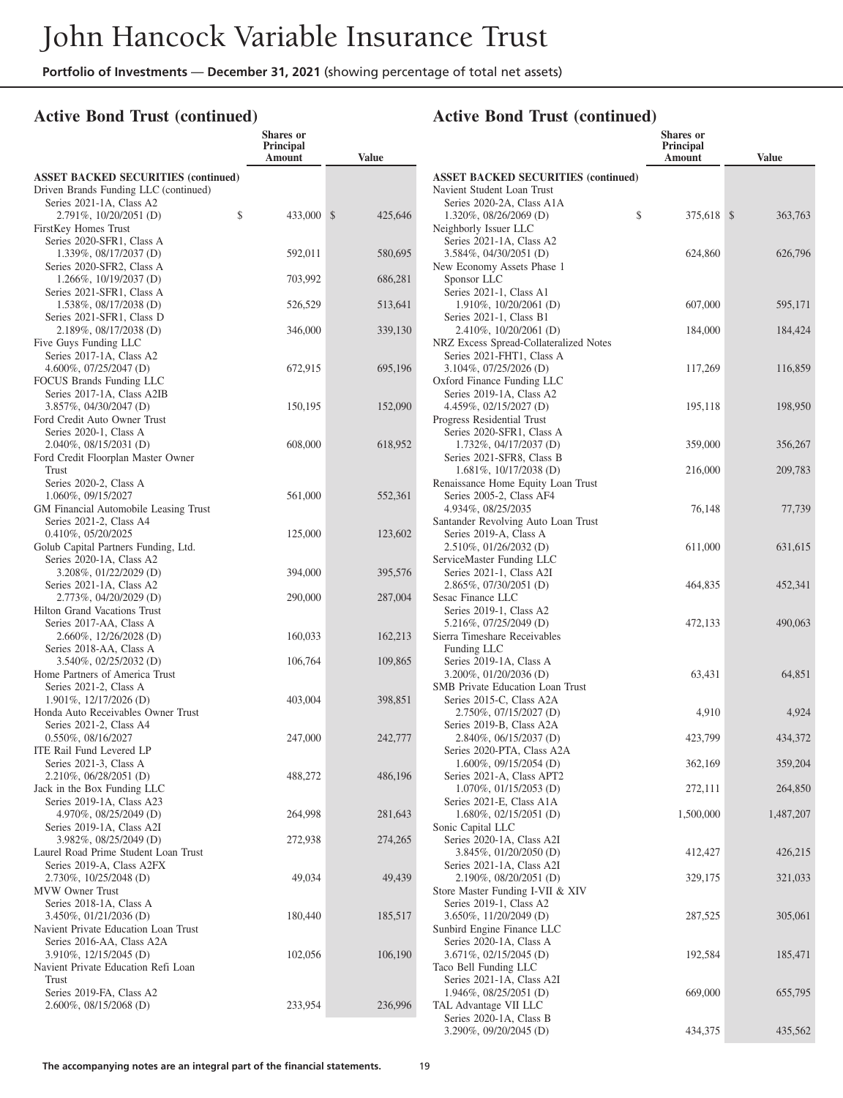**Shares or**

#### **Active Bond Trust (continued)**

|                                                                  | Principal<br>Amount | <b>Value</b> |
|------------------------------------------------------------------|---------------------|--------------|
| <b>ASSET BACKED SECURITIES (continued)</b>                       |                     |              |
| Driven Brands Funding LLC (continued)                            |                     |              |
| Series 2021-1A, Class A2                                         |                     |              |
| \$<br>2.791%, 10/20/2051 (D)                                     | 433,000 \$          | 425,646      |
| FirstKey Homes Trust<br>Series 2020-SFR1, Class A                |                     |              |
| 1.339%, 08/17/2037 (D)                                           | 592,011             | 580,695      |
| Series 2020-SFR2, Class A                                        |                     |              |
| 1.266%, 10/19/2037 (D)                                           | 703,992             | 686,281      |
| Series 2021-SFR1, Class A                                        |                     |              |
| 1.538%, 08/17/2038 (D)<br>Series 2021-SFR1, Class D              | 526,529             | 513,641      |
| 2.189%, 08/17/2038 (D)                                           | 346,000             | 339,130      |
| Five Guys Funding LLC                                            |                     |              |
| Series 2017-1A, Class A2                                         |                     |              |
| 4.600%, $07/25/2047$ (D)                                         | 672,915             | 695,196      |
| FOCUS Brands Funding LLC<br>Series 2017-1A, Class A2IB           |                     |              |
| 3.857%, 04/30/2047 (D)                                           | 150,195             | 152,090      |
| Ford Credit Auto Owner Trust                                     |                     |              |
| Series 2020-1, Class A                                           |                     |              |
| 2.040%, 08/15/2031 (D)                                           | 608,000             | 618,952      |
| Ford Credit Floorplan Master Owner                               |                     |              |
| Trust<br>Series 2020-2, Class A                                  |                     |              |
| 1.060%, 09/15/2027                                               | 561,000             | 552,361      |
| GM Financial Automobile Leasing Trust                            |                     |              |
| Series 2021-2, Class A4                                          |                     |              |
| 0.410%, 05/20/2025                                               | 125,000             | 123,602      |
| Golub Capital Partners Funding, Ltd.<br>Series 2020-1A, Class A2 |                     |              |
| 3.208%, 01/22/2029 (D)                                           | 394,000             | 395,576      |
| Series 2021-1A, Class A2                                         |                     |              |
| 2.773%, 04/20/2029 (D)                                           | 290,000             | 287,004      |
| Hilton Grand Vacations Trust                                     |                     |              |
| Series 2017-AA, Class A                                          |                     |              |
| 2.660%, 12/26/2028 (D)<br>Series 2018-AA, Class A                | 160,033             | 162,213      |
| 3.540%, 02/25/2032 (D)                                           | 106,764             | 109,865      |
| Home Partners of America Trust                                   |                     |              |
| Series 2021-2, Class A                                           |                     |              |
| 1.901%, 12/17/2026 (D)                                           | 403,004             | 398,851      |
| Honda Auto Receivables Owner Trust<br>Series 2021-2, Class A4    |                     |              |
| 0.550%, 08/16/2027                                               | 247,000             | 242,777      |
| ITE Rail Fund Levered LP                                         |                     |              |
| Series 2021-3, Class A                                           |                     |              |
| 2.210%, 06/28/2051 (D)                                           | 488,272             | 486,196      |
| Jack in the Box Funding LLC<br>Series 2019-1A, Class A23         |                     |              |
| 4.970%, 08/25/2049 (D)                                           | 264,998             | 281,643      |
| Series 2019-1A, Class A2I                                        |                     |              |
| 3.982%, 08/25/2049 (D)                                           | 272,938             | 274,265      |
| Laurel Road Prime Student Loan Trust                             |                     |              |
| Series 2019-A, Class A2FX                                        | 49,034              | 49,439       |
| 2.730%, 10/25/2048 (D)<br>MVW Owner Trust                        |                     |              |
| Series 2018-1A, Class A                                          |                     |              |
| 3.450\%, 01/21/2036 (D)                                          | 180,440             | 185,517      |
| Navient Private Education Loan Trust                             |                     |              |
| Series 2016-AA, Class A2A                                        |                     |              |
| 3.910%, 12/15/2045 (D)<br>Navient Private Education Refi Loan    | 102,056             | 106,190      |
| Trust                                                            |                     |              |
| Series 2019-FA, Class A2                                         |                     |              |
| 2.600%, 08/15/2068 (D)                                           | 233,954             | 236,996      |
|                                                                  |                     |              |

|                                                      | <b>Shares</b> or<br>Principal |              |
|------------------------------------------------------|-------------------------------|--------------|
|                                                      | Amount                        | <b>Value</b> |
| <b>ASSET BACKED SECURITIES (continued)</b>           |                               |              |
| Navient Student Loan Trust                           |                               |              |
| Series 2020-2A, Class A1A                            |                               |              |
| \$<br>1.320%, 08/26/2069 (D)                         | 375,618 \$                    | 363,763      |
| Neighborly Issuer LLC<br>Series 2021-1A, Class A2    |                               |              |
| 3.584%, 04/30/2051 (D)                               | 624,860                       | 626,796      |
| New Economy Assets Phase 1                           |                               |              |
| Sponsor LLC                                          |                               |              |
| Series 2021-1, Class A1                              |                               |              |
| 1.910%, 10/20/2061 (D)                               | 607,000                       | 595,171      |
| Series 2021-1, Class B1<br>2.410\%, 10/20/2061 (D)   | 184,000                       | 184,424      |
| NRZ Excess Spread-Collateralized Notes               |                               |              |
| Series 2021-FHT1, Class A                            |                               |              |
| 3.104%, 07/25/2026 (D)                               | 117,269                       | 116,859      |
| Oxford Finance Funding LLC                           |                               |              |
| Series 2019-1A, Class A2                             |                               |              |
| 4.459%, 02/15/2027 (D)                               | 195,118                       | 198,950      |
| Progress Residential Trust                           |                               |              |
| Series 2020-SFR1, Class A<br>1.732%, 04/17/2037 (D)  | 359,000                       | 356,267      |
| Series 2021-SFR8, Class B                            |                               |              |
| 1.681%, 10/17/2038 (D)                               | 216,000                       | 209,783      |
| Renaissance Home Equity Loan Trust                   |                               |              |
| Series 2005-2, Class AF4                             |                               |              |
| 4.934%, 08/25/2035                                   | 76,148                        | 77,739       |
| Santander Revolving Auto Loan Trust                  |                               |              |
| Series 2019-A, Class A                               |                               |              |
| 2.510%, 01/26/2032 (D)<br>ServiceMaster Funding LLC  | 611,000                       | 631,615      |
| Series 2021-1, Class A2I                             |                               |              |
| 2.865%, 07/30/2051 (D)                               | 464,835                       | 452,341      |
| Sesac Finance LLC                                    |                               |              |
| Series 2019-1, Class A2                              |                               |              |
| 5.216%, 07/25/2049 (D)                               | 472,133                       | 490,063      |
| Sierra Timeshare Receivables                         |                               |              |
| Funding LLC<br>Series 2019-1A, Class A               |                               |              |
| 3.200%, 01/20/2036 (D)                               | 63,431                        | 64,851       |
| <b>SMB</b> Private Education Loan Trust              |                               |              |
| Series 2015-C, Class A2A                             |                               |              |
| 2.750%, 07/15/2027 (D)                               | 4,910                         | 4,924        |
| Series 2019-B, Class A2A                             |                               |              |
| 2.840%, 06/15/2037 (D)                               | 423,799                       | 434,372      |
| Series 2020-PTA, Class A2A<br>1.600%, 09/15/2054 (D) |                               | 359,204      |
| Series 2021-A, Class APT2                            | 362,169                       |              |
| 1.070%, 01/15/2053 (D)                               | 272,111                       | 264,850      |
| Series 2021-E, Class A1A                             |                               |              |
| 1.680%, 02/15/2051 (D)                               | 1,500,000                     | 1,487,207    |
| Sonic Capital LLC                                    |                               |              |
| Series 2020-1A, Class A2I                            |                               |              |
| 3.845%, 01/20/2050 (D)                               | 412,427                       | 426,215      |
| Series 2021-1A, Class A2I<br>2.190%, 08/20/2051 (D)  |                               |              |
| Store Master Funding I-VII & XIV                     | 329,175                       | 321,033      |
| Series 2019-1, Class A2                              |                               |              |
| 3.650%, 11/20/2049 (D)                               | 287,525                       | 305,061      |
| Sunbird Engine Finance LLC                           |                               |              |
| Series 2020-1A, Class A                              |                               |              |
| 3.671%, 02/15/2045 (D)                               | 192,584                       | 185,471      |
| Taco Bell Funding LLC                                |                               |              |
| Series 2021-1A, Class A2I<br>1.946%, 08/25/2051 (D)  | 669,000                       | 655,795      |
| TAL Advantage VII LLC                                |                               |              |
| Series 2020-1A, Class B                              |                               |              |
| 3.290%, 09/20/2045 (D)                               | 434,375                       | 435,562      |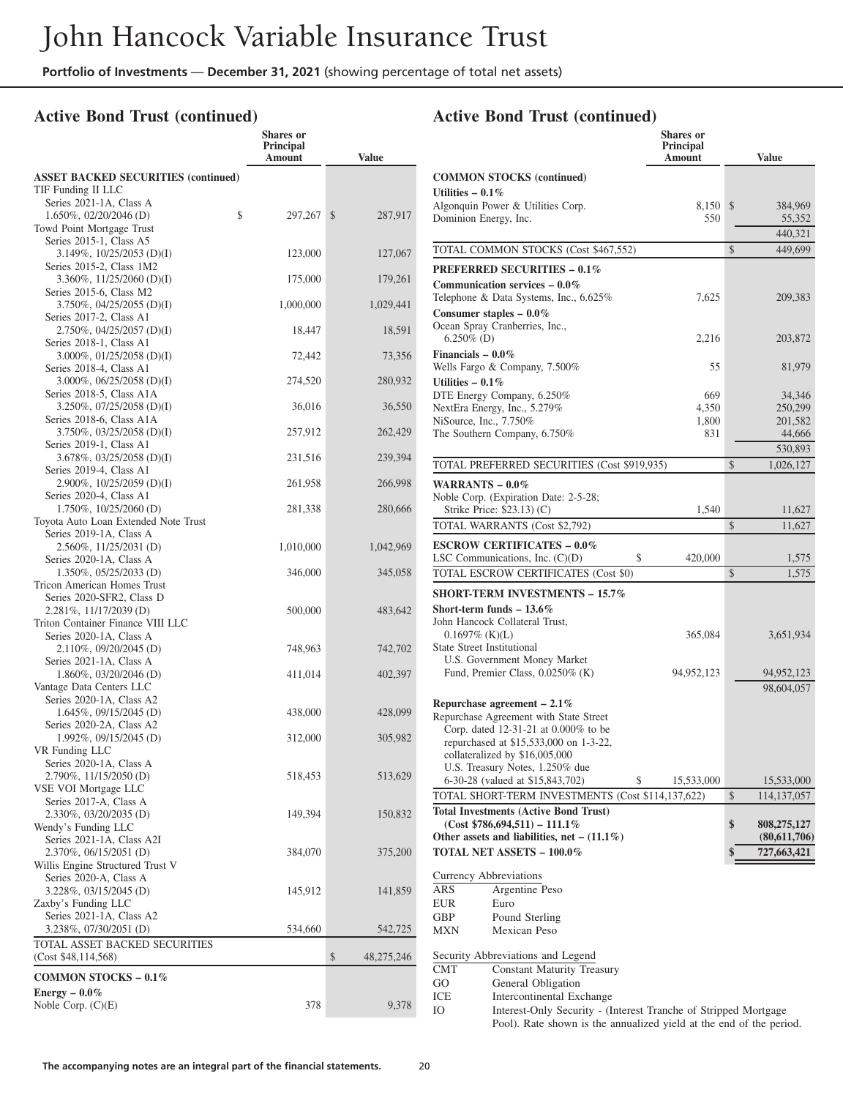## **Active Bond Trust (continued)**

|                                                                                           | <b>Shares</b> or<br>Principal<br>Amount | <b>Value</b>     |
|-------------------------------------------------------------------------------------------|-----------------------------------------|------------------|
| <b>ASSET BACKED SECURITIES (continued)</b><br>TIF Funding II LLC                          |                                         |                  |
| Series 2021-1A, Class A<br>\$<br>1.650%, 02/20/2046 (D)                                   | 297,267                                 | \$<br>287,917    |
| Towd Point Mortgage Trust<br>Series 2015-1, Class A5<br>$3.149\%, 10/25/2053$ (D)(I)      | 123,000                                 | 127,067          |
| Series 2015-2, Class 1M2<br>3.360%, 11/25/2060 (D)(I)                                     | 175,000                                 | 179,261          |
| Series 2015-6, Class M2<br>3.750%, 04/25/2055 (D)(I)                                      | 1,000,000                               | 1,029,441        |
| Series 2017-2, Class A1<br>2.750%, 04/25/2057 (D)(I)                                      | 18,447                                  | 18,591           |
| Series 2018-1, Class A1<br>3.000%, 01/25/2058 (D)(I)                                      | 72,442                                  | 73,356           |
| Series 2018-4, Class A1<br>3.000%, 06/25/2058 (D)(I)<br>Series 2018-5, Class A1A          | 274,520                                 | 280,932          |
| $3.250\%$ , $07/25/2058$ (D)(I)<br>Series 2018-6, Class A1A                               | 36,016                                  | 36,550           |
| $3.750\%, 03/25/2058$ (D)(I)<br>Series 2019-1, Class A1                                   | 257,912                                 | 262,429          |
| 3.678%, 03/25/2058 (D)(I)<br>Series 2019-4, Class A1                                      | 231,516                                 | 239,394          |
| 2.900%, 10/25/2059 (D)(I)<br>Series 2020-4, Class A1                                      | 261,958                                 | 266,998          |
| 1.750%, 10/25/2060 (D)<br>Toyota Auto Loan Extended Note Trust<br>Series 2019-1A, Class A | 281,338                                 | 280,666          |
| 2.560%, 11/25/2031 (D)<br>Series 2020-1A, Class A                                         | 1,010,000                               | 1,042,969        |
| $1.350\%$ , $05/25/2033$ (D)<br>Tricon American Homes Trust                               | 346,000                                 | 345,058          |
| Series 2020-SFR2, Class D<br>2.281%, 11/17/2039 (D)<br>Triton Container Finance VIII LLC  | 500,000                                 | 483,642          |
| Series 2020-1A, Class A<br>2.110%, 09/20/2045 (D)<br>Series 2021-1A, Class A              | 748,963                                 | 742,702          |
| $1.860\%$ , 03/20/2046 (D)<br>Vantage Data Centers LLC                                    | 411,014                                 | 402,397          |
| Series 2020-1A, Class A2<br>$1.645\%, 09/15/2045$ (D)                                     | 438,000                                 | 428,099          |
| Series 2020-2A, Class A2<br>1.992%, 09/15/2045 (D)<br>VR Funding LLC                      | 312,000                                 | 305,982          |
| Series 2020-1A, Class A<br>2.790%, 11/15/2050 (D)<br>VSE VOI Mortgage LLC                 | 518,453                                 | 513,629          |
| Series 2017-A, Class A<br>2.330%, 03/20/2035 (D)<br>Wendy's Funding LLC                   | 149,394                                 | 150,832          |
| Series 2021-1A, Class A2I<br>2.370%, 06/15/2051 (D)<br>Willis Engine Structured Trust V   | 384,070                                 | 375,200          |
| Series 2020-A, Class A<br>3.228%, 03/15/2045 (D)<br>Zaxby's Funding LLC                   | 145,912                                 | 141,859          |
| Series 2021-1A, Class A2<br>3.238%, 07/30/2051 (D)<br>TOTAL ASSET BACKED SECURITIES       | 534,660                                 | 542,725          |
| (Cost \$48,114,568)                                                                       |                                         | \$<br>48,275,246 |
| COMMON STOCKS $-0.1\%$                                                                    |                                         |                  |
| Energy $-0.0\%$<br>Noble Corp. $(C)(E)$                                                   | 378                                     | 9,378            |

|                                                                                | <b>Shares</b> or<br>Principal<br>Amount | <b>Value</b>        |
|--------------------------------------------------------------------------------|-----------------------------------------|---------------------|
| <b>COMMON STOCKS (continued)</b>                                               |                                         |                     |
| Utilities $-0.1\%$<br>Algonquin Power & Utilities Corp.                        | 8,150                                   | \$<br>384,969       |
| Dominion Energy, Inc.                                                          | 550                                     | 55,352              |
|                                                                                |                                         | 440,321             |
| TOTAL COMMON STOCKS (Cost \$467,552)                                           |                                         | \$<br>449,699       |
| <b>PREFERRED SECURITIES - 0.1%</b>                                             |                                         |                     |
| Communication services $-0.0\%$                                                |                                         |                     |
| Telephone & Data Systems, Inc., 6.625%                                         | 7,625                                   | 209,383             |
| Consumer staples $-0.0\%$<br>Ocean Spray Cranberries, Inc.,                    |                                         |                     |
| $6.250\%$ (D)                                                                  | 2,216                                   | 203,872             |
| Financials $-0.0\%$                                                            |                                         |                     |
| Wells Fargo & Company, 7.500%                                                  | 55                                      | 81,979              |
| Utilities $-0.1\%$                                                             | 669                                     | 34,346              |
| DTE Energy Company, 6.250%<br>NextEra Energy, Inc., 5.279%                     | 4,350                                   | 250,299             |
| NiSource, Inc., 7.750%                                                         | 1,800                                   | 201,582             |
| The Southern Company, 6.750%                                                   | 831                                     | 44,666              |
|                                                                                |                                         | 530,893             |
| TOTAL PREFERRED SECURITIES (Cost \$919,935)                                    |                                         | \$<br>1,026,127     |
| WARRANTS $-0.0\%$                                                              |                                         |                     |
| Noble Corp. (Expiration Date: 2-5-28;<br>Strike Price: \$23.13) (C)            | 1,540                                   | 11,627              |
| TOTAL WARRANTS (Cost \$2,792)                                                  |                                         | \$<br>11,627        |
| <b>ESCROW CERTIFICATES - 0.0%</b>                                              |                                         |                     |
| LSC Communications, Inc. $(C)(D)$<br>\$                                        | 420,000                                 | 1,575               |
| TOTAL ESCROW CERTIFICATES (Cost \$0)                                           |                                         | \$<br>1,575         |
| <b>SHORT-TERM INVESTMENTS - 15.7%</b>                                          |                                         |                     |
| Short-term funds $-13.6\%$                                                     |                                         |                     |
| John Hancock Collateral Trust,                                                 |                                         |                     |
| $0.1697\%$ (K)(L)<br>State Street Institutional                                | 365,084                                 | 3,651,934           |
| U.S. Government Money Market                                                   |                                         |                     |
| Fund, Premier Class, 0.0250% (K)                                               | 94,952,123                              | 94,952,123          |
|                                                                                |                                         | 98,604,057          |
| Repurchase agreement $-2.1\%$                                                  |                                         |                     |
| Repurchase Agreement with State Street<br>Corp. dated 12-31-21 at 0.000% to be |                                         |                     |
| repurchased at \$15,533,000 on 1-3-22,                                         |                                         |                     |
| collateralized by \$16,005,000                                                 |                                         |                     |
| U.S. Treasury Notes, 1.250% due<br>6-30-28 (valued at \$15,843,702)<br>\$      | 15,533,000                              | 15,533,000          |
| TOTAL SHORT-TERM INVESTMENTS (Cost \$114,137,622)                              |                                         | \$<br>114, 137, 057 |
| <b>Total Investments (Active Bond Trust)</b>                                   |                                         |                     |
| $(Cost $786,694,511) - 111.1\%$                                                |                                         | \$<br>808,275,127   |
| Other assets and liabilities, net $- (11.1\%)$                                 |                                         | (80,611,706)        |
| <b>TOTAL NET ASSETS - 100.0%</b>                                               |                                         | 727,663,421<br>\$   |
| Currency Abbreviations                                                         |                                         |                     |
| ARS<br>Argentine Peso                                                          |                                         |                     |
| EUR<br>Euro<br>Pound Sterling<br>GBP                                           |                                         |                     |
| Mexican Peso<br>MXN                                                            |                                         |                     |
|                                                                                |                                         |                     |
| Security Abbreviations and Legend<br>CMT<br><b>Constant Maturity Treasury</b>  |                                         |                     |
| General Obligation<br>GO                                                       |                                         |                     |
| Intercontinental Exchange<br>ICE                                               |                                         |                     |
| Interest-Only Security - (Interest Tranche of Stripped Mortgage<br>Ю           |                                         |                     |
| Pool). Rate shown is the annualized yield at the end of the period.            |                                         |                     |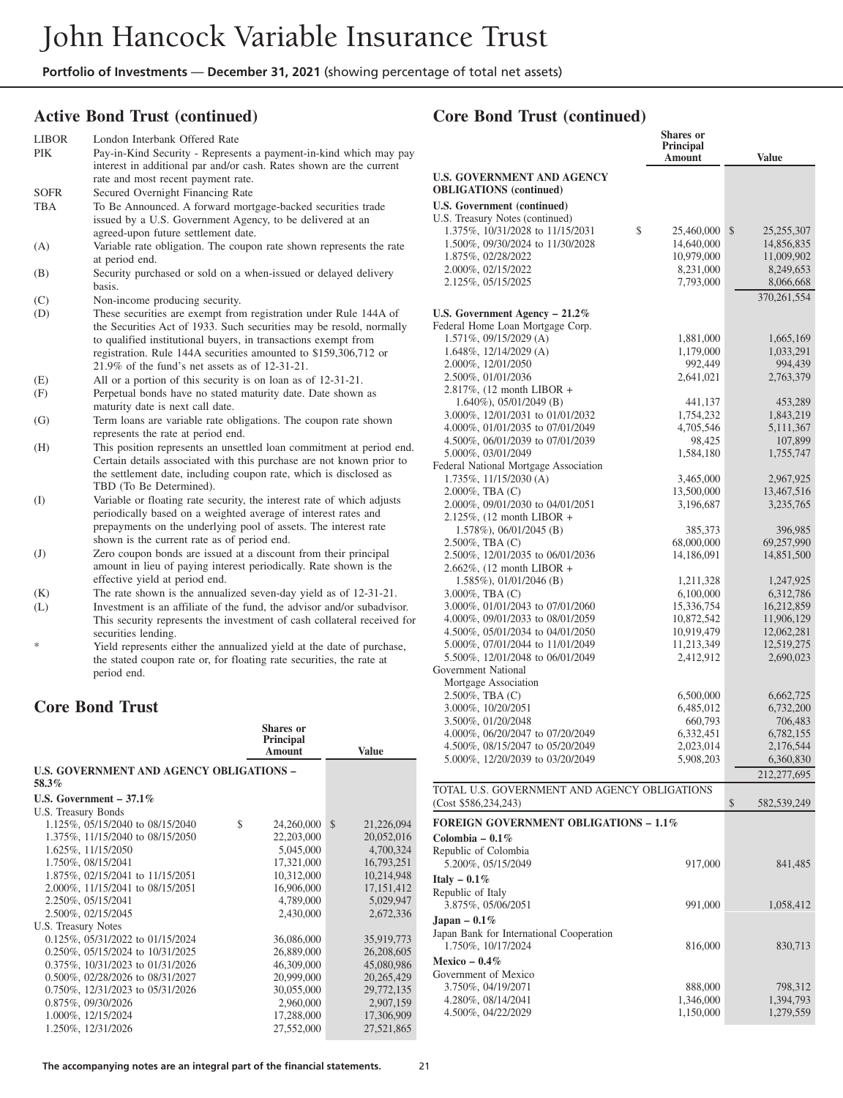## **Active Bond Trust (continued)**

| LIBOR<br>PIK   | London Interbank Offered Rate<br>Pay-in-Kind Security - Represents a payment-in-kind which may pay<br>interest in additional par and/or cash. Rates shown are the current                                                                                                                                                         |  |
|----------------|-----------------------------------------------------------------------------------------------------------------------------------------------------------------------------------------------------------------------------------------------------------------------------------------------------------------------------------|--|
|                | rate and most recent payment rate.                                                                                                                                                                                                                                                                                                |  |
| SOFR           | Secured Overnight Financing Rate                                                                                                                                                                                                                                                                                                  |  |
| TBA            | To Be Announced. A forward mortgage-backed securities trade                                                                                                                                                                                                                                                                       |  |
|                | issued by a U.S. Government Agency, to be delivered at an                                                                                                                                                                                                                                                                         |  |
|                | agreed-upon future settlement date.                                                                                                                                                                                                                                                                                               |  |
| (A)            | Variable rate obligation. The coupon rate shown represents the rate                                                                                                                                                                                                                                                               |  |
|                | at period end.                                                                                                                                                                                                                                                                                                                    |  |
| (B)            | Security purchased or sold on a when-issued or delayed delivery<br>basis.                                                                                                                                                                                                                                                         |  |
| (C)            | Non-income producing security.                                                                                                                                                                                                                                                                                                    |  |
| (D)            | These securities are exempt from registration under Rule 144A of<br>the Securities Act of 1933. Such securities may be resold, normally<br>to qualified institutional buyers, in transactions exempt from<br>registration. Rule 144A securities amounted to \$159,306,712 or<br>$21.9\%$ of the fund's net assets as of 12-31-21. |  |
| (E)            | All or a portion of this security is on loan as of 12-31-21.                                                                                                                                                                                                                                                                      |  |
| (F)            | Perpetual bonds have no stated maturity date. Date shown as                                                                                                                                                                                                                                                                       |  |
|                | maturity date is next call date.                                                                                                                                                                                                                                                                                                  |  |
| (G)            | Term loans are variable rate obligations. The coupon rate shown<br>represents the rate at period end.                                                                                                                                                                                                                             |  |
| (H)            | This position represents an unsettled loan commitment at period end.<br>Certain details associated with this purchase are not known prior to<br>the settlement date, including coupon rate, which is disclosed as<br>TBD (To Be Determined).                                                                                      |  |
| (I)            | Variable or floating rate security, the interest rate of which adjusts<br>periodically based on a weighted average of interest rates and<br>prepayments on the underlying pool of assets. The interest rate<br>shown is the current rate as of period end.                                                                        |  |
| $\mathrm{(J)}$ | Zero coupon bonds are issued at a discount from their principal                                                                                                                                                                                                                                                                   |  |
|                | amount in lieu of paying interest periodically. Rate shown is the                                                                                                                                                                                                                                                                 |  |
|                | effective yield at period end.                                                                                                                                                                                                                                                                                                    |  |
| (K)            | The rate shown is the annualized seven-day yield as of 12-31-21.                                                                                                                                                                                                                                                                  |  |
| (L)            | Investment is an affiliate of the fund, the advisor and/or subadvisor.                                                                                                                                                                                                                                                            |  |
|                | This security represents the investment of cash collateral received for                                                                                                                                                                                                                                                           |  |
| ∗              | securities lending.                                                                                                                                                                                                                                                                                                               |  |
|                | Yield represents either the annualized yield at the date of purchase,                                                                                                                                                                                                                                                             |  |

the stated coupon rate or, for floating rate securities, the rate at period end.

## **Core Bond Trust**

|                                                 | Shares or<br>Principal<br><b>Amount</b> | <b>Value</b>                |
|-------------------------------------------------|-----------------------------------------|-----------------------------|
| <b>U.S. GOVERNMENT AND AGENCY OBLIGATIONS -</b> |                                         |                             |
| 58.3%                                           |                                         |                             |
| U.S. Government $-37.1\%$                       |                                         |                             |
| U.S. Treasury Bonds                             |                                         |                             |
| 1.125%, 05/15/2040 to 08/15/2040                | \$<br>24,260,000                        | $\mathcal{S}$<br>21,226,094 |
| 1.375%, 11/15/2040 to 08/15/2050                | 22,203,000                              | 20,052,016                  |
| 1.625%, 11/15/2050                              | 5,045,000                               | 4,700,324                   |
| 1.750%, 08/15/2041                              | 17,321,000                              | 16,793,251                  |
| 1.875%, 02/15/2041 to 11/15/2051                | 10,312,000                              | 10,214,948                  |
| 2.000%, 11/15/2041 to 08/15/2051                | 16,906,000                              | 17, 151, 412                |
| 2.250%, 05/15/2041                              | 4,789,000                               | 5,029,947                   |
| 2.500%, 02/15/2045                              | 2,430,000                               | 2,672,336                   |
| U.S. Treasury Notes                             |                                         |                             |
| 0.125%, 05/31/2022 to 01/15/2024                | 36,086,000                              | 35,919,773                  |
| 0.250%, 05/15/2024 to 10/31/2025                | 26,889,000                              | 26,208,605                  |
| 0.375%, 10/31/2023 to 01/31/2026                | 46,309,000                              | 45,080,986                  |
| 0.500%, 02/28/2026 to 08/31/2027                | 20,999,000                              | 20,265,429                  |
| 0.750%, 12/31/2023 to 05/31/2026                | 30,055,000                              | 29,772,135                  |
| 0.875%, 09/30/2026                              | 2,960,000                               | 2,907,159                   |
| 1.000%, 12/15/2024                              | 17,288,000                              | 17,306,909                  |
| 1.250%, 12/31/2026                              | 27,552,000                              | 27,521,865                  |

|                                                                      | <b>Shares</b> or<br>Principal<br>Amount | <b>Value</b>             |
|----------------------------------------------------------------------|-----------------------------------------|--------------------------|
| <b>U.S. GOVERNMENT AND AGENCY</b><br><b>OBLIGATIONS</b> (continued)  |                                         |                          |
| U.S. Government (continued)                                          |                                         |                          |
| U.S. Treasury Notes (continued)                                      |                                         |                          |
| 1.375%, 10/31/2028 to 11/15/2031<br>\$                               | 25,460,000                              | \$<br>25,255,307         |
| 1.500%, 09/30/2024 to 11/30/2028<br>1.875%, 02/28/2022               | 14,640,000<br>10,979,000                | 14,856,835<br>11,009,902 |
| 2.000%, 02/15/2022                                                   | 8,231,000                               | 8,249,653                |
| 2.125%, 05/15/2025                                                   | 7,793,000                               | 8,066,668                |
|                                                                      |                                         | 370, 261, 554            |
| U.S. Government Agency $-21.2\%$                                     |                                         |                          |
| Federal Home Loan Mortgage Corp.                                     |                                         |                          |
| 1.571%, 09/15/2029 (A)                                               | 1,881,000                               | 1,665,169                |
| $1.648\%, 12/14/2029$ (A)                                            | 1,179,000                               | 1,033,291                |
| 2.000%, 12/01/2050                                                   | 992,449                                 | 994,439                  |
| 2.500%, 01/01/2036                                                   | 2,641,021                               | 2,763,379                |
| 2.817%, $(12 \text{ month LIBOR } +$<br>$1.640\%$ , 05/01/2049 (B)   |                                         |                          |
| 3.000%, 12/01/2031 to 01/01/2032                                     | 441,137<br>1,754,232                    | 453,289<br>1,843,219     |
| 4.000%, 01/01/2035 to 07/01/2049                                     | 4,705,546                               | 5, 111, 367              |
| 4.500%, 06/01/2039 to 07/01/2039                                     | 98,425                                  | 107,899                  |
| 5.000%, 03/01/2049                                                   | 1,584,180                               | 1,755,747                |
| Federal National Mortgage Association                                |                                         |                          |
| 1.735%, 11/15/2030 (A)                                               | 3,465,000                               | 2,967,925                |
| $2.000\%$ , TBA $(C)$                                                | 13,500,000                              | 13,467,516               |
| 2.000%, 09/01/2030 to 04/01/2051<br>$2.125\%$ , (12 month LIBOR +    | 3,196,687                               | 3,235,765                |
| $1.578\%$ , 06/01/2045 (B)                                           | 385,373                                 | 396,985                  |
| 2.500%, TBA (C)                                                      | 68,000,000                              | 69,257,990               |
| 2.500\%, 12/01/2035 to 06/01/2036                                    | 14,186,091                              | 14,851,500               |
| 2.662%, $(12 \text{ month LIBOR } +$                                 |                                         |                          |
| $1.585\%$ , 01/01/2046 (B)                                           | 1,211,328                               | 1,247,925                |
| $3.000\%$ , TBA $(C)$                                                | 6,100,000                               | 6,312,786                |
| 3.000\%, 01/01/2043 to 07/01/2060                                    | 15,336,754                              | 16,212,859               |
| 4.000%, 09/01/2033 to 08/01/2059<br>4.500%, 05/01/2034 to 04/01/2050 | 10,872,542<br>10,919,479                | 11,906,129<br>12,062,281 |
| 5.000%, 07/01/2044 to 11/01/2049                                     | 11,213,349                              | 12,519,275               |
| 5.500%, 12/01/2048 to 06/01/2049                                     | 2,412,912                               | 2,690,023                |
| Government National                                                  |                                         |                          |
| Mortgage Association                                                 |                                         |                          |
| 2.500%, TBA (C)                                                      | 6,500,000                               | 6,662,725                |
| 3.000%, 10/20/2051                                                   | 6,485,012                               | 6,732,200                |
| 3.500%, 01/20/2048<br>4.000%, 06/20/2047 to 07/20/2049               | 660,793<br>6,332,451                    | 706,483<br>6,782,155     |
| 4.500%, 08/15/2047 to 05/20/2049                                     | 2,023,014                               | 2,176,544                |
| 5.000%, 12/20/2039 to 03/20/2049                                     | 5,908,203                               | 6,360,830                |
|                                                                      |                                         | 212,277,695              |
| TOTAL U.S. GOVERNMENT AND AGENCY OBLIGATIONS                         |                                         |                          |
| (Cost \$586,234,243)                                                 |                                         | \$<br>582,539,249        |
| <b>FOREIGN GOVERNMENT OBLIGATIONS - 1.1%</b>                         |                                         |                          |
|                                                                      |                                         |                          |
| Colombia – $0.1\%$<br>Republic of Colombia                           |                                         |                          |
| 5.200%, 05/15/2049                                                   | 917,000                                 | 841,485                  |
| Italy $-0.1\%$                                                       |                                         |                          |
| Republic of Italy                                                    |                                         |                          |
| 3.875%, 05/06/2051                                                   | 991,000                                 | 1,058,412                |
| Japan – $0.1\%$                                                      |                                         |                          |
| Japan Bank for International Cooperation                             |                                         |                          |
| 1.750%, 10/17/2024                                                   | 816,000                                 | 830,713                  |
| Mexico $-0.4\%$                                                      |                                         |                          |
| Government of Mexico                                                 |                                         |                          |
| 3.750%, 04/19/2071                                                   | 888,000                                 | 798,312                  |
| 4.280%, 08/14/2041                                                   | 1,346,000                               | 1,394,793                |
| 4.500%, 04/22/2029                                                   | 1,150,000                               | 1,279,559                |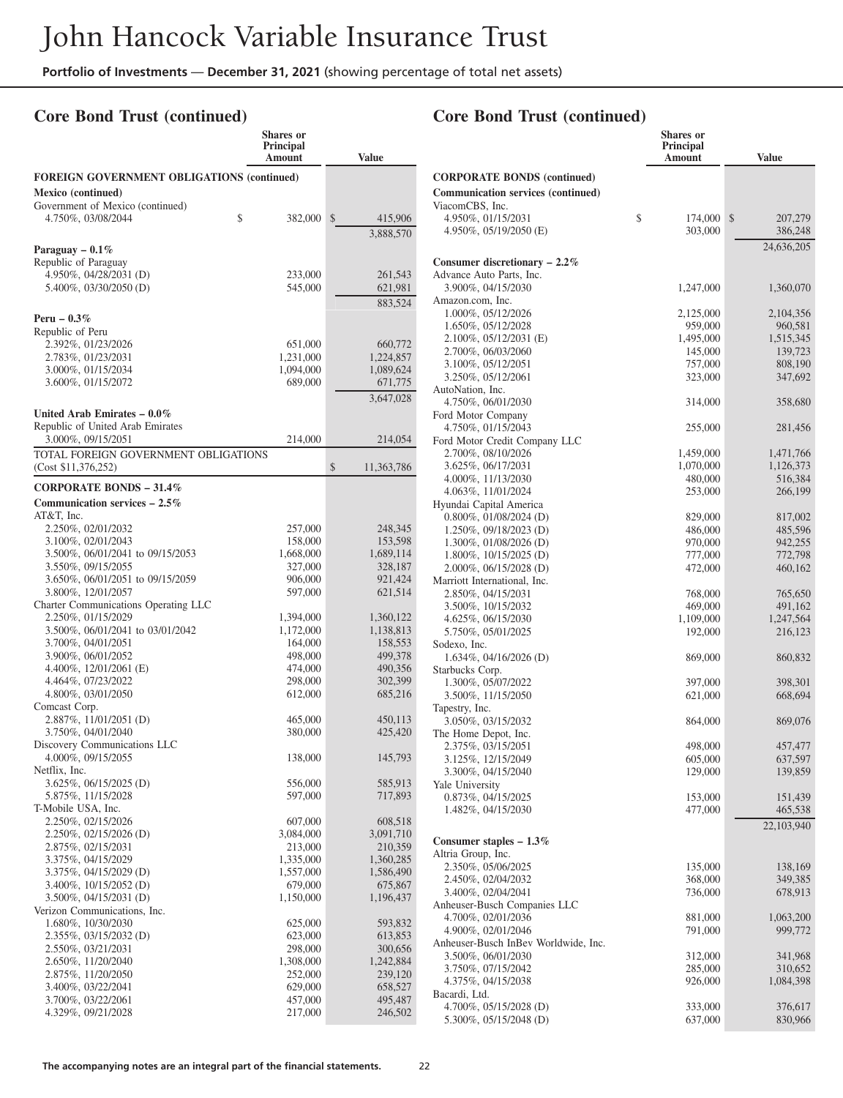**Shares or**

## **Core Bond Trust (continued)**

|                                                             | <b>Principal</b><br>Amount | <b>Value</b>         |
|-------------------------------------------------------------|----------------------------|----------------------|
| <b>FOREIGN GOVERNMENT OBLIGATIONS (continued)</b>           |                            |                      |
| Mexico (continued)                                          |                            |                      |
| Government of Mexico (continued)                            |                            |                      |
| 4.750%, 03/08/2044                                          | \$<br>382,000              | \$<br>415,906        |
|                                                             |                            | 3,888,570            |
| Paraguay $-0.1\%$                                           |                            |                      |
| Republic of Paraguay<br>4.950%, 04/28/2031 (D)              | 233,000                    | 261,543              |
| 5.400%, 03/30/2050 (D)                                      | 545,000                    | 621,981              |
|                                                             |                            | 883,524              |
| Peru - $0.3\%$                                              |                            |                      |
| Republic of Peru                                            |                            |                      |
| 2.392%, 01/23/2026                                          | 651,000                    | 660,772              |
| 2.783%, 01/23/2031                                          | 1,231,000                  | 1,224,857            |
| 3.000%, 01/15/2034<br>3.600%, 01/15/2072                    | 1,094,000<br>689,000       | 1,089,624<br>671,775 |
|                                                             |                            | 3,647,028            |
| United Arab Emirates $-0.0\%$                               |                            |                      |
| Republic of United Arab Emirates                            |                            |                      |
| 3.000%, 09/15/2051                                          | 214,000                    | 214,054              |
| TOTAL FOREIGN GOVERNMENT OBLIGATIONS<br>(Cost \$11,376,252) |                            | \$<br>11,363,786     |
| <b>CORPORATE BONDS - 31.4%</b>                              |                            |                      |
| Communication services $-2.5\%$                             |                            |                      |
| AT&T, Inc.                                                  |                            |                      |
| 2.250%, 02/01/2032                                          | 257,000                    | 248,345              |
| 3.100%, 02/01/2043                                          | 158,000                    | 153,598              |
| 3.500%, 06/01/2041 to 09/15/2053                            | 1,668,000                  | 1,689,114            |
| 3.550%, 09/15/2055                                          | 327,000                    | 328,187              |
| 3.650%, 06/01/2051 to 09/15/2059                            | 906,000                    | 921,424              |
| 3.800%, 12/01/2057                                          | 597,000                    | 621,514              |
| Charter Communications Operating LLC<br>2.250%, 01/15/2029  | 1,394,000                  | 1,360,122            |
| 3.500%, 06/01/2041 to 03/01/2042                            | 1,172,000                  | 1,138,813            |
| 3.700%, 04/01/2051                                          | 164,000                    | 158,553              |
| 3.900%, 06/01/2052                                          | 498,000                    | 499,378              |
| 4.400\%, $12/01/2061$ (E)                                   | 474,000                    | 490,356              |
| 4.464%, 07/23/2022                                          | 298,000                    | 302,399              |
| 4.800%, 03/01/2050                                          | 612,000                    | 685,216              |
| Comcast Corp.                                               |                            |                      |
| 2.887%, 11/01/2051 (D)<br>3.750%, 04/01/2040                | 465,000<br>380,000         | 450,113<br>425,420   |
| Discovery Communications LLC                                |                            |                      |
| 4.000%, 09/15/2055                                          | 138,000                    | 145,793              |
| Netflix, Inc.                                               |                            |                      |
| 3.625%, 06/15/2025 (D)                                      | 556,000                    | 585,913              |
| 5.875%, 11/15/2028                                          | 597,000                    | 717,893              |
| T-Mobile USA, Inc.                                          |                            |                      |
| 2.250%, 02/15/2026<br>2.250%, 02/15/2026 (D)                | 607,000<br>3,084,000       | 608,518<br>3,091,710 |
| 2.875%, 02/15/2031                                          | 213,000                    | 210,359              |
| 3.375%, 04/15/2029                                          | 1,335,000                  | 1,360,285            |
| 3.375%, 04/15/2029 (D)                                      | 1,557,000                  | 1,586,490            |
| 3.400%, 10/15/2052 (D)                                      | 679,000                    | 675,867              |
| 3.500%, 04/15/2031 (D)                                      | 1,150,000                  | 1,196,437            |
| Verizon Communications, Inc.                                |                            |                      |
| 1.680%, 10/30/2030                                          | 625,000                    | 593,832              |
| 2.355%, 03/15/2032 (D)                                      | 623,000                    | 613,853              |
| 2.550%, 03/21/2031                                          | 298,000                    | 300,656              |
| 2.650%, 11/20/2040                                          | 1,308,000                  | 1,242,884            |
| 2.875%, 11/20/2050                                          | 252,000                    | 239,120<br>658,527   |
| 3.400%, 03/22/2041<br>3.700%, 03/22/2061                    | 629,000<br>457,000         | 495,487              |
| 4.329%, 09/21/2028                                          | 217,000                    | 246,502              |
|                                                             |                            |                      |

|                                                            | <b>Shares</b> or<br><b>Principal</b><br>Amount | Value                |
|------------------------------------------------------------|------------------------------------------------|----------------------|
| <b>CORPORATE BONDS (continued)</b>                         |                                                |                      |
| <b>Communication services (continued)</b>                  |                                                |                      |
| ViacomCBS, Inc.                                            |                                                |                      |
| 4.950%, 01/15/2031                                         | \$<br>174,000                                  | \$<br>207,279        |
| 4.950\%, 05/19/2050 (E)                                    | 303,000                                        | 386,248              |
|                                                            |                                                | 24,636,205           |
| Consumer discretionary $-2.2\%$                            |                                                |                      |
| Advance Auto Parts, Inc.                                   |                                                |                      |
| 3.900%, 04/15/2030                                         | 1,247,000                                      | 1,360,070            |
| Amazon.com, Inc.<br>1.000%, 05/12/2026                     |                                                |                      |
| 1.650%, 05/12/2028                                         | 2,125,000<br>959,000                           | 2,104,356<br>960,581 |
| 2.100%, 05/12/2031 (E)                                     | 1,495,000                                      | 1,515,345            |
| 2.700%, 06/03/2060                                         | 145,000                                        | 139,723              |
| 3.100%, 05/12/2051                                         | 757,000                                        | 808,190              |
| 3.250%, 05/12/2061                                         | 323,000                                        | 347,692              |
| AutoNation, Inc.                                           |                                                |                      |
| 4.750%, 06/01/2030                                         | 314,000                                        | 358,680              |
| Ford Motor Company                                         |                                                |                      |
| 4.750%, 01/15/2043                                         | 255,000                                        | 281,456              |
| Ford Motor Credit Company LLC                              |                                                |                      |
| 2.700%, 08/10/2026                                         | 1,459,000                                      | 1,471,766            |
| 3.625%, 06/17/2031<br>4.000%, 11/13/2030                   | 1,070,000<br>480,000                           | 1,126,373<br>516,384 |
| 4.063%, 11/01/2024                                         | 253,000                                        | 266,199              |
| Hyundai Capital America                                    |                                                |                      |
| $0.800\%$ , $01/08/2024$ (D)                               | 829,000                                        | 817,002              |
| 1.250%, 09/18/2023 (D)                                     | 486,000                                        | 485,596              |
| 1.300%, 01/08/2026 (D)                                     | 970,000                                        | 942,255              |
| 1.800%, 10/15/2025 (D)                                     | 777,000                                        | 772,798              |
| 2.000%, 06/15/2028 (D)                                     | 472,000                                        | 460,162              |
| Marriott International, Inc.                               |                                                |                      |
| 2.850%, 04/15/2031                                         | 768,000                                        | 765,650              |
| 3.500%, 10/15/2032                                         | 469,000                                        | 491,162              |
| 4.625%, 06/15/2030<br>5.750%, 05/01/2025                   | 1,109,000<br>192,000                           | 1,247,564<br>216,123 |
| Sodexo, Inc.                                               |                                                |                      |
| $1.634\%, 04/16/2026$ (D)                                  | 869,000                                        | 860,832              |
| Starbucks Corp.                                            |                                                |                      |
| 1.300%, 05/07/2022                                         | 397,000                                        | 398,301              |
| 3.500%, 11/15/2050                                         | 621,000                                        | 668,694              |
| Tapestry, Inc.                                             |                                                |                      |
| 3.050%, 03/15/2032                                         | 864,000                                        | 869,076              |
| The Home Depot, Inc.<br>2.375%, 03/15/2051                 | 498,000                                        | 457,477              |
| 3.125%, 12/15/2049                                         | 605,000                                        | 637,597              |
| 3.300%, 04/15/2040                                         | 129,000                                        | 139,859              |
| Yale University                                            |                                                |                      |
| 0.873%, 04/15/2025                                         | 153,000                                        | 151,439              |
| 1.482%, 04/15/2030                                         | 477,000                                        | 465,538              |
|                                                            |                                                | 22,103,940           |
| Consumer staples $-1.3\%$                                  |                                                |                      |
| Altria Group, Inc.                                         |                                                |                      |
| 2.350%, 05/06/2025                                         | 135,000                                        | 138,169              |
| 2.450%, 02/04/2032                                         | 368,000                                        | 349,385              |
| 3.400%, 02/04/2041                                         | 736,000                                        | 678,913              |
| Anheuser-Busch Companies LLC                               |                                                |                      |
| 4.700%, 02/01/2036                                         | 881,000<br>791,000                             | 1,063,200            |
| 4.900%, 02/01/2046<br>Anheuser-Busch InBev Worldwide, Inc. |                                                | 999,772              |
| 3.500%, 06/01/2030                                         | 312,000                                        | 341,968              |
| 3.750%, 07/15/2042                                         | 285,000                                        | 310,652              |
| 4.375%, 04/15/2038                                         | 926,000                                        | 1,084,398            |
| Bacardi, Ltd.                                              |                                                |                      |
| 4.700%, $05/15/2028$ (D)                                   | 333,000                                        | 376,617              |
| 5.300%, 05/15/2048 (D)                                     | 637,000                                        | 830,966              |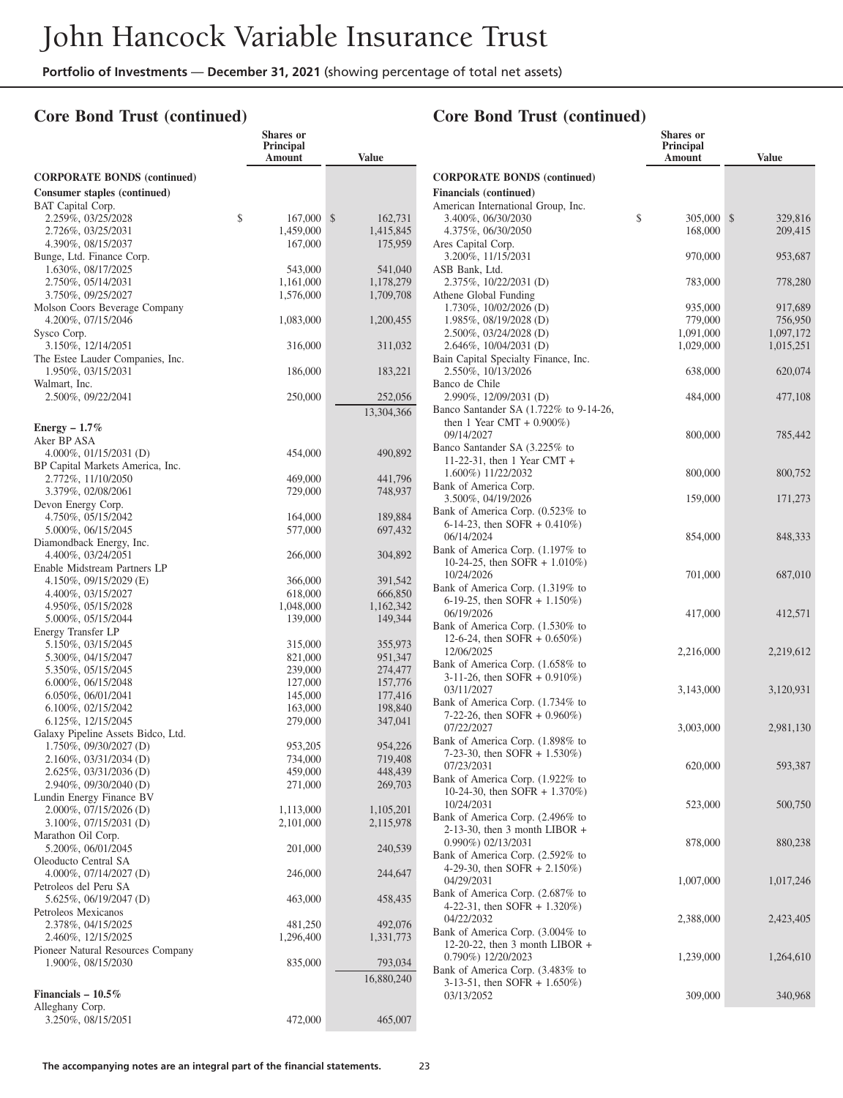**Shares or**

#### **Core Bond Trust (continued)**

|                                                              | Principal<br>Amount    | <b>Value</b>           |
|--------------------------------------------------------------|------------------------|------------------------|
| <b>CORPORATE BONDS (continued)</b>                           |                        |                        |
| <b>Consumer staples (continued)</b>                          |                        |                        |
| <b>BAT</b> Capital Corp.                                     |                        |                        |
| 2.259%, 03/25/2028                                           | \$<br>167,000          | \$<br>162,731          |
| 2.726%, 03/25/2031<br>4.390%, 08/15/2037                     | 1,459,000<br>167,000   | 1,415,845<br>175,959   |
| Bunge, Ltd. Finance Corp.                                    |                        |                        |
| 1.630%, 08/17/2025                                           | 543,000                | 541,040                |
| 2.750%, 05/14/2031<br>3.750%, 09/25/2027                     | 1,161,000<br>1,576,000 | 1,178,279<br>1,709,708 |
| Molson Coors Beverage Company                                |                        |                        |
| 4.200%, 07/15/2046                                           | 1,083,000              | 1,200,455              |
| Sysco Corp.<br>3.150%, 12/14/2051                            | 316,000                | 311,032                |
| The Estee Lauder Companies, Inc.                             |                        |                        |
| 1.950%, 03/15/2031                                           | 186,000                | 183,221                |
| Walmart, Inc.<br>2.500%, 09/22/2041                          | 250,000                | 252,056                |
|                                                              |                        | 13,304,366             |
| Energy $-1.7\%$                                              |                        |                        |
| Aker BP ASA                                                  |                        |                        |
| 4.000%, $01/15/2031$ (D)                                     | 454,000                | 490,892                |
| BP Capital Markets America, Inc.<br>2.772%, 11/10/2050       | 469,000                | 441,796                |
| 3.379%, 02/08/2061                                           | 729,000                | 748,937                |
| Devon Energy Corp.                                           |                        |                        |
| 4.750%, 05/15/2042<br>5.000%, 06/15/2045                     | 164,000<br>577,000     | 189,884<br>697,432     |
| Diamondback Energy, Inc.                                     |                        |                        |
| 4.400%, 03/24/2051                                           | 266,000                | 304,892                |
| Enable Midstream Partners LP<br>4.150%, 09/15/2029 (E)       | 366,000                | 391,542                |
| 4.400%, 03/15/2027                                           | 618,000                | 666,850                |
| 4.950%, 05/15/2028                                           | 1,048,000              | 1,162,342              |
| 5.000%, 05/15/2044<br>Energy Transfer LP                     | 139,000                | 149,344                |
| 5.150%, 03/15/2045                                           | 315,000                | 355,973                |
| 5.300%, 04/15/2047                                           | 821,000                | 951,347                |
| 5.350%, 05/15/2045                                           | 239,000                | 274,477                |
| 6.000%, 06/15/2048<br>$6.050\%$ , $06/01/2041$               | 127,000<br>145,000     | 157,776<br>177,416     |
| $6.100\%$ , 02/15/2042                                       | 163,000                | 198,840                |
| 6.125%, 12/15/2045                                           | 279,000                | 347,041                |
| Galaxy Pipeline Assets Bidco, Ltd.<br>1.750%, 09/30/2027 (D) | 953,205                | 954,226                |
| $2.160\%$ , 03/31/2034 (D)                                   | 734,000                | 719,408                |
| 2.625%, 03/31/2036 (D)                                       | 459,000                | 448,439                |
| 2.940%, 09/30/2040 (D)<br>Lundin Energy Finance BV           | 271,000                | 269,703                |
| 2.000%, 07/15/2026 (D)                                       | 1,113,000              | 1,105,201              |
| 3.100%, 07/15/2031 (D)                                       | 2,101,000              | 2,115,978              |
| Marathon Oil Corp.<br>5.200%, 06/01/2045                     | 201,000                | 240,539                |
| Oleoducto Central SA                                         |                        |                        |
| 4.000%, $07/14/2027$ (D)                                     | 246,000                | 244,647                |
| Petroleos del Peru SA<br>5.625%, 06/19/2047 (D)              | 463,000                | 458,435                |
| Petroleos Mexicanos                                          |                        |                        |
| 2.378%, 04/15/2025                                           | 481,250                | 492,076                |
| 2.460%, 12/15/2025<br>Pioneer Natural Resources Company      | 1,296,400              | 1,331,773              |
| 1.900%, 08/15/2030                                           | 835,000                | 793,034                |
|                                                              |                        | 16,880,240             |
| Financials $-10.5\%$                                         |                        |                        |
| Alleghany Corp.                                              |                        |                        |
| 3.250%, 08/15/2051                                           | 472,000                | 465,007                |

|                                                                      | <b>Shares or</b><br>Principal<br>Amount | Value                    |
|----------------------------------------------------------------------|-----------------------------------------|--------------------------|
| <b>CORPORATE BONDS (continued)</b>                                   |                                         |                          |
| <b>Financials (continued)</b>                                        |                                         |                          |
| American International Group, Inc.                                   |                                         |                          |
| 3.400\%, 06/30/2030<br>4.375%, 06/30/2050                            | \$<br>305,000                           | \$<br>329,816<br>209,415 |
| Ares Capital Corp.                                                   | 168,000                                 |                          |
| 3.200%, 11/15/2031                                                   | 970,000                                 | 953,687                  |
| ASB Bank, Ltd.                                                       |                                         |                          |
| 2.375%, 10/22/2031 (D)                                               | 783,000                                 | 778,280                  |
| Athene Global Funding<br>1.730%, 10/02/2026 (D)                      | 935,000                                 | 917,689                  |
| 1.985%, 08/19/2028 (D)                                               | 779,000                                 | 756,950                  |
| 2.500%, 03/24/2028 (D)                                               | 1,091,000                               | 1,097,172                |
| 2.646%, 10/04/2031 (D)                                               | 1,029,000                               | 1,015,251                |
| Bain Capital Specialty Finance, Inc.                                 |                                         |                          |
| 2.550%, 10/13/2026<br>Banco de Chile                                 | 638,000                                 | 620,074                  |
| 2.990%, 12/09/2031 (D)                                               | 484,000                                 | 477,108                  |
| Banco Santander SA (1.722% to 9-14-26,                               |                                         |                          |
| then 1 Year CMT + $0.900\%$ )                                        |                                         |                          |
| 09/14/2027                                                           | 800,000                                 | 785,442                  |
| Banco Santander SA (3.225% to                                        |                                         |                          |
| 11-22-31, then 1 Year CMT +<br>1.600%) 11/22/2032                    | 800,000                                 | 800,752                  |
| Bank of America Corp.                                                |                                         |                          |
| 3.500%, 04/19/2026                                                   | 159,000                                 | 171,273                  |
| Bank of America Corp. (0.523% to                                     |                                         |                          |
| 6-14-23, then SOFR $+$ 0.410%)                                       |                                         |                          |
| 06/14/2024<br>Bank of America Corp. (1.197% to                       | 854,000                                 | 848,333                  |
| 10-24-25, then SOFR $+$ 1.010%)                                      |                                         |                          |
| 10/24/2026                                                           | 701,000                                 | 687,010                  |
| Bank of America Corp. (1.319% to                                     |                                         |                          |
| 6-19-25, then SOFR $+$ 1.150%)                                       |                                         |                          |
| 06/19/2026<br>Bank of America Corp. (1.530% to                       | 417,000                                 | 412,571                  |
| 12-6-24, then SOFR $+$ 0.650%)                                       |                                         |                          |
| 12/06/2025                                                           | 2,216,000                               | 2,219,612                |
| Bank of America Corp. (1.658% to                                     |                                         |                          |
| $3-11-26$ , then SOFR + 0.910%)                                      |                                         |                          |
| 03/11/2027                                                           | 3,143,000                               | 3,120,931                |
| Bank of America Corp. (1.734% to<br>7-22-26, then SOFR $+$ 0.960%)   |                                         |                          |
| 07/22/2027                                                           | 3,003,000                               | 2,981,130                |
| Bank of America Corp. (1.898% to                                     |                                         |                          |
| 7-23-30, then SOFR + 1.530%)                                         |                                         |                          |
| 07/23/2031<br>Bank of America Corp. (1.922% to                       | 620,000                                 | 593,387                  |
| 10-24-30, then SOFR $+ 1.370\%$ )                                    |                                         |                          |
| 10/24/2031                                                           | 523,000                                 | 500,750                  |
| Bank of America Corp. (2.496% to                                     |                                         |                          |
| 2-13-30, then 3 month LIBOR +                                        |                                         |                          |
| 0.990%) 02/13/2031                                                   | 878,000                                 | 880,238                  |
| Bank of America Corp. (2.592% to<br>4-29-30, then SOFR $+ 2.150\%)$  |                                         |                          |
| 04/29/2031                                                           | 1,007,000                               | 1,017,246                |
| Bank of America Corp. (2.687% to                                     |                                         |                          |
| 4-22-31, then SOFR + 1.320%)                                         |                                         |                          |
| 04/22/2032                                                           | 2,388,000                               | 2,423,405                |
| Bank of America Corp. (3.004% to<br>12-20-22, then 3 month LIBOR $+$ |                                         |                          |
| 0.790%) 12/20/2023                                                   | 1,239,000                               | 1,264,610                |
| Bank of America Corp. (3.483% to                                     |                                         |                          |
| 3-13-51, then SOFR + $1.650\%$ )                                     |                                         |                          |
| 03/13/2052                                                           | 309,000                                 | 340,968                  |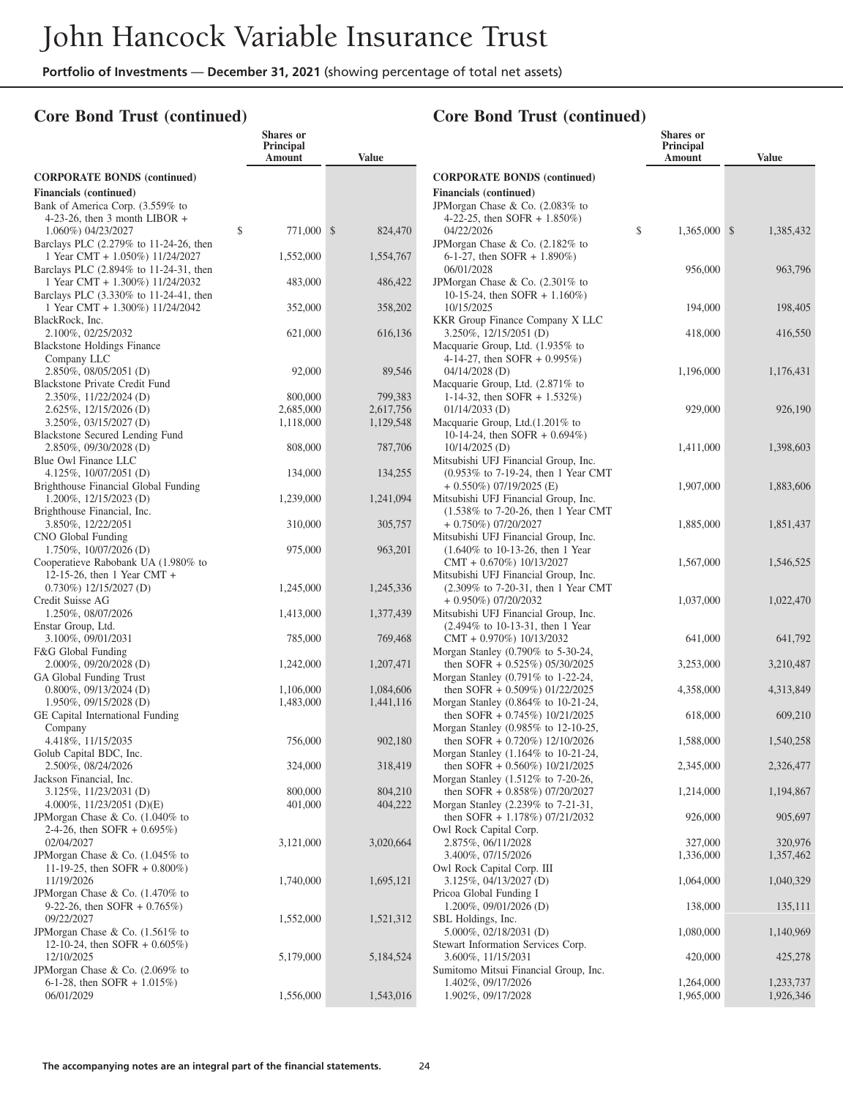**Shares or**

#### **Core Bond Trust (continued)**

|                                                                    | Principal<br>Amount  | <b>Value</b>           |
|--------------------------------------------------------------------|----------------------|------------------------|
| <b>CORPORATE BONDS (continued)</b>                                 |                      |                        |
| <b>Financials (continued)</b>                                      |                      |                        |
| Bank of America Corp. (3.559% to                                   |                      |                        |
| 4-23-26, then 3 month LIBOR $+$                                    |                      |                        |
| \$<br>1.060%) 04/23/2027<br>Barclays PLC (2.279% to 11-24-26, then | 771,000              | \$<br>824,470          |
| 1 Year CMT + 1.050%) 11/24/2027                                    | 1,552,000            | 1,554,767              |
| Barclays PLC (2.894% to 11-24-31, then                             |                      |                        |
| 1 Year CMT + 1.300%) 11/24/2032                                    | 483,000              | 486,422                |
| Barclays PLC (3.330% to 11-24-41, then                             |                      |                        |
| 1 Year CMT + 1.300%) 11/24/2042<br>BlackRock, Inc.                 | 352,000              | 358,202                |
| 2.100%, 02/25/2032                                                 | 621,000              | 616,136                |
| <b>Blackstone Holdings Finance</b>                                 |                      |                        |
| Company LLC                                                        |                      |                        |
| 2.850%, 08/05/2051 (D)                                             | 92,000               | 89,546                 |
| <b>Blackstone Private Credit Fund</b>                              |                      |                        |
| 2.350%, 11/22/2024 (D)<br>$2.625\%, 12/15/2026$ (D)                | 800,000<br>2,685,000 | 799,383                |
| 3.250%, 03/15/2027 (D)                                             | 1,118,000            | 2,617,756<br>1,129,548 |
| Blackstone Secured Lending Fund                                    |                      |                        |
| 2.850%, 09/30/2028 (D)                                             | 808,000              | 787,706                |
| Blue Owl Finance LLC                                               |                      |                        |
| 4.125%, $10/07/2051$ (D)                                           | 134,000              | 134,255                |
| Brighthouse Financial Global Funding                               |                      |                        |
| 1.200%, 12/15/2023 (D)                                             | 1,239,000            | 1,241,094              |
| Brighthouse Financial, Inc.<br>3.850%, 12/22/2051                  | 310,000              | 305,757                |
| CNO Global Funding                                                 |                      |                        |
| $1.750\%, 10/07/2026$ (D)                                          | 975,000              | 963,201                |
| Cooperatieve Rabobank UA (1.980% to                                |                      |                        |
| 12-15-26, then 1 Year CMT $+$                                      |                      |                        |
| $0.730\%) 12/15/2027 (D)$                                          | 1,245,000            | 1,245,336              |
| Credit Suisse AG                                                   |                      |                        |
| 1.250%, 08/07/2026                                                 | 1,413,000            | 1,377,439              |
| Enstar Group, Ltd.<br>3.100%, 09/01/2031                           | 785,000              | 769,468                |
| F&G Global Funding                                                 |                      |                        |
| 2.000%, 09/20/2028 (D)                                             | 1,242,000            | 1,207,471              |
| GA Global Funding Trust                                            |                      |                        |
| 0.800%, 09/13/2024 (D)                                             | 1,106,000            | 1,084,606              |
| $1.950\%, 09/15/2028$ (D)                                          | 1,483,000            | 1,441,116              |
| GE Capital International Funding                                   |                      |                        |
| Company                                                            |                      |                        |
| 4.418%, 11/15/2035<br>Golub Capital BDC, Inc.                      | 756,000              | 902,180                |
| 2.500%, 08/24/2026                                                 | 324,000              | 318,419                |
| Jackson Financial, Inc.                                            |                      |                        |
| 3.125%, 11/23/2031 (D)                                             | 800,000              | 804,210                |
| 4.000%, $11/23/2051$ (D)(E)                                        | 401,000              | 404,222                |
| JPMorgan Chase & Co. (1.040% to                                    |                      |                        |
| 2-4-26, then SOFR $+$ 0.695%)                                      |                      |                        |
| 02/04/2027                                                         | 3,121,000            | 3,020,664              |
| JPMorgan Chase & Co. (1.045% to                                    |                      |                        |
| 11-19-25, then SOFR $+$ 0.800%)<br>11/19/2026                      | 1,740,000            | 1,695,121              |
| JPMorgan Chase & Co. (1.470% to                                    |                      |                        |
| 9-22-26, then SOFR $+$ 0.765%)                                     |                      |                        |
| 09/22/2027                                                         | 1,552,000            | 1,521,312              |
| JPMorgan Chase & Co. (1.561% to                                    |                      |                        |
| 12-10-24, then SOFR $+$ 0.605%)                                    |                      |                        |
| 12/10/2025                                                         | 5,179,000            | 5,184,524              |
| JPMorgan Chase & Co. (2.069% to                                    |                      |                        |
| 6-1-28, then SOFR + $1.015\%$ )                                    |                      |                        |
| 06/01/2029                                                         | 1,556,000            | 1,543,016              |

|                                                                                                        | <b>Shares</b> or<br>Principal<br>Amount | <b>Value</b>           |
|--------------------------------------------------------------------------------------------------------|-----------------------------------------|------------------------|
| <b>CORPORATE BONDS (continued)</b>                                                                     |                                         |                        |
| <b>Financials</b> (continued)                                                                          |                                         |                        |
| JPMorgan Chase & Co. (2.083% to                                                                        |                                         |                        |
| 4-22-25, then SOFR $+ 1.850\%$ )                                                                       | \$                                      |                        |
| 04/22/2026<br>JPM organ Chase & Co. (2.182% to                                                         | 1,365,000                               | \$<br>1,385,432        |
| 6-1-27, then SOFR + $1.890\%$ )                                                                        |                                         |                        |
| 06/01/2028                                                                                             | 956,000                                 | 963,796                |
| JPM organ Chase & Co. $(2.301\%$ to                                                                    |                                         |                        |
| 10-15-24, then SOFR + 1.160%)<br>10/15/2025                                                            | 194,000                                 | 198,405                |
| <b>KKR Group Finance Company X LLC</b>                                                                 |                                         |                        |
| 3.250%, 12/15/2051 (D)                                                                                 | 418,000                                 | 416,550                |
| Macquarie Group, Ltd. (1.935% to                                                                       |                                         |                        |
| 4-14-27, then SOFR $+$ 0.995%)                                                                         |                                         |                        |
| 04/14/2028 (D)<br>Macquarie Group, Ltd. (2.871% to                                                     | 1,196,000                               | 1,176,431              |
| 1-14-32, then SOFR $+$ 1.532%)                                                                         |                                         |                        |
| $01/14/2033$ (D)                                                                                       | 929,000                                 | 926,190                |
| Macquarie Group, Ltd.(1.201% to                                                                        |                                         |                        |
| 10-14-24, then SOFR + $0.694\%$ )                                                                      |                                         |                        |
| 10/14/2025 (D)                                                                                         | 1,411,000                               | 1,398,603              |
| Mitsubishi UFJ Financial Group, Inc.<br>(0.953% to 7-19-24, then 1 Year CMT                            |                                         |                        |
| $+$ 0.550%) 07/19/2025 (E)                                                                             | 1,907,000                               | 1,883,606              |
| Mitsubishi UFJ Financial Group, Inc.                                                                   |                                         |                        |
| (1.538% to 7-20-26, then 1 Year CMT)                                                                   |                                         |                        |
| + 0.750%) 07/20/2027                                                                                   | 1,885,000                               | 1,851,437              |
| Mitsubishi UFJ Financial Group, Inc.<br>$(1.640\% \text{ to } 10-13-26, \text{ then } 1 \text{ Year})$ |                                         |                        |
| $CMT + 0.670\%) 10/13/2027$                                                                            | 1,567,000                               | 1,546,525              |
| Mitsubishi UFJ Financial Group, Inc.                                                                   |                                         |                        |
| (2.309% to 7-20-31, then 1 Year CMT                                                                    |                                         |                        |
| + 0.950%) 07/20/2032                                                                                   | 1,037,000                               | 1,022,470              |
| Mitsubishi UFJ Financial Group, Inc.<br>(2.494% to 10-13-31, then 1 Year                               |                                         |                        |
| CMT + 0.970%) 10/13/2032                                                                               | 641,000                                 | 641,792                |
| Morgan Stanley (0.790% to 5-30-24,                                                                     |                                         |                        |
| then SOFR $+$ 0.525%) 05/30/2025                                                                       | 3,253,000                               | 3,210,487              |
| Morgan Stanley (0.791% to 1-22-24,                                                                     |                                         |                        |
| then SOFR + 0.509%) 01/22/2025<br>Morgan Stanley (0.864% to 10-21-24,                                  | 4,358,000                               | 4,313,849              |
| then SOFR $+$ 0.745%) 10/21/2025                                                                       | 618,000                                 | 609,210                |
| Morgan Stanley (0.985% to 12-10-25,                                                                    |                                         |                        |
| then SOFR + 0.720%) 12/10/2026                                                                         | 1,588,000                               | 1,540,258              |
| Morgan Stanley (1.164% to 10-21-24,<br>then SOFR + 0.560%) 10/21/2025                                  | 2,345,000                               | 2,326,477              |
| Morgan Stanley (1.512% to 7-20-26,                                                                     |                                         |                        |
| then SOFR + 0.858%) 07/20/2027                                                                         | 1,214,000                               | 1,194,867              |
| Morgan Stanley (2.239% to 7-21-31,                                                                     |                                         |                        |
| then SOFR $+ 1.178\%$ ) 07/21/2032                                                                     | 926,000                                 | 905,697                |
| Owl Rock Capital Corp.<br>2.875%, 06/11/2028                                                           | 327,000                                 | 320,976                |
| 3.400%, 07/15/2026                                                                                     | 1,336,000                               | 1,357,462              |
| Owl Rock Capital Corp. III                                                                             |                                         |                        |
| 3.125%, 04/13/2027 (D)                                                                                 | 1,064,000                               | 1,040,329              |
| Pricoa Global Funding I                                                                                |                                         |                        |
| 1.200%, 09/01/2026 (D)                                                                                 | 138,000                                 | 135,111                |
| SBL Holdings, Inc.<br>5.000%, 02/18/2031 (D)                                                           | 1,080,000                               | 1,140,969              |
| Stewart Information Services Corp.                                                                     |                                         |                        |
| 3.600%, 11/15/2031                                                                                     | 420,000                                 | 425,278                |
| Sumitomo Mitsui Financial Group, Inc.                                                                  |                                         |                        |
| 1.402%, 09/17/2026<br>1.902%, 09/17/2028                                                               | 1,264,000<br>1,965,000                  | 1,233,737<br>1,926,346 |
|                                                                                                        |                                         |                        |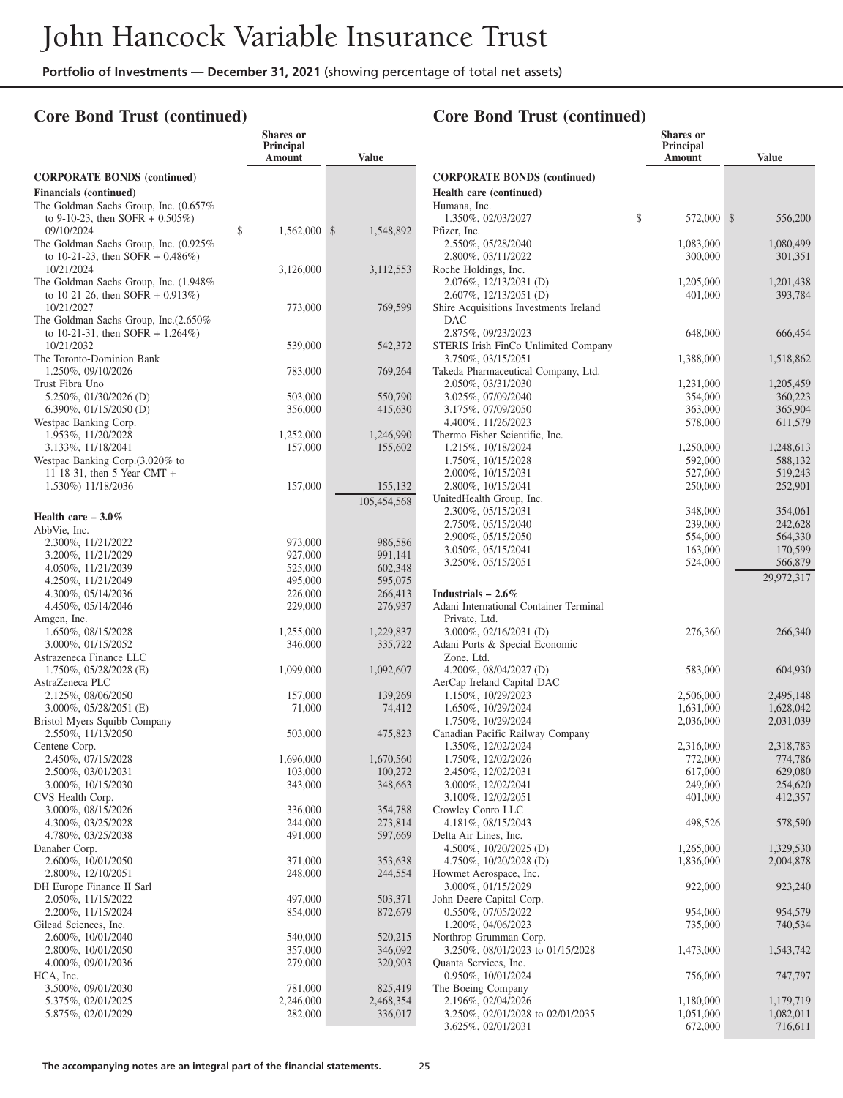**Shares or**

## **Core Bond Trust (continued)**

|                                                                                              | Principal<br>Amount  | <b>Value</b>         |
|----------------------------------------------------------------------------------------------|----------------------|----------------------|
| <b>CORPORATE BONDS (continued)</b>                                                           |                      |                      |
| <b>Financials</b> (continued)                                                                |                      |                      |
| The Goldman Sachs Group, Inc. (0.657%)<br>to 9-10-23, then SOFR $+$ 0.505%)                  |                      |                      |
| 09/10/2024<br>The Goldman Sachs Group, Inc. (0.925%)<br>to 10-21-23, then SOFR + $0.486\%$ ) | \$<br>1,562,000      | \$<br>1,548,892      |
| 10/21/2024<br>The Goldman Sachs Group, Inc. (1.948%                                          | 3,126,000            | 3,112,553            |
| to 10-21-26, then SOFR $+$ 0.913%)<br>10/21/2027<br>The Goldman Sachs Group, Inc. (2.650%    | 773,000              | 769,599              |
| to 10-21-31, then SOFR + $1.264\%$ )<br>10/21/2032<br>The Toronto-Dominion Bank              | 539,000              | 542,372              |
| 1.250%, 09/10/2026<br>Trust Fibra Uno                                                        | 783,000              | 769,264              |
| 5.250%, 01/30/2026 (D)                                                                       | 503,000              | 550,790              |
| $6.390\%$ , 01/15/2050 (D)                                                                   | 356,000              | 415,630              |
| Westpac Banking Corp.                                                                        |                      |                      |
| 1.953%, 11/20/2028                                                                           | 1,252,000            | 1,246,990            |
| 3.133%, 11/18/2041                                                                           | 157,000              | 155,602              |
| Westpac Banking Corp. (3.020% to                                                             |                      |                      |
| 11-18-31, then 5 Year CMT +                                                                  |                      |                      |
| 1.530%) 11/18/2036                                                                           | 157,000              | 155,132              |
|                                                                                              |                      | 105,454,568          |
| Health care $-3.0\%$                                                                         |                      |                      |
| AbbVie, Inc.                                                                                 |                      |                      |
| 2.300%, 11/21/2022                                                                           | 973,000              | 986,586              |
| 3.200%, 11/21/2029                                                                           | 927,000              | 991,141              |
| 4.050%, 11/21/2039                                                                           | 525,000              | 602,348              |
| 4.250%, 11/21/2049                                                                           | 495,000              | 595,075              |
| 4.300%, 05/14/2036                                                                           | 226,000              | 266,413              |
| 4.450%, 05/14/2046                                                                           | 229,000              | 276,937              |
| Amgen, Inc.                                                                                  |                      |                      |
| 1.650%, 08/15/2028<br>3.000%, 01/15/2052                                                     | 1,255,000<br>346,000 | 1,229,837<br>335,722 |
| Astrazeneca Finance LLC                                                                      |                      |                      |
| 1.750%, 05/28/2028 (E)                                                                       | 1,099,000            | 1,092,607            |
| AstraZeneca PLC                                                                              |                      |                      |
| 2.125%, 08/06/2050                                                                           | 157,000              | 139,269              |
| $3.000\%$ , $05/28/2051$ (E)                                                                 | 71,000               | 74,412               |
| Bristol-Myers Squibb Company                                                                 |                      |                      |
| 2.550%, 11/13/2050                                                                           | 503,000              | 475,823              |
| Centene Corp.                                                                                |                      |                      |
| 2.450%, 07/15/2028                                                                           | 1,696,000            | 1,670,560            |
| 2.500%, 03/01/2031                                                                           | 103,000              | 100,272              |
| 3.000%, 10/15/2030<br>CVS Health Corp.                                                       | 343,000              | 348,663              |
| 3.000%, 08/15/2026                                                                           | 336,000              | 354,788              |
| 4.300%, 03/25/2028                                                                           | 244,000              | 273,814              |
| 4.780%, 03/25/2038                                                                           | 491,000              | 597,669              |
| Danaher Corp.                                                                                |                      |                      |
| 2.600%, 10/01/2050                                                                           | 371,000              | 353,638              |
| 2.800%, 12/10/2051                                                                           | 248,000              | 244,554              |
| DH Europe Finance II Sarl                                                                    |                      |                      |
| 2.050%, 11/15/2022                                                                           | 497,000              | 503,371              |
| 2.200%, 11/15/2024                                                                           | 854,000              | 872,679              |
| Gilead Sciences, Inc.                                                                        |                      |                      |
| 2.600%, 10/01/2040                                                                           | 540,000              | 520,215              |
| 2.800%, 10/01/2050                                                                           | 357,000<br>279,000   | 346,092              |
| 4.000%, 09/01/2036<br>HCA, Inc.                                                              |                      | 320,903              |
| 3.500%, 09/01/2030                                                                           | 781,000              | 825,419              |
| 5.375%, 02/01/2025                                                                           | 2,246,000            | 2,468,354            |
| 5.875%, 02/01/2029                                                                           | 282,000              | 336,017              |
|                                                                                              |                      |                      |

|                                                            | Shares or<br>Principal |                      |
|------------------------------------------------------------|------------------------|----------------------|
|                                                            | Amount                 | <b>Value</b>         |
| <b>CORPORATE BONDS (continued)</b>                         |                        |                      |
| Health care (continued)                                    |                        |                      |
| Humana, Inc.                                               |                        |                      |
| 1.350%, 02/03/2027                                         | \$<br>572,000          | \$<br>556,200        |
| Pfizer, Inc.                                               |                        |                      |
| 2.550%, 05/28/2040<br>2.800%, 03/11/2022                   | 1,083,000<br>300,000   | 1,080,499<br>301,351 |
| Roche Holdings, Inc.                                       |                        |                      |
| 2.076%, 12/13/2031 (D)                                     | 1,205,000              | 1,201,438            |
| 2.607%, 12/13/2051 (D)                                     | 401,000                | 393,784              |
| Shire Acquisitions Investments Ireland                     |                        |                      |
| DAC                                                        |                        |                      |
| 2.875%, 09/23/2023<br>STERIS Irish FinCo Unlimited Company | 648,000                | 666,454              |
| 3.750%, 03/15/2051                                         | 1,388,000              | 1,518,862            |
| Takeda Pharmaceutical Company, Ltd.                        |                        |                      |
| 2.050%, 03/31/2030                                         | 1,231,000              | 1,205,459            |
| 3.025%, 07/09/2040                                         | 354,000                | 360,223              |
| 3.175%, 07/09/2050                                         | 363,000                | 365,904              |
| 4.400%, 11/26/2023                                         | 578,000                | 611,579              |
| Thermo Fisher Scientific, Inc.<br>1.215%, 10/18/2024       | 1,250,000              | 1,248,613            |
| 1.750%, 10/15/2028                                         | 592,000                | 588,132              |
| 2.000%, 10/15/2031                                         | 527,000                | 519,243              |
| 2.800%, 10/15/2041                                         | 250,000                | 252,901              |
| UnitedHealth Group, Inc.                                   |                        |                      |
| 2.300%, 05/15/2031                                         | 348,000                | 354,061              |
| 2.750%, 05/15/2040                                         | 239,000                | 242,628              |
| 2.900%, 05/15/2050<br>3.050%, 05/15/2041                   | 554,000<br>163,000     | 564,330<br>170,599   |
| 3.250%, 05/15/2051                                         | 524,000                | 566,879              |
|                                                            |                        | 29,972,317           |
| Industrials $-2.6\%$                                       |                        |                      |
| Adani International Container Terminal                     |                        |                      |
| Private, Ltd.                                              |                        |                      |
| 3.000%, 02/16/2031 (D)                                     | 276,360                | 266,340              |
| Adani Ports & Special Economic                             |                        |                      |
| Zone, Ltd.                                                 |                        |                      |
| 4.200%, 08/04/2027 (D)                                     | 583,000                | 604,930              |
| AerCap Ireland Capital DAC<br>1.150%, 10/29/2023           | 2,506,000              | 2,495,148            |
| 1.650%, 10/29/2024                                         | 1,631,000              | 1,628,042            |
| 1.750%, 10/29/2024                                         | 2,036,000              | 2,031,039            |
| Canadian Pacific Railway Company                           |                        |                      |
| 1.350%, 12/02/2024                                         | 2,316,000              | 2,318,783            |
| 1.750%, 12/02/2026                                         | 772,000                | 774,786              |
| 2.450%, 12/02/2031                                         | 617,000<br>249,000     | 629,080              |
| 3.000%, 12/02/2041<br>3.100%, 12/02/2051                   | 401,000                | 254,620<br>412,357   |
| Crowley Conro LLC                                          |                        |                      |
| 4.181%, 08/15/2043                                         | 498,526                | 578,590              |
| Delta Air Lines, Inc.                                      |                        |                      |
| 4.500%, 10/20/2025 (D)                                     | 1,265,000              | 1,329,530            |
| 4.750%, 10/20/2028 (D)                                     | 1,836,000              | 2,004,878            |
| Howmet Aerospace, Inc.<br>3.000%, 01/15/2029               |                        | 923,240              |
| John Deere Capital Corp.                                   | 922,000                |                      |
| 0.550%, 07/05/2022                                         | 954,000                | 954,579              |
| 1.200%, 04/06/2023                                         | 735,000                | 740,534              |
| Northrop Grumman Corp.                                     |                        |                      |
| 3.250%, 08/01/2023 to 01/15/2028                           | 1,473,000              | 1,543,742            |
| Quanta Services, Inc.                                      |                        |                      |
| 0.950%, 10/01/2024                                         | 756,000                | 747,797              |
| The Boeing Company<br>2.196%, 02/04/2026                   | 1,180,000              | 1,179,719            |
| 3.250%, 02/01/2028 to 02/01/2035                           | 1,051,000              | 1,082,011            |
| 3.625%, 02/01/2031                                         | 672,000                | 716,611              |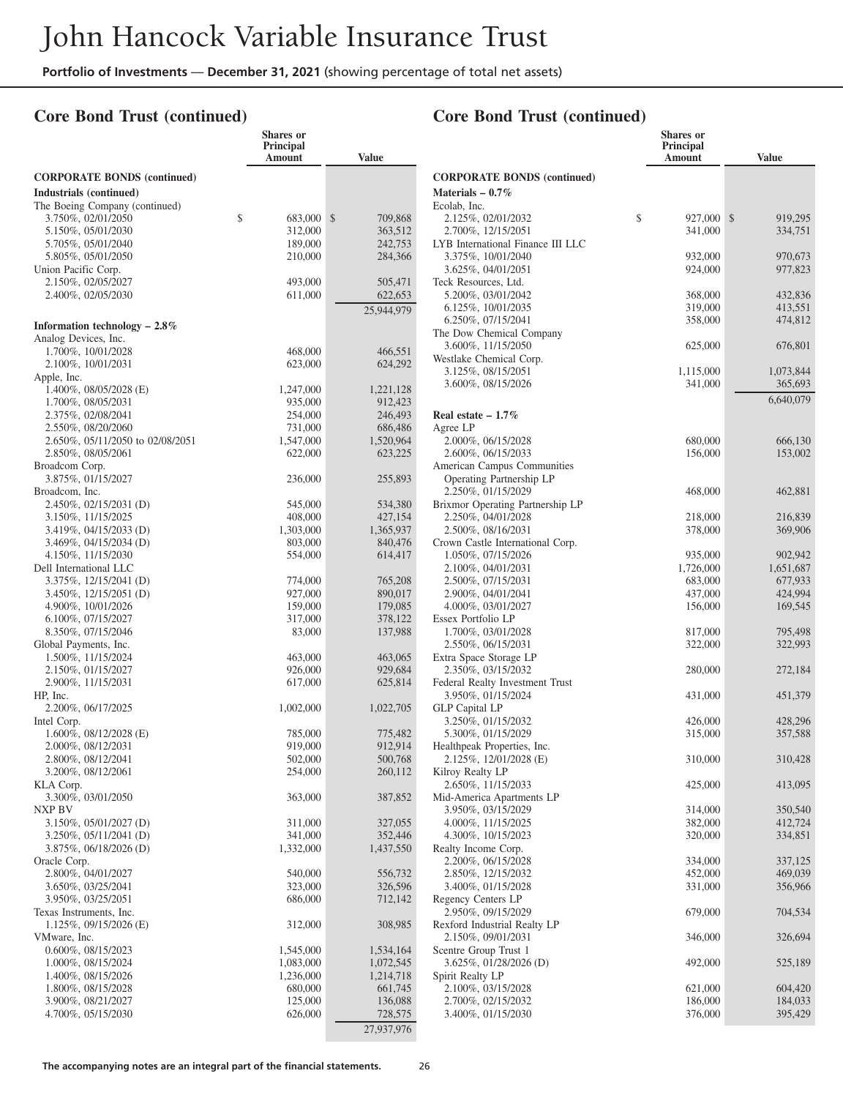**Shares or**

## **Core Bond Trust (continued)**

|                                                        | Principal<br>Amount  | <b>Value</b>         |              |
|--------------------------------------------------------|----------------------|----------------------|--------------|
| <b>CORPORATE BONDS (continued)</b>                     |                      |                      | $\mathbf{C}$ |
| Industrials (continued)                                |                      |                      | M            |
| The Boeing Company (continued)                         |                      |                      | Ec           |
| 3.750%, 02/01/2050                                     | \$<br>683,000        | \$<br>709,868        |              |
| 5.150%, 05/01/2030                                     | 312,000              | 363,512              |              |
| 5.705%, 05/01/2040                                     | 189,000              | 242,753              | L)           |
| 5.805%, 05/01/2050<br>Union Pacific Corp.              | 210,000              | 284,366              |              |
| 2.150%, 02/05/2027                                     | 493,000              | 505,471              | Te           |
| 2.400%, 02/05/2030                                     | 611,000              | 622,653              |              |
|                                                        |                      | 25,944,979           |              |
| Information technology $-2.8\%$                        |                      |                      |              |
| Analog Devices, Inc.                                   |                      |                      | Tł           |
| 1.700%, 10/01/2028                                     | 468,000              | 466,551              |              |
| 2.100%, 10/01/2031                                     | 623,000              | 624,292              | W            |
| Apple, Inc.                                            |                      |                      |              |
| 1.400%, 08/05/2028 (E)                                 | 1,247,000            | 1,221,128            |              |
| 1.700%, 08/05/2031                                     | 935,000              | 912,423              |              |
| 2.375%, 02/08/2041                                     | 254,000              | 246,493              | $\mathbf{R}$ |
| 2.550%, 08/20/2060                                     | 731,000              | 686,486              | Ag           |
| 2.650%, 05/11/2050 to 02/08/2051<br>2.850%, 08/05/2061 | 1,547,000<br>622,000 | 1,520,964<br>623,225 |              |
| Broadcom Corp.                                         |                      |                      | A1           |
| 3.875%, 01/15/2027                                     | 236,000              | 255,893              |              |
| Broadcom, Inc.                                         |                      |                      |              |
| 2.450%, 02/15/2031 (D)                                 | 545,000              | 534,380              | B            |
| 3.150%, 11/15/2025                                     | 408,000              | 427,154              |              |
| 3.419%, 04/15/2033 (D)                                 | 1,303,000            | 1,365,937            |              |
| 3.469%, 04/15/2034 (D)                                 | 803,000              | 840,476              | Сı           |
| 4.150%, 11/15/2030                                     | 554,000              | 614,417              |              |
| Dell International LLC                                 |                      |                      |              |
| 3.375%, 12/15/2041 (D)<br>3.450%, 12/15/2051 (D)       | 774,000<br>927,000   | 765,208<br>890,017   |              |
| 4.900%, 10/01/2026                                     | 159,000              | 179,085              |              |
| 6.100%, 07/15/2027                                     | 317,000              | 378,122              | Es           |
| 8.350%, 07/15/2046                                     | 83,000               | 137,988              |              |
| Global Payments, Inc.                                  |                      |                      |              |
| 1.500%, 11/15/2024                                     | 463,000              | 463,065              | Е»           |
| 2.150%, 01/15/2027                                     | 926,000              | 929,684              |              |
| 2.900%, 11/15/2031                                     | 617,000              | 625,814              | Fe           |
| HP, Inc.<br>2.200%, 06/17/2025                         | 1,002,000            | 1,022,705            | Gl           |
| Intel Corp.                                            |                      |                      |              |
| $1.600\%$ , 08/12/2028 (E)                             | 785,000              | 775,482              |              |
| 2.000%, 08/12/2031                                     | 919,000              | 912,914              | H            |
| 2.800%, 08/12/2041                                     | 502,000              | 500,768              |              |
| 3.200%, 08/12/2061                                     | 254,000              | 260,112              | Ki           |
| KLA Corp.                                              |                      |                      |              |
| 3.300%, 03/01/2050                                     | 363,000              | 387,852              | М            |
| NXP BV                                                 |                      |                      |              |
| 3.150%, 05/01/2027 (D)<br>3.250%, 05/11/2041 (D)       | 311,000              | 327,055              |              |
| 3.875%, 06/18/2026 (D)                                 | 341,000<br>1,332,000 | 352,446<br>1,437,550 | Rε           |
| Oracle Corp.                                           |                      |                      |              |
| 2.800%, 04/01/2027                                     | 540,000              | 556,732              |              |
| 3.650%, 03/25/2041                                     | 323,000              | 326,596              |              |
| 3.950%, 03/25/2051                                     | 686,000              | 712,142              | Rε           |
| Texas Instruments, Inc.                                |                      |                      |              |
| $1.125\%$ , 09/15/2026 (E)                             | 312,000              | 308,985              | Rε           |
| VMware, Inc.                                           |                      |                      |              |
| 0.600%, 08/15/2023                                     | 1,545,000            | 1,534,164            | Sc           |
| 1.000%, 08/15/2024                                     | 1,083,000            | 1,072,545            |              |
| 1.400%, 08/15/2026<br>1.800%, 08/15/2028               | 1,236,000<br>680,000 | 1,214,718<br>661,745 | Sp           |
| 3.900%, 08/21/2027                                     | 125,000              | 136,088              |              |
| 4.700%, 05/15/2030                                     | 626,000              | 728,575              |              |
|                                                        |                      | 27,937,976           |              |
|                                                        |                      |                      |              |

|                                                        | <b>Shares</b> or<br><b>Principal</b><br>Amount | Value              |
|--------------------------------------------------------|------------------------------------------------|--------------------|
| <b>CORPORATE BONDS (continued)</b>                     |                                                |                    |
| Materials $-0.7\%$                                     |                                                |                    |
| Ecolab, Inc.<br>2.125%, 02/01/2032                     | \$<br>927,000                                  | \$<br>919,295      |
| 2.700%, 12/15/2051                                     | 341,000                                        | 334,751            |
| LYB International Finance III LLC                      |                                                |                    |
| 3.375%, 10/01/2040                                     | 932,000                                        | 970,673            |
| 3.625%, 04/01/2051<br>Teck Resources, Ltd.             | 924,000                                        | 977,823            |
| 5.200%, 03/01/2042                                     | 368,000                                        | 432,836            |
| 6.125%, 10/01/2035                                     | 319,000                                        | 413,551            |
| 6.250%, 07/15/2041                                     | 358,000                                        | 474,812            |
| The Dow Chemical Company<br>3.600%, 11/15/2050         | 625,000                                        | 676,801            |
| Westlake Chemical Corp.                                |                                                |                    |
| 3.125%, 08/15/2051                                     | 1,115,000                                      | 1,073,844          |
| 3.600%, 08/15/2026                                     | 341,000                                        | 365,693            |
|                                                        |                                                | 6,640,079          |
| Real estate $-1.7\%$                                   |                                                |                    |
| Agree LP<br>2.000%, 06/15/2028                         | 680,000                                        | 666,130            |
| 2.600%, 06/15/2033                                     | 156,000                                        | 153,002            |
| American Campus Communities                            |                                                |                    |
| Operating Partnership LP                               |                                                |                    |
| 2.250%, 01/15/2029                                     | 468,000                                        | 462,881            |
| Brixmor Operating Partnership LP<br>2.250%, 04/01/2028 | 218,000                                        | 216,839            |
| 2.500%, 08/16/2031                                     | 378,000                                        | 369,906            |
| Crown Castle International Corp.                       |                                                |                    |
| 1.050%, 07/15/2026                                     | 935,000                                        | 902,942            |
| 2.100%, 04/01/2031                                     | 1,726,000                                      | 1,651,687          |
| 2.500%, 07/15/2031<br>2.900%, 04/01/2041               | 683,000<br>437,000                             | 677,933<br>424,994 |
| 4.000%, 03/01/2027                                     | 156,000                                        | 169,545            |
| Essex Portfolio LP                                     |                                                |                    |
| 1.700%, 03/01/2028                                     | 817,000                                        | 795,498            |
| 2.550%, 06/15/2031                                     | 322,000                                        | 322,993            |
| Extra Space Storage LP<br>2.350%, 03/15/2032           | 280,000                                        | 272,184            |
| Federal Realty Investment Trust                        |                                                |                    |
| 3.950%, 01/15/2024                                     | 431,000                                        | 451,379            |
| <b>GLP Capital LP</b>                                  |                                                |                    |
| 3.250%, 01/15/2032<br>5.300%, 01/15/2029               | 426,000<br>315,000                             | 428,296<br>357,588 |
| Healthpeak Properties, Inc.                            |                                                |                    |
| 2.125%, 12/01/2028 (E)                                 | 310,000                                        | 310,428            |
| Kilroy Realty LP                                       |                                                |                    |
| 2.650%, 11/15/2033                                     | 425,000                                        | 413,095            |
| Mid-America Apartments LP<br>3.950%, 03/15/2029        | 314,000                                        | 350,540            |
| 4.000%, 11/15/2025                                     | 382,000                                        | 412,724            |
| 4.300%, 10/15/2023                                     | 320,000                                        | 334,851            |
| Realty Income Corp.                                    |                                                |                    |
| 2.200%, 06/15/2028<br>2.850%, 12/15/2032               | 334,000                                        | 337,125            |
| 3.400%, 01/15/2028                                     | 452,000<br>331,000                             | 469,039<br>356,966 |
| Regency Centers LP                                     |                                                |                    |
| 2.950%, 09/15/2029                                     | 679,000                                        | 704,534            |
| Rexford Industrial Realty LP                           |                                                |                    |
| 2.150%, 09/01/2031<br>Scentre Group Trust 1            | 346,000                                        | 326,694            |
| 3.625%, 01/28/2026 (D)                                 | 492,000                                        | 525,189            |
| Spirit Realty LP                                       |                                                |                    |
| 2.100%, 03/15/2028                                     | 621,000                                        | 604,420            |
| 2.700%, 02/15/2032                                     | 186,000                                        | 184,033            |
| 3.400%, 01/15/2030                                     | 376,000                                        | 395,429            |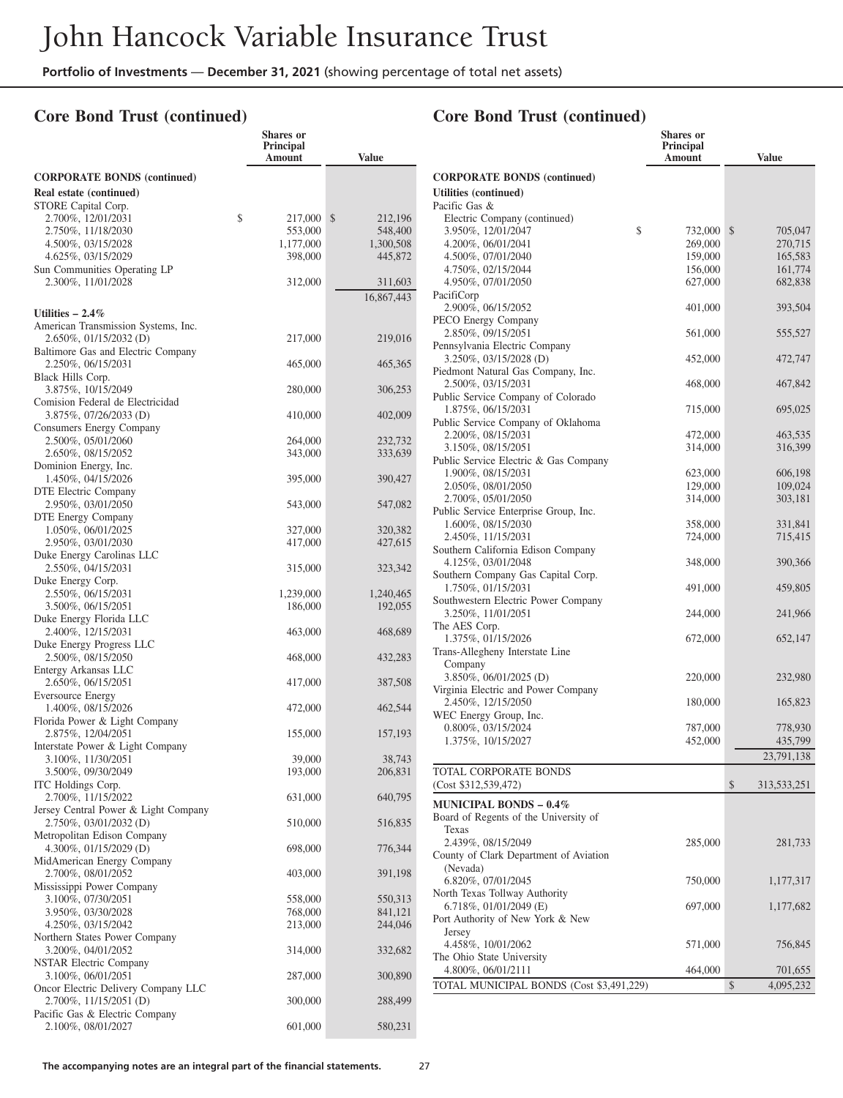**Shares or**

#### **Core Bond Trust (continued)**

|                                                           | Principal<br>Amount  | <b>Value</b>         |
|-----------------------------------------------------------|----------------------|----------------------|
| <b>CORPORATE BONDS</b> (continued)                        |                      |                      |
| Real estate (continued)                                   |                      |                      |
| STORE Capital Corp.                                       |                      |                      |
| \$<br>2.700%, 12/01/2031                                  | 217,000              | \$<br>212,196        |
| 2.750%, 11/18/2030                                        | 553,000              | 548,400              |
| 4.500%, 03/15/2028<br>4.625%, 03/15/2029                  | 1,177,000<br>398,000 | 1,300,508<br>445,872 |
| Sun Communities Operating LP                              |                      |                      |
| 2.300%, 11/01/2028                                        | 312,000              | 311,603              |
|                                                           |                      | 16,867,443           |
| Utilities $-2.4\%$                                        |                      |                      |
| American Transmission Systems, Inc.                       |                      |                      |
| 2.650%, 01/15/2032 (D)                                    | 217,000              | 219,016              |
| Baltimore Gas and Electric Company                        |                      |                      |
| 2.250%, 06/15/2031<br>Black Hills Corp.                   | 465,000              | 465,365              |
| 3.875%, 10/15/2049                                        | 280,000              | 306,253              |
| Comision Federal de Electricidad                          |                      |                      |
| 3.875%, 07/26/2033 (D)                                    | 410,000              | 402,009              |
| Consumers Energy Company                                  |                      | 232,732              |
| 2.500%, 05/01/2060<br>2.650%, 08/15/2052                  | 264,000<br>343,000   | 333,639              |
| Dominion Energy, Inc.                                     |                      |                      |
| 1.450%, 04/15/2026                                        | 395,000              | 390,427              |
| DTE Electric Company                                      |                      |                      |
| 2.950%, 03/01/2050                                        | 543,000              | 547,082              |
| DTE Energy Company<br>1.050%, 06/01/2025                  | 327,000              | 320,382              |
| 2.950%, 03/01/2030                                        | 417,000              | 427,615              |
| Duke Energy Carolinas LLC                                 |                      |                      |
| 2.550%, 04/15/2031                                        | 315,000              | 323,342              |
| Duke Energy Corp.                                         |                      |                      |
| 2.550%, 06/15/2031<br>3.500%, 06/15/2051                  | 1,239,000<br>186,000 | 1,240,465<br>192,055 |
| Duke Energy Florida LLC                                   |                      |                      |
| 2.400%, 12/15/2031                                        | 463,000              | 468,689              |
| Duke Energy Progress LLC                                  |                      |                      |
| 2.500%, 08/15/2050                                        | 468,000              | 432,283              |
| Entergy Arkansas LLC<br>2.650%, 06/15/2051                | 417,000              | 387,508              |
| <b>Eversource Energy</b>                                  |                      |                      |
| 1.400%, 08/15/2026                                        | 472,000              | 462,544              |
| Florida Power & Light Company                             |                      |                      |
| 2.875%, 12/04/2051                                        | 155,000              | 157,193              |
| Interstate Power & Light Company<br>3.100%, 11/30/2051    | 39,000               | 38,743               |
| 3.500%, 09/30/2049                                        | 193,000              | 206,831              |
| ITC Holdings Corp.                                        |                      |                      |
| 2.700%, 11/15/2022                                        | 631,000              | 640,795              |
| Jersey Central Power & Light Company                      |                      |                      |
| 2.750%, 03/01/2032 (D)<br>Metropolitan Edison Company     | 510,000              | 516,835              |
| 4.300%, 01/15/2029 (D)                                    | 698,000              | 776,344              |
| MidAmerican Energy Company                                |                      |                      |
| 2.700%, 08/01/2052                                        | 403,000              | 391,198              |
| Mississippi Power Company                                 |                      |                      |
| 3.100%, 07/30/2051<br>3.950%, 03/30/2028                  | 558,000<br>768,000   | 550,313<br>841,121   |
| 4.250%, 03/15/2042                                        | 213,000              | 244,046              |
| Northern States Power Company                             |                      |                      |
| 3.200%, 04/01/2052                                        | 314,000              | 332,682              |
| <b>NSTAR Electric Company</b>                             |                      |                      |
| 3.100%, 06/01/2051<br>Oncor Electric Delivery Company LLC | 287,000              | 300,890              |
| 2.700%, 11/15/2051 (D)                                    | 300,000              | 288,499              |
| Pacific Gas & Electric Company                            |                      |                      |
| 2.100%, 08/01/2027                                        | 601,000              | 580,231              |

|                                                              | <b>Shares</b> or<br>Principal |                          |
|--------------------------------------------------------------|-------------------------------|--------------------------|
|                                                              | Amount                        | <b>Value</b>             |
| <b>CORPORATE BONDS (continued)</b>                           |                               |                          |
| Utilities (continued)                                        |                               |                          |
| Pacific Gas &                                                |                               |                          |
| Electric Company (continued)                                 |                               |                          |
| 3.950%, 12/01/2047<br>4.200%, 06/01/2041                     | \$<br>732,000<br>269,000      | \$<br>705,047<br>270,715 |
| 4.500%, 07/01/2040                                           | 159,000                       | 165,583                  |
| 4.750%, 02/15/2044                                           | 156,000                       | 161,774                  |
| 4.950%, 07/01/2050                                           | 627,000                       | 682,838                  |
| PacifiCorp                                                   |                               |                          |
| 2.900%, 06/15/2052<br>PECO Energy Company                    | 401,000                       | 393,504                  |
| 2.850%, 09/15/2051                                           | 561,000                       | 555,527                  |
| Pennsylvania Electric Company                                |                               |                          |
| 3.250%, 03/15/2028 (D)                                       | 452,000                       | 472,747                  |
| Piedmont Natural Gas Company, Inc.<br>2.500%, 03/15/2031     | 468,000                       | 467,842                  |
| Public Service Company of Colorado                           |                               |                          |
| 1.875%, 06/15/2031                                           | 715,000                       | 695,025                  |
| Public Service Company of Oklahoma                           |                               |                          |
| 2.200%, 08/15/2031<br>3.150%, 08/15/2051                     | 472,000                       | 463,535                  |
| Public Service Electric & Gas Company                        | 314,000                       | 316,399                  |
| 1.900%, 08/15/2031                                           | 623,000                       | 606,198                  |
| 2.050%, 08/01/2050                                           | 129,000                       | 109,024                  |
| 2.700%, 05/01/2050                                           | 314,000                       | 303,181                  |
| Public Service Enterprise Group, Inc.<br>1.600%, 08/15/2030  | 358,000                       | 331,841                  |
| 2.450%, 11/15/2031                                           | 724,000                       | 715,415                  |
| Southern California Edison Company                           |                               |                          |
| 4.125%, 03/01/2048                                           | 348,000                       | 390,366                  |
| Southern Company Gas Capital Corp.                           |                               |                          |
| 1.750%, 01/15/2031<br>Southwestern Electric Power Company    | 491,000                       | 459,805                  |
| 3.250%, 11/01/2051                                           | 244,000                       | 241,966                  |
| The AES Corp.                                                |                               |                          |
| 1.375%, 01/15/2026                                           | 672,000                       | 652,147                  |
| Trans-Allegheny Interstate Line<br>Company                   |                               |                          |
| 3.850%, 06/01/2025 (D)                                       | 220,000                       | 232,980                  |
| Virginia Electric and Power Company                          |                               |                          |
| 2.450%, 12/15/2050                                           | 180,000                       | 165,823                  |
| WEC Energy Group, Inc.                                       |                               |                          |
| 0.800%, 03/15/2024<br>1.375%, 10/15/2027                     | 787,000<br>452,000            | 778,930<br>435,799       |
|                                                              |                               | 23,791,138               |
| TOTAL CORPORATE BONDS                                        |                               |                          |
| (Cost \$312,539,472)                                         |                               | \$<br>313,533,251        |
| <b>MUNICIPAL BONDS – 0.4%</b>                                |                               |                          |
| Board of Regents of the University of                        |                               |                          |
| Texas                                                        |                               |                          |
| 2.439%, 08/15/2049<br>County of Clark Department of Aviation | 285,000                       | 281,733                  |
| (Nevada)                                                     |                               |                          |
| 6.820%, 07/01/2045                                           | 750,000                       | 1,177,317                |
| North Texas Tollway Authority                                |                               |                          |
| 6.718%, 01/01/2049 (E)                                       | 697,000                       | 1,177,682                |
| Port Authority of New York & New<br>Jersey                   |                               |                          |
| 4.458%, 10/01/2062                                           | 571,000                       | 756,845                  |
| The Ohio State University                                    |                               |                          |
| 4.800%, 06/01/2111                                           | 464,000                       | 701,655                  |
| TOTAL MUNICIPAL BONDS (Cost \$3,491,229)                     |                               | \$<br>4,095,232          |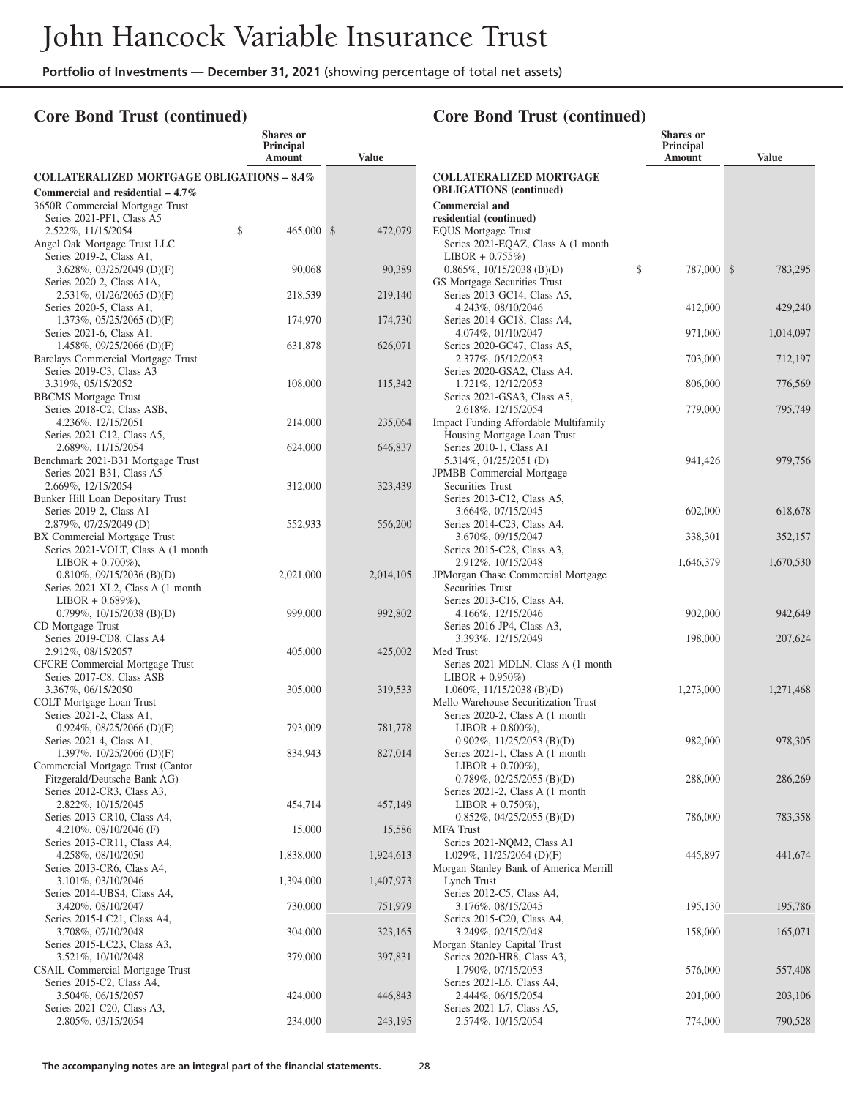## **Core Bond Trust (continued)**

#### **Shares or Principal Amount Value COLLATERALIZED MORTGAGE OBLIGATIONS – 8.4% Commercial and residential – 4.7%** 3650R Commercial Mortgage Trust Series 2021-PF1, Class A5 2.522\%, 11/15/2054 \$ 465,000 \$ 472,079 Angel Oak Mortgage Trust LLC Series 2019-2, Class A1, 3.628%, 03/25/2049 (D)(F) 90,068 90,389 Series 2020-2, Class A1A, 2.531%, 01/26/2065 (D)(F) 218,539 219,140 Series 2020-5, Class A1, 1.373%, 05/25/2065 (D)(F) 174,970 174,730 Series 2021-6, Class A1, 1.458%, 09/25/2066 (D)(F) 631,878 626,071 Barclays Commercial Mortgage Trust Series 2019-C3, Class A3 3.319%, 05/15/2052 108,000 115,342 BBCMS Mortgage Trust Series 2018-C2, Class ASB, 4.236%, 12/15/2051 214,000 235,064 Series 2021-C12, Class A5, 2.689%, 11/15/2054 624,000 646,837 Benchmark 2021-B31 Mortgage Trust Series 2021-B31, Class A5 2.669%, 12/15/2054 312,000 323,439 Bunker Hill Loan Depositary Trust Series 2019-2, Class A1 2.879%, 07/25/2049 (D) 552,933 556,200 BX Commercial Mortgage Trust Series 2021-VOLT, Class A (1 month LIBOR + 0.700%), 0.810%, 09/15/2036 (B)(D) 2,021,000 2,014,105 Series 2021-XL2, Class A (1 month  $LIBOR + 0.689\%$ ), 0.799%, 10/15/2038 (B)(D) 999,000 992,802 CD Mortgage Trust Series 2019-CD8, Class A4 2.912%, 08/15/2057 405,000 425,002 CFCRE Commercial Mortgage Trust Series 2017-C8, Class ASB 3.367%, 06/15/2050 305,000 319,533 COLT Mortgage Loan Trust Series 2021-2, Class A1, 0.924%, 08/25/2066 (D)(F) 793,009 781,778 Series 2021-4, Class A1, 1.397%, 10/25/2066 (D)(F) 834,943 827,014 Commercial Mortgage Trust (Cantor Fitzgerald/Deutsche Bank AG) Series 2012-CR3, Class A3, 2.822%, 10/15/2045 454,714 457,149 Series 2013-CR10, Class A4, 4.210%, 08/10/2046 (F) 15,000 15,586 Series 2013-CR11, Class A4, 4.258%, 08/10/2050 1,838,000 1,924,613 Series 2013-CR6, Class A4, 3.101%, 03/10/2046 1,394,000 1,407,973 Series 2014-UBS4, Class A4, 3.420%, 08/10/2047 730,000 751,979 Series 2015-LC21, Class A4, 3.708%, 07/10/2048 304,000 323,165 Series 2015-LC23, Class A3, 3.521%, 10/10/2048 379,000 397,831 CSAIL Commercial Mortgage Trust Series 2015-C2, Class A4, 3.504%, 06/15/2057 424,000 446,843 Series 2021-C20, Class A3, 2.805%, 03/15/2054 234,000 243,195

|                                                                             | Shares or<br><b>Principal</b><br>Amount | <b>Value</b> |
|-----------------------------------------------------------------------------|-----------------------------------------|--------------|
| <b>COLLATERALIZED MORTGAGE</b>                                              |                                         |              |
| <b>OBLIGATIONS</b> (continued)                                              |                                         |              |
| <b>Commercial and</b>                                                       |                                         |              |
| residential (continued)<br><b>EQUS Mortgage Trust</b>                       |                                         |              |
| Series 2021-EQAZ, Class A (1 month                                          |                                         |              |
| $LIBOR + 0.755\%)$                                                          |                                         |              |
| $0.865\%, 10/15/2038$ (B)(D)                                                | \$<br>787,000 \$                        | 783,295      |
| GS Mortgage Securities Trust                                                |                                         |              |
| Series 2013-GC14, Class A5,                                                 |                                         |              |
| 4.243%, 08/10/2046                                                          | 412,000                                 | 429,240      |
| Series 2014-GC18, Class A4,<br>4.074%, 01/10/2047                           | 971,000                                 | 1,014,097    |
| Series 2020-GC47, Class A5,                                                 |                                         |              |
| 2.377%, 05/12/2053                                                          | 703,000                                 | 712,197      |
| Series 2020-GSA2, Class A4,                                                 |                                         |              |
| 1.721%, 12/12/2053                                                          | 806,000                                 | 776,569      |
| Series 2021-GSA3, Class A5,                                                 |                                         |              |
| 2.618%, 12/15/2054                                                          | 779,000                                 | 795,749      |
| <b>Impact Funding Affordable Multifamily</b><br>Housing Mortgage Loan Trust |                                         |              |
| Series 2010-1, Class A1                                                     |                                         |              |
| 5.314%, 01/25/2051 (D)                                                      | 941,426                                 | 979,756      |
| JPMBB Commercial Mortgage                                                   |                                         |              |
| <b>Securities Trust</b>                                                     |                                         |              |
| Series 2013-C12, Class A5,                                                  |                                         |              |
| 3.664%, 07/15/2045                                                          | 602,000                                 | 618,678      |
| Series 2014-C23, Class A4,<br>3.670%, 09/15/2047                            | 338,301                                 | 352,157      |
| Series 2015-C28, Class A3,                                                  |                                         |              |
| 2.912%, 10/15/2048                                                          | 1,646,379                               | 1,670,530    |
| JPMorgan Chase Commercial Mortgage                                          |                                         |              |
| <b>Securities Trust</b>                                                     |                                         |              |
| Series 2013-C16, Class A4,                                                  |                                         |              |
| 4.166%, 12/15/2046<br>Series 2016-JP4, Class A3,                            | 902,000                                 | 942,649      |
| 3.393%, 12/15/2049                                                          | 198,000                                 | 207,624      |
| Med Trust                                                                   |                                         |              |
| Series 2021-MDLN, Class A (1 month)                                         |                                         |              |
| $LIBOR + 0.950\%)$                                                          |                                         |              |
| $1.060\%$ , $11/15/2038$ (B)(D)                                             | 1,273,000                               | 1,271,468    |
| Mello Warehouse Securitization Trust<br>Series 2020-2, Class A (1 month)    |                                         |              |
| $LIBOR + 0.800\%$ ),                                                        |                                         |              |
| $0.902\%$ , 11/25/2053 (B)(D)                                               | 982,000                                 | 978,305      |
| Series 2021-1, Class A (1 month                                             |                                         |              |
| $LIBOR + 0.700\%$ ),                                                        |                                         |              |
| $0.789\%, 02/25/2055$ (B)(D)                                                | 288,000                                 | 286,269      |
| Series 2021-2, Class A (1 month                                             |                                         |              |
| $LIBOR + 0.750\%),$<br>$0.852\%$ , 04/25/2055 (B)(D)                        | 786,000                                 | 783,358      |
| <b>MFA</b> Trust                                                            |                                         |              |
| Series 2021-NQM2, Class A1                                                  |                                         |              |
| 1.029%, 11/25/2064 (D)(F)                                                   | 445,897                                 | 441,674      |
| Morgan Stanley Bank of America Merrill                                      |                                         |              |
| Lynch Trust                                                                 |                                         |              |
| Series 2012-C5, Class A4,<br>3.176%, 08/15/2045                             | 195,130                                 | 195,786      |
| Series 2015-C20, Class A4,                                                  |                                         |              |
| 3.249%, 02/15/2048                                                          | 158,000                                 | 165,071      |
| Morgan Stanley Capital Trust                                                |                                         |              |
| Series 2020-HR8, Class A3,                                                  |                                         |              |
| 1.790%, 07/15/2053                                                          | 576,000                                 | 557,408      |
| Series 2021-L6, Class A4,<br>2.444%, 06/15/2054                             |                                         |              |
| Series 2021-L7, Class A5,                                                   | 201,000                                 | 203,106      |
| 2.574%, 10/15/2054                                                          | 774,000                                 | 790,528      |
|                                                                             |                                         |              |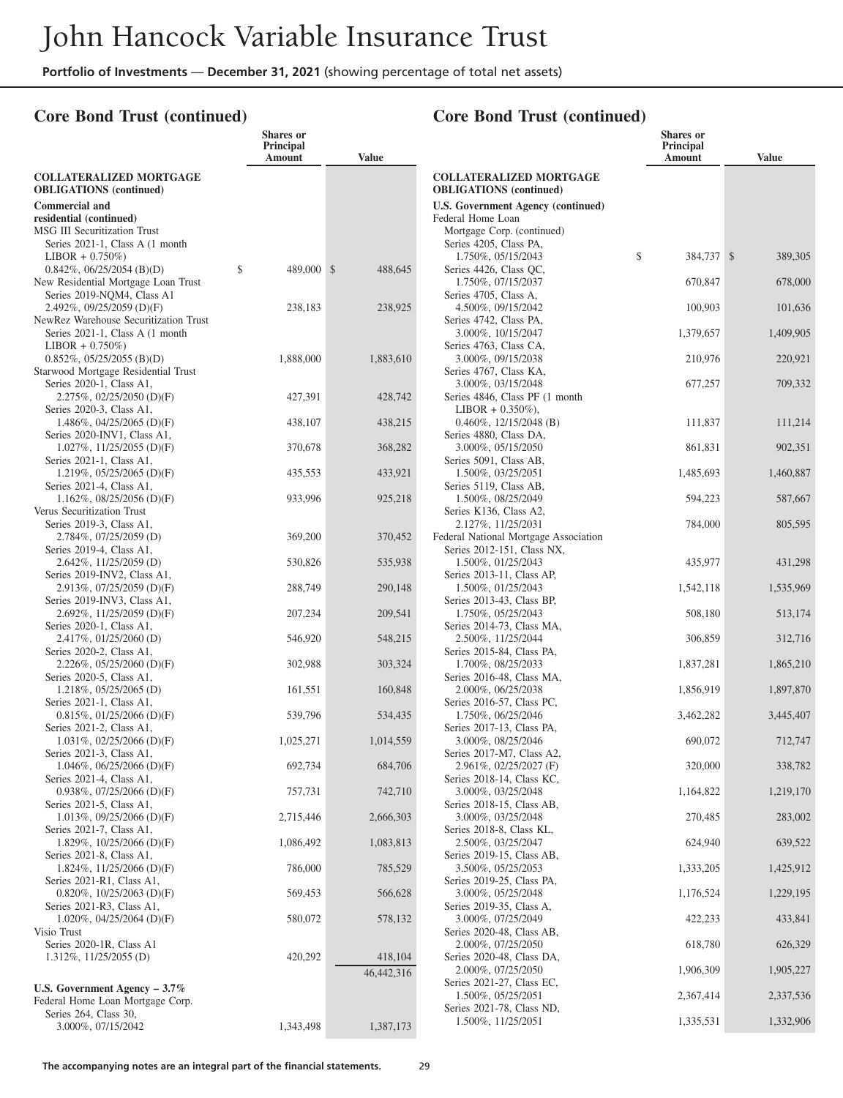## **Core Bond Trust (continued)**

|                                                                     | <b>Shares</b> or<br>Principal<br>Amount | <b>Value</b> |                                                                  | Shares or<br>Principal<br>Amount | <b>Value</b> |
|---------------------------------------------------------------------|-----------------------------------------|--------------|------------------------------------------------------------------|----------------------------------|--------------|
| <b>COLLATERALIZED MORTGAGE</b><br><b>OBLIGATIONS</b> (continued)    |                                         |              | <b>COLLATERALIZED MORTGAGE</b><br><b>OBLIGATIONS</b> (continued) |                                  |              |
| <b>Commercial and</b>                                               |                                         |              | <b>U.S. Government Agency (continued)</b>                        |                                  |              |
| residential (continued)                                             |                                         |              | Federal Home Loan                                                |                                  |              |
| MSG III Securitization Trust                                        |                                         |              | Mortgage Corp. (continued)                                       |                                  |              |
| Series 2021-1, Class A (1 month                                     |                                         |              | Series 4205, Class PA,                                           |                                  |              |
| $LIBOR + 0.750\%)$                                                  |                                         |              | 1.750%, 05/15/2043                                               | \$<br>384,737 \$                 | 389,305      |
| $0.842\%, 06/25/2054$ (B)(D)<br>New Residential Mortgage Loan Trust | \$<br>489,000 \$                        | 488,645      | Series 4426, Class QC,<br>1.750%, 07/15/2037                     | 670,847                          | 678,000      |
| Series 2019-NQM4, Class A1                                          |                                         |              | Series 4705, Class A,                                            |                                  |              |
| 2.492%, 09/25/2059 (D)(F)                                           | 238,183                                 | 238,925      | 4.500%, 09/15/2042                                               | 100,903                          | 101,636      |
| NewRez Warehouse Securitization Trust                               |                                         |              | Series 4742, Class PA,                                           |                                  |              |
| Series 2021-1, Class A (1 month)                                    |                                         |              | 3.000%, 10/15/2047                                               | 1,379,657                        | 1,409,905    |
| $LIBOR + 0.750\%)$<br>$0.852\%, 05/25/2055$ (B)(D)                  | 1,888,000                               | 1,883,610    | Series 4763, Class CA,<br>3.000%, 09/15/2038                     | 210,976                          | 220,921      |
| Starwood Mortgage Residential Trust                                 |                                         |              | Series 4767, Class KA,                                           |                                  |              |
| Series 2020-1, Class A1,                                            |                                         |              | 3.000%, 03/15/2048                                               | 677,257                          | 709,332      |
| 2.275%, 02/25/2050 (D)(F)                                           | 427,391                                 | 428,742      | Series 4846, Class PF (1 month)                                  |                                  |              |
| Series 2020-3, Class A1,                                            |                                         |              | $LIBOR + 0.350\%$ ),                                             |                                  |              |
| 1.486\%, 04/25/2065 (D)(F)<br>Series 2020-INV1, Class A1,           | 438,107                                 | 438,215      | $0.460\%$ , 12/15/2048 (B)<br>Series 4880, Class DA,             | 111,837                          | 111,214      |
| $1.027\%$ , $11/25/2055$ (D)(F)                                     | 370,678                                 | 368,282      | 3.000%, 05/15/2050                                               | 861,831                          | 902,351      |
| Series 2021-1, Class A1,                                            |                                         |              | Series 5091, Class AB,                                           |                                  |              |
| 1.219%, $05/25/2065$ (D)(F)                                         | 435,553                                 | 433,921      | 1.500%, 03/25/2051                                               | 1,485,693                        | 1,460,887    |
| Series 2021-4, Class A1,                                            |                                         |              | Series 5119, Class AB,                                           |                                  |              |
| $1.162\%$ , 08/25/2056 (D)(F)<br>Verus Securitization Trust         | 933,996                                 | 925,218      | 1.500%, 08/25/2049<br>Series K136, Class A2,                     | 594,223                          | 587,667      |
| Series 2019-3, Class A1,                                            |                                         |              | 2.127%, 11/25/2031                                               | 784,000                          | 805,595      |
| $2.784\%, 07/25/2059$ (D)                                           | 369,200                                 | 370,452      | Federal National Mortgage Association                            |                                  |              |
| Series 2019-4, Class A1,                                            |                                         |              | Series 2012-151, Class NX,                                       |                                  |              |
| $2.642\%, 11/25/2059$ (D)<br>Series 2019-INV2, Class A1,            | 530,826                                 | 535,938      | 1.500%, 01/25/2043<br>Series 2013-11, Class AP,                  | 435,977                          | 431,298      |
| $2.913\%, 07/25/2059$ (D)(F)                                        | 288,749                                 | 290,148      | 1.500%, 01/25/2043                                               | 1,542,118                        | 1,535,969    |
| Series 2019-INV3, Class A1,                                         |                                         |              | Series 2013-43, Class BP,                                        |                                  |              |
| 2.692%, $11/25/2059$ (D)(F)                                         | 207,234                                 | 209,541      | 1.750%, 05/25/2043                                               | 508,180                          | 513,174      |
| Series 2020-1, Class A1,<br>$2.417\%, 01/25/2060$ (D)               | 546,920                                 | 548,215      | Series 2014-73, Class MA,<br>2.500%, 11/25/2044                  | 306,859                          | 312,716      |
| Series 2020-2, Class A1,                                            |                                         |              | Series 2015-84, Class PA,                                        |                                  |              |
| 2.226\%, 05/25/2060 (D)(F)                                          | 302,988                                 | 303,324      | 1.700%, 08/25/2033                                               | 1,837,281                        | 1,865,210    |
| Series 2020-5, Class A1,                                            |                                         |              | Series 2016-48, Class MA,                                        |                                  |              |
| $1.218\%, 05/25/2065$ (D)                                           | 161,551                                 | 160,848      | 2.000%, 06/25/2038                                               | 1,856,919                        | 1,897,870    |
| Series 2021-1, Class A1,<br>$0.815\%, 01/25/2066$ (D)(F)            | 539,796                                 | 534,435      | Series 2016-57, Class PC,<br>1.750%, 06/25/2046                  | 3,462,282                        | 3,445,407    |
| Series 2021-2, Class A1,                                            |                                         |              | Series 2017-13, Class PA,                                        |                                  |              |
| $1.031\%$ , 02/25/2066 (D)(F)                                       | 1,025,271                               | 1,014,559    | 3.000%, 08/25/2046                                               | 690,072                          | 712,747      |
| Series 2021-3, Class A1,                                            |                                         |              | Series 2017-M7, Class A2,                                        |                                  |              |
| 1.046\%, 06/25/2066 (D)(F)<br>Series 2021-4, Class A1,              | 692,734                                 | 684,706      | 2.961\%, 02/25/2027 (F)<br>Series 2018-14, Class KC,             | 320,000                          | 338,782      |
| $0.938\%, 07/25/2066$ (D)(F)                                        | 757,731                                 | 742,710      | 3.000%, 03/25/2048                                               | 1,164,822                        | 1,219,170    |
| Series 2021-5, Class A1,                                            |                                         |              | Series 2018-15, Class AB,                                        |                                  |              |
| $1.013\%$ , 09/25/2066 (D)(F)                                       | 2,715,446                               | 2,666,303    | 3.000%, 03/25/2048                                               | 270,485                          | 283,002      |
| Series 2021-7, Class A1,<br>1.829%, $10/25/2066$ (D)(F)             | 1,086,492                               | 1,083,813    | Series 2018-8, Class KL,<br>2.500%, 03/25/2047                   | 624,940                          | 639,522      |
| Series 2021-8, Class A1,                                            |                                         |              | Series 2019-15, Class AB,                                        |                                  |              |
| 1.824\%, 11/25/2066 (D)(F)                                          | 786,000                                 | 785,529      | 3.500%, 05/25/2053                                               | 1,333,205                        | 1,425,912    |
| Series 2021-R1, Class A1,                                           |                                         |              | Series 2019-25, Class PA,                                        |                                  |              |
| $0.820\%$ , 10/25/2063 (D)(F)<br>Series 2021-R3, Class A1,          | 569,453                                 | 566,628      | 3.000%, 05/25/2048<br>Series 2019-35, Class A,                   | 1,176,524                        | 1,229,195    |
| $1.020\%$ , 04/25/2064 (D)(F)                                       | 580,072                                 | 578,132      | 3.000%, 07/25/2049                                               | 422,233                          | 433,841      |
| Visio Trust                                                         |                                         |              | Series 2020-48, Class AB,                                        |                                  |              |
| Series 2020-1R, Class A1                                            |                                         |              | 2.000%, 07/25/2050                                               | 618,780                          | 626,329      |
| 1.312%, 11/25/2055 (D)                                              | 420,292                                 | 418,104      | Series 2020-48, Class DA,                                        |                                  |              |
|                                                                     |                                         | 46,442,316   | 2.000%, 07/25/2050<br>Series 2021-27, Class EC,                  | 1,906,309                        | 1,905,227    |
| U.S. Government Agency $-3.7\%$<br>Federal Home Loan Mortgage Corp. |                                         |              | 1.500%, 05/25/2051                                               | 2,367,414                        | 2,337,536    |
| Series 264, Class 30,                                               |                                         |              | Series 2021-78, Class ND,                                        |                                  |              |
| 3.000%, 07/15/2042                                                  | 1,343,498                               | 1,387,173    | 1.500%, 11/25/2051                                               | 1,335,531                        | 1,332,906    |
|                                                                     |                                         |              |                                                                  |                                  |              |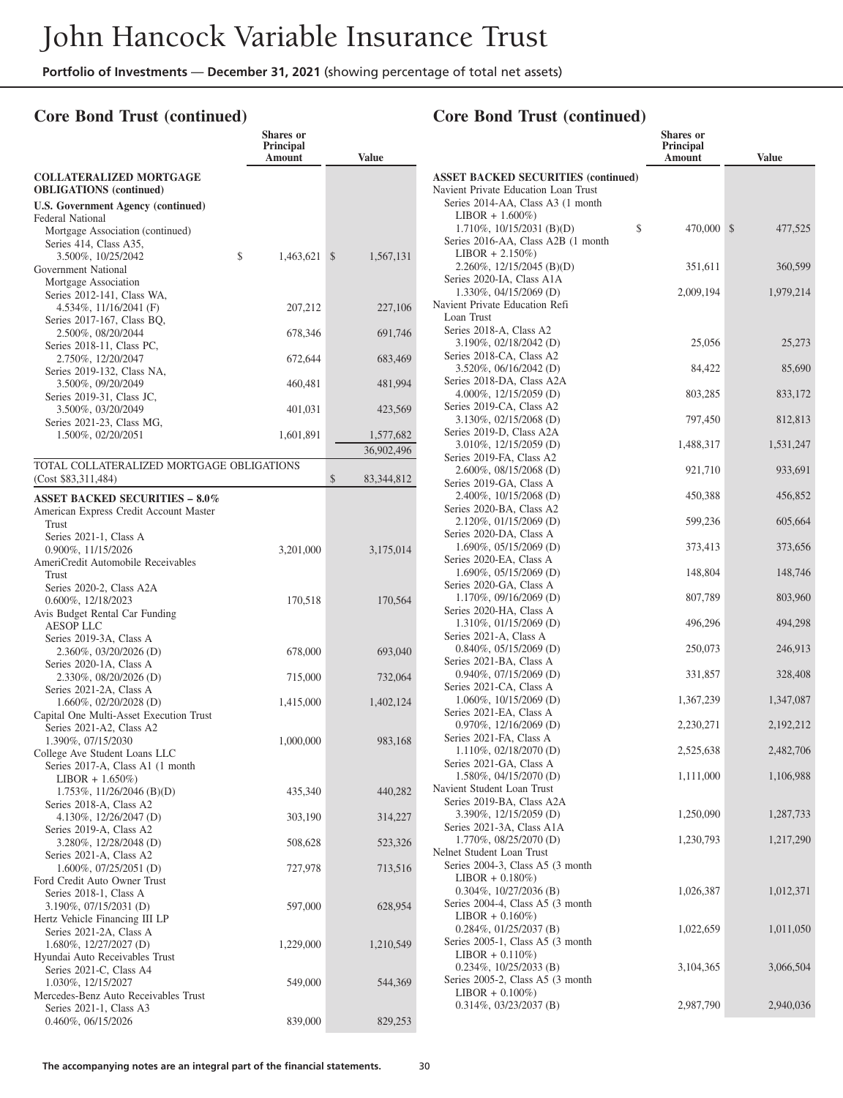**Shares or**

## **Core Bond Trust (continued)**

|                                                            | Principal<br>Amount | <b>Value</b>     |
|------------------------------------------------------------|---------------------|------------------|
| <b>COLLATERALIZED MORTGAGE</b>                             |                     |                  |
| <b>OBLIGATIONS</b> (continued)                             |                     |                  |
| <b>U.S. Government Agency (continued)</b>                  |                     |                  |
| Federal National                                           |                     |                  |
| Mortgage Association (continued)<br>Series 414, Class A35, |                     |                  |
| 3.500%, 10/25/2042                                         | \$<br>1,463,621     | \$<br>1,567,131  |
| Government National                                        |                     |                  |
| Mortgage Association                                       |                     |                  |
| Series 2012-141, Class WA,                                 |                     |                  |
| 4.534%, 11/16/2041 (F)<br>Series 2017-167, Class BQ,       | 207,212             | 227,106          |
| 2.500%, 08/20/2044                                         | 678,346             | 691,746          |
| Series 2018-11, Class PC,                                  |                     |                  |
| 2.750%, 12/20/2047                                         | 672,644             | 683,469          |
| Series 2019-132, Class NA,                                 |                     |                  |
| 3.500%, 09/20/2049<br>Series 2019-31, Class JC,            | 460,481             | 481,994          |
| 3.500%, 03/20/2049                                         | 401,031             | 423,569          |
| Series 2021-23, Class MG,                                  |                     |                  |
| 1.500%, 02/20/2051                                         | 1,601,891           | 1,577,682        |
|                                                            |                     | 36,902,496       |
| TOTAL COLLATERALIZED MORTGAGE OBLIGATIONS                  |                     |                  |
| (Cost \$83,311,484)                                        |                     | \$<br>83,344,812 |
| <b>ASSET BACKED SECURITIES - 8.0%</b>                      |                     |                  |
| American Express Credit Account Master                     |                     |                  |
| Trust<br>Series 2021-1, Class A                            |                     |                  |
| 0.900%, 11/15/2026                                         | 3,201,000           | 3,175,014        |
| AmeriCredit Automobile Receivables                         |                     |                  |
| Trust                                                      |                     |                  |
| Series 2020-2, Class A2A<br>0.600%, 12/18/2023             |                     |                  |
| Avis Budget Rental Car Funding                             | 170,518             | 170,564          |
| <b>AESOP LLC</b>                                           |                     |                  |
| Series 2019-3A, Class A                                    |                     |                  |
| 2.360%, 03/20/2026 (D)                                     | 678,000             | 693,040          |
| Series 2020-1A, Class A<br>2.330%, 08/20/2026 (D)          | 715,000             | 732,064          |
| Series 2021-2A, Class A                                    |                     |                  |
| 1.660%, 02/20/2028 (D)                                     | 1,415,000           | 1,402,124        |
| Capital One Multi-Asset Execution Trust                    |                     |                  |
| Series 2021-A2, Class A2                                   |                     |                  |
| 1.390%, 07/15/2030<br>College Ave Student Loans LLC        | 1,000,000           | 983,168          |
| Series 2017-A, Class A1 (1 month                           |                     |                  |
| $LIBOR + 1.650\%)$                                         |                     |                  |
| $1.753\%, 11/26/2046$ (B)(D)                               | 435,340             | 440,282          |
| Series 2018-A, Class A2                                    |                     |                  |
| 4.130%, 12/26/2047 (D)<br>Series 2019-A, Class A2          | 303,190             | 314,227          |
| 3.280%, 12/28/2048 (D)                                     | 508,628             | 523,326          |
| Series 2021-A, Class A2                                    |                     |                  |
| 1.600%, 07/25/2051 (D)                                     | 727,978             | 713,516          |
| Ford Credit Auto Owner Trust                               |                     |                  |
| Series 2018-1, Class A<br>3.190%, 07/15/2031 (D)           | 597,000             | 628,954          |
| Hertz Vehicle Financing III LP                             |                     |                  |
| Series 2021-2A, Class A                                    |                     |                  |
| 1.680%, 12/27/2027 (D)                                     | 1,229,000           | 1,210,549        |
| Hyundai Auto Receivables Trust<br>Series 2021-C, Class A4  |                     |                  |
| 1.030%, 12/15/2027                                         | 549,000             | 544,369          |
| Mercedes-Benz Auto Receivables Trust                       |                     |                  |
| Series 2021-1, Class A3                                    |                     |                  |
| $0.460\%$ , $06/15/2026$                                   | 839,000             | 829,253          |

|                                                               | Shares or           |               |
|---------------------------------------------------------------|---------------------|---------------|
|                                                               | Principal<br>Amount | <b>Value</b>  |
| <b>ASSET BACKED SECURITIES (continued)</b>                    |                     |               |
| Navient Private Education Loan Trust                          |                     |               |
| Series 2014-AA, Class A3 (1 month                             |                     |               |
| $LIBOR + 1.600\%)$                                            |                     |               |
| 1.710%, 10/15/2031 (B)(D)                                     | \$<br>470,000       | \$<br>477,525 |
| Series 2016-AA, Class A2B (1 month                            |                     |               |
| $LIBOR + 2.150\%)$                                            |                     |               |
| 2.260\%, 12/15/2045 (B)(D)                                    | 351,611             | 360,599       |
| Series 2020-IA, Class A1A<br>1.330%, 04/15/2069 (D)           | 2,009,194           | 1,979,214     |
| Navient Private Education Refi                                |                     |               |
| Loan Trust                                                    |                     |               |
| Series 2018-A, Class A2                                       |                     |               |
| 3.190%, 02/18/2042 (D)                                        | 25,056              | 25,273        |
| Series 2018-CA, Class A2                                      |                     |               |
| 3.520%, 06/16/2042 (D)                                        | 84,422              | 85,690        |
| Series 2018-DA, Class A2A                                     |                     |               |
| 4.000%, 12/15/2059 (D)<br>Series 2019-CA, Class A2            | 803,285             | 833,172       |
| 3.130%, 02/15/2068 (D)                                        | 797,450             | 812,813       |
| Series 2019-D, Class A2A                                      |                     |               |
| 3.010%, 12/15/2059 (D)                                        | 1,488,317           | 1,531,247     |
| Series 2019-FA, Class A2                                      |                     |               |
| 2.600%, 08/15/2068 (D)                                        | 921,710             | 933,691       |
| Series 2019-GA, Class A                                       |                     |               |
| 2.400%, 10/15/2068 (D)                                        | 450,388             | 456,852       |
| Series 2020-BA, Class A2                                      |                     |               |
| 2.120%, 01/15/2069 (D)<br>Series 2020-DA, Class A             | 599,236             | 605,664       |
| 1.690%, 05/15/2069 (D)                                        | 373,413             | 373,656       |
| Series 2020-EA, Class A                                       |                     |               |
| 1.690%, 05/15/2069 (D)                                        | 148,804             | 148,746       |
| Series 2020-GA, Class A                                       |                     |               |
| 1.170%, 09/16/2069 (D)                                        | 807,789             | 803,960       |
| Series 2020-HA, Class A                                       |                     |               |
| 1.310%, 01/15/2069 (D)                                        | 496,296             | 494,298       |
| Series 2021-A, Class A<br>$0.840\%, 05/15/2069$ (D)           | 250,073             | 246,913       |
| Series 2021-BA, Class A                                       |                     |               |
| $0.940\%$ , $07/15/2069$ (D)                                  | 331,857             | 328,408       |
| Series 2021-CA, Class A                                       |                     |               |
| 1.060%, 10/15/2069 (D)                                        | 1,367,239           | 1,347,087     |
| Series 2021-EA, Class A                                       |                     |               |
| $0.970\%$ , 12/16/2069 (D)                                    | 2,230,271           | 2,192,212     |
| Series 2021-FA, Class A<br>$1.110\%, 02/18/2070$ (D)          |                     |               |
| Series 2021-GA, Class A                                       | 2,525,638           | 2,482,706     |
| 1.580%, 04/15/2070 (D)                                        | 1,111,000           | 1,106,988     |
| Navient Student Loan Trust                                    |                     |               |
| Series 2019-BA, Class A2A                                     |                     |               |
| 3.390%, 12/15/2059 (D)                                        | 1,250,090           | 1,287,733     |
| Series 2021-3A, Class A1A                                     |                     |               |
| 1.770%, 08/25/2070 (D)                                        | 1,230,793           | 1,217,290     |
| Nelnet Student Loan Trust<br>Series 2004-3, Class A5 (3 month |                     |               |
| $LIBOR + 0.180\%)$                                            |                     |               |
| $0.304\%, 10/27/2036$ (B)                                     | 1,026,387           | 1,012,371     |
| Series 2004-4, Class A5 (3 month                              |                     |               |
| $LIBOR + 0.160\%)$                                            |                     |               |
| $0.284\%, 01/25/2037$ (B)                                     | 1,022,659           | 1,011,050     |
| Series 2005-1, Class A5 (3 month                              |                     |               |
| $LIBOR + 0.110\%)$                                            |                     |               |
| 0.234%, 10/25/2033 (B)<br>Series 2005-2, Class A5 (3 month)   | 3,104,365           | 3,066,504     |
| $LIBOR + 0.100\%)$                                            |                     |               |
| $0.314\%, 03/23/2037$ (B)                                     | 2,987,790           | 2,940,036     |
|                                                               |                     |               |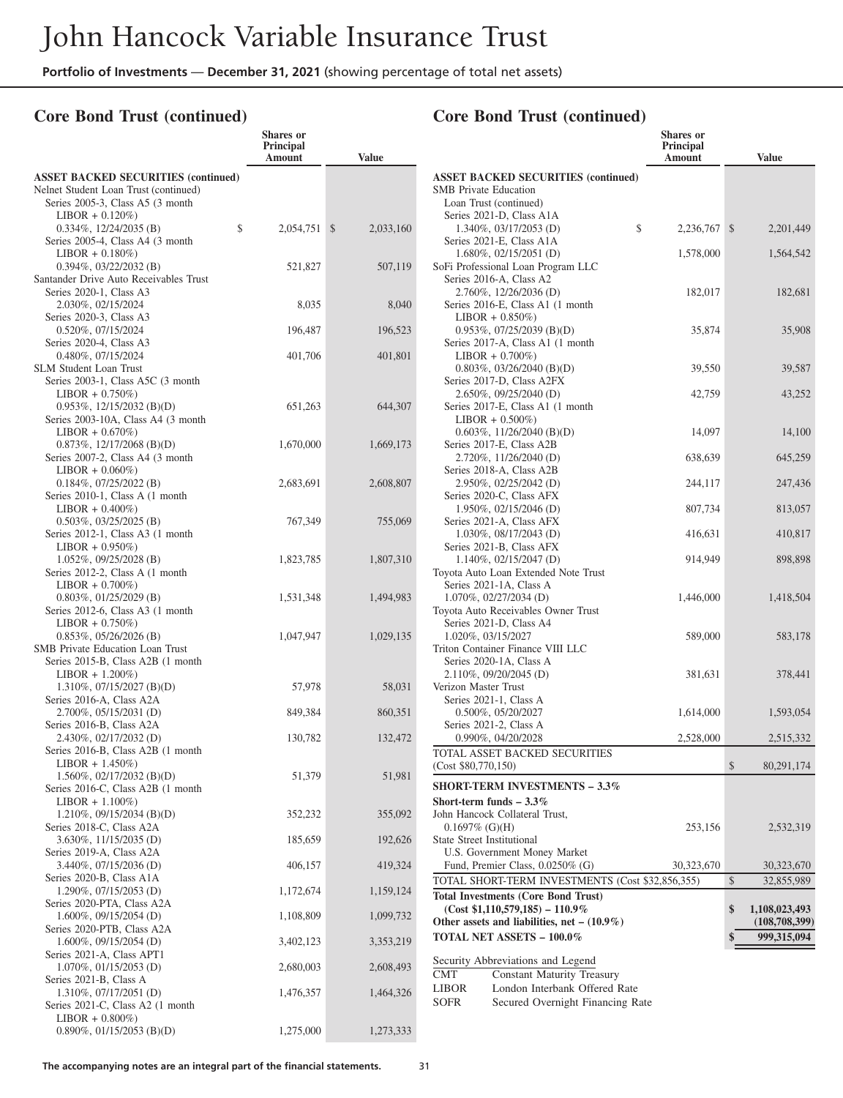**Shares or**

## **Core Bond Trust (continued)**

|                                                                    | Principal<br>Amount | <b>Value</b> |
|--------------------------------------------------------------------|---------------------|--------------|
| <b>ASSET BACKED SECURITIES (continued)</b>                         |                     |              |
| Nelnet Student Loan Trust (continued)                              |                     |              |
| Series 2005-3, Class A5 (3 month                                   |                     |              |
| $LIBOR + 0.120\%)$                                                 | \$                  |              |
| $0.334\%, 12/24/2035$ (B)<br>Series 2005-4, Class A4 (3 month      | 2,054,751 \$        | 2,033,160    |
| $LIBOR + 0.180\%)$                                                 |                     |              |
| $0.394\%, 03/22/2032$ (B)                                          | 521,827             | 507,119      |
| Santander Drive Auto Receivables Trust                             |                     |              |
| Series 2020-1, Class A3                                            |                     |              |
| 2.030%, 02/15/2024                                                 | 8,035               | 8,040        |
| Series 2020-3, Class A3<br>0.520%, 07/15/2024                      | 196,487             | 196,523      |
| Series 2020-4, Class A3                                            |                     |              |
| 0.480%, 07/15/2024                                                 | 401,706             | 401,801      |
| <b>SLM Student Loan Trust</b>                                      |                     |              |
| Series 2003-1, Class A5C (3 month                                  |                     |              |
| $LIBOR + 0.750\%)$                                                 |                     |              |
| $0.953\%, 12/15/2032$ (B)(D)<br>Series 2003-10A, Class A4 (3 month | 651,263             | 644,307      |
| $LIBOR + 0.670\%)$                                                 |                     |              |
| $0.873\%, 12/17/2068$ (B)(D)                                       | 1,670,000           | 1,669,173    |
| Series 2007-2, Class A4 (3 month                                   |                     |              |
| $LIBOR + 0.060\%)$                                                 |                     |              |
| $0.184\%, 07/25/2022$ (B)                                          | 2,683,691           | 2,608,807    |
| Series 2010-1, Class A (1 month<br>$LIBOR + 0.400\%)$              |                     |              |
| $0.503\%, 03/25/2025$ (B)                                          | 767,349             | 755,069      |
| Series 2012-1, Class A3 (1 month                                   |                     |              |
| $LIBOR + 0.950\%)$                                                 |                     |              |
| $1.052\%, 09/25/2028$ (B)                                          | 1,823,785           | 1,807,310    |
| Series 2012-2, Class A (1 month                                    |                     |              |
| $LIBOR + 0.700\%)$<br>$0.803\%, 01/25/2029$ (B)                    |                     | 1,494,983    |
| Series 2012-6, Class A3 (1 month                                   | 1,531,348           |              |
| $LIBOR + 0.750\%)$                                                 |                     |              |
| $0.853\%, 05/26/2026$ (B)                                          | 1,047,947           | 1,029,135    |
| SMB Private Education Loan Trust                                   |                     |              |
| Series 2015-B, Class A2B (1 month                                  |                     |              |
| $LIBOR + 1.200\%)$<br>1.310%, 07/15/2027 (B)(D)                    | 57,978              | 58,031       |
| Series 2016-A, Class A2A                                           |                     |              |
| 2.700%, 05/15/2031 (D)                                             | 849,384             | 860,351      |
| Series 2016-B, Class A2A                                           |                     |              |
| 2.430%, 02/17/2032 (D)                                             | 130,782             | 132,472      |
| Series 2016-B, Class A2B (1 month<br>$LIBOR + 1.450\%)$            |                     |              |
| $1.560\%, 02/17/2032$ (B)(D)                                       | 51,379              | 51,981       |
| Series 2016-C, Class A2B (1 month                                  |                     |              |
| $LIBOR + 1.100\%)$                                                 |                     |              |
| 1.210\%, 09/15/2034 (B)(D)                                         | 352,232             | 355,092      |
| Series 2018-C, Class A2A<br>3.630%, 11/15/2035 (D)                 |                     |              |
| Series 2019-A, Class A2A                                           | 185,659             | 192,626      |
| 3.440%, 07/15/2036 (D)                                             | 406,157             | 419,324      |
| Series 2020-B, Class A1A                                           |                     |              |
| 1.290%, 07/15/2053 (D)                                             | 1,172,674           | 1,159,124    |
| Series 2020-PTA, Class A2A<br>1.600%, 09/15/2054 (D)               |                     |              |
| Series 2020-PTB, Class A2A                                         | 1,108,809           | 1,099,732    |
| 1.600%, 09/15/2054 (D)                                             | 3,402,123           | 3,353,219    |
| Series 2021-A, Class APT1                                          |                     |              |
| $1.070\%$ , 01/15/2053 (D)                                         | 2,680,003           | 2,608,493    |
| Series 2021-B, Class A                                             |                     |              |
| 1.310%, 07/17/2051 (D)<br>Series 2021-C, Class A2 (1 month         | 1,476,357           | 1,464,326    |
| $LIBOR + 0.800\%)$                                                 |                     |              |
| $0.890\%$ , $01/15/2053$ (B)(D)                                    | 1,275,000           | 1,273,333    |
|                                                                    |                     |              |

|                                                                                      | Shares or<br><b>Principal</b> |                     |
|--------------------------------------------------------------------------------------|-------------------------------|---------------------|
|                                                                                      | Amount                        | <b>Value</b>        |
| <b>ASSET BACKED SECURITIES (continued)</b>                                           |                               |                     |
| <b>SMB</b> Private Education                                                         |                               |                     |
| Loan Trust (continued)                                                               |                               |                     |
| Series 2021-D, Class A1A<br>\$<br>1.340%, 03/17/2053 (D)                             | 2,236,767                     | \$<br>2,201,449     |
| Series 2021-E, Class A1A                                                             |                               |                     |
| $1.680\%, 02/15/2051$ (D)                                                            | 1,578,000                     | 1,564,542           |
| SoFi Professional Loan Program LLC                                                   |                               |                     |
| Series 2016-A, Class A2                                                              |                               |                     |
| 2.760%, 12/26/2036 (D)                                                               | 182,017                       | 182,681             |
| Series 2016-E, Class A1 (1 month<br>$LIBOR + 0.850\%)$                               |                               |                     |
| $0.953\%, 07/25/2039$ (B)(D)                                                         | 35,874                        | 35,908              |
| Series 2017-A, Class A1 (1 month                                                     |                               |                     |
| $LIBOR + 0.700\%)$                                                                   |                               |                     |
| $0.803\%$ , $03/26/2040$ (B)(D)                                                      | 39,550                        | 39,587              |
| Series 2017-D, Class A2FX                                                            |                               |                     |
| 2.650%, 09/25/2040 (D)<br>Series 2017-E, Class A1 (1 month                           | 42,759                        | 43,252              |
| $LIBOR + 0.500\%)$                                                                   |                               |                     |
| $0.603\%, 11/26/2040$ (B)(D)                                                         | 14,097                        | 14,100              |
| Series 2017-E, Class A2B                                                             |                               |                     |
| 2.720%, 11/26/2040 (D)                                                               | 638,639                       | 645,259             |
| Series 2018-A, Class A2B                                                             |                               |                     |
| 2.950%, 02/25/2042 (D)<br>Series 2020-C, Class AFX                                   | 244,117                       | 247,436             |
| 1.950%, 02/15/2046 (D)                                                               | 807,734                       | 813,057             |
| Series 2021-A, Class AFX                                                             |                               |                     |
| 1.030%, 08/17/2043 (D)                                                               | 416,631                       | 410,817             |
| Series 2021-B, Class AFX                                                             |                               |                     |
| 1.140%, 02/15/2047 (D)                                                               | 914,949                       | 898,898             |
| Toyota Auto Loan Extended Note Trust<br>Series 2021-1A, Class A                      |                               |                     |
| 1.070%, 02/27/2034 (D)                                                               | 1,446,000                     | 1,418,504           |
| Toyota Auto Receivables Owner Trust                                                  |                               |                     |
| Series 2021-D, Class A4                                                              |                               |                     |
| 1.020%, 03/15/2027                                                                   | 589,000                       | 583,178             |
| Triton Container Finance VIII LLC                                                    |                               |                     |
| Series 2020-1A, Class A<br>2.110%, 09/20/2045 (D)                                    |                               |                     |
| Verizon Master Trust                                                                 | 381,631                       | 378,441             |
| Series 2021-1, Class A                                                               |                               |                     |
| 0.500%, 05/20/2027                                                                   | 1,614,000                     | 1,593,054           |
| Series 2021-2, Class A                                                               |                               |                     |
| 0.990%, 04/20/2028                                                                   | 2,528,000                     | 2,515,332           |
| TOTAL ASSET BACKED SECURITIES                                                        |                               |                     |
| (Cost \$80,770,150)                                                                  |                               | \$<br>80,291,174    |
| <b>SHORT-TERM INVESTMENTS – 3.3%</b>                                                 |                               |                     |
| Short-term funds $-3.3\%$                                                            |                               |                     |
| John Hancock Collateral Trust,                                                       |                               |                     |
| $0.1697\%$ (G)(H)<br><b>State Street Institutional</b>                               | 253,156                       | 2,532,319           |
| <b>U.S. Government Money Market</b>                                                  |                               |                     |
| Fund, Premier Class, 0.0250% (G)                                                     | 30,323,670                    | 30,323,670          |
| TOTAL SHORT-TERM INVESTMENTS (Cost \$32,856,355)                                     |                               | \$<br>32,855,989    |
| <b>Total Investments (Core Bond Trust)</b>                                           |                               |                     |
| $(Cost $1,110,579,185) - 110.9\%$                                                    |                               | \$<br>1,108,023,493 |
| Other assets and liabilities, net $- (10.9\%)$                                       |                               | (108,708,399)       |
| <b>TOTAL NET ASSETS - 100.0%</b>                                                     |                               | \$<br>999,315,094   |
|                                                                                      |                               |                     |
| Security Abbreviations and Legend<br><b>Constant Maturity Treasury</b><br><b>CMT</b> |                               |                     |
| London Interbank Offered Rate<br>LIBOR                                               |                               |                     |
| <b>SOFR</b><br>Secured Overnight Financing Rate                                      |                               |                     |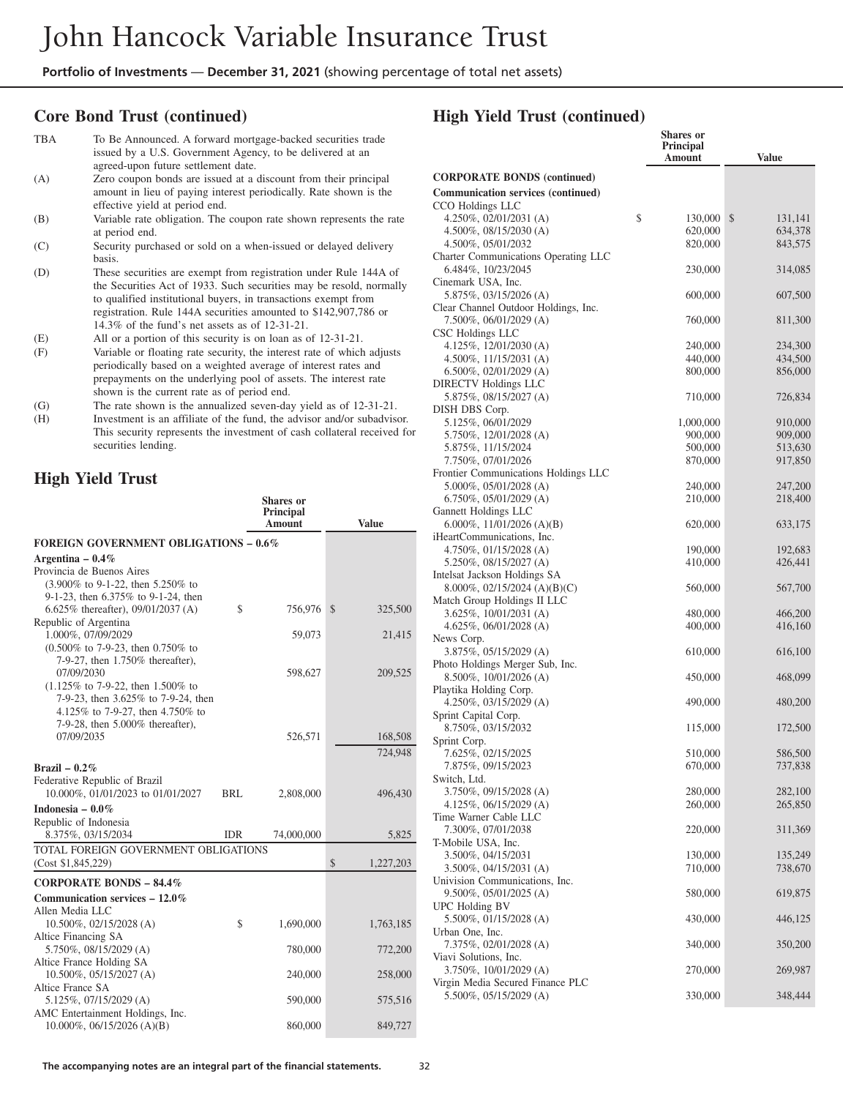## **Core Bond Trust (continued)**

| <b>TBA</b> | To Be Announced. A forward mortgage-backed securities trade<br>issued by a U.S. Government Agency, to be delivered at an<br>agreed-upon future settlement date.        |
|------------|------------------------------------------------------------------------------------------------------------------------------------------------------------------------|
| (A)        | Zero coupon bonds are issued at a discount from their principal<br>amount in lieu of paying interest periodically. Rate shown is the<br>effective yield at period end. |
| (B)        | Variable rate obligation. The coupon rate shown represents the rate<br>at period end.                                                                                  |
| (C)        | Security purchased or sold on a when-issued or delayed delivery<br>basis.                                                                                              |

(D) These securities are exempt from registration under Rule 144A of the Securities Act of 1933. Such securities may be resold, normally to qualified institutional buyers, in transactions exempt from registration. Rule 144A securities amounted to \$142,907,786 or 14.3% of the fund's net assets as of 12-31-21.

(E) All or a portion of this security is on loan as of 12-31-21.

- (F) Variable or floating rate security, the interest rate of which adjusts periodically based on a weighted average of interest rates and prepayments on the underlying pool of assets. The interest rate shown is the current rate as of period end.
- (G) The rate shown is the annualized seven-day yield as of 12-31-21.
- (H) Investment is an affiliate of the fund, the advisor and/or subadvisor. This security represents the investment of cash collateral received for securities lending.

## **High Yield Trust**

|                                                                                |               | <b>Shares</b> or<br><b>Principal</b><br>Amount | <b>Value</b>              |
|--------------------------------------------------------------------------------|---------------|------------------------------------------------|---------------------------|
| <b>FOREIGN GOVERNMENT OBLIGATIONS - 0.6%</b>                                   |               |                                                |                           |
| Argentina - $0.4\%$                                                            |               |                                                |                           |
| Provincia de Buenos Aires                                                      |               |                                                |                           |
| (3.900% to 9-1-22, then 5.250% to                                              |               |                                                |                           |
| 9-1-23, then 6.375% to 9-1-24, then<br>6.625% thereafter), $09/01/2037$ (A)    | $\mathcal{S}$ | 756,976                                        | $\mathbb{S}$<br>325,500   |
| Republic of Argentina                                                          |               |                                                |                           |
| 1.000%, 07/09/2029                                                             |               | 59,073                                         | 21,415                    |
| $(0.500\% \text{ to } 7-9-23, \text{ then } 0.750\% \text{ to }$               |               |                                                |                           |
| 7-9-27, then 1.750% thereafter),                                               |               |                                                |                           |
| 07/09/2030<br>$(1.125\% \text{ to } 7-9-22, \text{ then } 1.500\% \text{ to }$ |               | 598,627                                        | 209,525                   |
| 7-9-23, then 3.625% to 7-9-24, then                                            |               |                                                |                           |
| 4.125% to 7-9-27, then 4.750% to                                               |               |                                                |                           |
| 7-9-28, then 5.000% thereafter),                                               |               |                                                |                           |
| 07/09/2035                                                                     |               | 526,571                                        | 168,508                   |
|                                                                                |               |                                                | 724,948                   |
| Brazil $-0.2\%$                                                                |               |                                                |                           |
| Federative Republic of Brazil<br>10.000%, 01/01/2023 to 01/01/2027             | BRL           | 2,808,000                                      | 496,430                   |
| Indonesia $-0.0\%$                                                             |               |                                                |                           |
| Republic of Indonesia                                                          |               |                                                |                           |
| 8.375%, 03/15/2034                                                             | <b>IDR</b>    | 74,000,000                                     | 5,825                     |
| TOTAL FOREIGN GOVERNMENT OBLIGATIONS                                           |               |                                                |                           |
| (Cost \$1,845,229)                                                             |               |                                                | $\mathbb{S}$<br>1,227,203 |
| <b>CORPORATE BONDS - 84.4%</b>                                                 |               |                                                |                           |
| Communication services $-12.0\%$                                               |               |                                                |                           |
| Allen Media LLC                                                                |               |                                                |                           |
| 10.500%, 02/15/2028 (A)                                                        | \$            | 1,690,000                                      | 1,763,185                 |
| Altice Financing SA<br>5.750%, 08/15/2029 (A)                                  |               | 780,000                                        | 772,200                   |
| Altice France Holding SA                                                       |               |                                                |                           |
| 10.500%, 05/15/2027 (A)                                                        |               | 240,000                                        | 258,000                   |
| Altice France SA                                                               |               |                                                |                           |
| 5.125%, 07/15/2029 (A)                                                         |               | 590,000                                        | 575,516                   |
| AMC Entertainment Holdings, Inc.<br>$10.000\%$ , 06/15/2026 (A)(B)             |               | 860,000                                        | 849,727                   |
|                                                                                |               |                                                |                           |

|                                                             | <b>Shares</b> or<br><b>Principal</b><br>Amount | <b>Value</b>       |
|-------------------------------------------------------------|------------------------------------------------|--------------------|
| <b>CORPORATE BONDS (continued)</b>                          |                                                |                    |
| <b>Communication services (continued)</b>                   |                                                |                    |
| CCO Holdings LLC                                            |                                                |                    |
| 4.250%, 02/01/2031 (A)                                      | \$<br>130,000                                  | \$<br>131,141      |
| 4.500%, $08/15/2030$ (A)                                    | 620,000                                        | 634,378            |
| 4.500%, 05/01/2032                                          | 820,000                                        | 843,575            |
| Charter Communications Operating LLC                        |                                                |                    |
| 6.484%, 10/23/2045<br>Cinemark USA, Inc.                    | 230,000                                        | 314,085            |
| 5.875%, 03/15/2026 (A)                                      | 600,000                                        | 607,500            |
| Clear Channel Outdoor Holdings, Inc.                        |                                                |                    |
| 7.500%, 06/01/2029 (A)                                      | 760,000                                        | 811,300            |
| CSC Holdings LLC                                            |                                                |                    |
| 4.125%, 12/01/2030(A)                                       | 240,000                                        | 234,300            |
| 4.500\%, $11/15/2031$ (A)                                   | 440,000                                        | 434,500            |
| $6.500\%$ , 02/01/2029 (A)                                  | 800,000                                        | 856,000            |
| <b>DIRECTV Holdings LLC</b>                                 |                                                |                    |
| 5.875%, 08/15/2027 (A)                                      | 710,000                                        | 726,834            |
| DISH DBS Corp.                                              |                                                |                    |
| 5.125%, 06/01/2029                                          | 1,000,000<br>900,000                           | 910,000<br>909,000 |
| 5.750%, 12/01/2028 (A)<br>5.875%, 11/15/2024                | 500,000                                        | 513,630            |
| 7.750%, 07/01/2026                                          | 870,000                                        | 917,850            |
| Frontier Communications Holdings LLC                        |                                                |                    |
| 5.000%, 05/01/2028 (A)                                      | 240,000                                        | 247,200            |
| $6.750\%, 05/01/2029$ (A)                                   | 210,000                                        | 218,400            |
| Gannett Holdings LLC                                        |                                                |                    |
| 6.000\%, 11/01/2026 (A)(B)                                  | 620,000                                        | 633,175            |
| iHeartCommunications, Inc.                                  |                                                |                    |
| $4.750\%, 01/15/2028$ (A)                                   | 190,000                                        | 192,683            |
| $5.250\%$ , 08/15/2027 (A)                                  | 410,000                                        | 426,441            |
| Intelsat Jackson Holdings SA                                |                                                |                    |
| 8.000%, 02/15/2024 (A)(B)(C)<br>Match Group Holdings II LLC | 560,000                                        | 567,700            |
| $3.625\%, 10/01/2031$ (A)                                   | 480,000                                        | 466,200            |
| $4.625\%, 06/01/2028$ (A)                                   | 400,000                                        | 416,160            |
| News Corp.                                                  |                                                |                    |
| 3.875%, 05/15/2029 (A)                                      | 610,000                                        | 616,100            |
| Photo Holdings Merger Sub, Inc.                             |                                                |                    |
| $8.500\%$ , 10/01/2026 (A)                                  | 450,000                                        | 468,099            |
| Playtika Holding Corp.                                      |                                                |                    |
| 4.250%, 03/15/2029 (A)                                      | 490,000                                        | 480,200            |
| Sprint Capital Corp.                                        |                                                |                    |
| 8.750%, 03/15/2032<br>Sprint Corp.                          | 115,000                                        | 172,500            |
| 7.625%, 02/15/2025                                          | 510,000                                        | 586,500            |
| 7.875%, 09/15/2023                                          | 670,000                                        | 131,838            |
| Switch, Ltd.                                                |                                                |                    |
| 3.750%, 09/15/2028 (A)                                      | 280,000                                        | 282,100            |
| 4.125%, 06/15/2029 (A)                                      | 260,000                                        | 265,850            |
| Time Warner Cable LLC                                       |                                                |                    |
| 7.300%, 07/01/2038                                          | 220,000                                        | 311,369            |
| T-Mobile USA, Inc.                                          |                                                |                    |
| 3.500%, 04/15/2031                                          | 130,000                                        | 135,249            |
| 3.500%, 04/15/2031 (A)<br>Univision Communications, Inc.    | 710,000                                        | 738,670            |
| 9.500%, 05/01/2025 (A)                                      | 580,000                                        | 619,875            |
| UPC Holding BV                                              |                                                |                    |
| 5.500%, 01/15/2028 (A)                                      | 430,000                                        | 446,125            |
| Urban One, Inc.                                             |                                                |                    |
| 7.375%, 02/01/2028 (A)                                      | 340,000                                        | 350,200            |
| Viavi Solutions, Inc.                                       |                                                |                    |
| 3.750%, 10/01/2029 (A)                                      | 270,000                                        | 269,987            |
| Virgin Media Secured Finance PLC                            |                                                |                    |
| 5.500%, 05/15/2029 (A)                                      | 330,000                                        | 348,444            |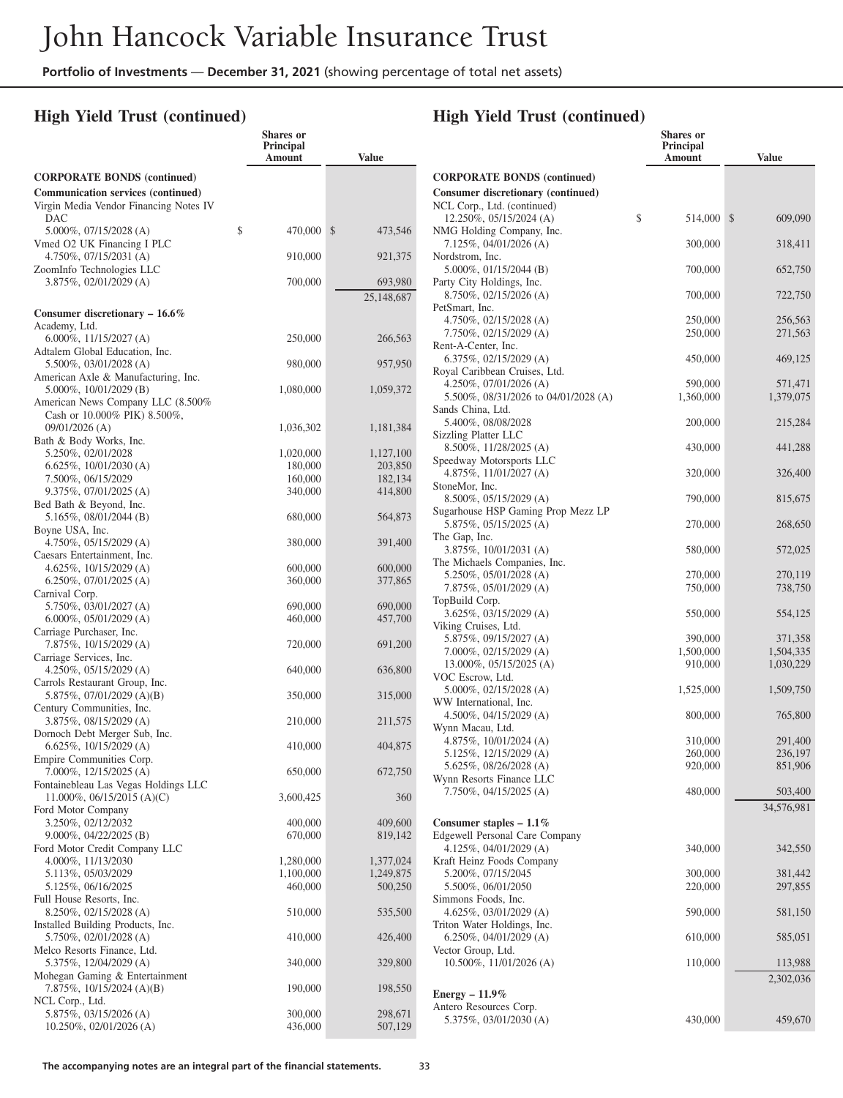**Shares or**

## **High Yield Trust (continued)**

|                                                                                            | Principal<br>Amount    | <b>Value</b>           |
|--------------------------------------------------------------------------------------------|------------------------|------------------------|
| <b>CORPORATE BONDS (continued)</b>                                                         |                        |                        |
| <b>Communication services (continued)</b><br>Virgin Media Vendor Financing Notes IV<br>DAC |                        |                        |
| 5.000%, 07/15/2028 (A)                                                                     | \$<br>470,000          | \$<br>473,546          |
| Vmed O2 UK Financing I PLC<br>$4.750\%, 07/15/2031$ (A)                                    | 910,000                | 921,375                |
| ZoomInfo Technologies LLC<br>3.875%, 02/01/2029 (A)                                        | 700,000                | 693,980                |
| Consumer discretionary - 16.6%                                                             |                        | 25,148,687             |
| Academy, Ltd.                                                                              |                        |                        |
| 6.000%, $11/15/2027$ (A)<br>Adtalem Global Education, Inc.                                 | 250,000                | 266,563                |
| 5.500%, 03/01/2028 (A)<br>American Axle & Manufacturing, Inc.                              | 980,000                | 957,950                |
| 5.000%, 10/01/2029 (B)                                                                     | 1,080,000              | 1,059,372              |
| American News Company LLC (8.500%<br>Cash or 10.000% PIK) 8.500%,                          |                        |                        |
| 09/01/2026 (A)<br>Bath & Body Works, Inc.                                                  | 1,036,302              | 1,181,384              |
| 5.250%, 02/01/2028                                                                         | 1,020,000              | 1,127,100              |
| 6.625%, 10/01/2030 (A)                                                                     | 180,000                | 203,850                |
| 7.500%, 06/15/2029                                                                         | 160,000                | 182,134                |
| 9.375%, 07/01/2025 (A)<br>Bed Bath & Beyond, Inc.                                          | 340,000                | 414,800                |
| 5.165%, 08/01/2044 (B)<br>Boyne USA, Inc.                                                  | 680,000                | 564,873                |
| 4.750%, 05/15/2029 (A)                                                                     | 380,000                | 391,400                |
| Caesars Entertainment, Inc.<br>4.625%, $10/15/2029$ (A)                                    | 600,000                | 600,000                |
| $6.250\%, 07/01/2025$ (A)                                                                  | 360,000                | 377,865                |
| Carnival Corp.                                                                             |                        |                        |
| 5.750%, 03/01/2027 (A)<br>$6.000\%, 05/01/2029$ (A)                                        | 690,000<br>460,000     | 690,000<br>457,700     |
| Carriage Purchaser, Inc.<br>7.875%, 10/15/2029 (A)                                         | 720,000                | 691,200                |
| Carriage Services, Inc.<br>4.250%, 05/15/2029 (A)                                          | 640,000                | 636,800                |
| Carrols Restaurant Group, Inc.                                                             |                        |                        |
| 5.875%, 07/01/2029 (A)(B)<br>Century Communities, Inc.                                     | 350,000                | 315,000                |
| 3.875%, 08/15/2029 (A)<br>Dornoch Debt Merger Sub, Inc.                                    | 210,000                | 211,575                |
| 6.625%, $10/15/2029$ (A)<br>Empire Communities Corp.                                       | 410,000                | 404,875                |
| 7.000%, 12/15/2025 (A)                                                                     | 650,000                | 672,750                |
| Fontainebleau Las Vegas Holdings LLC<br>11.000%, 06/15/2015 (A)(C)                         | 3,600,425              | 360                    |
| Ford Motor Company<br>3.250%, 02/12/2032                                                   | 400,000                | 409,600                |
| 9.000%, 04/22/2025 (B)                                                                     | 670,000                | 819,142                |
| Ford Motor Credit Company LLC                                                              |                        |                        |
| 4.000%, 11/13/2030<br>5.113%, 05/03/2029                                                   | 1,280,000<br>1,100,000 | 1,377,024<br>1,249,875 |
| 5.125%, 06/16/2025                                                                         | 460,000                | 500,250                |
| Full House Resorts, Inc.                                                                   |                        |                        |
| 8.250%, 02/15/2028 (A)<br>Installed Building Products, Inc.                                | 510,000                | 535,500                |
| 5.750%, 02/01/2028 (A)                                                                     | 410,000                | 426,400                |
| Melco Resorts Finance, Ltd.<br>5.375%, 12/04/2029 (A)                                      | 340,000                | 329,800                |
| Mohegan Gaming & Entertainment<br>7.875%, 10/15/2024 (A)(B)                                | 190,000                | 198,550                |
| NCL Corp., Ltd.                                                                            |                        |                        |
| 5.875%, 03/15/2026 (A)<br>10.250%, 02/01/2026 (A)                                          | 300,000<br>436,000     | 298,671<br>507,129     |

|                                                     | <b>Shares</b> or<br><b>Principal</b><br>Amount | <b>Value</b>         |
|-----------------------------------------------------|------------------------------------------------|----------------------|
| <b>CORPORATE BONDS (continued)</b>                  |                                                |                      |
| Consumer discretionary (continued)                  |                                                |                      |
| NCL Corp., Ltd. (continued)                         |                                                |                      |
| \$<br>$12.250\%, 05/15/2024 (A)$                    | 514,000                                        | \$<br>609,090        |
| NMG Holding Company, Inc.                           |                                                |                      |
| $7.125\%, 04/01/2026$ (A)<br>Nordstrom, Inc.        | 300,000                                        | 318,411              |
| $5.000\%$ , 01/15/2044 (B)                          | 700,000                                        | 652,750              |
| Party City Holdings, Inc.                           |                                                |                      |
| 8.750%, 02/15/2026 (A)                              | 700,000                                        | 722,750              |
| PetSmart, Inc.                                      |                                                |                      |
| 4.750%, 02/15/2028 (A)<br>7.750%, 02/15/2029 (A)    | 250,000<br>250,000                             | 256,563<br>271,563   |
| Rent-A-Center, Inc.                                 |                                                |                      |
| 6.375%, 02/15/2029 (A)                              | 450,000                                        | 469,125              |
| Royal Caribbean Cruises, Ltd.                       |                                                |                      |
| $4.250\%$ , 07/01/2026 (A)                          | 590,000                                        | 571,471              |
| 5.500\%, 08/31/2026 to 04/01/2028 (A)               | 1,360,000                                      | 1,379,075            |
| Sands China, Ltd.                                   |                                                |                      |
| 5.400%, 08/08/2028                                  | 200,000                                        | 215,284              |
| Sizzling Platter LLC<br>8.500%, 11/28/2025 (A)      | 430,000                                        | 441,288              |
| Speedway Motorsports LLC                            |                                                |                      |
| 4.875%, $11/01/2027$ (A)                            | 320,000                                        | 326,400              |
| StoneMor, Inc.                                      |                                                |                      |
| 8.500%, 05/15/2029 (A)                              | 790,000                                        | 815,675              |
| Sugarhouse HSP Gaming Prop Mezz LP                  |                                                |                      |
| 5.875%, 05/15/2025 (A)                              | 270,000                                        | 268,650              |
| The Gap, Inc.<br>3.875%, 10/01/2031 (A)             | 580,000                                        | 572,025              |
| The Michaels Companies, Inc.                        |                                                |                      |
| 5.250%, 05/01/2028 (A)                              | 270,000                                        | 270,119              |
| $7.875\%, 05/01/2029$ (A)                           | 750,000                                        | 738,750              |
| TopBuild Corp.                                      |                                                |                      |
| 3.625%, 03/15/2029 (A)                              | 550,000                                        | 554,125              |
| Viking Cruises, Ltd.                                |                                                |                      |
| 5.875%, 09/15/2027 (A)<br>7.000%, 02/15/2029 (A)    | 390,000                                        | 371,358<br>1,504,335 |
| 13.000%, 05/15/2025 (A)                             | 1,500,000<br>910,000                           | 1,030,229            |
| VOC Escrow, Ltd.                                    |                                                |                      |
| $5.000\%$ , 02/15/2028 (A)                          | 1,525,000                                      | 1,509,750            |
| WW International, Inc.                              |                                                |                      |
| 4.500\%, 04/15/2029 (A)                             | 800,000                                        | 765,800              |
| Wynn Macau, Ltd.                                    |                                                |                      |
| $4.875\%, 10/01/2024 (A)$<br>5.125%, 12/15/2029 (A) | 310,000                                        | 291,400              |
| 5.625%, 08/26/2028 (A)                              | 260,000<br>920,000                             | 236,197<br>851,906   |
| Wynn Resorts Finance LLC                            |                                                |                      |
| 7.750%, 04/15/2025 (A)                              | 480,000                                        | 503,400              |
|                                                     |                                                | 34,576,981           |
| Consumer staples $-1.1\%$                           |                                                |                      |
| <b>Edgewell Personal Care Company</b>               |                                                |                      |
| $4.125\%, 04/01/2029$ (A)                           | 340,000                                        | 342,550              |
| Kraft Heinz Foods Company                           |                                                |                      |
| 5.200%, 07/15/2045                                  | 300,000                                        | 381,442              |
| 5.500%, 06/01/2050                                  | 220,000                                        | 297,855              |
| Simmons Foods, Inc.<br>4.625%, 03/01/2029 (A)       | 590,000                                        | 581,150              |
| Triton Water Holdings, Inc.                         |                                                |                      |
| 6.250%, 04/01/2029 (A)                              | 610,000                                        | 585,051              |
| Vector Group, Ltd.                                  |                                                |                      |
| 10.500%, 11/01/2026 (A)                             | 110,000                                        | 113,988              |
|                                                     |                                                | 2,302,036            |
| Energy $-11.9\%$                                    |                                                |                      |
| Antero Resources Corp.                              |                                                |                      |
| 5.375%, 03/01/2030 (A)                              | 430,000                                        | 459,670              |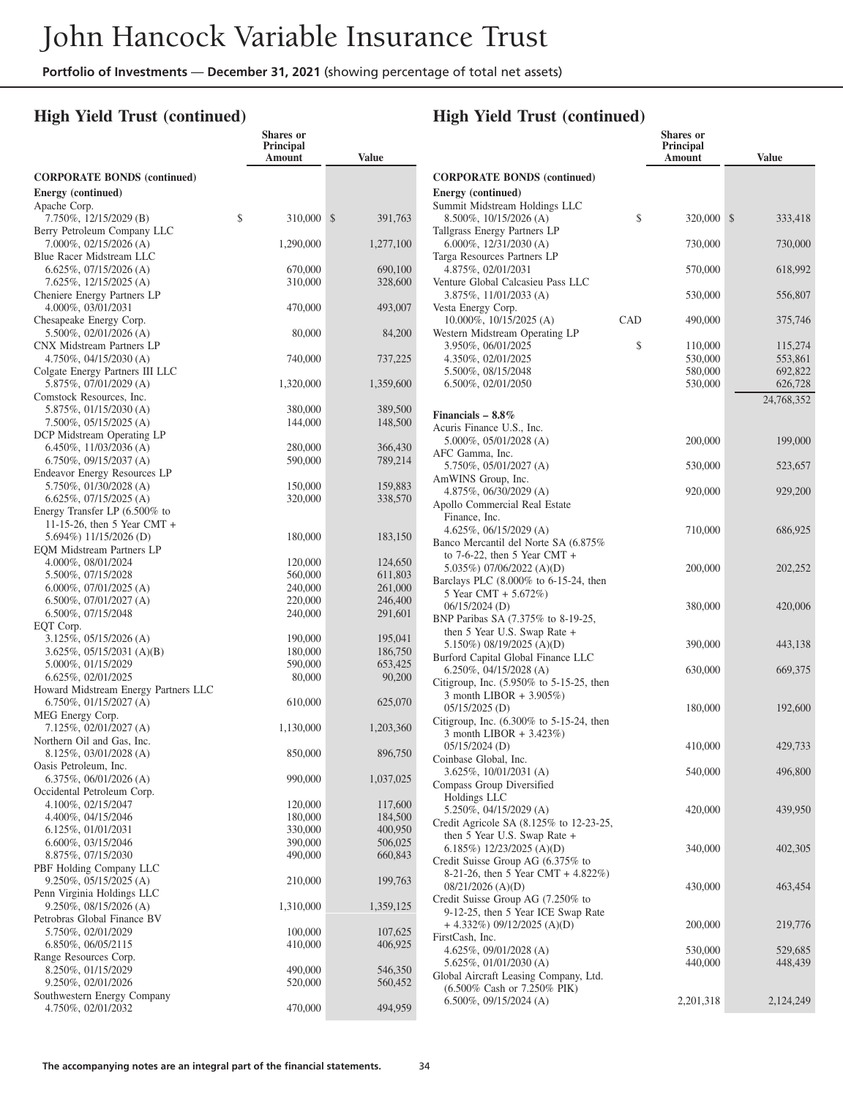**Shares or**

## **High Yield Trust (continued)**

|                                                             | <b>Principal</b><br>Amount | <b>Value</b>       |
|-------------------------------------------------------------|----------------------------|--------------------|
| <b>CORPORATE BONDS</b> (continued)                          |                            |                    |
| Energy (continued)                                          |                            |                    |
| Apache Corp.                                                |                            |                    |
| 7.750%, 12/15/2029 (B)<br>Berry Petroleum Company LLC       | \$<br>310,000              | \$<br>391,763      |
| 7.000%, 02/15/2026 (A)                                      | 1,290,000                  | 1,277,100          |
| Blue Racer Midstream LLC                                    |                            |                    |
| $6.625\%, 07/15/2026$ (A)                                   | 670,000                    | 690,100            |
| 7.625%, 12/15/2025 (A)<br>Cheniere Energy Partners LP       | 310,000                    | 328,600            |
| 4.000%, 03/01/2031                                          | 470,000                    | 493,007            |
| Chesapeake Energy Corp.                                     |                            |                    |
| 5.500%, 02/01/2026 (A)                                      | 80,000                     | 84,200             |
| CNX Midstream Partners LP                                   |                            |                    |
| 4.750%, $04/15/2030$ (A)<br>Colgate Energy Partners III LLC | 740,000                    | 737,225            |
| 5.875%, 07/01/2029 (A)                                      | 1,320,000                  | 1,359,600          |
| Comstock Resources, Inc.                                    |                            |                    |
| 5.875%, 01/15/2030 (A)                                      | 380,000                    | 389,500            |
| 7.500%, 05/15/2025 (A)<br>DCP Midstream Operating LP        | 144,000                    | 148,500            |
| 6.450%, 11/03/2036 (A)                                      | 280,000                    | 366,430            |
| $6.750\%, 09/15/2037$ (A)                                   | 590,000                    | 789,214            |
| Endeavor Energy Resources LP                                |                            |                    |
| 5.750%, 01/30/2028 (A)                                      | 150,000                    | 159,883            |
| $6.625\%, 07/15/2025$ (A)<br>Energy Transfer LP (6.500% to  | 320,000                    | 338,570            |
| 11-15-26, then 5 Year CMT +                                 |                            |                    |
| 5.694%) 11/15/2026 (D)                                      | 180,000                    | 183,150            |
| <b>EQM Midstream Partners LP</b>                            |                            |                    |
| 4.000%, 08/01/2024<br>5.500%, 07/15/2028                    | 120,000                    | 124,650<br>611,803 |
| $6.000\%$ , 07/01/2025 (A)                                  | 560,000<br>240,000         | 261,000            |
| $6.500\%, 07/01/2027$ (A)                                   | 220,000                    | 246,400            |
| 6.500%, 07/15/2048                                          | 240,000                    | 291,601            |
| EQT Corp.                                                   |                            |                    |
| 3.125%, 05/15/2026 (A)<br>$3.625\%, 05/15/2031 (A)(B)$      | 190,000<br>180,000         | 195,041<br>186,750 |
| 5.000%, 01/15/2029                                          | 590,000                    | 653,425            |
| 6.625%, 02/01/2025                                          | 80,000                     | 90,200             |
| Howard Midstream Energy Partners LLC                        |                            |                    |
| 6.750%, 01/15/2027 (A)                                      | 610,000                    | 625,070            |
| MEG Energy Corp.<br>7.125%, 02/01/2027 (A)                  | 1,130,000                  | 1,203,360          |
| Northern Oil and Gas, Inc.                                  |                            |                    |
| 8.125%, 03/01/2028 (A)                                      | 850,000                    | 896,750            |
| Oasis Petroleum, Inc.                                       |                            |                    |
| 6.375%, 06/01/2026 (A)                                      | 990,000                    | 1,037,025          |
| Occidental Petroleum Corp.<br>4.100%, 02/15/2047            | 120,000                    | 117,600            |
| 4.400%, 04/15/2046                                          | 180,000                    | 184,500            |
| 6.125%, 01/01/2031                                          | 330,000                    | 400,950            |
| 6.600%, 03/15/2046                                          | 390,000                    | 506,025            |
| 8.875%, 07/15/2030<br>PBF Holding Company LLC               | 490,000                    | 660,843            |
| 9.250%, 05/15/2025 (A)                                      | 210,000                    | 199,763            |
| Penn Virginia Holdings LLC                                  |                            |                    |
| 9.250%, 08/15/2026 (A)                                      | 1,310,000                  | 1,359,125          |
| Petrobras Global Finance BV                                 |                            |                    |
| 5.750%, 02/01/2029                                          | 100,000                    | 107,625            |
| 6.850%, 06/05/2115<br>Range Resources Corp.                 | 410,000                    | 406,925            |
| 8.250%, 01/15/2029                                          | 490,000                    | 546,350            |
| 9.250%, 02/01/2026                                          | 520,000                    | 560,452            |
| Southwestern Energy Company                                 |                            |                    |
| 4.750%, 02/01/2032                                          | 470,000                    | 494,959            |

|                                                                                          |     | <b>Shares</b> or<br>Principal<br>Amount | <b>Value</b>       |
|------------------------------------------------------------------------------------------|-----|-----------------------------------------|--------------------|
| <b>CORPORATE BONDS (continued)</b>                                                       |     |                                         |                    |
| <b>Energy</b> (continued)                                                                |     |                                         |                    |
| Summit Midstream Holdings LLC                                                            |     |                                         |                    |
| 8.500%, 10/15/2026 (A)<br>Tallgrass Energy Partners LP                                   | \$  | 320,000                                 | \$<br>333,418      |
| 6.000%, $12/31/2030$ (A)                                                                 |     | 730,000                                 | 730,000            |
| Targa Resources Partners LP                                                              |     |                                         |                    |
| 4.875%, 02/01/2031                                                                       |     | 570,000                                 | 618,992            |
| Venture Global Calcasieu Pass LLC<br>3.875%, 11/01/2033 (A)                              |     | 530,000                                 | 556,807            |
| Vesta Energy Corp.                                                                       |     |                                         |                    |
| 10.000%, 10/15/2025 (A)                                                                  | CAD | 490,000                                 | 375,746            |
| Western Midstream Operating LP                                                           |     |                                         |                    |
| 3.950%, 06/01/2025<br>4.350%, 02/01/2025                                                 | \$  | 110,000<br>530,000                      | 115,274<br>553,861 |
| 5.500%, 08/15/2048                                                                       |     | 580,000                                 | 692,822            |
| 6.500%, 02/01/2050                                                                       |     | 530,000                                 | 626,728            |
|                                                                                          |     |                                         | 24,768,352         |
| Financials $-8.8\%$                                                                      |     |                                         |                    |
| Acuris Finance U.S., Inc.                                                                |     |                                         |                    |
| $5.000\%$ , $05/01/2028$ (A)                                                             |     | 200,000                                 | 199,000            |
| AFC Gamma, Inc.<br>5.750%, 05/01/2027 (A)                                                |     | 530,000                                 | 523,657            |
| AmWINS Group, Inc.                                                                       |     |                                         |                    |
| 4.875%, 06/30/2029 (A)                                                                   |     | 920,000                                 | 929,200            |
| Apollo Commercial Real Estate                                                            |     |                                         |                    |
| Finance, Inc.<br>4.625%, 06/15/2029 (A)                                                  |     | 710,000                                 | 686,925            |
| Banco Mercantil del Norte SA (6.875%                                                     |     |                                         |                    |
| to $7-6-22$ , then 5 Year CMT +                                                          |     |                                         |                    |
| 5.035%) 07/06/2022 (A)(D)<br>Barclays PLC (8.000% to 6-15-24, then                       |     | 200,000                                 | 202,252            |
| 5 Year CMT + 5.672%)                                                                     |     |                                         |                    |
| 06/15/2024 (D)                                                                           |     | 380,000                                 | 420,006            |
| BNP Paribas SA (7.375% to 8-19-25,                                                       |     |                                         |                    |
| then 5 Year U.S. Swap Rate +<br>5.150%) 08/19/2025 (A)(D)                                |     | 390,000                                 | 443,138            |
| Burford Capital Global Finance LLC                                                       |     |                                         |                    |
| 6.250%, 04/15/2028 (A)                                                                   |     | 630,000                                 | 669,375            |
| Citigroup, Inc. $(5.950\% \text{ to } 5-15-25, \text{ then})$<br>3 month LIBOR + 3.905%) |     |                                         |                    |
| 05/15/2025 (D)                                                                           |     | 180,000                                 | 192,600            |
| Citigroup, Inc. (6.300% to 5-15-24, then                                                 |     |                                         |                    |
| 3 month LIBOR + 3.423%)<br>$05/15/2024$ (D)                                              |     | 410,000                                 | 429,733            |
| Coinbase Global, Inc.                                                                    |     |                                         |                    |
| 3.625%, 10/01/2031 (A)                                                                   |     | 540,000                                 | 496,800            |
| Compass Group Diversified<br>Holdings LLC                                                |     |                                         |                    |
| 5.250%, 04/15/2029 (A)                                                                   |     | 420,000                                 | 439,950            |
| Credit Agricole SA (8.125% to 12-23-25,                                                  |     |                                         |                    |
| then 5 Year U.S. Swap Rate +                                                             |     |                                         |                    |
| 6.185%) $12/23/2025$ (A)(D)<br>Credit Suisse Group AG (6.375% to                         |     | 340,000                                 | 402,305            |
| 8-21-26, then 5 Year CMT + 4.822%)                                                       |     |                                         |                    |
| $08/21/2026$ (A)(D)                                                                      |     | 430,000                                 | 463,454            |
| Credit Suisse Group AG (7.250% to                                                        |     |                                         |                    |
| 9-12-25, then 5 Year ICE Swap Rate<br>$+4.332\%$ ) 09/12/2025 (A)(D)                     |     | 200,000                                 |                    |
| FirstCash, Inc.                                                                          |     |                                         | 219,776            |
| 4.625%, 09/01/2028 (A)                                                                   |     | 530,000                                 | 529,685            |
| 5.625%, 01/01/2030 (A)                                                                   |     | 440,000                                 | 448,439            |
| Global Aircraft Leasing Company, Ltd.<br>(6.500% Cash or 7.250% PIK)                     |     |                                         |                    |
| 6.500%, 09/15/2024 (A)                                                                   |     | 2,201,318                               | 2,124,249          |
|                                                                                          |     |                                         |                    |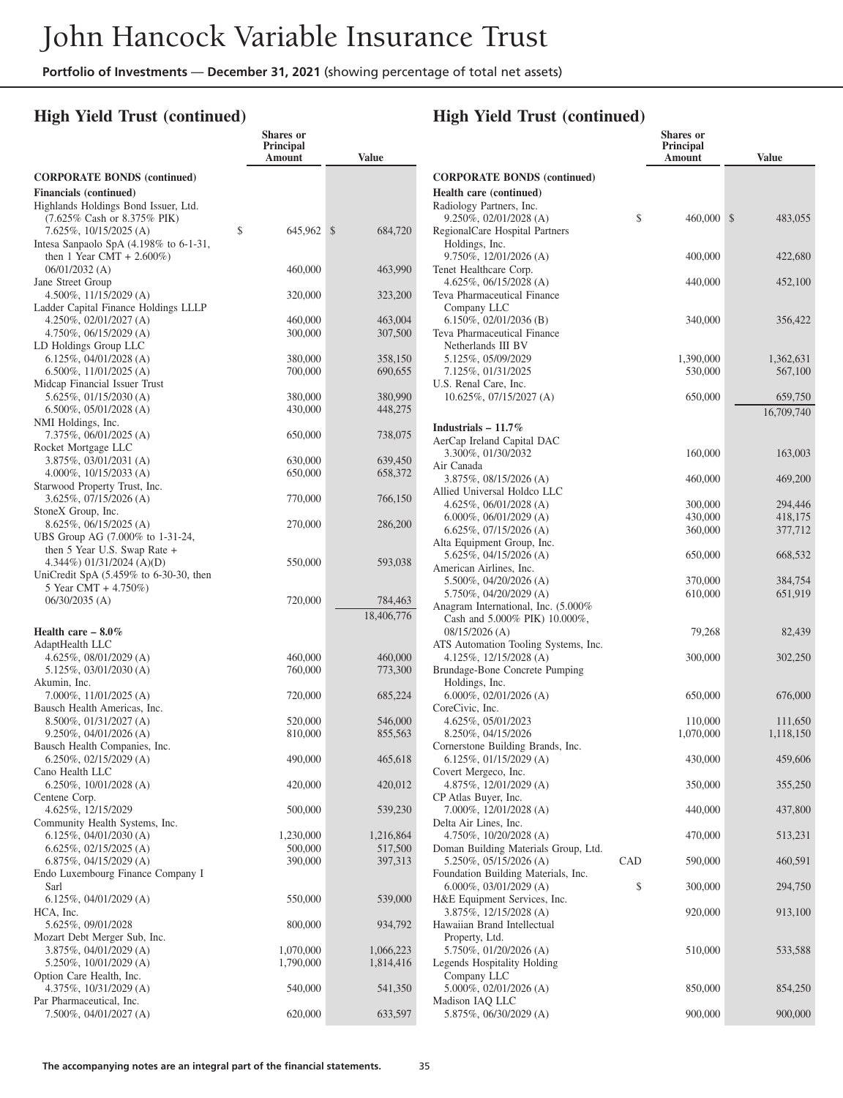## **High Yield Trust (continued)**

|                                                                     | Shares or<br>Principal<br>Amount | <b>Value</b>             |
|---------------------------------------------------------------------|----------------------------------|--------------------------|
| <b>CORPORATE BONDS (continued)</b>                                  |                                  |                          |
| <b>Financials</b> (continued)                                       |                                  |                          |
| Highlands Holdings Bond Issuer, Ltd.                                |                                  |                          |
| (7.625% Cash or 8.375% PIK)                                         |                                  |                          |
| 7.625%, 10/15/2025 (A)<br>Intesa Sanpaolo SpA $(4.198\%$ to 6-1-31, | \$<br>645,962                    | $\mathcal{S}$<br>684,720 |
| then 1 Year CMT + $2.600\%$ )                                       |                                  |                          |
| $06/01/2032$ (A)                                                    | 460,000                          | 463,990                  |
| Jane Street Group                                                   |                                  |                          |
| $4.500\%, 11/15/2029$ (A)<br>Ladder Capital Finance Holdings LLLP   | 320,000                          | 323,200                  |
| $4.250\%, 02/01/2027$ (A)                                           | 460,000                          | 463,004                  |
| $4.750\%, 06/15/2029$ (A)                                           | 300,000                          | 307,500                  |
| LD Holdings Group LLC                                               |                                  |                          |
| $6.125\%, 04/01/2028$ (A)<br>6.500%, 11/01/2025 (A)                 | 380,000<br>700,000               | 358,150<br>690,655       |
| Midcap Financial Issuer Trust                                       |                                  |                          |
| $5.625\%, 01/15/2030 (A)$                                           | 380,000                          | 380,990                  |
| 6.500%, 05/01/2028 (A)                                              | 430,000                          | 448,275                  |
| NMI Holdings, Inc.                                                  |                                  |                          |
| 7.375%, 06/01/2025 (A)<br>Rocket Mortgage LLC                       | 650,000                          | 738,075                  |
| 3.875%, 03/01/2031 (A)                                              | 630,000                          | 639,450                  |
| $4.000\%$ , 10/15/2033 (A)                                          | 650,000                          | 658,372                  |
| Starwood Property Trust, Inc.                                       |                                  |                          |
| $3.625\%$ , 07/15/2026 (A)<br>StoneX Group, Inc.                    | 770,000                          | 766,150                  |
| $8.625\%, 06/15/2025$ (A)                                           | 270,000                          | 286,200                  |
| UBS Group AG (7.000% to 1-31-24,                                    |                                  |                          |
| then 5 Year U.S. Swap Rate $+$                                      |                                  |                          |
| 4.344%) 01/31/2024 (A)(D)                                           | 550,000                          | 593,038                  |
| UniCredit SpA $(5.459\%$ to 6-30-30, then<br>5 Year CMT + 4.750%)   |                                  |                          |
| $06/30/2035$ (A)                                                    | 720,000                          | 784,463                  |
|                                                                     |                                  | 18,406,776               |
| Health care $-8.0\%$                                                |                                  |                          |
| AdaptHealth LLC                                                     |                                  |                          |
| $4.625\%, 08/01/2029$ (A)<br>5.125%, 03/01/2030 (A)                 | 460,000<br>760,000               | 460,000<br>773,300       |
| Akumin, Inc.                                                        |                                  |                          |
| $7.000\%$ , 11/01/2025 (A)                                          | 720,000                          | 685,224                  |
| Bausch Health Americas, Inc.                                        |                                  |                          |
| $8.500\%$ , 01/31/2027 (A)<br>$9.250\%, 04/01/2026$ (A)             | 520,000                          | 546,000<br>855,563       |
| Bausch Health Companies, Inc.                                       | 810,000                          |                          |
| 6.250%, 02/15/2029 (A)                                              | 490,000                          | 465,618                  |
| Cano Health LLC                                                     |                                  |                          |
| 6.250%, 10/01/2028 (A)                                              | 420,000                          | 420,012                  |
| Centene Corp.<br>4.625%, 12/15/2029                                 | 500,000                          | 539,230                  |
| Community Health Systems, Inc.                                      |                                  |                          |
| $6.125\%, 04/01/2030$ (A)                                           | 1,230,000                        | 1,216,864                |
| $6.625\%, 02/15/2025$ (A)                                           | 500,000                          | 517,500                  |
| $6.875\%, 04/15/2029$ (A)<br>Endo Luxembourg Finance Company I      | 390,000                          | 397,313                  |
| Sarl                                                                |                                  |                          |
| $6.125\%, 04/01/2029$ (A)                                           | 550,000                          | 539,000                  |
| HCA, Inc.                                                           |                                  |                          |
| 5.625%, 09/01/2028                                                  | 800,000                          | 934,792                  |
| Mozart Debt Merger Sub, Inc.<br>3.875%, 04/01/2029 (A)              | 1,070,000                        | 1,066,223                |
| 5.250%, 10/01/2029 (A)                                              | 1,790,000                        | 1,814,416                |
| Option Care Health, Inc.                                            |                                  |                          |
| 4.375%, 10/31/2029 (A)<br>Par Pharmaceutical, Inc.                  | 540,000                          | 541,350                  |
| 7.500%, 04/01/2027 (A)                                              | 620,000                          | 633,597                  |
|                                                                     |                                  |                          |

|                                                                |     | <b>Shares</b> or<br>Principal<br>Amount | <b>Value</b>  |
|----------------------------------------------------------------|-----|-----------------------------------------|---------------|
| <b>CORPORATE BONDS (continued)</b>                             |     |                                         |               |
| Health care (continued)                                        |     |                                         |               |
| Radiology Partners, Inc.                                       |     |                                         |               |
| 9.250%, 02/01/2028 (A)                                         | \$  | 460,000                                 | \$<br>483,055 |
| RegionalCare Hospital Partners                                 |     |                                         |               |
| Holdings, Inc.                                                 |     |                                         |               |
| $9.750\%, 12/01/2026$ (A)<br>Tenet Healthcare Corp.            |     | 400,000                                 | 422,680       |
| $4.625\%, 06/15/2028$ (A)                                      |     | 440,000                                 | 452,100       |
| Teva Pharmaceutical Finance                                    |     |                                         |               |
| Company LLC                                                    |     |                                         |               |
| $6.150\%$ , 02/01/2036 (B)                                     |     | 340,000                                 | 356,422       |
| Teva Pharmaceutical Finance                                    |     |                                         |               |
| Netherlands III BV<br>5.125%, 05/09/2029                       |     | 1,390,000                               | 1,362,631     |
| 7.125%, 01/31/2025                                             |     | 530,000                                 | 567,100       |
| U.S. Renal Care, Inc.                                          |     |                                         |               |
| 10.625%, 07/15/2027 (A)                                        |     | 650,000                                 | 659,750       |
|                                                                |     |                                         | 16,709,740    |
| Industrials $-11.7\%$                                          |     |                                         |               |
| AerCap Ireland Capital DAC                                     |     |                                         |               |
| 3.300%, 01/30/2032                                             |     | 160,000                                 | 163,003       |
| Air Canada<br>3.875%, 08/15/2026 (A)                           |     | 460,000                                 | 469,200       |
| Allied Universal Holdco LLC                                    |     |                                         |               |
| $4.625\%, 06/01/2028$ (A)                                      |     | 300,000                                 | 294,446       |
| 6.000%, 06/01/2029 (A)                                         |     | 430,000                                 | 418,175       |
| $6.625\%, 07/15/2026$ (A)                                      |     | 360,000                                 | 377,712       |
| Alta Equipment Group, Inc.<br>5.625%, 04/15/2026 (A)           |     |                                         |               |
| American Airlines, Inc.                                        |     | 650,000                                 | 668,532       |
| 5.500%, 04/20/2026 (A)                                         |     | 370,000                                 | 384,754       |
| 5.750%, 04/20/2029 (A)                                         |     | 610,000                                 | 651,919       |
| Anagram International, Inc. (5.000%                            |     |                                         |               |
| Cash and 5.000% PIK) 10.000%,                                  |     |                                         |               |
| $08/15/2026$ (A)<br>ATS Automation Tooling Systems, Inc.       |     | 79,268                                  | 82,439        |
| 4.125%, 12/15/2028 (A)                                         |     | 300,000                                 | 302,250       |
| Brundage-Bone Concrete Pumping                                 |     |                                         |               |
| Holdings, Inc.                                                 |     |                                         |               |
| $6.000\%$ , 02/01/2026 (A)                                     |     | 650,000                                 | 676,000       |
| CoreCivic, Inc.<br>4.625%, 05/01/2023                          |     | 110,000                                 | 111,650       |
| 8.250%, 04/15/2026                                             |     | 1,070,000                               | 1,118,150     |
| Cornerstone Building Brands, Inc.                              |     |                                         |               |
| 6.125%, $01/15/2029$ (A)                                       |     | 430,000                                 | 459,606       |
| Covert Mergeco, Inc.<br>4.875%, 12/01/2029 (A)                 |     |                                         |               |
| CP Atlas Buyer, Inc.                                           |     | 350,000                                 | 355,250       |
| 7.000%, 12/01/2028 (A)                                         |     | 440,000                                 | 437,800       |
| Delta Air Lines, Inc.                                          |     |                                         |               |
| 4.750%, 10/20/2028 (A)                                         |     | 470,000                                 | 513,231       |
| Doman Building Materials Group, Ltd.<br>5.250%, 05/15/2026 (A) | CAD | 590,000                                 | 460,591       |
| Foundation Building Materials, Inc.                            |     |                                         |               |
| 6.000%, 03/01/2029 (A)                                         | \$  | 300,000                                 | 294,750       |
| H&E Equipment Services, Inc.                                   |     |                                         |               |
| 3.875%, 12/15/2028 (A)                                         |     | 920,000                                 | 913,100       |
| Hawaiian Brand Intellectual<br>Property, Ltd.                  |     |                                         |               |
| 5.750%, 01/20/2026 (A)                                         |     | 510,000                                 | 533,588       |
| Legends Hospitality Holding                                    |     |                                         |               |
| Company LLC                                                    |     |                                         |               |
| 5.000%, 02/01/2026 (A)                                         |     | 850,000                                 | 854,250       |
| Madison IAQ LLC<br>5.875%, 06/30/2029 (A)                      |     | 900,000                                 | 900,000       |
|                                                                |     |                                         |               |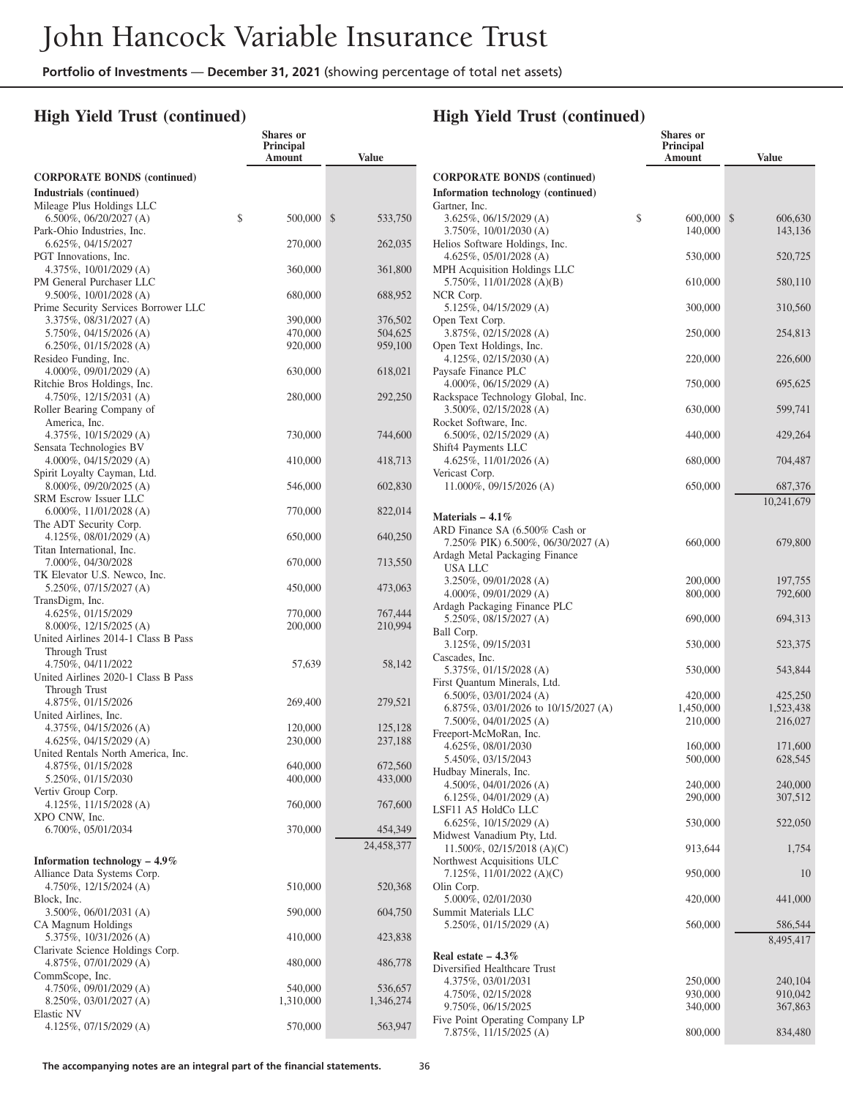**Shares or**

## **High Yield Trust (continued)**

|                                                                 | <b>Principal</b><br>Amount | <b>Value</b>       |
|-----------------------------------------------------------------|----------------------------|--------------------|
| <b>CORPORATE BONDS (continued)</b>                              |                            |                    |
| Industrials (continued)                                         |                            |                    |
| Mileage Plus Holdings LLC<br>6.500%, 06/20/2027 (A)             | \$<br>500,000              | \$<br>533,750      |
| Park-Ohio Industries, Inc.                                      |                            |                    |
| 6.625%, 04/15/2027                                              | 270,000                    | 262,035            |
| PGT Innovations, Inc.<br>4.375%, 10/01/2029 (A)                 | 360,000                    | 361,800            |
| PM General Purchaser LLC                                        |                            |                    |
| 9.500%, 10/01/2028 (A)                                          | 680,000                    | 688,952            |
| Prime Security Services Borrower LLC<br>3.375%, 08/31/2027 (A)  | 390,000                    | 376,502            |
| 5.750%, 04/15/2026 (A)                                          | 470,000                    | 504,625            |
| $6.250\%$ , 01/15/2028 (A)                                      | 920,000                    | 959,100            |
| Resideo Funding, Inc.                                           |                            |                    |
| $4.000\%$ , 09/01/2029 (A)<br>Ritchie Bros Holdings, Inc.       | 630,000                    | 618,021            |
| $4.750\%$ , 12/15/2031 (A)                                      | 280,000                    | 292,250            |
| Roller Bearing Company of                                       |                            |                    |
| America, Inc.                                                   |                            |                    |
| 4.375%, $10/15/2029$ (A)<br>Sensata Technologies BV             | 730,000                    | 744,600            |
| $4.000\%$ , 04/15/2029 (A)                                      | 410,000                    | 418,713            |
| Spirit Loyalty Cayman, Ltd.                                     |                            |                    |
| $8.000\%$ , 09/20/2025 (A)                                      | 546,000                    | 602,830            |
| <b>SRM Escrow Issuer LLC</b><br>6.000%, $11/01/2028$ (A)        | 770,000                    | 822,014            |
| The ADT Security Corp.                                          |                            |                    |
| 4.125%, 08/01/2029 (A)                                          | 650,000                    | 640,250            |
| Titan International, Inc.<br>7.000%, 04/30/2028                 |                            |                    |
| TK Elevator U.S. Newco, Inc.                                    | 670,000                    | 713,550            |
| 5.250%, 07/15/2027 (A)                                          | 450,000                    | 473,063            |
| TransDigm, Inc.                                                 |                            |                    |
| 4.625%, 01/15/2029<br>8.000%, 12/15/2025 (A)                    | 770,000<br>200,000         | 767,444<br>210,994 |
| United Airlines 2014-1 Class B Pass                             |                            |                    |
| Through Trust                                                   |                            |                    |
| 4.750%, 04/11/2022                                              | 57,639                     | 58,142             |
| United Airlines 2020-1 Class B Pass<br>Through Trust            |                            |                    |
| 4.875%, 01/15/2026                                              | 269,400                    | 279,521            |
| United Airlines, Inc.                                           |                            |                    |
| $4.375\%, 04/15/2026$ (A)                                       | 120,000                    | 125,128            |
| $4.625\%, 04/15/2029$ (A)<br>United Rentals North America, Inc. | 230,000                    | 237,188            |
| 4.875%, 01/15/2028                                              | 640,000                    | 672,560            |
| 5.250%, 01/15/2030                                              | 400,000                    | 433,000            |
| Vertiv Group Corp.<br>4.125%, $11/15/2028$ (A)                  | 760,000                    | 767,600            |
| XPO CNW, Inc.                                                   |                            |                    |
| 6.700%, 05/01/2034                                              | 370,000                    | 454,349            |
|                                                                 |                            | 24,458,377         |
| Information technology $-4.9\%$                                 |                            |                    |
| Alliance Data Systems Corp.<br>4.750%, 12/15/2024 (A)           |                            |                    |
| Block, Inc.                                                     | 510,000                    | 520,368            |
| 3.500%, 06/01/2031 (A)                                          | 590,000                    | 604,750            |
| CA Magnum Holdings                                              |                            |                    |
| 5.375%, 10/31/2026 (A)<br>Clarivate Science Holdings Corp.      | 410,000                    | 423,838            |
| 4.875%, 07/01/2029 (A)                                          | 480,000                    | 486,778            |
| CommScope, Inc.                                                 |                            |                    |
| 4.750%, 09/01/2029 (A)                                          | 540,000                    | 536,657            |
| 8.250%, 03/01/2027 (A)<br>Elastic NV                            | 1,310,000                  | 1,346,274          |
| 4.125%, $07/15/2029$ (A)                                        | 570,000                    | 563,947            |

|                                                                      | Shares or<br><b>Principal</b><br>Amount | <b>Value</b>       |
|----------------------------------------------------------------------|-----------------------------------------|--------------------|
| <b>CORPORATE BONDS (continued)</b>                                   |                                         |                    |
| Information technology (continued)                                   |                                         |                    |
| Gartner, Inc.<br>$3.625\%, 06/15/2029$ (A)                           | \$<br>600,000                           | \$<br>606,630      |
| 3.750%, 10/01/2030 (A)                                               | 140,000                                 | 143,136            |
| Helios Software Holdings, Inc.                                       |                                         |                    |
| $4.625\%, 05/01/2028$ (A)<br>MPH Acquisition Holdings LLC            | 530,000                                 | 520,725            |
| 5.750%, 11/01/2028 (A)(B)                                            | 610,000                                 | 580,110            |
| NCR Corp.<br>5.125%, 04/15/2029 (A)                                  | 300,000                                 | 310,560            |
| Open Text Corp.<br>3.875%, 02/15/2028 (A)                            | 250,000                                 | 254,813            |
| Open Text Holdings, Inc.                                             |                                         |                    |
| 4.125%, 02/15/2030 (A)                                               | 220,000                                 | 226,600            |
| Paysafe Finance PLC<br>$4.000\%$ , 06/15/2029 (A)                    | 750,000                                 | 695,625            |
| Rackspace Technology Global, Inc.<br>$3.500\%$ , 02/15/2028 (A)      | 630,000                                 | 599,741            |
| Rocket Software, Inc.                                                |                                         |                    |
| $6.500\%$ , 02/15/2029 (A)                                           | 440,000                                 | 429,264            |
| Shift4 Payments LLC<br>4.625%, $11/01/2026$ (A)                      | 680,000                                 | 704,487            |
| Vericast Corp.<br>11.000%, 09/15/2026 (A)                            | 650,000                                 | 687,376            |
|                                                                      |                                         | 10,241,679         |
| Materials $-4.1\%$                                                   |                                         |                    |
| ARD Finance SA (6.500% Cash or                                       |                                         |                    |
| 7.250% PIK) 6.500%, 06/30/2027 (A)<br>Ardagh Metal Packaging Finance | 660,000                                 | 679,800            |
| USA LLC                                                              |                                         |                    |
| 3.250%, 09/01/2028 (A)<br>$4.000\%$ , 09/01/2029 (A)                 | 200,000<br>800,000                      | 197,755<br>792,600 |
| Ardagh Packaging Finance PLC                                         |                                         |                    |
| 5.250%, 08/15/2027 (A)                                               | 690,000                                 | 694,313            |
| Ball Corp.<br>3.125%, 09/15/2031                                     | 530,000                                 | 523,375            |
| Cascades, Inc.                                                       |                                         |                    |
| 5.375%, 01/15/2028 (A)<br>First Quantum Minerals, Ltd.               | 530,000                                 | 543,844            |
| $6.500\%, 03/01/2024 (A)$                                            | 420,000                                 | 425,250            |
| 6.875\%, 03/01/2026 to 10/15/2027 (A)                                | 1,450,000                               | 1,523,438          |
| 7.500%, 04/01/2025 (A)<br>Freeport-McMoRan, Inc.                     | 210,000                                 | 216,027            |
| 4.625%, 08/01/2030                                                   | 160,000                                 | 171,600            |
| 5.450%, 03/15/2043                                                   | 500,000                                 | 628,545            |
| Hudbay Minerals, Inc.<br>4.500%, $04/01/2026$ (A)                    | 240,000                                 | 240,000            |
| $6.125\%$ , 04/01/2029 (A)                                           | 290,000                                 | 307,512            |
| LSF11 A5 HoldCo LLC<br>6.625%, 10/15/2029 (A)                        |                                         |                    |
| Midwest Vanadium Pty, Ltd.                                           | 530,000                                 | 522,050            |
| 11.500%, 02/15/2018 (A)(C)                                           | 913,644                                 | 1,754              |
| Northwest Acquisitions ULC<br>7.125%, 11/01/2022 (A)(C)              | 950,000                                 | 10                 |
| Olin Corp.<br>5.000%, 02/01/2030                                     | 420,000                                 | 441,000            |
| Summit Materials LLC                                                 |                                         |                    |
| 5.250%, 01/15/2029 (A)                                               | 560,000                                 | 586,544            |
| Real estate $-4.3\%$                                                 |                                         | 8,495,417          |
| Diversified Healthcare Trust                                         |                                         |                    |
| 4.375%, 03/01/2031                                                   | 250,000                                 | 240,104            |
| 4.750%, 02/15/2028<br>9.750%, 06/15/2025                             | 930,000<br>340,000                      | 910,042<br>367,863 |
| Five Point Operating Company LP                                      |                                         |                    |
| 7.875%, 11/15/2025 (A)                                               | 800,000                                 | 834,480            |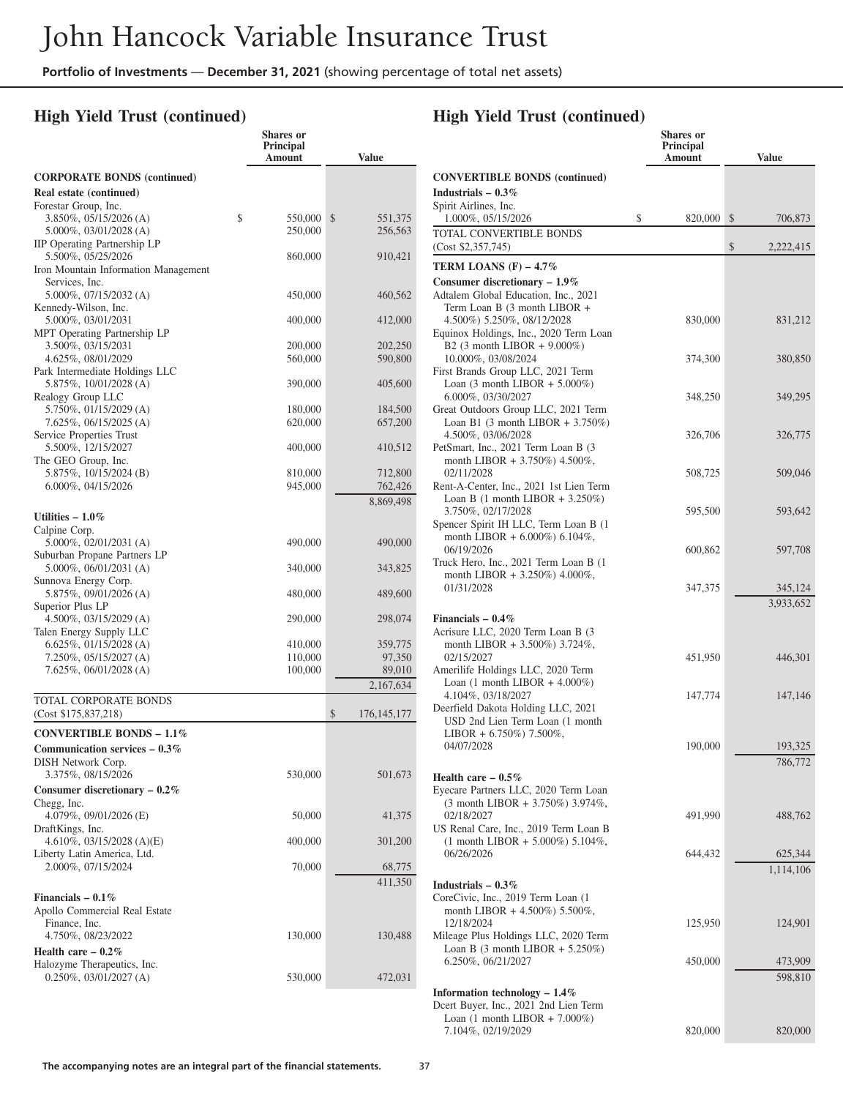### **High Yield Trust (continued)**

|                                                      | <b>Shares</b> or<br><b>Principal</b><br>Amount | <b>Value</b>             |
|------------------------------------------------------|------------------------------------------------|--------------------------|
| <b>CORPORATE BONDS (continued)</b>                   |                                                |                          |
| Real estate (continued)                              |                                                |                          |
| Forestar Group, Inc.                                 |                                                |                          |
| 3.850%, 05/15/2026 (A)<br>$5.000\%$ , 03/01/2028 (A) | \$<br>550,000<br>250,000                       | \$<br>551,375<br>256,563 |
| IIP Operating Partnership LP                         |                                                |                          |
| 5.500%, 05/25/2026                                   | 860,000                                        | 910,421                  |
| Iron Mountain Information Management                 |                                                |                          |
| Services, Inc.                                       |                                                |                          |
| $5.000\%$ , 07/15/2032 (A)<br>Kennedy-Wilson, Inc.   | 450,000                                        | 460,562                  |
| 5.000%, 03/01/2031                                   | 400,000                                        | 412,000                  |
| MPT Operating Partnership LP                         |                                                |                          |
| 3.500%, 03/15/2031                                   | 200,000                                        | 202,250                  |
| 4.625%, 08/01/2029                                   | 560,000                                        | 590,800                  |
| Park Intermediate Holdings LLC                       | 390,000                                        | 405,600                  |
| 5.875%, 10/01/2028 (A)<br>Realogy Group LLC          |                                                |                          |
| $5.750\%$ , 01/15/2029 (A)                           | 180,000                                        | 184,500                  |
| $7.625\%, 06/15/2025$ (A)                            | 620,000                                        | 657,200                  |
| Service Properties Trust                             |                                                |                          |
| 5.500%, 12/15/2027                                   | 400,000                                        | 410,512                  |
| The GEO Group, Inc.<br>5.875\%, 10/15/2024 (B)       | 810,000                                        | 712,800                  |
| 6.000%, 04/15/2026                                   | 945,000                                        | 762,426                  |
|                                                      |                                                | 8,869,498                |
| Utilities $-1.0\%$                                   |                                                |                          |
| Calpine Corp.                                        |                                                |                          |
| $5.000\%$ , 02/01/2031 (A)                           | 490,000                                        | 490,000                  |
| Suburban Propane Partners LP                         |                                                |                          |
| $5.000\%$ , 06/01/2031 (A)                           | 340,000                                        | 343,825                  |
| Sunnova Energy Corp.<br>$5.875\%, 09/01/2026$ (A)    | 480,000                                        | 489,600                  |
| Superior Plus LP                                     |                                                |                          |
| $4.500\%$ , 03/15/2029 (A)                           | 290,000                                        | 298,074                  |
| Talen Energy Supply LLC                              |                                                |                          |
| $6.625\%, 01/15/2028$ (A)                            | 410,000                                        | 359,775                  |
| 7.250%, 05/15/2027 (A)<br>$7.625\%, 06/01/2028$ (A)  | 110,000<br>100,000                             | 97,350                   |
|                                                      |                                                | 89,010<br>2,167,634      |
| TOTAL CORPORATE BONDS                                |                                                |                          |
| (Cost \$175,837,218)                                 |                                                | \$<br>176, 145, 177      |
| CONVERTIBLE BONDS $-1.1\%$                           |                                                |                          |
| Communication services $-0.3\%$                      |                                                |                          |
| DISH Network Corp.                                   |                                                |                          |
| 3.375%, 08/15/2026                                   | 530,000                                        | 501,673                  |
| Consumer discretionary $-0.2\%$                      |                                                |                          |
| Chegg, Inc.                                          |                                                |                          |
| 4.079%, 09/01/2026 (E)<br>DraftKings, Inc.           | 50,000                                         | 41,375                   |
| 4.610\%, 03/15/2028 (A)(E)                           | 400,000                                        | 301,200                  |
| Liberty Latin America, Ltd.                          |                                                |                          |
| 2.000%, 07/15/2024                                   | 70,000                                         | 68,775                   |
|                                                      |                                                | 411,350                  |
| Financials $-0.1\%$                                  |                                                |                          |
| Apollo Commercial Real Estate                        |                                                |                          |
| Finance, Inc.                                        |                                                |                          |
| 4.750%, 08/23/2022                                   | 130,000                                        | 130,488                  |
| Health care $-0.2\%$<br>Halozyme Therapeutics, Inc.  |                                                |                          |
| $0.250\%$ , $03/01/2027$ (A)                         | 530,000                                        | 472,031                  |
|                                                      |                                                |                          |

# **High Yield Trust (continued)**

|                                                                                                                                   | <b>Shares</b> or<br>Principal<br>Amount | <b>Value</b>         |
|-----------------------------------------------------------------------------------------------------------------------------------|-----------------------------------------|----------------------|
| <b>CONVERTIBLE BONDS (continued)</b><br>Industrials $-0.3\%$                                                                      |                                         |                      |
| Spirit Airlines, Inc.<br>1.000%, 05/15/2026                                                                                       | \$<br>820,000                           | \$<br>706,873        |
| TOTAL CONVERTIBLE BONDS<br>(Cost \$2,357,745)                                                                                     |                                         | \$<br>2,222,415      |
| TERM LOANS $(F)$ – 4.7%                                                                                                           |                                         |                      |
| Consumer discretionary $-1.9\%$                                                                                                   |                                         |                      |
| Adtalem Global Education, Inc., 2021<br>Term Loan B (3 month LIBOR +<br>4.500%) 5.250%, 08/12/2028                                | 830,000                                 | 831,212              |
| Equinox Holdings, Inc., 2020 Term Loan<br>B2 (3 month LIBOR + 9.000%)<br>10.000%, 03/08/2024<br>First Brands Group LLC, 2021 Term | 374,300                                 | 380,850              |
| Loan $(3 \text{ month LIBOR} + 5.000\%)$<br>6.000%, 03/30/2027<br>Great Outdoors Group LLC, 2021 Term                             | 348,250                                 | 349,295              |
| Loan B1 $(3 \text{ month LIBOR} + 3.750\%)$<br>4.500%, 03/06/2028<br>PetSmart, Inc., 2021 Term Loan B (3                          | 326,706                                 | 326,775              |
| month LIBOR + 3.750%) 4.500%,<br>02/11/2028<br>Rent-A-Center, Inc., 2021 1st Lien Term                                            | 508,725                                 | 509,046              |
| Loan B $(1 \text{ month LIBOR} + 3.250\%)$<br>3.750%, 02/17/2028<br>Spencer Spirit IH LLC, Term Loan B (1                         | 595,500                                 | 593,642              |
| month LIBOR + $6.000\%$ ) 6.104%,<br>06/19/2026<br>Truck Hero, Inc., 2021 Term Loan B (1<br>month LIBOR + $3.250\%$ ) 4.000%,     | 600,862                                 | 597,708              |
| 01/31/2028                                                                                                                        | 347,375                                 | 345,124<br>3,933,652 |
| Financials $-0.4\%$<br>Acrisure LLC, 2020 Term Loan B (3                                                                          |                                         |                      |
| month LIBOR + 3.500%) 3.724%,<br>02/15/2027<br>Amerilife Holdings LLC, 2020 Term                                                  | 451,950                                 | 446,301              |
| Loan $(1 \text{ month LIBOR} + 4.000\%)$<br>4.104%, 03/18/2027<br>Deerfield Dakota Holding LLC, 2021                              | 147,774                                 | 147,146              |
| USD 2nd Lien Term Loan (1 month<br>LIBOR + $6.750\%$ ) 7.500%,                                                                    |                                         |                      |
| 04/07/2028                                                                                                                        | 190,000                                 | 193,325<br>786,772   |
| Health care $-0.5\%$<br>Eyecare Partners LLC, 2020 Term Loan<br>(3 month LIBOR + 3.750%) 3.974%,                                  |                                         |                      |
| 02/18/2027<br>US Renal Care, Inc., 2019 Term Loan B                                                                               | 491,990                                 | 488,762              |
| $(1$ month LIBOR + 5.000%) 5.104%,<br>06/26/2026                                                                                  | 644,432                                 | 625,344              |
| Industrials $-0.3\%$<br>CoreCivic, Inc., 2019 Term Loan (1<br>month LIBOR + 4.500%) 5.500%,                                       |                                         | 1,114,106            |
| 12/18/2024<br>Mileage Plus Holdings LLC, 2020 Term<br>Loan B $(3 \text{ month LIBOR} + 5.250\%)$                                  | 125,950                                 | 124,901              |
| 6.250%, 06/21/2027                                                                                                                | 450,000                                 | 473,909<br>598,810   |
| Information technology $-1.4\%$<br>Dcert Buyer, Inc., 2021 2nd Lien Term<br>Loan $(1 \text{ month LIBOR} + 7.000\%)$              |                                         |                      |
| 7.104%, 02/19/2029                                                                                                                | 820,000                                 | 820,000              |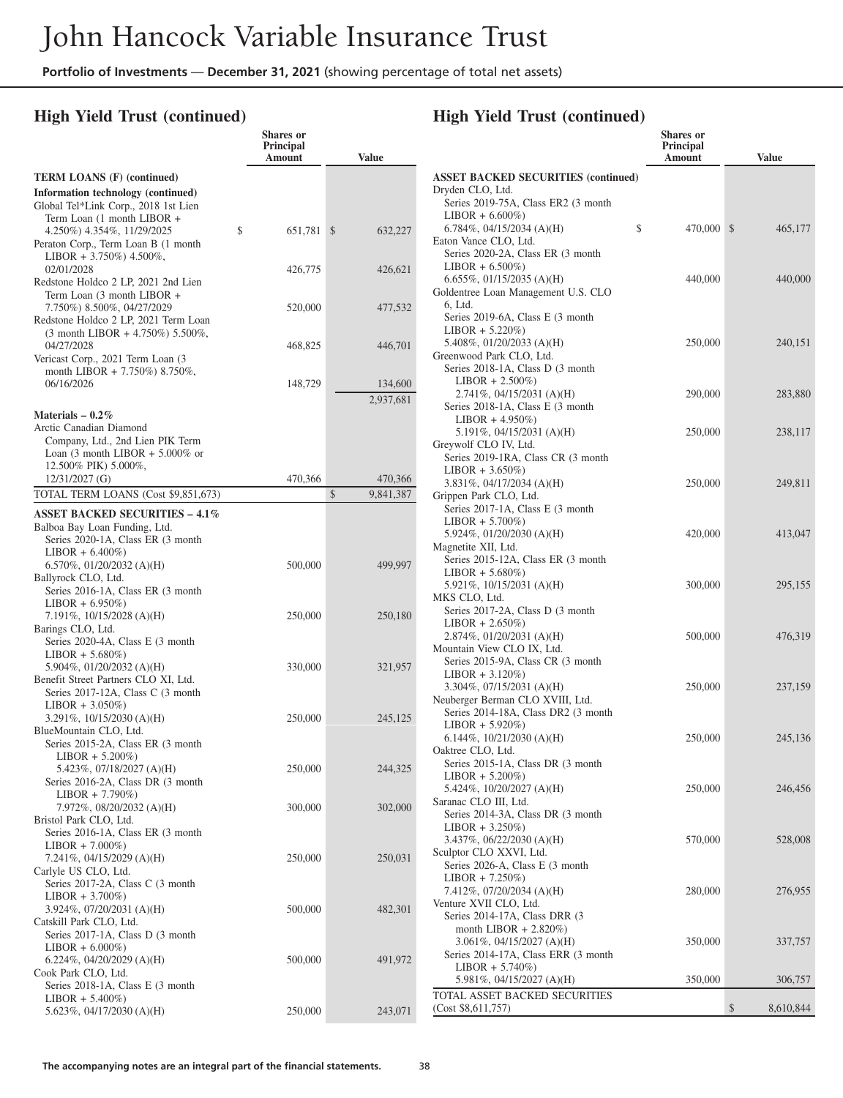**Shares or**

### **High Yield Trust (continued)**

|                                                                                                                                                    | Principal<br>Amount | <b>Value</b>              |   |
|----------------------------------------------------------------------------------------------------------------------------------------------------|---------------------|---------------------------|---|
| <b>TERM LOANS (F) (continued)</b>                                                                                                                  |                     |                           |   |
| Information technology (continued)<br>Global Tel*Link Corp., 2018 1st Lien                                                                         |                     |                           | I |
| Term Loan (1 month LIBOR +<br>4.250%) 4.354%, 11/29/2025<br>Peraton Corp., Term Loan B (1 month<br>LIBOR + 3.750%) 4.500%,                         | \$<br>651,781 \$    | 632,227                   | I |
| 02/01/2028<br>Redstone Holdco 2 LP, 2021 2nd Lien                                                                                                  | 426,775             | 426,621                   |   |
| Term Loan (3 month LIBOR +<br>7.750%) 8.500%, 04/27/2029<br>Redstone Holdco 2 LP, 2021 Term Loan<br>$(3 \text{ month LIBOR } + 4.750\%) 5.500\%$ , | 520,000             | 477,532                   |   |
| 04/27/2028<br>Vericast Corp., 2021 Term Loan (3<br>month LIBOR + 7.750%) 8.750%,                                                                   | 468,825             | 446,701                   |   |
| 06/16/2026                                                                                                                                         | 148,729             | 134,600<br>2,937,681      |   |
| Materials $-0.2\%$                                                                                                                                 |                     |                           |   |
| Arctic Canadian Diamond<br>Company, Ltd., 2nd Lien PIK Term<br>Loan $(3 \text{ month LIBOR} + 5.000\% \text{ or }$                                 |                     |                           | ( |
| 12.500% PIK) 5.000%,                                                                                                                               |                     |                           |   |
| 12/31/2027 (G)                                                                                                                                     | 470,366             | 470,366                   |   |
| TOTAL TERM LOANS (Cost \$9,851,673)                                                                                                                |                     | $\mathbb{S}$<br>9,841,387 |   |
| <b>ASSET BACKED SECURITIES - 4.1%</b><br>Balboa Bay Loan Funding, Ltd.                                                                             |                     |                           |   |
| Series 2020-1A, Class ER (3 month                                                                                                                  |                     |                           | ľ |
| $LIBOR + 6.400\%)$                                                                                                                                 |                     |                           |   |
| 6.570%, $01/20/2032$ (A)(H)                                                                                                                        | 500,000             | 499,997                   |   |
| Ballyrock CLO, Ltd.<br>Series 2016-1A, Class ER (3 month)                                                                                          |                     |                           | ľ |
| $LIBOR + 6.950\%)$<br>$7.191\%, 10/15/2028 (A)$ (H)                                                                                                | 250,000             | 250,180                   |   |
| Barings CLO, Ltd.<br>Series 2020-4A, Class E (3 month)                                                                                             |                     |                           |   |
| $LIBOR + 5.680\%)$                                                                                                                                 |                     |                           | ľ |
| 5.904%, $01/20/2032$ (A)(H)                                                                                                                        | 330,000             | 321,957                   |   |
| Benefit Street Partners CLO XI, Ltd.<br>Series 2017-12A, Class C (3 month)                                                                         |                     |                           |   |
| $LIBOR + 3.050\%)$                                                                                                                                 |                     |                           | ľ |
| $3.291\%, 10/15/2030 (A)(H)$                                                                                                                       | 250,000             | 245,125                   |   |
| BlueMountain CLO, Ltd.                                                                                                                             |                     |                           |   |
| Series 2015-2A, Class ER (3 month                                                                                                                  |                     |                           | ( |
| $LIBOR + 5.200\%)$<br>5.423%, 07/18/2027 (A)(H)                                                                                                    | 250,000             | 244,325                   |   |
| Series 2016-2A, Class DR (3 month                                                                                                                  |                     |                           |   |
| $LIBOR + 7.790\%)$                                                                                                                                 |                     |                           |   |
| 7.972%, 08/20/2032 (A)(H)                                                                                                                          | 300,000             | 302,000                   |   |
| Bristol Park CLO, Ltd.                                                                                                                             |                     |                           |   |
| Series 2016-1A, Class ER (3 month<br>$LIBOR + 7.000\%)$                                                                                            |                     |                           |   |
| 7.241%, 04/15/2029 (A)(H)                                                                                                                          | 250,000             | 250,031                   |   |
| Carlyle US CLO, Ltd.                                                                                                                               |                     |                           |   |
| Series 2017-2A, Class C (3 month                                                                                                                   |                     |                           |   |
| $LIBOR + 3.700\%)$<br>3.924%, 07/20/2031 (A)(H)                                                                                                    | 500,000             | 482,301                   |   |
| Catskill Park CLO, Ltd.                                                                                                                            |                     |                           |   |
| Series 2017-1A, Class D (3 month                                                                                                                   |                     |                           |   |
| $LIBOR + 6.000\%)$                                                                                                                                 |                     |                           |   |
| $6.224\%, 04/20/2029 (A)$ (H)                                                                                                                      | 500,000             | 491,972                   |   |
| Cook Park CLO, Ltd.                                                                                                                                |                     |                           |   |
| Series 2018-1A, Class E (3 month)<br>$LIBOR + 5.400\%)$                                                                                            |                     |                           |   |
| 5.623%, 04/17/2030 (A)(H)                                                                                                                          | 250,000             | 243,071                   |   |
|                                                                                                                                                    |                     |                           |   |

### **High Yield Trust (continued)**

| ັ                                                          | Shares or<br>Principal<br>Amount | <b>Value</b>    |
|------------------------------------------------------------|----------------------------------|-----------------|
| <b>ASSET BACKED SECURITIES (continued)</b>                 |                                  |                 |
| Dryden CLO, Ltd.<br>Series 2019-75A, Class ER2 (3 month    |                                  |                 |
| $LIBOR + 6.600\%)$                                         |                                  |                 |
| 6.784%, 04/15/2034 (A)(H)                                  | \$<br>470,000 \$                 | 465,177         |
| Eaton Vance CLO, Ltd.<br>Series 2020-2A, Class ER (3 month |                                  |                 |
| $LIBOR + 6.500\%)$                                         |                                  |                 |
| 6.655%, 01/15/2035 (A)(H)                                  | 440,000                          | 440,000         |
| Goldentree Loan Management U.S. CLO                        |                                  |                 |
| 6, Ltd.                                                    |                                  |                 |
| Series 2019-6A, Class E (3 month<br>$LIBOR + 5.220\%)$     |                                  |                 |
| 5.408%, $01/20/2033$ (A)(H)                                | 250,000                          | 240,151         |
| Greenwood Park CLO, Ltd.                                   |                                  |                 |
| Series 2018-1A, Class D (3 month)                          |                                  |                 |
| $LIBOR + 2.500\%)$                                         |                                  |                 |
| $2.741\%, 04/15/2031$ (A)(H)                               | 290,000                          | 283,880         |
| Series 2018-1A, Class E (3 month<br>$LIBOR + 4.950\%)$     |                                  |                 |
| 5.191%, $04/15/2031$ (A)(H)                                | 250,000                          | 238,117         |
| Greywolf CLO IV, Ltd.                                      |                                  |                 |
| Series 2019-1RA, Class CR (3 month                         |                                  |                 |
| $LIBOR + 3.650\%)$                                         |                                  |                 |
| $3.831\%, 04/17/2034 (A)(H)$                               | 250,000                          | 249,811         |
| Grippen Park CLO, Ltd.<br>Series 2017-1A, Class E (3 month |                                  |                 |
| $LIBOR + 5.700\%)$                                         |                                  |                 |
| 5.924%, 01/20/2030 (A)(H)                                  | 420,000                          | 413,047         |
| Magnetite XII, Ltd.                                        |                                  |                 |
| Series 2015-12A, Class ER (3 month                         |                                  |                 |
| $LIBOR + 5.680\%)$                                         |                                  |                 |
| 5.921%, $10/15/2031$ (A)(H)<br>MKS CLO, Ltd.               | 300,000                          | 295,155         |
| Series 2017-2A, Class D (3 month                           |                                  |                 |
| $LIBOR + 2.650\%)$                                         |                                  |                 |
| $2.874\%, 01/20/2031$ (A)(H)                               | 500,000                          | 476,319         |
| Mountain View CLO IX, Ltd.                                 |                                  |                 |
| Series 2015-9A, Class CR (3 month                          |                                  |                 |
| $LIBOR + 3.120\%)$<br>3.304%, 07/15/2031 (A)(H)            | 250,000                          | 237,159         |
| Neuberger Berman CLO XVIII, Ltd.                           |                                  |                 |
| Series 2014-18A, Class DR2 (3 month                        |                                  |                 |
| $LIBOR + 5.920\%)$                                         |                                  |                 |
| 6.144%, $10/21/2030$ (A)(H)                                | 250,000                          | 245,136         |
| Oaktree CLO, Ltd.<br>Series 2015-1A, Class DR (3 month     |                                  |                 |
| $LIBOR + 5.200\%)$                                         |                                  |                 |
| 5.424%, 10/20/2027 (A)(H)                                  | 250,000                          | 246,456         |
| Saranac CLO III, Ltd.                                      |                                  |                 |
| Series 2014-3A, Class DR (3 month                          |                                  |                 |
| $LIBOR + 3.250\%)$<br>3.437%, 06/22/2030 (A)(H)            |                                  |                 |
| Sculptor CLO XXVI, Ltd.                                    | 570,000                          | 528,008         |
| Series 2026-A, Class E (3 month                            |                                  |                 |
| $LIBOR + 7.250\%)$                                         |                                  |                 |
| 7.412%, 07/20/2034 (A)(H)                                  | 280,000                          | 276,955         |
| Venture XVII CLO, Ltd.                                     |                                  |                 |
| Series 2014-17A, Class DRR (3                              |                                  |                 |
| month LIBOR $+ 2.820\%)$<br>3.061%, 04/15/2027 (A)(H)      | 350,000                          | 337,757         |
| Series 2014-17A, Class ERR (3 month                        |                                  |                 |
| $LIBOR + 5.740\%)$                                         |                                  |                 |
| 5.981%, 04/15/2027 (A)(H)                                  | 350,000                          | 306,757         |
| TOTAL ASSET BACKED SECURITIES                              |                                  |                 |
| (Cost \$8,611,757)                                         |                                  | \$<br>8,610,844 |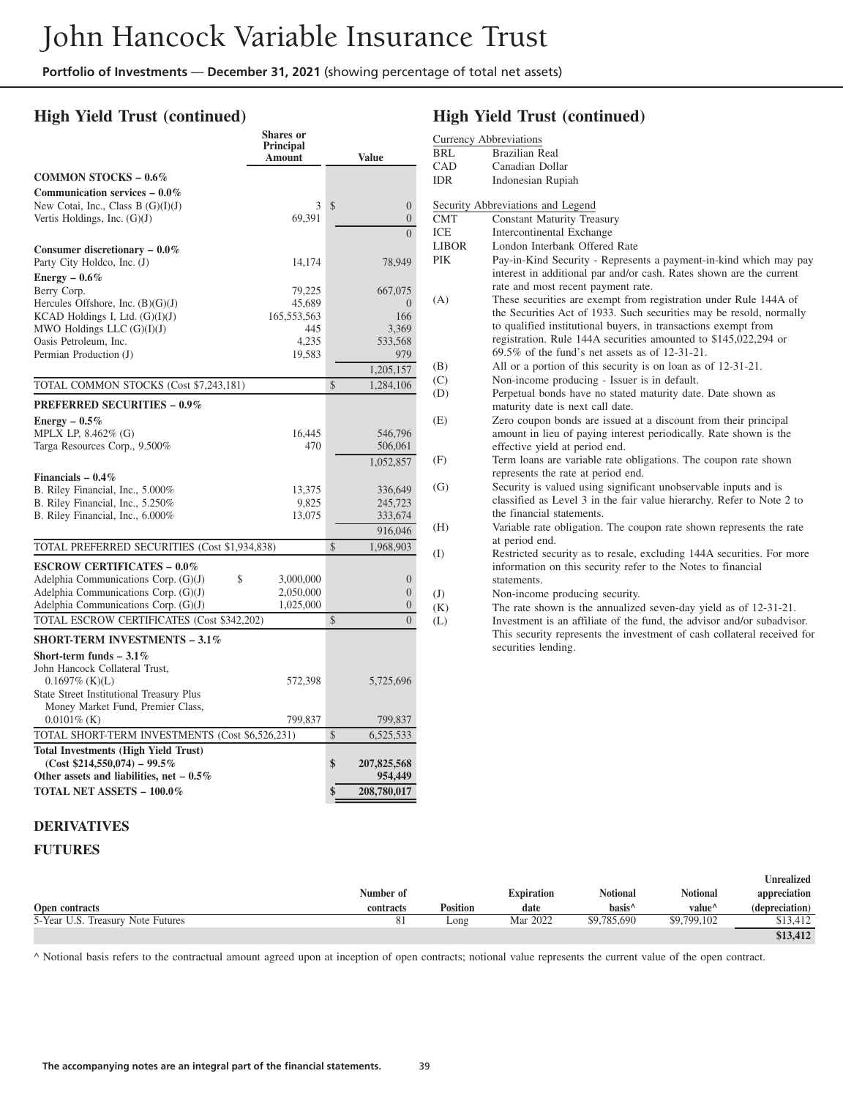**Shares or**

### **High Yield Trust (continued)**

|                                                 | <b>Principal</b><br>Amount |               | Value            |
|-------------------------------------------------|----------------------------|---------------|------------------|
| <b>COMMON STOCKS - 0.6%</b>                     |                            |               |                  |
| Communication services $-0.0\%$                 |                            |               |                  |
| New Cotai, Inc., Class B $(G)(I)(J)$            | 3                          | \$            | $\boldsymbol{0}$ |
| Vertis Holdings, Inc. $(G)(J)$                  | 69,391                     |               | $\overline{0}$   |
|                                                 |                            |               | $\theta$         |
| Consumer discretionary $-0.0\%$                 |                            |               |                  |
| Party City Holdco, Inc. (J)                     | 14,174                     |               | 78,949           |
| Energy $-0.6\%$                                 |                            |               |                  |
| Berry Corp.                                     | 79,225                     |               | 667,075          |
| Hercules Offshore, Inc. $(B)(G)(J)$             | 45,689                     |               | $\theta$         |
| KCAD Holdings I, Ltd. $(G)(I)(J)$               | 165, 553, 563              |               | 166              |
| MWO Holdings LLC $(G)(I)(J)$                    | 445                        |               | 3,369            |
| Oasis Petroleum, Inc.                           | 4,235                      |               | 533,568          |
| Permian Production (J)                          | 19,583                     |               | 979              |
|                                                 |                            |               | 1,205,157        |
| TOTAL COMMON STOCKS (Cost \$7,243,181)          |                            | $\mathcal{S}$ | 1,284,106        |
|                                                 |                            |               |                  |
| <b>PREFERRED SECURITIES - 0.9%</b>              |                            |               |                  |
| Energy $-0.5\%$                                 |                            |               |                  |
| MPLX LP, 8.462% (G)                             | 16,445                     |               | 546,796          |
| Targa Resources Corp., 9.500%                   | 470                        |               | 506,061          |
|                                                 |                            |               | 1,052,857        |
| Financials $-0.4\%$                             |                            |               |                  |
| B. Riley Financial, Inc., 5.000%                | 13,375                     |               | 336,649          |
| B. Riley Financial, Inc., 5.250%                | 9,825                      |               | 245,723          |
| B. Riley Financial, Inc., 6.000%                | 13,075                     |               | 333,674          |
|                                                 |                            |               | 916,046          |
| TOTAL PREFERRED SECURITIES (Cost \$1,934,838)   |                            | $\mathcal{S}$ | 1,968,903        |
| <b>ESCROW CERTIFICATES - 0.0%</b>               |                            |               |                  |
| Adelphia Communications Corp. (G)(J)<br>\$      | 3,000,000                  |               | $\boldsymbol{0}$ |
| Adelphia Communications Corp. $(G)(J)$          | 2,050,000                  |               | $\overline{0}$   |
| Adelphia Communications Corp. (G)(J)            | 1,025,000                  |               | $\overline{0}$   |
| TOTAL ESCROW CERTIFICATES (Cost \$342,202)      |                            | \$            | $\Omega$         |
| <b>SHORT-TERM INVESTMENTS - 3.1%</b>            |                            |               |                  |
| Short-term funds $-3.1\%$                       |                            |               |                  |
| John Hancock Collateral Trust,                  |                            |               |                  |
| $0.1697\%$ (K)(L)                               | 572,398                    |               | 5,725,696        |
| State Street Institutional Treasury Plus        |                            |               |                  |
| Money Market Fund, Premier Class,               |                            |               |                  |
| $0.0101\%$ (K)                                  | 799,837                    |               | 799,837          |
| TOTAL SHORT-TERM INVESTMENTS (Cost \$6,526,231) |                            | $\mathcal{S}$ | 6,525,533        |
| <b>Total Investments (High Yield Trust)</b>     |                            |               |                  |
| $(Cost $214,550,074) - 99.5\%$                  |                            | \$            | 207,825,568      |
| Other assets and liabilities, net $-0.5\%$      |                            |               | 954,449          |
| <b>TOTAL NET ASSETS - 100.0%</b>                |                            | \$            | 208,780,017      |

## **High Yield Trust (continued)**

|            | <b>Currency Abbreviations</b>                                                                                                                                                                                                                                                                                                     |
|------------|-----------------------------------------------------------------------------------------------------------------------------------------------------------------------------------------------------------------------------------------------------------------------------------------------------------------------------------|
| BRL        | <b>Brazilian Real</b>                                                                                                                                                                                                                                                                                                             |
| CAD        | Canadian Dollar                                                                                                                                                                                                                                                                                                                   |
| IDR        | <b>Indonesian Rupiah</b>                                                                                                                                                                                                                                                                                                          |
|            | Security Abbreviations and Legend                                                                                                                                                                                                                                                                                                 |
| <b>CMT</b> | <b>Constant Maturity Treasury</b>                                                                                                                                                                                                                                                                                                 |
| ICE        | <b>Intercontinental Exchange</b>                                                                                                                                                                                                                                                                                                  |
| LIBOR      | London Interbank Offered Rate                                                                                                                                                                                                                                                                                                     |
| PIK        | Pay-in-Kind Security - Represents a payment-in-kind which may pay<br>interest in additional par and/or cash. Rates shown are the current<br>rate and most recent payment rate.                                                                                                                                                    |
| (A)        | These securities are exempt from registration under Rule 144A of<br>the Securities Act of 1933. Such securities may be resold, normally<br>to qualified institutional buyers, in transactions exempt from<br>registration. Rule 144A securities amounted to \$145,022,294 or<br>$69.5\%$ of the fund's net assets as of 12-31-21. |
| (B)        | All or a portion of this security is on loan as of 12-31-21.                                                                                                                                                                                                                                                                      |
| (C)        | Non-income producing - Issuer is in default.                                                                                                                                                                                                                                                                                      |
| (D)        | Perpetual bonds have no stated maturity date. Date shown as<br>maturity date is next call date.                                                                                                                                                                                                                                   |
| (E)        | Zero coupon bonds are issued at a discount from their principal<br>amount in lieu of paying interest periodically. Rate shown is the<br>effective yield at period end.                                                                                                                                                            |
| (F)        | Term loans are variable rate obligations. The coupon rate shown<br>represents the rate at period end.                                                                                                                                                                                                                             |
| (G)        | Security is valued using significant unobservable inputs and is<br>classified as Level 3 in the fair value hierarchy. Refer to Note 2 to<br>the financial statements.                                                                                                                                                             |
| (H)        | Variable rate obligation. The coupon rate shown represents the rate<br>at period end.                                                                                                                                                                                                                                             |
| (I)        | Restricted security as to resale, excluding 144A securities. For more<br>information on this security refer to the Notes to financial<br>statements.                                                                                                                                                                              |
| (J)        | Non-income producing security.                                                                                                                                                                                                                                                                                                    |
| (K)        | The rate shown is the annualized seven-day yield as of 12-31-21.                                                                                                                                                                                                                                                                  |
| (L)        | Investment is an affiliate of the fund, the advisor and/or subadvisor.<br>This security represents the investment of cash collateral received for<br>securities lending.                                                                                                                                                          |
|            |                                                                                                                                                                                                                                                                                                                                   |
|            |                                                                                                                                                                                                                                                                                                                                   |

#### **DERIVATIVES**

### **FUTURES**

|                                   |           |          |                   |                    |                    | Unrealized     |
|-----------------------------------|-----------|----------|-------------------|--------------------|--------------------|----------------|
|                                   | Number of |          | <b>Expiration</b> | <b>Notional</b>    | <b>Notional</b>    | appreciation   |
| Open contracts                    | contracts | Position | date              | basis <sup>^</sup> | value <sup>^</sup> | (depreciation) |
| 5-Year U.S. Treasury Note Futures |           | Long     | Mar 2022          | \$9,785,690        | \$9,799,102        | \$13.412       |
|                                   |           |          |                   |                    |                    | \$13,412       |

^ Notional basis refers to the contractual amount agreed upon at inception of open contracts; notional value represents the current value of the open contract.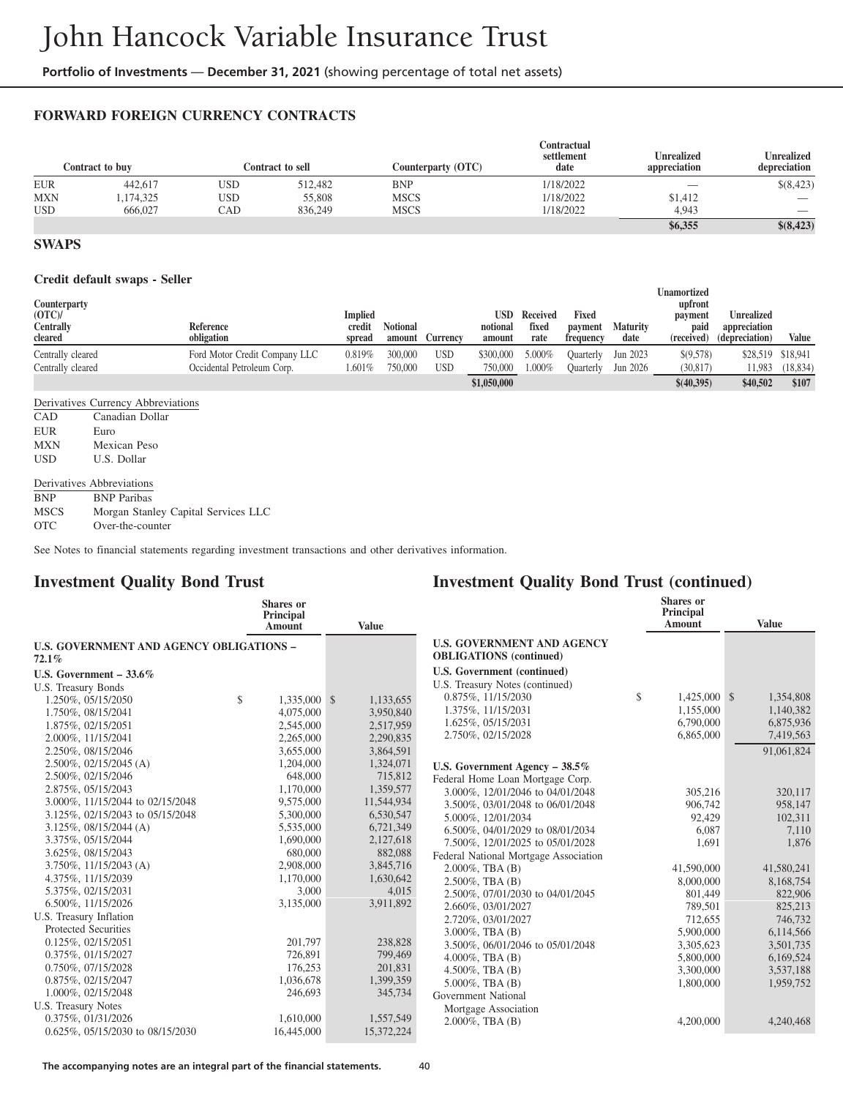### **FORWARD FOREIGN CURRENCY CONTRACTS**

|            | Contract to buv |     | Contract to sell | Counterparty (OTC) | Contractual<br>settlement<br>date | <b>Unrealized</b><br>appreciation | <b>Unrealized</b><br>depreciation |
|------------|-----------------|-----|------------------|--------------------|-----------------------------------|-----------------------------------|-----------------------------------|
| <b>EUR</b> | 442,617         | USD | 512.482          | <b>BNP</b>         | 1/18/2022                         | __                                | \$(8,423)                         |
| <b>MXN</b> | ,174,325        | USD | 55,808           | MSCS               | 1/18/2022                         | \$1,412                           | $\hspace{0.05cm}$                 |
| <b>USD</b> | 666,027         | CAD | 836,249          | <b>MSCS</b>        | 1/18/2022                         | 4.943                             | __                                |
|            |                 |     |                  |                    |                                   | \$6,355                           | \$(8,423)                         |

#### **SWAPS**

#### **Credit default swaps - Seller**

| ______________________<br>Counterparty<br>(OTC)<br>Centrally<br>cleared | Reference<br>obligation       | <b>Implied</b><br>credit<br>spread | <b>Notional</b><br>amount | Currency | USD<br>notional<br>amount | Received<br>fixed<br>rate | Fixed<br>payment<br>frequency | <b>Maturity</b><br>date | Unamortized<br>upfront<br>payment<br>paid<br>(received) | <b>Unrealized</b><br>appreciation<br>(depreciation) | Value             |
|-------------------------------------------------------------------------|-------------------------------|------------------------------------|---------------------------|----------|---------------------------|---------------------------|-------------------------------|-------------------------|---------------------------------------------------------|-----------------------------------------------------|-------------------|
| Centrally cleared                                                       | Ford Motor Credit Company LLC | 0.819%                             | 300,000                   | USD      | \$300,000                 | 5.000%                    | Quarterly                     | Jun 2023                | \$(9,578)                                               |                                                     | \$28,519 \$18,941 |
| Centrally cleared                                                       | Occidental Petroleum Corp.    | 1.601%                             | 750,000                   | USD      | 750,000                   | $1.000\%$                 | Ouarterly                     | Jun 2026                | (30, 817)                                               | 1.983                                               | (18, 834)         |
|                                                                         |                               |                                    |                           |          | \$1,050,000               |                           |                               |                         | \$(40,395)                                              | \$40,502                                            | \$107             |

Derivatives Currency Abbreviations

| CAD        | Canadian Dollar |
|------------|-----------------|
| EUR        | Euro            |
| <b>MXN</b> | Mexican Peso    |
| USD.       | U.S. Dollar     |

#### Derivatives Abbreviations

BNP BNP Paribas

MSCS Morgan Stanley Capital Services LLC

OTC Over-the-counter

See Notes to financial statements regarding investment transactions and other derivatives information.

### **Investment Quality Bond Trust**

| <b>Shares</b> or<br>Principal<br>Amount | <b>Value</b>                                                                                                                                                                                  |                                                                                                                                                                         |                                                                                                                  | <b>Shares</b> or<br>Principal<br>Amount | <b>Value</b>           |
|-----------------------------------------|-----------------------------------------------------------------------------------------------------------------------------------------------------------------------------------------------|-------------------------------------------------------------------------------------------------------------------------------------------------------------------------|------------------------------------------------------------------------------------------------------------------|-----------------------------------------|------------------------|
|                                         |                                                                                                                                                                                               | <b>U.S. GOVERNMENT AND AGENCY</b>                                                                                                                                       |                                                                                                                  |                                         |                        |
|                                         |                                                                                                                                                                                               | <b>OBLIGATIONS</b> (continued)                                                                                                                                          |                                                                                                                  |                                         |                        |
|                                         |                                                                                                                                                                                               | U.S. Government (continued)                                                                                                                                             |                                                                                                                  |                                         |                        |
|                                         |                                                                                                                                                                                               | U.S. Treasury Notes (continued)                                                                                                                                         |                                                                                                                  |                                         |                        |
| \$                                      | 1,133,655                                                                                                                                                                                     | 0.875%, 11/15/2030                                                                                                                                                      | \$                                                                                                               | 1,425,000 \$                            | 1,354,808              |
| 4,075,000                               | 3,950,840                                                                                                                                                                                     | 1.375%, 11/15/2031                                                                                                                                                      |                                                                                                                  | 1,155,000                               | 1,140,382              |
| 2,545,000                               | 2,517,959                                                                                                                                                                                     |                                                                                                                                                                         |                                                                                                                  |                                         | 6,875,936              |
| 2,265,000                               | 2,290,835                                                                                                                                                                                     |                                                                                                                                                                         |                                                                                                                  |                                         | 7,419,563              |
| 3,655,000                               | 3,864,591                                                                                                                                                                                     |                                                                                                                                                                         |                                                                                                                  |                                         | 91,061,824             |
| 1,204,000                               | 1,324,071                                                                                                                                                                                     |                                                                                                                                                                         |                                                                                                                  |                                         |                        |
| 648,000                                 | 715,812                                                                                                                                                                                       |                                                                                                                                                                         |                                                                                                                  |                                         |                        |
| 1,170,000                               | 1,359,577                                                                                                                                                                                     | 3.000%, 12/01/2046 to 04/01/2048                                                                                                                                        |                                                                                                                  | 305,216                                 | 320,117                |
| 9,575,000                               | 11,544,934                                                                                                                                                                                    | 3.500%, 03/01/2048 to 06/01/2048                                                                                                                                        |                                                                                                                  | 906,742                                 | 958,147                |
| 5,300,000                               | 6,530,547                                                                                                                                                                                     | 5.000%, 12/01/2034                                                                                                                                                      |                                                                                                                  | 92,429                                  | 102,311                |
| 5,535,000                               |                                                                                                                                                                                               | 6.500%, 04/01/2029 to 08/01/2034                                                                                                                                        |                                                                                                                  | 6,087                                   | 7,110                  |
|                                         |                                                                                                                                                                                               | 7.500%, 12/01/2025 to 05/01/2028                                                                                                                                        |                                                                                                                  | 1,691                                   | 1.876                  |
|                                         |                                                                                                                                                                                               | Federal National Mortgage Association                                                                                                                                   |                                                                                                                  |                                         |                        |
|                                         |                                                                                                                                                                                               | $2.000\%$ , TBA $(B)$                                                                                                                                                   |                                                                                                                  | 41,590,000                              | 41,580,241             |
|                                         |                                                                                                                                                                                               | $2.500\%$ , TBA $(B)$                                                                                                                                                   |                                                                                                                  | 8,000,000                               | 8,168,754              |
|                                         |                                                                                                                                                                                               | 2.500%, 07/01/2030 to 04/01/2045                                                                                                                                        |                                                                                                                  | 801,449                                 | 822,906                |
|                                         |                                                                                                                                                                                               | 2.660%, 03/01/2027                                                                                                                                                      |                                                                                                                  | 789,501                                 | 825,213                |
|                                         |                                                                                                                                                                                               | 2.720%, 03/01/2027                                                                                                                                                      |                                                                                                                  | 712,655                                 | 746,732                |
|                                         |                                                                                                                                                                                               | $3.000\%$ , TBA $(B)$                                                                                                                                                   |                                                                                                                  | 5,900,000                               | 6,114,566              |
|                                         |                                                                                                                                                                                               | 3.500%, 06/01/2046 to 05/01/2048                                                                                                                                        |                                                                                                                  | 3,305,623                               | 3,501,735              |
|                                         |                                                                                                                                                                                               | $4.000\%$ , TBA $(B)$                                                                                                                                                   |                                                                                                                  | 5,800,000                               | 6,169,524              |
|                                         |                                                                                                                                                                                               | 4.500%, TBA $(B)$                                                                                                                                                       |                                                                                                                  | 3,300,000                               | 3,537,188              |
|                                         |                                                                                                                                                                                               | $5.000\%$ , TBA $(B)$                                                                                                                                                   |                                                                                                                  | 1,800,000                               | 1,959,752              |
|                                         |                                                                                                                                                                                               | Government National                                                                                                                                                     |                                                                                                                  |                                         |                        |
|                                         |                                                                                                                                                                                               | Mortgage Association                                                                                                                                                    |                                                                                                                  |                                         |                        |
| 16,445,000                              | 15,372,224                                                                                                                                                                                    | $2.000\%$ , TBA $(B)$                                                                                                                                                   |                                                                                                                  | 4,200,000                               | 4,240,468              |
|                                         | <b>U.S. GOVERNMENT AND AGENCY OBLIGATIONS -</b><br>1,690,000<br>680,000<br>2,908,000<br>1,170,000<br>3,000<br>3,135,000<br>201,797<br>726,891<br>176,253<br>1,036,678<br>246,693<br>1,610,000 | 1,335,000 \$<br>6,721,349<br>2,127,618<br>882,088<br>3,845,716<br>1,630,642<br>4,015<br>3,911,892<br>238,828<br>799,469<br>201,831<br>1,399,359<br>345,734<br>1,557,549 | 1.625%, 05/15/2031<br>2.750%, 02/15/2028<br>U.S. Government Agency $-38.5\%$<br>Federal Home Loan Mortgage Corp. |                                         | 6,790,000<br>6,865,000 |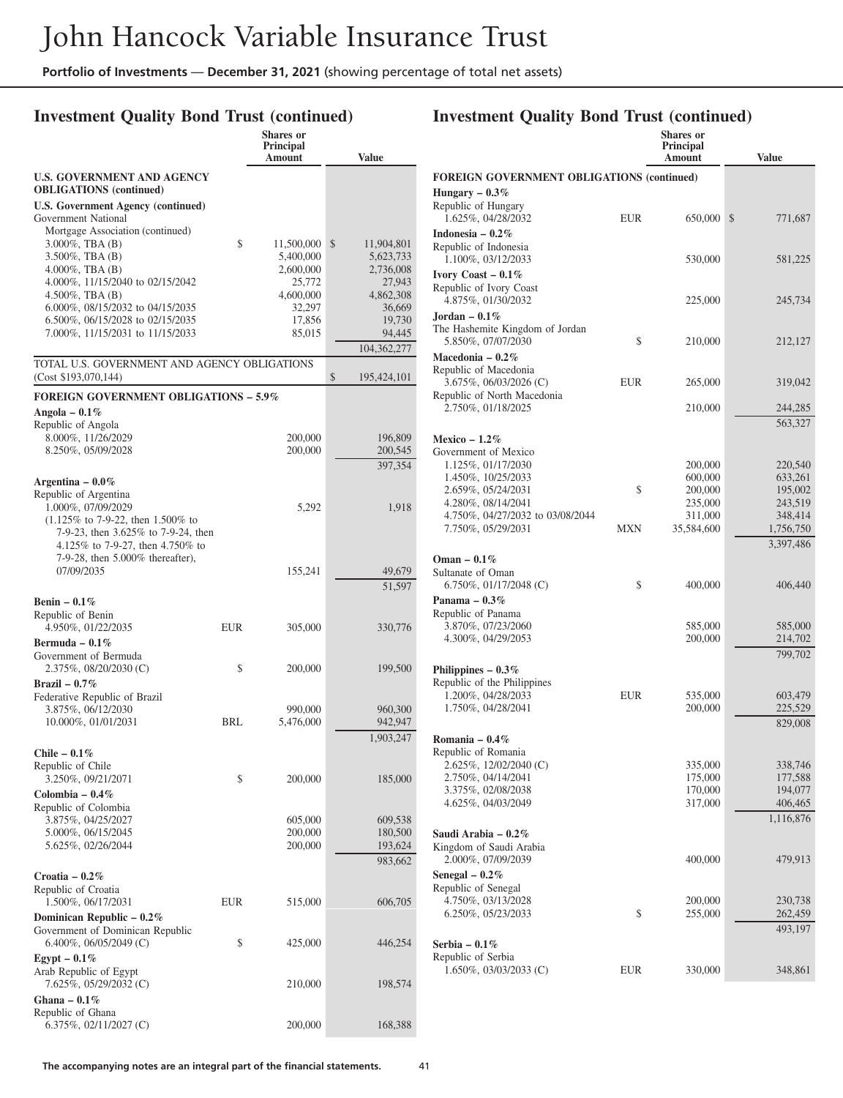### **Investment Quality Bond Trust (continued)**

|                                                                      |     | <b>Shares or</b><br><b>Principal</b> |                               |
|----------------------------------------------------------------------|-----|--------------------------------------|-------------------------------|
|                                                                      |     | Amount                               | <b>Value</b>                  |
| <b>U.S. GOVERNMENT AND AGENCY</b><br><b>OBLIGATIONS</b> (continued)  |     |                                      |                               |
| <b>U.S. Government Agency (continued)</b>                            |     |                                      |                               |
| Government National                                                  |     |                                      |                               |
| Mortgage Association (continued)                                     |     |                                      |                               |
| $3.000\%$ , TBA $(B)$<br>$3.500\%$ , TBA $(B)$                       | \$  | 11,500,000<br>5,400,000              | \$<br>11,904,801<br>5,623,733 |
| $4.000\%$ , TBA $(B)$                                                |     | 2,600,000                            | 2,736,008                     |
| 4.000%, 11/15/2040 to 02/15/2042                                     |     | 25,772                               | 27,943                        |
| $4.500\%$ , TBA $(B)$                                                |     | 4,600,000                            | 4,862,308                     |
| 6.000%, 08/15/2032 to 04/15/2035<br>6.500%, 06/15/2028 to 02/15/2035 |     | 32,297<br>17,856                     | 36,669<br>19,730              |
| 7.000%, 11/15/2031 to 11/15/2033                                     |     | 85,015                               | 94,445                        |
|                                                                      |     |                                      | 104,362,277                   |
| TOTAL U.S. GOVERNMENT AND AGENCY OBLIGATIONS<br>(Cost \$193,070,144) |     |                                      | \$<br>195,424,101             |
| <b>FOREIGN GOVERNMENT OBLIGATIONS - 5.9%</b>                         |     |                                      |                               |
| Angola – $0.1\%$                                                     |     |                                      |                               |
| Republic of Angola                                                   |     |                                      |                               |
| 8.000%, 11/26/2029                                                   |     | 200,000                              | 196,809                       |
| 8.250%, 05/09/2028                                                   |     | 200,000                              | 200,545                       |
|                                                                      |     |                                      | 397,354                       |
| Argentina – $0.0\%$<br>Republic of Argentina                         |     |                                      |                               |
| 1.000%, 07/09/2029                                                   |     | 5,292                                | 1,918                         |
| $(1.125\%$ to 7-9-22, then 1.500% to                                 |     |                                      |                               |
| 7-9-23, then 3.625% to 7-9-24, then                                  |     |                                      |                               |
| 4.125% to 7-9-27, then 4.750% to<br>7-9-28, then 5.000% thereafter), |     |                                      |                               |
| 07/09/2035                                                           |     | 155,241                              | 49,679                        |
|                                                                      |     |                                      | 51,597                        |
| Benin $-0.1\%$                                                       |     |                                      |                               |
| Republic of Benin                                                    |     |                                      |                               |
| 4.950%, 01/22/2035                                                   | EUR | 305,000                              | 330,776                       |
| Bermuda - $0.1\%$<br>Government of Bermuda                           |     |                                      |                               |
| 2.375%, 08/20/2030 (C)                                               | \$  | 200,000                              | 199,500                       |
| Brazil – $0.7\%$                                                     |     |                                      |                               |
| Federative Republic of Brazil                                        |     |                                      |                               |
| 3.875%, 06/12/2030                                                   |     | 990,000                              | 960,300                       |
| 10.000%, 01/01/2031                                                  | BRL | 5,476,000                            | 942,947                       |
|                                                                      |     |                                      | 1,903,247                     |
| Chile – $0.1\%$<br>Republic of Chile                                 |     |                                      |                               |
| 3.250%, 09/21/2071                                                   | \$  | 200,000                              | 185,000                       |
| Colombia – $0.4\%$                                                   |     |                                      |                               |
| Republic of Colombia                                                 |     |                                      |                               |
| 3.875%, 04/25/2027                                                   |     | 605,000                              | 609,538                       |
| 5.000%, 06/15/2045<br>5.625%, 02/26/2044                             |     | 200,000<br>200,000                   | 180,500<br>193,624            |
|                                                                      |     |                                      | 983,662                       |
| Croatia - $0.2\%$                                                    |     |                                      |                               |
| Republic of Croatia                                                  |     |                                      |                               |
| 1.500%, 06/17/2031                                                   | EUR | 515,000                              | 606,705                       |
| Dominican Republic $-0.2\%$                                          |     |                                      |                               |
| Government of Dominican Republic                                     |     |                                      |                               |
| 6.400%, 06/05/2049 (C)                                               | \$  | 425,000                              | 446,254                       |
| Egypt – $0.1\%$<br>Arab Republic of Egypt                            |     |                                      |                               |
| 7.625%, 05/29/2032 (C)                                               |     | 210,000                              | 198,574                       |
| Ghana – $0.1\%$                                                      |     |                                      |                               |
| Republic of Ghana                                                    |     |                                      |                               |
| 6.375%, 02/11/2027 (C)                                               |     | 200,000                              | 168,388                       |

|                                                                           |            | <b>Shares</b> or<br><b>Principal</b><br>Amount | <b>Value</b>       |
|---------------------------------------------------------------------------|------------|------------------------------------------------|--------------------|
| <b>FOREIGN GOVERNMENT OBLIGATIONS (continued)</b>                         |            |                                                |                    |
| Hungary – $0.3\%$                                                         |            |                                                |                    |
| Republic of Hungary<br>1.625%, 04/28/2032                                 | <b>EUR</b> | 650,000                                        | \$<br>771,687      |
| Indonesia – $0.2\%$<br>Republic of Indonesia<br>1.100%, 03/12/2033        |            | 530,000                                        | 581,225            |
| Ivory Coast $-0.1\%$<br>Republic of Ivory Coast<br>4.875%, 01/30/2032     |            | 225,000                                        | 245,734            |
| Jordan – $0.1\%$<br>The Hashemite Kingdom of Jordan<br>5.850%, 07/07/2030 | \$         | 210,000                                        | 212,127            |
| Macedonia - 0.2%<br>Republic of Macedonia                                 |            |                                                |                    |
| 3.675%, 06/03/2026 (C)<br>Republic of North Macedonia                     | EUR        | 265,000                                        | 319,042            |
| 2.750%, 01/18/2025                                                        |            | 210,000                                        | 244,285<br>563,327 |
| Mexico $-1.2\%$                                                           |            |                                                |                    |
| Government of Mexico<br>1.125%, 01/17/2030                                |            | 200,000                                        | 220,540            |
| 1.450%, 10/25/2033                                                        |            | 600,000                                        | 633,261            |
| 2.659%, 05/24/2031                                                        | \$         | 200,000                                        | 195,002            |
| 4.280%, 08/14/2041                                                        |            | 235,000                                        | 243,519            |
| 4.750%, 04/27/2032 to 03/08/2044                                          | <b>MXN</b> | 311,000                                        | 348,414            |
| 7.750%, 05/29/2031                                                        |            | 35,584,600                                     | 1,756,750          |
| Oman $-0.1\%$                                                             |            |                                                | 3,397,486          |
| Sultanate of Oman                                                         |            |                                                |                    |
| $6.750\%$ , 01/17/2048 (C)                                                | \$         | 400,000                                        | 406,440            |
| Panama $-0.3\%$<br>Republic of Panama                                     |            |                                                |                    |
| 3.870%, 07/23/2060                                                        |            | 585,000                                        | 585,000            |
| 4.300%, 04/29/2053                                                        |            | 200,000                                        | 214,702            |
|                                                                           |            |                                                | 799,702            |
| Philippines $-0.3\%$                                                      |            |                                                |                    |
| Republic of the Philippines<br>1.200%, 04/28/2033                         | <b>EUR</b> | 535,000                                        | 603,479            |
| 1.750%, 04/28/2041                                                        |            | 200,000                                        | 225,529            |
|                                                                           |            |                                                | 829,008            |
| Romania – $0.4\%$                                                         |            |                                                |                    |
| Republic of Romania                                                       |            |                                                |                    |
| 2.625%, 12/02/2040 (C)                                                    |            | 335,000                                        | 338,746            |
| 2.750%, 04/14/2041<br>3.375%, 02/08/2038                                  |            | 175,000<br>170,000                             | 177,588<br>194,077 |
| 4.625%, 04/03/2049                                                        |            | 317,000                                        | 406,465            |
|                                                                           |            |                                                | 1,116,876          |
| Saudi Arabia - 0.2%<br>Kingdom of Saudi Arabia<br>2.000%, 07/09/2039      |            | 400,000                                        | 479,913            |
| Senegal $-0.2%$                                                           |            |                                                |                    |
| Republic of Senegal                                                       |            |                                                |                    |
| 4.750%, 03/13/2028                                                        |            | 200,000                                        | 230,738            |
| 6.250%, 05/23/2033                                                        | \$         | 255,000                                        | 262,459            |
|                                                                           |            |                                                | 493,197            |
| Serbia – $0.1\%$                                                          |            |                                                |                    |
| Republic of Serbia<br>$1.650\%, 03/03/2033$ (C)                           | EUR        | 330,000                                        | 348,861            |
|                                                                           |            |                                                |                    |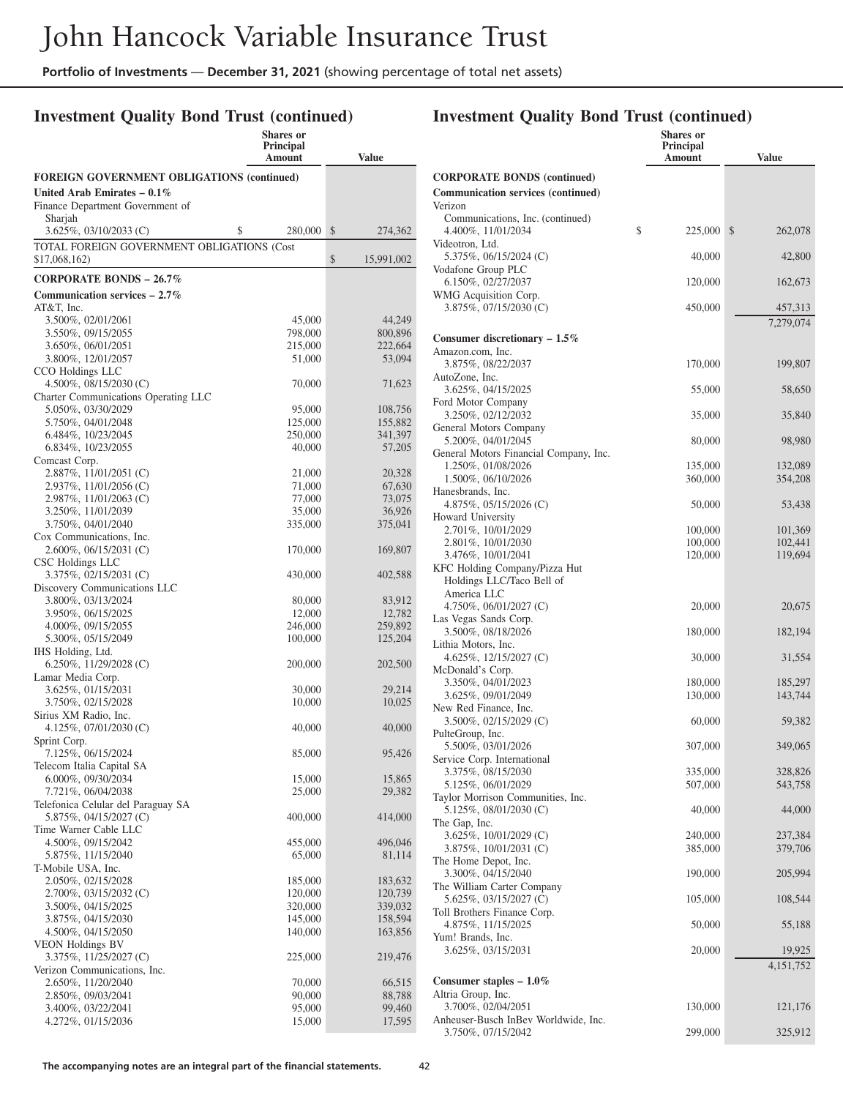### **Investment Quality Bond Trust (continued)**

|                                                                                    | <b>Shares or</b><br><b>Principal</b><br>Amount | <b>Value</b>     |
|------------------------------------------------------------------------------------|------------------------------------------------|------------------|
|                                                                                    |                                                |                  |
| <b>FOREIGN GOVERNMENT OBLIGATIONS (continued)</b><br>United Arab Emirates $-0.1\%$ |                                                |                  |
| Finance Department Government of                                                   |                                                |                  |
| Sharjah                                                                            |                                                |                  |
| \$<br>3.625%, 03/10/2033 (C)                                                       | 280,000                                        | \$<br>274,362    |
| TOTAL FOREIGN GOVERNMENT OBLIGATIONS (Cost<br>\$17,068,162)                        |                                                | \$<br>15,991,002 |
| CORPORATE BONDS $-26.7\%$                                                          |                                                |                  |
| Communication services $-2.7\%$                                                    |                                                |                  |
| AT&T, Inc.                                                                         |                                                |                  |
| 3.500%, 02/01/2061                                                                 | 45,000                                         | 44,249           |
| 3.550%, 09/15/2055                                                                 | 798,000                                        | 800,896          |
| 3.650%, 06/01/2051                                                                 | 215,000                                        | 222,664          |
| 3.800%, 12/01/2057                                                                 | 51,000                                         | 53,094           |
| CCO Holdings LLC                                                                   |                                                |                  |
| 4.500\%, 08/15/2030 (C)                                                            | 70,000                                         | 71,623           |
| Charter Communications Operating LLC<br>5.050%, 03/30/2029                         | 95,000                                         | 108,756          |
| 5.750%, 04/01/2048                                                                 | 125,000                                        | 155,882          |
| 6.484%, 10/23/2045                                                                 | 250,000                                        | 341,397          |
| 6.834%, 10/23/2055                                                                 | 40,000                                         | 57,205           |
| Comcast Corp.                                                                      |                                                |                  |
| 2.887%, 11/01/2051 (C)                                                             | 21,000                                         | 20,328           |
| 2.937%, 11/01/2056 (C)                                                             | 71,000                                         | 67,630           |
| 2.987%, 11/01/2063 (C)                                                             | 77,000                                         | 73,075           |
| 3.250%, 11/01/2039                                                                 | 35,000                                         | 36,926           |
| 3.750%, 04/01/2040                                                                 | 335,000                                        | 375,041          |
| Cox Communications, Inc.                                                           |                                                |                  |
| 2.600%, 06/15/2031 (C)<br>CSC Holdings LLC                                         | 170,000                                        | 169,807          |
| 3.375%, 02/15/2031 (C)                                                             | 430,000                                        | 402,588          |
| Discovery Communications LLC                                                       |                                                |                  |
| 3.800%, 03/13/2024                                                                 | 80,000                                         | 83,912           |
| 3.950%, 06/15/2025                                                                 | 12,000                                         | 12,782           |
| 4.000%, 09/15/2055                                                                 | 246,000                                        | 259,892          |
| 5.300%, 05/15/2049                                                                 | 100,000                                        | 125,204          |
| IHS Holding, Ltd.                                                                  |                                                |                  |
| 6.250%, 11/29/2028 (C)                                                             | 200,000                                        | 202,500          |
| Lamar Media Corp.                                                                  |                                                |                  |
| 3.625%, 01/15/2031<br>3.750%, 02/15/2028                                           | 30,000                                         | 29,214<br>10,025 |
| Sirius XM Radio, Inc.                                                              | 10,000                                         |                  |
| 4.125%, $07/01/2030$ (C)                                                           | 40,000                                         | 40,000           |
| Sprint Corp.                                                                       |                                                |                  |
| 7.125%, 06/15/2024                                                                 | 85,000                                         | 95,426           |
| Telecom Italia Capital SA                                                          |                                                |                  |
| $6.000\%$ , 09/30/2034                                                             | 15,000                                         | 15,865           |
| 7.721%, 06/04/2038                                                                 | 25,000                                         | 29,382           |
| Telefonica Celular del Paraguay SA                                                 |                                                |                  |
| 5.875%, 04/15/2027 (C)<br>Time Warner Cable LLC                                    | 400,000                                        | 414,000          |
| 4.500%, 09/15/2042                                                                 | 455,000                                        | 496,046          |
| 5.875%, 11/15/2040                                                                 | 65,000                                         | 81,114           |
| T-Mobile USA, Inc.                                                                 |                                                |                  |
| 2.050%, 02/15/2028                                                                 | 185,000                                        | 183,632          |
| $2.700\%$ , 03/15/2032 (C)                                                         | 120,000                                        | 120,739          |
| 3.500%, 04/15/2025                                                                 | 320,000                                        | 339,032          |
| 3.875%, 04/15/2030                                                                 | 145,000                                        | 158,594          |
| 4.500%, 04/15/2050                                                                 | 140,000                                        | 163,856          |
| <b>VEON Holdings BV</b>                                                            |                                                |                  |
| 3.375%, 11/25/2027 (C)<br>Verizon Communications, Inc.                             | 225,000                                        | 219,476          |
| 2.650%, 11/20/2040                                                                 | 70,000                                         | 66,515           |
| 2.850%, 09/03/2041                                                                 | 90,000                                         | 88,788           |
| 3.400%, 03/22/2041                                                                 | 95,000                                         | 99,460           |
| 4.272%, 01/15/2036                                                                 | 15,000                                         | 17,595           |
|                                                                                    |                                                |                  |

|                                                            | Shares or<br>Principal |                    |
|------------------------------------------------------------|------------------------|--------------------|
|                                                            | Amount                 | <b>Value</b>       |
| <b>CORPORATE BONDS (continued)</b>                         |                        |                    |
| <b>Communication services (continued)</b>                  |                        |                    |
| Verizon<br>Communications, Inc. (continued)                |                        |                    |
| 4.400%, 11/01/2034                                         | \$<br>225,000          | \$<br>262,078      |
| Videotron, Ltd.                                            |                        |                    |
| 5.375%, 06/15/2024 (C)<br>Vodafone Group PLC               | 40,000                 | 42,800             |
| 6.150%, 02/27/2037                                         | 120,000                | 162,673            |
| WMG Acquisition Corp.<br>3.875%, 07/15/2030 (C)            | 450,000                | 457,313            |
|                                                            |                        | 7,279,074          |
| Consumer discretionary $-1.5\%$                            |                        |                    |
| Amazon.com, Inc.                                           |                        |                    |
| 3.875%, 08/22/2037<br>AutoZone, Inc.                       | 170,000                | 199,807            |
| 3.625%, 04/15/2025                                         | 55,000                 | 58,650             |
| Ford Motor Company                                         |                        |                    |
| 3.250%, 02/12/2032<br>General Motors Company               | 35,000                 | 35,840             |
| 5.200%, 04/01/2045                                         | 80,000                 | 98,980             |
| General Motors Financial Company, Inc.                     |                        |                    |
| 1.250%, 01/08/2026<br>1.500%, 06/10/2026                   | 135,000<br>360,000     | 132,089<br>354,208 |
| Hanesbrands, Inc.                                          |                        |                    |
| 4.875%, 05/15/2026 (C)                                     | 50,000                 | 53,438             |
| Howard University<br>2.701%, 10/01/2029                    | 100,000                | 101,369            |
| 2.801%, 10/01/2030                                         | 100,000                | 102,441            |
| 3.476%, 10/01/2041                                         | 120,000                | 119,694            |
| KFC Holding Company/Pizza Hut<br>Holdings LLC/Taco Bell of |                        |                    |
| America LLC                                                |                        |                    |
| 4.750\%, 06/01/2027 (C)                                    | 20,000                 | 20,675             |
| Las Vegas Sands Corp.<br>3.500%, 08/18/2026                | 180,000                |                    |
| Lithia Motors, Inc.                                        |                        | 182,194            |
| 4.625%, $12/15/2027$ (C)                                   | 30,000                 | 31,554             |
| McDonald's Corp.<br>3.350%, 04/01/2023                     | 180,000                | 185,297            |
| 3.625%, 09/01/2049                                         | 130,000                | 143,744            |
| New Red Finance, Inc.                                      |                        |                    |
| 3.500%, 02/15/2029 (C)<br>PulteGroup, Inc.                 | 60,000                 | 59,382             |
| 5.500%, 03/01/2026                                         | 307,000                | 349,065            |
| Service Corp. International                                |                        |                    |
| 3.375%, 08/15/2030                                         | 335,000                | 328,826            |
| 5.125%, 06/01/2029<br>Taylor Morrison Communities, Inc.    | 507,000                | 543,758            |
| 5.125%, 08/01/2030 (C)                                     | 40,000                 | 44,000             |
| The Gap, Inc.                                              |                        |                    |
| 3.625%, 10/01/2029 (C)<br>3.875%, 10/01/2031 (C)           | 240,000<br>385,000     | 237,384<br>379,706 |
| The Home Depot, Inc.                                       |                        |                    |
| 3.300%, 04/15/2040                                         | 190,000                | 205,994            |
| The William Carter Company<br>5.625%, 03/15/2027 (C)       | 105,000                | 108,544            |
| Toll Brothers Finance Corp.                                |                        |                    |
| 4.875%, 11/15/2025                                         | 50,000                 | 55,188             |
| Yum! Brands, Inc.<br>3.625%, 03/15/2031                    | 20,000                 | 19,925             |
|                                                            |                        | 4, 151, 752        |
| Consumer staples $-1.0\%$                                  |                        |                    |
| Altria Group, Inc.                                         |                        |                    |
| 3.700%, 02/04/2051<br>Anheuser-Busch InBev Worldwide, Inc. | 130,000                | 121,176            |
| 3.750%, 07/15/2042                                         | 299,000                | 325,912            |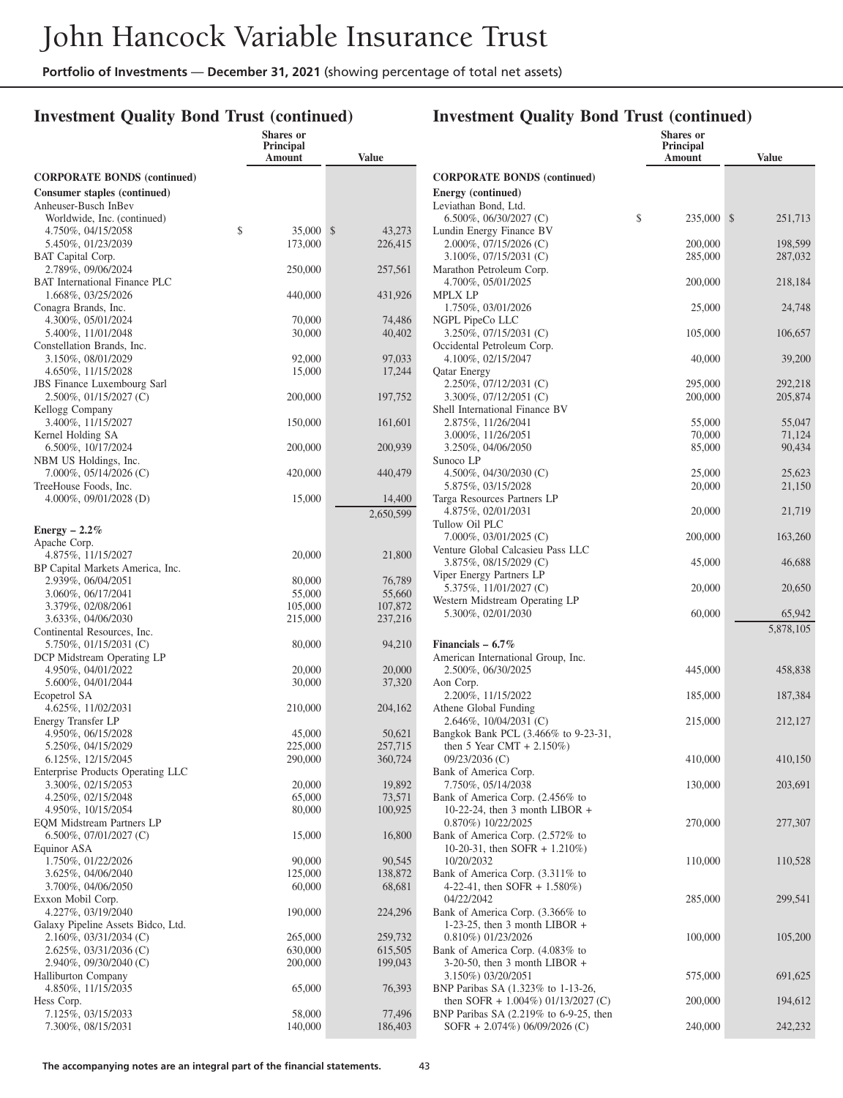**Shares or**

### **Investment Quality Bond Trust (continued)**

|                                                                                | Principal<br>Amount | <b>Value</b>        |
|--------------------------------------------------------------------------------|---------------------|---------------------|
| <b>CORPORATE BONDS (continued)</b>                                             |                     |                     |
| <b>Consumer staples (continued)</b><br>Anheuser-Busch InBev                    |                     |                     |
| Worldwide, Inc. (continued)<br>4.750%, 04/15/2058<br>\$                        | 35,000              | \$<br>43,273        |
| 5.450%, 01/23/2039<br>BAT Capital Corp.<br>2.789%, 09/06/2024                  | 173,000             | 226,415             |
| <b>BAT</b> International Finance PLC<br>1.668%, 03/25/2026                     | 250,000<br>440,000  | 257,561<br>431,926  |
| Conagra Brands, Inc.<br>4.300%, 05/01/2024                                     | 70,000              | 74,486              |
| 5.400%, 11/01/2048<br>Constellation Brands, Inc.                               | 30,000              | 40,402              |
| 3.150%, 08/01/2029<br>4.650%, 11/15/2028                                       | 92,000<br>15,000    | 97,033<br>17,244    |
| <b>JBS</b> Finance Luxembourg Sarl<br>2.500%, 01/15/2027 (C)                   | 200,000             | 197,752             |
| Kellogg Company<br>3.400%, 11/15/2027<br>Kernel Holding SA                     | 150,000             | 161,601             |
| 6.500%, 10/17/2024<br>NBM US Holdings, Inc.                                    | 200,000             | 200,939             |
| 7.000%, 05/14/2026 (C)<br>TreeHouse Foods, Inc.                                | 420,000             | 440,479             |
| $4.000\%$ , 09/01/2028 (D)                                                     | 15,000              | 14,400<br>2,650,599 |
| Energy $-2.2\%$<br>Apache Corp.                                                |                     |                     |
| 4.875%, 11/15/2027<br>BP Capital Markets America, Inc.                         | 20,000              | 21,800              |
| 2.939%, 06/04/2051<br>3.060%, 06/17/2041                                       | 80,000<br>55,000    | 76,789<br>55,660    |
| 3.379%, 02/08/2061<br>3.633%, 04/06/2030                                       | 105,000<br>215,000  | 107,872<br>237,216  |
| Continental Resources, Inc.<br>5.750%, 01/15/2031 (C)                          | 80,000              | 94,210              |
| DCP Midstream Operating LP<br>4.950%, 04/01/2022                               | 20,000              | 20,000              |
| 5.600%, 04/01/2044<br>Ecopetrol SA<br>4.625%, 11/02/2031                       | 30,000<br>210,000   | 37,320<br>204,162   |
| Energy Transfer LP<br>4.950%, 06/15/2028                                       | 45,000              | 50,621              |
| 5.250%, 04/15/2029<br>6.125%, 12/15/2045                                       | 225,000<br>290,000  | 257,715<br>360,724  |
| Enterprise Products Operating LLC<br>3.300%, 02/15/2053                        | 20,000              | 19,892              |
| 4.250%, 02/15/2048<br>4.950%, 10/15/2054                                       | 65,000<br>80,000    | 73,571<br>100,925   |
| <b>EQM Midstream Partners LP</b><br>$6.500\%, 07/01/2027$ (C)                  | 15,000              | 16,800              |
| Equinor ASA<br>1.750%, 01/22/2026                                              | 90,000              | 90,545              |
| 3.625%, 04/06/2040<br>3.700%, 04/06/2050                                       | 125,000<br>60,000   | 138,872<br>68,681   |
| Exxon Mobil Corp.<br>4.227%, 03/19/2040                                        | 190,000             | 224,296             |
| Galaxy Pipeline Assets Bidco, Ltd.<br>2.160%, 03/31/2034 (C)                   | 265,000             | 259,732             |
| 2.625%, 03/31/2036 (C)<br>2.940%, 09/30/2040 (C)<br><b>Halliburton Company</b> | 630,000<br>200,000  | 615,505<br>199,043  |
| 4.850%, 11/15/2035<br>Hess Corp.                                               | 65,000              | 76,393              |
| 7.125%, 03/15/2033<br>7.300%, 08/15/2031                                       | 58,000<br>140,000   | 77,496<br>186,403   |
|                                                                                |                     |                     |

|                                                                              | <b>Shares</b> or<br><b>Principal</b><br>Amount | Value              |
|------------------------------------------------------------------------------|------------------------------------------------|--------------------|
| <b>CORPORATE BONDS (continued)</b>                                           |                                                |                    |
| Energy (continued)                                                           |                                                |                    |
| Leviathan Bond, Ltd.<br>$6.500\%$ , 06/30/2027 (C)                           | \$<br>235,000                                  | \$<br>251,713      |
| Lundin Energy Finance BV                                                     |                                                |                    |
| 2.000%, 07/15/2026 (C)                                                       | 200,000                                        | 198,599            |
| 3.100%, 07/15/2031 (C)<br>Marathon Petroleum Corp.                           | 285,000                                        | 287,032            |
| 4.700%, 05/01/2025<br><b>MPLX LP</b>                                         | 200,000                                        | 218,184            |
| 1.750%, 03/01/2026                                                           | 25,000                                         | 24,748             |
| NGPL PipeCo LLC<br>3.250%, 07/15/2031 (C)                                    | 105,000                                        | 106,657            |
| Occidental Petroleum Corp.<br>4.100%, 02/15/2047                             | 40,000                                         | 39,200             |
| <b>Qatar Energy</b>                                                          |                                                |                    |
| 2.250%, 07/12/2031 (C)<br>3.300%, 07/12/2051 (C)                             | 295,000<br>200,000                             | 292,218<br>205,874 |
| Shell International Finance BV                                               |                                                |                    |
| 2.875%, 11/26/2041<br>3.000%, 11/26/2051                                     | 55,000<br>70,000                               | 55,047<br>71,124   |
| 3.250%, 04/06/2050                                                           | 85,000                                         | 90.434             |
| Sunoco LP                                                                    |                                                |                    |
| 4.500%, $04/30/2030$ (C)<br>5.875%, 03/15/2028                               | 25,000<br>20,000                               | 25,623<br>21,150   |
| Targa Resources Partners LP                                                  |                                                |                    |
| 4.875%, 02/01/2031<br>Tullow Oil PLC                                         | 20,000                                         | 21,719             |
| 7.000%, 03/01/2025 (C)<br>Venture Global Calcasieu Pass LLC                  | 200,000                                        | 163,260            |
| 3.875%, 08/15/2029 (C)                                                       | 45,000                                         | 46,688             |
| Viper Energy Partners LP<br>5.375%, 11/01/2027 (C)                           | 20,000                                         | 20,650             |
| Western Midstream Operating LP<br>5.300%, 02/01/2030                         | 60,000                                         | 65,942             |
|                                                                              |                                                | 5,878,105          |
| Financials $-6.7\%$                                                          |                                                |                    |
| American International Group, Inc.<br>2.500%, 06/30/2025                     | 445,000                                        | 458,838            |
| Aon Corp.                                                                    |                                                |                    |
| 2.200%, 11/15/2022<br>Athene Global Funding                                  | 185,000                                        | 187,384            |
| 2.646%, 10/04/2031 (C)                                                       | 215,000                                        | 212,127            |
| Bangkok Bank PCL (3.466% to 9-23-31,<br>then 5 Year CMT + $2.150\%$ )        |                                                |                    |
| 09/23/2036 (C)                                                               | 410,000                                        | 410,150            |
| Bank of America Corp.<br>7.750%, 05/14/2038                                  | 130,000                                        | 203,691            |
| Bank of America Corp. (2.456% to                                             |                                                |                    |
| 10-22-24, then 3 month LIBOR $+$<br>0.870%) 10/22/2025                       | 270,000                                        | 277,307            |
| Bank of America Corp. (2.572% to                                             |                                                |                    |
| 10-20-31, then SOFR + 1.210%)<br>10/20/2032                                  | 110,000                                        | 110,528            |
| Bank of America Corp. (3.311% to                                             |                                                |                    |
| 4-22-41, then SOFR $+ 1.580\%$ )                                             |                                                |                    |
| 04/22/2042<br>Bank of America Corp. (3.366% to                               | 285,000                                        | 299,541            |
| 1-23-25, then 3 month LIBOR $+$                                              |                                                |                    |
| 0.810%) 01/23/2026                                                           | 100,000                                        | 105,200            |
| Bank of America Corp. (4.083% to<br>$3-20-50$ , then 3 month LIBOR +         |                                                |                    |
| 3.150%) 03/20/2051                                                           | 575,000                                        | 691,625            |
| BNP Paribas SA (1.323% to 1-13-26,<br>then SOFR + $1.004\%$ ) 01/13/2027 (C) | 200,000                                        | 194,612            |
| BNP Paribas SA (2.219% to 6-9-25, then                                       |                                                |                    |
| SOFR + 2.074%) $06/09/2026$ (C)                                              | 240,000                                        | 242,232            |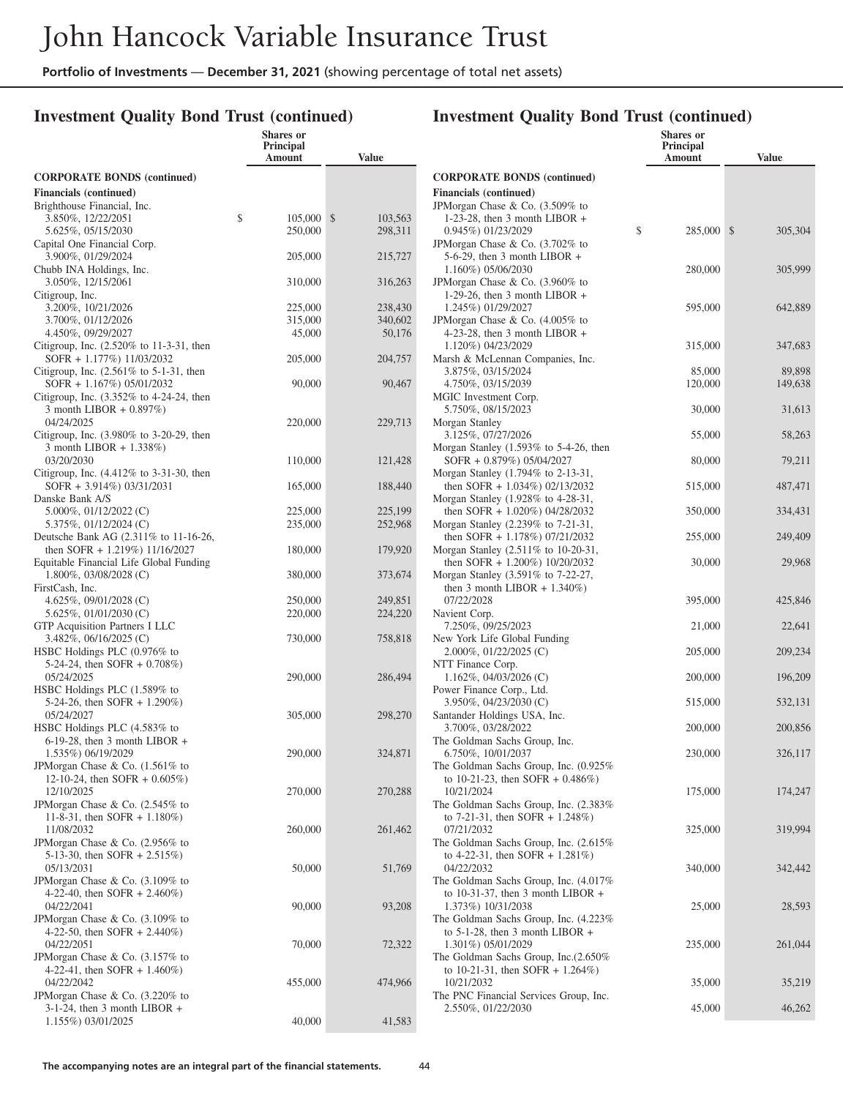**Shares or**

### **Investment Quality Bond Trust (continued)**

|                                                                           | Principal<br>Amount | <b>Value</b>            |
|---------------------------------------------------------------------------|---------------------|-------------------------|
| <b>CORPORATE BONDS (continued)</b>                                        |                     |                         |
| <b>Financials</b> (continued)<br>Brighthouse Financial, Inc.              |                     |                         |
| 3.850%, 12/22/2051                                                        | \$<br>105,000       | $\mathbb{S}$<br>103,563 |
| 5.625%, 05/15/2030                                                        | 250,000             | 298,311                 |
| Capital One Financial Corp.<br>3.900%, 01/29/2024                         | 205,000             | 215,727                 |
| Chubb INA Holdings, Inc.<br>3.050%, 12/15/2061                            | 310,000             | 316,263                 |
| Citigroup, Inc.<br>3.200%, 10/21/2026                                     | 225,000             | 238,430                 |
| 3.700%, 01/12/2026                                                        | 315,000             | 340,602                 |
| 4.450%, 09/29/2027                                                        | 45,000              | 50,176                  |
| Citigroup, Inc. (2.520% to 11-3-31, then<br>SOFR + 1.177%) 11/03/2032     | 205,000             | 204,757                 |
| Citigroup, Inc. (2.561% to 5-1-31, then<br>SOFR + 1.167%) 05/01/2032      | 90,000              | 90,467                  |
| Citigroup, Inc. $(3.352\%$ to 4-24-24, then                               |                     |                         |
| 3 month LIBOR + 0.897%)<br>04/24/2025                                     | 220,000             | 229,713                 |
| Citigroup, Inc. (3.980% to 3-20-29, then                                  |                     |                         |
| 3 month LIBOR + 1.338%)                                                   |                     |                         |
| 03/20/2030<br>Citigroup, Inc. (4.412% to 3-31-30, then                    | 110,000             | 121,428                 |
| SOFR + 3.914%) 03/31/2031<br>Danske Bank A/S                              | 165,000             | 188,440                 |
| 5.000%, 01/12/2022 (C)                                                    | 225,000             | 225,199                 |
| 5.375%, 01/12/2024 (C)<br>Deutsche Bank AG (2.311% to 11-16-26,           | 235,000             | 252,968                 |
| then SOFR + 1.219%) 11/16/2027<br>Equitable Financial Life Global Funding | 180,000             | 179,920                 |
| 1.800%, 03/08/2028 (C)                                                    | 380,000             | 373,674                 |
| FirstCash, Inc.                                                           |                     |                         |
| 4.625%, 09/01/2028 (C)<br>$5.625\%, 01/01/2030$ (C)                       | 250,000<br>220,000  | 249,851<br>224,220      |
| <b>GTP</b> Acquisition Partners I LLC                                     |                     |                         |
| 3.482%, 06/16/2025 (C)                                                    | 730,000             | 758,818                 |
| HSBC Holdings PLC (0.976% to                                              |                     |                         |
| 5-24-24, then SOFR $+$ 0.708%)                                            |                     |                         |
| 05/24/2025                                                                | 290,000             | 286,494                 |
| HSBC Holdings PLC (1.589% to                                              |                     |                         |
| 5-24-26, then SOFR + 1.290%)                                              |                     |                         |
| 05/24/2027<br>HSBC Holdings PLC (4.583% to                                | 305,000             | 298,270                 |
| $6-19-28$ , then 3 month LIBOR +                                          |                     |                         |
| 1.535%) 06/19/2029                                                        | 290,000             | 324,871                 |
| JPMorgan Chase & Co. (1.561% to                                           |                     |                         |
| 12-10-24, then SOFR + 0.605%)                                             |                     |                         |
| 12/10/2025                                                                | 270,000             | 270,288                 |
| JPMorgan Chase & Co. (2.545% to                                           |                     |                         |
| 11-8-31, then SOFR $+$ 1.180%)                                            |                     |                         |
| 11/08/2032<br>JPMorgan Chase & Co. (2.956% to                             | 260,000             | 261,462                 |
| 5-13-30, then SOFR + 2.515%)                                              |                     |                         |
| 05/13/2031                                                                | 50,000              | 51,769                  |
| JPMorgan Chase & Co. (3.109% to                                           |                     |                         |
| 4-22-40, then SOFR $+ 2.460\%)$                                           |                     |                         |
| 04/22/2041                                                                | 90,000              | 93,208                  |
| JPMorgan Chase & Co. (3.109% to                                           |                     |                         |
| 4-22-50, then SOFR $+ 2.440\%$ )                                          |                     |                         |
| 04/22/2051                                                                | 70,000              | 72,322                  |
| JPMorgan Chase & Co. (3.157% to                                           |                     |                         |
| 4-22-41, then SOFR $+$ 1.460%)<br>04/22/2042                              | 455,000             | 474,966                 |
| JPMorgan Chase & Co. (3.220% to                                           |                     |                         |
| $3-1-24$ , then 3 month LIBOR +                                           |                     |                         |
| 1.155%) 03/01/2025                                                        | 40,000              | 41,583                  |
|                                                                           |                     |                         |

|                                                                           | <b>Shares or</b><br><b>Principal</b><br>Amount | <b>Value</b>  |
|---------------------------------------------------------------------------|------------------------------------------------|---------------|
| <b>CORPORATE BONDS (continued)</b>                                        |                                                |               |
| <b>Financials</b> (continued)                                             |                                                |               |
| JPMorgan Chase & Co. (3.509% to                                           |                                                |               |
| 1-23-28, then 3 month LIBOR $+$<br>0.945%) 01/23/2029                     | \$<br>285,000                                  | \$<br>305,304 |
| JPMorgan Chase & Co. (3.702% to                                           |                                                |               |
| $5-6-29$ , then 3 month LIBOR +                                           |                                                |               |
| 1.160%) 05/06/2030                                                        | 280,000                                        | 305,999       |
| JPMorgan Chase & Co. (3.960% to                                           |                                                |               |
| 1-29-26, then 3 month LIBOR $+$<br>1.245%) 01/29/2027                     | 595,000                                        | 642,889       |
| JPMorgan Chase & Co. (4.005% to                                           |                                                |               |
| 4-23-28, then 3 month LIBOR $+$                                           |                                                |               |
| 1.120%) 04/23/2029                                                        | 315,000                                        | 347,683       |
| Marsh & McLennan Companies, Inc.                                          |                                                |               |
| 3.875%, 03/15/2024                                                        | 85,000                                         | 89,898        |
| 4.750%, 03/15/2039<br>MGIC Investment Corp.                               | 120,000                                        | 149,638       |
| 5.750%, 08/15/2023                                                        | 30,000                                         | 31,613        |
| Morgan Stanley                                                            |                                                |               |
| 3.125%, 07/27/2026                                                        | 55,000                                         | 58,263        |
| Morgan Stanley $(1.593\%$ to 5-4-26, then                                 |                                                |               |
| SOFR + 0.879%) 05/04/2027                                                 | 80,000                                         | 79,211        |
| Morgan Stanley (1.794% to 2-13-31,<br>then SOFR $+ 1.034\%$ ) 02/13/2032  | 515,000                                        | 487,471       |
| Morgan Stanley (1.928% to 4-28-31,                                        |                                                |               |
| then SOFR $+ 1.020\%$ ) 04/28/2032                                        | 350,000                                        | 334,431       |
| Morgan Stanley (2.239% to 7-21-31,                                        |                                                |               |
| then SOFR $+ 1.178\%$ ) 07/21/2032                                        | 255,000                                        | 249,409       |
| Morgan Stanley (2.511% to 10-20-31,<br>then SOFR $+ 1.200\%$ ) 10/20/2032 | 30,000                                         | 29,968        |
| Morgan Stanley (3.591% to 7-22-27,                                        |                                                |               |
| then 3 month LIBOR $+ 1.340\%$ )                                          |                                                |               |
| 07/22/2028                                                                | 395,000                                        | 425,846       |
| Navient Corp.                                                             |                                                |               |
| 7.250%, 09/25/2023<br>New York Life Global Funding                        | 21,000                                         | 22,641        |
| 2.000%, 01/22/2025 (C)                                                    | 205,000                                        | 209,234       |
| NTT Finance Corp.                                                         |                                                |               |
| $1.162\%, 04/03/2026$ (C)                                                 | 200,000                                        | 196,209       |
| Power Finance Corp., Ltd.                                                 |                                                |               |
| 3.950%, 04/23/2030 (C)<br>Santander Holdings USA, Inc.                    | 515,000                                        | 532,131       |
| 3.700%, 03/28/2022                                                        | 200,000                                        | 200,856       |
| The Goldman Sachs Group, Inc.                                             |                                                |               |
| 6.750%, 10/01/2037                                                        | 230,000                                        | 326,117       |
| The Goldman Sachs Group, Inc. (0.925%                                     |                                                |               |
| to 10-21-23, then SOFR + $0.486\%$ )<br>10/21/2024                        | 175,000                                        | 174,247       |
| The Goldman Sachs Group, Inc. (2.383%                                     |                                                |               |
| to 7-21-31, then SOFR + $1.248\%$ )                                       |                                                |               |
| 07/21/2032                                                                | 325,000                                        | 319,994       |
| The Goldman Sachs Group, Inc. (2.615%                                     |                                                |               |
| to 4-22-31, then SOFR + $1.281\%$ )<br>04/22/2032                         | 340,000                                        | 342,442       |
| The Goldman Sachs Group, Inc. (4.017%)                                    |                                                |               |
| to 10-31-37, then 3 month LIBOR $+$                                       |                                                |               |
| 1.373%) 10/31/2038                                                        | 25,000                                         | 28,593        |
| The Goldman Sachs Group, Inc. (4.223%                                     |                                                |               |
| to $5-1-28$ , then 3 month LIBOR +<br>1.301%) 05/01/2029                  | 235,000                                        | 261,044       |
| The Goldman Sachs Group, Inc.(2.650%                                      |                                                |               |
| to 10-21-31, then SOFR + $1.264\%$ )                                      |                                                |               |
| 10/21/2032                                                                | 35,000                                         | 35,219        |
| The PNC Financial Services Group, Inc.                                    |                                                |               |
| 2.550%, 01/22/2030                                                        | 45,000                                         | 46,262        |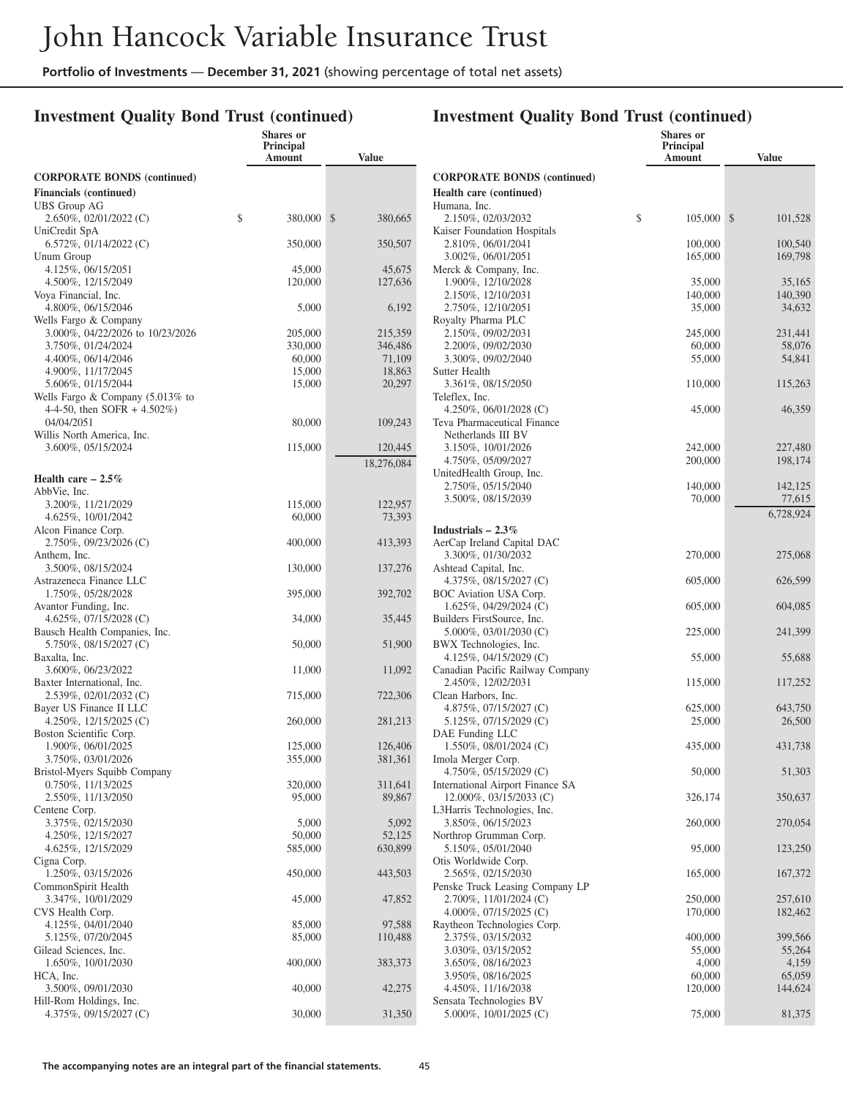### **Investment Quality Bond Trust (continued)**

|                                                                        | <b>Shares</b> or<br><b>Principal</b><br>Amount | <b>Value</b>          |
|------------------------------------------------------------------------|------------------------------------------------|-----------------------|
| <b>CORPORATE BONDS (continued)</b>                                     |                                                |                       |
| <b>Financials</b> (continued)<br>UBS Group AG                          |                                                |                       |
| 2.650%, 02/01/2022 (C)                                                 | \$<br>380,000                                  | \$<br>380,665         |
| UniCredit SpA<br>$6.572\%$ , 01/14/2022 (C)                            | 350,000                                        | 350,507               |
| Unum Group<br>4.125%, 06/15/2051                                       | 45,000                                         | 45,675                |
| 4.500%, 12/15/2049<br>Voya Financial, Inc.                             | 120,000                                        | 127,636               |
| 4.800%, 06/15/2046<br>Wells Fargo & Company                            | 5,000                                          | 6,192                 |
| 3.000%, 04/22/2026 to 10/23/2026                                       | 205,000                                        | 215,359               |
| 3.750%, 01/24/2024                                                     | 330,000                                        | 346,486               |
| 4.400%, 06/14/2046                                                     | 60,000                                         | 71,109                |
| 4.900%, 11/17/2045                                                     | 15,000                                         | 18,863                |
| 5.606%, 01/15/2044                                                     | 15,000                                         | 20,297                |
| Wells Fargo $& Company (5.013\% to$<br>4-4-50, then SOFR + $4.502\%$ ) |                                                |                       |
| 04/04/2051<br>Willis North America, Inc.                               | 80,000                                         | 109,243               |
| 3.600%, 05/15/2024                                                     | 115,000                                        | 120,445<br>18,276,084 |
| Health care $-2.5\%$                                                   |                                                |                       |
| AbbVie, Inc.                                                           |                                                |                       |
| 3.200%, 11/21/2029                                                     | 115,000                                        | 122,957               |
| 4.625%, 10/01/2042                                                     | 60,000                                         | 73,393                |
| Alcon Finance Corp.<br>2.750%, 09/23/2026 (C)                          | 400,000                                        | 413,393               |
| Anthem, Inc.<br>3.500%, 08/15/2024                                     | 130,000                                        | 137,276               |
| Astrazeneca Finance LLC<br>1.750%, 05/28/2028                          | 395,000                                        | 392,702               |
| Avantor Funding, Inc.                                                  |                                                |                       |
| 4.625%, $07/15/2028$ (C)<br>Bausch Health Companies, Inc.              | 34,000                                         | 35,445                |
| 5.750%, 08/15/2027 (C)                                                 | 50,000                                         | 51,900                |
| Baxalta, Inc.<br>3.600%, 06/23/2022                                    | 11,000                                         | 11,092                |
| Baxter International, Inc.                                             |                                                |                       |
| 2.539%, 02/01/2032 (C)<br>Bayer US Finance II LLC                      | 715,000                                        | 722,306               |
| 4.250\%, 12/15/2025 (C)                                                | 260,000                                        | 281,213               |
| Boston Scientific Corp.<br>1.900%, 06/01/2025                          | 125,000                                        | 126,406               |
| 3.750%, 03/01/2026                                                     | 355,000                                        | 381,361               |
| Bristol-Myers Squibb Company                                           |                                                |                       |
| 0.750%, 11/13/2025                                                     | 320,000                                        | 311,641               |
| 2.550%, 11/13/2050                                                     | 95,000                                         | 89,867                |
| Centene Corp.                                                          |                                                |                       |
| 3.375%, 02/15/2030                                                     | 5,000                                          | 5,092                 |
| 4.250%, 12/15/2027                                                     | 50,000                                         | 52,125                |
| 4.625%, 12/15/2029                                                     | 585,000                                        | 630,899               |
| Cigna Corp.                                                            |                                                |                       |
| 1.250%, 03/15/2026                                                     | 450,000                                        | 443,503               |
| CommonSpirit Health                                                    |                                                |                       |
| 3.347%, 10/01/2029<br>CVS Health Corp.                                 | 45,000                                         | 47,852                |
| 4.125%, 04/01/2040                                                     | 85,000                                         | 97,588                |
| 5.125%, 07/20/2045                                                     | 85,000                                         | 110,488               |
| Gilead Sciences, Inc.                                                  |                                                |                       |
| 1.650%, 10/01/2030                                                     | 400,000                                        | 383,373               |
| HCA, Inc.<br>3.500%, 09/01/2030                                        | 40,000                                         | 42,275                |
| Hill-Rom Holdings, Inc.<br>4.375%, 09/15/2027 (C)                      | 30,000                                         | 31,350                |
|                                                                        |                                                |                       |

|                                                   | <b>Shares or</b>    |                    |
|---------------------------------------------------|---------------------|--------------------|
|                                                   | Principal<br>Amount | <b>Value</b>       |
|                                                   |                     |                    |
| <b>CORPORATE BONDS (continued)</b>                |                     |                    |
| Health care (continued)                           |                     |                    |
| Humana, Inc.                                      |                     |                    |
| 2.150%, 02/03/2032                                | \$<br>105,000       | \$<br>101,528      |
| Kaiser Foundation Hospitals                       |                     |                    |
| 2.810%, 06/01/2041<br>3.002%, 06/01/2051          | 100,000<br>165,000  | 100,540<br>169,798 |
| Merck & Company, Inc.                             |                     |                    |
| 1.900%, 12/10/2028                                | 35,000              | 35,165             |
| 2.150%, 12/10/2031                                | 140,000             | 140,390            |
| 2.750%, 12/10/2051                                | 35,000              | 34,632             |
| Royalty Pharma PLC                                |                     |                    |
| 2.150%, 09/02/2031                                | 245,000             | 231,441            |
| 2.200%, 09/02/2030                                | 60,000              | 58,076             |
| 3.300%, 09/02/2040                                | 55,000              | 54,841             |
| Sutter Health                                     |                     |                    |
| 3.361%, 08/15/2050                                | 110,000             | 115,263            |
| Teleflex, Inc.                                    |                     |                    |
| 4.250\%, 06/01/2028 (C)                           | 45,000              | 46,359             |
| Teva Pharmaceutical Finance<br>Netherlands III BV |                     |                    |
| 3.150%, 10/01/2026                                | 242,000             | 227,480            |
| 4.750%, 05/09/2027                                | 200,000             | 198,174            |
| UnitedHealth Group, Inc.                          |                     |                    |
| 2.750%, 05/15/2040                                | 140,000             | 142,125            |
| 3.500%, 08/15/2039                                | 70,000              | 77,615             |
|                                                   |                     | 6,728,924          |
| Industrials $-2.3\%$                              |                     |                    |
| AerCap Ireland Capital DAC                        |                     |                    |
| 3.300%, 01/30/2032                                | 270,000             | 275,068            |
| Ashtead Capital, Inc.                             |                     |                    |
| 4.375%, 08/15/2027 (C)                            | 605,000             | 626,599            |
| BOC Aviation USA Corp.                            |                     |                    |
| $1.625\%, 04/29/2024$ (C)                         | 605,000             | 604,085            |
| Builders FirstSource, Inc.                        |                     |                    |
| 5.000%, 03/01/2030 (C)                            | 225,000             | 241,399            |
| BWX Technologies, Inc.                            |                     |                    |
| 4.125%, $04/15/2029$ (C)                          | 55,000              | 55,688             |
| Canadian Pacific Railway Company                  |                     |                    |
| 2.450%, 12/02/2031<br>Clean Harbors, Inc.         | 115,000             | 117,252            |
| 4.875%, $07/15/2027$ (C)                          | 625,000             | 643,750            |
| 5.125%, 07/15/2029 (C)                            | 25,000              | 26,500             |
| DAE Funding LLC                                   |                     |                    |
| $1.550\%, 08/01/2024$ (C)                         | 435,000             | 431,738            |
| Imola Merger Corp.                                |                     |                    |
| 4.750%, 05/15/2029 (C)                            | 50,000              | 51,303             |
| International Airport Finance SA                  |                     |                    |
| 12.000%, 03/15/2033 (C)                           | 326,174             | 350,637            |
| L3Harris Technologies, Inc.                       |                     |                    |
| 3.850%, 06/15/2023                                | 260,000             | 270,054            |
| Northrop Grumman Corp.                            |                     |                    |
| 5.150%, 05/01/2040<br>Otis Worldwide Corp.        | 95,000              | 123,250            |
| 2.565%, 02/15/2030                                | 165,000             | 167,372            |
| Penske Truck Leasing Company LP                   |                     |                    |
| 2.700%, 11/01/2024 (C)                            | 250,000             | 257,610            |
| 4.000%, $07/15/2025$ (C)                          | 170,000             | 182,462            |
| Raytheon Technologies Corp.                       |                     |                    |
| 2.375%, 03/15/2032                                | 400,000             | 399,566            |
| 3.030%, 03/15/2052                                | 55,000              | 55,264             |
| 3.650%, 08/16/2023                                | 4,000               | 4,159              |
| 3.950%, 08/16/2025                                | 60,000              | 65,059             |
| 4.450%, 11/16/2038                                | 120,000             | 144,624            |
| Sensata Technologies BV                           |                     |                    |
| 5.000%, 10/01/2025 (C)                            | 75,000              | 81,375             |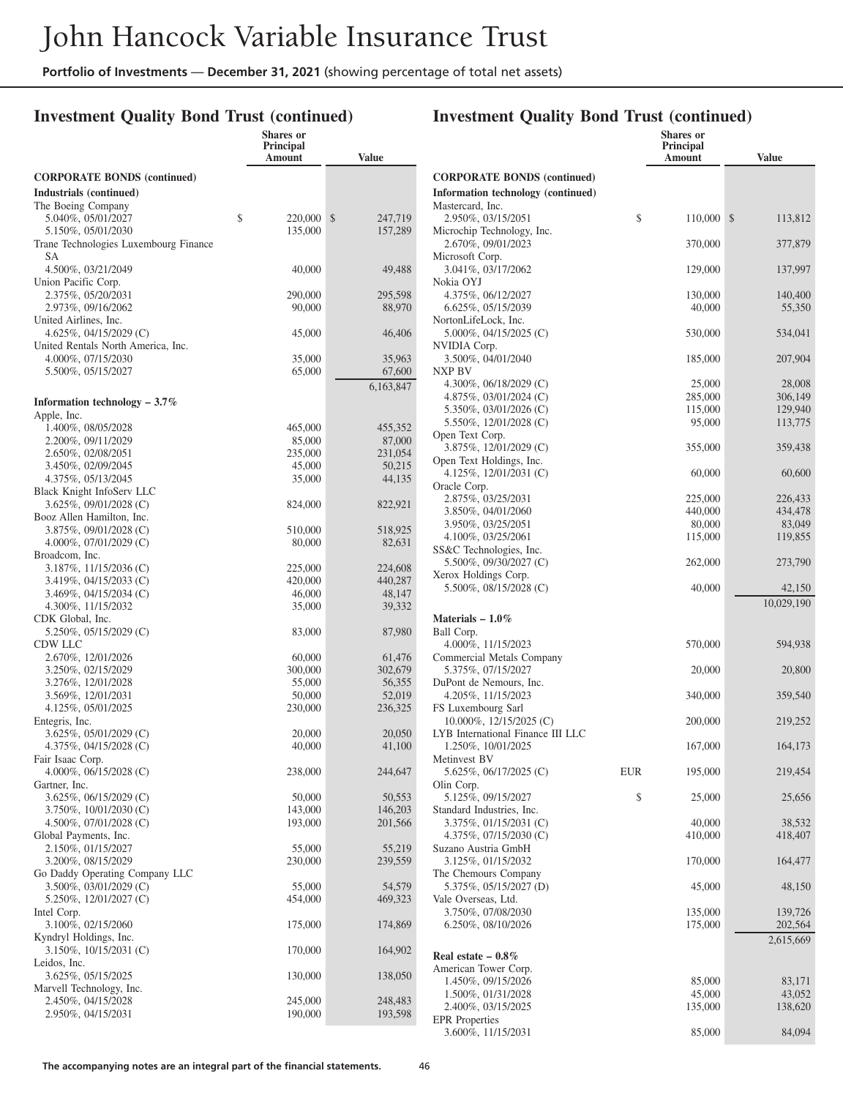**Shares or**

### **Investment Quality Bond Trust (continued)**

|                                                              | Principal<br>Amount | <b>Value</b>      |
|--------------------------------------------------------------|---------------------|-------------------|
| <b>CORPORATE BONDS (continued)</b>                           |                     |                   |
| Industrials (continued)                                      |                     |                   |
| The Boeing Company                                           |                     |                   |
| 5.040%, 05/01/2027                                           | \$<br>220,000       | \$<br>247,719     |
| 5.150%, 05/01/2030                                           | 135,000             | 157,289           |
| Trane Technologies Luxembourg Finance<br>SА                  |                     |                   |
| 4.500%, 03/21/2049                                           | 40,000              | 49,488            |
| Union Pacific Corp.                                          |                     |                   |
| 2.375%, 05/20/2031                                           | 290,000             | 295,598           |
| 2.973%, 09/16/2062                                           | 90,000              | 88,970            |
| United Airlines, Inc.                                        |                     |                   |
| 4.625%, 04/15/2029 (C)<br>United Rentals North America, Inc. | 45,000              | 46,406            |
| 4.000%, 07/15/2030                                           | 35,000              | 35,963            |
| 5.500%, 05/15/2027                                           | 65,000              | 67,600            |
|                                                              |                     | 6,163,847         |
| Information technology $-3.7\%$                              |                     |                   |
| Apple, Inc.                                                  |                     |                   |
| 1.400%, 08/05/2028                                           | 465,000             | 455,352           |
| 2.200%, 09/11/2029                                           | 85,000              | 87,000            |
| 2.650%, 02/08/2051                                           | 235,000             | 231,054           |
| 3.450%, 02/09/2045<br>4.375%, 05/13/2045                     | 45,000<br>35,000    | 50,215<br>44,135  |
| Black Knight InfoServ LLC                                    |                     |                   |
| $3.625\%, 09/01/2028$ (C)                                    | 824,000             | 822,921           |
| Booz Allen Hamilton, Inc.                                    |                     |                   |
| 3.875%, 09/01/2028 (C)                                       | 510,000             | 518,925           |
| 4.000%, 07/01/2029 (C)                                       | 80,000              | 82,631            |
| Broadcom, Inc.                                               |                     |                   |
| 3.187%, 11/15/2036 (C)                                       | 225,000             | 224,608           |
| 3.419%, 04/15/2033 (C)<br>3.469%, 04/15/2034 (C)             | 420,000<br>46,000   | 440,287<br>48,147 |
| 4.300%, 11/15/2032                                           | 35,000              | 39,332            |
| CDK Global, Inc.                                             |                     |                   |
| $5.250\%, 05/15/2029$ (C)                                    | 83,000              | 87,980            |
| CDW LLC                                                      |                     |                   |
| 2.670%, 12/01/2026                                           | 60,000              | 61,476            |
| 3.250%, 02/15/2029                                           | 300,000             | 302,679           |
| 3.276%, 12/01/2028<br>3.569%, 12/01/2031                     | 55,000<br>50,000    | 56,355<br>52,019  |
| 4.125%, 05/01/2025                                           | 230,000             | 236,325           |
| Entegris, Inc.                                               |                     |                   |
| 3.625%, 05/01/2029 (C)                                       | 20,000              | 20,050            |
| 4.375%, 04/15/2028 (C)                                       | 40,000              | 41,100            |
| Fair Isaac Corp.                                             |                     |                   |
| 4.000%, 06/15/2028 (C)<br>Gartner, Inc.                      | 238,000             | 244,647           |
| 3.625%, 06/15/2029 (C)                                       | 50,000              | 50,553            |
| 3.750%, 10/01/2030 (C)                                       | 143,000             | 146,203           |
| 4.500%, 07/01/2028 (C)                                       | 193,000             | 201,566           |
| Global Payments, Inc.                                        |                     |                   |
| 2.150%, 01/15/2027                                           | 55,000              | 55,219            |
| 3.200%, 08/15/2029                                           | 230,000             | 239,559           |
| Go Daddy Operating Company LLC<br>3.500%, 03/01/2029 (C)     | 55,000              | 54,579            |
| 5.250%, 12/01/2027 (C)                                       | 454,000             | 469,323           |
| Intel Corp.                                                  |                     |                   |
| 3.100%, 02/15/2060                                           | 175,000             | 174,869           |
| Kyndryl Holdings, Inc.                                       |                     |                   |
| 3.150%, 10/15/2031 (C)                                       | 170,000             | 164,902           |
| Leidos, Inc.                                                 |                     |                   |
| 3.625%, 05/15/2025                                           | 130,000             | 138,050           |
| Marvell Technology, Inc.<br>2.450%, 04/15/2028               | 245,000             | 248,483           |
| 2.950%, 04/15/2031                                           | 190,000             | 193,598           |
|                                                              |                     |                   |

|                                                                          |     | Shares or<br><b>Principal</b><br>Amount | <b>Value</b>       |
|--------------------------------------------------------------------------|-----|-----------------------------------------|--------------------|
| <b>CORPORATE BONDS (continued)</b><br>Information technology (continued) |     |                                         |                    |
| Mastercard, Inc.<br>2.950%, 03/15/2051                                   | \$  | 110,000                                 | \$<br>113,812      |
| Microchip Technology, Inc.<br>2.670%, 09/01/2023                         |     | 370,000                                 | 377,879            |
| Microsoft Corp.                                                          |     |                                         |                    |
| 3.041%, 03/17/2062<br>Nokia OYJ                                          |     | 129,000                                 | 137,997            |
| 4.375%, 06/12/2027<br>6.625%, 05/15/2039                                 |     | 130,000                                 | 140,400            |
| NortonLifeLock, Inc.                                                     |     | 40,000                                  | 55,350             |
| 5.000%, 04/15/2025 (C)<br>NVIDIA Corp.                                   |     | 530,000                                 | 534,041            |
| 3.500%, 04/01/2040                                                       |     | 185,000                                 | 207,904            |
| NXP BV<br>4.300\%, 06/18/2029 (C)                                        |     | 25,000                                  | 28,008             |
| 4.875%, 03/01/2024 (C)                                                   |     | 285,000                                 | 306,149            |
| 5.350%, 03/01/2026 (C)<br>5.550%, 12/01/2028 (C)                         |     | 115,000<br>95,000                       | 129,940<br>113,775 |
| Open Text Corp.                                                          |     |                                         |                    |
| 3.875%, 12/01/2029 (C)<br>Open Text Holdings, Inc.                       |     | 355,000                                 | 359,438            |
| 4.125%, $12/01/2031$ (C)                                                 |     | 60,000                                  | 60,600             |
| Oracle Corp.<br>2.875%, 03/25/2031                                       |     | 225,000                                 | 226,433            |
| 3.850%, 04/01/2060                                                       |     | 440,000                                 | 434,478            |
| 3.950%, 03/25/2051                                                       |     | 80,000                                  | 83,049             |
| 4.100%, 03/25/2061                                                       |     | 115,000                                 | 119,855            |
| SS&C Technologies, Inc.<br>5.500%, 09/30/2027 (C)                        |     | 262,000                                 | 273,790            |
| Xerox Holdings Corp.<br>5.500%, 08/15/2028 (C)                           |     | 40,000                                  | 42,150             |
|                                                                          |     |                                         | 10,029,190         |
| Materials $-1.0\%$                                                       |     |                                         |                    |
| Ball Corp.<br>4.000%, 11/15/2023                                         |     | 570,000                                 | 594,938            |
| Commercial Metals Company                                                |     |                                         |                    |
| 5.375%, 07/15/2027<br>DuPont de Nemours, Inc.                            |     | 20,000                                  | 20,800             |
| 4.205%, 11/15/2023                                                       |     | 340,000                                 | 359,540            |
| FS Luxembourg Sarl<br>$10.000\%$ , $12/15/2025$ (C)                      |     | 200,000                                 | 219,252            |
| LYB International Finance III LLC<br>1.250%, 10/01/2025                  |     | 167,000                                 | 164,173            |
| Metinvest BV                                                             |     |                                         |                    |
| 5.625%, 06/17/2025 (C)<br>Olin Corp.                                     | EUR | 195,000                                 | 219,454            |
| 5.125%, 09/15/2027<br>Standard Industries, Inc.                          | \$  | 25,000                                  | 25,656             |
| 3.375%, 01/15/2031 (C)                                                   |     | 40,000                                  | 38,532             |
| 4.375\%, 07/15/2030 (C)<br>Suzano Austria GmbH                           |     | 410,000                                 | 418,407            |
| 3.125%, 01/15/2032                                                       |     | 170,000                                 | 164,477            |
| The Chemours Company<br>5.375%, 05/15/2027 (D)                           |     | 45,000                                  | 48,150             |
| Vale Overseas, Ltd.<br>3.750%, 07/08/2030                                |     | 135,000                                 | 139,726            |
| 6.250%, 08/10/2026                                                       |     | 175,000                                 | 202,564            |
| Real estate $-0.8\%$                                                     |     |                                         | 2,615,669          |
| American Tower Corp.                                                     |     |                                         |                    |
| 1.450\%, 09/15/2026                                                      |     | 85,000                                  | 83,171             |
| 1.500%, 01/31/2028<br>2.400%, 03/15/2025                                 |     | 45,000<br>135,000                       | 43,052<br>138,620  |
| <b>EPR</b> Properties                                                    |     |                                         |                    |
| 3.600%, 11/15/2031                                                       |     | 85,000                                  | 84,094             |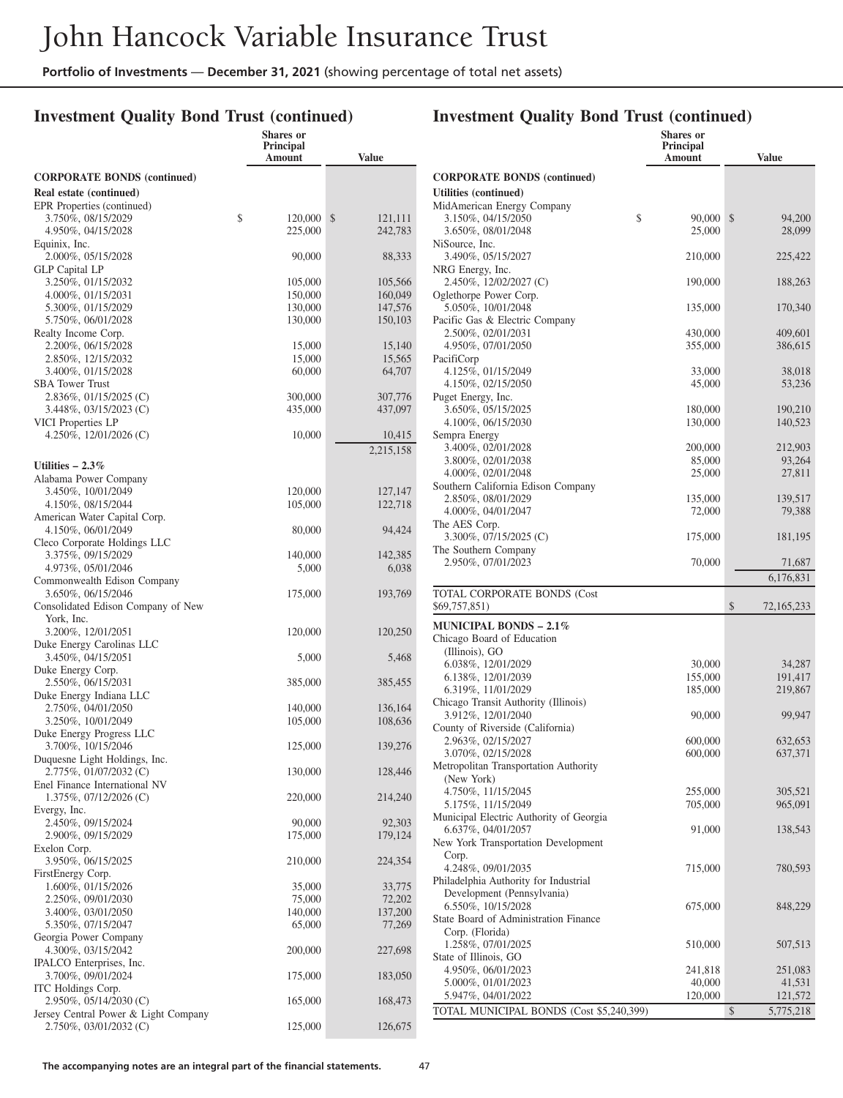**Shares or**

### **Investment Quality Bond Trust (continued)**

|                                                                | Principal<br>Amount | <b>Value</b>      |
|----------------------------------------------------------------|---------------------|-------------------|
| <b>CORPORATE BONDS (continued)</b>                             |                     |                   |
| Real estate (continued)                                        |                     |                   |
| EPR Properties (continued)                                     |                     |                   |
| 3.750%, 08/15/2029                                             | \$<br>120,000       | \$<br>121,111     |
| 4.950%, 04/15/2028<br>Equinix, Inc.                            | 225,000             | 242,783           |
| 2.000%, 05/15/2028                                             | 90,000              | 88,333            |
| <b>GLP</b> Capital LP                                          |                     |                   |
| 3.250%, 01/15/2032                                             | 105,000             | 105,566           |
| 4.000%, 01/15/2031                                             | 150,000             | 160,049           |
| 5.300%, 01/15/2029<br>5.750%, 06/01/2028                       | 130,000             | 147,576           |
| Realty Income Corp.                                            | 130,000             | 150,103           |
| 2.200%, 06/15/2028                                             | 15,000              | 15,140            |
| 2.850%, 12/15/2032                                             | 15,000              | 15,565            |
| 3.400%, 01/15/2028                                             | 60,000              | 64,707            |
| <b>SBA Tower Trust</b>                                         |                     |                   |
| 2.836%, 01/15/2025 (C)                                         | 300,000             | 307,776           |
| $3.448\%, 03/15/2023$ (C)<br>VICI Properties LP                | 435,000             | 437,097           |
| 4.250\%, 12/01/2026 (C)                                        | 10,000              | 10,415            |
|                                                                |                     | 2,215,158         |
| Utilities $-2.3\%$                                             |                     |                   |
| Alabama Power Company                                          |                     |                   |
| 3.450%, 10/01/2049                                             | 120,000             | 127,147           |
| 4.150%, 08/15/2044                                             | 105,000             | 122,718           |
| American Water Capital Corp.                                   |                     |                   |
| 4.150%, 06/01/2049                                             | 80,000              | 94,424            |
| Cleco Corporate Holdings LLC                                   |                     |                   |
| 3.375%, 09/15/2029<br>4.973%, 05/01/2046                       | 140,000<br>5,000    | 142,385<br>6,038  |
| Commonwealth Edison Company                                    |                     |                   |
| 3.650%, 06/15/2046                                             | 175,000             | 193,769           |
| Consolidated Edison Company of New                             |                     |                   |
| York, Inc.                                                     |                     |                   |
| 3.200%, 12/01/2051                                             | 120,000             | 120,250           |
| Duke Energy Carolinas LLC<br>3.450%, 04/15/2051                | 5,000               | 5,468             |
| Duke Energy Corp.                                              |                     |                   |
| 2.550%, 06/15/2031                                             | 385,000             | 385,455           |
| Duke Energy Indiana LLC                                        |                     |                   |
| 2.750%, 04/01/2050                                             | 140,000             | 136,164           |
| 3.250%, 10/01/2049                                             | 105,000             | 108,636           |
| Duke Energy Progress LLC<br>3.700%, 10/15/2046                 | 125,000             | 139,276           |
| Duquesne Light Holdings, Inc.                                  |                     |                   |
| 2.775%, 01/07/2032 (C)                                         | 130,000             | 128,446           |
| Enel Finance International NV                                  |                     |                   |
| 1.375%, 07/12/2026 (C)                                         | 220,000             | 214,240           |
| Evergy, Inc.                                                   |                     |                   |
| 2.450%, 09/15/2024<br>2.900%, 09/15/2029                       | 90,000              | 92,303            |
| Exelon Corp.                                                   | 175,000             | 179,124           |
| 3.950%, 06/15/2025                                             | 210,000             | 224,354           |
| FirstEnergy Corp.                                              |                     |                   |
| 1.600%, 01/15/2026                                             | 35,000              | 33,775            |
| 2.250%, 09/01/2030                                             | 75,000              | 72,202            |
| 3.400%, 03/01/2050<br>5.350%, 07/15/2047                       | 140,000             | 137,200<br>77,269 |
| Georgia Power Company                                          | 65,000              |                   |
| 4.300%, 03/15/2042                                             | 200,000             | 227,698           |
| IPALCO Enterprises, Inc.                                       |                     |                   |
| 3.700%, 09/01/2024                                             | 175,000             | 183,050           |
| ITC Holdings Corp.                                             |                     |                   |
| $2.950\%$ , 05/14/2030 (C)                                     | 165,000             | 168,473           |
| Jersey Central Power & Light Company<br>2.750%, 03/01/2032 (C) | 125,000             | 126,675           |
|                                                                |                     |                   |

|                                                                | <b>Shares or</b><br>Principal<br>Amount | <b>Value</b>               |
|----------------------------------------------------------------|-----------------------------------------|----------------------------|
| <b>CORPORATE BONDS (continued)</b>                             |                                         |                            |
| Utilities (continued)                                          |                                         |                            |
| MidAmerican Energy Company                                     |                                         |                            |
| \$<br>3.150%, 04/15/2050                                       | 90,000                                  | \$<br>94,200               |
| 3.650%, 08/01/2048<br>NiSource, Inc.                           | 25,000                                  | 28,099                     |
| 3.490%, 05/15/2027                                             | 210,000                                 | 225,422                    |
| NRG Energy, Inc.                                               |                                         |                            |
| 2.450%, 12/02/2027 (C)                                         | 190,000                                 | 188,263                    |
| Oglethorpe Power Corp.                                         |                                         |                            |
| 5.050%, 10/01/2048<br>Pacific Gas & Electric Company           | 135,000                                 | 170,340                    |
| 2.500%, 02/01/2031                                             | 430,000                                 | 409,601                    |
| 4.950%, 07/01/2050                                             | 355,000                                 | 386,615                    |
| PacifiCorp                                                     |                                         |                            |
| 4.125%, 01/15/2049                                             | 33,000                                  | 38,018                     |
| 4.150%, 02/15/2050<br>Puget Energy, Inc.                       | 45,000                                  | 53,236                     |
| 3.650%, 05/15/2025                                             | 180,000                                 | 190,210                    |
| 4.100%, 06/15/2030                                             | 130,000                                 | 140,523                    |
| Sempra Energy                                                  |                                         |                            |
| 3.400%, 02/01/2028                                             | 200,000                                 | 212,903                    |
| 3.800%, 02/01/2038                                             | 85,000                                  | 93,264                     |
| 4.000%, 02/01/2048<br>Southern California Edison Company       | 25,000                                  | 27,811                     |
| 2.850%, 08/01/2029                                             | 135,000                                 | 139,517                    |
| 4.000%, 04/01/2047                                             | 72,000                                  | 79,388                     |
| The AES Corp.                                                  |                                         |                            |
| 3.300%, 07/15/2025 (C)                                         | 175,000                                 | 181,195                    |
| The Southern Company<br>2.950%, 07/01/2023                     | 70,000                                  | 71,687                     |
|                                                                |                                         | 6,176,831                  |
| TOTAL CORPORATE BONDS (Cost                                    |                                         |                            |
| \$69,757,851)                                                  |                                         | \$<br>72, 165, 233         |
| <b>MUNICIPAL BONDS – 2.1%</b>                                  |                                         |                            |
| Chicago Board of Education                                     |                                         |                            |
| (Illinois), GO<br>6.038%, 12/01/2029                           | 30,000                                  | 34,287                     |
| 6.138%, 12/01/2039                                             | 155,000                                 | 191,417                    |
| 6.319%, 11/01/2029                                             | 185,000                                 | 219,867                    |
| Chicago Transit Authority (Illinois)                           |                                         |                            |
| 3.912%, 12/01/2040                                             | 90,000                                  | 99,947                     |
| County of Riverside (California)<br>2.963%, 02/15/2027         | 600,000                                 | 632,653                    |
| 3.070%, 02/15/2028                                             | 600,000                                 | 637,371                    |
| Metropolitan Transportation Authority                          |                                         |                            |
| (New York)                                                     |                                         |                            |
| 4.750%, 11/15/2045                                             | 255,000                                 | 305,521                    |
| 5.175%, 11/15/2049<br>Municipal Electric Authority of Georgia  |                                         |                            |
|                                                                | 705,000                                 | 965,091                    |
|                                                                |                                         |                            |
| 6.637%, 04/01/2057<br>New York Transportation Development      | 91,000                                  | 138,543                    |
| Corp.                                                          |                                         |                            |
| 4.248%, 09/01/2035                                             | 715,000                                 | 780,593                    |
| Philadelphia Authority for Industrial                          |                                         |                            |
| Development (Pennsylvania)                                     |                                         |                            |
| 6.550%, 10/15/2028<br>State Board of Administration Finance    | 675,000                                 | 848,229                    |
| Corp. (Florida)                                                |                                         |                            |
| 1.258%, 07/01/2025                                             | 510,000                                 | 507,513                    |
| State of Illinois, GO                                          |                                         |                            |
| 4.950%, 06/01/2023                                             | 241,818                                 | 251,083                    |
| 5.000%, 01/01/2023                                             | 40,000                                  | 41,531                     |
| 5.947%, 04/01/2022<br>TOTAL MUNICIPAL BONDS (Cost \$5,240,399) | 120,000                                 | 121,572<br>\$<br>5,775,218 |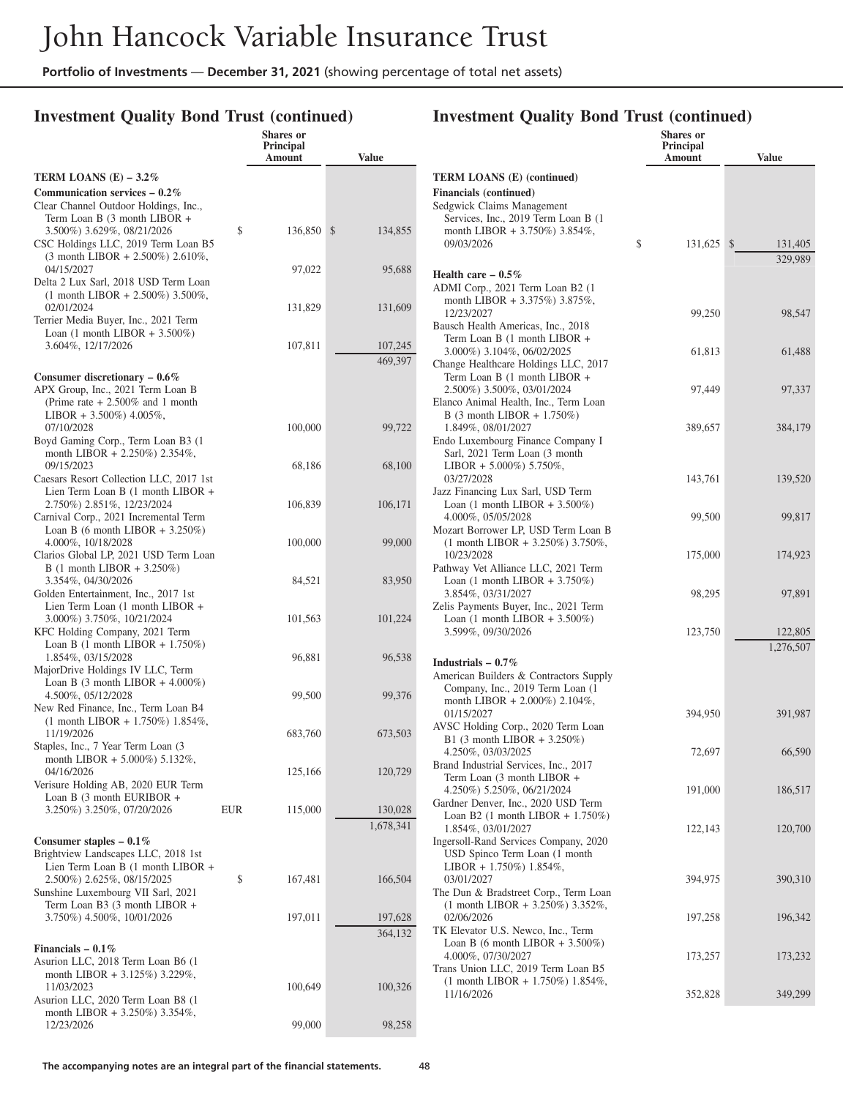**Shares or**

### **Investment Quality Bond Trust (continued)**

|                                                                                                                                       |     | <b>Principal</b><br>Amount | <b>Value</b>         |
|---------------------------------------------------------------------------------------------------------------------------------------|-----|----------------------------|----------------------|
| TERM LOANS $(E)$ – 3.2%                                                                                                               |     |                            |                      |
| Communication services $-0.2\%$<br>Clear Channel Outdoor Holdings, Inc.,<br>Term Loan B (3 month LIBOR +                              |     |                            |                      |
| 3.500%) 3.629%, 08/21/2026<br>CSC Holdings LLC, 2019 Term Loan B5<br>$(3 \text{ month LIBOR} + 2.500\%)$ 2.610%,                      | \$  | 136,850                    | \$<br>134,855        |
| 04/15/2027<br>Delta 2 Lux Sarl, 2018 USD Term Loan<br>$(1$ month LIBOR + 2.500%) 3.500%,                                              |     | 97,022                     | 95,688               |
| 02/01/2024<br>Terrier Media Buyer, Inc., 2021 Term<br>Loan $(1 \text{ month LIBOR} + 3.500\%)$                                        |     | 131,829                    | 131,609              |
| 3.604%, 12/17/2026                                                                                                                    |     | 107,811                    | 107,245<br>469,397   |
| Consumer discretionary $-0.6\%$<br>APX Group, Inc., 2021 Term Loan B<br>(Prime rate $+2.500\%$ and 1 month<br>LIBOR + 3.500%) 4.005%, |     |                            |                      |
| 07/10/2028<br>Boyd Gaming Corp., Term Loan B3 (1<br>month LIBOR + 2.250%) 2.354%,                                                     |     | 100,000                    | 99,722               |
| 09/15/2023<br>Caesars Resort Collection LLC, 2017 1st<br>Lien Term Loan B (1 month LIBOR +                                            |     | 68,186                     | 68,100               |
| 2.750%) 2.851%, 12/23/2024<br>Carnival Corp., 2021 Incremental Term<br>Loan B (6 month LIBOR + $3.250\%$ )                            |     | 106,839                    | 106,171              |
| 4.000%, 10/18/2028<br>Clarios Global LP, 2021 USD Term Loan<br>$B(1 \text{ month LIBOR} + 3.250\%)$                                   |     | 100,000                    | 99,000               |
| 3.354%, 04/30/2026<br>Golden Entertainment, Inc., 2017 1st<br>Lien Term Loan (1 month LIBOR +                                         |     | 84,521                     | 83,950               |
| 3.000%) 3.750%, 10/21/2024<br>KFC Holding Company, 2021 Term<br>Loan B $(1 \text{ month LIBOR} + 1.750\%)$                            |     | 101,563                    | 101,224              |
| 1.854%, 03/15/2028<br>MajorDrive Holdings IV LLC, Term<br>Loan B $(3 \text{ month LIBOR} + 4.000\%)$                                  |     | 96,881                     | 96,538               |
| 4.500%, 05/12/2028<br>New Red Finance, Inc., Term Loan B4<br>$(1$ month LIBOR + 1.750%) 1.854%,                                       |     | 99,500                     | 99,376               |
| 11/19/2026<br>Staples, Inc., 7 Year Term Loan (3<br>month LIBOR + 5.000%) 5.132%,                                                     |     | 683,760                    | 673,503              |
| 04/16/2026<br>Verisure Holding AB, 2020 EUR Term<br>Loan B $(3 \text{ month EURIBOR } +$                                              |     | 125,166                    | 120,729              |
| 3.250%) 3.250%, 07/20/2026<br>Consumer staples $-0.1\%$                                                                               | EUR | 115,000                    | 130,028<br>1,678,341 |
| Brightview Landscapes LLC, 2018 1st<br>Lien Term Loan B (1 month LIBOR +<br>2.500%) 2.625%, 08/15/2025                                | \$  | 167,481                    | 166,504              |
| Sunshine Luxembourg VII Sarl, 2021<br>Term Loan B3 (3 month LIBOR +<br>3.750%) 4.500%, 10/01/2026                                     |     | 197,011                    | 197,628              |
| Financials $-0.1\%$                                                                                                                   |     |                            | 364,132              |
| Asurion LLC, 2018 Term Loan B6 (1<br>month LIBOR + 3.125%) 3.229%,<br>11/03/2023<br>Asurion LLC, 2020 Term Loan B8 (1                 |     | 100,649                    | 100,326              |
| month LIBOR + 3.250%) 3.354%,<br>12/23/2026                                                                                           |     | 99,000                     | 98,258               |

|                                                                                                                                      | Shares or<br>Principal<br>Amount | <b>Value</b>            |
|--------------------------------------------------------------------------------------------------------------------------------------|----------------------------------|-------------------------|
| <b>TERM LOANS (E) (continued)</b>                                                                                                    |                                  |                         |
| <b>Financials</b> (continued)<br>Sedgwick Claims Management<br>Services, Inc., 2019 Term Loan B (1<br>month LIBOR + 3.750%) 3.854%,  |                                  |                         |
| 09/03/2026                                                                                                                           | \$<br>131,625                    | $\mathbb{S}$<br>131,405 |
| Health care $-0.5\%$<br>ADMI Corp., 2021 Term Loan B2 (1<br>month LIBOR + 3.375%) 3.875%,                                            |                                  | 329,989                 |
| 12/23/2027<br>Bausch Health Americas, Inc., 2018<br>Term Loan B (1 month LIBOR +                                                     | 99,250                           | 98,547                  |
| 3.000%) 3.104%, 06/02/2025<br>Change Healthcare Holdings LLC, 2017<br>Term Loan B (1 month LIBOR +                                   | 61,813                           | 61,488                  |
| 2.500%) 3.500%, 03/01/2024<br>Elanco Animal Health, Inc., Term Loan<br>B $(3 \text{ month LIBOR} + 1.750\%)$                         | 97,449                           | 97,337                  |
| 1.849%, 08/01/2027<br>Endo Luxembourg Finance Company I<br>Sarl, 2021 Term Loan (3 month<br>LIBOR + 5.000%) 5.750%,                  | 389,657                          | 384,179                 |
| 03/27/2028<br>Jazz Financing Lux Sarl, USD Term<br>Loan $(1 \text{ month LIBOR } + 3.500\%)$                                         | 143,761                          | 139,520                 |
| 4.000%, 05/05/2028<br>Mozart Borrower LP, USD Term Loan B<br>$(1$ month LIBOR + 3.250%) 3.750%,                                      | 99,500                           | 99,817                  |
| 10/23/2028<br>Pathway Vet Alliance LLC, 2021 Term<br>Loan $(1 \text{ month LIBOR} + 3.750\%)$                                        | 175,000                          | 174,923                 |
| 3.854%, 03/31/2027<br>Zelis Payments Buyer, Inc., 2021 Term<br>Loan $(1 \text{ month LIBOR} + 3.500\%)$                              | 98,295                           | 97,891                  |
| 3.599%, 09/30/2026                                                                                                                   | 123,750                          | 122,805<br>1,276,507    |
| Industrials $-0.7\%$<br>American Builders & Contractors Supply<br>Company, Inc., 2019 Term Loan (1)<br>month LIBOR + 2.000%) 2.104%, |                                  |                         |
| 01/15/2027<br>AVSC Holding Corp., 2020 Term Loan<br>B1 $(3 \text{ month LIBOR} + 3.250\%)$                                           | 394,950                          | 391,987                 |
| 4.250%, 03/03/2025<br>Brand Industrial Services, Inc., 2017<br>Term Loan (3 month LIBOR +                                            | 72,697                           | 66,590                  |
| 4.250%) 5.250%, 06/21/2024<br>Gardner Denver, Inc., 2020 USD Term<br>Loan B2 $(1 \text{ month LIBOR} + 1.750\%)$                     | 191,000                          | 186,517                 |
| 1.854%, 03/01/2027<br>Ingersoll-Rand Services Company, 2020<br>USD Spinco Term Loan (1 month<br>LIBOR + $1.750\%$ ) $1.854\%$ ,      | 122,143                          | 120,700                 |
| 03/01/2027<br>The Dun & Bradstreet Corp., Term Loan<br>$(1$ month LIBOR + 3.250%) 3.352%,                                            | 394,975                          | 390,310                 |
| 02/06/2026<br>TK Elevator U.S. Newco, Inc., Term<br>Loan B (6 month LIBOR + $3.500\%$ )                                              | 197,258                          | 196,342                 |
| 4.000%, 07/30/2027<br>Trans Union LLC, 2019 Term Loan B5<br>$(1$ month LIBOR + 1.750%) 1.854%,                                       | 173,257                          | 173,232                 |
| 11/16/2026                                                                                                                           | 352,828                          | 349,299                 |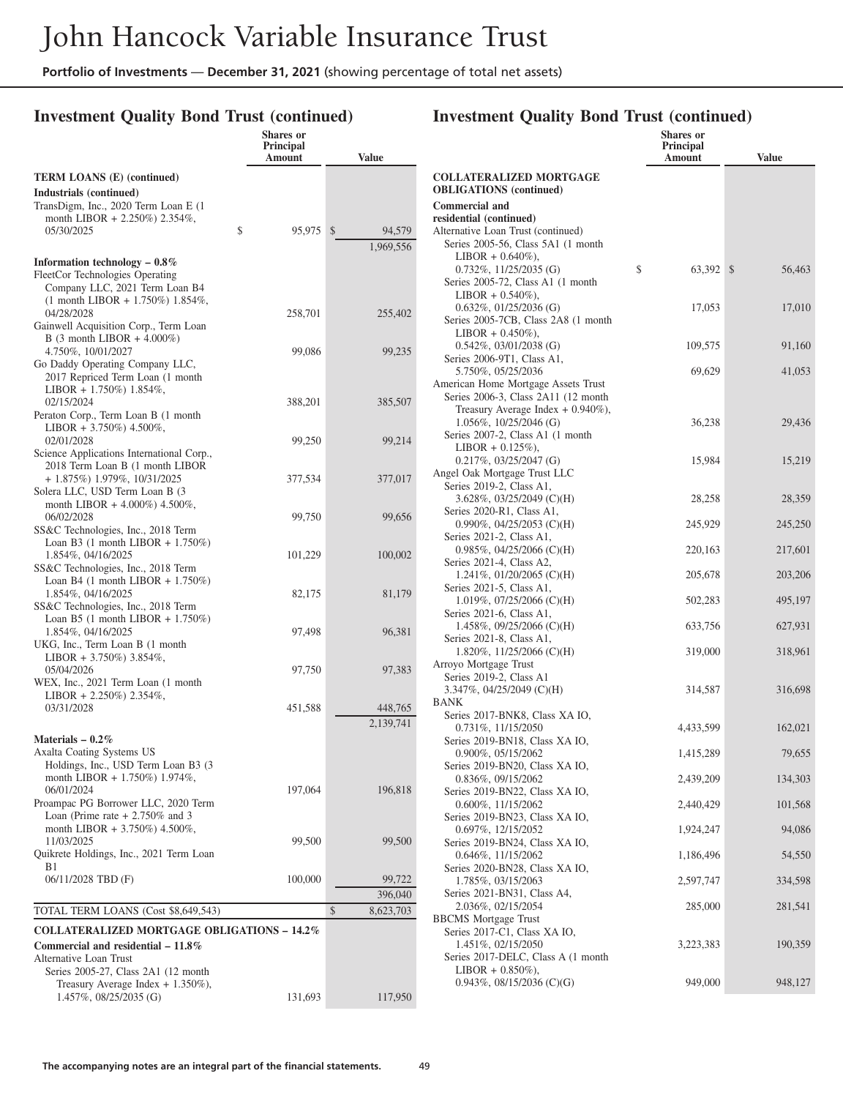**Shares or**

### **Investment Quality Bond Trust (continued)**

|                                                                               | <b>Principal</b><br>Amount | <b>Value</b>           |
|-------------------------------------------------------------------------------|----------------------------|------------------------|
| <b>TERM LOANS (E) (continued)</b>                                             |                            |                        |
| Industrials (continued)                                                       |                            |                        |
| TransDigm, Inc., 2020 Term Loan E (1)<br>month LIBOR + 2.250%) 2.354%,        |                            |                        |
| \$<br>05/30/2025                                                              | 95,975                     | $\mathbb{S}$<br>94,579 |
|                                                                               |                            | 1,969,556              |
| Information technology $-0.8\%$                                               |                            |                        |
| FleetCor Technologies Operating                                               |                            |                        |
| Company LLC, 2021 Term Loan B4<br>$(1$ month LIBOR + 1.750%) 1.854%,          |                            |                        |
| 04/28/2028                                                                    | 258,701                    | 255,402                |
| Gainwell Acquisition Corp., Term Loan                                         |                            |                        |
| B $(3 \text{ month LIBOR} + 4.000\%)$                                         |                            |                        |
| 4.750%, 10/01/2027                                                            | 99,086                     | 99,235                 |
| Go Daddy Operating Company LLC,<br>2017 Repriced Term Loan (1 month           |                            |                        |
| LIBOR + 1.750%) $1.854\%$ ,                                                   |                            |                        |
| 02/15/2024                                                                    | 388,201                    | 385,507                |
| Peraton Corp., Term Loan B (1 month                                           |                            |                        |
| LIBOR + 3.750%) 4.500%,<br>02/01/2028                                         | 99,250                     | 99,214                 |
| Science Applications International Corp.,                                     |                            |                        |
| 2018 Term Loan B (1 month LIBOR                                               |                            |                        |
| + 1.875%) 1.979%, 10/31/2025                                                  | 377,534                    | 377,017                |
| Solera LLC, USD Term Loan B (3                                                |                            |                        |
| month LIBOR + $4.000\%$ ) $4.500\%$ ,<br>06/02/2028                           | 99,750                     | 99,656                 |
| SS&C Technologies, Inc., 2018 Term                                            |                            |                        |
| Loan B3 $(1 \text{ month LIBOR} + 1.750\%)$                                   |                            |                        |
| 1.854%, 04/16/2025                                                            | 101,229                    | 100,002                |
| SS&C Technologies, Inc., 2018 Term                                            |                            |                        |
| Loan B4 (1 month LIBOR + $1.750\%)$<br>1.854%, 04/16/2025                     | 82,175                     | 81,179                 |
| SS&C Technologies, Inc., 2018 Term                                            |                            |                        |
| Loan B5 $(1 \text{ month LIBOR} + 1.750\%)$                                   |                            |                        |
| 1.854%, 04/16/2025                                                            | 97,498                     | 96,381                 |
| UKG, Inc., Term Loan B (1 month<br>LIBOR + 3.750%) 3.854%,                    |                            |                        |
| 05/04/2026                                                                    | 97,750                     | 97,383                 |
| WEX, Inc., 2021 Term Loan (1 month)                                           |                            |                        |
| LIBOR + 2.250%) 2.354%,                                                       |                            |                        |
| 03/31/2028                                                                    | 451,588                    | 448,765                |
|                                                                               |                            | 2,139,741              |
| Materials $-0.2\%$                                                            |                            |                        |
| Axalta Coating Systems US<br>Holdings, Inc., USD Term Loan B3 (3)             |                            |                        |
| month LIBOR + $1.750\%$ ) $1.974\%$ ,                                         |                            |                        |
| 06/01/2024                                                                    | 197,064                    | 196,818                |
| Proampac PG Borrower LLC, 2020 Term                                           |                            |                        |
| Loan (Prime rate $+2.750\%$ and 3                                             |                            |                        |
| month LIBOR + 3.750%) 4.500%,<br>11/03/2025                                   | 99,500                     | 99,500                 |
| Quikrete Holdings, Inc., 2021 Term Loan                                       |                            |                        |
| B1                                                                            |                            |                        |
| 06/11/2028 TBD (F)                                                            | 100,000                    | 99,722                 |
|                                                                               |                            | 396,040                |
| TOTAL TERM LOANS (Cost \$8,649,543)                                           |                            | \$<br>8,623,703        |
| <b>COLLATERALIZED MORTGAGE OBLIGATIONS - 14.2%</b>                            |                            |                        |
| Commercial and residential $-11.8\%$                                          |                            |                        |
| Alternative Loan Trust                                                        |                            |                        |
| Series 2005-27, Class 2A1 (12 month)<br>Treasury Average Index $+ 1.350\%$ ), |                            |                        |
| 1.457%, 08/25/2035 (G)                                                        | 131,693                    | 117,950                |
|                                                                               |                            |                        |

|                                                                             | <b>Shares or</b><br>Principal<br>Amount | <b>Value</b> |
|-----------------------------------------------------------------------------|-----------------------------------------|--------------|
| <b>COLLATERALIZED MORTGAGE</b>                                              |                                         |              |
| <b>OBLIGATIONS</b> (continued)                                              |                                         |              |
| <b>Commercial and</b>                                                       |                                         |              |
| residential (continued)                                                     |                                         |              |
| Alternative Loan Trust (continued)                                          |                                         |              |
| Series 2005-56, Class 5A1 (1 month<br>$LIBOR + 0.640\%$ ),                  |                                         |              |
| $0.732\%, 11/25/2035$ (G)                                                   | \$<br>63,392 \$                         | 56,463       |
| Series 2005-72, Class A1 (1 month                                           |                                         |              |
| $LIBOR + 0.540\%$ ),                                                        |                                         |              |
| $0.632\%$ , 01/25/2036 (G)                                                  | 17,053                                  | 17,010       |
| Series 2005-7CB, Class 2A8 (1 month                                         |                                         |              |
| $LIBOR + 0.450\%$ ),                                                        |                                         |              |
| $0.542\%, 03/01/2038$ (G)                                                   | 109,575                                 | 91,160       |
| Series 2006-9T1, Class A1,                                                  |                                         |              |
| 5.750%, 05/25/2036                                                          | 69,629                                  | 41,053       |
| American Home Mortgage Assets Trust<br>Series 2006-3, Class 2A11 (12 month) |                                         |              |
| Treasury Average Index + 0.940%),                                           |                                         |              |
| 1.056%, 10/25/2046 (G)                                                      | 36,238                                  | 29,436       |
| Series 2007-2, Class A1 (1 month)                                           |                                         |              |
| $LIBOR + 0.125\%),$                                                         |                                         |              |
| $0.217\%, 03/25/2047$ (G)                                                   | 15,984                                  | 15,219       |
| Angel Oak Mortgage Trust LLC                                                |                                         |              |
| Series 2019-2, Class A1,                                                    |                                         |              |
| 3.628%, 03/25/2049 (C)(H)                                                   | 28,258                                  | 28,359       |
| Series 2020-R1, Class A1,                                                   |                                         |              |
| $0.990\%$ , 04/25/2053 (C)(H)<br>Series 2021-2, Class A1,                   | 245,929                                 | 245,250      |
| $0.985\%, 04/25/2066$ (C)(H)                                                | 220,163                                 | 217,601      |
| Series 2021-4, Class A2,                                                    |                                         |              |
| 1.241\%, 01/20/2065 (C)(H)                                                  | 205,678                                 | 203,206      |
| Series 2021-5, Class A1,                                                    |                                         |              |
| 1.019%, 07/25/2066 (C)(H)                                                   | 502,283                                 | 495,197      |
| Series 2021-6, Class A1,                                                    |                                         |              |
| 1.458%, 09/25/2066 (C)(H)                                                   | 633,756                                 | 627,931      |
| Series 2021-8, Class A1,                                                    |                                         |              |
| 1.820\%, 11/25/2066 (C)(H)                                                  | 319,000                                 | 318,961      |
| Arroyo Mortgage Trust<br>Series 2019-2, Class A1                            |                                         |              |
| 3.347%, 04/25/2049 (C)(H)                                                   | 314,587                                 | 316,698      |
| BANK                                                                        |                                         |              |
| Series 2017-BNK8, Class XA IO,                                              |                                         |              |
| 0.731%, 11/15/2050                                                          | 4,433,599                               | 162,021      |
| Series 2019-BN18, Class XA IO,                                              |                                         |              |
| 0.900%, 05/15/2062                                                          | 1,415,289                               | 79,655       |
| Series 2019-BN20, Class XA IO,                                              | 2,439,209                               |              |
| 0.836%, 09/15/2062<br>Series 2019-BN22, Class XA IO,                        |                                         | 134,303      |
| $0.600\%, 11/15/2062$                                                       | 2,440,429                               | 101,568      |
| Series 2019-BN23, Class XA IO,                                              |                                         |              |
| 0.697%, 12/15/2052                                                          | 1,924,247                               | 94,086       |
| Series 2019-BN24, Class XA IO,                                              |                                         |              |
| $0.646\%, 11/15/2062$                                                       | 1,186,496                               | 54,550       |
| Series 2020-BN28, Class XA IO,                                              |                                         |              |
| 1.785%, 03/15/2063                                                          | 2,597,747                               | 334,598      |
| Series 2021-BN31, Class A4,                                                 |                                         |              |
| 2.036%, 02/15/2054<br><b>BBCMS</b> Mortgage Trust                           | 285,000                                 | 281,541      |
| Series 2017-C1, Class XA IO,                                                |                                         |              |
| 1.451%, 02/15/2050                                                          | 3,223,383                               | 190,359      |
| Series 2017-DELC, Class A (1 month                                          |                                         |              |
| $LIBOR + 0.850\%),$                                                         |                                         |              |
| 0.943%, 08/15/2036 (C)(G)                                                   | 949,000                                 | 948,127      |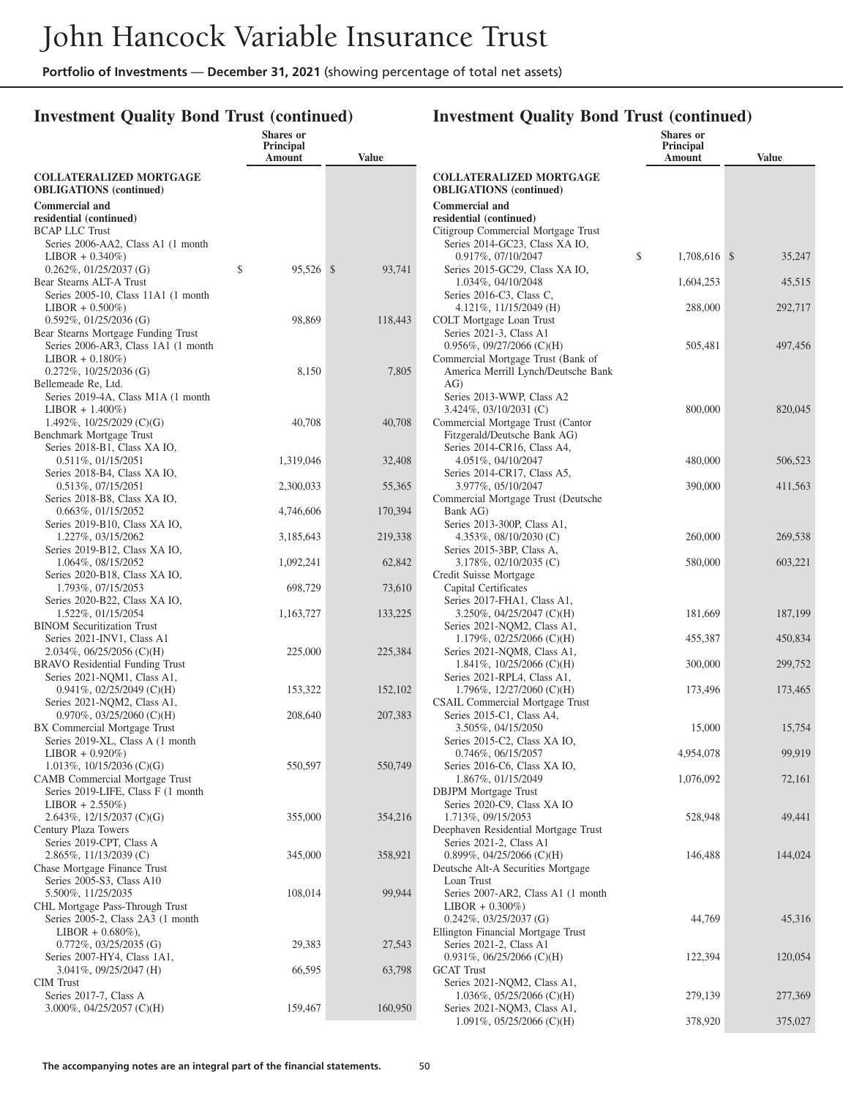### **Investment Quality Bond Trust (continued)**

|                                                                             | Shares or<br>Principal<br>Amount | <b>Value</b> |                                                                | <b>Shares</b> or<br><b>Principal</b><br>Amount | <b>Value</b> |
|-----------------------------------------------------------------------------|----------------------------------|--------------|----------------------------------------------------------------|------------------------------------------------|--------------|
| <b>COLLATERALIZED MORTGAGE</b>                                              |                                  |              | <b>COLLATERALIZED MORTGAGE</b>                                 |                                                |              |
| <b>OBLIGATIONS</b> (continued)                                              |                                  |              | <b>OBLIGATIONS</b> (continued)                                 |                                                |              |
| <b>Commercial and</b>                                                       |                                  |              | <b>Commercial and</b>                                          |                                                |              |
| residential (continued)<br><b>BCAP LLC Trust</b>                            |                                  |              | residential (continued)<br>Citigroup Commercial Mortgage Trust |                                                |              |
| Series 2006-AA2, Class A1 (1 month                                          |                                  |              | Series 2014-GC23, Class XA IO,                                 |                                                |              |
| $LIBOR + 0.340\%)$                                                          |                                  |              | 0.917%, 07/10/2047                                             | \$<br>1,708,616 \$                             | 35,247       |
| $0.262\%, 01/25/2037$ (G)                                                   | 95,526 \$<br>\$                  | 93,741       | Series 2015-GC29, Class XA IO,                                 |                                                |              |
| Bear Stearns ALT-A Trust<br>Series 2005-10, Class 11A1 (1 month)            |                                  |              | 1.034%, 04/10/2048<br>Series 2016-C3, Class C,                 | 1,604,253                                      | 45,515       |
| $LIBOR + 0.500\%)$                                                          |                                  |              | $4.121\%$ , $11/15/2049$ (H)                                   | 288,000                                        | 292,717      |
| $0.592\%$ , $01/25/2036$ (G)                                                | 98,869                           | 118,443      | COLT Mortgage Loan Trust                                       |                                                |              |
| Bear Stearns Mortgage Funding Trust<br>Series 2006-AR3, Class 1A1 (1 month) |                                  |              | Series 2021-3, Class A1<br>$0.956\%$ , $09/27/2066$ (C)(H)     | 505,481                                        | 497,456      |
| $LIBOR + 0.180\%)$                                                          |                                  |              | Commercial Mortgage Trust (Bank of                             |                                                |              |
| $0.272\%$ , 10/25/2036 (G)                                                  | 8,150                            | 7,805        | America Merrill Lynch/Deutsche Bank                            |                                                |              |
| Bellemeade Re, Ltd.<br>Series 2019-4A, Class M1A (1 month)                  |                                  |              | AG)<br>Series 2013-WWP, Class A2                               |                                                |              |
| $LIBOR + 1.400\%)$                                                          |                                  |              | $3.424\%, 03/10/2031$ (C)                                      | 800,000                                        | 820,045      |
| 1.492%, $10/25/2029$ (C)(G)                                                 | 40,708                           | 40,708       | Commercial Mortgage Trust (Cantor                              |                                                |              |
| Benchmark Mortgage Trust<br>Series 2018-B1, Class XA IO,                    |                                  |              | Fitzgerald/Deutsche Bank AG)<br>Series 2014-CR16, Class A4,    |                                                |              |
| $0.511\%, 01/15/2051$                                                       | 1,319,046                        | 32,408       | 4.051%, 04/10/2047                                             | 480,000                                        | 506,523      |
| Series 2018-B4, Class XA IO,                                                |                                  |              | Series 2014-CR17, Class A5,                                    |                                                |              |
| $0.513\%, 07/15/2051$<br>Series 2018-B8, Class XA IO,                       | 2,300,033                        | 55,365       | 3.977%, 05/10/2047<br>Commercial Mortgage Trust (Deutsche      | 390,000                                        | 411,563      |
| $0.663\%, 01/15/2052$                                                       | 4,746,606                        | 170,394      | Bank AG)                                                       |                                                |              |
| Series 2019-B10, Class XA IO,                                               |                                  |              | Series 2013-300P, Class A1,                                    |                                                |              |
| 1.227%, 03/15/2062                                                          | 3,185,643                        | 219,338      | 4.353%, $08/10/2030$ (C)                                       | 260,000                                        | 269,538      |
| Series 2019-B12, Class XA IO,<br>1.064%, 08/15/2052                         | 1,092,241                        | 62,842       | Series 2015-3BP, Class A,<br>3.178%, 02/10/2035 (C)            | 580,000                                        | 603,221      |
| Series 2020-B18, Class XA IO,                                               |                                  |              | Credit Suisse Mortgage                                         |                                                |              |
| 1.793%, 07/15/2053                                                          | 698,729                          | 73,610       | Capital Certificates                                           |                                                |              |
| Series 2020-B22, Class XA IO,<br>1.522%, 01/15/2054                         | 1,163,727                        | 133,225      | Series 2017-FHA1, Class A1,<br>$3.250\%$ , 04/25/2047 (C)(H)   | 181,669                                        | 187,199      |
| <b>BINOM Securitization Trust</b>                                           |                                  |              | Series 2021-NQM2, Class A1,                                    |                                                |              |
| Series 2021-INV1, Class A1                                                  |                                  |              | 1.179%, 02/25/2066 (C)(H)                                      | 455,387                                        | 450,834      |
| $2.034\%, 06/25/2056$ (C)(H)<br><b>BRAVO</b> Residential Funding Trust      | 225,000                          | 225,384      | Series 2021-NQM8, Class A1,<br>1.841\%, 10/25/2066 (C)(H)      | 300,000                                        | 299,752      |
| Series 2021-NQM1, Class A1,                                                 |                                  |              | Series 2021-RPL4, Class A1,                                    |                                                |              |
| $0.941\%$ , $02/25/2049$ (C)(H)                                             | 153,322                          | 152,102      | 1.796\%, 12/27/2060 (C)(H)                                     | 173,496                                        | 173,465      |
| Series 2021-NQM2, Class A1,                                                 | 208,640                          | 207,383      | <b>CSAIL Commercial Mortgage Trust</b>                         |                                                |              |
| $0.970\%, 03/25/2060$ (C)(H)<br>BX Commercial Mortgage Trust                |                                  |              | Series 2015-C1, Class A4,<br>3.505%, 04/15/2050                | 15,000                                         | 15,754       |
| Series 2019-XL, Class A (1 month                                            |                                  |              | Series 2015-C2, Class XA IO,                                   |                                                |              |
| $LIBOR + 0.920\%)$                                                          |                                  |              | $0.746\%, 06/15/2057$                                          | 4,954,078                                      | 99,919       |
| 1.013%, $10/15/2036$ (C)(G)<br>CAMB Commercial Mortgage Trust               | 550,597                          | 550,749      | Series 2016-C6, Class XA IO,<br>1.867%, 01/15/2049             | 1,076,092                                      | 72,161       |
| Series 2019-LIFE, Class F (1 month                                          |                                  |              | <b>DBJPM</b> Mortgage Trust                                    |                                                |              |
| $LIBOR + 2.550\%)$                                                          |                                  |              | Series 2020-C9, Class XA IO                                    |                                                |              |
| 2.643%, $12/15/2037$ (C)(G)<br>Century Plaza Towers                         | 355,000                          | 354,216      | 1.713%, 09/15/2053<br>Deephaven Residential Mortgage Trust     | 528,948                                        | 49,441       |
| Series 2019-CPT, Class A                                                    |                                  |              | Series 2021-2, Class A1                                        |                                                |              |
| 2.865%, 11/13/2039 (C)                                                      | 345,000                          | 358,921      | $0.899\%$ , 04/25/2066 (C)(H)                                  | 146,488                                        | 144,024      |
| Chase Mortgage Finance Trust                                                |                                  |              | Deutsche Alt-A Securities Mortgage<br>Loan Trust               |                                                |              |
| Series 2005-S3, Class A10<br>5.500%, 11/25/2035                             | 108,014                          | 99,944       | Series 2007-AR2, Class A1 (1 month                             |                                                |              |
| CHL Mortgage Pass-Through Trust                                             |                                  |              | $LIBOR + 0.300\%)$                                             |                                                |              |
| Series 2005-2, Class 2A3 (1 month)                                          |                                  |              | $0.242\%$ , $03/25/2037$ (G)                                   | 44,769                                         | 45,316       |
| $LIBOR + 0.680\%$ ),<br>$0.772\%$ , 03/25/2035 (G)                          | 29,383                           | 27,543       | Ellington Financial Mortgage Trust<br>Series 2021-2, Class A1  |                                                |              |
| Series 2007-HY4, Class 1A1,                                                 |                                  |              | $0.931\%$ , $06/25/2066$ (C)(H)                                | 122,394                                        | 120,054      |
| $3.041\%, 09/25/2047$ (H)                                                   | 66,595                           | 63,798       | <b>GCAT Trust</b>                                              |                                                |              |
| <b>CIM</b> Trust<br>Series 2017-7, Class A                                  |                                  |              | Series 2021-NQM2, Class A1,<br>$1.036\%, 05/25/2066$ (C)(H)    | 279,139                                        | 277,369      |
| $3.000\%$ , 04/25/2057 (C)(H)                                               | 159,467                          | 160,950      | Series 2021-NQM3, Class A1,                                    |                                                |              |
|                                                                             |                                  |              | $1.091\%, 05/25/2066$ (C)(H)                                   | 378,920                                        | 375,027      |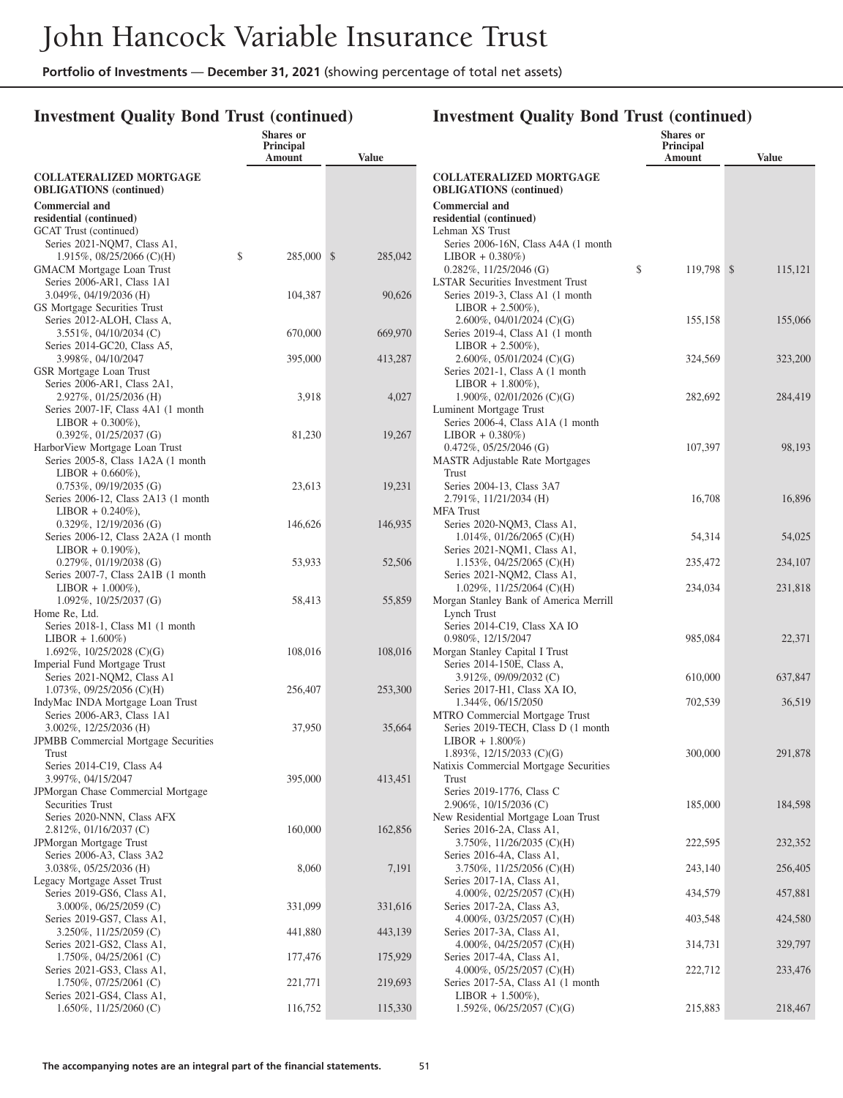### **Investment Quality Bond Trust (continued)**

|                                                                | Shares or<br>Principal |              |                                                                       | Shares or<br>Principal | <b>Value</b> |
|----------------------------------------------------------------|------------------------|--------------|-----------------------------------------------------------------------|------------------------|--------------|
| <b>COLLATERALIZED MORTGAGE</b>                                 | Amount                 | <b>Value</b> | <b>COLLATERALIZED MORTGAGE</b>                                        | Amount                 |              |
| <b>OBLIGATIONS</b> (continued)                                 |                        |              | <b>OBLIGATIONS</b> (continued)                                        |                        |              |
| <b>Commercial and</b>                                          |                        |              | <b>Commercial and</b>                                                 |                        |              |
| residential (continued)                                        |                        |              | residential (continued)                                               |                        |              |
| <b>GCAT</b> Trust (continued)                                  |                        |              | Lehman XS Trust                                                       |                        |              |
| Series 2021-NQM7, Class A1,                                    |                        |              | Series 2006-16N, Class A4A (1 month                                   |                        |              |
| 1.915\%, 08/25/2066 (C)(H)                                     | \$<br>285,000 \$       | 285,042      | $LIBOR + 0.380\%)$<br>$0.282\%$ , 11/25/2046 (G)                      | \$<br>119,798 \$       | 115,121      |
| <b>GMACM</b> Mortgage Loan Trust<br>Series 2006-AR1, Class 1A1 |                        |              | <b>LSTAR Securities Investment Trust</b>                              |                        |              |
| $3.049\%, 04/19/2036$ (H)                                      | 104,387                | 90,626       | Series 2019-3, Class A1 (1 month)                                     |                        |              |
| GS Mortgage Securities Trust                                   |                        |              | $LIBOR + 2.500\%$ ),                                                  |                        |              |
| Series 2012-ALOH, Class A,                                     |                        |              | 2.600\%, 04/01/2024 (C)(G)                                            | 155,158                | 155,066      |
| $3.551\%$ , 04/10/2034 (C)                                     | 670,000                | 669,970      | Series 2019-4, Class A1 (1 month)                                     |                        |              |
| Series 2014-GC20, Class A5,                                    |                        |              | $LIBOR + 2.500\%$ ),                                                  |                        |              |
| 3.998%, 04/10/2047<br>GSR Mortgage Loan Trust                  | 395,000                | 413,287      | 2.600%, 05/01/2024 (C)(G)<br>Series 2021-1, Class A (1 month)         | 324,569                | 323,200      |
| Series 2006-AR1, Class 2A1,                                    |                        |              | $LIBOR + 1.800\%$ ),                                                  |                        |              |
| 2.927%, 01/25/2036 (H)                                         | 3,918                  | 4,027        | 1.900\%, 02/01/2026 (C)(G)                                            | 282,692                | 284,419      |
| Series 2007-1F, Class 4A1 (1 month)                            |                        |              | Luminent Mortgage Trust                                               |                        |              |
| $LIBOR + 0.300\%$ ),                                           |                        |              | Series 2006-4, Class A1A (1 month)                                    |                        |              |
| $0.392\%$ , $01/25/2037$ (G)                                   | 81,230                 | 19,267       | $LIBOR + 0.380\%)$                                                    |                        |              |
| Harbor View Mortgage Loan Trust                                |                        |              | $0.472\%$ , $05/25/2046$ (G)                                          | 107,397                | 98,193       |
| Series 2005-8, Class 1A2A (1 month<br>$LIBOR + 0.660\%$ ),     |                        |              | <b>MASTR</b> Adjustable Rate Mortgages<br><b>Trust</b>                |                        |              |
| $0.753\%, 09/19/2035$ (G)                                      | 23,613                 | 19,231       | Series 2004-13, Class 3A7                                             |                        |              |
| Series 2006-12, Class 2A13 (1 month)                           |                        |              | $2.791\%, 11/21/2034$ (H)                                             | 16,708                 | 16,896       |
| $LIBOR + 0.240\%$ ),                                           |                        |              | <b>MFA</b> Trust                                                      |                        |              |
| $0.329\%$ , 12/19/2036 (G)                                     | 146,626                | 146,935      | Series 2020-NQM3, Class A1,                                           |                        |              |
| Series 2006-12, Class 2A2A (1 month)                           |                        |              | $1.014\%, 01/26/2065$ (C)(H)                                          | 54,314                 | 54,025       |
| $LIBOR + 0.190\%$ ),<br>$0.279\%, 01/19/2038$ (G)              | 53,933                 | 52,506       | Series 2021-NQM1, Class A1,<br>1.153\%, 04/25/2065 (C)(H)             | 235,472                | 234,107      |
| Series 2007-7, Class 2A1B (1 month)                            |                        |              | Series 2021-NQM2, Class A1,                                           |                        |              |
| $LIBOR + 1.000\%$ ),                                           |                        |              | $1.029\%, 11/25/2064$ (C)(H)                                          | 234,034                | 231,818      |
| $1.092\%$ , $10/25/2037$ (G)                                   | 58,413                 | 55,859       | Morgan Stanley Bank of America Merrill                                |                        |              |
| Home Re, Ltd.                                                  |                        |              | Lynch Trust                                                           |                        |              |
| Series 2018-1, Class M1 (1 month<br>$LIBOR + 1.600\%)$         |                        |              | Series 2014-C19, Class XA IO<br>0.980%, 12/15/2047                    | 985,084                | 22,371       |
| 1.692\%, 10/25/2028 (C)(G)                                     | 108,016                | 108,016      | Morgan Stanley Capital I Trust                                        |                        |              |
| Imperial Fund Mortgage Trust                                   |                        |              | Series 2014-150E, Class A,                                            |                        |              |
| Series 2021-NQM2, Class A1                                     |                        |              | 3.912%, 09/09/2032 (C)                                                | 610,000                | 637,847      |
| $1.073\%$ , 09/25/2056 (C)(H)                                  | 256,407                | 253,300      | Series 2017-H1, Class XA IO,                                          |                        |              |
| IndyMac INDA Mortgage Loan Trust                               |                        |              | 1.344%, 06/15/2050                                                    | 702,539                | 36,519       |
| Series 2006-AR3, Class 1A1<br>$3.002\%$ , $12/25/2036$ (H)     | 37,950                 | 35,664       | MTRO Commercial Mortgage Trust<br>Series 2019-TECH, Class D (1 month) |                        |              |
| <b>JPMBB</b> Commercial Mortgage Securities                    |                        |              | $LIBOR + 1.800\%)$                                                    |                        |              |
| Trust                                                          |                        |              | 1.893\%, 12/15/2033 (C)(G)                                            | 300,000                | 291,878      |
| Series 2014-C19, Class A4                                      |                        |              | Natixis Commercial Mortgage Securities                                |                        |              |
| 3.997%, 04/15/2047                                             | 395,000                | 413,451      | <b>Trust</b>                                                          |                        |              |
| JPMorgan Chase Commercial Mortgage                             |                        |              | Series 2019-1776, Class C                                             |                        |              |
| Securities Trust<br>Series 2020-NNN, Class AFX                 |                        |              | $2.906\%$ , $10/15/2036$ (C)<br>New Residential Mortgage Loan Trust   | 185,000                | 184,598      |
| $2.812\%, 01/16/2037$ (C)                                      | 160,000                | 162,856      | Series 2016-2A, Class A1,                                             |                        |              |
| JPMorgan Mortgage Trust                                        |                        |              | $3.750\%, 11/26/2035$ (C)(H)                                          | 222,595                | 232,352      |
| Series 2006-A3, Class 3A2                                      |                        |              | Series 2016-4A, Class A1,                                             |                        |              |
| $3.038\%, 05/25/2036$ (H)                                      | 8,060                  | 7,191        | $3.750\%, 11/25/2056$ (C)(H)                                          | 243,140                | 256,405      |
| Legacy Mortgage Asset Trust                                    |                        |              | Series 2017-1A, Class A1,                                             |                        |              |
| Series 2019-GS6, Class A1,<br>$3.000\%$ , 06/25/2059 (C)       | 331,099                | 331,616      | 4.000%, 02/25/2057 (C)(H)<br>Series 2017-2A, Class A3,                | 434,579                | 457,881      |
| Series 2019-GS7, Class A1,                                     |                        |              | 4.000%, $03/25/2057$ (C)(H)                                           | 403,548                | 424,580      |
| 3.250%, 11/25/2059 (C)                                         | 441,880                | 443,139      | Series 2017-3A, Class A1,                                             |                        |              |
| Series 2021-GS2, Class A1,                                     |                        |              | 4.000%, 04/25/2057 (C)(H)                                             | 314,731                | 329,797      |
| $1.750\%$ , 04/25/2061 (C)                                     | 177,476                | 175,929      | Series 2017-4A, Class A1,                                             |                        |              |
| Series 2021-GS3, Class A1,                                     |                        |              | 4.000%, $05/25/2057$ (C)(H)                                           | 222,712                | 233,476      |
| $1.750\%$ , 07/25/2061 (C)<br>Series 2021-GS4, Class A1,       | 221,771                | 219,693      | Series 2017-5A, Class A1 (1 month)<br>$LIBOR + 1.500\%$ ),            |                        |              |
| 1.650\%, 11/25/2060 (C)                                        | 116,752                | 115,330      | 1.592%, $06/25/2057$ (C)(G)                                           | 215,883                | 218,467      |
|                                                                |                        |              |                                                                       |                        |              |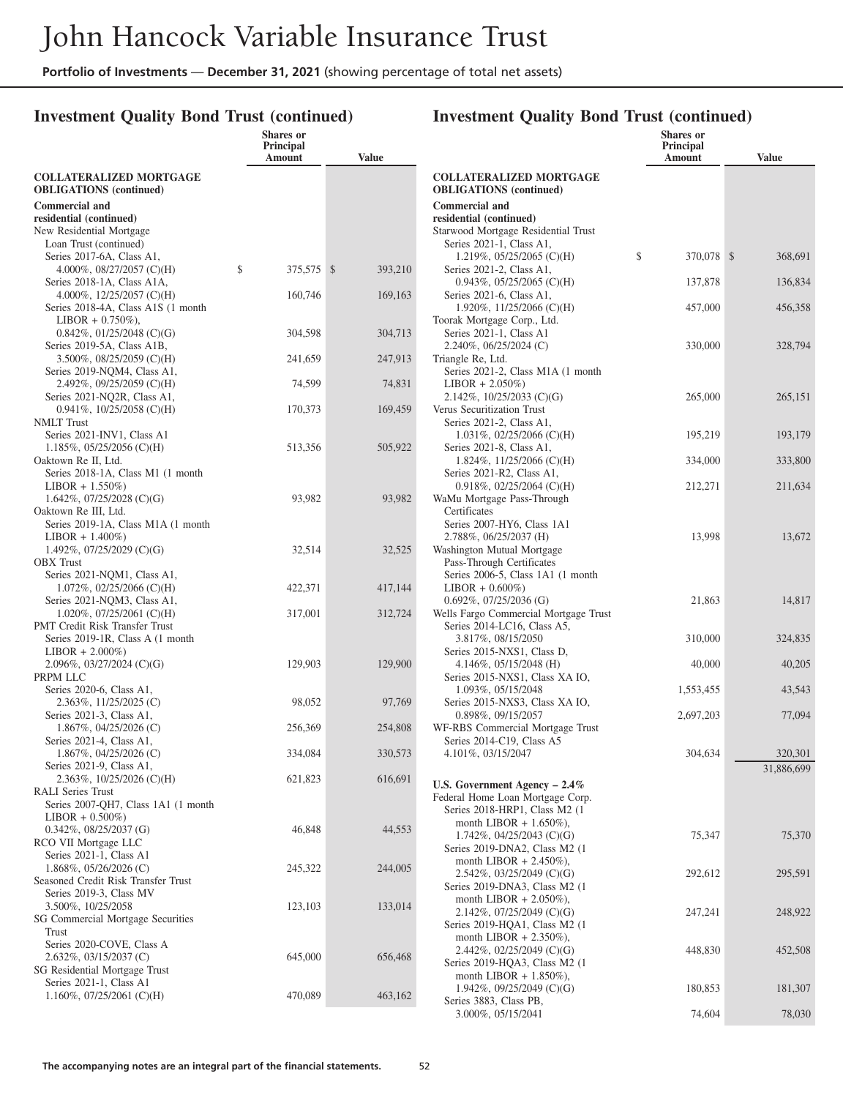# **Investment Quality Bond Trust (continued)**

| <b>COLLATERALIZED MORTGAGE</b><br><b>COLLATERALIZED MORTGAGE</b><br><b>OBLIGATIONS</b> (continued)<br><b>OBLIGATIONS</b> (continued)<br><b>Commercial and</b><br><b>Commercial and</b><br>residential (continued)<br>residential (continued)<br>New Residential Mortgage<br>Starwood Mortgage Residential Trust<br>Series 2021-1, Class A1,<br>Loan Trust (continued)<br>\$<br>370,078 \$<br>1.219%, 05/25/2065 (C)(H)<br>368,691<br>Series 2017-6A, Class A1,<br>\$<br>375,575 \$<br>393,210<br>Series 2021-2, Class A1,<br>4.000%, $08/27/2057$ (C)(H)<br>137,878<br>136,834<br>Series 2018-1A, Class A1A,<br>$0.943\%, 05/25/2065$ (C)(H)<br>160,746<br>169,163<br>4.000%, $12/25/2057$ (C)(H)<br>Series 2021-6, Class A1,<br>457,000<br>456,358<br>Series 2018-4A, Class A1S (1 month<br>1.920\%, 11/25/2066 (C)(H)<br>$LIBOR + 0.750\%$ ),<br>Toorak Mortgage Corp., Ltd.<br>304,598<br>304,713<br>Series 2021-1, Class A1<br>$0.842\%, 01/25/2048$ (C)(G)<br>330,000<br>328,794<br>Series 2019-5A, Class A1B,<br>$2.240\%$ , 06/25/2024 (C)<br>241,659<br>247,913<br>$3.500\%$ , 08/25/2059 (C)(H)<br>Triangle Re, Ltd.<br>Series 2019-NQM4, Class A1,<br>Series 2021-2, Class M1A (1 month)<br>74,599<br>74,831<br>2.492%, $09/25/2059$ (C)(H)<br>$LIBOR + 2.050\%)$<br>265,000<br>265,151<br>Series 2021-NQ2R, Class A1,<br>2.142\%, 10/25/2033 (C)(G)<br>170,373<br>$0.941\%, 10/25/2058$ (C)(H)<br>169,459<br>Verus Securitization Trust<br>Series 2021-2, Class A1,<br><b>NMLT</b> Trust<br>Series 2021-INV1, Class A1<br>195,219<br>193,179<br>$1.031\%, 02/25/2066$ (C)(H)<br>513,356<br>505,922<br>$1.185\%, 05/25/2056$ (C)(H)<br>Series 2021-8, Class A1,<br>334,000<br>333,800<br>Oaktown Re II, Ltd.<br>1.824\%, 11/25/2066 (C)(H)<br>Series 2018-1A, Class M1 (1 month<br>Series 2021-R2, Class A1,<br>212,271<br>211,634<br>$LIBOR + 1.550\%)$<br>$0.918\%, 02/25/2064$ (C)(H)<br>93,982<br>93,982<br>1.642\%, 07/25/2028 (C)(G)<br>WaMu Mortgage Pass-Through<br>Certificates<br>Oaktown Re III, Ltd.<br>Series 2007-HY6, Class 1A1<br>Series 2019-1A, Class M1A (1 month)<br>13,998<br>13,672<br>$LIBOR + 1.400\%)$<br>2.788%, 06/25/2037 (H)<br>32,514<br>32,525<br>1.492%, 07/25/2029 (C)(G)<br>Washington Mutual Mortgage<br><b>OBX</b> Trust<br>Pass-Through Certificates<br>Series 2021-NQM1, Class A1,<br>Series 2006-5, Class 1A1 (1 month)<br>422,371<br>417,144<br>$1.072\%, 02/25/2066$ (C)(H)<br>$LIBOR + 0.600\%)$<br>21,863<br>14,817<br>Series 2021-NQM3, Class A1,<br>$0.692\%$ , $07/25/2036$ (G)<br>317,001<br>$1.020\%$ , 07/25/2061 (C)(H)<br>312,724<br>Wells Fargo Commercial Mortgage Trust<br><b>PMT Credit Risk Transfer Trust</b><br>Series 2014-LC16, Class A5,<br>310,000<br>Series 2019-1R, Class A (1 month)<br>3.817%, 08/15/2050<br>324,835<br>$LIBOR + 2.000\%)$<br>Series 2015-NXS1, Class D,<br>129,903<br>40,000<br>$2.096\%, 03/27/2024$ (C)(G)<br>129,900<br>4.146\%, 05/15/2048 (H)<br>40,205<br>PRPM LLC<br>Series 2015-NXS1, Class XA IO,<br>Series 2020-6, Class A1,<br>1,553,455<br>1.093%, 05/15/2048<br>43,543<br>98,052<br>97,769<br>2.363%, 11/25/2025 (C)<br>Series 2015-NXS3, Class XA IO,<br>0.898%, 09/15/2057<br>2,697,203<br>77,094<br>Series 2021-3, Class A1,<br>256,369<br>WF-RBS Commercial Mortgage Trust<br>$1.867\%$ , 04/25/2026 (C)<br>254,808<br>Series 2021-4, Class A1,<br>Series 2014-C19, Class A5<br>334,084<br>304,634<br>1.867%, 04/25/2026 (C)<br>330,573<br>4.101%, 03/15/2047<br>320,301<br>Series 2021-9, Class A1,<br>31,886,699<br>621,823<br>616,691<br>2.363%, 10/25/2026 (C)(H)<br>U.S. Government Agency $-2.4\%$<br><b>RALI</b> Series Trust<br>Federal Home Loan Mortgage Corp.<br>Series 2007-QH7, Class 1A1 (1 month)<br>Series 2018-HRP1, Class M2 (1)<br>$LIBOR + 0.500\%)$<br>month LIBOR $+ 1.650\%$ ),<br>46,848<br>44,553<br>$0.342\%, 08/25/2037$ (G)<br>75,347<br>1.742\%, 04/25/2043 (C)(G)<br>75,370<br>RCO VII Mortgage LLC<br>Series 2019-DNA2, Class M2 (1)<br>Series 2021-1, Class A1<br>month LIBOR $+ 2.450\%$ ),<br>245,322<br>$1.868\%, 05/26/2026$ (C)<br>244,005<br>2.542%, 03/25/2049 (C)(G)<br>292,612<br>295,591<br>Seasoned Credit Risk Transfer Trust<br>Series 2019-DNA3, Class M2 (1)<br>Series 2019-3, Class MV<br>month LIBOR $+ 2.050\%$ ),<br>123,103<br>133,014<br>3.500%, 10/25/2058<br>2.142%, 07/25/2049 (C)(G)<br>247,241<br>248,922<br>SG Commercial Mortgage Securities<br>Series 2019-HQA1, Class M2 (1)<br>Trust<br>month LIBOR $+ 2.350\%$ ),<br>Series 2020-COVE, Class A<br>448,830<br>2.442\%, 02/25/2049 (C)(G)<br>452,508<br>645,000<br>656,468<br>$2.632\%$ , 03/15/2037 (C)<br>Series 2019-HQA3, Class M2 (1)<br>SG Residential Mortgage Trust<br>month LIBOR $+ 1.850\%$ ),<br>Series 2021-1, Class A1<br>180,853<br>1.942%, $09/25/2049$ (C)(G)<br>181,307<br>470,089<br>$1.160\%$ , 07/25/2061 (C)(H)<br>463,162<br>Series 3883, Class PB,<br>74,604<br>3.000%, 05/15/2041<br>78,030 | <b>Shares</b> or<br>Principal<br>Amount | <b>Value</b> | <b>Shares</b> or<br>Principal<br>Amount | <b>Value</b> |
|--------------------------------------------------------------------------------------------------------------------------------------------------------------------------------------------------------------------------------------------------------------------------------------------------------------------------------------------------------------------------------------------------------------------------------------------------------------------------------------------------------------------------------------------------------------------------------------------------------------------------------------------------------------------------------------------------------------------------------------------------------------------------------------------------------------------------------------------------------------------------------------------------------------------------------------------------------------------------------------------------------------------------------------------------------------------------------------------------------------------------------------------------------------------------------------------------------------------------------------------------------------------------------------------------------------------------------------------------------------------------------------------------------------------------------------------------------------------------------------------------------------------------------------------------------------------------------------------------------------------------------------------------------------------------------------------------------------------------------------------------------------------------------------------------------------------------------------------------------------------------------------------------------------------------------------------------------------------------------------------------------------------------------------------------------------------------------------------------------------------------------------------------------------------------------------------------------------------------------------------------------------------------------------------------------------------------------------------------------------------------------------------------------------------------------------------------------------------------------------------------------------------------------------------------------------------------------------------------------------------------------------------------------------------------------------------------------------------------------------------------------------------------------------------------------------------------------------------------------------------------------------------------------------------------------------------------------------------------------------------------------------------------------------------------------------------------------------------------------------------------------------------------------------------------------------------------------------------------------------------------------------------------------------------------------------------------------------------------------------------------------------------------------------------------------------------------------------------------------------------------------------------------------------------------------------------------------------------------------------------------------------------------------------------------------------------------------------------------------------------------------------------------------------------------------------------------------------------------------------------------------------------------------------------------------------------------------------------------------------------------------------------------------------------------------------------------------------------------------------------------------------------------------------------------------------------------------------------------------------------------------------------------------------------------------------------------------------------------------------------------------------------------------------------------------------------------------------------------------------------------------------------------------------------------------------------------------------------------------------------------------------------------------------------------------------------------------------------------------------------------------------------------------------------------------------------------------------------------------------------------------------------------------------------------------------------------|-----------------------------------------|--------------|-----------------------------------------|--------------|
|                                                                                                                                                                                                                                                                                                                                                                                                                                                                                                                                                                                                                                                                                                                                                                                                                                                                                                                                                                                                                                                                                                                                                                                                                                                                                                                                                                                                                                                                                                                                                                                                                                                                                                                                                                                                                                                                                                                                                                                                                                                                                                                                                                                                                                                                                                                                                                                                                                                                                                                                                                                                                                                                                                                                                                                                                                                                                                                                                                                                                                                                                                                                                                                                                                                                                                                                                                                                                                                                                                                                                                                                                                                                                                                                                                                                                                                                                                                                                                                                                                                                                                                                                                                                                                                                                                                                                                                                                                                                                                                                                                                                                                                                                                                                                                                                                                                                                                                                                  |                                         |              |                                         |              |
|                                                                                                                                                                                                                                                                                                                                                                                                                                                                                                                                                                                                                                                                                                                                                                                                                                                                                                                                                                                                                                                                                                                                                                                                                                                                                                                                                                                                                                                                                                                                                                                                                                                                                                                                                                                                                                                                                                                                                                                                                                                                                                                                                                                                                                                                                                                                                                                                                                                                                                                                                                                                                                                                                                                                                                                                                                                                                                                                                                                                                                                                                                                                                                                                                                                                                                                                                                                                                                                                                                                                                                                                                                                                                                                                                                                                                                                                                                                                                                                                                                                                                                                                                                                                                                                                                                                                                                                                                                                                                                                                                                                                                                                                                                                                                                                                                                                                                                                                                  |                                         |              |                                         |              |
|                                                                                                                                                                                                                                                                                                                                                                                                                                                                                                                                                                                                                                                                                                                                                                                                                                                                                                                                                                                                                                                                                                                                                                                                                                                                                                                                                                                                                                                                                                                                                                                                                                                                                                                                                                                                                                                                                                                                                                                                                                                                                                                                                                                                                                                                                                                                                                                                                                                                                                                                                                                                                                                                                                                                                                                                                                                                                                                                                                                                                                                                                                                                                                                                                                                                                                                                                                                                                                                                                                                                                                                                                                                                                                                                                                                                                                                                                                                                                                                                                                                                                                                                                                                                                                                                                                                                                                                                                                                                                                                                                                                                                                                                                                                                                                                                                                                                                                                                                  |                                         |              |                                         |              |
|                                                                                                                                                                                                                                                                                                                                                                                                                                                                                                                                                                                                                                                                                                                                                                                                                                                                                                                                                                                                                                                                                                                                                                                                                                                                                                                                                                                                                                                                                                                                                                                                                                                                                                                                                                                                                                                                                                                                                                                                                                                                                                                                                                                                                                                                                                                                                                                                                                                                                                                                                                                                                                                                                                                                                                                                                                                                                                                                                                                                                                                                                                                                                                                                                                                                                                                                                                                                                                                                                                                                                                                                                                                                                                                                                                                                                                                                                                                                                                                                                                                                                                                                                                                                                                                                                                                                                                                                                                                                                                                                                                                                                                                                                                                                                                                                                                                                                                                                                  |                                         |              |                                         |              |
|                                                                                                                                                                                                                                                                                                                                                                                                                                                                                                                                                                                                                                                                                                                                                                                                                                                                                                                                                                                                                                                                                                                                                                                                                                                                                                                                                                                                                                                                                                                                                                                                                                                                                                                                                                                                                                                                                                                                                                                                                                                                                                                                                                                                                                                                                                                                                                                                                                                                                                                                                                                                                                                                                                                                                                                                                                                                                                                                                                                                                                                                                                                                                                                                                                                                                                                                                                                                                                                                                                                                                                                                                                                                                                                                                                                                                                                                                                                                                                                                                                                                                                                                                                                                                                                                                                                                                                                                                                                                                                                                                                                                                                                                                                                                                                                                                                                                                                                                                  |                                         |              |                                         |              |
|                                                                                                                                                                                                                                                                                                                                                                                                                                                                                                                                                                                                                                                                                                                                                                                                                                                                                                                                                                                                                                                                                                                                                                                                                                                                                                                                                                                                                                                                                                                                                                                                                                                                                                                                                                                                                                                                                                                                                                                                                                                                                                                                                                                                                                                                                                                                                                                                                                                                                                                                                                                                                                                                                                                                                                                                                                                                                                                                                                                                                                                                                                                                                                                                                                                                                                                                                                                                                                                                                                                                                                                                                                                                                                                                                                                                                                                                                                                                                                                                                                                                                                                                                                                                                                                                                                                                                                                                                                                                                                                                                                                                                                                                                                                                                                                                                                                                                                                                                  |                                         |              |                                         |              |
|                                                                                                                                                                                                                                                                                                                                                                                                                                                                                                                                                                                                                                                                                                                                                                                                                                                                                                                                                                                                                                                                                                                                                                                                                                                                                                                                                                                                                                                                                                                                                                                                                                                                                                                                                                                                                                                                                                                                                                                                                                                                                                                                                                                                                                                                                                                                                                                                                                                                                                                                                                                                                                                                                                                                                                                                                                                                                                                                                                                                                                                                                                                                                                                                                                                                                                                                                                                                                                                                                                                                                                                                                                                                                                                                                                                                                                                                                                                                                                                                                                                                                                                                                                                                                                                                                                                                                                                                                                                                                                                                                                                                                                                                                                                                                                                                                                                                                                                                                  |                                         |              |                                         |              |
|                                                                                                                                                                                                                                                                                                                                                                                                                                                                                                                                                                                                                                                                                                                                                                                                                                                                                                                                                                                                                                                                                                                                                                                                                                                                                                                                                                                                                                                                                                                                                                                                                                                                                                                                                                                                                                                                                                                                                                                                                                                                                                                                                                                                                                                                                                                                                                                                                                                                                                                                                                                                                                                                                                                                                                                                                                                                                                                                                                                                                                                                                                                                                                                                                                                                                                                                                                                                                                                                                                                                                                                                                                                                                                                                                                                                                                                                                                                                                                                                                                                                                                                                                                                                                                                                                                                                                                                                                                                                                                                                                                                                                                                                                                                                                                                                                                                                                                                                                  |                                         |              |                                         |              |
|                                                                                                                                                                                                                                                                                                                                                                                                                                                                                                                                                                                                                                                                                                                                                                                                                                                                                                                                                                                                                                                                                                                                                                                                                                                                                                                                                                                                                                                                                                                                                                                                                                                                                                                                                                                                                                                                                                                                                                                                                                                                                                                                                                                                                                                                                                                                                                                                                                                                                                                                                                                                                                                                                                                                                                                                                                                                                                                                                                                                                                                                                                                                                                                                                                                                                                                                                                                                                                                                                                                                                                                                                                                                                                                                                                                                                                                                                                                                                                                                                                                                                                                                                                                                                                                                                                                                                                                                                                                                                                                                                                                                                                                                                                                                                                                                                                                                                                                                                  |                                         |              |                                         |              |
|                                                                                                                                                                                                                                                                                                                                                                                                                                                                                                                                                                                                                                                                                                                                                                                                                                                                                                                                                                                                                                                                                                                                                                                                                                                                                                                                                                                                                                                                                                                                                                                                                                                                                                                                                                                                                                                                                                                                                                                                                                                                                                                                                                                                                                                                                                                                                                                                                                                                                                                                                                                                                                                                                                                                                                                                                                                                                                                                                                                                                                                                                                                                                                                                                                                                                                                                                                                                                                                                                                                                                                                                                                                                                                                                                                                                                                                                                                                                                                                                                                                                                                                                                                                                                                                                                                                                                                                                                                                                                                                                                                                                                                                                                                                                                                                                                                                                                                                                                  |                                         |              |                                         |              |
|                                                                                                                                                                                                                                                                                                                                                                                                                                                                                                                                                                                                                                                                                                                                                                                                                                                                                                                                                                                                                                                                                                                                                                                                                                                                                                                                                                                                                                                                                                                                                                                                                                                                                                                                                                                                                                                                                                                                                                                                                                                                                                                                                                                                                                                                                                                                                                                                                                                                                                                                                                                                                                                                                                                                                                                                                                                                                                                                                                                                                                                                                                                                                                                                                                                                                                                                                                                                                                                                                                                                                                                                                                                                                                                                                                                                                                                                                                                                                                                                                                                                                                                                                                                                                                                                                                                                                                                                                                                                                                                                                                                                                                                                                                                                                                                                                                                                                                                                                  |                                         |              |                                         |              |
|                                                                                                                                                                                                                                                                                                                                                                                                                                                                                                                                                                                                                                                                                                                                                                                                                                                                                                                                                                                                                                                                                                                                                                                                                                                                                                                                                                                                                                                                                                                                                                                                                                                                                                                                                                                                                                                                                                                                                                                                                                                                                                                                                                                                                                                                                                                                                                                                                                                                                                                                                                                                                                                                                                                                                                                                                                                                                                                                                                                                                                                                                                                                                                                                                                                                                                                                                                                                                                                                                                                                                                                                                                                                                                                                                                                                                                                                                                                                                                                                                                                                                                                                                                                                                                                                                                                                                                                                                                                                                                                                                                                                                                                                                                                                                                                                                                                                                                                                                  |                                         |              |                                         |              |
|                                                                                                                                                                                                                                                                                                                                                                                                                                                                                                                                                                                                                                                                                                                                                                                                                                                                                                                                                                                                                                                                                                                                                                                                                                                                                                                                                                                                                                                                                                                                                                                                                                                                                                                                                                                                                                                                                                                                                                                                                                                                                                                                                                                                                                                                                                                                                                                                                                                                                                                                                                                                                                                                                                                                                                                                                                                                                                                                                                                                                                                                                                                                                                                                                                                                                                                                                                                                                                                                                                                                                                                                                                                                                                                                                                                                                                                                                                                                                                                                                                                                                                                                                                                                                                                                                                                                                                                                                                                                                                                                                                                                                                                                                                                                                                                                                                                                                                                                                  |                                         |              |                                         |              |
|                                                                                                                                                                                                                                                                                                                                                                                                                                                                                                                                                                                                                                                                                                                                                                                                                                                                                                                                                                                                                                                                                                                                                                                                                                                                                                                                                                                                                                                                                                                                                                                                                                                                                                                                                                                                                                                                                                                                                                                                                                                                                                                                                                                                                                                                                                                                                                                                                                                                                                                                                                                                                                                                                                                                                                                                                                                                                                                                                                                                                                                                                                                                                                                                                                                                                                                                                                                                                                                                                                                                                                                                                                                                                                                                                                                                                                                                                                                                                                                                                                                                                                                                                                                                                                                                                                                                                                                                                                                                                                                                                                                                                                                                                                                                                                                                                                                                                                                                                  |                                         |              |                                         |              |
|                                                                                                                                                                                                                                                                                                                                                                                                                                                                                                                                                                                                                                                                                                                                                                                                                                                                                                                                                                                                                                                                                                                                                                                                                                                                                                                                                                                                                                                                                                                                                                                                                                                                                                                                                                                                                                                                                                                                                                                                                                                                                                                                                                                                                                                                                                                                                                                                                                                                                                                                                                                                                                                                                                                                                                                                                                                                                                                                                                                                                                                                                                                                                                                                                                                                                                                                                                                                                                                                                                                                                                                                                                                                                                                                                                                                                                                                                                                                                                                                                                                                                                                                                                                                                                                                                                                                                                                                                                                                                                                                                                                                                                                                                                                                                                                                                                                                                                                                                  |                                         |              |                                         |              |
|                                                                                                                                                                                                                                                                                                                                                                                                                                                                                                                                                                                                                                                                                                                                                                                                                                                                                                                                                                                                                                                                                                                                                                                                                                                                                                                                                                                                                                                                                                                                                                                                                                                                                                                                                                                                                                                                                                                                                                                                                                                                                                                                                                                                                                                                                                                                                                                                                                                                                                                                                                                                                                                                                                                                                                                                                                                                                                                                                                                                                                                                                                                                                                                                                                                                                                                                                                                                                                                                                                                                                                                                                                                                                                                                                                                                                                                                                                                                                                                                                                                                                                                                                                                                                                                                                                                                                                                                                                                                                                                                                                                                                                                                                                                                                                                                                                                                                                                                                  |                                         |              |                                         |              |
|                                                                                                                                                                                                                                                                                                                                                                                                                                                                                                                                                                                                                                                                                                                                                                                                                                                                                                                                                                                                                                                                                                                                                                                                                                                                                                                                                                                                                                                                                                                                                                                                                                                                                                                                                                                                                                                                                                                                                                                                                                                                                                                                                                                                                                                                                                                                                                                                                                                                                                                                                                                                                                                                                                                                                                                                                                                                                                                                                                                                                                                                                                                                                                                                                                                                                                                                                                                                                                                                                                                                                                                                                                                                                                                                                                                                                                                                                                                                                                                                                                                                                                                                                                                                                                                                                                                                                                                                                                                                                                                                                                                                                                                                                                                                                                                                                                                                                                                                                  |                                         |              |                                         |              |
|                                                                                                                                                                                                                                                                                                                                                                                                                                                                                                                                                                                                                                                                                                                                                                                                                                                                                                                                                                                                                                                                                                                                                                                                                                                                                                                                                                                                                                                                                                                                                                                                                                                                                                                                                                                                                                                                                                                                                                                                                                                                                                                                                                                                                                                                                                                                                                                                                                                                                                                                                                                                                                                                                                                                                                                                                                                                                                                                                                                                                                                                                                                                                                                                                                                                                                                                                                                                                                                                                                                                                                                                                                                                                                                                                                                                                                                                                                                                                                                                                                                                                                                                                                                                                                                                                                                                                                                                                                                                                                                                                                                                                                                                                                                                                                                                                                                                                                                                                  |                                         |              |                                         |              |
|                                                                                                                                                                                                                                                                                                                                                                                                                                                                                                                                                                                                                                                                                                                                                                                                                                                                                                                                                                                                                                                                                                                                                                                                                                                                                                                                                                                                                                                                                                                                                                                                                                                                                                                                                                                                                                                                                                                                                                                                                                                                                                                                                                                                                                                                                                                                                                                                                                                                                                                                                                                                                                                                                                                                                                                                                                                                                                                                                                                                                                                                                                                                                                                                                                                                                                                                                                                                                                                                                                                                                                                                                                                                                                                                                                                                                                                                                                                                                                                                                                                                                                                                                                                                                                                                                                                                                                                                                                                                                                                                                                                                                                                                                                                                                                                                                                                                                                                                                  |                                         |              |                                         |              |
|                                                                                                                                                                                                                                                                                                                                                                                                                                                                                                                                                                                                                                                                                                                                                                                                                                                                                                                                                                                                                                                                                                                                                                                                                                                                                                                                                                                                                                                                                                                                                                                                                                                                                                                                                                                                                                                                                                                                                                                                                                                                                                                                                                                                                                                                                                                                                                                                                                                                                                                                                                                                                                                                                                                                                                                                                                                                                                                                                                                                                                                                                                                                                                                                                                                                                                                                                                                                                                                                                                                                                                                                                                                                                                                                                                                                                                                                                                                                                                                                                                                                                                                                                                                                                                                                                                                                                                                                                                                                                                                                                                                                                                                                                                                                                                                                                                                                                                                                                  |                                         |              |                                         |              |
|                                                                                                                                                                                                                                                                                                                                                                                                                                                                                                                                                                                                                                                                                                                                                                                                                                                                                                                                                                                                                                                                                                                                                                                                                                                                                                                                                                                                                                                                                                                                                                                                                                                                                                                                                                                                                                                                                                                                                                                                                                                                                                                                                                                                                                                                                                                                                                                                                                                                                                                                                                                                                                                                                                                                                                                                                                                                                                                                                                                                                                                                                                                                                                                                                                                                                                                                                                                                                                                                                                                                                                                                                                                                                                                                                                                                                                                                                                                                                                                                                                                                                                                                                                                                                                                                                                                                                                                                                                                                                                                                                                                                                                                                                                                                                                                                                                                                                                                                                  |                                         |              |                                         |              |
|                                                                                                                                                                                                                                                                                                                                                                                                                                                                                                                                                                                                                                                                                                                                                                                                                                                                                                                                                                                                                                                                                                                                                                                                                                                                                                                                                                                                                                                                                                                                                                                                                                                                                                                                                                                                                                                                                                                                                                                                                                                                                                                                                                                                                                                                                                                                                                                                                                                                                                                                                                                                                                                                                                                                                                                                                                                                                                                                                                                                                                                                                                                                                                                                                                                                                                                                                                                                                                                                                                                                                                                                                                                                                                                                                                                                                                                                                                                                                                                                                                                                                                                                                                                                                                                                                                                                                                                                                                                                                                                                                                                                                                                                                                                                                                                                                                                                                                                                                  |                                         |              |                                         |              |
|                                                                                                                                                                                                                                                                                                                                                                                                                                                                                                                                                                                                                                                                                                                                                                                                                                                                                                                                                                                                                                                                                                                                                                                                                                                                                                                                                                                                                                                                                                                                                                                                                                                                                                                                                                                                                                                                                                                                                                                                                                                                                                                                                                                                                                                                                                                                                                                                                                                                                                                                                                                                                                                                                                                                                                                                                                                                                                                                                                                                                                                                                                                                                                                                                                                                                                                                                                                                                                                                                                                                                                                                                                                                                                                                                                                                                                                                                                                                                                                                                                                                                                                                                                                                                                                                                                                                                                                                                                                                                                                                                                                                                                                                                                                                                                                                                                                                                                                                                  |                                         |              |                                         |              |
|                                                                                                                                                                                                                                                                                                                                                                                                                                                                                                                                                                                                                                                                                                                                                                                                                                                                                                                                                                                                                                                                                                                                                                                                                                                                                                                                                                                                                                                                                                                                                                                                                                                                                                                                                                                                                                                                                                                                                                                                                                                                                                                                                                                                                                                                                                                                                                                                                                                                                                                                                                                                                                                                                                                                                                                                                                                                                                                                                                                                                                                                                                                                                                                                                                                                                                                                                                                                                                                                                                                                                                                                                                                                                                                                                                                                                                                                                                                                                                                                                                                                                                                                                                                                                                                                                                                                                                                                                                                                                                                                                                                                                                                                                                                                                                                                                                                                                                                                                  |                                         |              |                                         |              |
|                                                                                                                                                                                                                                                                                                                                                                                                                                                                                                                                                                                                                                                                                                                                                                                                                                                                                                                                                                                                                                                                                                                                                                                                                                                                                                                                                                                                                                                                                                                                                                                                                                                                                                                                                                                                                                                                                                                                                                                                                                                                                                                                                                                                                                                                                                                                                                                                                                                                                                                                                                                                                                                                                                                                                                                                                                                                                                                                                                                                                                                                                                                                                                                                                                                                                                                                                                                                                                                                                                                                                                                                                                                                                                                                                                                                                                                                                                                                                                                                                                                                                                                                                                                                                                                                                                                                                                                                                                                                                                                                                                                                                                                                                                                                                                                                                                                                                                                                                  |                                         |              |                                         |              |
|                                                                                                                                                                                                                                                                                                                                                                                                                                                                                                                                                                                                                                                                                                                                                                                                                                                                                                                                                                                                                                                                                                                                                                                                                                                                                                                                                                                                                                                                                                                                                                                                                                                                                                                                                                                                                                                                                                                                                                                                                                                                                                                                                                                                                                                                                                                                                                                                                                                                                                                                                                                                                                                                                                                                                                                                                                                                                                                                                                                                                                                                                                                                                                                                                                                                                                                                                                                                                                                                                                                                                                                                                                                                                                                                                                                                                                                                                                                                                                                                                                                                                                                                                                                                                                                                                                                                                                                                                                                                                                                                                                                                                                                                                                                                                                                                                                                                                                                                                  |                                         |              |                                         |              |
|                                                                                                                                                                                                                                                                                                                                                                                                                                                                                                                                                                                                                                                                                                                                                                                                                                                                                                                                                                                                                                                                                                                                                                                                                                                                                                                                                                                                                                                                                                                                                                                                                                                                                                                                                                                                                                                                                                                                                                                                                                                                                                                                                                                                                                                                                                                                                                                                                                                                                                                                                                                                                                                                                                                                                                                                                                                                                                                                                                                                                                                                                                                                                                                                                                                                                                                                                                                                                                                                                                                                                                                                                                                                                                                                                                                                                                                                                                                                                                                                                                                                                                                                                                                                                                                                                                                                                                                                                                                                                                                                                                                                                                                                                                                                                                                                                                                                                                                                                  |                                         |              |                                         |              |
|                                                                                                                                                                                                                                                                                                                                                                                                                                                                                                                                                                                                                                                                                                                                                                                                                                                                                                                                                                                                                                                                                                                                                                                                                                                                                                                                                                                                                                                                                                                                                                                                                                                                                                                                                                                                                                                                                                                                                                                                                                                                                                                                                                                                                                                                                                                                                                                                                                                                                                                                                                                                                                                                                                                                                                                                                                                                                                                                                                                                                                                                                                                                                                                                                                                                                                                                                                                                                                                                                                                                                                                                                                                                                                                                                                                                                                                                                                                                                                                                                                                                                                                                                                                                                                                                                                                                                                                                                                                                                                                                                                                                                                                                                                                                                                                                                                                                                                                                                  |                                         |              |                                         |              |
|                                                                                                                                                                                                                                                                                                                                                                                                                                                                                                                                                                                                                                                                                                                                                                                                                                                                                                                                                                                                                                                                                                                                                                                                                                                                                                                                                                                                                                                                                                                                                                                                                                                                                                                                                                                                                                                                                                                                                                                                                                                                                                                                                                                                                                                                                                                                                                                                                                                                                                                                                                                                                                                                                                                                                                                                                                                                                                                                                                                                                                                                                                                                                                                                                                                                                                                                                                                                                                                                                                                                                                                                                                                                                                                                                                                                                                                                                                                                                                                                                                                                                                                                                                                                                                                                                                                                                                                                                                                                                                                                                                                                                                                                                                                                                                                                                                                                                                                                                  |                                         |              |                                         |              |
|                                                                                                                                                                                                                                                                                                                                                                                                                                                                                                                                                                                                                                                                                                                                                                                                                                                                                                                                                                                                                                                                                                                                                                                                                                                                                                                                                                                                                                                                                                                                                                                                                                                                                                                                                                                                                                                                                                                                                                                                                                                                                                                                                                                                                                                                                                                                                                                                                                                                                                                                                                                                                                                                                                                                                                                                                                                                                                                                                                                                                                                                                                                                                                                                                                                                                                                                                                                                                                                                                                                                                                                                                                                                                                                                                                                                                                                                                                                                                                                                                                                                                                                                                                                                                                                                                                                                                                                                                                                                                                                                                                                                                                                                                                                                                                                                                                                                                                                                                  |                                         |              |                                         |              |
|                                                                                                                                                                                                                                                                                                                                                                                                                                                                                                                                                                                                                                                                                                                                                                                                                                                                                                                                                                                                                                                                                                                                                                                                                                                                                                                                                                                                                                                                                                                                                                                                                                                                                                                                                                                                                                                                                                                                                                                                                                                                                                                                                                                                                                                                                                                                                                                                                                                                                                                                                                                                                                                                                                                                                                                                                                                                                                                                                                                                                                                                                                                                                                                                                                                                                                                                                                                                                                                                                                                                                                                                                                                                                                                                                                                                                                                                                                                                                                                                                                                                                                                                                                                                                                                                                                                                                                                                                                                                                                                                                                                                                                                                                                                                                                                                                                                                                                                                                  |                                         |              |                                         |              |
|                                                                                                                                                                                                                                                                                                                                                                                                                                                                                                                                                                                                                                                                                                                                                                                                                                                                                                                                                                                                                                                                                                                                                                                                                                                                                                                                                                                                                                                                                                                                                                                                                                                                                                                                                                                                                                                                                                                                                                                                                                                                                                                                                                                                                                                                                                                                                                                                                                                                                                                                                                                                                                                                                                                                                                                                                                                                                                                                                                                                                                                                                                                                                                                                                                                                                                                                                                                                                                                                                                                                                                                                                                                                                                                                                                                                                                                                                                                                                                                                                                                                                                                                                                                                                                                                                                                                                                                                                                                                                                                                                                                                                                                                                                                                                                                                                                                                                                                                                  |                                         |              |                                         |              |
|                                                                                                                                                                                                                                                                                                                                                                                                                                                                                                                                                                                                                                                                                                                                                                                                                                                                                                                                                                                                                                                                                                                                                                                                                                                                                                                                                                                                                                                                                                                                                                                                                                                                                                                                                                                                                                                                                                                                                                                                                                                                                                                                                                                                                                                                                                                                                                                                                                                                                                                                                                                                                                                                                                                                                                                                                                                                                                                                                                                                                                                                                                                                                                                                                                                                                                                                                                                                                                                                                                                                                                                                                                                                                                                                                                                                                                                                                                                                                                                                                                                                                                                                                                                                                                                                                                                                                                                                                                                                                                                                                                                                                                                                                                                                                                                                                                                                                                                                                  |                                         |              |                                         |              |
|                                                                                                                                                                                                                                                                                                                                                                                                                                                                                                                                                                                                                                                                                                                                                                                                                                                                                                                                                                                                                                                                                                                                                                                                                                                                                                                                                                                                                                                                                                                                                                                                                                                                                                                                                                                                                                                                                                                                                                                                                                                                                                                                                                                                                                                                                                                                                                                                                                                                                                                                                                                                                                                                                                                                                                                                                                                                                                                                                                                                                                                                                                                                                                                                                                                                                                                                                                                                                                                                                                                                                                                                                                                                                                                                                                                                                                                                                                                                                                                                                                                                                                                                                                                                                                                                                                                                                                                                                                                                                                                                                                                                                                                                                                                                                                                                                                                                                                                                                  |                                         |              |                                         |              |
|                                                                                                                                                                                                                                                                                                                                                                                                                                                                                                                                                                                                                                                                                                                                                                                                                                                                                                                                                                                                                                                                                                                                                                                                                                                                                                                                                                                                                                                                                                                                                                                                                                                                                                                                                                                                                                                                                                                                                                                                                                                                                                                                                                                                                                                                                                                                                                                                                                                                                                                                                                                                                                                                                                                                                                                                                                                                                                                                                                                                                                                                                                                                                                                                                                                                                                                                                                                                                                                                                                                                                                                                                                                                                                                                                                                                                                                                                                                                                                                                                                                                                                                                                                                                                                                                                                                                                                                                                                                                                                                                                                                                                                                                                                                                                                                                                                                                                                                                                  |                                         |              |                                         |              |
|                                                                                                                                                                                                                                                                                                                                                                                                                                                                                                                                                                                                                                                                                                                                                                                                                                                                                                                                                                                                                                                                                                                                                                                                                                                                                                                                                                                                                                                                                                                                                                                                                                                                                                                                                                                                                                                                                                                                                                                                                                                                                                                                                                                                                                                                                                                                                                                                                                                                                                                                                                                                                                                                                                                                                                                                                                                                                                                                                                                                                                                                                                                                                                                                                                                                                                                                                                                                                                                                                                                                                                                                                                                                                                                                                                                                                                                                                                                                                                                                                                                                                                                                                                                                                                                                                                                                                                                                                                                                                                                                                                                                                                                                                                                                                                                                                                                                                                                                                  |                                         |              |                                         |              |
|                                                                                                                                                                                                                                                                                                                                                                                                                                                                                                                                                                                                                                                                                                                                                                                                                                                                                                                                                                                                                                                                                                                                                                                                                                                                                                                                                                                                                                                                                                                                                                                                                                                                                                                                                                                                                                                                                                                                                                                                                                                                                                                                                                                                                                                                                                                                                                                                                                                                                                                                                                                                                                                                                                                                                                                                                                                                                                                                                                                                                                                                                                                                                                                                                                                                                                                                                                                                                                                                                                                                                                                                                                                                                                                                                                                                                                                                                                                                                                                                                                                                                                                                                                                                                                                                                                                                                                                                                                                                                                                                                                                                                                                                                                                                                                                                                                                                                                                                                  |                                         |              |                                         |              |
|                                                                                                                                                                                                                                                                                                                                                                                                                                                                                                                                                                                                                                                                                                                                                                                                                                                                                                                                                                                                                                                                                                                                                                                                                                                                                                                                                                                                                                                                                                                                                                                                                                                                                                                                                                                                                                                                                                                                                                                                                                                                                                                                                                                                                                                                                                                                                                                                                                                                                                                                                                                                                                                                                                                                                                                                                                                                                                                                                                                                                                                                                                                                                                                                                                                                                                                                                                                                                                                                                                                                                                                                                                                                                                                                                                                                                                                                                                                                                                                                                                                                                                                                                                                                                                                                                                                                                                                                                                                                                                                                                                                                                                                                                                                                                                                                                                                                                                                                                  |                                         |              |                                         |              |
|                                                                                                                                                                                                                                                                                                                                                                                                                                                                                                                                                                                                                                                                                                                                                                                                                                                                                                                                                                                                                                                                                                                                                                                                                                                                                                                                                                                                                                                                                                                                                                                                                                                                                                                                                                                                                                                                                                                                                                                                                                                                                                                                                                                                                                                                                                                                                                                                                                                                                                                                                                                                                                                                                                                                                                                                                                                                                                                                                                                                                                                                                                                                                                                                                                                                                                                                                                                                                                                                                                                                                                                                                                                                                                                                                                                                                                                                                                                                                                                                                                                                                                                                                                                                                                                                                                                                                                                                                                                                                                                                                                                                                                                                                                                                                                                                                                                                                                                                                  |                                         |              |                                         |              |
|                                                                                                                                                                                                                                                                                                                                                                                                                                                                                                                                                                                                                                                                                                                                                                                                                                                                                                                                                                                                                                                                                                                                                                                                                                                                                                                                                                                                                                                                                                                                                                                                                                                                                                                                                                                                                                                                                                                                                                                                                                                                                                                                                                                                                                                                                                                                                                                                                                                                                                                                                                                                                                                                                                                                                                                                                                                                                                                                                                                                                                                                                                                                                                                                                                                                                                                                                                                                                                                                                                                                                                                                                                                                                                                                                                                                                                                                                                                                                                                                                                                                                                                                                                                                                                                                                                                                                                                                                                                                                                                                                                                                                                                                                                                                                                                                                                                                                                                                                  |                                         |              |                                         |              |
|                                                                                                                                                                                                                                                                                                                                                                                                                                                                                                                                                                                                                                                                                                                                                                                                                                                                                                                                                                                                                                                                                                                                                                                                                                                                                                                                                                                                                                                                                                                                                                                                                                                                                                                                                                                                                                                                                                                                                                                                                                                                                                                                                                                                                                                                                                                                                                                                                                                                                                                                                                                                                                                                                                                                                                                                                                                                                                                                                                                                                                                                                                                                                                                                                                                                                                                                                                                                                                                                                                                                                                                                                                                                                                                                                                                                                                                                                                                                                                                                                                                                                                                                                                                                                                                                                                                                                                                                                                                                                                                                                                                                                                                                                                                                                                                                                                                                                                                                                  |                                         |              |                                         |              |
|                                                                                                                                                                                                                                                                                                                                                                                                                                                                                                                                                                                                                                                                                                                                                                                                                                                                                                                                                                                                                                                                                                                                                                                                                                                                                                                                                                                                                                                                                                                                                                                                                                                                                                                                                                                                                                                                                                                                                                                                                                                                                                                                                                                                                                                                                                                                                                                                                                                                                                                                                                                                                                                                                                                                                                                                                                                                                                                                                                                                                                                                                                                                                                                                                                                                                                                                                                                                                                                                                                                                                                                                                                                                                                                                                                                                                                                                                                                                                                                                                                                                                                                                                                                                                                                                                                                                                                                                                                                                                                                                                                                                                                                                                                                                                                                                                                                                                                                                                  |                                         |              |                                         |              |
|                                                                                                                                                                                                                                                                                                                                                                                                                                                                                                                                                                                                                                                                                                                                                                                                                                                                                                                                                                                                                                                                                                                                                                                                                                                                                                                                                                                                                                                                                                                                                                                                                                                                                                                                                                                                                                                                                                                                                                                                                                                                                                                                                                                                                                                                                                                                                                                                                                                                                                                                                                                                                                                                                                                                                                                                                                                                                                                                                                                                                                                                                                                                                                                                                                                                                                                                                                                                                                                                                                                                                                                                                                                                                                                                                                                                                                                                                                                                                                                                                                                                                                                                                                                                                                                                                                                                                                                                                                                                                                                                                                                                                                                                                                                                                                                                                                                                                                                                                  |                                         |              |                                         |              |
|                                                                                                                                                                                                                                                                                                                                                                                                                                                                                                                                                                                                                                                                                                                                                                                                                                                                                                                                                                                                                                                                                                                                                                                                                                                                                                                                                                                                                                                                                                                                                                                                                                                                                                                                                                                                                                                                                                                                                                                                                                                                                                                                                                                                                                                                                                                                                                                                                                                                                                                                                                                                                                                                                                                                                                                                                                                                                                                                                                                                                                                                                                                                                                                                                                                                                                                                                                                                                                                                                                                                                                                                                                                                                                                                                                                                                                                                                                                                                                                                                                                                                                                                                                                                                                                                                                                                                                                                                                                                                                                                                                                                                                                                                                                                                                                                                                                                                                                                                  |                                         |              |                                         |              |
|                                                                                                                                                                                                                                                                                                                                                                                                                                                                                                                                                                                                                                                                                                                                                                                                                                                                                                                                                                                                                                                                                                                                                                                                                                                                                                                                                                                                                                                                                                                                                                                                                                                                                                                                                                                                                                                                                                                                                                                                                                                                                                                                                                                                                                                                                                                                                                                                                                                                                                                                                                                                                                                                                                                                                                                                                                                                                                                                                                                                                                                                                                                                                                                                                                                                                                                                                                                                                                                                                                                                                                                                                                                                                                                                                                                                                                                                                                                                                                                                                                                                                                                                                                                                                                                                                                                                                                                                                                                                                                                                                                                                                                                                                                                                                                                                                                                                                                                                                  |                                         |              |                                         |              |
|                                                                                                                                                                                                                                                                                                                                                                                                                                                                                                                                                                                                                                                                                                                                                                                                                                                                                                                                                                                                                                                                                                                                                                                                                                                                                                                                                                                                                                                                                                                                                                                                                                                                                                                                                                                                                                                                                                                                                                                                                                                                                                                                                                                                                                                                                                                                                                                                                                                                                                                                                                                                                                                                                                                                                                                                                                                                                                                                                                                                                                                                                                                                                                                                                                                                                                                                                                                                                                                                                                                                                                                                                                                                                                                                                                                                                                                                                                                                                                                                                                                                                                                                                                                                                                                                                                                                                                                                                                                                                                                                                                                                                                                                                                                                                                                                                                                                                                                                                  |                                         |              |                                         |              |
|                                                                                                                                                                                                                                                                                                                                                                                                                                                                                                                                                                                                                                                                                                                                                                                                                                                                                                                                                                                                                                                                                                                                                                                                                                                                                                                                                                                                                                                                                                                                                                                                                                                                                                                                                                                                                                                                                                                                                                                                                                                                                                                                                                                                                                                                                                                                                                                                                                                                                                                                                                                                                                                                                                                                                                                                                                                                                                                                                                                                                                                                                                                                                                                                                                                                                                                                                                                                                                                                                                                                                                                                                                                                                                                                                                                                                                                                                                                                                                                                                                                                                                                                                                                                                                                                                                                                                                                                                                                                                                                                                                                                                                                                                                                                                                                                                                                                                                                                                  |                                         |              |                                         |              |
|                                                                                                                                                                                                                                                                                                                                                                                                                                                                                                                                                                                                                                                                                                                                                                                                                                                                                                                                                                                                                                                                                                                                                                                                                                                                                                                                                                                                                                                                                                                                                                                                                                                                                                                                                                                                                                                                                                                                                                                                                                                                                                                                                                                                                                                                                                                                                                                                                                                                                                                                                                                                                                                                                                                                                                                                                                                                                                                                                                                                                                                                                                                                                                                                                                                                                                                                                                                                                                                                                                                                                                                                                                                                                                                                                                                                                                                                                                                                                                                                                                                                                                                                                                                                                                                                                                                                                                                                                                                                                                                                                                                                                                                                                                                                                                                                                                                                                                                                                  |                                         |              |                                         |              |
|                                                                                                                                                                                                                                                                                                                                                                                                                                                                                                                                                                                                                                                                                                                                                                                                                                                                                                                                                                                                                                                                                                                                                                                                                                                                                                                                                                                                                                                                                                                                                                                                                                                                                                                                                                                                                                                                                                                                                                                                                                                                                                                                                                                                                                                                                                                                                                                                                                                                                                                                                                                                                                                                                                                                                                                                                                                                                                                                                                                                                                                                                                                                                                                                                                                                                                                                                                                                                                                                                                                                                                                                                                                                                                                                                                                                                                                                                                                                                                                                                                                                                                                                                                                                                                                                                                                                                                                                                                                                                                                                                                                                                                                                                                                                                                                                                                                                                                                                                  |                                         |              |                                         |              |
|                                                                                                                                                                                                                                                                                                                                                                                                                                                                                                                                                                                                                                                                                                                                                                                                                                                                                                                                                                                                                                                                                                                                                                                                                                                                                                                                                                                                                                                                                                                                                                                                                                                                                                                                                                                                                                                                                                                                                                                                                                                                                                                                                                                                                                                                                                                                                                                                                                                                                                                                                                                                                                                                                                                                                                                                                                                                                                                                                                                                                                                                                                                                                                                                                                                                                                                                                                                                                                                                                                                                                                                                                                                                                                                                                                                                                                                                                                                                                                                                                                                                                                                                                                                                                                                                                                                                                                                                                                                                                                                                                                                                                                                                                                                                                                                                                                                                                                                                                  |                                         |              |                                         |              |
|                                                                                                                                                                                                                                                                                                                                                                                                                                                                                                                                                                                                                                                                                                                                                                                                                                                                                                                                                                                                                                                                                                                                                                                                                                                                                                                                                                                                                                                                                                                                                                                                                                                                                                                                                                                                                                                                                                                                                                                                                                                                                                                                                                                                                                                                                                                                                                                                                                                                                                                                                                                                                                                                                                                                                                                                                                                                                                                                                                                                                                                                                                                                                                                                                                                                                                                                                                                                                                                                                                                                                                                                                                                                                                                                                                                                                                                                                                                                                                                                                                                                                                                                                                                                                                                                                                                                                                                                                                                                                                                                                                                                                                                                                                                                                                                                                                                                                                                                                  |                                         |              |                                         |              |
|                                                                                                                                                                                                                                                                                                                                                                                                                                                                                                                                                                                                                                                                                                                                                                                                                                                                                                                                                                                                                                                                                                                                                                                                                                                                                                                                                                                                                                                                                                                                                                                                                                                                                                                                                                                                                                                                                                                                                                                                                                                                                                                                                                                                                                                                                                                                                                                                                                                                                                                                                                                                                                                                                                                                                                                                                                                                                                                                                                                                                                                                                                                                                                                                                                                                                                                                                                                                                                                                                                                                                                                                                                                                                                                                                                                                                                                                                                                                                                                                                                                                                                                                                                                                                                                                                                                                                                                                                                                                                                                                                                                                                                                                                                                                                                                                                                                                                                                                                  |                                         |              |                                         |              |
|                                                                                                                                                                                                                                                                                                                                                                                                                                                                                                                                                                                                                                                                                                                                                                                                                                                                                                                                                                                                                                                                                                                                                                                                                                                                                                                                                                                                                                                                                                                                                                                                                                                                                                                                                                                                                                                                                                                                                                                                                                                                                                                                                                                                                                                                                                                                                                                                                                                                                                                                                                                                                                                                                                                                                                                                                                                                                                                                                                                                                                                                                                                                                                                                                                                                                                                                                                                                                                                                                                                                                                                                                                                                                                                                                                                                                                                                                                                                                                                                                                                                                                                                                                                                                                                                                                                                                                                                                                                                                                                                                                                                                                                                                                                                                                                                                                                                                                                                                  |                                         |              |                                         |              |
|                                                                                                                                                                                                                                                                                                                                                                                                                                                                                                                                                                                                                                                                                                                                                                                                                                                                                                                                                                                                                                                                                                                                                                                                                                                                                                                                                                                                                                                                                                                                                                                                                                                                                                                                                                                                                                                                                                                                                                                                                                                                                                                                                                                                                                                                                                                                                                                                                                                                                                                                                                                                                                                                                                                                                                                                                                                                                                                                                                                                                                                                                                                                                                                                                                                                                                                                                                                                                                                                                                                                                                                                                                                                                                                                                                                                                                                                                                                                                                                                                                                                                                                                                                                                                                                                                                                                                                                                                                                                                                                                                                                                                                                                                                                                                                                                                                                                                                                                                  |                                         |              |                                         |              |
|                                                                                                                                                                                                                                                                                                                                                                                                                                                                                                                                                                                                                                                                                                                                                                                                                                                                                                                                                                                                                                                                                                                                                                                                                                                                                                                                                                                                                                                                                                                                                                                                                                                                                                                                                                                                                                                                                                                                                                                                                                                                                                                                                                                                                                                                                                                                                                                                                                                                                                                                                                                                                                                                                                                                                                                                                                                                                                                                                                                                                                                                                                                                                                                                                                                                                                                                                                                                                                                                                                                                                                                                                                                                                                                                                                                                                                                                                                                                                                                                                                                                                                                                                                                                                                                                                                                                                                                                                                                                                                                                                                                                                                                                                                                                                                                                                                                                                                                                                  |                                         |              |                                         |              |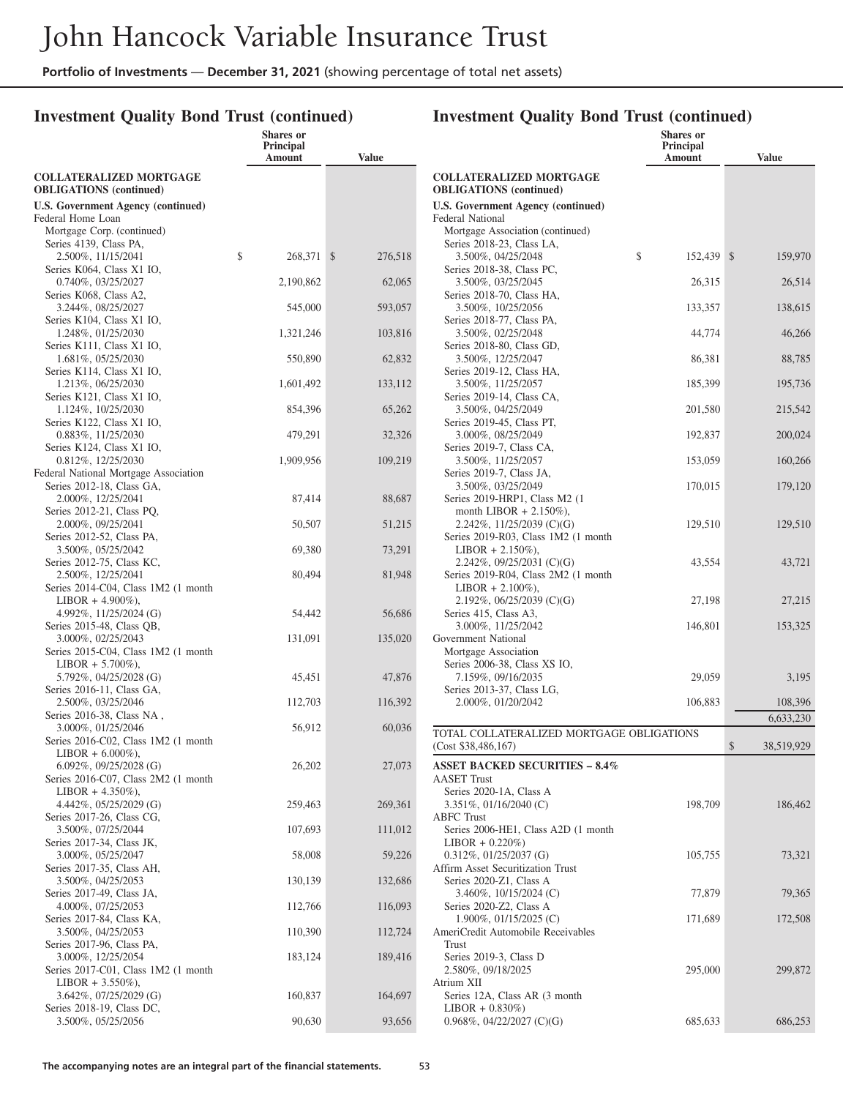### **Investment Quality Bond Trust (continued)**

|                                                                   | <b>Shares</b> or<br><b>Principal</b><br>Amount | <b>Value</b> |
|-------------------------------------------------------------------|------------------------------------------------|--------------|
| <b>COLLATERALIZED MORTGAGE</b>                                    |                                                |              |
| <b>OBLIGATIONS</b> (continued)                                    |                                                |              |
| <b>U.S. Government Agency (continued)</b>                         |                                                |              |
| Federal Home Loan<br>Mortgage Corp. (continued)                   |                                                |              |
| Series 4139, Class PA,                                            |                                                |              |
| 2.500%, 11/15/2041                                                | \$<br>268,371 \$                               | 276,518      |
| Series K064, Class X1 IO,                                         |                                                |              |
| 0.740%, 03/25/2027                                                | 2,190,862                                      | 62,065       |
| Series K068, Class A2,                                            |                                                |              |
| 3.244%, 08/25/2027<br>Series K104, Class X1 IO,                   | 545,000                                        | 593,057      |
| 1.248%, 01/25/2030                                                | 1,321,246                                      | 103,816      |
| Series K111, Class X1 IO,                                         |                                                |              |
| 1.681%, 05/25/2030                                                | 550,890                                        | 62,832       |
| Series K114, Class X1 IO,                                         |                                                |              |
| 1.213%, 06/25/2030<br>Series K121, Class X1 IO,                   | 1,601,492                                      | 133,112      |
| 1.124%, 10/25/2030                                                | 854,396                                        | 65,262       |
| Series K122, Class X1 IO,                                         |                                                |              |
| 0.883%, 11/25/2030                                                | 479,291                                        | 32,326       |
| Series K124, Class X1 IO,                                         |                                                |              |
| 0.812%, 12/25/2030<br>Federal National Mortgage Association       | 1,909,956                                      | 109,219      |
| Series 2012-18, Class GA,                                         |                                                |              |
| 2.000%, 12/25/2041                                                | 87,414                                         | 88,687       |
| Series 2012-21, Class PQ,                                         |                                                |              |
| 2.000%, 09/25/2041                                                | 50,507                                         | 51,215       |
| Series 2012-52, Class PA,<br>3.500%, 05/25/2042                   | 69,380                                         | 73,291       |
| Series 2012-75, Class KC,                                         |                                                |              |
| 2.500%, 12/25/2041                                                | 80,494                                         | 81,948       |
| Series 2014-C04, Class 1M2 (1 month                               |                                                |              |
| $LIBOR + 4.900\%$ ),<br>4.992%, 11/25/2024 (G)                    |                                                |              |
| Series 2015-48, Class QB,                                         | 54,442                                         | 56,686       |
| 3.000%, 02/25/2043                                                | 131,091                                        | 135,020      |
| Series 2015-C04, Class 1M2 (1 month                               |                                                |              |
| $LIBOR + 5.700\%$ ),                                              |                                                |              |
| 5.792%, 04/25/2028 (G)                                            | 45,451                                         | 47,876       |
| Series 2016-11, Class GA,<br>2.500%, 03/25/2046                   | 112,703                                        | 116,392      |
| Series 2016-38, Class NA,                                         |                                                |              |
| 3.000%, 01/25/2046                                                | 56,912                                         | 60,036       |
| Series 2016-C02, Class 1M2 (1 month                               |                                                |              |
| $LIBOR + 6.000\%$ ),                                              |                                                | 27,073       |
| $6.092\%$ , 09/25/2028 (G)<br>Series 2016-C07, Class 2M2 (1 month | 26,202                                         |              |
| $LIBOR + 4.350\%$ ),                                              |                                                |              |
| 4.442%, 05/25/2029 (G)                                            | 259,463                                        | 269,361      |
| Series 2017-26, Class CG,                                         |                                                |              |
| 3.500%, 07/25/2044<br>Series 2017-34, Class JK,                   | 107,693                                        | 111,012      |
| 3.000%, 05/25/2047                                                | 58,008                                         | 59,226       |
| Series 2017-35, Class AH,                                         |                                                |              |
| 3.500%, 04/25/2053                                                | 130,139                                        | 132,686      |
| Series 2017-49, Class JA,<br>4.000%, 07/25/2053                   | 112,766                                        | 116,093      |
| Series 2017-84, Class KA,                                         |                                                |              |
| 3.500%, 04/25/2053                                                | 110,390                                        | 112,724      |
| Series 2017-96, Class PA,                                         |                                                |              |
| 3.000%, 12/25/2054<br>Series 2017-C01, Class 1M2 (1 month         | 183,124                                        | 189,416      |
| $LIBOR + 3.550\%$ ),                                              |                                                |              |
| 3.642%, 07/25/2029 (G)                                            | 160,837                                        | 164,697      |
| Series 2018-19, Class DC,                                         |                                                |              |
| 3.500%, 05/25/2056                                                | 90,630                                         | 93,656       |

|                                                                    | Shares or<br><b>Principal</b><br>Amount | <b>Value</b>     |
|--------------------------------------------------------------------|-----------------------------------------|------------------|
| <b>COLLATERALIZED MORTGAGE</b><br><b>OBLIGATIONS</b> (continued)   |                                         |                  |
| <b>U.S. Government Agency (continued)</b>                          |                                         |                  |
| Federal National                                                   |                                         |                  |
| Mortgage Association (continued)<br>Series 2018-23, Class LA,      |                                         |                  |
| 3.500%, 04/25/2048                                                 | \$<br>152,439 \$                        | 159,970          |
| Series 2018-38, Class PC,                                          |                                         |                  |
| 3.500%, 03/25/2045                                                 | 26,315                                  | 26,514           |
| Series 2018-70, Class HA,<br>3.500%, 10/25/2056                    | 133,357                                 | 138,615          |
| Series 2018-77, Class PA,                                          |                                         |                  |
| 3.500%, 02/25/2048                                                 | 44,774                                  | 46,266           |
| Series 2018-80, Class GD,<br>3.500%, 12/25/2047                    | 86,381                                  | 88,785           |
| Series 2019-12, Class HA,                                          |                                         |                  |
| 3.500%, 11/25/2057                                                 | 185,399                                 | 195,736          |
| Series 2019-14, Class CA,<br>3.500%, 04/25/2049                    | 201,580                                 | 215,542          |
| Series 2019-45, Class PT,                                          |                                         |                  |
| 3.000%, 08/25/2049                                                 | 192,837                                 | 200,024          |
| Series 2019-7, Class CA,                                           |                                         |                  |
| 3.500%, 11/25/2057<br>Series 2019-7, Class JA,                     | 153,059                                 | 160,266          |
| 3.500%, 03/25/2049                                                 | 170,015                                 | 179,120          |
| Series 2019-HRP1, Class M2 (1)                                     |                                         |                  |
| month LIBOR $+ 2.150\%$ ),<br>2.242%, 11/25/2039 (C)(G)            | 129,510                                 | 129,510          |
| Series 2019-R03, Class 1M2 (1 month                                |                                         |                  |
| $LIBOR + 2.150\%$ ),                                               |                                         |                  |
| 2.242%, $09/25/2031$ (C)(G)<br>Series 2019-R04, Class 2M2 (1 month | 43,554                                  | 43,721           |
| $LIBOR + 2.100\%$ ),                                               |                                         |                  |
| 2.192%, $06/25/2039$ (C)(G)                                        | 27,198                                  | 27,215           |
| Series 415, Class A3,                                              |                                         |                  |
| 3.000%, 11/25/2042<br>Government National                          | 146,801                                 | 153,325          |
| Mortgage Association                                               |                                         |                  |
| Series 2006-38, Class XS IO,                                       |                                         |                  |
| 7.159%, 09/16/2035<br>Series 2013-37, Class LG,                    | 29,059                                  | 3,195            |
| 2.000%, 01/20/2042                                                 | 106,883                                 | 108,396          |
|                                                                    |                                         | 6,633,230        |
| TOTAL COLLATERALIZED MORTGAGE OBLIGATIONS                          |                                         |                  |
| (Cost \$38,486,167)                                                |                                         | \$<br>38,519,929 |
| <b>ASSET BACKED SECURITIES - 8.4%</b>                              |                                         |                  |
| <b>AASET Trust</b>                                                 |                                         |                  |
| Series 2020-1A, Class A<br>3.351\%, 01/16/2040 (C)                 | 198,709                                 | 186,462          |
| <b>ABFC</b> Trust                                                  |                                         |                  |
| Series 2006-HE1, Class A2D (1 month                                |                                         |                  |
| $LIBOR + 0.220\%)$<br>$0.312\%, 01/25/2037$ (G)                    | 105,755                                 | 73,321           |
| Affirm Asset Securitization Trust                                  |                                         |                  |
| Series 2020-Z1, Class A                                            |                                         |                  |
| 3.460%, 10/15/2024 (C)<br>Series 2020-Z2, Class A                  | 77,879                                  | 79,365           |
| 1.900%, 01/15/2025 (C)                                             | 171,689                                 | 172,508          |
| AmeriCredit Automobile Receivables                                 |                                         |                  |
| Trust                                                              |                                         |                  |
| Series 2019-3, Class D<br>2.580%, 09/18/2025                       | 295,000                                 | 299,872          |
| Atrium XII                                                         |                                         |                  |
| Series 12A, Class AR (3 month                                      |                                         |                  |
| $LIBOR + 0.830\%)$<br>$0.968\%, 04/22/2027$ (C)(G)                 | 685,633                                 | 686,253          |
|                                                                    |                                         |                  |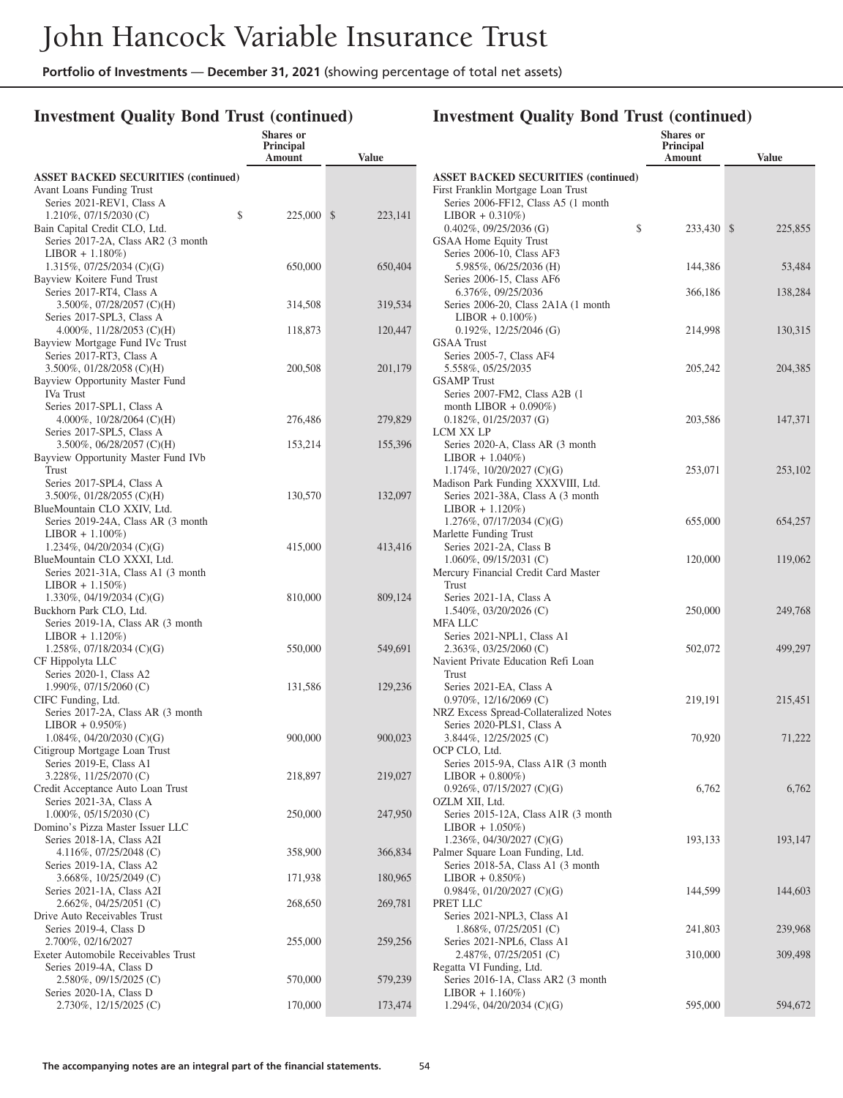### **Investment Quality Bond Trust (continued)**

|                                                                                                                                       | <b>Shares</b> or<br>Principal<br>Amount | <b>Value</b>       |                                                                                                                                   |
|---------------------------------------------------------------------------------------------------------------------------------------|-----------------------------------------|--------------------|-----------------------------------------------------------------------------------------------------------------------------------|
| <b>ASSET BACKED SECURITIES (continued)</b><br>Avant Loans Funding Trust                                                               |                                         |                    | <b>ASSET BACKED SECURI</b><br>First Franklin Mortgage Loar<br>Series 2006-FF12, Class A                                           |
| Series 2021-REV1, Class A<br>\$<br>$1.210\%, 07/15/2030$ (C)<br>Bain Capital Credit CLO, Ltd.                                         | 225,000 \$                              | 223,141            | $LIBOR + 0.310\%)$<br>$0.402\%$ , $09/25/2036$ (G)                                                                                |
| Series 2017-2A, Class AR2 (3 month)<br>$LIBOR + 1.180\%)$<br>$1.315\%, 07/25/2034$ (C)(G)                                             | 650,000                                 | 650,404            | GSAA Home Equity Trust<br>Series 2006-10, Class AF3<br>5.985%, 06/25/2036 (H)                                                     |
| Bayview Koitere Fund Trust<br>Series 2017-RT4, Class A<br>3.500%, 07/28/2057 (C)(H)                                                   | 314,508                                 | 319,534            | Series 2006-15, Class AF6<br>6.376%, 09/25/2036<br>Series 2006-20, Class 2A1                                                      |
| Series 2017-SPL3, Class A<br>4.000%, $11/28/2053$ (C)(H)                                                                              | 118,873                                 | 120,447            | $LIBOR + 0.100\%)$<br>$0.192\%$ , 12/25/2046 (G)                                                                                  |
| Bayview Mortgage Fund IVc Trust<br>Series 2017-RT3, Class A<br>3.500%, 01/28/2058 (C)(H)                                              | 200,508                                 | 201,179            | <b>GSAA</b> Trust<br>Series 2005-7, Class AF4<br>5.558%, 05/25/2035                                                               |
| Bayview Opportunity Master Fund<br>IVa Trust                                                                                          |                                         |                    | <b>GSAMP</b> Trust<br>Series 2007-FM2, Class A                                                                                    |
| Series 2017-SPL1, Class A<br>4.000\%, 10/28/2064 (C)(H)<br>Series 2017-SPL5, Class A                                                  | 276,486                                 | 279,829            | month LIBOR $+$ 0.090%)<br>$0.182\%$ , $01/25/2037$ (G)<br>LCM XX LP                                                              |
| 3.500%, 06/28/2057 (C)(H)<br>Bayview Opportunity Master Fund IVb<br>Trust                                                             | 153,214                                 | 155,396            | Series 2020-A, Class AR (<br>$LIBOR + 1.040\%)$<br>1.174%, $10/20/2027$ (C)(G                                                     |
| Series 2017-SPL4, Class A<br>$3.500\%$ , 01/28/2055 (C)(H)<br>BlueMountain CLO XXIV, Ltd.<br>Series 2019-24A, Class AR (3 month       | 130,570                                 | 132,097            | Madison Park Funding XXX<br>Series 2021-38A, Class A<br>$LIBOR + 1.120\%)$<br>1.276\%, 07/17/2034 (C)(G                           |
| $LIBOR + 1.100\%)$<br>1.234\%, 04/20/2034 (C)(G)<br>BlueMountain CLO XXXI, Ltd.<br>Series 2021-31A, Class A1 (3 month)                | 415,000                                 | 413,416            | Marlette Funding Trust<br>Series 2021-2A, Class B<br>$1.060\%, 09/15/2031$ (C)<br>Mercury Financial Credit Car                    |
| $LIBOR + 1.150\%)$<br>1.330\%, 04/19/2034 (C)(G)<br>Buckhorn Park CLO, Ltd.<br>Series 2019-1A, Class AR (3 month)                     | 810,000                                 | 809,124            | Trust<br>Series 2021-1A, Class A<br>$1.540\%$ , 03/20/2026 (C)<br><b>MFA LLC</b>                                                  |
| $LIBOR + 1.120\%)$<br>$1.258\%, 07/18/2034$ (C)(G)<br>CF Hippolyta LLC                                                                | 550,000                                 | 549,691            | Series 2021-NPL1, Class /<br>$2.363\%$ , 03/25/2060 (C)<br>Navient Private Education Re                                           |
| Series 2020-1, Class A2<br>1.990%, $07/15/2060$ (C)<br>CIFC Funding, Ltd.<br>Series 2017-2A, Class AR (3 month)<br>$LIBOR + 0.950\%)$ | 131,586                                 | 129,236            | <b>Trust</b><br>Series 2021-EA, Class A<br>$0.970\%$ , 12/16/2069 (C)<br>NRZ Excess Spread-Collatera<br>Series 2020-PLS1, Class A |
| $1.084\%, 04/20/2030$ (C)(G)<br>Citigroup Mortgage Loan Trust                                                                         | 900,000                                 | 900,023            | 3.844%, 12/25/2025 (C)<br>OCP CLO, Ltd.                                                                                           |
| Series 2019-E, Class A1<br>3.228%, 11/25/2070 (C)<br>Credit Acceptance Auto Loan Trust                                                | 218,897                                 | 219,027            | Series 2015-9A, Class A1I<br>$LIBOR + 0.800\%)$<br>0.926%, 07/15/2027 (C)(G                                                       |
| Series 2021-3A, Class A<br>$1.000\%$ , 05/15/2030 (C)<br>Domino's Pizza Master Issuer LLC                                             | 250,000                                 | 247,950            | OZLM XII, Ltd.<br>Series 2015-12A, Class A1<br>$LIBOR + 1.050\%)$                                                                 |
| Series 2018-1A, Class A2I<br>4.116%, 07/25/2048 (C)<br>Series 2019-1A, Class A2                                                       | 358,900                                 | 366,834            | 1.236%, 04/30/2027 (C)(G<br>Palmer Square Loan Funding<br>Series 2018-5A, Class A1                                                |
| 3.668%, 10/25/2049 (C)<br>Series 2021-1A, Class A2I<br>2.662%, 04/25/2051 (C)                                                         | 171,938<br>268,650                      | 180,965<br>269,781 | $LIBOR + 0.850\%)$<br>$0.984\%, 01/20/2027$ (C)(G<br>PRET LLC                                                                     |
| Drive Auto Receivables Trust<br>Series 2019-4, Class D                                                                                |                                         |                    | Series 2021-NPL3, Class /<br>$1.868\%, 07/25/2051$ (C)                                                                            |
| 2.700%, 02/16/2027<br>Exeter Automobile Receivables Trust<br>Series 2019-4A, Class D                                                  | 255,000                                 | 259,256            | Series 2021-NPL6, Class A<br>2.487%, 07/25/2051 (C)<br>Regatta VI Funding, Ltd.                                                   |
| 2.580%, 09/15/2025 (C)<br>Series 2020-1A, Class D                                                                                     | 570,000                                 | 579,239            | Series 2016-1A, Class AR<br>$LIBOR + 1.160\%)$                                                                                    |
| 2.730%, 12/15/2025 (C)                                                                                                                | 170,000                                 | 173,474            | 1.294%, $04/20/2034$ (C)(G                                                                                                        |

|                    | Investment Quanty Bond Trust (continued)                                                                                    | Shares or<br>Principal<br>Amount | <b>Value</b> |
|--------------------|-----------------------------------------------------------------------------------------------------------------------------|----------------------------------|--------------|
|                    | <b>ASSET BACKED SECURITIES (continued)</b>                                                                                  |                                  |              |
|                    | First Franklin Mortgage Loan Trust<br>Series 2006-FF12, Class A5 (1 month                                                   |                                  |              |
|                    | $LIBOR + 0.310\%)$<br>\$<br>$0.402\%$ , 09/25/2036 (G)                                                                      | 233,430 \$                       | 225,855      |
|                    | GSAA Home Equity Trust<br>Series 2006-10, Class AF3<br>5.985%, 06/25/2036 (H)                                               | 144,386                          | 53,484       |
|                    | Series 2006-15, Class AF6<br>6.376%, 09/25/2036                                                                             | 366,186                          | 138,284      |
| į                  | Series 2006-20, Class 2A1A (1 month<br>$LIBOR + 0.100\%)$                                                                   |                                  |              |
|                    | $0.192\%$ , 12/25/2046 (G)<br><b>GSAA Trust</b><br>Series 2005-7, Class AF4                                                 | 214,998                          | 130,315      |
| )                  | 5.558%, 05/25/2035<br><b>GSAMP</b> Trust<br>Series 2007-FM2, Class A2B (1                                                   | 205,242                          | 204,385      |
| )                  | month LIBOR $+$ 0.090%)<br>$0.182\%, 01/25/2037$ (G)<br>LCM XX LP                                                           | 203,586                          | 147,371      |
|                    | Series 2020-A, Class AR (3 month<br>$LIBOR + 1.040\%)$<br>1.174%, $10/20/2027$ (C)(G)<br>Madison Park Funding XXXVIII, Ltd. | 253,071                          | 253,102      |
|                    | Series 2021-38A, Class A (3 month<br>$LIBOR + 1.120\%)$<br>1.276%, 07/17/2034 (C)(G)<br>Marlette Funding Trust              | 655,000                          | 654,257      |
|                    | Series 2021-2A, Class B<br>$1.060\%$ , 09/15/2031 (C)                                                                       | 120,000                          | 119,062      |
| ļ                  | Mercury Financial Credit Card Master<br>Trust<br>Series 2021-1A, Class A                                                    |                                  |              |
|                    | 1.540%, 03/20/2026 (C)<br><b>MFA LLC</b>                                                                                    | 250,000                          | 249,768      |
|                    | Series 2021-NPL1, Class A1<br>$2.363\%, 03/25/2060$ (C)<br>Navient Private Education Refi Loan<br>Trust                     | 502,072                          | 499,297      |
|                    | Series 2021-EA, Class A<br>$0.970\%$ , 12/16/2069 (C)<br>NRZ Excess Spread-Collateralized Notes                             | 219,191                          | 215,451      |
| $\mathbf{\hat{5}}$ | Series 2020-PLS1, Class A<br>3.844%, 12/25/2025 (C)<br>OCP CLO, Ltd.                                                        | 70,920                           | 71,222       |
|                    | Series 2015-9A, Class A1R (3 month<br>$LIBOR + 0.800\%)$<br>$0.926\%, 07/15/2027$ (C)(G)                                    | 6,762                            | 6,762        |
| )                  | OZLM XII, Ltd.<br>Series 2015-12A, Class A1R (3 month)<br>$LIBOR + 1.050\%)$                                                |                                  |              |
| ļ.                 | 1.236\%, 04/30/2027 (C)(G)<br>Palmer Square Loan Funding, Ltd.<br>Series 2018-5A, Class A1 (3 month                         | 193,133                          | 193,147      |
|                    | $LIBOR + 0.850\%)$<br>$0.984\%, 01/20/2027$ (C)(G)                                                                          | 144,599                          | 144,603      |
|                    | PRET LLC<br>Series 2021-NPL3, Class A1<br>1.868%, 07/25/2051 (C)                                                            | 241,803                          | 239,968      |
|                    | Series 2021-NPL6, Class A1<br>2.487%, 07/25/2051 (C)                                                                        | 310,000                          | 309,498      |
| )                  | Regatta VI Funding, Ltd.<br>Series 2016-1A, Class AR2 (3 month                                                              |                                  |              |
|                    | $LIBOR + 1.160\%)$<br>1.294%, $04/20/2034$ (C)(G)                                                                           | 595,000                          | 594,672      |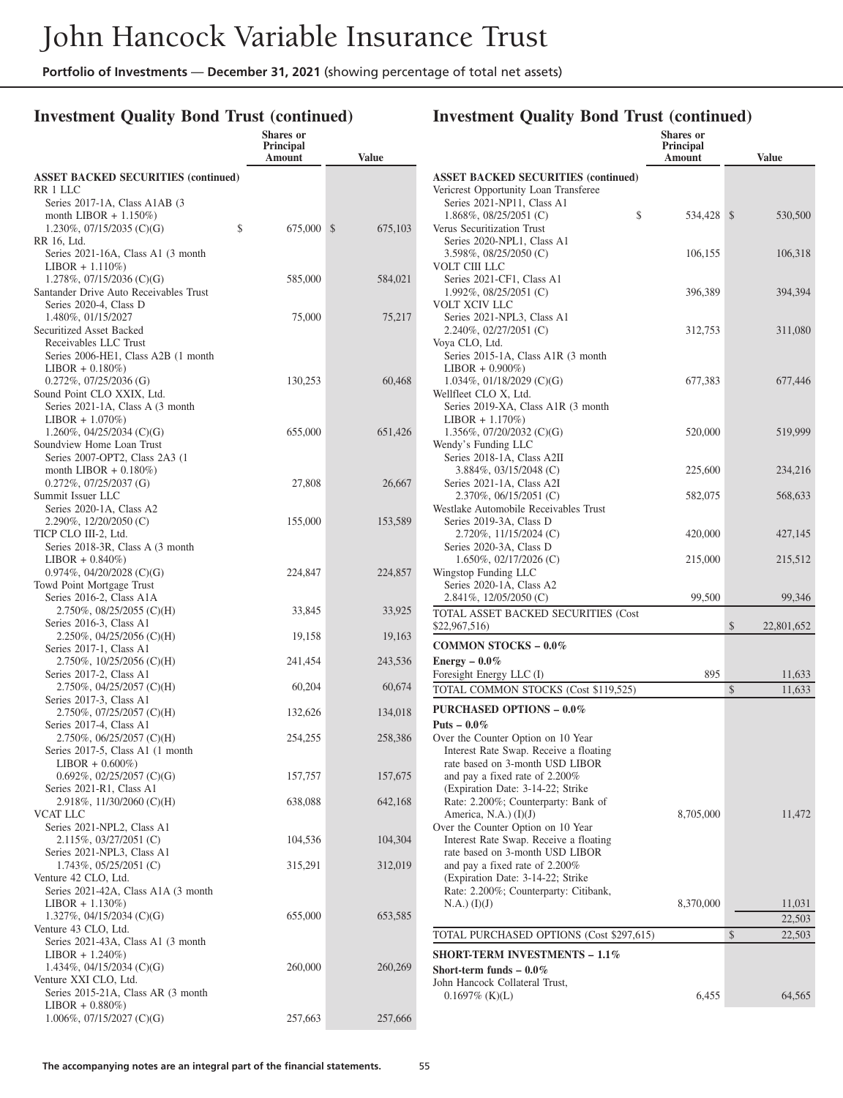**Shares or**

### **Investment Quality Bond Trust (continued)**

|                                                             | Principal<br>Amount | Value   |
|-------------------------------------------------------------|---------------------|---------|
| <b>ASSET BACKED SECURITIES (continued)</b>                  |                     |         |
| RR 1 LLC                                                    |                     |         |
| Series 2017-1A, Class A1AB (3)                              |                     |         |
| month LIBOR $+ 1.150\%)$<br>\$<br>1.230%, 07/15/2035 (C)(G) | 675,000 \$          | 675,103 |
| RR 16, Ltd.                                                 |                     |         |
| Series 2021-16A, Class A1 (3 month                          |                     |         |
| $LIBOR + 1.110\%)$<br>1.278%, $07/15/2036$ (C)(G)           |                     |         |
| Santander Drive Auto Receivables Trust                      | 585,000             | 584,021 |
| Series 2020-4, Class D                                      |                     |         |
| 1.480%, 01/15/2027                                          | 75,000              | 75,217  |
| <b>Securitized Asset Backed</b><br>Receivables LLC Trust    |                     |         |
| Series 2006-HE1, Class A2B (1 month                         |                     |         |
| $LIBOR + 0.180\%)$                                          |                     |         |
| $0.272\%$ , 07/25/2036 (G)                                  | 130,253             | 60,468  |
| Sound Point CLO XXIX, Ltd.                                  |                     |         |
| Series 2021-1A, Class A (3 month<br>$LIBOR + 1.070\%)$      |                     |         |
| 1.260%, 04/25/2034 (C)(G)                                   | 655,000             | 651,426 |
| Soundview Home Loan Trust                                   |                     |         |
| Series 2007-OPT2, Class 2A3 (1                              |                     |         |
| month LIBOR $+ 0.180\%)$<br>$0.272\%, 07/25/2037$ (G)       | 27,808              | 26,667  |
| Summit Issuer LLC                                           |                     |         |
| Series 2020-1A, Class A2                                    |                     |         |
| 2.290%, 12/20/2050 (C)                                      | 155,000             | 153,589 |
| TICP CLO III-2, Ltd.<br>Series 2018-3R, Class A (3 month)   |                     |         |
| $LIBOR + 0.840\%)$                                          |                     |         |
| $0.974\%, 04/20/2028$ (C)(G)                                | 224,847             | 224,857 |
| Towd Point Mortgage Trust                                   |                     |         |
| Series 2016-2, Class A1A<br>2.750%, 08/25/2055 (C)(H)       | 33,845              | 33,925  |
| Series 2016-3, Class A1                                     |                     |         |
| 2.250%, 04/25/2056 (C)(H)                                   | 19,158              | 19,163  |
| Series 2017-1, Class A1                                     |                     |         |
| 2.750%, 10/25/2056 (C)(H)<br>Series 2017-2, Class A1        | 241,454             | 243,536 |
| 2.750%, 04/25/2057 (C)(H)                                   | 60,204              | 60,674  |
| Series 2017-3, Class A1                                     |                     |         |
| 2.750%, 07/25/2057 (C)(H)                                   | 132,626             | 134,018 |
| Series 2017-4, Class A1<br>2.750%, 06/25/2057 (C)(H)        | 254,255             | 258,386 |
| Series 2017-5, Class A1 (1 month                            |                     |         |
| $LIBOR + 0.600\%)$                                          |                     |         |
| $0.692\%$ , $02/25/2057$ (C)(G)                             | 157,757             | 157,675 |
| Series 2021-R1, Class A1<br>2.918%, 11/30/2060 (C)(H)       | 638,088             | 642,168 |
| VCAT LLC                                                    |                     |         |
| Series 2021-NPL2, Class A1                                  |                     |         |
| 2.115%, 03/27/2051 (C)                                      | 104,536             | 104,304 |
| Series 2021-NPL3, Class A1                                  |                     |         |
| 1.743%, 05/25/2051 (C)<br>Venture 42 CLO, Ltd.              | 315,291             | 312,019 |
| Series 2021-42A, Class A1A (3 month                         |                     |         |
| $LIBOR + 1.130\%)$                                          |                     |         |
| 1.327%, 04/15/2034 (C)(G)<br>Venture 43 CLO, Ltd.           | 655,000             | 653,585 |
| Series 2021-43A, Class A1 (3 month                          |                     |         |
| $LIBOR + 1.240\%)$                                          |                     |         |
| 1.434%, 04/15/2034 (C)(G)                                   | 260,000             | 260,269 |
| Venture XXI CLO, Ltd.                                       |                     |         |
| Series 2015-21A, Class AR (3 month<br>$LIBOR + 0.880\%)$    |                     |         |
| 1.006%, 07/15/2027 (C)(G)                                   | 257,663             | 257,666 |
|                                                             |                     |         |

|                                                                                                                                                                                                                                                        | <b>Shares or</b><br>Principal<br>Amount | <b>Value</b>     |
|--------------------------------------------------------------------------------------------------------------------------------------------------------------------------------------------------------------------------------------------------------|-----------------------------------------|------------------|
| <b>ASSET BACKED SECURITIES (continued)</b><br>Vericrest Opportunity Loan Transferee                                                                                                                                                                    |                                         |                  |
| Series 2021-NP11, Class A1<br>1.868%, 08/25/2051 (C)<br>\$<br>Verus Securitization Trust                                                                                                                                                               | 534,428 \$                              | 530,500          |
| Series 2020-NPL1, Class A1<br>3.598%, 08/25/2050 (C)<br>VOLT CIII LLC                                                                                                                                                                                  | 106,155                                 | 106,318          |
| Series 2021-CF1, Class A1<br>$1.992\%$ , 08/25/2051 (C)<br>VOLT XCIV LLC                                                                                                                                                                               | 396,389                                 | 394,394          |
| Series 2021-NPL3, Class A1<br>2.240%, 02/27/2051 (C)<br>Voya CLO, Ltd.                                                                                                                                                                                 | 312,753                                 | 311,080          |
| Series 2015-1A, Class A1R (3 month<br>$LIBOR + 0.900\%)$<br>$1.034\%$ , 01/18/2029 (C)(G)                                                                                                                                                              | 677,383                                 | 677,446          |
| Wellfleet CLO X, Ltd.<br>Series 2019-XA, Class A1R (3 month<br>$LIBOR + 1.170\%)$                                                                                                                                                                      |                                         |                  |
| 1.356%, $07/20/2032$ (C)(G)<br>Wendy's Funding LLC<br>Series 2018-1A, Class A2II                                                                                                                                                                       | 520,000                                 | 519,999          |
| 3.884%, 03/15/2048 (C)<br>Series 2021-1A, Class A2I                                                                                                                                                                                                    | 225,600                                 | 234,216          |
| 2.370%, 06/15/2051 (C)<br>Westlake Automobile Receivables Trust                                                                                                                                                                                        | 582,075                                 | 568,633          |
| Series 2019-3A, Class D<br>2.720%, 11/15/2024 (C)                                                                                                                                                                                                      | 420,000                                 | 427,145          |
| Series 2020-3A, Class D<br>1.650%, 02/17/2026 (C)                                                                                                                                                                                                      | 215,000                                 | 215,512          |
| Wingstop Funding LLC<br>Series 2020-1A, Class A2<br>2.841\%, 12/05/2050 (C)                                                                                                                                                                            | 99,500                                  | 99,346           |
| TOTAL ASSET BACKED SECURITIES (Cost<br>\$22,967,516)                                                                                                                                                                                                   |                                         | \$<br>22,801,652 |
| <b>COMMON STOCKS - 0.0%</b>                                                                                                                                                                                                                            |                                         |                  |
| Energy $-0.0\%$<br>Foresight Energy LLC (I)                                                                                                                                                                                                            | 895                                     | 11,633           |
| TOTAL COMMON STOCKS (Cost \$119,525)                                                                                                                                                                                                                   |                                         | \$<br>11,633     |
| <b>PURCHASED OPTIONS - 0.0%</b>                                                                                                                                                                                                                        |                                         |                  |
| Puts $-0.0\%$<br>Over the Counter Option on 10 Year<br>Interest Rate Swap. Receive a floating<br>rate based on 3-month USD LIBOR<br>and pay a fixed rate of 2.200%<br>(Expiration Date: 3-14-22; Strike                                                |                                         |                  |
| Rate: 2.200%; Counterparty: Bank of<br>America, N.A.) (I)(J)<br>Over the Counter Option on 10 Year<br>Interest Rate Swap. Receive a floating<br>rate based on 3-month USD LIBOR<br>and pay a fixed rate of 2.200%<br>(Expiration Date: 3-14-22; Strike | 8,705,000                               | 11,472           |
| Rate: 2.200%; Counterparty: Citibank,<br>N.A.) (I)(J)                                                                                                                                                                                                  | 8,370,000                               | 11,031           |
|                                                                                                                                                                                                                                                        |                                         | 22,503           |
| TOTAL PURCHASED OPTIONS (Cost \$297,615)                                                                                                                                                                                                               |                                         | \$<br>22,503     |
| <b>SHORT-TERM INVESTMENTS - 1.1%</b>                                                                                                                                                                                                                   |                                         |                  |
| Short-term funds – $0.0\%$<br>John Hancock Collateral Trust,                                                                                                                                                                                           |                                         |                  |
| $0.1697\%$ (K)(L)                                                                                                                                                                                                                                      | 6,455                                   | 64,565           |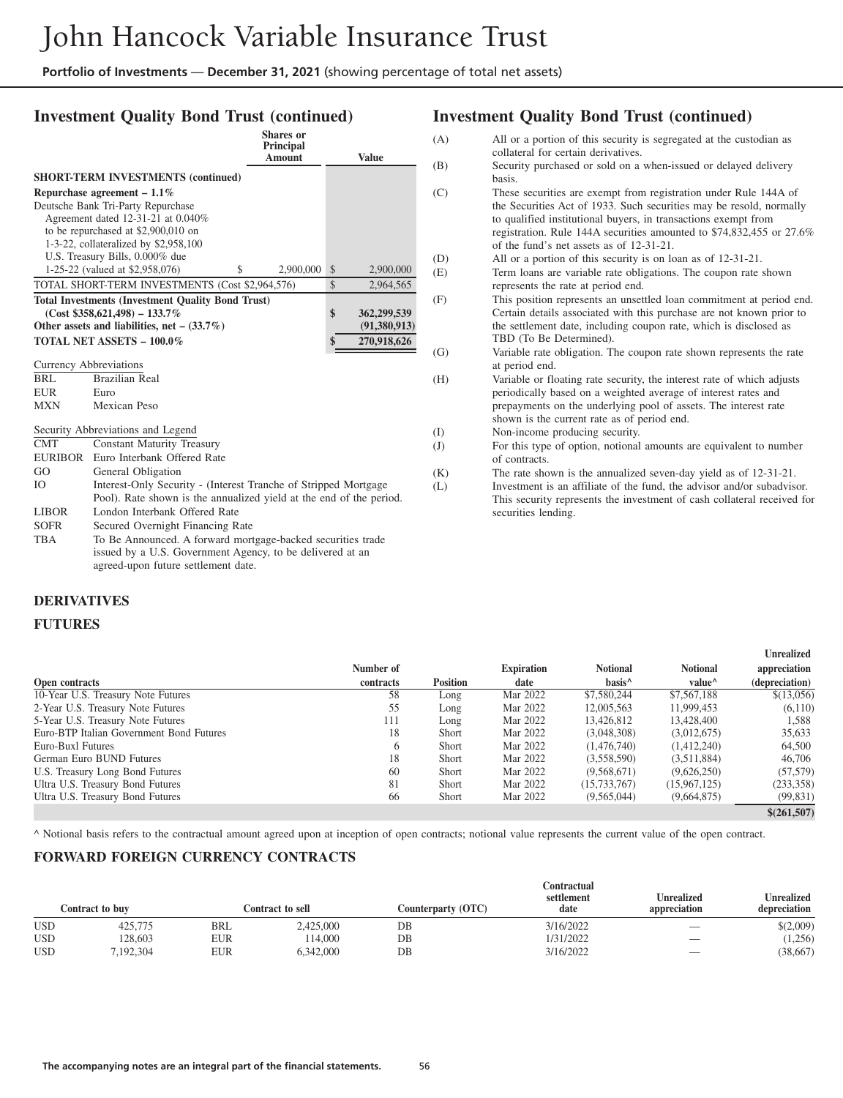### **Investment Quality Bond Trust (continued)**

|              |                                                                     | Shares or<br>Principal<br><b>Amount</b> | <b>Value</b>      |
|--------------|---------------------------------------------------------------------|-----------------------------------------|-------------------|
|              | <b>SHORT-TERM INVESTMENTS (continued)</b>                           |                                         |                   |
|              | Repurchase agreement $-1.1\%$                                       |                                         |                   |
|              | Deutsche Bank Tri-Party Repurchase                                  |                                         |                   |
|              | Agreement dated 12-31-21 at 0.040%                                  |                                         |                   |
|              | to be repurchased at \$2,900,010 on                                 |                                         |                   |
|              | 1-3-22, collateralized by \$2,958,100                               |                                         |                   |
|              | U.S. Treasury Bills, 0.000% due                                     |                                         |                   |
|              | 1-25-22 (valued at \$2,958,076)<br>\$                               | 2,900,000                               | \$<br>2,900,000   |
|              | TOTAL SHORT-TERM INVESTMENTS (Cost \$2,964,576)                     |                                         | \$<br>2,964,565   |
|              | <b>Total Investments (Investment Quality Bond Trust)</b>            |                                         |                   |
|              | $(Cost $358,621,498) - 133.7\%$                                     |                                         | \$<br>362,299,539 |
|              | Other assets and liabilities, net $-$ (33.7%)                       |                                         | (91,380,913)      |
|              | <b>TOTAL NET ASSETS - 100.0%</b>                                    |                                         | 270,918,626<br>\$ |
|              | <b>Currency Abbreviations</b>                                       |                                         |                   |
| BRL          | <b>Brazilian Real</b>                                               |                                         |                   |
| <b>EUR</b>   | Euro                                                                |                                         |                   |
| <b>MXN</b>   | Mexican Peso                                                        |                                         |                   |
|              |                                                                     |                                         |                   |
|              | Security Abbreviations and Legend                                   |                                         |                   |
| <b>CMT</b>   | <b>Constant Maturity Treasury</b>                                   |                                         |                   |
| EURIBOR      | Euro Interbank Offered Rate                                         |                                         |                   |
| GO           | General Obligation                                                  |                                         |                   |
| <b>IO</b>    | Interest-Only Security - (Interest Tranche of Stripped Mortgage)    |                                         |                   |
|              | Pool). Rate shown is the annualized yield at the end of the period. |                                         |                   |
| <b>LIBOR</b> | London Interbank Offered Rate                                       |                                         |                   |
| <b>SOFR</b>  | Secured Overnight Financing Rate                                    |                                         |                   |
| <b>TBA</b>   | To Be Announced. A forward mortgage-backed securities trade         |                                         |                   |
|              | issued by a U.S. Government Agency, to be delivered at an           |                                         |                   |
|              | agreed-upon future settlement date.                                 |                                         |                   |

#### **DERIVATIVES**

#### **FUTURES**

### **Investment Quality Bond Trust (continued)**

(A) All or a portion of this security is segregated at the custodian as collateral for certain derivatives. (B) Security purchased or sold on a when-issued or delayed delivery basis. (C) These securities are exempt from registration under Rule 144A of the Securities Act of 1933. Such securities may be resold, normally to qualified institutional buyers, in transactions exempt from registration. Rule 144A securities amounted to \$74,832,455 or 27.6% of the fund's net assets as of 12-31-21. (D) All or a portion of this security is on loan as of 12-31-21. (E) Term loans are variable rate obligations. The coupon rate shown represents the rate at period end. (F) This position represents an unsettled loan commitment at period end. Certain details associated with this purchase are not known prior to the settlement date, including coupon rate, which is disclosed as TBD (To Be Determined). (G) Variable rate obligation. The coupon rate shown represents the rate at period end. (H) Variable or floating rate security, the interest rate of which adjusts periodically based on a weighted average of interest rates and prepayments on the underlying pool of assets. The interest rate shown is the current rate as of period end. (I) Non-income producing security. (J) For this type of option, notional amounts are equivalent to number of contracts. (K) The rate shown is the annualized seven-day yield as of 12-31-21. (L) Investment is an affiliate of the fund, the advisor and/or subadvisor. This security represents the investment of cash collateral received for

**Unrealized**

securities lending.

|                                          |           |                 |                   |                    |                    | ош сангеч      |
|------------------------------------------|-----------|-----------------|-------------------|--------------------|--------------------|----------------|
|                                          | Number of |                 | <b>Expiration</b> | <b>Notional</b>    | <b>Notional</b>    | appreciation   |
| Open contracts                           | contracts | <b>Position</b> | date              | hasis <sup>^</sup> | value <sup>^</sup> | (depreciation) |
| 10-Year U.S. Treasury Note Futures       | 58        | Long            | Mar 2022          | \$7,580,244        | \$7,567,188        | \$(13,056)     |
| 2-Year U.S. Treasury Note Futures        | 55        | Long            | Mar 2022          | 12,005,563         | 11,999,453         | (6,110)        |
| 5-Year U.S. Treasury Note Futures        | 111       | Long            | Mar 2022          | 13,426,812         | 13,428,400         | 1,588          |
| Euro-BTP Italian Government Bond Futures | 18        | <b>Short</b>    | Mar 2022          | (3,048,308)        | (3,012,675)        | 35,633         |
| Euro-Buxl Futures                        |           | <b>Short</b>    | Mar 2022          | (1,476,740)        | (1,412,240)        | 64,500         |
| German Euro BUND Futures                 | 18        | <b>Short</b>    | Mar 2022          | (3,558,590)        | (3,511,884)        | 46,706         |
| U.S. Treasury Long Bond Futures          | 60        | Short           | Mar 2022          | (9,568,671)        | (9,626,250)        | (57, 579)      |
| Ultra U.S. Treasury Bond Futures         | 81        | Short           | Mar 2022          | (15, 733, 767)     | (15,967,125)       | (233, 358)     |
| Ultra U.S. Treasury Bond Futures         | 66        | Short           | Mar 2022          | (9,565,044)        | (9,664,875)        | (99, 831)      |
|                                          |           |                 |                   |                    |                    | \$(261,507)    |

^ Notional basis refers to the contractual amount agreed upon at inception of open contracts; notional value represents the current value of the open contract.

### **FORWARD FOREIGN CURRENCY CONTRACTS**

|            | Contract to buv |            | Contract to sell | Counterparty (OTC) | Contractual<br>settlement<br>date | Unrealized<br>appreciation | <b>Unrealized</b><br>depreciation |
|------------|-----------------|------------|------------------|--------------------|-----------------------------------|----------------------------|-----------------------------------|
| <b>USD</b> | 425,775         | <b>BRL</b> | 2,425,000        | DB                 | 3/16/2022                         | __                         | \$(2,009)                         |
| <b>USD</b> | 28,603          | EUR        | 14.000           | DB                 | 1/31/2022                         | $\overline{\phantom{a}}$   | (1,256)                           |
| <b>USD</b> | .192.304        | EUR        | 6.342,000        | DB                 | 3/16/2022                         | __                         | (38,667)                          |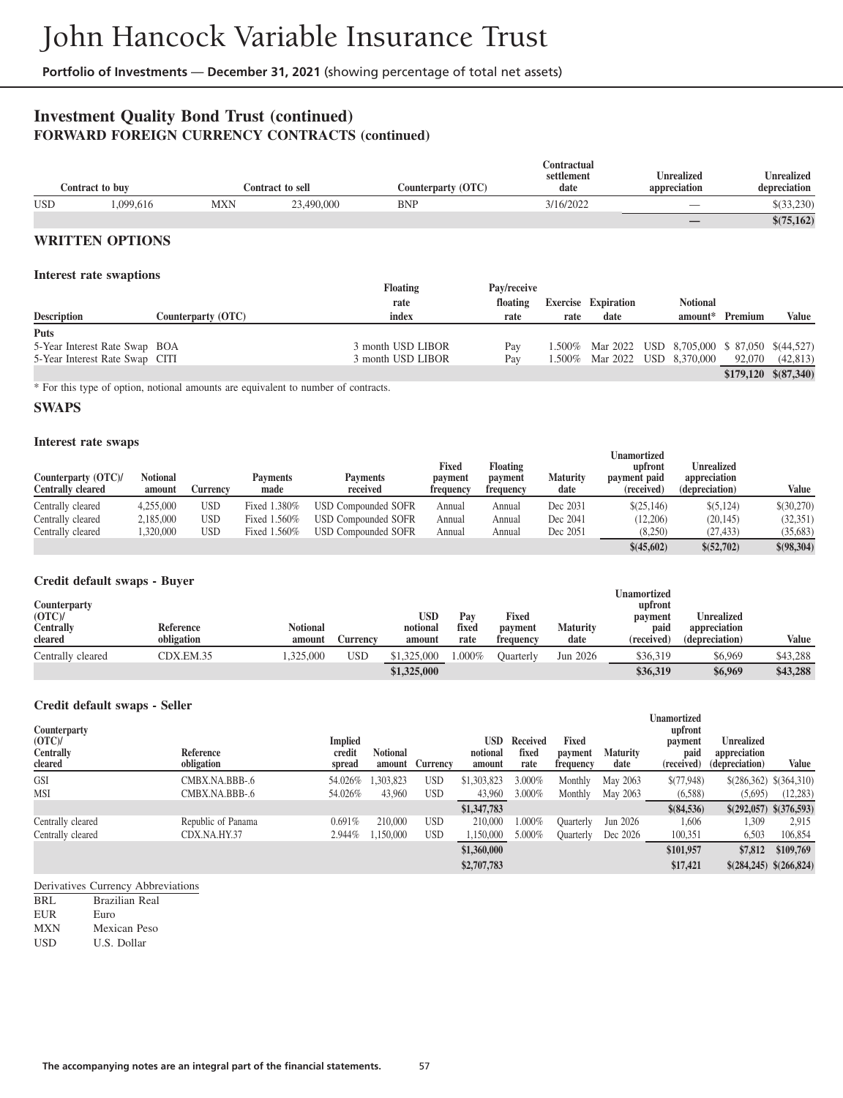### **Investment Quality Bond Trust (continued) FORWARD FOREIGN CURRENCY CONTRACTS (continued)**

| Contract to buv |          |     | Contract to sell | Counterparty (OTC) | Contractual<br>settlement<br>date | Unrealized<br>appreciation | <b>Unrealized</b><br>depreciation |
|-----------------|----------|-----|------------------|--------------------|-----------------------------------|----------------------------|-----------------------------------|
| <b>USD</b>      | .099.616 | MXN | 23,490,000       | <b>BNP</b>         | 3/16/2022                         | _                          | \$(33,230)                        |
|                 |          |     |                  |                    |                                   |                            | \$(75,162)                        |

### **WRITTEN OPTIONS**

#### **Interest rate swaptions**

| Interest rate swapuons         |                    | <b>Floating</b>   | Pay/receive |      |                                                     |                 |         |                         |
|--------------------------------|--------------------|-------------------|-------------|------|-----------------------------------------------------|-----------------|---------|-------------------------|
|                                |                    | rate              | floating    |      | <b>Exercise Expiration</b>                          | <b>Notional</b> |         |                         |
| <b>Description</b>             | Counterparty (OTC) | index             | rate        | rate | date                                                | amount*         | Premium | <b>Value</b>            |
| <b>Puts</b>                    |                    |                   |             |      |                                                     |                 |         |                         |
| 5-Year Interest Rate Swap BOA  |                    | 3 month USD LIBOR | Pay         |      | 1.500\% Mar 2022 USD 8.705,000 \$ 87,050 \$(44,527) |                 |         |                         |
| 5-Year Interest Rate Swap CITI |                    | 3 month USD LIBOR | Pay         |      | 1.500% Mar 2022 USD 8,370,000                       |                 | 92,070  | (42, 813)               |
|                                |                    |                   |             |      |                                                     |                 |         | $$179,120$ $$ (87,340)$ |

\* For this type of option, notional amounts are equivalent to number of contracts.

#### **SWAPS**

#### **Interest rate swaps**

| $\frac{1}{2}$<br>Counterparty (OTC)/<br>Centrally cleared | Notional<br>amount | Currencv   | Pavments<br>made | <b>Payments</b><br>received | <b>Fixed</b><br>payment<br>frequency | <b>Floating</b><br>payment<br>frequency | <b>Maturity</b><br>date | Unamortized<br>upfront<br>payment paid<br>(received) | Unrealized<br>appreciation<br>(depreciation) | Value        |
|-----------------------------------------------------------|--------------------|------------|------------------|-----------------------------|--------------------------------------|-----------------------------------------|-------------------------|------------------------------------------------------|----------------------------------------------|--------------|
| Centrally cleared                                         | 4,255,000          | USD        | Fixed 1.380%     | <b>USD Compounded SOFR</b>  | Annual                               | Annual                                  | Dec 2031                | \$(25,146)                                           | \$ (5,124)                                   | \$(30,270)   |
| Centrally cleared                                         | 2,185,000          | <b>USD</b> | Fixed 1.560%     | USD Compounded SOFR         | Annual                               | Annual                                  | Dec 2041                | (12,206)                                             | (20,145)                                     | (32, 351)    |
| Centrally cleared                                         | ,320,000           | USD        | Fixed 1.560%     | <b>USD Compounded SOFR</b>  | Annual                               | Annual                                  | Dec 2051                | (8,250)                                              | (27, 433)                                    | (35, 683)    |
|                                                           |                    |            |                  |                             |                                      |                                         |                         | \$(45,602)                                           | \$(52,702)                                   | \$ (98, 304) |

#### **Credit default swaps - Buyer**

| Counterparty<br>(OTC)<br>Centrally<br>cleared | <b>Reference</b><br>obligation | <b>Notional</b><br>amount | Aurrency | <b>USD</b><br>notional<br>amount | Pav<br>fixed<br>rate | Fixed<br>payment<br>frequency | Maturity<br>date | Unamortized<br>upfront<br>payment<br>paid<br>(received) | <b>Unrealized</b><br>appreciation<br>(depreciation) | Value    |
|-----------------------------------------------|--------------------------------|---------------------------|----------|----------------------------------|----------------------|-------------------------------|------------------|---------------------------------------------------------|-----------------------------------------------------|----------|
| Centrally cleared                             | CDX.EM.35                      | .325,000                  | USD      | \$1,325,000                      | .000%                | Ouarterlv                     | Jun 2026         | \$36,319                                                | \$6,969                                             | \$43,288 |
|                                               |                                |                           |          | \$1,325,000                      |                      |                               |                  | \$36,319                                                | \$6,969                                             | \$43,288 |

**Unamortized**

#### **Credit default swaps - Seller**

| Counterparty<br>(OTC)<br><b>Centrally</b><br>cleared | Reference<br>obligation            | <b>Implied</b><br>credit<br>spread | <b>Notional</b><br>amount | Currency                 | USD<br>notional<br>amount | Received<br>fixed<br>rate | Fixed<br>payment<br>frequency | <b>Maturity</b><br>date | <b>Unamoruzeu</b><br>upfront<br>payment<br>paid<br>(received) | <b>Unrealized</b><br>appreciation<br>(depreciation) | Value                                |
|------------------------------------------------------|------------------------------------|------------------------------------|---------------------------|--------------------------|---------------------------|---------------------------|-------------------------------|-------------------------|---------------------------------------------------------------|-----------------------------------------------------|--------------------------------------|
| <b>GSI</b><br><b>MSI</b>                             | CMBX.NA.BBB-.6<br>CMBX.NA.BBB-.6   | 54.026%<br>54.026%                 | .303.823<br>43,960        | <b>USD</b><br><b>USD</b> | \$1,303,823<br>43,960     | 3.000%<br>3.000%          | Monthly<br>Monthly            | May 2063<br>May 2063    | \$(77,948)<br>(6,588)                                         | (5,695)                                             | \$(286,362) \$(364,310)<br>(12, 283) |
|                                                      |                                    |                                    |                           |                          | \$1,347,783               |                           |                               |                         | \$ (84,536)                                                   |                                                     | $$(292,057)$ $$(376,593)$            |
| Centrally cleared<br>Centrally cleared               | Republic of Panama<br>CDX.NA.HY.37 | 0.691%<br>2.944%                   | 210,000<br>.150.000       | <b>USD</b><br><b>USD</b> | 210,000<br>1,150,000      | $1.000\%$<br>5.000%       | Ouarterly<br>Quarterly        | Jun 2026<br>Dec 2026    | 1,606<br>100,351                                              | 1,309<br>6,503                                      | 2,915<br>106,854                     |
|                                                      |                                    |                                    |                           |                          | \$1,360,000               |                           |                               |                         | \$101,957                                                     | \$7,812                                             | \$109,769                            |
|                                                      |                                    |                                    |                           |                          | \$2,707,783               |                           |                               |                         | \$17,421                                                      |                                                     | \$(284,245) \$(266,824)              |

Derivatives Currency Abbreviations

BRL Brazilian Real

EUR Euro MXN Mexican Peso

USD U.S. Dollar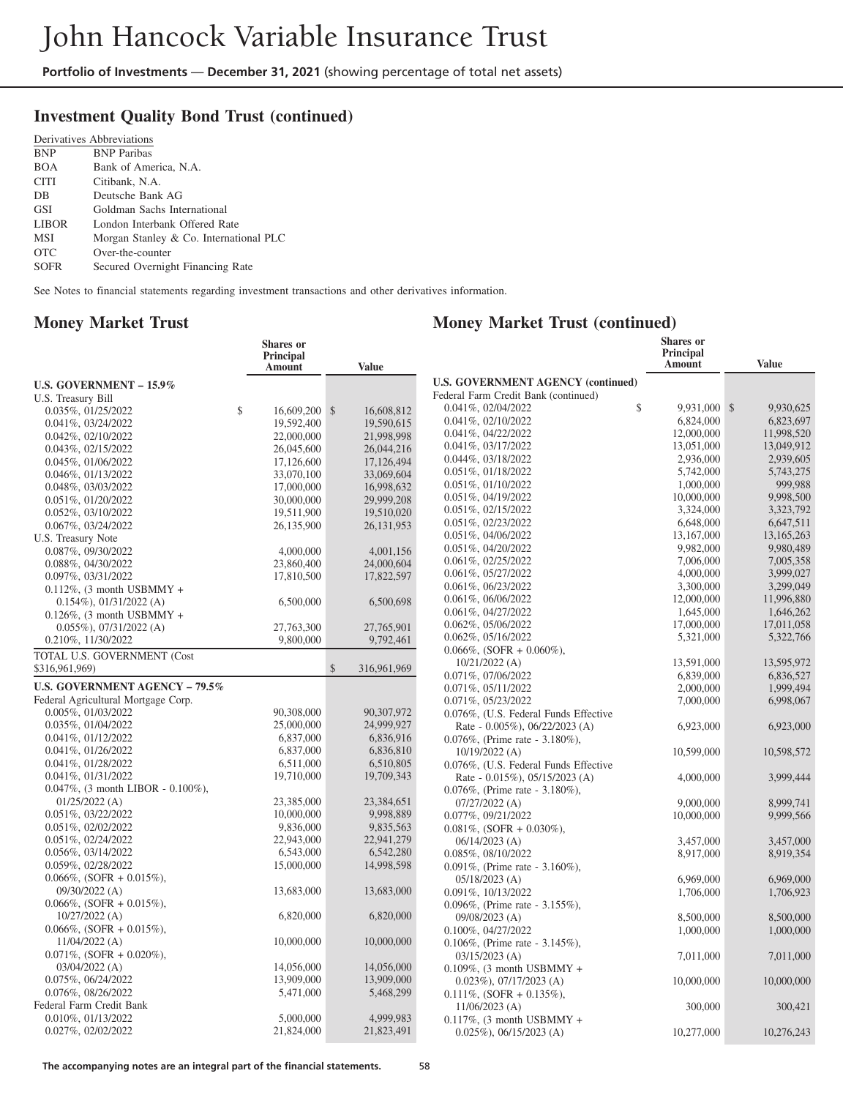### **Investment Quality Bond Trust (continued)**

|              | Derivatives Abbreviations              |
|--------------|----------------------------------------|
| <b>BNP</b>   | <b>BNP</b> Paribas                     |
| <b>BOA</b>   | Bank of America, N.A.                  |
| <b>CITI</b>  | Citibank, N.A.                         |
| DB           | Deutsche Bank AG                       |
| <b>GSI</b>   | Goldman Sachs International            |
| <b>LIBOR</b> | London Interbank Offered Rate          |
| MSI          | Morgan Stanley & Co. International PLC |
| <b>OTC</b>   | Over-the-counter                       |
| SOFR         | Secured Overnight Financing Rate       |

See Notes to financial statements regarding investment transactions and other derivatives information.

### **Money Market Trust**

### **Money Market Trust (continued)**

|                                       | <b>Shares</b> or<br>Principal<br><b>Amount</b> |               | <b>Value</b> |                                           | Shares or<br>Principal<br>Amount | <b>Value</b> |
|---------------------------------------|------------------------------------------------|---------------|--------------|-------------------------------------------|----------------------------------|--------------|
|                                       |                                                |               |              | <b>U.S. GOVERNMENT AGENCY (continued)</b> |                                  |              |
| U.S. GOVERNMENT - 15.9%               |                                                |               |              | Federal Farm Credit Bank (continued)      |                                  |              |
| U.S. Treasury Bill                    |                                                |               |              | \$<br>0.041%, 02/04/2022                  | 9,931,000 \$                     | 9,930,625    |
| 0.035%, 01/25/2022                    | \$<br>16,609,200 \$                            |               | 16,608,812   | 0.041%, 02/10/2022                        | 6,824,000                        | 6,823,697    |
| 0.041%, 03/24/2022                    | 19,592,400                                     |               | 19,590,615   | $0.041\%$ , $04/22/2022$                  | 12,000,000                       | 11,998,520   |
| $0.042\%, 02/10/2022$                 | 22,000,000                                     |               | 21,998,998   | $0.041\%, 03/17/2022$                     | 13,051,000                       | 13,049,912   |
| $0.043\%, 02/15/2022$                 | 26,045,600                                     |               | 26,044,216   | 0.044%, 03/18/2022                        | 2,936,000                        | 2,939,605    |
| $0.045\%, 01/06/2022$                 | 17,126,600                                     |               | 17,126,494   |                                           |                                  | 5.743.275    |
| $0.046\%, 01/13/2022$                 | 33,070,100                                     |               | 33,069,604   | $0.051\%$ , $01/18/2022$                  | 5,742,000                        |              |
| 0.048%, 03/03/2022                    | 17,000,000                                     |               | 16,998,632   | $0.051\%, 01/10/2022$                     | 1,000,000                        | 999,988      |
| 0.051%, 01/20/2022                    | 30,000,000                                     |               | 29.999.208   | 0.051%, 04/19/2022                        | 10,000,000                       | 9,998,500    |
| 0.052%, 03/10/2022                    | 19,511,900                                     |               | 19,510,020   | $0.051\%, 02/15/2022$                     | 3,324,000                        | 3,323,792    |
| $0.067\%$ , $03/24/2022$              | 26,135,900                                     |               | 26, 131, 953 | 0.051%, 02/23/2022                        | 6,648,000                        | 6,647,511    |
| U.S. Treasury Note                    |                                                |               |              | 0.051%, 04/06/2022                        | 13,167,000                       | 13,165,263   |
| 0.087%, 09/30/2022                    | 4,000,000                                      |               | 4,001,156    | $0.051\%, 04/20/2022$                     | 9,982,000                        | 9,980,489    |
| 0.088%, 04/30/2022                    | 23,860,400                                     |               | 24,000,604   | 0.061%, 02/25/2022                        | 7,006,000                        | 7,005,358    |
| 0.097%, 03/31/2022                    | 17,810,500                                     |               | 17,822,597   | 0.061%, 05/27/2022                        | 4,000,000                        | 3,999,027    |
| $0.112\%$ , (3 month USBMMY +         |                                                |               |              | 0.061%, 06/23/2022                        | 3,300,000                        | 3,299,049    |
| $0.154\%$ , $01/31/2022$ (A)          | 6,500,000                                      |               | 6.500.698    | 0.061%, 06/06/2022                        | 12,000,000                       | 11,996,880   |
| $0.126\%$ , (3 month USBMMY +         |                                                |               |              | 0.061%, 04/27/2022                        | 1,645,000                        | 1,646,262    |
| $0.055\%$ , 07/31/2022 (A)            | 27,763,300                                     |               | 27,765,901   | 0.062%, 05/06/2022                        | 17,000,000                       | 17,011,058   |
| 0.210%, 11/30/2022                    | 9,800,000                                      |               | 9,792,461    | 0.062%, 05/16/2022                        | 5,321,000                        | 5,322,766    |
| TOTAL U.S. GOVERNMENT (Cost           |                                                |               |              | $0.066\%,$ (SOFR + 0.060%),               |                                  |              |
| \$316,961,969)                        |                                                | $\mathcal{S}$ | 316,961,969  | $10/21/2022$ (A)                          | 13,591,000                       | 13.595.972   |
|                                       |                                                |               |              | 0.071%, 07/06/2022                        | 6,839,000                        | 6,836,527    |
| <b>U.S. GOVERNMENT AGENCY - 79.5%</b> |                                                |               |              | $0.071\%$ , $05/11/2022$                  | 2,000,000                        | 1,999,494    |
| Federal Agricultural Mortgage Corp.   |                                                |               |              | 0.071%, 05/23/2022                        | 7,000,000                        | 6,998,067    |
| 0.005%, 01/03/2022                    | 90,308,000                                     |               | 90.307.972   | 0.076%, (U.S. Federal Funds Effective     |                                  |              |
| 0.035%, 01/04/2022                    | 25,000,000                                     |               | 24,999,927   | Rate - 0.005%), 06/22/2023 (A)            | 6,923,000                        | 6,923,000    |
| $0.041\%, 01/12/2022$                 | 6,837,000                                      |               | 6,836,916    | $0.076\%$ , (Prime rate - 3.180%),        |                                  |              |
| $0.041\%, 01/26/2022$                 | 6,837,000                                      |               | 6,836,810    | $10/19/2022$ (A)                          | 10,599,000                       | 10,598,572   |
| 0.041%, 01/28/2022                    | 6,511,000                                      |               | 6,510,805    | 0.076%, (U.S. Federal Funds Effective     |                                  |              |
| $0.041\%, 01/31/2022$                 | 19,710,000                                     |               | 19,709,343   | Rate - 0.015%), 05/15/2023 (A)            | 4,000,000                        | 3,999,444    |
| $0.047\%$ , (3 month LIBOR - 0.100%), |                                                |               |              | $0.076\%$ , (Prime rate - 3.180%),        |                                  |              |
| $01/25/2022$ (A)                      | 23,385,000                                     |               | 23,384,651   | $07/27/2022$ (A)                          | 9,000,000                        | 8.999.741    |
| $0.051\%, 03/22/2022$                 | 10,000,000                                     |               | 9,998,889    | 0.077%, 09/21/2022                        | 10,000,000                       | 9,999,566    |
| 0.051%, 02/02/2022                    | 9,836,000                                      |               | 9,835,563    | $0.081\%$ , (SOFR + 0.030%),              |                                  |              |
| 0.051%, 02/24/2022                    | 22,943,000                                     |               | 22,941,279   | $06/14/2023$ (A)                          | 3,457,000                        | 3,457,000    |
| $0.056\%, 03/14/2022$                 | 6,543,000                                      |               | 6,542,280    | 0.085%, 08/10/2022                        | 8,917,000                        | 8,919,354    |
| 0.059%, 02/28/2022                    | 15,000,000                                     |               | 14,998,598   | $0.091\%$ , (Prime rate - 3.160%),        |                                  |              |
| $0.066\%$ , (SOFR + 0.015%),          |                                                |               |              | $05/18/2023$ (A)                          | 6,969,000                        | 6,969,000    |
| $09/30/2022$ (A)                      | 13,683,000                                     |               | 13,683,000   | 0.091%, 10/13/2022                        | 1,706,000                        | 1,706,923    |
| $0.066\%$ , (SOFR + 0.015%),          |                                                |               |              | 0.096%, (Prime rate - 3.155%),            |                                  |              |
| $10/27/2022$ (A)                      | 6,820,000                                      |               | 6,820,000    | $09/08/2023$ (A)                          | 8,500,000                        | 8,500,000    |
| $0.066\%$ , (SOFR + 0.015%),          |                                                |               |              | 0.100%, 04/27/2022                        | 1,000,000                        | 1,000,000    |
| $11/04/2022$ (A)                      | 10,000,000                                     |               | 10,000,000   | $0.106\%$ , (Prime rate - 3.145%),        |                                  |              |
| $0.071\%$ , (SOFR + 0.020%),          |                                                |               |              | $03/15/2023$ (A)                          | 7,011,000                        | 7,011,000    |
| $03/04/2022$ (A)                      | 14,056,000                                     |               | 14,056,000   | $0.109\%$ , (3 month USBMMY +             |                                  |              |
| 0.075%, 06/24/2022                    | 13,909,000                                     |               | 13,909,000   | $0.023\%$ , 07/17/2023 (A)                | 10,000,000                       | 10,000,000   |
| 0.076%, 08/26/2022                    | 5,471,000                                      |               | 5,468,299    | $0.111\%$ , (SOFR + 0.135%),              |                                  |              |
| Federal Farm Credit Bank              |                                                |               |              | $11/06/2023$ (A)                          | 300,000                          | 300,421      |
| 0.010%, 01/13/2022                    | 5,000,000                                      |               | 4,999,983    | $0.117\%$ , (3 month USBMMY +             |                                  |              |
| 0.027%, 02/02/2022                    | 21,824,000                                     |               | 21,823,491   |                                           | 10,277,000                       | 10,276,243   |
|                                       |                                                |               |              | $0.025\%$ , 06/15/2023 (A)                |                                  |              |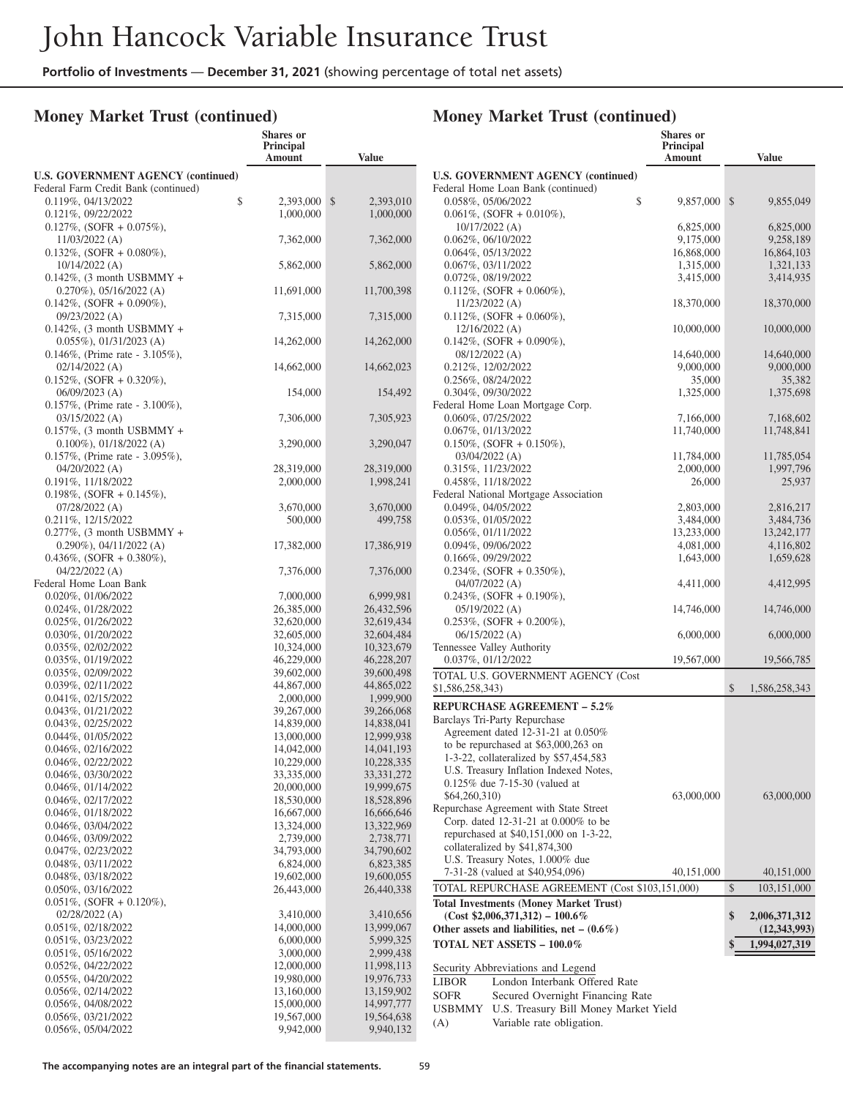**Shares or**

### **Money Market Trust (continued)**

#### **Principal Amount Value U.S. GOVERNMENT AGENCY (continued)** Federal Farm Credit Bank (continued)  $0.119\%, 04/13/2022$ <br>  $0.121\%, 09/22/2022$ <br>  $1,000,000$ <br>  $1,000,000$ <br>  $1,000,000$ 0.121%, 09/22/2022 1,000,000 0.127%, (SOFR + 0.075%), 11/03/2022 (A) 7,362,000 7,362,000  $0.132\%$ , (SOFR + 0.080%), 10/14/2022 (A) 5,862,000 5,862,000  $0.142\%$ , (3 month USBMMY + 0.270%), 05/16/2022 (A) 11,691,000 11,700,398  $0.142\%$ , (SOFR + 0.090%), 09/23/2022 (A) 7,315,000 7,315,000  $0.142\%$ , (3 month USBMMY + 0.055%), 01/31/2023 (A) 14,262,000 14,262,000 0.146%, (Prime rate - 3.105%), 02/14/2022 (A) 14,662,000 14,662,023 0.152%, (SOFR + 0.320%), 06/09/2023 (A) 154,000 154,492 0.157%, (Prime rate - 3.100%), 03/15/2022 (A) 7,306,000 7,305,923 0.157%, (3 month USBMMY + 0.100%), 01/18/2022 (A) 3,290,000 3,290,047 0.157%, (Prime rate - 3.095%), 04/20/2022 (A) 28,319,000 28,319,000 28,319,000 0.191%, 11/18/2022 2,000,000 1,998,241  $0.198\%$ , (SOFR + 0.145%), 07/28/2022 (A) 3,670,000 3,670,000 0.211%, 12/15/2022 500,000 499,758 0.277%, (3 month USBMMY + 0.290%), 04/11/2022 (A) 17,382,000 17,386,919 0.436%, (SOFR + 0.380%), 04/22/2022 (A) 7,376,000 7,376,000 7,376,000 Federal Home Loan Bank 0.020%, 01/06/2022 7,000,000 7,000,000 6,999,981 0.024%, 01/28/2022 26,385,000 26,432,596<br>0.025%, 01/26/2022 32,620,000 32,619,434 0.025%, 01/26/2022 32,620,000 32,619,434<br>0.030%, 01/20/2022 32,605,000 32,604,484 0.030%, 01/20/2022 32,605,000 32,604,484<br>0.035%, 02/02/2022 10,324,000 10,323,679 0.035%, 02/02/2022 10,324,000 10,323,679<br>0.035%, 01/19/2022 46,229,000 46,228,207 0.035%, 01/19/2022 46,229,000 46,228,207<br>0.035%, 02/09/2022 39,602,000 39,600,498 0.035%, 02/09/2022 39,602,000 39,600,498<br>0.039% 02/11/2022 44.867.000 44.865.022 0.039%, 02/11/2022 44,867,000 44,865,022<br>0.041%, 02/15/2022 2.000,000 1,999,900 0.041%, 02/15/2022 2,000,000 1,999,900<br>0.043% 01/21/2022 2000 39.267.000 39.266.068 0.043%, 01/21/2022 39,267,000 39,266,068<br>0.043%, 02/25/2022 14,839,000 14,838,041 0.043%, 02/25/2022 14,839,000 14,838,041<br>0.044%, 01/05/2022 13.000.000 12.999.938 0.044%, 01/05/2022 13,000,000 0.046%, 02/16/2022 14,042,000 14,041,193<br>0.046%, 02/22/2022 10.229,000 10.228,335 0.046%, 02/22/2022 0.046%, 03/30/2022 33,335,000 33,331,272<br>0.046%, 01/14/2022 20.000.000 19.999.675 0.046%, 01/14/2022 20,000,000 0.046%, 02/17/2022 18,530,000 18,528,896<br>0.046%, 01/18/2022 16.667.000 16.666.646 0.046%, 01/18/2022 0.046%, 03/04/2022 13,324,000 13,322,969 0.046%, 03/09/2022 2,739,000 2,738,771 0.047%, 02/23/2022 34,793,000 34,790,602 0.048%, 03/11/2022 6,824,000 6,823,385 0.048%, 03/18/2022 19,602,000 19,600,055<br>0.050%, 03/16/2022 26,443,000 26,440,338 0.050%, 03/16/2022 0.051%, (SOFR + 0.120%), 02/28/2022 (A) 3,410,000 3,410,656<br>
14.000.000 13.999.067<br>
14.000.000 13.999.067 0.051%, 02/18/2022 14,000,000 13,999,067<br>0.051%, 03/23/2022 6.000,000 5,999,325 0.051%, 03/23/2022 6,000,000 5,999,325<br>0.051% 0.5/16/2022 3.000.000 2.999.438 0.051%, 05/16/2022 3,000,000 2,999,438<br>0.052%, 04/22/2022 12.000,000 11,998,113 0.052%, 04/22/2022 12,000,000 11,998,113<br>0.055%, 04/20/2022 19.980,000 19.976.733 0.055%, 04/20/2022 19,980,000 0.056%, 02/14/2022 13,160,000 13,159,902 0.056%, 04/08/2022 15,000,000 14,997,777 0.056%, 03/21/2022 19,567,000 19,564,638<br>0.056%, 05/04/2022 9.942.000 9.940.132 0.056%, 05/04/2022 9,942,000

# **Money Market Trust (continued)**

|                                                                                  | Shares or<br>Principal<br>Amount | <b>Value</b>            |
|----------------------------------------------------------------------------------|----------------------------------|-------------------------|
| <b>U.S. GOVERNMENT AGENCY (continued)</b>                                        |                                  |                         |
| Federal Home Loan Bank (continued)                                               |                                  |                         |
| \$<br>0.058%, 05/06/2022                                                         | 9,857,000                        | \$<br>9,855,049         |
| $0.061\%,$ (SOFR + 0.010%),                                                      |                                  |                         |
| 10/17/2022 (A)                                                                   | 6,825,000                        | 6,825,000               |
| $0.062\%$ , 06/10/2022<br>$0.064\%, 05/13/2022$                                  | 9,175,000<br>16,868,000          | 9,258,189<br>16,864,103 |
| 0.067%, 03/11/2022                                                               | 1,315,000                        | 1,321,133               |
| 0.072%, 08/19/2022                                                               | 3,415,000                        | 3,414,935               |
| $0.112\%,$ (SOFR + 0.060%),                                                      |                                  |                         |
| 11/23/2022 (A)                                                                   | 18,370,000                       | 18,370,000              |
| $0.112\%$ , (SOFR + 0.060%),                                                     |                                  |                         |
| 12/16/2022 (A)                                                                   | 10,000,000                       | 10,000,000              |
| $0.142\%$ , (SOFR + 0.090%),                                                     |                                  |                         |
| 08/12/2022 (A)                                                                   | 14,640,000                       | 14,640,000              |
| 0.212%, 12/02/2022                                                               | 9,000,000                        | 9,000,000               |
| 0.256%, 08/24/2022                                                               | 35,000                           | 35,382                  |
| 0.304%, 09/30/2022                                                               | 1,325,000                        | 1,375,698               |
| Federal Home Loan Mortgage Corp.                                                 |                                  |                         |
| 0.060%, 07/25/2022                                                               | 7,166,000                        | 7,168,602               |
| 0.067%, 01/13/2022<br>$0.150\%,$ (SOFR + 0.150%),                                | 11,740,000                       | 11,748,841              |
| 03/04/2022 (A)                                                                   | 11,784,000                       | 11,785,054              |
| 0.315%, 11/23/2022                                                               | 2,000,000                        | 1,997,796               |
| 0.458%, 11/18/2022                                                               | 26,000                           | 25,937                  |
| Federal National Mortgage Association                                            |                                  |                         |
| 0.049%, 04/05/2022                                                               | 2,803,000                        | 2,816,217               |
| 0.053%, 01/05/2022                                                               | 3,484,000                        | 3,484,736               |
| $0.056\%, 01/11/2022$                                                            | 13,233,000                       | 13,242,177              |
| $0.094\%$ , 09/06/2022                                                           | 4,081,000                        | 4,116,802               |
| 0.166%, 09/29/2022                                                               | 1,643,000                        | 1,659,628               |
| $0.234\%,$ (SOFR + 0.350%),                                                      |                                  |                         |
| 04/07/2022 (A)                                                                   | 4,411,000                        | 4,412,995               |
| $0.243\%,$ (SOFR + 0.190%),                                                      |                                  |                         |
| $05/19/2022$ (A)                                                                 | 14,746,000                       | 14,746,000              |
| $0.253\%,$ (SOFR + 0.200%),                                                      |                                  |                         |
| $06/15/2022$ (A)<br>Tennessee Valley Authority                                   | 6,000,000                        | 6,000,000               |
| 0.037%, 01/12/2022                                                               | 19,567,000                       | 19,566,785              |
| TOTAL U.S. GOVERNMENT AGENCY (Cost                                               |                                  |                         |
| \$1,586,258,343)                                                                 |                                  | \$<br>1,586,258,343     |
| <b>REPURCHASE AGREEMENT - 5.2%</b>                                               |                                  |                         |
| Barclays Tri-Party Repurchase                                                    |                                  |                         |
| Agreement dated 12-31-21 at 0.050%                                               |                                  |                         |
| to be repurchased at \$63,000,263 on                                             |                                  |                         |
| 1-3-22, collateralized by \$57,454,583<br>U.S. Treasury Inflation Indexed Notes, |                                  |                         |
| $0.125\%$ due 7-15-30 (valued at                                                 |                                  |                         |
| \$64,260,310)                                                                    | 63,000,000                       | 63,000,000              |
| Repurchase Agreement with State Street                                           |                                  |                         |
| Corp. dated 12-31-21 at 0.000% to be                                             |                                  |                         |
| repurchased at \$40,151,000 on 1-3-22,                                           |                                  |                         |
| collateralized by \$41,874,300                                                   |                                  |                         |
| U.S. Treasury Notes, 1.000% due                                                  |                                  |                         |
| 7-31-28 (valued at \$40,954,096)                                                 | 40,151,000                       | 40,151,000              |
| TOTAL REPURCHASE AGREEMENT (Cost \$103,151,000)                                  |                                  | \$<br>103,151,000       |
| <b>Total Investments (Money Market Trust)</b>                                    |                                  |                         |
| $(Cost $2,006,371,312) - 100.6\%$                                                |                                  | \$<br>2,006,371,312     |
| Other assets and liabilities, net $-(0.6\%)$                                     |                                  | (12, 343, 993)          |
| <b>TOTAL NET ASSETS - 100.0%</b>                                                 |                                  | 1,994,027,319           |
| Security Abbreviations and Legend                                                |                                  |                         |
| <b>LIBOD</b><br>London Interbank Offered Date                                    |                                  |                         |

LIBOR London Interbank Offered Rate

SOFR Secured Overnight Financing Rate

USBMMY U.S. Treasury Bill Money Market Yield

(A) Variable rate obligation.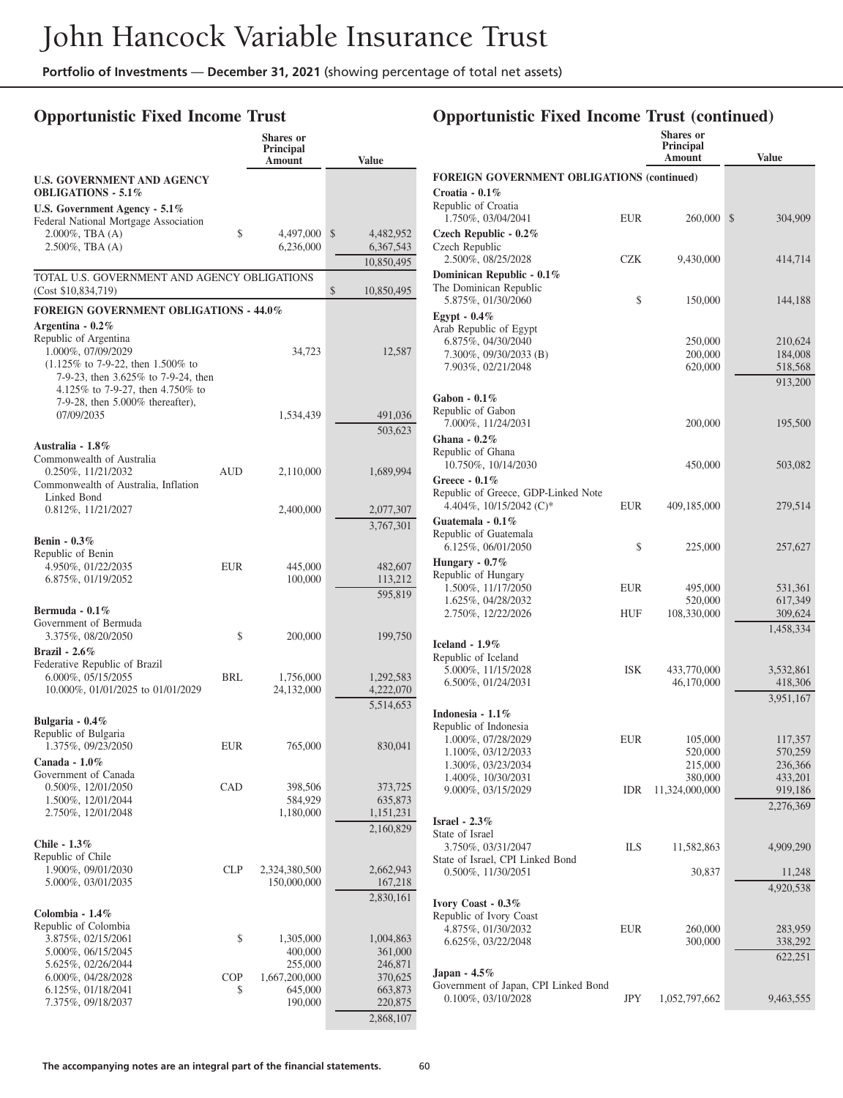### **Opportunistic Fixed Income Trust**

|                                                                                                                                                                                                                   |            | <b>Shares</b> or<br>Principal<br>Amount | <b>Value</b>                                 |
|-------------------------------------------------------------------------------------------------------------------------------------------------------------------------------------------------------------------|------------|-----------------------------------------|----------------------------------------------|
| <b>U.S. GOVERNMENT AND AGENCY</b><br><b>OBLIGATIONS - 5.1%</b>                                                                                                                                                    |            |                                         |                                              |
| U.S. Government Agency $-5.1\%$                                                                                                                                                                                   |            |                                         |                                              |
| Federal National Mortgage Association<br>$2.000\%$ , TBA $(A)$<br>$2.500\%$ , TBA $(A)$                                                                                                                           | \$         | 4,497,000<br>6,236,000                  | \$<br>4,482,952<br>6,367,543                 |
|                                                                                                                                                                                                                   |            |                                         | 10,850,495                                   |
| TOTAL U.S. GOVERNMENT AND AGENCY OBLIGATIONS<br>(Cost \$10,834,719)                                                                                                                                               |            |                                         | \$<br>10,850,495                             |
| <b>FOREIGN GOVERNMENT OBLIGATIONS - 44.0%</b>                                                                                                                                                                     |            |                                         |                                              |
| Argentina - $0.2\%$<br>Republic of Argentina<br>1.000%, 07/09/2029<br>$(1.125\% \text{ to } 7-9-22, \text{ then } 1.500\% \text{ to }$<br>7-9-23, then 3.625% to 7-9-24, then<br>4.125% to 7-9-27, then 4.750% to |            | 34,723                                  | 12,587                                       |
| 7-9-28, then 5.000% thereafter),<br>07/09/2035                                                                                                                                                                    |            | 1,534,439                               | 491,036                                      |
|                                                                                                                                                                                                                   |            |                                         | 503,623                                      |
| Australia - 1.8%<br>Commonwealth of Australia                                                                                                                                                                     |            |                                         |                                              |
| 0.250%, 11/21/2032<br>Commonwealth of Australia, Inflation<br>Linked Bond                                                                                                                                         | AUD        | 2,110,000                               | 1,689,994                                    |
| 0.812%, 11/21/2027                                                                                                                                                                                                |            | 2,400,000                               | 2,077,307                                    |
| <b>Benin - 0.3%</b><br>Republic of Benin                                                                                                                                                                          |            |                                         | 3,767,301                                    |
| 4.950%, 01/22/2035                                                                                                                                                                                                | EUR        | 445,000                                 | 482,607                                      |
| 6.875%, 01/19/2052                                                                                                                                                                                                |            | 100,000                                 | 113,212                                      |
| Bermuda - $0.1\%$<br>Government of Bermuda<br>3.375%, 08/20/2050<br><b>Brazil</b> - 2.6%                                                                                                                          | \$         | 200,000                                 | 595,819<br>199,750                           |
| Federative Republic of Brazil<br>6.000%, 05/15/2055<br>10.000%, 01/01/2025 to 01/01/2029                                                                                                                          | <b>BRL</b> | 1,756,000<br>24,132,000                 | 1,292,583<br>4,222,070<br>5,514,653          |
| Bulgaria - 0.4%<br>Republic of Bulgaria<br>1.375%, 09/23/2050                                                                                                                                                     | EUR        | 765,000                                 | 830,041                                      |
| Canada - 1.0%<br>Government of Canada<br>0.500%, 12/01/2050<br>1.500%, 12/01/2044<br>2.750%, 12/01/2048                                                                                                           | CAD        | 398,506<br>584,929<br>1,180,000         | 373,725<br>635,873<br>1,151,231<br>2,160,829 |
| Chile - 1.3%<br>Republic of Chile                                                                                                                                                                                 |            |                                         |                                              |
| 1.900%, 09/01/2030<br>5.000%, 03/01/2035                                                                                                                                                                          | <b>CLP</b> | 2,324,380,500<br>150,000,000            | 2,662,943<br>167,218<br>2,830,161            |
| Colombia - 1.4%<br>Republic of Colombia                                                                                                                                                                           |            |                                         |                                              |
| 3.875%, 02/15/2061                                                                                                                                                                                                | \$         | 1,305,000                               | 1,004,863                                    |
| 5.000%, 06/15/2045<br>5.625%, 02/26/2044                                                                                                                                                                          |            | 400,000<br>255,000                      | 361,000<br>246,871                           |
| 6.000%, 04/28/2028                                                                                                                                                                                                | COP        | 1,667,200,000                           | 370,625                                      |
| 6.125%, 01/18/2041<br>7.375%, 09/18/2037                                                                                                                                                                          | \$         | 645,000<br>190,000                      | 663,873<br>220,875                           |
|                                                                                                                                                                                                                   |            |                                         | 2,868,107                                    |

|                                                                                   |            | Shares or<br><b>Principal</b><br>Amount | Value                |
|-----------------------------------------------------------------------------------|------------|-----------------------------------------|----------------------|
| <b>FOREIGN GOVERNMENT OBLIGATIONS (continued)</b>                                 |            |                                         |                      |
| Croatia - $0.1\%$<br>Republic of Croatia                                          |            | 260,000                                 |                      |
| 1.750%, 03/04/2041<br>Czech Republic - $0.2\%$<br>Czech Republic                  | <b>EUR</b> |                                         | \$<br>304,909        |
| 2.500%, 08/25/2028<br>Dominican Republic - 0.1%                                   | CZK        | 9,430,000                               | 414,714              |
| The Dominican Republic<br>5.875%, 01/30/2060                                      | \$         | 150,000                                 | 144,188              |
| Egypt - $0.4\%$<br>Arab Republic of Egypt                                         |            |                                         |                      |
| 6.875%, 04/30/2040<br>7.300%, 09/30/2033 (B)                                      |            | 250,000<br>200,000                      | 210,624<br>184,008   |
| 7.903%, 02/21/2048                                                                |            | 620,000                                 | 518,568<br>913,200   |
| Gabon - $0.1\%$<br>Republic of Gabon                                              |            |                                         |                      |
| 7.000%, 11/24/2031<br>Ghana - $0.2\%$                                             |            | 200,000                                 | 195,500              |
| Republic of Ghana<br>10.750%, 10/14/2030                                          |            | 450,000                                 | 503,082              |
| Greece - 0.1%<br>Republic of Greece, GDP-Linked Note<br>4.404%, $10/15/2042$ (C)* | <b>EUR</b> | 409,185,000                             | 279,514              |
| Guatemala - $0.1\%$                                                               |            |                                         |                      |
| Republic of Guatemala<br>6.125%, 06/01/2050                                       | \$         | 225,000                                 | 257,627              |
| Hungary - $0.7\%$                                                                 |            |                                         |                      |
| Republic of Hungary<br>1.500%, 11/17/2050                                         | <b>EUR</b> | 495,000                                 | 531,361              |
| 1.625%, 04/28/2032                                                                |            | 520,000                                 | 617,349              |
| 2.750%, 12/22/2026                                                                | HUF        | 108,330,000                             | 309,624<br>1,458,334 |
| Iceland $-1.9\%$                                                                  |            |                                         |                      |
| Republic of Iceland                                                               |            |                                         |                      |
| 5.000%, 11/15/2028                                                                | <b>ISK</b> | 433,770,000                             | 3,532,861            |
| 6.500%, 01/24/2031                                                                |            | 46,170,000                              | 418,306<br>3,951,167 |
| Indonesia - $1.1\%$                                                               |            |                                         |                      |
| Republic of Indonesia<br>1.000%, 07/28/2029                                       | EUR        | 105,000                                 | 117,357              |
| 1.100%, 03/12/2033                                                                |            | 520,000                                 | 570,259              |
| 1.300%, 03/23/2034                                                                |            | 215,000                                 | 236,366              |
| 1.400%, 10/30/2031                                                                |            | 380,000                                 | 433,201              |
| 9.000%, 03/15/2029                                                                | IDR        | 11,324,000,000                          | 919,186<br>2,276,369 |
| Israel - $2.3\%$                                                                  |            |                                         |                      |
| State of Israel<br>3.750%, 03/31/2047                                             | ILS        | 11,582,863                              | 4,909,290            |
| State of Israel, CPI Linked Bond<br>$0.500\%$ , 11/30/2051                        |            | 30,837                                  | 11,248               |
|                                                                                   |            |                                         | 4,920,538            |
| Ivory Coast - 0.3%                                                                |            |                                         |                      |
| Republic of Ivory Coast                                                           |            |                                         |                      |
| 4.875%, 01/30/2032<br>6.625%, 03/22/2048                                          | EUR        | 260,000<br>300,000                      | 283,959<br>338,292   |
|                                                                                   |            |                                         | 622,251              |
| Japan - $4.5\%$                                                                   |            |                                         |                      |
| Government of Japan, CPI Linked Bond<br>$0.100\%, 03/10/2028$                     | JPY        | 1,052,797,662                           | 9,463,555            |
|                                                                                   |            |                                         |                      |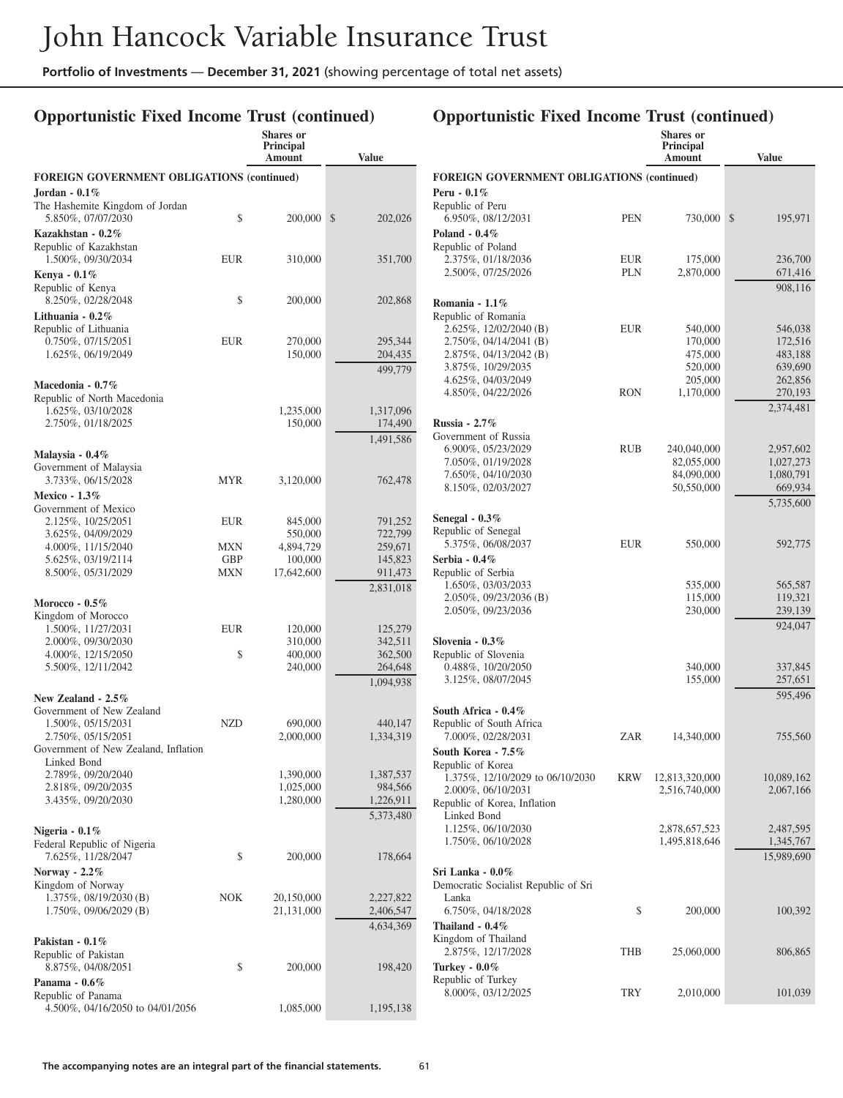# **Opportunistic Fixed Income Trust (continued)**

|                                                                                                          |                                 | <b>Shares</b> or<br>Principal<br>Amount | <b>Value</b>                        |                                                                                                       |                   | Shares or<br>Principal<br>Amount | <b>Value</b>                      |
|----------------------------------------------------------------------------------------------------------|---------------------------------|-----------------------------------------|-------------------------------------|-------------------------------------------------------------------------------------------------------|-------------------|----------------------------------|-----------------------------------|
| <b>FOREIGN GOVERNMENT OBLIGATIONS (continued)</b><br>Jordan - $0.1\%$<br>The Hashemite Kingdom of Jordan |                                 |                                         |                                     | <b>FOREIGN GOVERNMENT OBLIGATIONS (continued)</b><br>Peru - $0.1\%$<br>Republic of Peru               |                   |                                  |                                   |
| 5.850%, 07/07/2030<br>Kazakhstan - 0.2%                                                                  | \$                              | 200,000 \$                              | 202,026                             | 6.950%, 08/12/2031<br>Poland - $0.4\%$                                                                | <b>PEN</b>        | 730,000 \$                       | 195,971                           |
| Republic of Kazakhstan<br>1.500%, 09/30/2034                                                             | <b>EUR</b>                      | 310,000                                 | 351,700                             | Republic of Poland<br>2.375%, 01/18/2036<br>2.500%, 07/25/2026                                        | <b>EUR</b><br>PLN | 175,000<br>2,870,000             | 236,700<br>671,416                |
| Kenya - 0.1%<br>Republic of Kenya<br>8.250%, 02/28/2048                                                  | \$                              | 200,000                                 | 202,868                             | Romania - 1.1%                                                                                        |                   |                                  | 908,116                           |
| Lithuania - $0.2\%$<br>Republic of Lithuania<br>$0.750\%, 07/15/2051$                                    | <b>EUR</b>                      | 270,000                                 | 295,344                             | Republic of Romania<br>2.625%, 12/02/2040 (B)<br>2.750%, 04/14/2041 (B)                               | <b>EUR</b>        | 540,000<br>170,000               | 546,038<br>172,516                |
| 1.625%, 06/19/2049<br>Macedonia - 0.7%                                                                   |                                 | 150,000                                 | 204,435<br>499,779                  | $2.875\%, 04/13/2042$ (B)<br>3.875%, 10/29/2035<br>4.625%, 04/03/2049                                 |                   | 475,000<br>520,000<br>205,000    | 483,188<br>639,690<br>262,856     |
| Republic of North Macedonia<br>1.625%, 03/10/2028<br>2.750%, 01/18/2025                                  |                                 | 1,235,000<br>150,000                    | 1,317,096<br>174,490                | 4.850%, 04/22/2026<br>Russia - $2.7\%$                                                                | <b>RON</b>        | 1,170,000                        | 270,193<br>2,374,481              |
| Malaysia - $0.4\%$                                                                                       |                                 |                                         | 1,491,586                           | Government of Russia<br>6.900%, 05/23/2029<br>7.050%, 01/19/2028                                      | <b>RUB</b>        | 240,040,000<br>82,055,000        | 2,957,602<br>1,027,273            |
| Government of Malaysia<br>3.733%, 06/15/2028<br><b>Mexico - 1.3%</b>                                     | <b>MYR</b>                      | 3,120,000                               | 762,478                             | 7.650%, 04/10/2030<br>8.150%, 02/03/2027                                                              |                   | 84,090,000<br>50,550,000         | 1,080,791<br>669,934<br>5,735,600 |
| Government of Mexico<br>2.125%, 10/25/2051<br>3.625%, 04/09/2029                                         | <b>EUR</b>                      | 845,000<br>550,000                      | 791,252<br>722,799                  | Senegal - $0.3\%$<br>Republic of Senegal                                                              | <b>EUR</b>        |                                  |                                   |
| 4.000%, 11/15/2040<br>5.625%, 03/19/2114<br>8.500%, 05/31/2029                                           | MXN<br><b>GBP</b><br><b>MXN</b> | 4,894,729<br>100,000<br>17,642,600      | 259,671<br>145,823<br>911,473       | 5.375%, 06/08/2037<br>Serbia - 0.4%<br>Republic of Serbia                                             |                   | 550,000                          | 592,775                           |
| Morocco - $0.5\%$<br>Kingdom of Morocco                                                                  |                                 |                                         | 2,831,018                           | 1.650%, 03/03/2033<br>$2.050\%, 09/23/2036$ (B)<br>2.050%, 09/23/2036                                 |                   | 535,000<br>115,000<br>230,000    | 565,587<br>119,321<br>239,139     |
| 1.500%, 11/27/2031<br>2.000%, 09/30/2030<br>4.000%, 12/15/2050                                           | <b>EUR</b><br>\$                | 120,000<br>310,000<br>400,000           | 125,279<br>342,511<br>362,500       | Slovenia - $0.3\%$<br>Republic of Slovenia                                                            |                   |                                  | 924,047                           |
| 5.500%, 12/11/2042<br>New Zealand - 2.5%                                                                 |                                 | 240,000                                 | 264,648<br>1,094,938                | 0.488%, 10/20/2050<br>3.125%, 08/07/2045                                                              |                   | 340,000<br>155,000               | 337,845<br>257,651<br>595,496     |
| Government of New Zealand<br>1.500%, 05/15/2031<br>2.750%, 05/15/2051                                    | <b>NZD</b>                      | 690,000<br>2,000,000                    | 440,147<br>1,334,319                | South Africa - 0.4%<br>Republic of South Africa<br>7.000%, 02/28/2031                                 | ZAR               | 14,340,000                       | 755,560                           |
| Government of New Zealand, Inflation<br>Linked Bond<br>2.789%, 09/20/2040                                |                                 | 1,390,000                               | 1,387,537                           | South Korea - 7.5%<br>Republic of Korea                                                               |                   |                                  |                                   |
| 2.818%, 09/20/2035<br>3.435%, 09/20/2030                                                                 |                                 | 1,025,000<br>1,280,000                  | 984,566<br>1,226,911<br>5,373,480   | 1.375%, 12/10/2029 to 06/10/2030<br>2.000%, 06/10/2031<br>Republic of Korea, Inflation<br>Linked Bond | <b>KRW</b>        | 12,813,320,000<br>2,516,740,000  | 10,089,162<br>2,067,166           |
| Nigeria - $0.1\%$<br>Federal Republic of Nigeria                                                         |                                 |                                         |                                     | 1.125%, 06/10/2030<br>1.750%, 06/10/2028                                                              |                   | 2,878,657,523<br>1,495,818,646   | 2,487,595<br>1,345,767            |
| 7.625%, 11/28/2047<br>Norway - $2.2\%$<br>Kingdom of Norway                                              | \$                              | 200,000                                 | 178,664                             | Sri Lanka - 0.0%<br>Democratic Socialist Republic of Sri                                              |                   |                                  | 15,989,690                        |
| $1.375\%$ , 08/19/2030 (B)<br>$1.750\%$ , 09/06/2029 (B)                                                 | <b>NOK</b>                      | 20,150,000<br>21,131,000                | 2,227,822<br>2,406,547<br>4,634,369 | Lanka<br>6.750%, 04/18/2028<br>Thailand - 0.4%                                                        | \$                | 200,000                          | 100,392                           |
| Pakistan - $0.1\%$<br>Republic of Pakistan<br>8.875%, 04/08/2051                                         | \$                              | 200,000                                 | 198,420                             | Kingdom of Thailand<br>2.875%, 12/17/2028<br>Turkey - $0.0\%$                                         | THB               | 25,060,000                       | 806,865                           |
| Panama - 0.6%<br>Republic of Panama<br>4.500%, 04/16/2050 to 04/01/2056                                  |                                 | 1,085,000                               | 1,195,138                           | Republic of Turkey<br>8.000%, 03/12/2025                                                              | <b>TRY</b>        | 2,010,000                        | 101,039                           |
|                                                                                                          |                                 |                                         |                                     |                                                                                                       |                   |                                  |                                   |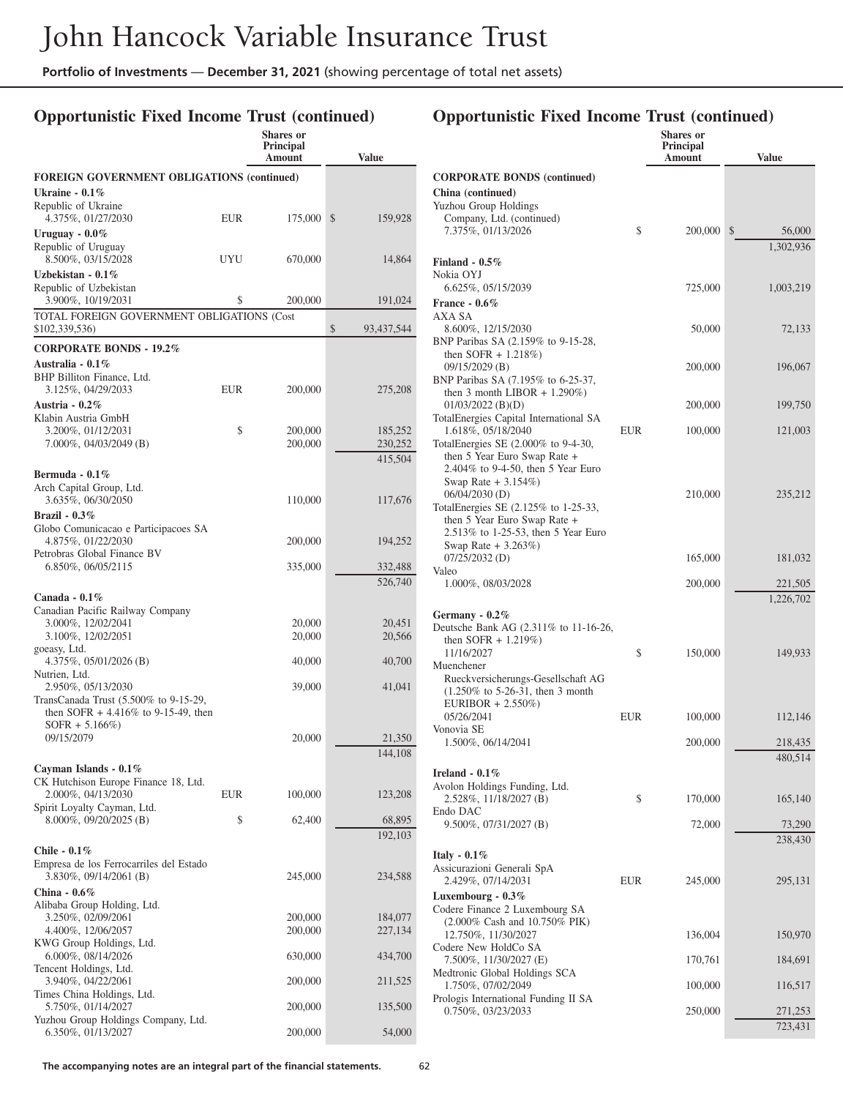# **Opportunistic Fixed Income Trust (continued)**

| <b>Value</b><br>Amount<br><b>FOREIGN GOVERNMENT OBLIGATIONS (continued)</b><br>Ukraine - $0.1\%$<br>Republic of Ukraine<br>4.375%, 01/27/2030<br><b>EUR</b><br>175,000<br><sup>\$</sup><br>159,928<br>Uruguay - 0.0%<br>Republic of Uruguay<br>8.500%, 03/15/2028<br><b>UYU</b><br>670,000<br>14,864<br>Uzbekistan - 0.1%<br>Republic of Uzbekistan<br>3.900%, 10/19/2031<br>\$<br>200,000<br>191,024<br>TOTAL FOREIGN GOVERNMENT OBLIGATIONS (Cost<br>\$<br>\$102,339,536)<br>93,437,544<br><b>CORPORATE BONDS - 19.2%</b><br>Australia - 0.1%<br>BHP Billiton Finance, Ltd.<br>3.125%, 04/29/2033<br>EUR<br>200,000<br>275,208<br>Austria - $0.2\%$<br>Klabin Austria GmbH<br>3.200%, 01/12/2031<br>\$<br>200,000<br>185,252<br>$7.000\%$ , 04/03/2049 (B)<br>200,000<br>230,252<br>415,504<br>Bermuda - $0.1\%$<br>Arch Capital Group, Ltd.<br>3.635%, 06/30/2050<br>110,000<br>117,676<br>Brazil - $0.3\%$<br>Globo Comunicacao e Participacoes SA<br>4.875%, 01/22/2030<br>200,000<br>194,252<br>Petrobras Global Finance BV<br>6.850%, 06/05/2115<br>335,000<br>332,488<br>526,740<br>Canada - $0.1\%$<br>Canadian Pacific Railway Company<br>3.000%, 12/02/2041<br>20,451<br>20,000<br>3.100%, 12/02/2051<br>20,566<br>20,000<br>goeasy, Ltd.<br>4.375%, $05/01/2026$ (B)<br>40,000<br>40,700<br>Nutrien, Ltd.<br>2.950%, 05/13/2030<br>39,000<br>41,041<br>TransCanada Trust (5.500% to 9-15-29,<br>then SOFR $+4.416\%$ to 9-15-49, then<br>$SOFR + 5.166\%)$<br>09/15/2079<br>20,000<br>21,350<br>144,108<br>Cayman Islands - 0.1%<br>CK Hutchison Europe Finance 18, Ltd.<br>2.000%, 04/13/2030<br>100,000<br>123,208<br>EUR<br>Spirit Loyalty Cayman, Ltd.<br>\$<br>8.000%, 09/20/2025 (B)<br>62,400<br>68,895<br>192,103<br>Chile - $0.1\%$<br>Empresa de los Ferrocarriles del Estado<br>3.830%, 09/14/2061 (B)<br>245,000<br>234,588<br>China - $0.6\%$<br>Alibaba Group Holding, Ltd.<br>3.250%, 02/09/2061<br>200,000<br>184,077<br>4.400%, 12/06/2057<br>200,000<br>227,134<br>KWG Group Holdings, Ltd.<br>6.000%, 08/14/2026<br>630,000<br>434,700<br>Tencent Holdings, Ltd.<br>3.940%, 04/22/2061<br>200,000<br>211,525<br>Times China Holdings, Ltd.<br>5.750%, 01/14/2027<br>200,000<br>135,500<br>Yuzhou Group Holdings Company, Ltd.<br>6.350%, 01/13/2027<br>200,000<br>54,000 |  | Shares or<br>Principal |  |
|---------------------------------------------------------------------------------------------------------------------------------------------------------------------------------------------------------------------------------------------------------------------------------------------------------------------------------------------------------------------------------------------------------------------------------------------------------------------------------------------------------------------------------------------------------------------------------------------------------------------------------------------------------------------------------------------------------------------------------------------------------------------------------------------------------------------------------------------------------------------------------------------------------------------------------------------------------------------------------------------------------------------------------------------------------------------------------------------------------------------------------------------------------------------------------------------------------------------------------------------------------------------------------------------------------------------------------------------------------------------------------------------------------------------------------------------------------------------------------------------------------------------------------------------------------------------------------------------------------------------------------------------------------------------------------------------------------------------------------------------------------------------------------------------------------------------------------------------------------------------------------------------------------------------------------------------------------------------------------------------------------------------------------------------------------------------------------------------------------------------------------------------------------------------------------------------------------------------------------------------------------------------------------------------------------|--|------------------------|--|
|                                                                                                                                                                                                                                                                                                                                                                                                                                                                                                                                                                                                                                                                                                                                                                                                                                                                                                                                                                                                                                                                                                                                                                                                                                                                                                                                                                                                                                                                                                                                                                                                                                                                                                                                                                                                                                                                                                                                                                                                                                                                                                                                                                                                                                                                                                         |  |                        |  |
|                                                                                                                                                                                                                                                                                                                                                                                                                                                                                                                                                                                                                                                                                                                                                                                                                                                                                                                                                                                                                                                                                                                                                                                                                                                                                                                                                                                                                                                                                                                                                                                                                                                                                                                                                                                                                                                                                                                                                                                                                                                                                                                                                                                                                                                                                                         |  |                        |  |
|                                                                                                                                                                                                                                                                                                                                                                                                                                                                                                                                                                                                                                                                                                                                                                                                                                                                                                                                                                                                                                                                                                                                                                                                                                                                                                                                                                                                                                                                                                                                                                                                                                                                                                                                                                                                                                                                                                                                                                                                                                                                                                                                                                                                                                                                                                         |  |                        |  |
|                                                                                                                                                                                                                                                                                                                                                                                                                                                                                                                                                                                                                                                                                                                                                                                                                                                                                                                                                                                                                                                                                                                                                                                                                                                                                                                                                                                                                                                                                                                                                                                                                                                                                                                                                                                                                                                                                                                                                                                                                                                                                                                                                                                                                                                                                                         |  |                        |  |
|                                                                                                                                                                                                                                                                                                                                                                                                                                                                                                                                                                                                                                                                                                                                                                                                                                                                                                                                                                                                                                                                                                                                                                                                                                                                                                                                                                                                                                                                                                                                                                                                                                                                                                                                                                                                                                                                                                                                                                                                                                                                                                                                                                                                                                                                                                         |  |                        |  |
|                                                                                                                                                                                                                                                                                                                                                                                                                                                                                                                                                                                                                                                                                                                                                                                                                                                                                                                                                                                                                                                                                                                                                                                                                                                                                                                                                                                                                                                                                                                                                                                                                                                                                                                                                                                                                                                                                                                                                                                                                                                                                                                                                                                                                                                                                                         |  |                        |  |
|                                                                                                                                                                                                                                                                                                                                                                                                                                                                                                                                                                                                                                                                                                                                                                                                                                                                                                                                                                                                                                                                                                                                                                                                                                                                                                                                                                                                                                                                                                                                                                                                                                                                                                                                                                                                                                                                                                                                                                                                                                                                                                                                                                                                                                                                                                         |  |                        |  |
|                                                                                                                                                                                                                                                                                                                                                                                                                                                                                                                                                                                                                                                                                                                                                                                                                                                                                                                                                                                                                                                                                                                                                                                                                                                                                                                                                                                                                                                                                                                                                                                                                                                                                                                                                                                                                                                                                                                                                                                                                                                                                                                                                                                                                                                                                                         |  |                        |  |
|                                                                                                                                                                                                                                                                                                                                                                                                                                                                                                                                                                                                                                                                                                                                                                                                                                                                                                                                                                                                                                                                                                                                                                                                                                                                                                                                                                                                                                                                                                                                                                                                                                                                                                                                                                                                                                                                                                                                                                                                                                                                                                                                                                                                                                                                                                         |  |                        |  |
|                                                                                                                                                                                                                                                                                                                                                                                                                                                                                                                                                                                                                                                                                                                                                                                                                                                                                                                                                                                                                                                                                                                                                                                                                                                                                                                                                                                                                                                                                                                                                                                                                                                                                                                                                                                                                                                                                                                                                                                                                                                                                                                                                                                                                                                                                                         |  |                        |  |
|                                                                                                                                                                                                                                                                                                                                                                                                                                                                                                                                                                                                                                                                                                                                                                                                                                                                                                                                                                                                                                                                                                                                                                                                                                                                                                                                                                                                                                                                                                                                                                                                                                                                                                                                                                                                                                                                                                                                                                                                                                                                                                                                                                                                                                                                                                         |  |                        |  |
|                                                                                                                                                                                                                                                                                                                                                                                                                                                                                                                                                                                                                                                                                                                                                                                                                                                                                                                                                                                                                                                                                                                                                                                                                                                                                                                                                                                                                                                                                                                                                                                                                                                                                                                                                                                                                                                                                                                                                                                                                                                                                                                                                                                                                                                                                                         |  |                        |  |
|                                                                                                                                                                                                                                                                                                                                                                                                                                                                                                                                                                                                                                                                                                                                                                                                                                                                                                                                                                                                                                                                                                                                                                                                                                                                                                                                                                                                                                                                                                                                                                                                                                                                                                                                                                                                                                                                                                                                                                                                                                                                                                                                                                                                                                                                                                         |  |                        |  |
|                                                                                                                                                                                                                                                                                                                                                                                                                                                                                                                                                                                                                                                                                                                                                                                                                                                                                                                                                                                                                                                                                                                                                                                                                                                                                                                                                                                                                                                                                                                                                                                                                                                                                                                                                                                                                                                                                                                                                                                                                                                                                                                                                                                                                                                                                                         |  |                        |  |
|                                                                                                                                                                                                                                                                                                                                                                                                                                                                                                                                                                                                                                                                                                                                                                                                                                                                                                                                                                                                                                                                                                                                                                                                                                                                                                                                                                                                                                                                                                                                                                                                                                                                                                                                                                                                                                                                                                                                                                                                                                                                                                                                                                                                                                                                                                         |  |                        |  |
|                                                                                                                                                                                                                                                                                                                                                                                                                                                                                                                                                                                                                                                                                                                                                                                                                                                                                                                                                                                                                                                                                                                                                                                                                                                                                                                                                                                                                                                                                                                                                                                                                                                                                                                                                                                                                                                                                                                                                                                                                                                                                                                                                                                                                                                                                                         |  |                        |  |
|                                                                                                                                                                                                                                                                                                                                                                                                                                                                                                                                                                                                                                                                                                                                                                                                                                                                                                                                                                                                                                                                                                                                                                                                                                                                                                                                                                                                                                                                                                                                                                                                                                                                                                                                                                                                                                                                                                                                                                                                                                                                                                                                                                                                                                                                                                         |  |                        |  |
|                                                                                                                                                                                                                                                                                                                                                                                                                                                                                                                                                                                                                                                                                                                                                                                                                                                                                                                                                                                                                                                                                                                                                                                                                                                                                                                                                                                                                                                                                                                                                                                                                                                                                                                                                                                                                                                                                                                                                                                                                                                                                                                                                                                                                                                                                                         |  |                        |  |
|                                                                                                                                                                                                                                                                                                                                                                                                                                                                                                                                                                                                                                                                                                                                                                                                                                                                                                                                                                                                                                                                                                                                                                                                                                                                                                                                                                                                                                                                                                                                                                                                                                                                                                                                                                                                                                                                                                                                                                                                                                                                                                                                                                                                                                                                                                         |  |                        |  |
|                                                                                                                                                                                                                                                                                                                                                                                                                                                                                                                                                                                                                                                                                                                                                                                                                                                                                                                                                                                                                                                                                                                                                                                                                                                                                                                                                                                                                                                                                                                                                                                                                                                                                                                                                                                                                                                                                                                                                                                                                                                                                                                                                                                                                                                                                                         |  |                        |  |
|                                                                                                                                                                                                                                                                                                                                                                                                                                                                                                                                                                                                                                                                                                                                                                                                                                                                                                                                                                                                                                                                                                                                                                                                                                                                                                                                                                                                                                                                                                                                                                                                                                                                                                                                                                                                                                                                                                                                                                                                                                                                                                                                                                                                                                                                                                         |  |                        |  |
|                                                                                                                                                                                                                                                                                                                                                                                                                                                                                                                                                                                                                                                                                                                                                                                                                                                                                                                                                                                                                                                                                                                                                                                                                                                                                                                                                                                                                                                                                                                                                                                                                                                                                                                                                                                                                                                                                                                                                                                                                                                                                                                                                                                                                                                                                                         |  |                        |  |
|                                                                                                                                                                                                                                                                                                                                                                                                                                                                                                                                                                                                                                                                                                                                                                                                                                                                                                                                                                                                                                                                                                                                                                                                                                                                                                                                                                                                                                                                                                                                                                                                                                                                                                                                                                                                                                                                                                                                                                                                                                                                                                                                                                                                                                                                                                         |  |                        |  |
|                                                                                                                                                                                                                                                                                                                                                                                                                                                                                                                                                                                                                                                                                                                                                                                                                                                                                                                                                                                                                                                                                                                                                                                                                                                                                                                                                                                                                                                                                                                                                                                                                                                                                                                                                                                                                                                                                                                                                                                                                                                                                                                                                                                                                                                                                                         |  |                        |  |
|                                                                                                                                                                                                                                                                                                                                                                                                                                                                                                                                                                                                                                                                                                                                                                                                                                                                                                                                                                                                                                                                                                                                                                                                                                                                                                                                                                                                                                                                                                                                                                                                                                                                                                                                                                                                                                                                                                                                                                                                                                                                                                                                                                                                                                                                                                         |  |                        |  |
|                                                                                                                                                                                                                                                                                                                                                                                                                                                                                                                                                                                                                                                                                                                                                                                                                                                                                                                                                                                                                                                                                                                                                                                                                                                                                                                                                                                                                                                                                                                                                                                                                                                                                                                                                                                                                                                                                                                                                                                                                                                                                                                                                                                                                                                                                                         |  |                        |  |
|                                                                                                                                                                                                                                                                                                                                                                                                                                                                                                                                                                                                                                                                                                                                                                                                                                                                                                                                                                                                                                                                                                                                                                                                                                                                                                                                                                                                                                                                                                                                                                                                                                                                                                                                                                                                                                                                                                                                                                                                                                                                                                                                                                                                                                                                                                         |  |                        |  |
|                                                                                                                                                                                                                                                                                                                                                                                                                                                                                                                                                                                                                                                                                                                                                                                                                                                                                                                                                                                                                                                                                                                                                                                                                                                                                                                                                                                                                                                                                                                                                                                                                                                                                                                                                                                                                                                                                                                                                                                                                                                                                                                                                                                                                                                                                                         |  |                        |  |
|                                                                                                                                                                                                                                                                                                                                                                                                                                                                                                                                                                                                                                                                                                                                                                                                                                                                                                                                                                                                                                                                                                                                                                                                                                                                                                                                                                                                                                                                                                                                                                                                                                                                                                                                                                                                                                                                                                                                                                                                                                                                                                                                                                                                                                                                                                         |  |                        |  |
|                                                                                                                                                                                                                                                                                                                                                                                                                                                                                                                                                                                                                                                                                                                                                                                                                                                                                                                                                                                                                                                                                                                                                                                                                                                                                                                                                                                                                                                                                                                                                                                                                                                                                                                                                                                                                                                                                                                                                                                                                                                                                                                                                                                                                                                                                                         |  |                        |  |
|                                                                                                                                                                                                                                                                                                                                                                                                                                                                                                                                                                                                                                                                                                                                                                                                                                                                                                                                                                                                                                                                                                                                                                                                                                                                                                                                                                                                                                                                                                                                                                                                                                                                                                                                                                                                                                                                                                                                                                                                                                                                                                                                                                                                                                                                                                         |  |                        |  |
|                                                                                                                                                                                                                                                                                                                                                                                                                                                                                                                                                                                                                                                                                                                                                                                                                                                                                                                                                                                                                                                                                                                                                                                                                                                                                                                                                                                                                                                                                                                                                                                                                                                                                                                                                                                                                                                                                                                                                                                                                                                                                                                                                                                                                                                                                                         |  |                        |  |
|                                                                                                                                                                                                                                                                                                                                                                                                                                                                                                                                                                                                                                                                                                                                                                                                                                                                                                                                                                                                                                                                                                                                                                                                                                                                                                                                                                                                                                                                                                                                                                                                                                                                                                                                                                                                                                                                                                                                                                                                                                                                                                                                                                                                                                                                                                         |  |                        |  |
|                                                                                                                                                                                                                                                                                                                                                                                                                                                                                                                                                                                                                                                                                                                                                                                                                                                                                                                                                                                                                                                                                                                                                                                                                                                                                                                                                                                                                                                                                                                                                                                                                                                                                                                                                                                                                                                                                                                                                                                                                                                                                                                                                                                                                                                                                                         |  |                        |  |
|                                                                                                                                                                                                                                                                                                                                                                                                                                                                                                                                                                                                                                                                                                                                                                                                                                                                                                                                                                                                                                                                                                                                                                                                                                                                                                                                                                                                                                                                                                                                                                                                                                                                                                                                                                                                                                                                                                                                                                                                                                                                                                                                                                                                                                                                                                         |  |                        |  |
|                                                                                                                                                                                                                                                                                                                                                                                                                                                                                                                                                                                                                                                                                                                                                                                                                                                                                                                                                                                                                                                                                                                                                                                                                                                                                                                                                                                                                                                                                                                                                                                                                                                                                                                                                                                                                                                                                                                                                                                                                                                                                                                                                                                                                                                                                                         |  |                        |  |
|                                                                                                                                                                                                                                                                                                                                                                                                                                                                                                                                                                                                                                                                                                                                                                                                                                                                                                                                                                                                                                                                                                                                                                                                                                                                                                                                                                                                                                                                                                                                                                                                                                                                                                                                                                                                                                                                                                                                                                                                                                                                                                                                                                                                                                                                                                         |  |                        |  |
|                                                                                                                                                                                                                                                                                                                                                                                                                                                                                                                                                                                                                                                                                                                                                                                                                                                                                                                                                                                                                                                                                                                                                                                                                                                                                                                                                                                                                                                                                                                                                                                                                                                                                                                                                                                                                                                                                                                                                                                                                                                                                                                                                                                                                                                                                                         |  |                        |  |
|                                                                                                                                                                                                                                                                                                                                                                                                                                                                                                                                                                                                                                                                                                                                                                                                                                                                                                                                                                                                                                                                                                                                                                                                                                                                                                                                                                                                                                                                                                                                                                                                                                                                                                                                                                                                                                                                                                                                                                                                                                                                                                                                                                                                                                                                                                         |  |                        |  |
|                                                                                                                                                                                                                                                                                                                                                                                                                                                                                                                                                                                                                                                                                                                                                                                                                                                                                                                                                                                                                                                                                                                                                                                                                                                                                                                                                                                                                                                                                                                                                                                                                                                                                                                                                                                                                                                                                                                                                                                                                                                                                                                                                                                                                                                                                                         |  |                        |  |
|                                                                                                                                                                                                                                                                                                                                                                                                                                                                                                                                                                                                                                                                                                                                                                                                                                                                                                                                                                                                                                                                                                                                                                                                                                                                                                                                                                                                                                                                                                                                                                                                                                                                                                                                                                                                                                                                                                                                                                                                                                                                                                                                                                                                                                                                                                         |  |                        |  |
|                                                                                                                                                                                                                                                                                                                                                                                                                                                                                                                                                                                                                                                                                                                                                                                                                                                                                                                                                                                                                                                                                                                                                                                                                                                                                                                                                                                                                                                                                                                                                                                                                                                                                                                                                                                                                                                                                                                                                                                                                                                                                                                                                                                                                                                                                                         |  |                        |  |
|                                                                                                                                                                                                                                                                                                                                                                                                                                                                                                                                                                                                                                                                                                                                                                                                                                                                                                                                                                                                                                                                                                                                                                                                                                                                                                                                                                                                                                                                                                                                                                                                                                                                                                                                                                                                                                                                                                                                                                                                                                                                                                                                                                                                                                                                                                         |  |                        |  |
|                                                                                                                                                                                                                                                                                                                                                                                                                                                                                                                                                                                                                                                                                                                                                                                                                                                                                                                                                                                                                                                                                                                                                                                                                                                                                                                                                                                                                                                                                                                                                                                                                                                                                                                                                                                                                                                                                                                                                                                                                                                                                                                                                                                                                                                                                                         |  |                        |  |
|                                                                                                                                                                                                                                                                                                                                                                                                                                                                                                                                                                                                                                                                                                                                                                                                                                                                                                                                                                                                                                                                                                                                                                                                                                                                                                                                                                                                                                                                                                                                                                                                                                                                                                                                                                                                                                                                                                                                                                                                                                                                                                                                                                                                                                                                                                         |  |                        |  |
|                                                                                                                                                                                                                                                                                                                                                                                                                                                                                                                                                                                                                                                                                                                                                                                                                                                                                                                                                                                                                                                                                                                                                                                                                                                                                                                                                                                                                                                                                                                                                                                                                                                                                                                                                                                                                                                                                                                                                                                                                                                                                                                                                                                                                                                                                                         |  |                        |  |
|                                                                                                                                                                                                                                                                                                                                                                                                                                                                                                                                                                                                                                                                                                                                                                                                                                                                                                                                                                                                                                                                                                                                                                                                                                                                                                                                                                                                                                                                                                                                                                                                                                                                                                                                                                                                                                                                                                                                                                                                                                                                                                                                                                                                                                                                                                         |  |                        |  |
|                                                                                                                                                                                                                                                                                                                                                                                                                                                                                                                                                                                                                                                                                                                                                                                                                                                                                                                                                                                                                                                                                                                                                                                                                                                                                                                                                                                                                                                                                                                                                                                                                                                                                                                                                                                                                                                                                                                                                                                                                                                                                                                                                                                                                                                                                                         |  |                        |  |
|                                                                                                                                                                                                                                                                                                                                                                                                                                                                                                                                                                                                                                                                                                                                                                                                                                                                                                                                                                                                                                                                                                                                                                                                                                                                                                                                                                                                                                                                                                                                                                                                                                                                                                                                                                                                                                                                                                                                                                                                                                                                                                                                                                                                                                                                                                         |  |                        |  |
|                                                                                                                                                                                                                                                                                                                                                                                                                                                                                                                                                                                                                                                                                                                                                                                                                                                                                                                                                                                                                                                                                                                                                                                                                                                                                                                                                                                                                                                                                                                                                                                                                                                                                                                                                                                                                                                                                                                                                                                                                                                                                                                                                                                                                                                                                                         |  |                        |  |
|                                                                                                                                                                                                                                                                                                                                                                                                                                                                                                                                                                                                                                                                                                                                                                                                                                                                                                                                                                                                                                                                                                                                                                                                                                                                                                                                                                                                                                                                                                                                                                                                                                                                                                                                                                                                                                                                                                                                                                                                                                                                                                                                                                                                                                                                                                         |  |                        |  |
|                                                                                                                                                                                                                                                                                                                                                                                                                                                                                                                                                                                                                                                                                                                                                                                                                                                                                                                                                                                                                                                                                                                                                                                                                                                                                                                                                                                                                                                                                                                                                                                                                                                                                                                                                                                                                                                                                                                                                                                                                                                                                                                                                                                                                                                                                                         |  |                        |  |

|                                                                                                      |            | Shares or<br><b>Principal</b><br>Amount | <b>Value</b>       |
|------------------------------------------------------------------------------------------------------|------------|-----------------------------------------|--------------------|
| <b>CORPORATE BONDS (continued)</b>                                                                   |            |                                         |                    |
| China (continued)                                                                                    |            |                                         |                    |
| Yuzhou Group Holdings                                                                                |            |                                         |                    |
| Company, Ltd. (continued)<br>7.375%, 01/13/2026                                                      | \$         | 200,000                                 | \$<br>56,000       |
|                                                                                                      |            |                                         | 1,302,936          |
| Finland $-0.5\%$                                                                                     |            |                                         |                    |
| Nokia OYJ                                                                                            |            |                                         |                    |
| 6.625%, 05/15/2039                                                                                   |            | 725,000                                 | 1,003,219          |
| France $-0.6\%$                                                                                      |            |                                         |                    |
| AXA SA<br>8.600%, 12/15/2030                                                                         |            | 50,000                                  | 72,133             |
| BNP Paribas SA (2.159% to 9-15-28,                                                                   |            |                                         |                    |
| then SOFR $+ 1.218\%)$                                                                               |            |                                         |                    |
| 09/15/2029 (B)                                                                                       |            | 200,000                                 | 196,067            |
| BNP Paribas SA (7.195% to 6-25-37,                                                                   |            |                                         |                    |
| then 3 month LIBOR + $1.290\%$ )<br>$01/03/2022$ (B)(D)                                              |            | 200,000                                 | 199,750            |
| TotalEnergies Capital International SA                                                               |            |                                         |                    |
| 1.618%, 05/18/2040                                                                                   | <b>EUR</b> | 100,000                                 | 121,003            |
| TotalEnergies SE (2.000% to 9-4-30,                                                                  |            |                                         |                    |
| then 5 Year Euro Swap Rate +<br>2.404% to 9-4-50, then 5 Year Euro                                   |            |                                         |                    |
| Swap Rate $+3.154\%)$                                                                                |            |                                         |                    |
| 06/04/2030 (D)                                                                                       |            | 210,000                                 | 235,212            |
| TotalEnergies SE (2.125% to 1-25-33,                                                                 |            |                                         |                    |
| then 5 Year Euro Swap Rate +<br>2.513% to 1-25-53, then 5 Year Euro                                  |            |                                         |                    |
| Swap Rate $+3.263\%$ )                                                                               |            |                                         |                    |
| $07/25/2032$ (D)                                                                                     |            | 165,000                                 | 181,032            |
| Valeo                                                                                                |            |                                         |                    |
| 1.000%, 08/03/2028                                                                                   |            | 200,000                                 | 221,505            |
|                                                                                                      |            |                                         | 1,226,702          |
| Germany - $0.2\%$<br>Deutsche Bank AG (2.311% to 11-16-26,                                           |            |                                         |                    |
| then SOFR $+ 1.219\%)$                                                                               |            |                                         |                    |
| 11/16/2027                                                                                           | \$         | 150,000                                 | 149,933            |
| Muenchener                                                                                           |            |                                         |                    |
| Rueckversicherungs-Gesellschaft AG<br>$(1.250\% \text{ to } 5-26-31, \text{ then } 3 \text{ month})$ |            |                                         |                    |
| EURIBOR $+ 2.550\%)$                                                                                 |            |                                         |                    |
| 05/26/2041                                                                                           | EUR        | 100,000                                 | 112,146            |
| Vonovia SE                                                                                           |            |                                         |                    |
| 1.500%, 06/14/2041                                                                                   |            | 200,000                                 | 218,435            |
|                                                                                                      |            |                                         | 480,514            |
| Ireland $-0.1\%$<br>Avolon Holdings Funding, Ltd.                                                    |            |                                         |                    |
| 2.528%, 11/18/2027 (B)                                                                               | \$         | 170,000                                 | 165,140            |
| Endo DAC                                                                                             |            |                                         |                    |
| 9.500%, 07/31/2027 (B)                                                                               |            | 72,000                                  | 73,290             |
|                                                                                                      |            |                                         | 238,430            |
| Italy - $0.1\%$                                                                                      |            |                                         |                    |
| Assicurazioni Generali SpA<br>2.429%, 07/14/2031                                                     | EUR        | 245,000                                 | 295,131            |
| Luxembourg - $0.3\%$                                                                                 |            |                                         |                    |
| Codere Finance 2 Luxembourg SA                                                                       |            |                                         |                    |
| $(2.000\% \text{ Cash and } 10.750\% \text{ PIK})$                                                   |            |                                         |                    |
| 12.750%, 11/30/2027                                                                                  |            | 136,004                                 | 150,970            |
| Codere New HoldCo SA<br>7.500%, 11/30/2027 (E)                                                       |            | 170,761                                 | 184,691            |
| Medtronic Global Holdings SCA                                                                        |            |                                         |                    |
| 1.750%, 07/02/2049                                                                                   |            | 100,000                                 | 116,517            |
| Prologis International Funding II SA                                                                 |            |                                         |                    |
| 0.750%, 03/23/2033                                                                                   |            | 250,000                                 | 271,253<br>723,431 |
|                                                                                                      |            |                                         |                    |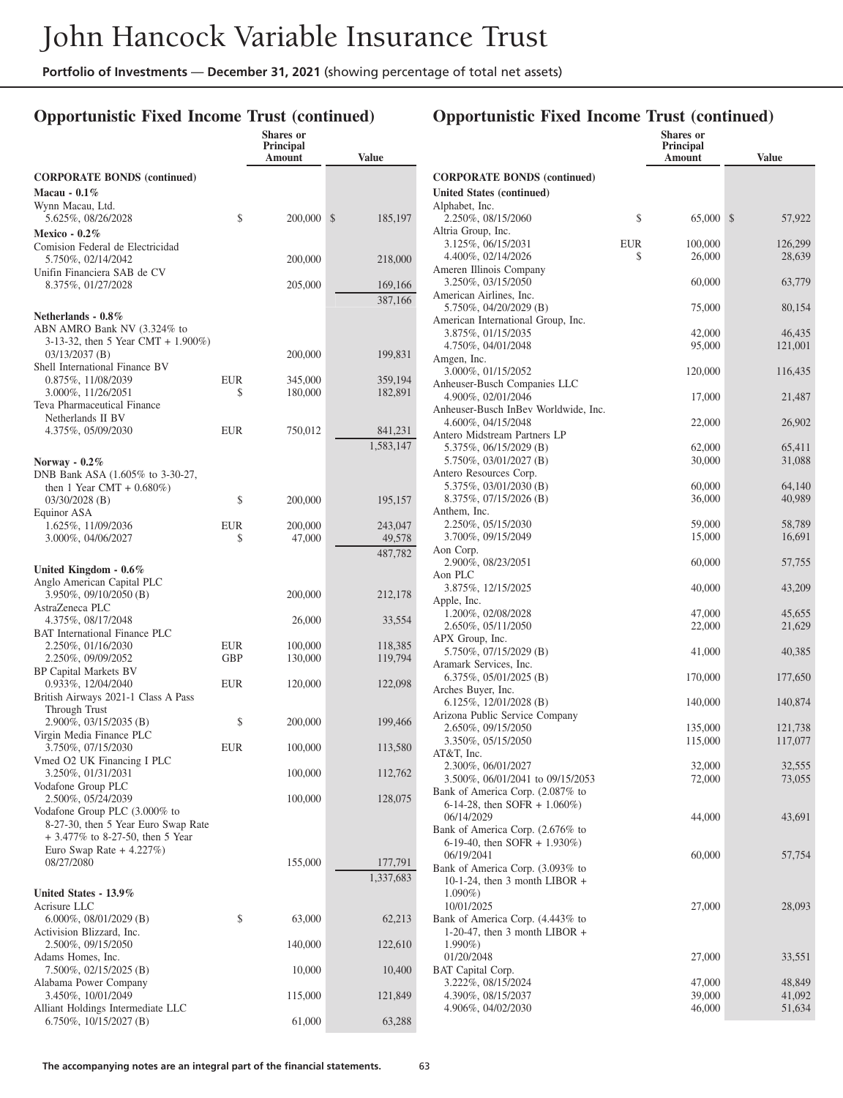### **Opportunistic Fixed Income Trust (continued)**

|                                                                                                                                |            | <b>Shares</b> or<br><b>Principal</b><br>Amount | <b>Value</b>                 |
|--------------------------------------------------------------------------------------------------------------------------------|------------|------------------------------------------------|------------------------------|
| <b>CORPORATE BONDS (continued)</b><br>Macau - 0.1%                                                                             |            |                                                |                              |
| Wynn Macau, Ltd.<br>5.625%, 08/26/2028                                                                                         | \$         | 200,000                                        | \$<br>185,197                |
| <b>Mexico - 0.2%</b><br>Comision Federal de Electricidad<br>5.750%, 02/14/2042                                                 |            | 200,000                                        | 218,000                      |
| Unifin Financiera SAB de CV<br>8.375%, 01/27/2028                                                                              |            | 205,000                                        | 169,166                      |
| Netherlands - $0.8\%$<br>ABN AMRO Bank NV (3.324% to<br>3-13-32, then 5 Year CMT + $1.900\%$ )                                 |            |                                                | 387,166                      |
| $03/13/2037$ (B)<br>Shell International Finance BV                                                                             |            | 200,000                                        | 199,831                      |
| 0.875%, 11/08/2039<br>3.000%, 11/26/2051<br>Teva Pharmaceutical Finance                                                        | EUR<br>\$  | 345,000<br>180,000                             | 359,194<br>182,891           |
| Netherlands II BV<br>4.375%, 05/09/2030                                                                                        | EUR        | 750,012                                        | 841,231<br>1,583,147         |
| Norway - $0.2\%$<br>DNB Bank ASA (1.605% to 3-30-27,<br>then 1 Year CMT + $0.680\%$ )                                          |            |                                                |                              |
| $03/30/2028$ (B)<br>Equinor ASA                                                                                                | \$         | 200,000                                        | 195,157                      |
| 1.625%, 11/09/2036<br>3.000%, 04/06/2027                                                                                       | EUR<br>\$  | 200,000<br>47,000                              | 243,047<br>49,578<br>487,782 |
| United Kingdom - $0.6\%$<br>Anglo American Capital PLC                                                                         |            |                                                |                              |
| 3.950%, 09/10/2050 (B)<br>AstraZeneca PLC                                                                                      |            | 200,000                                        | 212,178                      |
| 4.375%, 08/17/2048<br><b>BAT</b> International Finance PLC                                                                     |            | 26,000                                         | 33,554                       |
| 2.250%, 01/16/2030<br>2.250%, 09/09/2052<br>BP Capital Markets BV                                                              | EUR<br>GBP | 100,000<br>130,000                             | 118,385<br>119,794           |
| 0.933%, 12/04/2040<br>British Airways 2021-1 Class A Pass<br>Through Trust                                                     | EUR        | 120,000                                        | 122,098                      |
| 2.900%, 03/15/2035 (B)<br>Virgin Media Finance PLC                                                                             | \$         | 200,000                                        | 199,466                      |
| 3.750%, 07/15/2030<br>Vmed O2 UK Financing I PLC                                                                               | EUR        | 100,000                                        | 113,580                      |
| 3.250%, 01/31/2031<br>Vodafone Group PLC                                                                                       |            | 100,000                                        | 112,762                      |
| 2.500%, 05/24/2039<br>Vodafone Group PLC (3.000% to<br>8-27-30, then 5 Year Euro Swap Rate<br>+ 3.477% to 8-27-50, then 5 Year |            | 100,000                                        | 128,075                      |
| Euro Swap Rate $+4.227\%$ )<br>08/27/2080                                                                                      |            | 155,000                                        | 177,791<br>1,337,683         |
| United States - 13.9%<br>Acrisure LLC<br>$6.000\%$ , 08/01/2029 (B)                                                            | \$         | 63,000                                         | 62,213                       |
| Activision Blizzard, Inc.<br>2.500%, 09/15/2050                                                                                |            | 140,000                                        | 122,610                      |
| Adams Homes, Inc.<br>7.500%, 02/15/2025 (B)                                                                                    |            | 10,000                                         | 10,400                       |
| Alabama Power Company<br>3.450%, 10/01/2049                                                                                    |            | 115,000                                        | 121,849                      |
| Alliant Holdings Intermediate LLC<br>6.750%, 10/15/2027 (B)                                                                    |            | 61,000                                         | 63,288                       |

|                                                     |            | <b>Shares</b> or<br>Principal |                  |
|-----------------------------------------------------|------------|-------------------------------|------------------|
|                                                     |            | Amount                        | Value            |
| <b>CORPORATE BONDS (continued)</b>                  |            |                               |                  |
| United States (continued)                           |            |                               |                  |
| Alphabet, Inc.                                      |            |                               |                  |
| 2.250%, 08/15/2060                                  | \$         | 65,000                        | \$<br>57,922     |
| Altria Group, Inc.<br>3.125%, 06/15/2031            | <b>EUR</b> | 100,000                       | 126,299          |
| 4.400%, 02/14/2026                                  | \$         | 26,000                        | 28,639           |
| Ameren Illinois Company                             |            |                               |                  |
| 3.250%, 03/15/2050                                  |            | 60,000                        | 63,779           |
| American Airlines, Inc.<br>5.750%, 04/20/2029 (B)   |            | 75,000                        | 80,154           |
| American International Group, Inc.                  |            |                               |                  |
| 3.875%, 01/15/2035                                  |            | 42,000                        | 46,435           |
| 4.750%, 04/01/2048                                  |            | 95,000                        | 121,001          |
| Amgen, Inc.                                         |            |                               |                  |
| 3.000%, 01/15/2052<br>Anheuser-Busch Companies LLC  |            | 120,000                       | 116,435          |
| 4.900%, 02/01/2046                                  |            | 17,000                        | 21,487           |
| Anheuser-Busch InBev Worldwide, Inc.                |            |                               |                  |
| 4.600%, 04/15/2048                                  |            | 22,000                        | 26,902           |
| Antero Midstream Partners LP                        |            |                               |                  |
| 5.375%, 06/15/2029 (B)<br>5.750%, 03/01/2027 (B)    |            | 62,000<br>30,000              | 65,411<br>31,088 |
| Antero Resources Corp.                              |            |                               |                  |
| 5.375%, 03/01/2030 (B)                              |            | 60,000                        | 64,140           |
| 8.375%, 07/15/2026 (B)                              |            | 36,000                        | 40,989           |
| Anthem, Inc.<br>2.250%, 05/15/2030                  |            |                               | 58,789           |
| 3.700%, 09/15/2049                                  |            | 59,000<br>15,000              | 16,691           |
| Aon Corp.                                           |            |                               |                  |
| 2.900%, 08/23/2051                                  |            | 60,000                        | 57,755           |
| Aon PLC                                             |            |                               |                  |
| 3.875%, 12/15/2025                                  |            | 40,000                        | 43,209           |
| Apple, Inc.<br>1.200%, 02/08/2028                   |            | 47,000                        | 45,655           |
| 2.650%, 05/11/2050                                  |            | 22,000                        | 21,629           |
| APX Group, Inc.                                     |            |                               |                  |
| 5.750%, 07/15/2029 (B)                              |            | 41,000                        | 40,385           |
| Aramark Services, Inc.<br>$6.375\%, 05/01/2025$ (B) |            | 170,000                       | 177,650          |
| Arches Buyer, Inc.                                  |            |                               |                  |
| 6.125%, $12/01/2028$ (B)                            |            | 140,000                       | 140,874          |
| Arizona Public Service Company                      |            |                               |                  |
| 2.650%, 09/15/2050                                  |            | 135,000                       | 121,738          |
| 3.350%, 05/15/2050<br>AT&T, Inc.                    |            | 115,000                       | 117,077          |
| 2.300%, 06/01/2027                                  |            | 32,000                        | 32,555           |
| 3.500%, 06/01/2041 to 09/15/2053                    |            | 72,000                        | 73,055           |
| Bank of America Corp. (2.087% to                    |            |                               |                  |
| 6-14-28, then SOFR + 1.060%)                        |            | 44,000                        | 43,691           |
| 06/14/2029<br>Bank of America Corp. (2.676% to      |            |                               |                  |
| 6-19-40, then SOFR + 1.930%)                        |            |                               |                  |
| 06/19/2041                                          |            | 60,000                        | 57,754           |
| Bank of America Corp. (3.093% to                    |            |                               |                  |
| 10-1-24, then 3 month LIBOR $+$<br>$1.090\%)$       |            |                               |                  |
| 10/01/2025                                          |            | 27,000                        | 28,093           |
| Bank of America Corp. (4.443% to                    |            |                               |                  |
| 1-20-47, then 3 month LIBOR $+$                     |            |                               |                  |
| $1.990\%)$                                          |            |                               |                  |
| 01/20/2048<br>BAT Capital Corp.                     |            | 27,000                        | 33,551           |
| 3.222%, 08/15/2024                                  |            | 47,000                        | 48,849           |
| 4.390%, 08/15/2037                                  |            | 39,000                        | 41,092           |
| 4.906%, 04/02/2030                                  |            | 46,000                        | 51,634           |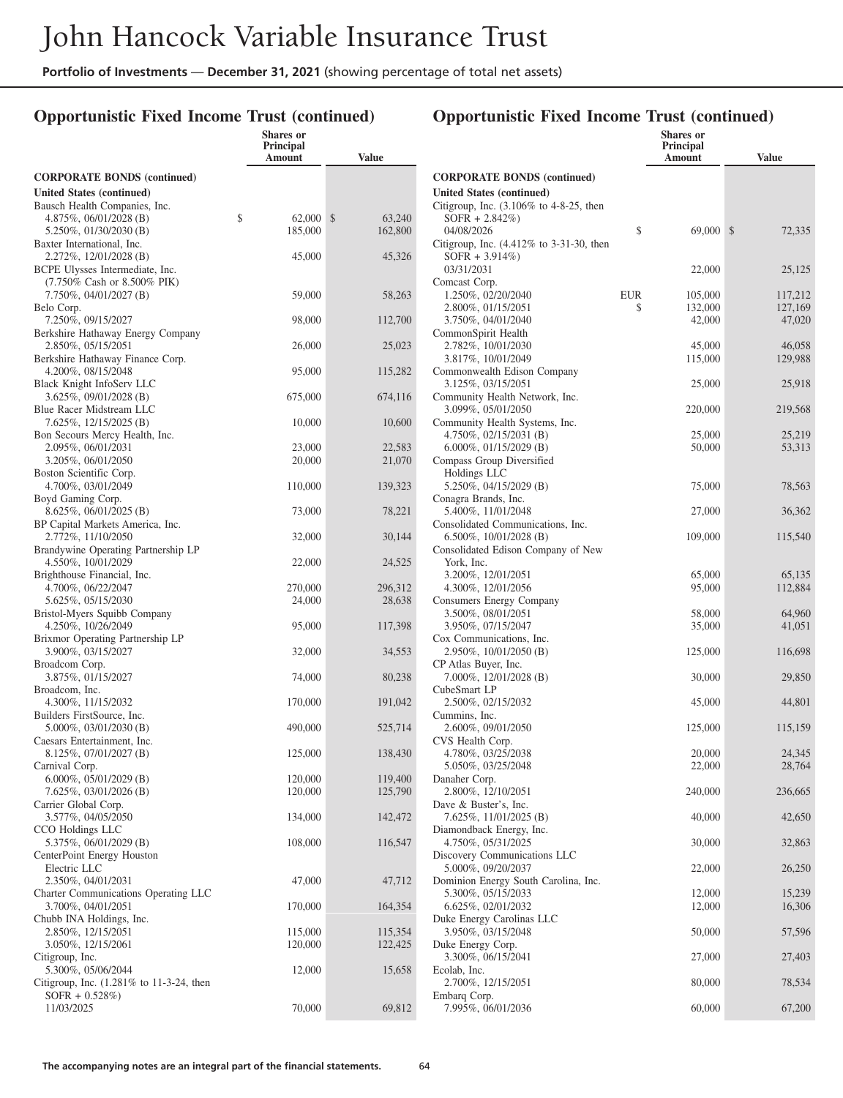## **Opportunistic Fixed Income Trust (continued)**

|                                                               | Shares or<br><b>Principal</b><br>Amount | <b>Value</b> |
|---------------------------------------------------------------|-----------------------------------------|--------------|
| <b>CORPORATE BONDS (continued)</b>                            |                                         |              |
| United States (continued)                                     |                                         |              |
| Bausch Health Companies, Inc.                                 |                                         |              |
| 4.875%, $06/01/2028$ (B)                                      | \$<br>62,000                            | \$<br>63,240 |
| 5.250%, 01/30/2030 (B)                                        | 185,000                                 | 162,800      |
| Baxter International, Inc.                                    |                                         |              |
| 2.272%, 12/01/2028 (B)<br>BCPE Ulysses Intermediate, Inc.     | 45,000                                  | 45,326       |
| (7.750% Cash or 8.500% PIK)                                   |                                         |              |
| 7.750%, 04/01/2027 (B)                                        | 59,000                                  | 58,263       |
| Belo Corp.                                                    |                                         |              |
| 7.250%, 09/15/2027                                            | 98,000                                  | 112,700      |
| Berkshire Hathaway Energy Company                             |                                         |              |
| 2.850%, 05/15/2051                                            | 26,000                                  | 25,023       |
| Berkshire Hathaway Finance Corp.                              |                                         |              |
| 4.200%, 08/15/2048                                            | 95,000                                  | 115,282      |
| Black Knight InfoServ LLC<br>3.625%, 09/01/2028 (B)           | 675,000                                 | 674,116      |
| Blue Racer Midstream LLC                                      |                                         |              |
| 7.625%, 12/15/2025 (B)                                        | 10,000                                  | 10,600       |
| Bon Secours Mercy Health, Inc.                                |                                         |              |
| 2.095%, 06/01/2031                                            | 23,000                                  | 22,583       |
| 3.205%, 06/01/2050                                            | 20,000                                  | 21,070       |
| Boston Scientific Corp.                                       |                                         |              |
| 4.700%, 03/01/2049                                            | 110,000                                 | 139,323      |
| Boyd Gaming Corp.                                             |                                         |              |
| $8.625\%, 06/01/2025$ (B)<br>BP Capital Markets America, Inc. | 73,000                                  | 78,221       |
| 2.772%, 11/10/2050                                            | 32,000                                  | 30,144       |
| Brandywine Operating Partnership LP                           |                                         |              |
| 4.550%, 10/01/2029                                            | 22,000                                  | 24,525       |
| Brighthouse Financial, Inc.                                   |                                         |              |
| 4.700%, 06/22/2047                                            | 270,000                                 | 296,312      |
| 5.625%, 05/15/2030                                            | 24,000                                  | 28,638       |
| Bristol-Myers Squibb Company                                  |                                         |              |
| 4.250%, 10/26/2049                                            | 95,000                                  | 117,398      |
| Brixmor Operating Partnership LP<br>3.900%, 03/15/2027        | 32,000                                  | 34,553       |
| Broadcom Corp.                                                |                                         |              |
| 3.875%, 01/15/2027                                            | 74,000                                  | 80,238       |
| Broadcom, Inc.                                                |                                         |              |
| 4.300%, 11/15/2032                                            | 170,000                                 | 191,042      |
| Builders FirstSource, Inc.                                    |                                         |              |
| 5.000%, 03/01/2030 (B)                                        | 490,000                                 | 525,714      |
| Caesars Entertainment, Inc.                                   |                                         |              |
| 8.125%, 07/01/2027 (B)<br>Carnival Corp.                      | 125,000                                 | 138,430      |
| $6.000\%$ , 05/01/2029 (B)                                    | 120,000                                 | 119,400      |
| 7.625%, 03/01/2026 (B)                                        | 120,000                                 | 125,790      |
| Carrier Global Corp.                                          |                                         |              |
| 3.577%, 04/05/2050                                            | 134,000                                 | 142,472      |
| CCO Holdings LLC                                              |                                         |              |
| 5.375%, 06/01/2029 (B)                                        | 108,000                                 | 116,547      |
| CenterPoint Energy Houston                                    |                                         |              |
| Electric LLC                                                  |                                         |              |
| 2.350%, 04/01/2031                                            | 47,000                                  | 47,712       |
| Charter Communications Operating LLC                          |                                         |              |
| 3.700%, 04/01/2051<br>Chubb INA Holdings, Inc.                | 170,000                                 | 164,354      |
| 2.850%, 12/15/2051                                            | 115,000                                 | 115,354      |
| 3.050%, 12/15/2061                                            | 120,000                                 | 122,425      |
| Citigroup, Inc.                                               |                                         |              |
| 5.300%, 05/06/2044                                            | 12,000                                  | 15,658       |
| Citigroup, Inc. $(1.281\%$ to 11-3-24, then                   |                                         |              |
| $SOFR + 0.528\%)$                                             |                                         |              |
| 11/03/2025                                                    | 70,000                                  | 69,812       |
|                                                               |                                         |              |

|                                                            |                  | Shares or<br>Principal |                    |
|------------------------------------------------------------|------------------|------------------------|--------------------|
|                                                            |                  | Amount                 | <b>Value</b>       |
| <b>CORPORATE BONDS (continued)</b>                         |                  |                        |                    |
| <b>United States (continued)</b>                           |                  |                        |                    |
| Citigroup, Inc. (3.106% to 4-8-25, then                    |                  |                        |                    |
| $SOFR + 2.842\%)$                                          | \$               |                        | \$                 |
| 04/08/2026<br>Citigroup, Inc. $(4.412\%$ to 3-31-30, then  |                  | 69,000                 | 72,335             |
| $SOFR + 3.914\%)$                                          |                  |                        |                    |
| 03/31/2031                                                 |                  | 22,000                 | 25,125             |
| Comcast Corp.                                              |                  |                        |                    |
| 1.250%, 02/20/2040<br>2.800%, 01/15/2051                   | <b>EUR</b><br>\$ | 105,000<br>132,000     | 117,212<br>127,169 |
| 3.750%, 04/01/2040                                         |                  | 42,000                 | 47,020             |
| CommonSpirit Health                                        |                  |                        |                    |
| 2.782%, 10/01/2030                                         |                  | 45,000                 | 46,058             |
| 3.817%, 10/01/2049                                         |                  | 115,000                | 129,988            |
| Commonwealth Edison Company<br>3.125%, 03/15/2051          |                  | 25,000                 | 25,918             |
| Community Health Network, Inc.                             |                  |                        |                    |
| 3.099%, 05/01/2050                                         |                  | 220,000                | 219,568            |
| Community Health Systems, Inc.                             |                  |                        |                    |
| 4.750\%, 02/15/2031 (B)                                    |                  | 25,000                 | 25,219             |
| $6.000\%$ , 01/15/2029 (B)<br>Compass Group Diversified    |                  | 50,000                 | 53,313             |
| Holdings LLC                                               |                  |                        |                    |
| 5.250%, 04/15/2029 (B)                                     |                  | 75,000                 | 78,563             |
| Conagra Brands, Inc.                                       |                  |                        |                    |
| 5.400%, 11/01/2048<br>Consolidated Communications, Inc.    |                  | 27,000                 | 36,362             |
| 6.500\%, 10/01/2028 (B)                                    |                  | 109,000                | 115,540            |
| Consolidated Edison Company of New                         |                  |                        |                    |
| York, Inc.                                                 |                  |                        |                    |
| 3.200%, 12/01/2051                                         |                  | 65,000                 | 65,135             |
| 4.300%, 12/01/2056<br>Consumers Energy Company             |                  | 95,000                 | 112,884            |
| 3.500%, 08/01/2051                                         |                  | 58,000                 | 64,960             |
| 3.950%, 07/15/2047                                         |                  | 35,000                 | 41,051             |
| Cox Communications, Inc.                                   |                  |                        |                    |
| 2.950%, 10/01/2050 (B)                                     |                  | 125,000                | 116,698            |
| CP Atlas Buyer, Inc.<br>7.000%, 12/01/2028 (B)             |                  | 30,000                 | 29,850             |
| CubeSmart LP                                               |                  |                        |                    |
| 2.500%, 02/15/2032                                         |                  | 45,000                 | 44,801             |
| Cummins, Inc.                                              |                  |                        |                    |
| 2.600%, 09/01/2050<br>CVS Health Corp.                     |                  | 125,000                | 115,159            |
| 4.780%, 03/25/2038                                         |                  | 20,000                 | 24,345             |
| 5.050%, 03/25/2048                                         |                  | 22,000                 | 28,764             |
| Danaher Corp.                                              |                  |                        |                    |
| 2.800%, 12/10/2051<br>Dave & Buster's, Inc.                |                  | 240,000                | 236,665            |
| 7.625%, 11/01/2025 (B)                                     |                  | 40,000                 | 42,650             |
| Diamondback Energy, Inc.                                   |                  |                        |                    |
| 4.750%, 05/31/2025                                         |                  | 30,000                 | 32,863             |
| Discovery Communications LLC                               |                  |                        |                    |
| 5.000%, 09/20/2037<br>Dominion Energy South Carolina, Inc. |                  | 22,000                 | 26,250             |
| 5.300%, 05/15/2033                                         |                  | 12,000                 | 15,239             |
| 6.625%, 02/01/2032                                         |                  | 12,000                 | 16,306             |
| Duke Energy Carolinas LLC                                  |                  |                        |                    |
| 3.950%, 03/15/2048<br>Duke Energy Corp.                    |                  | 50,000                 | 57,596             |
| 3.300%, 06/15/2041                                         |                  | 27,000                 | 27,403             |
| Ecolab, Inc.                                               |                  |                        |                    |
| 2.700%, 12/15/2051                                         |                  | 80,000                 | 78,534             |
| Embarq Corp.<br>7.995%, 06/01/2036                         |                  | 60,000                 | 67,200             |
|                                                            |                  |                        |                    |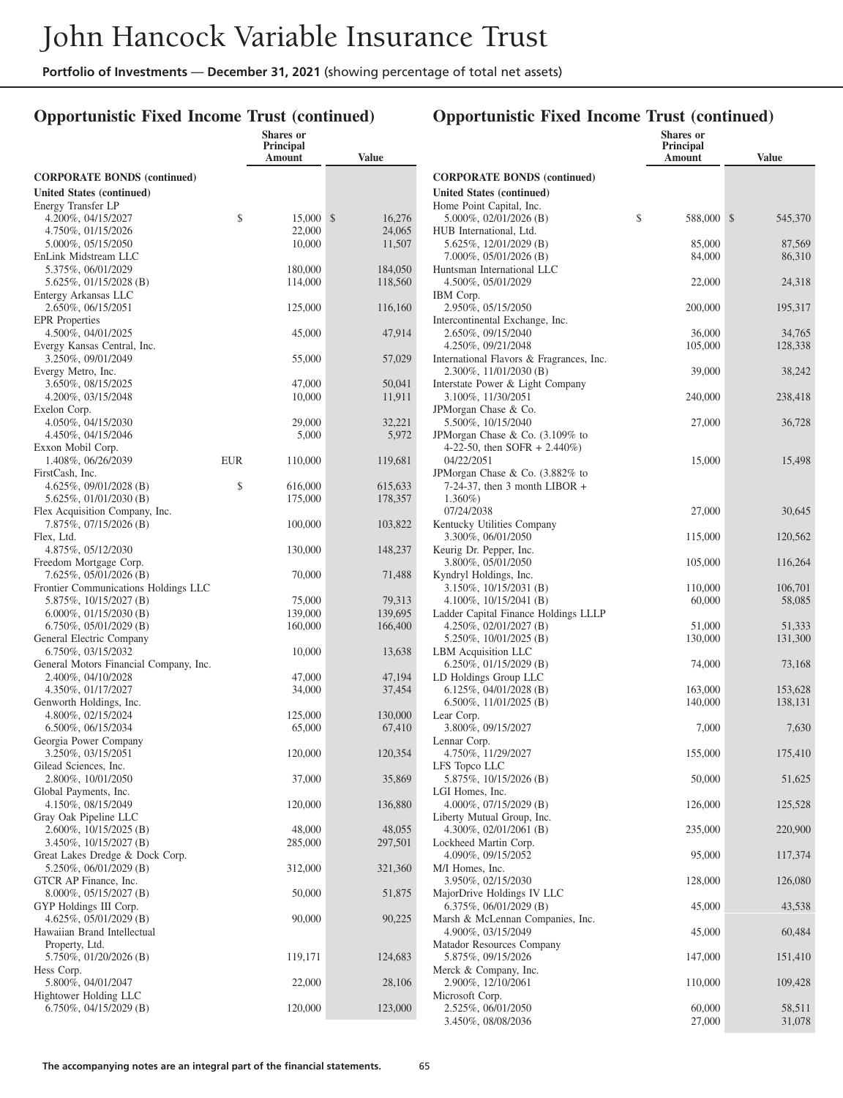## **Opportunistic Fixed Income Trust (continued)**

### **Opportunistic Fixed Income Trust (continued)**

**Shares or**

|                                                              |     | <b>Shares</b> or<br><b>Principal</b><br>Amount | <b>Value</b>           |
|--------------------------------------------------------------|-----|------------------------------------------------|------------------------|
| <b>CORPORATE BONDS</b> (continued)                           |     |                                                |                        |
| United States (continued)                                    |     |                                                |                        |
| Energy Transfer LP                                           |     |                                                |                        |
| 4.200%, 04/15/2027<br>4.750%, 01/15/2026                     | \$  | 15,000<br>22,000                               | \$<br>16,276<br>24,065 |
| 5.000%, 05/15/2050                                           |     | 10,000                                         | 11,507                 |
| EnLink Midstream LLC                                         |     |                                                |                        |
| 5.375%, 06/01/2029                                           |     | 180,000                                        | 184,050                |
| 5.625%, 01/15/2028 (B)<br>Entergy Arkansas LLC               |     | 114,000                                        | 118,560                |
| 2.650%, 06/15/2051                                           |     | 125,000                                        | 116,160                |
| <b>EPR</b> Properties                                        |     |                                                |                        |
| 4.500%, 04/01/2025                                           |     | 45,000                                         | 47,914                 |
| Evergy Kansas Central, Inc.<br>3.250%, 09/01/2049            |     | 55,000                                         | 57,029                 |
| Evergy Metro, Inc.                                           |     |                                                |                        |
| 3.650%, 08/15/2025                                           |     | 47,000                                         | 50,041                 |
| 4.200%, 03/15/2048                                           |     | 10,000                                         | 11,911                 |
| Exelon Corp.<br>4.050%, 04/15/2030                           |     | 29,000                                         | 32,221                 |
| 4.450%, 04/15/2046                                           |     | 5,000                                          | 5,972                  |
| Exxon Mobil Corp.                                            |     |                                                |                        |
| 1.408%, 06/26/2039                                           | EUR | 110,000                                        | 119,681                |
| FirstCash, Inc.<br>4.625%, $09/01/2028$ (B)                  | \$  | 616,000                                        | 615,633                |
| 5.625%, 01/01/2030 (B)                                       |     | 175,000                                        | 178,357                |
| Flex Acquisition Company, Inc.                               |     |                                                |                        |
| 7.875%, 07/15/2026 (B)                                       |     | 100,000                                        | 103,822                |
| Flex, Ltd.<br>4.875%, 05/12/2030                             |     | 130,000                                        | 148,237                |
| Freedom Mortgage Corp.                                       |     |                                                |                        |
| 7.625%, 05/01/2026 (B)                                       |     | 70,000                                         | 71,488                 |
| Frontier Communications Holdings LLC                         |     |                                                |                        |
| 5.875%, 10/15/2027 (B)<br>$6.000\%$ , 01/15/2030 (B)         |     | 75,000<br>139,000                              | 79,313<br>139,695      |
| $6.750\%$ , 05/01/2029 (B)                                   |     | 160,000                                        | 166,400                |
| General Electric Company                                     |     |                                                |                        |
| 6.750%, 03/15/2032                                           |     | 10,000                                         | 13,638                 |
| General Motors Financial Company, Inc.<br>2.400%, 04/10/2028 |     | 47,000                                         | 47,194                 |
| 4.350%, 01/17/2027                                           |     | 34,000                                         | 37,454                 |
| Genworth Holdings, Inc.                                      |     |                                                |                        |
| 4.800%, 02/15/2024                                           |     | 125,000                                        | 130,000                |
| 6.500%, 06/15/2034<br>Georgia Power Company                  |     | 65,000                                         | 67,410                 |
| 3.250%, 03/15/2051                                           |     | 120,000                                        | 120,354                |
| Gilead Sciences, Inc.                                        |     |                                                |                        |
| 2.800%, 10/01/2050                                           |     | 37,000                                         | 35,869                 |
| Global Payments, Inc.<br>4.150%, 08/15/2049                  |     | 120,000                                        | 136,880                |
| Gray Oak Pipeline LLC                                        |     |                                                |                        |
| 2.600%, 10/15/2025 (B)                                       |     | 48,000                                         | 48,055                 |
| 3.450%, 10/15/2027 (B)<br>Great Lakes Dredge & Dock Corp.    |     | 285,000                                        | 297,501                |
| 5.250%, 06/01/2029 (B)                                       |     | 312,000                                        | 321,360                |
| GTCR AP Finance, Inc.                                        |     |                                                |                        |
| 8.000%, 05/15/2027 (B)                                       |     | 50,000                                         | 51,875                 |
| GYP Holdings III Corp.<br>4.625%, 05/01/2029 (B)             |     | 90,000                                         | 90,225                 |
| Hawaiian Brand Intellectual                                  |     |                                                |                        |
| Property, Ltd.                                               |     |                                                |                        |
| 5.750%, 01/20/2026 (B)                                       |     | 119,171                                        | 124,683                |
| Hess Corp.<br>5.800%, 04/01/2047                             |     | 22,000                                         |                        |
| Hightower Holding LLC                                        |     |                                                | 28,106                 |
| 6.750%, 04/15/2029 (B)                                       |     | 120,000                                        | 123,000                |
|                                                              |     |                                                |                        |

|                                                                     | Principal<br>Amount | Value             |
|---------------------------------------------------------------------|---------------------|-------------------|
| <b>CORPORATE BONDS (continued)</b>                                  |                     |                   |
| <b>United States (continued)</b>                                    |                     |                   |
| Home Point Capital, Inc.<br>5.000%, 02/01/2026 (B)                  | \$<br>588,000       | \$<br>545,370     |
| HUB International, Ltd.<br>5.625%, 12/01/2029 (B)                   | 85,000              | 87,569            |
| 7.000%, 05/01/2026 (B)                                              | 84,000              | 86,310            |
| Huntsman International LLC<br>4.500%, 05/01/2029                    | 22,000              | 24,318            |
| IBM Corp.<br>2.950%, 05/15/2050                                     | 200,000             | 195,317           |
| Intercontinental Exchange, Inc.                                     |                     |                   |
| 2.650%, 09/15/2040<br>4.250%, 09/21/2048                            | 36,000<br>105,000   | 34,765<br>128,338 |
| International Flavors & Fragrances, Inc.                            |                     |                   |
| 2.300%, 11/01/2030 (B)<br>Interstate Power & Light Company          | 39,000              | 38,242            |
| 3.100%, 11/30/2051                                                  | 240,000             | 238,418           |
| JPMorgan Chase & Co.<br>5.500%, 10/15/2040                          | 27,000              | 36,728            |
| JPMorgan Chase & Co. (3.109% to                                     |                     |                   |
| 4-22-50, then SOFR $+ 2.440\%$ )<br>04/22/2051                      | 15,000              | 15,498            |
| JPMorgan Chase & Co. (3.882% to<br>$7-24-37$ , then 3 month LIBOR + |                     |                   |
| $1.360\%)$<br>07/24/2038                                            |                     |                   |
| Kentucky Utilities Company                                          | 27,000              | 30,645            |
| 3.300%, 06/01/2050<br>Keurig Dr. Pepper, Inc.                       | 115,000             | 120,562           |
| 3.800%, 05/01/2050<br>Kyndryl Holdings, Inc.                        | 105,000             | 116,264           |
| 3.150%, 10/15/2031 (B)                                              | 110,000             | 106,701           |
| 4.100\%, 10/15/2041 (B)                                             | 60,000              | 58,085            |
| Ladder Capital Finance Holdings LLLP<br>4.250%, 02/01/2027 (B)      | 51,000              | 51,333            |
| 5.250%, 10/01/2025 (B)                                              | 130,000             | 131,300           |
| LBM Acquisition LLC                                                 |                     |                   |
| $6.250\%, 01/15/2029$ (B)<br>LD Holdings Group LLC                  | 74,000              | 73,168            |
| 6.125%, $04/01/2028$ (B)                                            | 163,000             | 153,628           |
| 6.500%, 11/01/2025 (B)                                              | 140,000             | 138,131           |
| Lear Corp.<br>3.800%, 09/15/2027                                    | 7,000               | 7,630             |
| Lennar Corp.<br>4.750%, 11/29/2027                                  | 155,000             | 175,410           |
| LFS Topco LLC                                                       |                     |                   |
| 5.875%, 10/15/2026 (B)<br>LGI Homes, Inc.                           | 50,000              | 51,625            |
| 4.000%, 07/15/2029 (B)<br>Liberty Mutual Group, Inc.                | 126,000             | 125,528           |
| 4.300%, 02/01/2061 (B)<br>Lockheed Martin Corp.                     | 235,000             | 220,900           |
| 4.090%, 09/15/2052                                                  | 95,000              | 117,374           |
| M/I Homes, Inc.<br>3.950%, 02/15/2030                               | 128,000             | 126,080           |
| MajorDrive Holdings IV LLC<br>$6.375\%, 06/01/2029$ (B)             | 45,000              | 43,538            |
| Marsh & McLennan Companies, Inc.                                    |                     |                   |
| 4.900%, 03/15/2049<br>Matador Resources Company                     | 45,000              | 60,484            |
| 5.875%, 09/15/2026                                                  | 147,000             | 151,410           |
| Merck & Company, Inc.<br>2.900%, 12/10/2061                         | 110,000             | 109,428           |
| Microsoft Corp.<br>2.525%, 06/01/2050                               | 60,000              | 58,511            |
| 3.450%, 08/08/2036                                                  | 27,000              | 31,078            |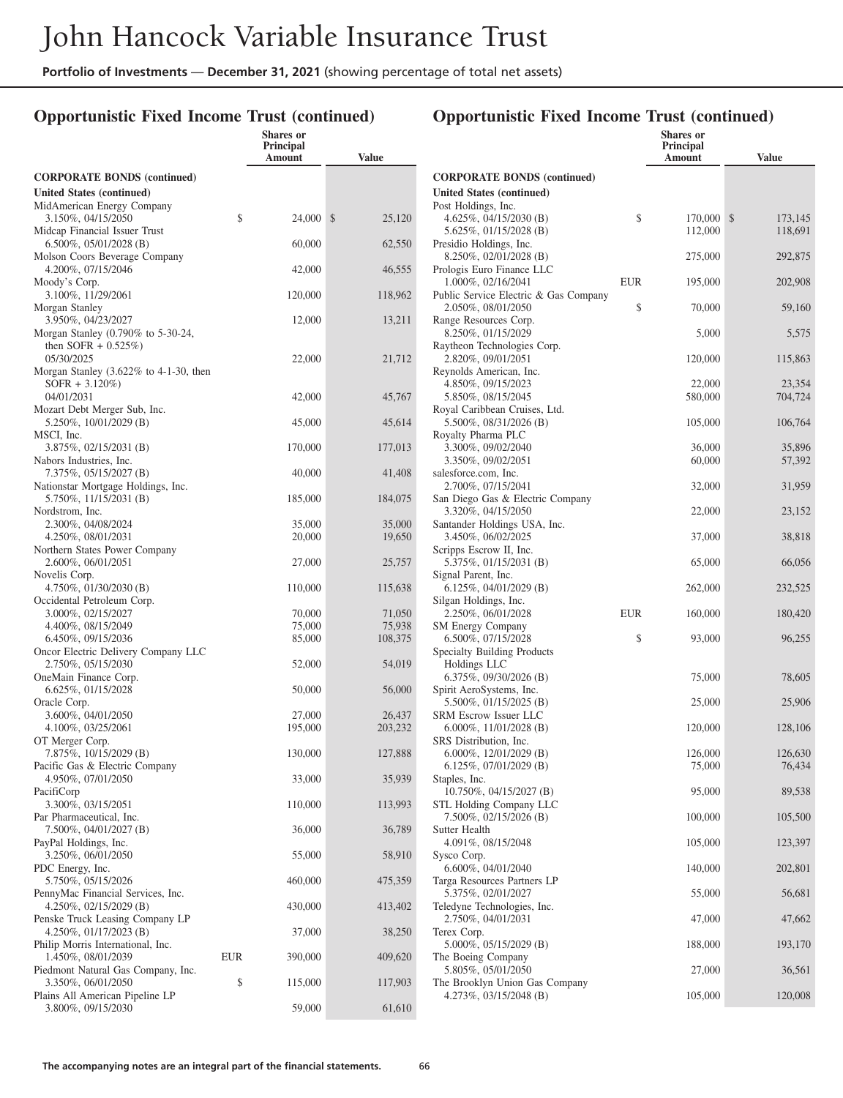### **Opportunistic Fixed Income Trust (continued)**

|                                                                           |     | Shares or<br><b>Principal</b><br>Amount | <b>Value</b>           |
|---------------------------------------------------------------------------|-----|-----------------------------------------|------------------------|
| <b>CORPORATE BONDS (continued)</b>                                        |     |                                         |                        |
| <b>United States (continued)</b>                                          |     |                                         |                        |
| MidAmerican Energy Company<br>3.150%, 04/15/2050                          | \$  | 24,000                                  | $\mathbb{S}$<br>25,120 |
| Midcap Financial Issuer Trust<br>$6.500\%$ , 05/01/2028 (B)               |     | 60,000                                  | 62,550                 |
| Molson Coors Beverage Company<br>4.200%, 07/15/2046                       |     | 42,000                                  | 46,555                 |
| Moody's Corp.<br>3.100%, 11/29/2061                                       |     | 120,000                                 | 118,962                |
| Morgan Stanley<br>3.950%, 04/23/2027                                      |     | 12,000                                  | 13,211                 |
| Morgan Stanley (0.790% to 5-30-24,                                        |     |                                         |                        |
| then SOFR $+$ 0.525%)                                                     |     |                                         |                        |
| 05/30/2025<br>Morgan Stanley $(3.622\% \text{ to } 4-1-30, \text{ then})$ |     | 22,000                                  | 21,712                 |
| $SOFR + 3.120\%)$                                                         |     |                                         |                        |
| 04/01/2031                                                                |     | 42,000                                  | 45,767                 |
| Mozart Debt Merger Sub, Inc.                                              |     |                                         |                        |
| 5.250%, 10/01/2029 (B)                                                    |     | 45,000                                  | 45,614                 |
| MSCI, Inc.                                                                |     |                                         |                        |
| $3.875\%, 02/15/2031$ (B)                                                 |     | 170,000                                 | 177,013                |
| Nabors Industries, Inc.<br>7.375%, 05/15/2027 (B)                         |     | 40,000                                  | 41,408                 |
| Nationstar Mortgage Holdings, Inc.<br>5.750%, 11/15/2031 (B)              |     | 185,000                                 | 184,075                |
| Nordstrom, Inc.                                                           |     |                                         |                        |
| 2.300%, 04/08/2024                                                        |     | 35,000                                  | 35,000                 |
| 4.250%, 08/01/2031                                                        |     | 20,000                                  | 19,650                 |
| Northern States Power Company                                             |     |                                         |                        |
| 2.600%, 06/01/2051                                                        |     | 27,000                                  | 25,757                 |
| Novelis Corp.<br>4.750%, 01/30/2030 (B)                                   |     | 110,000                                 | 115,638                |
| Occidental Petroleum Corp.                                                |     |                                         |                        |
| 3.000%, 02/15/2027                                                        |     | 70,000                                  | 71,050                 |
| 4.400%, 08/15/2049<br>6.450%, 09/15/2036                                  |     | 75,000<br>85,000                        | 75,938<br>108,375      |
| Oncor Electric Delivery Company LLC                                       |     |                                         |                        |
| 2.750%, 05/15/2030<br>OneMain Finance Corp.                               |     | 52,000                                  | 54,019                 |
| 6.625%, 01/15/2028                                                        |     | 50,000                                  | 56,000                 |
| Oracle Corp.<br>3.600%, 04/01/2050                                        |     | 27,000                                  | 26,437                 |
| 4.100%, 03/25/2061                                                        |     | 195,000                                 | 203,232                |
| OT Merger Corp.                                                           |     |                                         |                        |
| 7.875%, 10/15/2029 (B)<br>Pacific Gas & Electric Company                  |     | 130,000                                 | 127,888                |
| 4.950%, 07/01/2050<br>PacifiCorp                                          |     | 33,000                                  | 35,939                 |
| 3.300%, 03/15/2051<br>Par Pharmaceutical, Inc.                            |     | 110,000                                 | 113,993                |
| 7.500%, 04/01/2027 (B)<br>PayPal Holdings, Inc.                           |     | 36,000                                  | 36,789                 |
| 3.250%, 06/01/2050                                                        |     | 55,000                                  | 58,910                 |
| PDC Energy, Inc.<br>5.750%, 05/15/2026                                    |     | 460,000                                 | 475,359                |
| PennyMac Financial Services, Inc.<br>4.250%, 02/15/2029 (B)               |     | 430,000                                 | 413,402                |
| Penske Truck Leasing Company LP<br>4.250%, 01/17/2023 (B)                 |     | 37,000                                  | 38,250                 |
| Philip Morris International, Inc.<br>1.450%, 08/01/2039                   | EUR | 390,000                                 | 409,620                |
| Piedmont Natural Gas Company, Inc.<br>3.350%, 06/01/2050                  | \$  | 115,000                                 | 117,903                |
| Plains All American Pipeline LP                                           |     |                                         |                        |
| 3.800%, 09/15/2030                                                        |     | 59,000                                  | 61,610                 |

|                                                          |            | Shares or           |               |
|----------------------------------------------------------|------------|---------------------|---------------|
|                                                          |            | Principal<br>Amount | <b>Value</b>  |
| <b>CORPORATE BONDS (continued)</b>                       |            |                     |               |
| <b>United States (continued)</b>                         |            |                     |               |
| Post Holdings, Inc.                                      |            |                     |               |
| 4.625%, 04/15/2030 (B)                                   | \$         | 170,000             | \$<br>173,145 |
| 5.625%, 01/15/2028 (B)<br>Presidio Holdings, Inc.        |            | 112,000             | 118,691       |
| 8.250%, 02/01/2028 (B)                                   |            | 275,000             | 292,875       |
| Prologis Euro Finance LLC                                |            |                     |               |
| 1.000%, 02/16/2041                                       | <b>EUR</b> | 195,000             | 202,908       |
| Public Service Electric & Gas Company                    |            |                     |               |
| 2.050%, 08/01/2050<br>Range Resources Corp.              | \$         | 70,000              | 59,160        |
| 8.250%, 01/15/2029                                       |            | 5,000               | 5,575         |
| Raytheon Technologies Corp.                              |            |                     |               |
| 2.820%, 09/01/2051                                       |            | 120,000             | 115,863       |
| Reynolds American, Inc.<br>4.850%, 09/15/2023            |            | 22,000              | 23,354        |
| 5.850%, 08/15/2045                                       |            | 580,000             | 704,724       |
| Royal Caribbean Cruises, Ltd.                            |            |                     |               |
| 5.500\%, 08/31/2026 (B)                                  |            | 105,000             | 106,764       |
| Royalty Pharma PLC<br>3.300%, 09/02/2040                 |            | 36,000              | 35,896        |
| 3.350%, 09/02/2051                                       |            | 60,000              | 57,392        |
| salesforce.com, Inc.                                     |            |                     |               |
| 2.700%, 07/15/2041                                       |            | 32,000              | 31,959        |
| San Diego Gas & Electric Company                         |            |                     |               |
| 3.320%, 04/15/2050<br>Santander Holdings USA, Inc.       |            | 22,000              | 23,152        |
| 3.450%, 06/02/2025                                       |            | 37,000              | 38,818        |
| Scripps Escrow II, Inc.                                  |            |                     |               |
| 5.375%, 01/15/2031 (B)                                   |            | 65,000              | 66,056        |
| Signal Parent, Inc.<br>$6.125\%, 04/01/2029$ (B)         |            | 262,000             | 232,525       |
| Silgan Holdings, Inc.                                    |            |                     |               |
| 2.250%, 06/01/2028                                       | <b>EUR</b> | 160,000             | 180,420       |
| <b>SM Energy Company</b>                                 |            |                     |               |
| 6.500%, 07/15/2028<br>Specialty Building Products        | \$         | 93,000              | 96,255        |
| Holdings LLC                                             |            |                     |               |
| 6.375%, 09/30/2026 (B)                                   |            | 75,000              | 78,605        |
| Spirit AeroSystems, Inc.                                 |            |                     |               |
| 5.500%, 01/15/2025 (B)<br><b>SRM Escrow Issuer LLC</b>   |            | 25,000              | 25,906        |
| 6.000\%, 11/01/2028 (B)                                  |            | 120,000             | 128,106       |
| SRS Distribution, Inc.                                   |            |                     |               |
| 6.000\%, 12/01/2029 (B)                                  |            | 126,000             | 126,630       |
| 6.125%, $07/01/2029$ (B)                                 |            | 75,000              | 76,434        |
| Staples, Inc.<br>10.750%, 04/15/2027 (B)                 |            | 95,000              | 89,538        |
| STL Holding Company LLC                                  |            |                     |               |
| 7.500%, 02/15/2026 (B)                                   |            | 100,000             | 105,500       |
| <b>Sutter Health</b>                                     |            |                     |               |
| 4.091%, 08/15/2048<br>Sysco Corp.                        |            | 105,000             | 123,397       |
| 6.600%, 04/01/2040                                       |            | 140,000             | 202,801       |
| Targa Resources Partners LP                              |            |                     |               |
| 5.375%, 02/01/2027                                       |            | 55,000              | 56,681        |
| Teledyne Technologies, Inc.<br>2.750%, 04/01/2031        |            | 47,000              |               |
| Terex Corp.                                              |            |                     | 47,662        |
| 5.000%, 05/15/2029 (B)                                   |            | 188,000             | 193,170       |
| The Boeing Company                                       |            |                     |               |
| 5.805%, 05/01/2050                                       |            | 27,000              | 36,561        |
| The Brooklyn Union Gas Company<br>4.273%, 03/15/2048 (B) |            | 105,000             | 120,008       |
|                                                          |            |                     |               |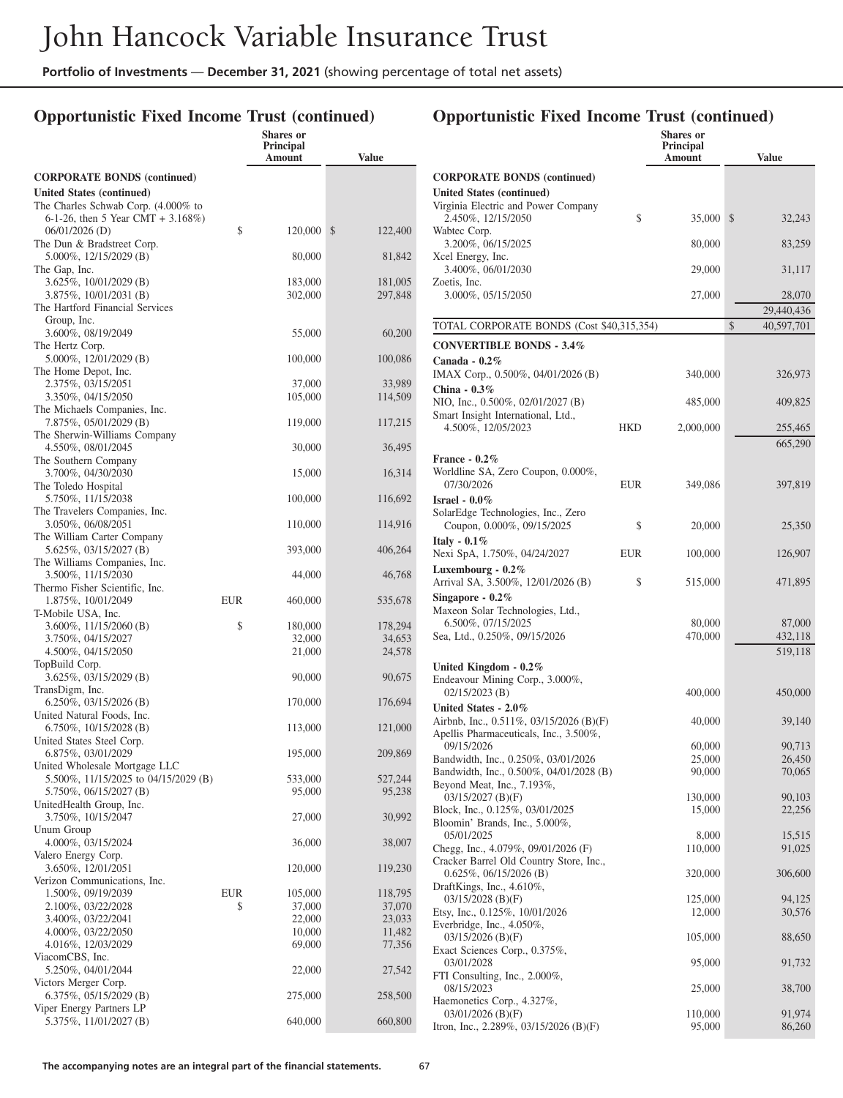## **Opportunistic Fixed Income Trust (continued)**

|                                                                        |     | <b>Shares</b> or<br><b>Principal</b><br>Amount | Value              |
|------------------------------------------------------------------------|-----|------------------------------------------------|--------------------|
| <b>CORPORATE BONDS (continued)</b>                                     |     |                                                |                    |
| United States (continued)                                              |     |                                                |                    |
| The Charles Schwab Corp. (4.000% to                                    |     |                                                |                    |
| 6-1-26, then 5 Year CMT + $3.168\%$ )<br>$06/01/2026$ (D)              | \$  | 120,000                                        | \$                 |
| The Dun & Bradstreet Corp.                                             |     |                                                | 122,400            |
| 5.000%, 12/15/2029 (B)                                                 |     | 80,000                                         | 81,842             |
| The Gap, Inc.                                                          |     |                                                |                    |
| 3.625%, 10/01/2029 (B)<br>3.875%, 10/01/2031 (B)                       |     | 183,000<br>302,000                             | 181,005<br>297,848 |
| The Hartford Financial Services                                        |     |                                                |                    |
| Group, Inc.                                                            |     |                                                |                    |
| 3.600%, 08/19/2049                                                     |     | 55,000                                         | 60,200             |
| The Hertz Corp.<br>5.000%, 12/01/2029 (B)                              |     | 100,000                                        | 100,086            |
| The Home Depot, Inc.                                                   |     |                                                |                    |
| 2.375%, 03/15/2051                                                     |     | 37,000                                         | 33,989             |
| 3.350%, 04/15/2050<br>The Michaels Companies, Inc.                     |     | 105,000                                        | 114,509            |
| 7.875%, 05/01/2029 (B)                                                 |     | 119,000                                        | 117,215            |
| The Sherwin-Williams Company                                           |     |                                                |                    |
| 4.550%, 08/01/2045                                                     |     | 30,000                                         | 36,495             |
| The Southern Company<br>3.700%, 04/30/2030                             |     |                                                |                    |
| The Toledo Hospital                                                    |     | 15,000                                         | 16,314             |
| 5.750%, 11/15/2038                                                     |     | 100,000                                        | 116,692            |
| The Travelers Companies, Inc.                                          |     |                                                |                    |
| 3.050%, 06/08/2051<br>The William Carter Company                       |     | 110,000                                        | 114,916            |
| 5.625%, 03/15/2027 (B)                                                 |     | 393,000                                        | 406,264            |
| The Williams Companies, Inc.                                           |     |                                                |                    |
| 3.500%, 11/15/2030                                                     |     | 44,000                                         | 46,768             |
| Thermo Fisher Scientific, Inc.<br>1.875%, 10/01/2049                   | EUR | 460,000                                        | 535,678            |
| T-Mobile USA, Inc.                                                     |     |                                                |                    |
| 3.600%, 11/15/2060 (B)                                                 | \$  | 180,000                                        | 178,294            |
| 3.750%, 04/15/2027<br>4.500%, 04/15/2050                               |     | 32,000<br>21,000                               | 34,653<br>24,578   |
| TopBuild Corp.                                                         |     |                                                |                    |
| 3.625%, 03/15/2029 (B)                                                 |     | 90,000                                         | 90,675             |
| TransDigm, Inc.                                                        |     |                                                |                    |
| 6.250%, 03/15/2026 (B)<br>United Natural Foods, Inc.                   |     | 170,000                                        | 176,694            |
| $6.750\%, 10/15/2028$ (B)                                              |     | 113,000                                        | 121,000            |
| United States Steel Corp.                                              |     |                                                |                    |
| 6.875%, 03/01/2029                                                     |     | 195,000                                        | 209,869            |
| United Wholesale Mortgage LLC<br>5.500\%, 11/15/2025 to 04/15/2029 (B) |     | 533,000                                        | 527,244            |
| 5.750%, 06/15/2027 (B)                                                 |     | 95,000                                         | 95,238             |
| UnitedHealth Group, Inc.                                               |     |                                                |                    |
| 3.750%, 10/15/2047<br>Unum Group                                       |     | 27,000                                         | 30,992             |
| 4.000%, 03/15/2024                                                     |     | 36,000                                         | 38,007             |
| Valero Energy Corp.                                                    |     |                                                |                    |
| 3.650%, 12/01/2051                                                     |     | 120,000                                        | 119,230            |
| Verizon Communications, Inc.<br>1.500%, 09/19/2039                     | EUR | 105,000                                        | 118,795            |
| 2.100%, 03/22/2028                                                     | \$  | 37,000                                         | 37,070             |
| 3.400%, 03/22/2041                                                     |     | 22,000                                         | 23,033             |
| 4.000%, 03/22/2050                                                     |     | 10,000                                         | 11,482             |
| 4.016%, 12/03/2029<br>ViacomCBS, Inc.                                  |     | 69,000                                         | 77,356             |
| 5.250%, 04/01/2044                                                     |     | 22,000                                         | 27,542             |
| Victors Merger Corp.                                                   |     |                                                |                    |
| $6.375\%, 05/15/2029$ (B)                                              |     | 275,000                                        | 258,500            |
| Viper Energy Partners LP<br>5.375%, 11/01/2027 (B)                     |     | 640,000                                        | 660,800            |
|                                                                        |     |                                                |                    |

|                                                                                      |            | <b>Shares</b> or<br><b>Principal</b> |                  |
|--------------------------------------------------------------------------------------|------------|--------------------------------------|------------------|
|                                                                                      |            | Amount                               | <b>Value</b>     |
| <b>CORPORATE BONDS (continued)</b>                                                   |            |                                      |                  |
| <b>United States (continued)</b>                                                     |            |                                      |                  |
| Virginia Electric and Power Company<br>2.450%, 12/15/2050                            | \$         | 35,000                               | \$<br>32,243     |
| Wabtec Corp.<br>3.200%, 06/15/2025                                                   |            | 80,000                               | 83,259           |
| Xcel Energy, Inc.<br>3.400%, 06/01/2030<br>Zoetis, Inc.                              |            | 29,000                               | 31,117           |
| 3.000%, 05/15/2050                                                                   |            | 27,000                               | 28,070           |
|                                                                                      |            |                                      | 29,440,436<br>\$ |
| TOTAL CORPORATE BONDS (Cost \$40,315,354)                                            |            |                                      | 40,597,701       |
| <b>CONVERTIBLE BONDS - 3.4%</b>                                                      |            |                                      |                  |
| Canada - $0.2\%$<br>IMAX Corp., 0.500%, 04/01/2026 (B)                               |            | 340,000                              | 326,973          |
| China - $0.3\%$<br>NIO, Inc., 0.500%, 02/01/2027 (B)                                 |            | 485,000                              | 409,825          |
| Smart Insight International, Ltd.,<br>4.500%, 12/05/2023                             | HKD        | 2,000,000                            | 255,465          |
|                                                                                      |            |                                      | 665,290          |
| France - $0.2\%$                                                                     |            |                                      |                  |
| Worldline SA, Zero Coupon, 0.000%,<br>07/30/2026                                     | <b>EUR</b> | 349,086                              | 397,819          |
| Israel - $0.0\%$                                                                     |            |                                      |                  |
| SolarEdge Technologies, Inc., Zero<br>Coupon, 0.000%, 09/15/2025                     | \$         | 20,000                               | 25,350           |
| Italy - $0.1\%$<br>Nexi SpA, 1.750%, 04/24/2027                                      | <b>EUR</b> | 100,000                              | 126,907          |
| Luxembourg - 0.2%<br>Arrival SA, 3.500%, 12/01/2026 (B)                              | \$         | 515,000                              | 471,895          |
| Singapore - $0.2\%$                                                                  |            |                                      |                  |
| Maxeon Solar Technologies, Ltd.,<br>6.500%, 07/15/2025                               |            | 80,000                               | 87,000           |
| Sea, Ltd., 0.250%, 09/15/2026                                                        |            | 470,000                              | 432,118          |
|                                                                                      |            |                                      | 519,118          |
| United Kingdom - $0.2\%$                                                             |            |                                      |                  |
| Endeavour Mining Corp., 3.000%,                                                      |            |                                      |                  |
| $02/15/2023$ (B)                                                                     |            | 400,000                              | 450,000          |
| United States - 2.0%                                                                 |            |                                      |                  |
| Airbnb, Inc., 0.511%, 03/15/2026 (B)(F)<br>Apellis Pharmaceuticals, Inc., 3.500%,    |            | 40,000                               | 39,140           |
| 09/15/2026                                                                           |            | 60,000                               | 90,713           |
| Bandwidth, Inc., 0.250%, 03/01/2026                                                  |            | 25,000                               | 26,450           |
| Bandwidth, Inc., 0.500%, 04/01/2028 (B)<br>Beyond Meat, Inc., 7.193%,                |            | 90,000                               | 70,065           |
| 03/15/2027 (B)(F)                                                                    |            | 130,000                              | 90,103           |
| Block, Inc., 0.125%, 03/01/2025                                                      |            | 15,000                               | 22,256           |
| Bloomin' Brands, Inc., 5.000%,                                                       |            |                                      |                  |
| 05/01/2025                                                                           |            | 8,000                                | 15,515           |
| Chegg, Inc., $4.079\%$ , $09/01/2026$ (F)<br>Cracker Barrel Old Country Store, Inc., |            | 110,000                              | 91,025           |
| $0.625\%, 06/15/2026$ (B)                                                            |            | 320,000                              | 306,600          |
| DraftKings, Inc., 4.610%,                                                            |            |                                      |                  |
| $03/15/2028$ (B)(F)                                                                  |            | 125,000                              | 94,125           |
| Etsy, Inc., 0.125%, 10/01/2026<br>Everbridge, Inc., 4.050%,                          |            | 12,000                               | 30,576           |
| $03/15/2026$ (B)(F)                                                                  |            | 105,000                              | 88,650           |
| Exact Sciences Corp., 0.375%,<br>03/01/2028                                          |            | 95,000                               | 91,732           |
| FTI Consulting, Inc., 2.000%,                                                        |            |                                      |                  |
| 08/15/2023                                                                           |            | 25,000                               | 38,700           |
| Haemonetics Corp., 4.327%,<br>$03/01/2026$ (B)(F)                                    |            | 110,000                              | 91,974           |
| Itron, Inc., 2.289%, 03/15/2026 (B)(F)                                               |            | 95,000                               | 86,260           |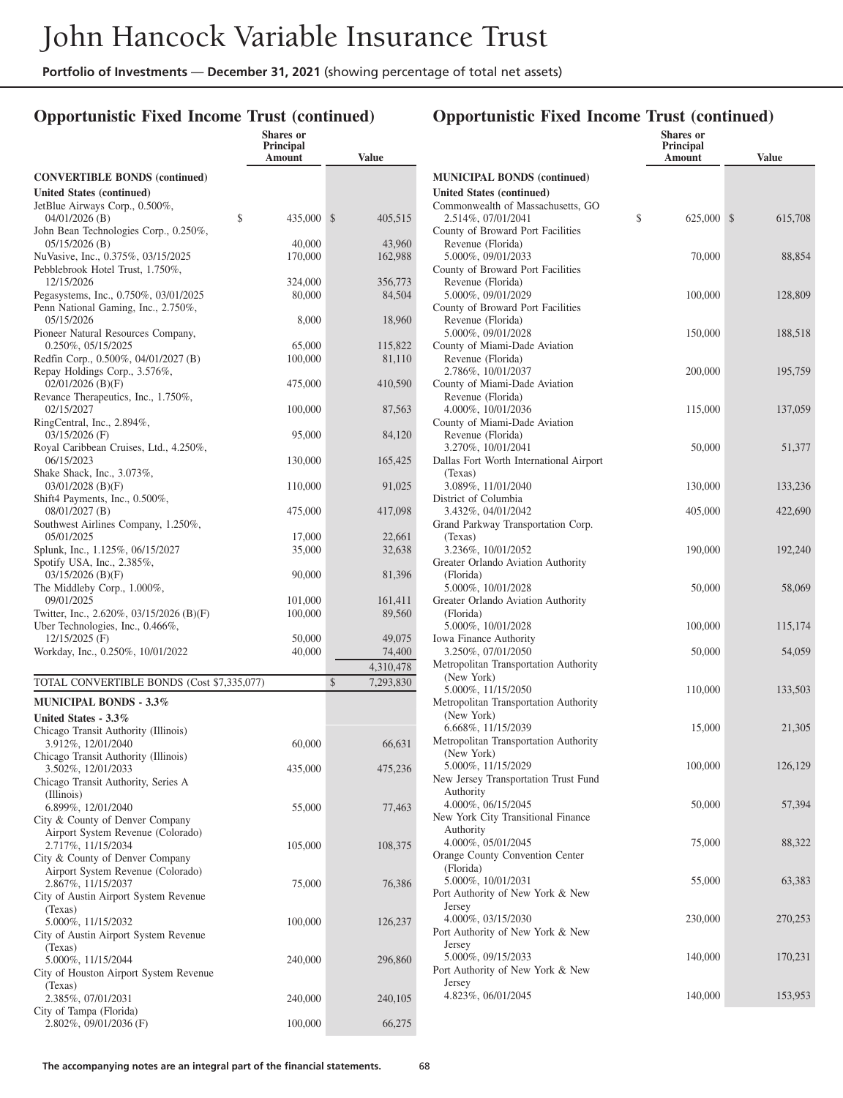### **Opportunistic Fixed Income Trust (continued)**

|                                                                        | Shares or<br>Principal<br><b>Amount</b> | <b>Value</b>      |
|------------------------------------------------------------------------|-----------------------------------------|-------------------|
| <b>CONVERTIBLE BONDS (continued)</b>                                   |                                         |                   |
| <b>United States (continued)</b>                                       |                                         |                   |
| JetBlue Airways Corp., 0.500%,                                         |                                         |                   |
| \$<br>$04/01/2026$ (B)                                                 | 435,000                                 | \$<br>405,515     |
| John Bean Technologies Corp., 0.250%,<br>$05/15/2026$ (B)              | 40,000                                  | 43,960            |
| NuVasive, Inc., 0.375%, 03/15/2025<br>Pebblebrook Hotel Trust, 1.750%, | 170,000                                 | 162,988           |
| 12/15/2026<br>Pegasystems, Inc., 0.750%, 03/01/2025                    | 324,000<br>80,000                       | 356,773<br>84,504 |
| Penn National Gaming, Inc., 2.750%,<br>05/15/2026                      | 8,000                                   | 18,960            |
| Pioneer Natural Resources Company,<br>$0.250\%, 05/15/2025$            | 65,000                                  | 115,822           |
| Redfin Corp., 0.500%, 04/01/2027 (B)                                   | 100,000                                 | 81,110            |
| Repay Holdings Corp., 3.576%,<br>$02/01/2026$ (B)(F)                   | 475,000                                 | 410,590           |
| Revance Therapeutics, Inc., 1.750%,                                    |                                         |                   |
| 02/15/2027<br>RingCentral, Inc., 2.894%,                               | 100,000                                 | 87,563            |
| $03/15/2026$ (F)                                                       | 95,000                                  | 84,120            |
| Royal Caribbean Cruises, Ltd., 4.250%,<br>06/15/2023                   | 130,000                                 | 165,425           |
| Shake Shack, Inc., 3.073%,                                             |                                         |                   |
| $03/01/2028$ (B)(F)<br>Shift4 Payments, Inc., 0.500%,                  | 110,000                                 | 91,025            |
| $08/01/2027$ (B)<br>Southwest Airlines Company, 1.250%,                | 475,000                                 | 417,098           |
| 05/01/2025                                                             | 17,000                                  | 22,661            |
| Splunk, Inc., 1.125%, 06/15/2027                                       | 35,000                                  | 32,638            |
| Spotify USA, Inc., 2.385%,                                             |                                         |                   |
| $03/15/2026$ (B)(F)<br>The Middleby Corp., 1.000%,                     | 90,000                                  | 81,396            |
| 09/01/2025                                                             | 101,000                                 | 161,411           |
| Twitter, Inc., 2.620%, 03/15/2026 (B)(F)                               | 100,000                                 | 89,560            |
| Uber Technologies, Inc., 0.466%,                                       |                                         |                   |
| 12/15/2025 (F)<br>Workday, Inc., 0.250%, 10/01/2022                    | 50,000<br>40,000                        | 49,075            |
|                                                                        |                                         | 74,400            |
|                                                                        |                                         | 4,310,478         |
| TOTAL CONVERTIBLE BONDS (Cost \$7,335,077)                             |                                         | \$<br>7,293,830   |
| <b>MUNICIPAL BONDS - 3.3%</b>                                          |                                         |                   |
| United States - 3.3%                                                   |                                         |                   |
| Chicago Transit Authority (Illinois)<br>3.912%, 12/01/2040             | 60,000                                  | 66,631            |
| Chicago Transit Authority (Illinois)                                   |                                         |                   |
| 3.502%, 12/01/2033                                                     | 435,000                                 | 475,236           |
| Chicago Transit Authority, Series A                                    |                                         |                   |
| (Illinois)                                                             |                                         |                   |
| 6.899%, 12/01/2040<br>City & County of Denver Company                  | 55,000                                  | 77,463            |
| Airport System Revenue (Colorado)<br>2.717%, 11/15/2034                | 105,000                                 | 108,375           |
| City & County of Denver Company                                        |                                         |                   |
| Airport System Revenue (Colorado)<br>2.867%, 11/15/2037                | 75,000                                  | 76,386            |
| City of Austin Airport System Revenue                                  |                                         |                   |
| (Texas)<br>5.000%, 11/15/2032                                          | 100,000                                 | 126,237           |
| City of Austin Airport System Revenue                                  |                                         |                   |
| (Texas)<br>5.000%, 11/15/2044                                          | 240,000                                 | 296,860           |
| City of Houston Airport System Revenue                                 |                                         |                   |
| (Texas)                                                                |                                         |                   |
| 2.385%, 07/01/2031                                                     | 240,000                                 | 240,105           |
| City of Tampa (Florida)<br>2.802%, 09/01/2036 (F)                      | 100,000                                 | 66,275            |
|                                                                        |                                         |                   |

#### **Shares or Principal Amount Value MUNICIPAL BONDS (continued) United States (continued)** Commonwealth of Massachusetts, GO 2.514%, 07/01/2041 \$ 625,000 \$ 615,708 County of Broward Port Facilities Revenue (Florida) 5.000%, 09/01/2033 70,000 88,854 County of Broward Port Facilities Revenue (Florida) 5.000%, 09/01/2029 100,000 128,809 County of Broward Port Facilities Revenue (Florida) 5.000%, 09/01/2028 150,000 188,518 County of Miami-Dade Aviation Revenue (Florida) 2.786%, 10/01/2037 200,000 195,759 County of Miami-Dade Aviation Revenue (Florida) 4.000%, 10/01/2036 115,000 137,059 County of Miami-Dade Aviation Revenue (Florida) 3.270%, 10/01/2041 50,000 51,377 Dallas Fort Worth International Airport (Texas) 3.089%, 11/01/2040 130,000 133,236 District of Columbia 3.432%, 04/01/2042 405,000 422,690 Grand Parkway Transportation Corp. (Texas) 3.236%, 10/01/2052 190,000 192,240 Greater Orlando Aviation Authority (Florida) 5.000%, 10/01/2028 50,000 58,069 Greater Orlando Aviation Authority (Florida) 5.000%, 10/01/2028 100,000 115,174 Iowa Finance Authority 3.250%, 07/01/2050 50,000 54,059 Metropolitan Transportation Authority (New York) 5.000%, 11/15/2050 110,000 133,503 Metropolitan Transportation Authority (New York) 6.668%, 11/15/2039 15,000 21,305 Metropolitan Transportation Authority (New York) 5.000%, 11/15/2029 100,000 126,129 New Jersey Transportation Trust Fund Authority 4.000%, 06/15/2045 50,000 57,394 New York City Transitional Finance Authority 4.000%, 05/01/2045 75,000 88,322 Orange County Convention Center (Florida) 5.000%, 10/01/2031 55,000 63,383 Port Authority of New York & New Jersey 4.000%, 03/15/2030 230,000 270,253 Port Authority of New York & New Jersey 5.000%, 09/15/2033 140,000 170,231 Port Authority of New York & New Jersey 4.823%, 06/01/2045 140,000 153,953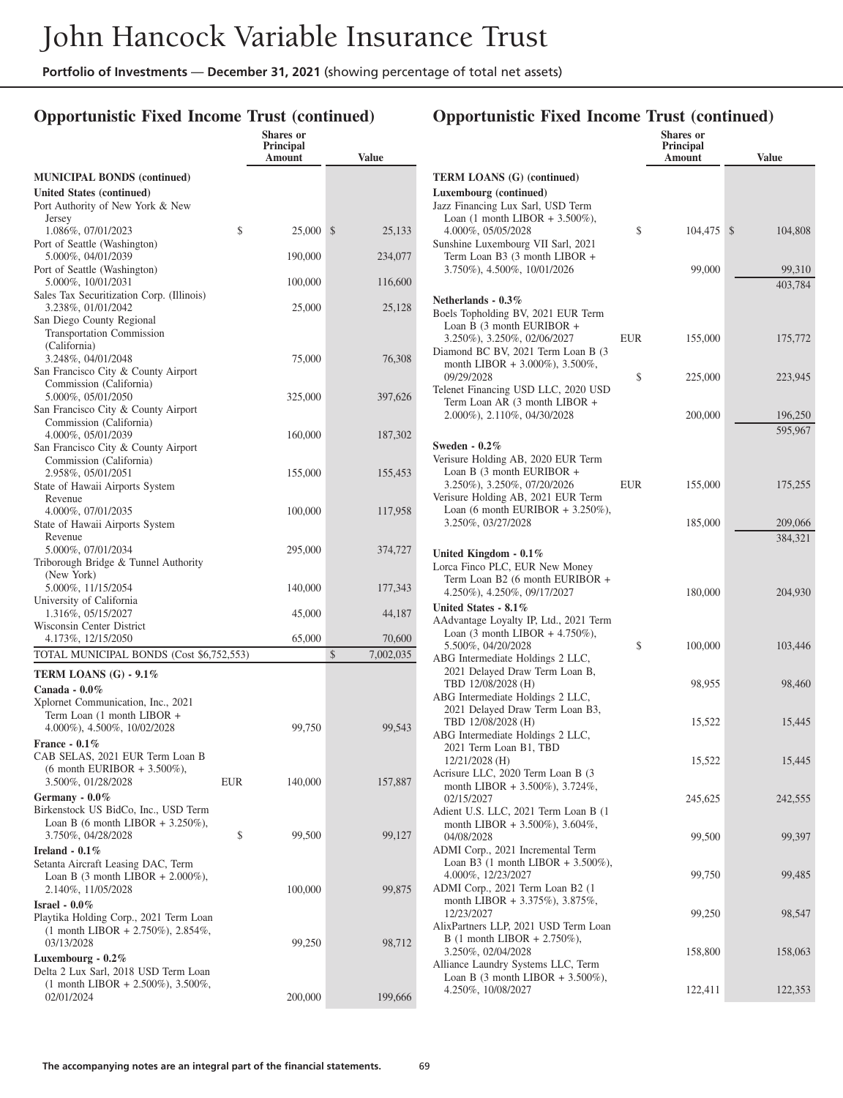### **Opportunistic Fixed Income Trust (continued)**

|                                                                              |     | <b>Shares</b> or<br><b>Principal</b><br>Amount | <b>Value</b>    |
|------------------------------------------------------------------------------|-----|------------------------------------------------|-----------------|
| <b>MUNICIPAL BONDS (continued)</b>                                           |     |                                                |                 |
| United States (continued)                                                    |     |                                                |                 |
| Port Authority of New York & New                                             |     |                                                |                 |
| Jersey<br>1.086%, 07/01/2023                                                 | \$  | 25,000                                         | \$<br>25,133    |
| Port of Seattle (Washington)                                                 |     |                                                |                 |
| 5.000%, 04/01/2039                                                           |     | 190,000                                        | 234,077         |
| Port of Seattle (Washington)<br>5.000%, 10/01/2031                           |     | 100,000                                        | 116,600         |
| Sales Tax Securitization Corp. (Illinois)<br>3.238%, 01/01/2042              |     | 25,000                                         | 25,128          |
| San Diego County Regional<br>Transportation Commission                       |     |                                                |                 |
| (California)                                                                 |     |                                                |                 |
| 3.248%, 04/01/2048                                                           |     | 75,000                                         | 76,308          |
| San Francisco City & County Airport                                          |     |                                                |                 |
| Commission (California)                                                      |     |                                                |                 |
| 5.000%, 05/01/2050<br>San Francisco City & County Airport                    |     | 325,000                                        | 397,626         |
| Commission (California)                                                      |     |                                                |                 |
| 4.000%, 05/01/2039                                                           |     | 160,000                                        | 187,302         |
| San Francisco City & County Airport                                          |     |                                                |                 |
| Commission (California)<br>2.958%, 05/01/2051                                |     | 155,000                                        | 155,453         |
| State of Hawaii Airports System                                              |     |                                                |                 |
| Revenue                                                                      |     |                                                |                 |
| 4.000%, 07/01/2035                                                           |     | 100,000                                        | 117,958         |
| State of Hawaii Airports System<br>Revenue                                   |     |                                                |                 |
| 5.000%, 07/01/2034                                                           |     | 295,000                                        | 374,727         |
| Triborough Bridge & Tunnel Authority                                         |     |                                                |                 |
| (New York)                                                                   |     |                                                |                 |
| 5.000%, 11/15/2054                                                           |     | 140,000                                        | 177,343         |
| University of California<br>1.316%, 05/15/2027                               |     | 45,000                                         | 44,187          |
| Wisconsin Center District                                                    |     |                                                |                 |
| 4.173%, 12/15/2050                                                           |     | 65,000                                         | 70,600          |
| TOTAL MUNICIPAL BONDS (Cost \$6,752,553)                                     |     |                                                | \$<br>7,002,035 |
| TERM LOANS (G) - 9.1%                                                        |     |                                                |                 |
| Canada - $0.0\%$                                                             |     |                                                |                 |
| Xplornet Communication, Inc., 2021                                           |     |                                                |                 |
| Term Loan (1 month LIBOR +<br>4.000%), 4.500%, 10/02/2028                    |     | 99,750                                         | 99,543          |
| France $-0.1\%$                                                              |     |                                                |                 |
| CAB SELAS, 2021 EUR Term Loan B                                              |     |                                                |                 |
| $(6 \text{ month EURIBOR} + 3.500\%),$                                       |     |                                                |                 |
| 3.500%, 01/28/2028                                                           | EUR | 140,000                                        | 157,887         |
| Germany - $0.0\%$                                                            |     |                                                |                 |
| Birkenstock US BidCo, Inc., USD Term<br>Loan B (6 month LIBOR $+ 3.250\%$ ), |     |                                                |                 |
| 3.750%, 04/28/2028                                                           | \$  | 99,500                                         | 99,127          |
| Ireland - $0.1\%$                                                            |     |                                                |                 |
| Setanta Aircraft Leasing DAC, Term                                           |     |                                                |                 |
| Loan B $(3 \text{ month LIBOR} + 2.000\%),$                                  |     |                                                |                 |
| 2.140%, 11/05/2028                                                           |     | 100,000                                        | 99,875          |
| Israel - $0.0\%$<br>Playtika Holding Corp., 2021 Term Loan                   |     |                                                |                 |
| $(1$ month LIBOR + 2.750%), 2.854%,                                          |     |                                                |                 |
| 03/13/2028                                                                   |     | 99,250                                         | 98,712          |
| Luxembourg - $0.2\%$                                                         |     |                                                |                 |
| Delta 2 Lux Sarl, 2018 USD Term Loan                                         |     |                                                |                 |
| $(1 \text{ month LIBOR} + 2.500\%), 3.500\%$<br>02/01/2024                   |     | 200,000                                        | 199,666         |
|                                                                              |     |                                                |                 |

|                                                                                   |            | Shares or<br>Principal |               |
|-----------------------------------------------------------------------------------|------------|------------------------|---------------|
|                                                                                   |            | Amount                 | <b>Value</b>  |
| <b>TERM LOANS (G) (continued)</b>                                                 |            |                        |               |
| Luxembourg (continued)                                                            |            |                        |               |
| Jazz Financing Lux Sarl, USD Term                                                 |            |                        |               |
| Loan $(1 \text{ month LIBOR } + 3.500\%),$<br>4.000%, 05/05/2028                  | \$         |                        |               |
| Sunshine Luxembourg VII Sarl, 2021                                                |            | 104,475                | \$<br>104,808 |
| Term Loan B3 (3 month LIBOR +                                                     |            |                        |               |
| 3.750%), 4.500%, 10/01/2026                                                       |            | 99,000                 | 99,310        |
|                                                                                   |            |                        | 403,784       |
| Netherlands - 0.3%                                                                |            |                        |               |
| Boels Topholding BV, 2021 EUR Term<br>Loan B (3 month EURIBOR +                   |            |                        |               |
| 3.250%), 3.250%, 02/06/2027                                                       | <b>EUR</b> | 155,000                | 175,772       |
| Diamond BC BV, 2021 Term Loan B (3)                                               |            |                        |               |
| month LIBOR + 3.000%), 3.500%,                                                    |            |                        |               |
| 09/29/2028                                                                        | \$         | 225,000                | 223,945       |
| Telenet Financing USD LLC, 2020 USD<br>Term Loan AR (3 month LIBOR +              |            |                        |               |
| 2.000%), 2.110%, 04/30/2028                                                       |            | 200,000                | 196,250       |
|                                                                                   |            |                        | 595,967       |
| Sweden - $0.2\%$                                                                  |            |                        |               |
| Verisure Holding AB, 2020 EUR Term                                                |            |                        |               |
| Loan B (3 month EURIBOR +                                                         |            |                        |               |
| 3.250%), 3.250%, 07/20/2026<br>Verisure Holding AB, 2021 EUR Term                 | <b>EUR</b> | 155,000                | 175,255       |
| Loan (6 month EURIBOR $+ 3.250\%$ ),                                              |            |                        |               |
| 3.250%, 03/27/2028                                                                |            | 185,000                | 209,066       |
|                                                                                   |            |                        | 384,321       |
| United Kingdom - $0.1\%$                                                          |            |                        |               |
| Lorca Finco PLC, EUR New Money                                                    |            |                        |               |
| Term Loan B2 (6 month EURIBOR +<br>4.250%), 4.250%, 09/17/2027                    |            | 180,000                | 204,930       |
| United States - 8.1%                                                              |            |                        |               |
| AAdvantage Loyalty IP, Ltd., 2021 Term                                            |            |                        |               |
| Loan $(3 \text{ month LIBOR} + 4.750\%),$                                         |            |                        |               |
| 5.500%, 04/20/2028                                                                | \$         | 100,000                | 103,446       |
| ABG Intermediate Holdings 2 LLC,<br>2021 Delayed Draw Term Loan B,                |            |                        |               |
| TBD 12/08/2028 (H)                                                                |            | 98,955                 | 98,460        |
| ABG Intermediate Holdings 2 LLC,                                                  |            |                        |               |
| 2021 Delayed Draw Term Loan B3,                                                   |            |                        |               |
| TBD 12/08/2028 (H)<br>ABG Intermediate Holdings 2 LLC,                            |            | 15,522                 | 15,445        |
| 2021 Term Loan B1, TBD                                                            |            |                        |               |
| 12/21/2028 (H)                                                                    |            | 15,522                 | 15,445        |
| Acrisure LLC, 2020 Term Loan B (3                                                 |            |                        |               |
| month LIBOR + 3.500%), $3.724\%$ ,<br>02/15/2027                                  |            | 245,625                | 242,555       |
| Adient U.S. LLC, 2021 Term Loan B (1                                              |            |                        |               |
| month LIBOR + 3.500%), 3.604%,                                                    |            |                        |               |
| 04/08/2028                                                                        |            | 99,500                 | 99,397        |
| ADMI Corp., 2021 Incremental Term<br>Loan B3 $(1 \text{ month LIBOR} + 3.500\%),$ |            |                        |               |
| 4.000%, 12/23/2027                                                                |            | 99,750                 | 99,485        |
| ADMI Corp., 2021 Term Loan B2 (1                                                  |            |                        |               |
| month LIBOR + 3.375%), 3.875%,                                                    |            |                        |               |
| 12/23/2027                                                                        |            | 99,250                 | 98,547        |
| AlixPartners LLP, 2021 USD Term Loan<br>B (1 month LIBOR + 2.750%),               |            |                        |               |
| 3.250%, 02/04/2028                                                                |            | 158,800                | 158,063       |
| Alliance Laundry Systems LLC, Term                                                |            |                        |               |
| Loan B $(3 \text{ month LIBOR} + 3.500\%),$                                       |            |                        |               |
| 4.250%, 10/08/2027                                                                |            | 122,411                | 122,353       |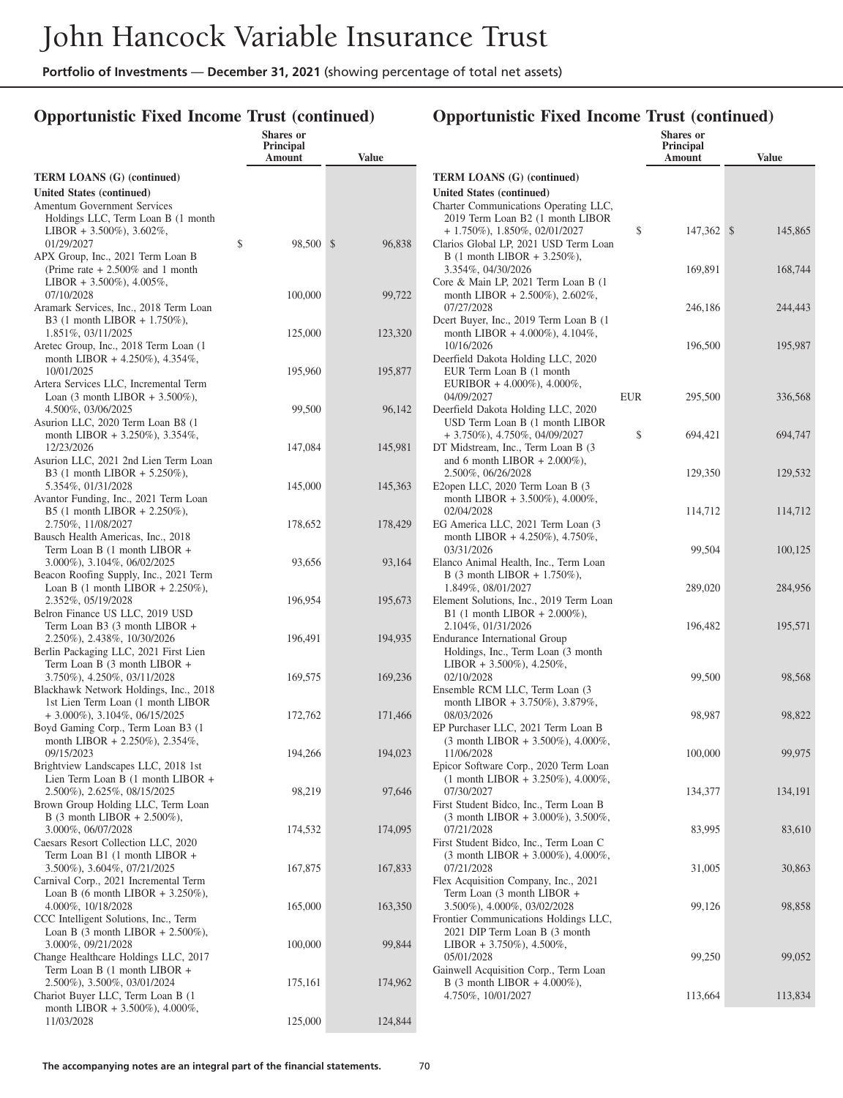### **Opportunistic Fixed Income Trust (continued)**

|                                                                                                                                                                        | <b>Shares</b> or<br>Principal<br>Amount | <b>Value</b>      |                                                                              |
|------------------------------------------------------------------------------------------------------------------------------------------------------------------------|-----------------------------------------|-------------------|------------------------------------------------------------------------------|
| <b>TERM LOANS (G) (continued)</b><br>United States (continued)<br><b>Amentum Government Services</b><br>Holdings LLC, Term Loan B (1 month<br>LIBOR + 3.500%), 3.602%, |                                         |                   | <b>TERM LO</b><br><b>United Stat</b><br>Charter Cor<br>2019 Ten<br>$+1.750%$ |
| 01/29/2027<br>APX Group, Inc., 2021 Term Loan B<br>(Prime rate $+ 2.500\%$ and 1 month<br>LIBOR + 3.500%), 4.005%,                                                     | \$<br>98,500 \$                         | 96,838            | Clarios Glo<br>$B(1 \text{ mor})$<br>$3.354\%$ ,<br>Core & Ma                |
| 07/10/2028<br>Aramark Services, Inc., 2018 Term Loan<br>B3 (1 month LIBOR + $1.750\%$ ),<br>1.851%, 03/11/2025                                                         | 100,000<br>125,000                      | 99,722<br>123,320 | month LI<br>07/27/202<br>Dcert Buyer<br>month LI                             |
| Aretec Group, Inc., 2018 Term Loan (1)<br>month LIBOR + 4.250%), 4.354%,<br>10/01/2025                                                                                 | 195,960                                 | 195,877           | 10/16/202<br>Deerfield D<br>EUR Ten                                          |
| Artera Services LLC, Incremental Term<br>Loan $(3 \text{ month LIBOR } + 3.500\%),$<br>4.500%, 03/06/2025<br>Asurion LLC, 2020 Term Loan B8 (1                         | 99,500                                  | 96,142            | <b>EURIBO</b><br>04/09/202<br>Deerfield D<br>USD Ten                         |
| month LIBOR + 3.250%), 3.354%,<br>12/23/2026<br>Asurion LLC, 2021 2nd Lien Term Loan<br>B3 (1 month LIBOR + 5.250%),                                                   | 147,084                                 | 145,981           | $+3.750%$<br>DT Midstre<br>and 6 mc<br>$2.500\%$ ,                           |
| 5.354%, 01/31/2028<br>Avantor Funding, Inc., 2021 Term Loan<br>B5 (1 month LIBOR + 2.250%),                                                                            | 145,000                                 | 145,363           | E <sub>2</sub> open LL<br>month LI<br>02/04/202                              |
| 2.750%, 11/08/2027<br>Bausch Health Americas, Inc., 2018<br>Term Loan B (1 month LIBOR +<br>3.000%), 3.104%, 06/02/2025                                                | 178,652<br>93,656                       | 178,429<br>93,164 | <b>EG</b> America<br>month LI<br>03/31/202<br>Elanco Anir                    |
| Beacon Roofing Supply, Inc., 2021 Term<br>Loan B $(1 \text{ month LIBOR} + 2.250\%),$<br>2.352%, 05/19/2028                                                            | 196,954                                 | 195,673           | $B(3 \text{ mor})$<br>$1.849\%$ ,<br>Element So.                             |
| Belron Finance US LLC, 2019 USD<br>Term Loan B3 (3 month LIBOR +<br>2.250%), 2.438%, 10/30/2026<br>Berlin Packaging LLC, 2021 First Lien                               | 196,491                                 | 194,935           | $B1(1 \text{ mc})$<br>$2.104\%$ ,<br>Endurance 1<br>Holdings.                |
| Term Loan B (3 month LIBOR +<br>3.750%), 4.250%, 03/11/2028<br>Blackhawk Network Holdings, Inc., 2018<br>1st Lien Term Loan (1 month LIBOR                             | 169,575                                 | 169,236           | LIBOR +<br>02/10/202<br>Ensemble R<br>month LI                               |
| $+3.000\%$ , 3.104%, 06/15/2025<br>Boyd Gaming Corp., Term Loan B3 (1)<br>month LIBOR + 2.250%), 2.354%,                                                               | 172,762                                 | 171,466           | 08/03/202<br><b>EP</b> Purchase<br>$(3$ month                                |
| 09/15/2023<br>Brightview Landscapes LLC, 2018 1st<br>Lien Term Loan B (1 month LIBOR +<br>2.500%), 2.625%, 08/15/2025                                                  | 194,266<br>98,219                       | 194,023<br>97,646 | 11/06/202<br>Epicor Soft<br>$(1$ month<br>07/30/202                          |
| Brown Group Holding LLC, Term Loan<br>B (3 month LIBOR + 2.500%),<br>3.000%, 06/07/2028                                                                                | 174,532                                 | 174,095           | First Studen<br>$(3$ month<br>07/21/202                                      |
| Caesars Resort Collection LLC, 2020<br>Term Loan B1 (1 month LIBOR +<br>3.500%), 3.604%, 07/21/2025<br>Carnival Corp., 2021 Incremental Term                           | 167,875                                 | 167,833           | First Studen<br>(3 month<br>07/21/202<br>Flex Acquis                         |
| Loan B (6 month LIBOR $+ 3.250\%$ ),<br>4.000%, 10/18/2028<br>CCC Intelligent Solutions, Inc., Term                                                                    | 165,000                                 | 163,350           | Term Loa<br>$3.500\%$ ),<br>Frontier Co:                                     |
| Loan B $(3 \text{ month LIBOR} + 2.500\%),$<br>3.000%, 09/21/2028<br>Change Healthcare Holdings LLC, 2017<br>Term Loan B (1 month LIBOR +                              | 100,000                                 | 99,844            | 2021 DIF<br>LIBOR +<br>05/01/202<br>Gainwell Ao                              |
| 2.500%), 3.500%, 03/01/2024<br>Chariot Buyer LLC, Term Loan B (1)<br>month LIBOR + 3.500%), 4.000%,                                                                    | 175,161                                 | 174,962           | $B(3 \text{ mor})$<br>4.750%,                                                |
| 11/03/2028                                                                                                                                                             | 125,000                                 | 124,844           |                                                                              |

|                                                                                        |            | Shares or<br>Principal<br>Amount | Value         |
|----------------------------------------------------------------------------------------|------------|----------------------------------|---------------|
| <b>TERM LOANS</b> (G) (continued)                                                      |            |                                  |               |
| United States (continued)                                                              |            |                                  |               |
| Charter Communications Operating LLC,<br>2019 Term Loan B2 (1 month LIBOR              |            |                                  |               |
| $+ 1.750\%$ , 1.850%, 02/01/2027                                                       | \$         | 147,362                          | \$<br>145,865 |
| Clarios Global LP, 2021 USD Term Loan                                                  |            |                                  |               |
| B (1 month LIBOR + 3.250%),                                                            |            |                                  |               |
| 3.354%, 04/30/2026<br>Core & Main LP, 2021 Term Loan B (1)                             |            | 169,891                          | 168,744       |
| month LIBOR + 2.500%), 2.602%,<br>07/27/2028                                           |            | 246,186                          | 244,443       |
| Deert Buyer, Inc., 2019 Term Loan B (1)                                                |            |                                  |               |
| month LIBOR + 4.000%), 4.104%,                                                         |            |                                  |               |
| 10/16/2026                                                                             |            | 196,500                          | 195,987       |
| Deerfield Dakota Holding LLC, 2020<br>EUR Term Loan B (1 month                         |            |                                  |               |
| EURIBOR + $4.000\%$ ), $4.000\%$ ,                                                     |            |                                  |               |
| 04/09/2027                                                                             | <b>EUR</b> | 295,500                          | 336,568       |
| Deerfield Dakota Holding LLC, 2020                                                     |            |                                  |               |
| USD Term Loan B (1 month LIBOR<br>+ 3.750%), 4.750%, 04/09/2027                        | \$         | 694,421                          | 694,747       |
| DT Midstream, Inc., Term Loan B (3                                                     |            |                                  |               |
| and 6 month LIBOR $+ 2.000\%$ ),                                                       |            |                                  |               |
| 2.500%, 06/26/2028                                                                     |            | 129,350                          | 129,532       |
| E2open LLC, 2020 Term Loan B (3                                                        |            |                                  |               |
| month LIBOR + 3.500%), 4.000%,<br>02/04/2028                                           |            | 114,712                          | 114,712       |
| EG America LLC, 2021 Term Loan (3                                                      |            |                                  |               |
| month LIBOR + 4.250%), 4.750%,                                                         |            |                                  |               |
| 03/31/2026<br>Elanco Animal Health, Inc., Term Loan                                    |            | 99,504                           | 100,125       |
| B (3 month LIBOR + $1.750\%$ ),                                                        |            |                                  |               |
| 1.849%, 08/01/2027                                                                     |            | 289,020                          | 284,956       |
| Element Solutions, Inc., 2019 Term Loan                                                |            |                                  |               |
| B1 (1 month LIBOR + $2.000\%$ ),<br>2.104%, 01/31/2026                                 |            | 196,482                          | 195,571       |
| Endurance International Group                                                          |            |                                  |               |
| Holdings, Inc., Term Loan (3 month                                                     |            |                                  |               |
| LIBOR + 3.500%), 4.250%,                                                               |            |                                  |               |
| 02/10/2028<br>Ensemble RCM LLC, Term Loan (3                                           |            | 99,500                           | 98,568        |
| month LIBOR + 3.750%), 3.879%,                                                         |            |                                  |               |
| 08/03/2026                                                                             |            | 98,987                           | 98,822        |
| EP Purchaser LLC, 2021 Term Loan B                                                     |            |                                  |               |
| $(3 \text{ month LIBOR} + 3.500\%), 4.000\%,$<br>11/06/2028                            |            | 100,000                          | 99,975        |
| Epicor Software Corp., 2020 Term Loan                                                  |            |                                  |               |
| $(1 \text{ month LIBOR } + 3.250\%), 4.000\%,$                                         |            |                                  |               |
| 07/30/2027                                                                             |            | 134,377                          | 134,191       |
| First Student Bidco, Inc., Term Loan B<br>$(3 \text{ month LIBOR} + 3.000\%), 3.500\%$ |            |                                  |               |
| 07/21/2028                                                                             |            | 83,995                           | 83,610        |
| First Student Bidco, Inc., Term Loan C                                                 |            |                                  |               |
| $(3 \text{ month LIBOR} + 3.000\%), 4.000\%$                                           |            |                                  |               |
| 07/21/2028<br>Flex Acquisition Company, Inc., 2021                                     |            | 31,005                           | 30,863        |
| Term Loan (3 month LIBOR +                                                             |            |                                  |               |
| 3.500%), 4.000%, 03/02/2028                                                            |            | 99,126                           | 98,858        |
| Frontier Communications Holdings LLC,<br>2021 DIP Term Loan B (3 month                 |            |                                  |               |
| LIBOR + 3.750%), 4.500%,                                                               |            |                                  |               |
| 05/01/2028                                                                             |            | 99,250                           | 99,052        |
| Gainwell Acquisition Corp., Term Loan                                                  |            |                                  |               |
| B (3 month LIBOR + 4.000%),                                                            |            |                                  |               |
| 4.750%, 10/01/2027                                                                     |            | 113,664                          | 113,834       |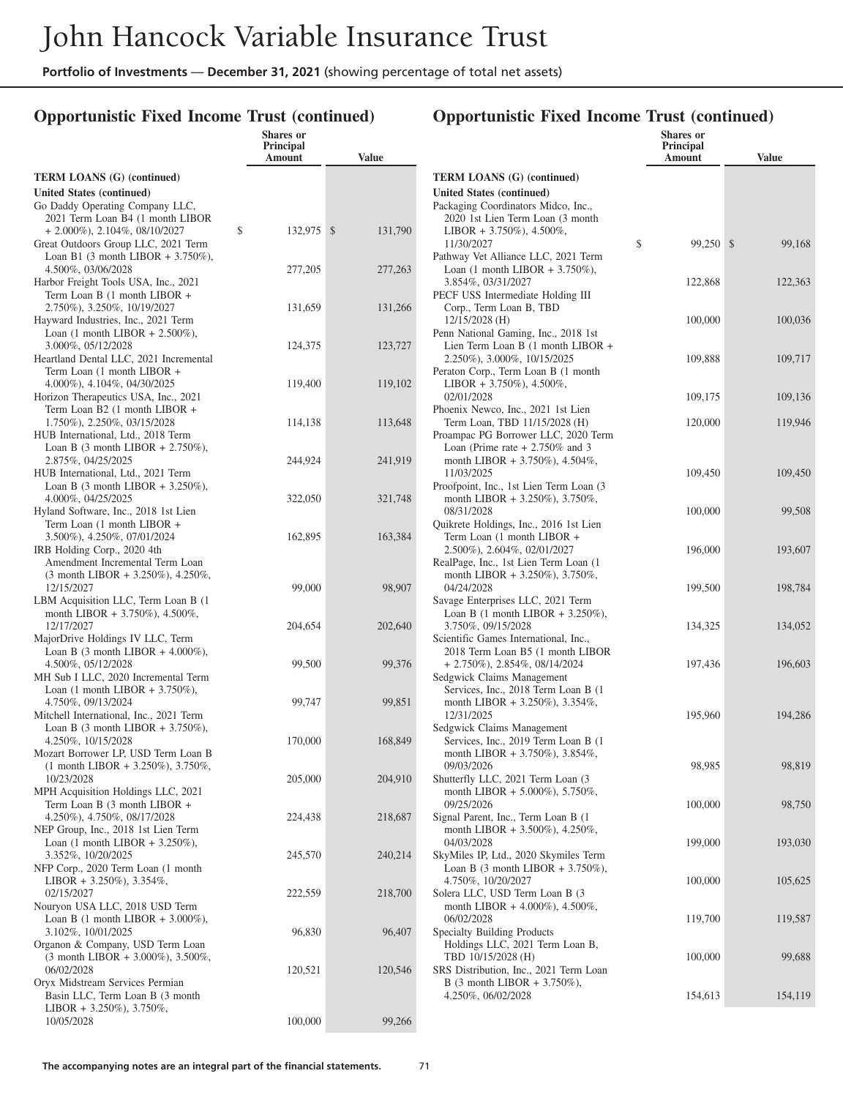### **Opportunistic Fixed Income Trust (continued)**

|                                                                                    | <b>Shares</b> or<br>Principal<br>Amount | <b>Value</b>  |                      |
|------------------------------------------------------------------------------------|-----------------------------------------|---------------|----------------------|
| <b>TERM LOANS (G) (continued)</b>                                                  |                                         |               | <b>TERM L</b>        |
| United States (continued)                                                          |                                         |               | <b>United St</b>     |
| Go Daddy Operating Company LLC,<br>2021 Term Loan B4 (1 month LIBOR                |                                         |               | Packaging<br>2020 1  |
| $+ 2.000\%$ , 2.104%, 08/10/2027                                                   | \$<br>132,975                           | \$<br>131,790 | <b>LIBOR</b>         |
| Great Outdoors Group LLC, 2021 Term                                                |                                         |               | 11/30/2              |
| Loan B1 $(3 \text{ month LIBOR} + 3.750\%),$<br>4.500%, 03/06/2028                 | 277,205                                 | 277,263       | Pathway<br>Loan (1   |
| Harbor Freight Tools USA, Inc., 2021                                               |                                         |               | 3.854%               |
| Term Loan B (1 month LIBOR +                                                       |                                         |               | PECF US              |
| 2.750%), 3.250%, 10/19/2027<br>Hayward Industries, Inc., 2021 Term                 | 131,659                                 | 131,266       | Corp.,<br>12/15/2    |
| Loan $(1 \text{ month LIBOR} + 2.500\%)$ ,                                         |                                         |               | Penn Nati            |
| 3.000%, 05/12/2028                                                                 | 124,375                                 | 123,727       | Lien Te              |
| Heartland Dental LLC, 2021 Incremental                                             |                                         |               | 2.250%               |
| Term Loan (1 month LIBOR +<br>4.000%), 4.104%, 04/30/2025                          | 119,400                                 | 119,102       | Peraton C<br>LIBOR   |
| Horizon Therapeutics USA, Inc., 2021                                               |                                         |               | 02/01/2              |
| Term Loan B2 (1 month LIBOR +                                                      |                                         |               | Phoenix N            |
| 1.750%), 2.250%, 03/15/2028<br>HUB International, Ltd., 2018 Term                  | 114,138                                 | 113,648       | Term L<br>Proampac   |
| Loan B $(3 \text{ month LIBOR} + 2.750\%),$                                        |                                         |               | Loan (l              |
| 2.875%, 04/25/2025                                                                 | 244,924                                 | 241,919       | month                |
| HUB International, Ltd., 2021 Term<br>Loan B $(3 \text{ month LIBOR } + 3.250\%),$ |                                         |               | 11/03/2<br>Proofpoin |
| 4.000%, 04/25/2025                                                                 | 322,050                                 | 321,748       | month                |
| Hyland Software, Inc., 2018 1st Lien                                               |                                         |               | 08/31/2              |
| Term Loan (1 month LIBOR +<br>3.500%), 4.250%, 07/01/2024                          | 162,895                                 | 163,384       | Quikrete 1<br>Term L |
| IRB Holding Corp., 2020 4th                                                        |                                         |               | 2.500%               |
| Amendment Incremental Term Loan                                                    |                                         |               | RealPage,            |
| $(3 \text{ month LIBOR } + 3.250\%), 4.250\%$ ,<br>12/15/2027                      | 99,000                                  | 98,907        | month<br>04/24/2     |
| LBM Acquisition LLC, Term Loan B (1)                                               |                                         |               | Savage En            |
| month LIBOR + 3.750%), 4.500%,                                                     |                                         |               | Loan B               |
| 12/17/2027<br>MajorDrive Holdings IV LLC, Term                                     | 204,654                                 | 202,640       | 3.750%<br>Scientific |
| Loan B $(3 \text{ month LIBOR} + 4.000\%),$                                        |                                         |               | 2018 T               |
| 4.500%, 05/12/2028                                                                 | 99,500                                  | 99,376        | $+2.75($             |
| MH Sub I LLC, 2020 Incremental Term                                                |                                         |               | Sedgwick             |
| Loan $(1 \text{ month LIBOR} + 3.750\%),$<br>4.750%, 09/13/2024                    | 99,747                                  | 99,851        | Service<br>month     |
| Mitchell International, Inc., 2021 Term                                            |                                         |               | 12/31/2              |
| Loan B $(3 \text{ month LIBOR} + 3.750\%),$                                        |                                         |               | Sedgwick             |
| 4.250%, 10/15/2028<br>Mozart Borrower LP, USD Term Loan B                          | 170,000                                 | 168,849       | Service<br>month     |
| $(1 \text{ month LIBOR} + 3.250\%), 3.750\%,$                                      |                                         |               | 09/03/2              |
| 10/23/2028                                                                         | 205,000                                 | 204,910       | Shutterfly           |
| MPH Acquisition Holdings LLC, 2021<br>Term Loan B (3 month LIBOR +                 |                                         |               | month<br>09/25/2     |
| 4.250%), 4.750%, 08/17/2028                                                        | 224,438                                 | 218,687       | Signal Pa            |
| NEP Group, Inc., 2018 1st Lien Term                                                |                                         |               | month                |
| Loan (1 month LIBOR + $3.250\%$ ),<br>3.352%, 10/20/2025                           | 245,570                                 | 240,214       | 04/03/2<br>SkyMiles  |
| NFP Corp., 2020 Term Loan (1 month                                                 |                                         |               | Loan B               |
| LIBOR + $3.250\%$ ), $3.354\%$ ,                                                   |                                         |               | 4.750%               |
| 02/15/2027<br>Nouryon USA LLC, 2018 USD Term                                       | 222,559                                 | 218,700       | Solera LL<br>month   |
| Loan B (1 month LIBOR + $3.000\%$ ),                                               |                                         |               | 06/02/2              |
| 3.102%, 10/01/2025                                                                 | 96,830                                  | 96,407        | Specialty            |
| Organon & Company, USD Term Loan<br>$(3 \text{ month LIBOR} + 3.000\%), 3.500\%,$  |                                         |               | Holding<br>TBD 1     |
| 06/02/2028                                                                         | 120,521                                 | 120,546       | <b>SRS</b> Disti     |
| Oryx Midstream Services Permian                                                    |                                         |               | B (3 m               |
| Basin LLC, Term Loan B (3 month<br>LIBOR + 3.250%), 3.750%,                        |                                         |               | 4.250%               |
| 10/05/2028                                                                         | 100,000                                 | 99,266        |                      |
|                                                                                    |                                         |               |                      |

|                                                                       | Shares or<br><b>Principal</b><br>Amount | Value        |
|-----------------------------------------------------------------------|-----------------------------------------|--------------|
| <b>TERM LOANS (G) (continued)</b>                                     |                                         |              |
| <b>United States (continued)</b>                                      |                                         |              |
| Packaging Coordinators Midco, Inc.,                                   |                                         |              |
| 2020 1st Lien Term Loan (3 month                                      |                                         |              |
| LIBOR + 3.750%), 4.500%,<br>11/30/2027                                | \$<br>99,250                            | \$<br>99,168 |
| Pathway Vet Alliance LLC, 2021 Term                                   |                                         |              |
| Loan $(1 \text{ month LIBOR } + 3.750\%).$                            |                                         |              |
| 3.854%, 03/31/2027                                                    | 122,868                                 | 122,363      |
| PECF USS Intermediate Holding III                                     |                                         |              |
| Corp., Term Loan B, TBD<br>12/15/2028 (H)                             | 100,000                                 | 100,036      |
| Penn National Gaming, Inc., 2018 1st                                  |                                         |              |
| Lien Term Loan B (1 month LIBOR +                                     |                                         |              |
| 2.250%), 3.000%, 10/15/2025                                           | 109,888                                 | 109,717      |
| Peraton Corp., Term Loan B (1 month                                   |                                         |              |
| LIBOR + 3.750%), 4.500%,<br>02/01/2028                                |                                         |              |
| Phoenix Newco, Inc., 2021 1st Lien                                    | 109,175                                 | 109,136      |
| Term Loan, TBD 11/15/2028 (H)                                         | 120,000                                 | 119,946      |
| Proampac PG Borrower LLC, 2020 Term                                   |                                         |              |
| Loan (Prime rate $+2.750\%$ and 3                                     |                                         |              |
| month LIBOR + 3.750%), 4.504%,                                        | 109,450                                 |              |
| 11/03/2025<br>Proofpoint, Inc., 1st Lien Term Loan (3                 |                                         | 109,450      |
| month LIBOR + 3.250%), 3.750%,                                        |                                         |              |
| 08/31/2028                                                            | 100,000                                 | 99,508       |
| Quikrete Holdings, Inc., 2016 1st Lien                                |                                         |              |
| Term Loan (1 month LIBOR +                                            |                                         |              |
| 2.500%), 2.604%, 02/01/2027<br>RealPage, Inc., 1st Lien Term Loan (1) | 196,000                                 | 193,607      |
| month LIBOR + $3.250\%$ ), $3.750\%$ ,                                |                                         |              |
| 04/24/2028                                                            | 199,500                                 | 198,784      |
| Savage Enterprises LLC, 2021 Term                                     |                                         |              |
| Loan B $(1 \text{ month LIBOR} + 3.250\%),$                           |                                         |              |
| 3.750%, 09/15/2028<br>Scientific Games International, Inc.,           | 134,325                                 | 134,052      |
| 2018 Term Loan B5 (1 month LIBOR                                      |                                         |              |
| $+ 2.750\%$ , 2.854%, 08/14/2024                                      | 197,436                                 | 196,603      |
| Sedgwick Claims Management                                            |                                         |              |
| Services, Inc., 2018 Term Loan B (1)                                  |                                         |              |
| month LIBOR + 3.250%), 3.354%,<br>12/31/2025                          | 195,960                                 | 194,286      |
| Sedgwick Claims Management                                            |                                         |              |
| Services, Inc., 2019 Term Loan B (1)                                  |                                         |              |
| month LIBOR + 3.750%), 3.854%,                                        |                                         |              |
| 09/03/2026<br>Shutterfly LLC, 2021 Term Loan (3)                      | 98,985                                  | 98,819       |
| month LIBOR + $5.000\%$ ), $5.750\%$ ,                                |                                         |              |
| 09/25/2026                                                            | 100,000                                 | 98,750       |
| Signal Parent, Inc., Term Loan B (1)                                  |                                         |              |
| month LIBOR + 3.500%), 4.250%,                                        |                                         |              |
| 04/03/2028<br>SkyMiles IP, Ltd., 2020 Skymiles Term                   | 199,000                                 | 193,030      |
| Loan B $(3 \text{ month LIBOR} + 3.750\%),$                           |                                         |              |
| 4.750%, 10/20/2027                                                    | 100,000                                 | 105,625      |
| Solera LLC, USD Term Loan B (3                                        |                                         |              |
| month LIBOR + 4.000%), 4.500%,                                        |                                         |              |
| 06/02/2028<br><b>Specialty Building Products</b>                      | 119,700                                 | 119,587      |
| Holdings LLC, 2021 Term Loan B,                                       |                                         |              |
| TBD 10/15/2028 (H)                                                    | 100,000                                 | 99,688       |
| SRS Distribution, Inc., 2021 Term Loan                                |                                         |              |
| B (3 month LIBOR + 3.750%),                                           |                                         |              |
| 4.250%, 06/02/2028                                                    | 154,613                                 | 154,119      |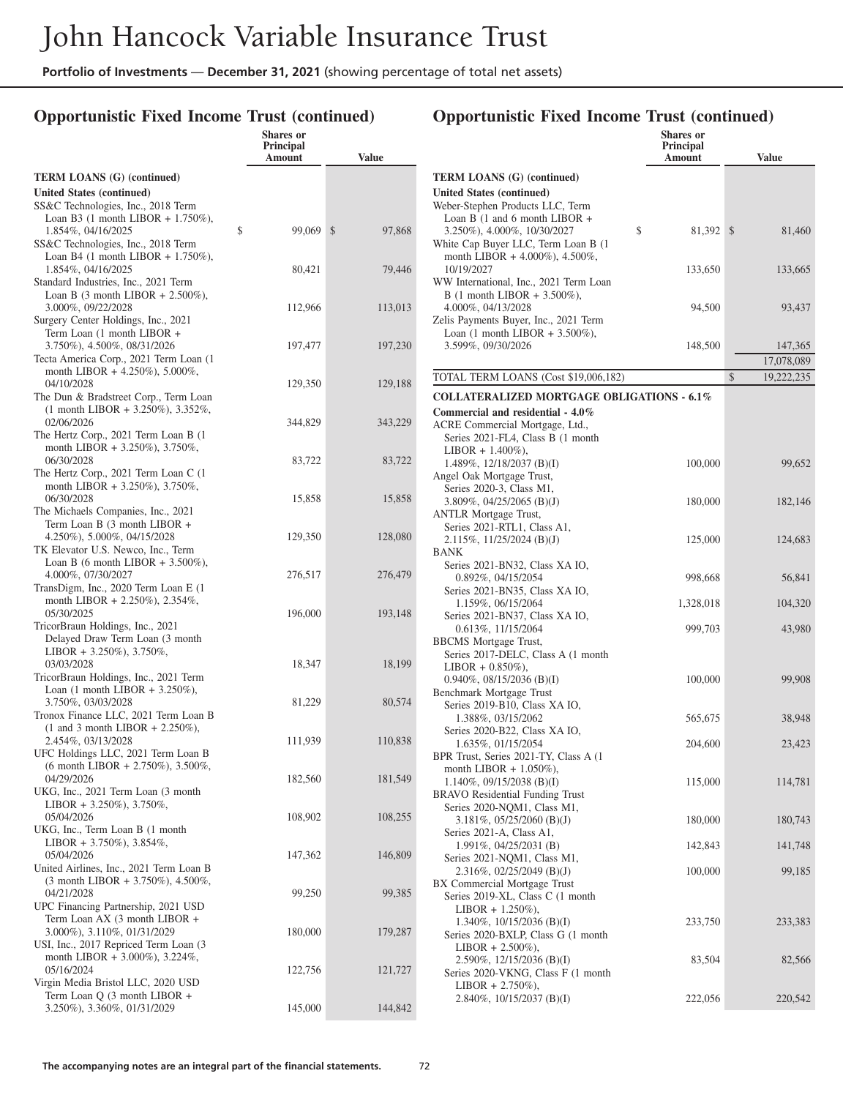### **Opportunistic Fixed Income Trust (continued)**

|                                                                                         | <b>Shares</b> or<br><b>Principal</b><br>Amount | <b>Value</b> |
|-----------------------------------------------------------------------------------------|------------------------------------------------|--------------|
| <b>TERM LOANS (G) (continued)</b>                                                       |                                                |              |
| United States (continued)                                                               |                                                |              |
| SS&C Technologies, Inc., 2018 Term                                                      |                                                |              |
| Loan B3 (1 month LIBOR + $1.750\%$ ),<br>1.854%, 04/16/2025                             | \$<br>99,069                                   | \$<br>97,868 |
| SS&C Technologies, Inc., 2018 Term                                                      |                                                |              |
| Loan B4 $(1 \text{ month LIBOR} + 1.750\%),$                                            |                                                |              |
| 1.854%, 04/16/2025                                                                      | 80,421                                         | 79,446       |
| Standard Industries, Inc., 2021 Term<br>Loan B $(3 \text{ month LIBOR} + 2.500\%),$     |                                                |              |
| 3.000%, 09/22/2028                                                                      | 112,966                                        | 113,013      |
| Surgery Center Holdings, Inc., 2021                                                     |                                                |              |
| Term Loan (1 month LIBOR +<br>3.750%), 4.500%, 08/31/2026                               | 197,477                                        | 197,230      |
| Tecta America Corp., 2021 Term Loan (1                                                  |                                                |              |
| month LIBOR + $4.250\%$ ), $5.000\%$ ,                                                  |                                                |              |
| 04/10/2028                                                                              | 129,350                                        | 129,188      |
| The Dun & Bradstreet Corp., Term Loan<br>$(1 \text{ month LIBOR } + 3.250\%), 3.352\%,$ |                                                |              |
| 02/06/2026                                                                              | 344,829                                        | 343,229      |
| The Hertz Corp., 2021 Term Loan B (1)                                                   |                                                |              |
| month LIBOR + 3.250%), 3.750%,                                                          |                                                |              |
| 06/30/2028<br>The Hertz Corp., 2021 Term Loan C (1                                      | 83,722                                         | 83,722       |
| month LIBOR + 3.250%), 3.750%,                                                          |                                                |              |
| 06/30/2028                                                                              | 15,858                                         | 15,858       |
| The Michaels Companies, Inc., 2021                                                      |                                                |              |
| Term Loan B (3 month LIBOR +<br>4.250%), 5.000%, 04/15/2028                             | 129,350                                        | 128,080      |
| TK Elevator U.S. Newco, Inc., Term                                                      |                                                |              |
| Loan B (6 month LIBOR $+ 3.500\%$ ),                                                    |                                                |              |
| 4.000%, 07/30/2027                                                                      | 276,517                                        | 276,479      |
| TransDigm, Inc., 2020 Term Loan E (1)<br>month LIBOR + 2.250%), 2.354%,                 |                                                |              |
| 05/30/2025                                                                              | 196,000                                        | 193,148      |
| TricorBraun Holdings, Inc., 2021                                                        |                                                |              |
| Delayed Draw Term Loan (3 month<br>LIBOR + 3.250%), 3.750%,                             |                                                |              |
| 03/03/2028                                                                              | 18,347                                         | 18,199       |
| TricorBraun Holdings, Inc., 2021 Term                                                   |                                                |              |
| Loan $(1 \text{ month LIBOR} + 3.250\%),$                                               |                                                |              |
| 3.750%, 03/03/2028<br>Tronox Finance LLC, 2021 Term Loan B                              | 81,229                                         | 80,574       |
| $(1 \text{ and } 3 \text{ month LIBOR} + 2.250\%),$                                     |                                                |              |
| 2.454%, 03/13/2028                                                                      | 111,939                                        | 110,838      |
| UFC Holdings LLC, 2021 Term Loan B                                                      |                                                |              |
| $(6 \text{ month LIBOR} + 2.750\%)$ , 3.500%,<br>04/29/2026                             | 182,560                                        | 181,549      |
| UKG, Inc., 2021 Term Loan (3 month)                                                     |                                                |              |
| LIBOR + 3.250%), 3.750%,                                                                |                                                |              |
| 05/04/2026<br>UKG, Inc., Term Loan B (1 month                                           | 108,902                                        | 108,255      |
| LIBOR + 3.750%), 3.854%,                                                                |                                                |              |
| 05/04/2026                                                                              | 147,362                                        | 146,809      |
| United Airlines, Inc., 2021 Term Loan B                                                 |                                                |              |
| (3 month LIBOR + 3.750%), 4.500%,<br>04/21/2028                                         | 99,250                                         | 99,385       |
| UPC Financing Partnership, 2021 USD                                                     |                                                |              |
| Term Loan AX (3 month LIBOR +                                                           |                                                |              |
| 3.000%), 3.110%, 01/31/2029                                                             | 180,000                                        | 179,287      |
| USI, Inc., 2017 Repriced Term Loan (3<br>month LIBOR + 3.000%), 3.224%,                 |                                                |              |
| 05/16/2024                                                                              | 122,756                                        | 121,727      |
| Virgin Media Bristol LLC, 2020 USD                                                      |                                                |              |
| Term Loan Q (3 month LIBOR +<br>3.250%), 3.360%, 01/31/2029                             | 145,000                                        | 144,842      |
|                                                                                         |                                                |              |

|                                                                      | Shares or           |                  |
|----------------------------------------------------------------------|---------------------|------------------|
|                                                                      | Principal<br>Amount | <b>Value</b>     |
| <b>TERM LOANS (G) (continued)</b>                                    |                     |                  |
| United States (continued)                                            |                     |                  |
| Weber-Stephen Products LLC, Term                                     |                     |                  |
| Loan B $(1 \text{ and } 6 \text{ month LIBOR } +$                    |                     |                  |
| 3.250%), 4.000%, 10/30/2027<br>White Cap Buyer LLC, Term Loan B (1   | \$<br>81,392        | \$<br>81,460     |
| month LIBOR + 4.000%), 4.500%,                                       |                     |                  |
| 10/19/2027                                                           | 133,650             | 133,665          |
| WW International, Inc., 2021 Term Loan                               |                     |                  |
| B (1 month LIBOR + 3.500%),<br>4.000%, 04/13/2028                    | 94,500              | 93,437           |
| Zelis Payments Buyer, Inc., 2021 Term                                |                     |                  |
| Loan $(1 \text{ month LIBOR} + 3.500\%),$                            |                     |                  |
| 3.599%, 09/30/2026                                                   | 148,500             | 147,365          |
|                                                                      |                     | 17,078,089       |
| TOTAL TERM LOANS (Cost \$19,006,182)                                 |                     | \$<br>19,222,235 |
| <b>COLLATERALIZED MORTGAGE OBLIGATIONS - 6.1%</b>                    |                     |                  |
| Commercial and residential - 4.0%                                    |                     |                  |
| ACRE Commercial Mortgage, Ltd.,<br>Series 2021-FL4, Class B (1 month |                     |                  |
| $LIBOR + 1.400\%$ ),                                                 |                     |                  |
| 1.489%, $12/18/2037$ (B)(I)                                          | 100,000             | 99,652           |
| Angel Oak Mortgage Trust,                                            |                     |                  |
| Series 2020-3, Class M1,                                             |                     |                  |
| 3.809%, 04/25/2065 (B)(J)<br><b>ANTLR Mortgage Trust,</b>            | 180,000             | 182,146          |
| Series 2021-RTL1, Class A1,                                          |                     |                  |
| $2.115\%, 11/25/2024$ (B)(J)                                         | 125,000             | 124,683          |
| BANK                                                                 |                     |                  |
| Series 2021-BN32, Class XA IO,<br>$0.892\%$ , 04/15/2054             | 998,668             | 56,841           |
| Series 2021-BN35, Class XA IO,                                       |                     |                  |
| 1.159%, 06/15/2064                                                   | 1,328,018           | 104,320          |
| Series 2021-BN37, Class XA IO,                                       |                     |                  |
| $0.613\%, 11/15/2064$<br><b>BBCMS</b> Mortgage Trust,                | 999,703             | 43,980           |
| Series 2017-DELC, Class A (1 month                                   |                     |                  |
| $LIBOR + 0.850\%$ ),                                                 |                     |                  |
| $0.940\%$ , $08/15/2036$ (B)(I)<br>Benchmark Mortgage Trust          | 100,000             | 99,908           |
| Series 2019-B10, Class XA IO,                                        |                     |                  |
| 1.388%, 03/15/2062                                                   | 565,675             | 38,948           |
| Series 2020-B22, Class XA IO,                                        |                     |                  |
| 1.635%, 01/15/2054<br>BPR Trust, Series 2021-TY, Class A (1          | 204,600             | 23,423           |
| month LIBOR $+$ 1.050%),                                             |                     |                  |
| $1.140\%, 09/15/2038$ (B)(I)                                         | 115,000             | 114,781          |
| <b>BRAVO</b> Residential Funding Trust                               |                     |                  |
| Series 2020-NQM1, Class M1,<br>3.181%, 05/25/2060 (B)(J)             | 180,000             | 180,743          |
| Series 2021-A, Class A1,                                             |                     |                  |
| 1.991%, 04/25/2031 (B)                                               | 142,843             | 141,748          |
| Series 2021-NQM1, Class M1,<br>2.316%, 02/25/2049 (B)(J)             | 100,000             | 99,185           |
| BX Commercial Mortgage Trust                                         |                     |                  |
| Series 2019-XL, Class C (1 month                                     |                     |                  |
| $LIBOR + 1.250\%),$                                                  |                     |                  |
| 1.340%, $10/15/2036$ (B)(I)<br>Series 2020-BXLP, Class G (1 month    | 233,750             | 233,383          |
| LIBOR + 2.500%),                                                     |                     |                  |
| 2.590%, 12/15/2036 (B)(I)                                            | 83,504              | 82,566           |
| Series 2020-VKNG, Class F (1 month                                   |                     |                  |
| $LIBOR + 2.750\%),$<br>2.840%, 10/15/2037 (B)(I)                     | 222,056             | 220,542          |
|                                                                      |                     |                  |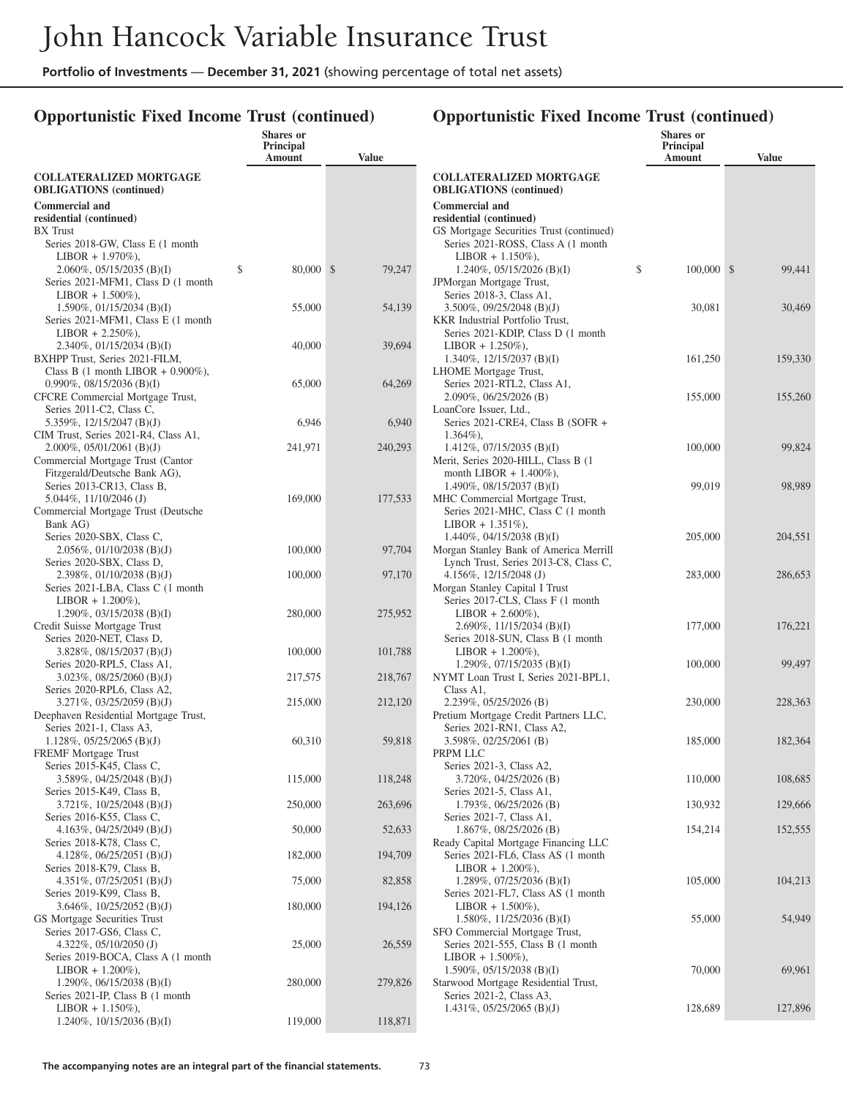## **Opportunistic Fixed Income Trust (continued)**

|                                                                         | <b>Shares</b> or<br>Principal<br>Amount | <b>Value</b> |
|-------------------------------------------------------------------------|-----------------------------------------|--------------|
| <b>COLLATERALIZED MORTGAGE</b><br><b>OBLIGATIONS</b> (continued)        |                                         |              |
| <b>Commercial and</b>                                                   |                                         |              |
| residential (continued)<br><b>BX</b> Trust                              |                                         |              |
| Series 2018-GW, Class E (1 month                                        |                                         |              |
| $LIBOR + 1.970\%$ ),<br>$2.060\%$ , 05/15/2035 (B)(I)                   | \$<br>80,000                            | \$<br>79,247 |
| Series 2021-MFM1, Class D (1 month                                      |                                         |              |
| $LIBOR + 1.500\%),$                                                     |                                         |              |
| 1.590%, 01/15/2034 (B)(I)<br>Series 2021-MFM1, Class E (1 month         | 55,000                                  | 54,139       |
| $LIBOR + 2.250\%),$                                                     |                                         |              |
| $2.340\%, 01/15/2034$ (B)(I)                                            | 40,000                                  | 39,694       |
| BXHPP Trust, Series 2021-FILM,<br>Class B (1 month LIBOR + $0.900\%$ ), |                                         |              |
| 0.990%, 08/15/2036 (B)(I)                                               | 65,000                                  | 64,269       |
| CFCRE Commercial Mortgage Trust,                                        |                                         |              |
| Series 2011-C2, Class C,                                                |                                         |              |
| 5.359%, 12/15/2047 (B)(J)<br>CIM Trust, Series 2021-R4, Class A1,       | 6,946                                   | 6,940        |
| $2.000\%$ , 05/01/2061 (B)(J)                                           | 241,971                                 | 240,293      |
| Commercial Mortgage Trust (Cantor                                       |                                         |              |
| Fitzgerald/Deutsche Bank AG),<br>Series 2013-CR13, Class B,             |                                         |              |
| 5.044%, 11/10/2046(J)                                                   | 169,000                                 | 177,533      |
| Commercial Mortgage Trust (Deutsche                                     |                                         |              |
| Bank AG)                                                                |                                         |              |
| Series 2020-SBX, Class C,<br>$2.056\%, 01/10/2038$ (B)(J)               | 100,000                                 | 97,704       |
| Series 2020-SBX, Class D,                                               |                                         |              |
| 2.398%, $01/10/2038$ (B)(J)                                             | 100,000                                 | 97,170       |
| Series 2021-LBA, Class C (1 month<br>$LIBOR + 1.200\%$ ),               |                                         |              |
| 1.290\%, 03/15/2038 (B)(I)                                              | 280,000                                 | 275,952      |
| Credit Suisse Mortgage Trust                                            |                                         |              |
| Series 2020-NET, Class D,                                               |                                         |              |
| $3.828\%, 08/15/2037$ (B)(J)<br>Series 2020-RPL5, Class A1,             | 100,000                                 | 101,788      |
| 3.023%, 08/25/2060 (B)(J)                                               | 217,575                                 | 218,767      |
| Series 2020-RPL6, Class A2,                                             |                                         |              |
| $3.271\%, 03/25/2059$ (B)(J)<br>Deephaven Residential Mortgage Trust,   | 215,000                                 | 212,120      |
| Series 2021-1, Class A3,                                                |                                         |              |
| $1.128\%, 05/25/2065$ (B)(J)                                            | 60,310                                  | 59,818       |
| FREMF Mortgage Trust<br>Series 2015-K45, Class C,                       |                                         |              |
| 3.589%, 04/25/2048 (B)(J)                                               | 115,000                                 | 118,248      |
| Series 2015-K49, Class B,                                               |                                         |              |
| $3.721\%$ , $10/25/2048$ (B)(J)<br>Series 2016-K55, Class C,            | 250,000                                 | 263,696      |
| 4.163%, 04/25/2049 (B)(J)                                               | 50,000                                  | 52,633       |
| Series 2018-K78, Class C,                                               |                                         |              |
| 4.128%, $06/25/2051$ (B)(J)<br>Series 2018-K79, Class B,                | 182,000                                 | 194,709      |
| 4.351%, $07/25/2051$ (B)(J)                                             | 75,000                                  | 82,858       |
| Series 2019-K99, Class B,                                               |                                         |              |
| 3.646\%, 10/25/2052 (B)(J)<br>GS Mortgage Securities Trust              | 180,000                                 | 194,126      |
| Series 2017-GS6, Class C,                                               |                                         |              |
| 4.322\%, 05/10/2050 (J)                                                 | 25,000                                  | 26,559       |
| Series 2019-BOCA, Class A (1 month                                      |                                         |              |
| $LIBOR + 1.200\%$ ),<br>1.290\%, 06/15/2038 (B)(I)                      | 280,000                                 | 279,826      |
| Series 2021-IP, Class B (1 month                                        |                                         |              |
| $LIBOR + 1.150\%$ ),                                                    |                                         |              |
| 1.240%, $10/15/2036$ (B)(I)                                             | 119,000                                 | 118,871      |
|                                                                         |                                         |              |

|                                                                     | <b>Shares</b> or<br>Principal |              |
|---------------------------------------------------------------------|-------------------------------|--------------|
|                                                                     | Amount                        | <b>Value</b> |
| <b>COLLATERALIZED MORTGAGE</b><br><b>OBLIGATIONS</b> (continued)    |                               |              |
| <b>Commercial and</b>                                               |                               |              |
| residential (continued)                                             |                               |              |
| GS Mortgage Securities Trust (continued)                            |                               |              |
| Series 2021-ROSS, Class A (1 month                                  |                               |              |
| $LIBOR + 1.150\%),$                                                 |                               |              |
| 1.240\%, 05/15/2026 (B)(I)                                          | \$<br>100,000                 | \$<br>99,441 |
| JPMorgan Mortgage Trust,                                            |                               |              |
| Series 2018-3, Class A1,                                            |                               |              |
| 3.500\%, 09/25/2048 (B)(J)<br>KKR Industrial Portfolio Trust,       | 30,081                        | 30,469       |
| Series 2021-KDIP, Class D (1 month                                  |                               |              |
| $LIBOR + 1.250\%),$                                                 |                               |              |
| 1.340%, $12/15/2037$ (B)(I)                                         | 161,250                       | 159,330      |
| LHOME Mortgage Trust,                                               |                               |              |
| Series 2021-RTL2, Class A1,                                         |                               |              |
| 2.090%, 06/25/2026 (B)                                              | 155,000                       | 155,260      |
| LoanCore Issuer, Ltd.,                                              |                               |              |
| Series 2021-CRE4, Class B (SOFR +                                   |                               |              |
| $1.364\%$ ),                                                        |                               |              |
| $1.412\%, 07/15/2035$ (B)(I)                                        | 100,000                       | 99,824       |
| Merit, Series 2020-HILL, Class B (1                                 |                               |              |
| month LIBOR $+ 1.400\%$ ),                                          |                               |              |
| 1.490%, $08/15/2037$ (B)(I)                                         | 99,019                        | 98,989       |
| MHC Commercial Mortgage Trust,<br>Series 2021-MHC, Class C (1 month |                               |              |
| $LIBOR + 1.351\%),$                                                 |                               |              |
| 1.440\%, 04/15/2038 (B)(I)                                          | 205,000                       | 204,551      |
| Morgan Stanley Bank of America Merrill                              |                               |              |
| Lynch Trust, Series 2013-C8, Class C,                               |                               |              |
| 4.156%, 12/15/2048 (J)                                              | 283,000                       | 286,653      |
| Morgan Stanley Capital I Trust                                      |                               |              |
| Series 2017-CLS, Class F (1 month)                                  |                               |              |
| $LIBOR + 2.600\%$ ),                                                |                               |              |
| 2.690%, $11/15/2034$ (B)(I)                                         | 177,000                       | 176,221      |
| Series 2018-SUN, Class B (1 month)                                  |                               |              |
| $LIBOR + 1.200\%$ ),                                                |                               |              |
| 1.290%, $07/15/2035$ (B)(I)<br>NYMT Loan Trust I, Series 2021-BPL1, | 100,000                       | 99,497       |
| Class A1,                                                           |                               |              |
| 2.239%, 05/25/2026 (B)                                              | 230,000                       | 228,363      |
| Pretium Mortgage Credit Partners LLC,                               |                               |              |
| Series 2021-RN1, Class A2,                                          |                               |              |
| 3.598%, 02/25/2061 (B)                                              | 185,000                       | 182,364      |
| PRPM LLC                                                            |                               |              |
| Series 2021-3, Class A2,                                            |                               |              |
| 3.720%, 04/25/2026 (B)                                              | 110,000                       | 108,685      |
| Series 2021-5, Class A1,                                            |                               |              |
| 1.793%, 06/25/2026 (B)                                              | 130,932                       | 129,666      |
| Series 2021-7, Class A1,<br>1.867%, 08/25/2026 (B)                  |                               |              |
| Ready Capital Mortgage Financing LLC                                | 154,214                       | 152,555      |
| Series 2021-FL6, Class AS (1 month                                  |                               |              |
| $LIBOR + 1.200\%$ ),                                                |                               |              |
| 1.289%, $07/25/2036$ (B)(I)                                         | 105,000                       | 104,213      |
| Series 2021-FL7, Class AS (1 month                                  |                               |              |
| $LIBOR + 1.500\%$ ),                                                |                               |              |
| 1.580\%, 11/25/2036 (B)(I)                                          | 55,000                        | 54,949       |
| SFO Commercial Mortgage Trust,                                      |                               |              |
| Series 2021-555, Class B (1 month)                                  |                               |              |
| $LIBOR + 1.500\%$ ),                                                |                               |              |
| 1.590%, $05/15/2038$ (B)(I)                                         | 70,000                        | 69,961       |
| Starwood Mortgage Residential Trust,<br>Series 2021-2, Class A3,    |                               |              |
| 1.431%, $05/25/2065$ (B)(J)                                         | 128,689                       | 127,896      |
|                                                                     |                               |              |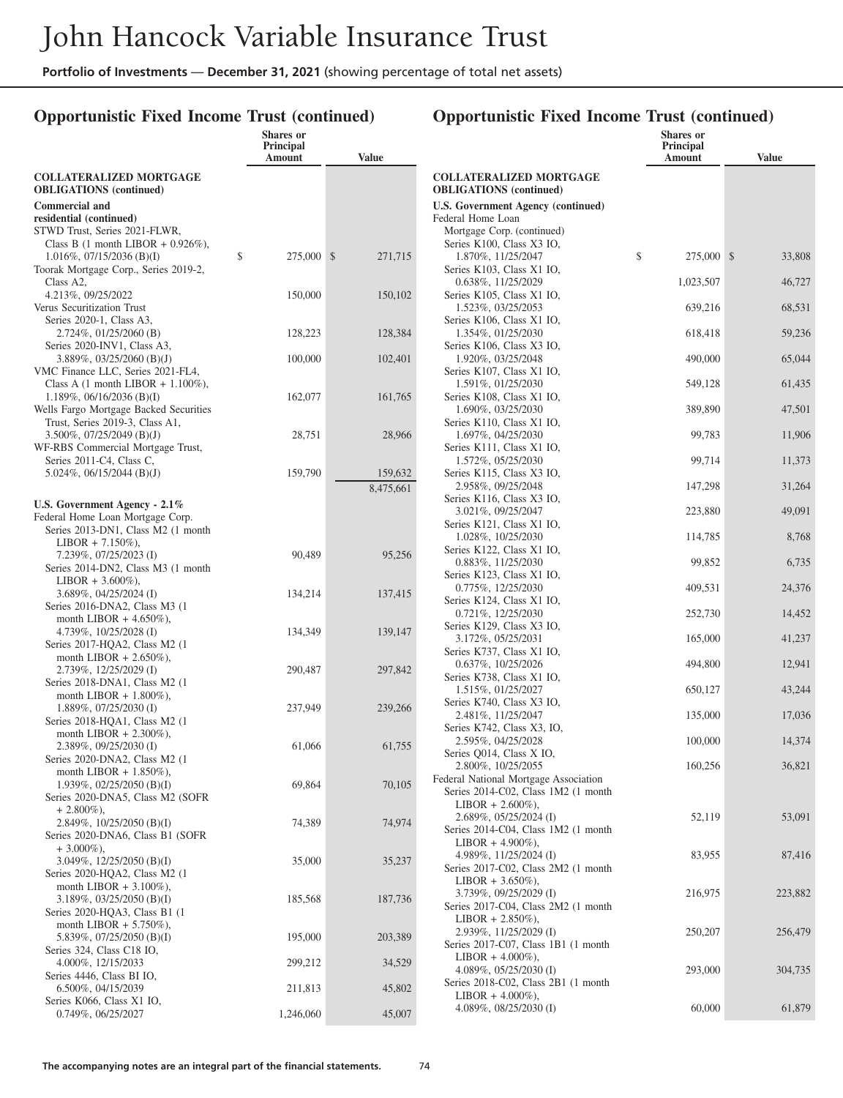# **Opportunistic Fixed Income Trust (continued)**

|                                                                             | Shares or<br>Principal<br>Amount | <b>Value</b>  |                   |
|-----------------------------------------------------------------------------|----------------------------------|---------------|-------------------|
| <b>COLLATERALIZED MORTGAGE</b><br><b>OBLIGATIONS</b> (continued)            |                                  |               | <b>COI</b><br>OBI |
| <b>Commercial and</b>                                                       |                                  |               | U.S.              |
| residential (continued)                                                     |                                  |               | Fede              |
| STWD Trust, Series 2021-FLWR,                                               |                                  |               | M                 |
| Class B (1 month LIBOR + $0.926\%$ ),<br>\$<br>$1.016\%, 07/15/2036$ (B)(I) | 275,000                          | \$<br>271,715 | $S_6$             |
| Toorak Mortgage Corp., Series 2019-2,                                       |                                  |               | $S_6$             |
| Class A2.                                                                   |                                  |               |                   |
| 4.213%, 09/25/2022                                                          | 150,000                          | 150,102       | $S_6$             |
| Verus Securitization Trust                                                  |                                  |               |                   |
| Series 2020-1, Class A3,<br>2.724%, 01/25/2060 (B)                          |                                  |               | $S_6$             |
| Series 2020-INV1, Class A3,                                                 | 128,223                          | 128,384       | $S_6$             |
| 3.889%, 03/25/2060 (B)(J)                                                   | 100,000                          | 102,401       |                   |
| VMC Finance LLC, Series 2021-FL4,                                           |                                  |               | $S_6$             |
| Class A $(1 \text{ month LIBOR} + 1.100\%)$ ,                               |                                  |               |                   |
| $1.189\%, 06/16/2036$ (B)(I)                                                | 162,077                          | 161,765       | $S_6$             |
| Wells Fargo Mortgage Backed Securities<br>Trust, Series 2019-3, Class A1,   |                                  |               | $S_6$             |
| 3.500\%, 07/25/2049 (B)(J)                                                  | 28,751                           | 28,966        |                   |
| WF-RBS Commercial Mortgage Trust,                                           |                                  |               | $S_6$             |
| Series 2011-C4, Class C,                                                    |                                  |               |                   |
| 5.024%, 06/15/2044 (B)(J)                                                   | 159,790                          | 159,632       | $S_6$             |
|                                                                             |                                  | 8,475,661     |                   |
| U.S. Government Agency $-2.1\%$                                             |                                  |               | $S_6$             |
| Federal Home Loan Mortgage Corp.                                            |                                  |               | $S_6$             |
| Series 2013-DN1, Class M2 (1 month<br>$LIBOR + 7.150\%$ ),                  |                                  |               |                   |
| 7.239%, 07/25/2023 (I)                                                      | 90,489                           | 95,256        | $S_6$             |
| Series 2014-DN2, Class M3 (1 month                                          |                                  |               |                   |
| $LIBOR + 3.600\%$ ),                                                        |                                  |               | $S_6$             |
| 3.689%, 04/25/2024 (I)                                                      | 134,214                          | 137,415       | $S_6$             |
| Series 2016-DNA2, Class M3 (1                                               |                                  |               |                   |
| month LIBOR $+4.650\%$ ),<br>4.739%, 10/25/2028 (I)                         | 134,349                          | 139,147       | $S_6$             |
| Series 2017-HQA2, Class M2 (1                                               |                                  |               |                   |
| month LIBOR $+ 2.650\%$ ),                                                  |                                  |               | $S_6$             |
| 2.739%, 12/25/2029 (I)                                                      | 290,487                          | 297,842       | $S_6$             |
| Series 2018-DNA1, Class M2 (1                                               |                                  |               |                   |
| month LIBOR $+ 1.800\%$ ),<br>1.889%, 07/25/2030 (I)                        | 237,949                          | 239,266       | $S_6$             |
| Series 2018-HQA1, Class M2 (1                                               |                                  |               |                   |
| month LIBOR $+ 2.300\%$ ),                                                  |                                  |               | $S_6$             |
| 2.389%, 09/25/2030 (I)                                                      | 61,066                           | 61,755        | $S_6$             |
| Series 2020-DNA2, Class M2 (1                                               |                                  |               |                   |
| month LIBOR $+ 1.850\%$ ),<br>1.939%, 02/25/2050 (B)(I)                     | 69,864                           | 70,105        | Fede              |
| Series 2020-DNA5, Class M2 (SOFR                                            |                                  |               | $S_6$             |
| $+2.800\%$ ),                                                               |                                  |               |                   |
| 2.849%, 10/25/2050 (B)(I)                                                   | 74,389                           | 74,974        | $S_6$             |
| Series 2020-DNA6, Class B1 (SOFR                                            |                                  |               |                   |
| $+3.000\%$ ),                                                               |                                  |               |                   |
| 3.049%, 12/25/2050 (B)(I)<br>Series 2020-HQA2, Class M2 (1                  | 35,000                           | 35,237        | $S_6$             |
| month LIBOR $+3.100\%$ ),                                                   |                                  |               |                   |
| $3.189\%, 03/25/2050$ (B)(I)                                                | 185,568                          | 187,736       |                   |
| Series 2020-HQA3, Class B1 (1                                               |                                  |               | $S_6$             |
| month LIBOR $+ 5.750\%$ ),                                                  |                                  |               |                   |
| 5.839%, 07/25/2050 (B)(I)<br>Series 324, Class C18 IO,                      | 195,000                          | 203,389       | $S_6$             |
| 4.000%, 12/15/2033                                                          | 299,212                          | 34,529        |                   |
| Series 4446, Class BI IO,                                                   |                                  |               |                   |
| 6.500%, 04/15/2039                                                          | 211,813                          | 45,802        | $S_6$             |
| Series K066, Class X1 IO,                                                   |                                  |               |                   |
| 0.749%, 06/25/2027                                                          | 1,246,060                        | 45,007        |                   |

| <b>Value</b><br>Amount<br><b>COLLATERALIZED MORTGAGE</b><br><b>OBLIGATIONS</b> (continued)<br>U.S. Government Agency (continued)<br>Federal Home Loan<br>Mortgage Corp. (continued)<br>Series K100, Class X3 IO,<br>\$<br>1.870%, 11/25/2047<br>$275,000$ \$<br>33,808<br>Series K103, Class X1 IO,<br>0.638%, 11/25/2029<br>1,023,507<br>46,727<br>Series K105, Class X1 IO,<br>1.523%, 03/25/2053<br>639,216<br>68,531<br>Series K106, Class X1 IO,<br>1.354%, 01/25/2030<br>618,418<br>59,236<br>Series K106, Class X3 IO,<br>1.920%, 03/25/2048<br>65,044<br>490,000<br>Series K107, Class X1 IO, |  |
|-------------------------------------------------------------------------------------------------------------------------------------------------------------------------------------------------------------------------------------------------------------------------------------------------------------------------------------------------------------------------------------------------------------------------------------------------------------------------------------------------------------------------------------------------------------------------------------------------------|--|
|                                                                                                                                                                                                                                                                                                                                                                                                                                                                                                                                                                                                       |  |
|                                                                                                                                                                                                                                                                                                                                                                                                                                                                                                                                                                                                       |  |
|                                                                                                                                                                                                                                                                                                                                                                                                                                                                                                                                                                                                       |  |
|                                                                                                                                                                                                                                                                                                                                                                                                                                                                                                                                                                                                       |  |
|                                                                                                                                                                                                                                                                                                                                                                                                                                                                                                                                                                                                       |  |
|                                                                                                                                                                                                                                                                                                                                                                                                                                                                                                                                                                                                       |  |
|                                                                                                                                                                                                                                                                                                                                                                                                                                                                                                                                                                                                       |  |
|                                                                                                                                                                                                                                                                                                                                                                                                                                                                                                                                                                                                       |  |
|                                                                                                                                                                                                                                                                                                                                                                                                                                                                                                                                                                                                       |  |
|                                                                                                                                                                                                                                                                                                                                                                                                                                                                                                                                                                                                       |  |
|                                                                                                                                                                                                                                                                                                                                                                                                                                                                                                                                                                                                       |  |
|                                                                                                                                                                                                                                                                                                                                                                                                                                                                                                                                                                                                       |  |
|                                                                                                                                                                                                                                                                                                                                                                                                                                                                                                                                                                                                       |  |
|                                                                                                                                                                                                                                                                                                                                                                                                                                                                                                                                                                                                       |  |
| 1.591%, 01/25/2030<br>549,128<br>61,435                                                                                                                                                                                                                                                                                                                                                                                                                                                                                                                                                               |  |
| Series K108, Class X1 IO,<br>1.690%, 03/25/2030<br>389,890<br>47,501                                                                                                                                                                                                                                                                                                                                                                                                                                                                                                                                  |  |
| Series K110, Class X1 IO,                                                                                                                                                                                                                                                                                                                                                                                                                                                                                                                                                                             |  |
| 1.697%, 04/25/2030<br>99,783<br>11,906                                                                                                                                                                                                                                                                                                                                                                                                                                                                                                                                                                |  |
| Series K111, Class X1 IO,                                                                                                                                                                                                                                                                                                                                                                                                                                                                                                                                                                             |  |
| 1.572%, 05/25/2030<br>99,714<br>11,373<br>Series K115, Class X3 IO,                                                                                                                                                                                                                                                                                                                                                                                                                                                                                                                                   |  |
| 2.958%, 09/25/2048<br>147,298<br>31,264                                                                                                                                                                                                                                                                                                                                                                                                                                                                                                                                                               |  |
| Series K116, Class X3 IO,                                                                                                                                                                                                                                                                                                                                                                                                                                                                                                                                                                             |  |
| 3.021%, 09/25/2047<br>223,880<br>49,091                                                                                                                                                                                                                                                                                                                                                                                                                                                                                                                                                               |  |
| Series K121, Class X1 IO,                                                                                                                                                                                                                                                                                                                                                                                                                                                                                                                                                                             |  |
| 1.028%, 10/25/2030<br>114,785<br>8,768<br>Series K122, Class X1 IO,                                                                                                                                                                                                                                                                                                                                                                                                                                                                                                                                   |  |
| 0.883%, 11/25/2030<br>99,852<br>6,735                                                                                                                                                                                                                                                                                                                                                                                                                                                                                                                                                                 |  |
| Series K123, Class X1 IO,                                                                                                                                                                                                                                                                                                                                                                                                                                                                                                                                                                             |  |
| 0.775%, 12/25/2030<br>409,531<br>24,376                                                                                                                                                                                                                                                                                                                                                                                                                                                                                                                                                               |  |
| Series K124, Class X1 IO,                                                                                                                                                                                                                                                                                                                                                                                                                                                                                                                                                                             |  |
| 0.721%, 12/25/2030<br>252,730<br>14,452<br>Series K129, Class X3 IO,                                                                                                                                                                                                                                                                                                                                                                                                                                                                                                                                  |  |
| 3.172%, 05/25/2031<br>165,000<br>41,237                                                                                                                                                                                                                                                                                                                                                                                                                                                                                                                                                               |  |
| Series K737, Class X1 IO,                                                                                                                                                                                                                                                                                                                                                                                                                                                                                                                                                                             |  |
| 0.637%, 10/25/2026<br>494,800<br>12,941                                                                                                                                                                                                                                                                                                                                                                                                                                                                                                                                                               |  |
| Series K738, Class X1 IO,                                                                                                                                                                                                                                                                                                                                                                                                                                                                                                                                                                             |  |
| 1.515%, 01/25/2027<br>650,127<br>43,244<br>Series K740, Class X3 IO,                                                                                                                                                                                                                                                                                                                                                                                                                                                                                                                                  |  |
| 2.481%, 11/25/2047<br>135,000<br>17,036                                                                                                                                                                                                                                                                                                                                                                                                                                                                                                                                                               |  |
| Series K742, Class X3, IO,                                                                                                                                                                                                                                                                                                                                                                                                                                                                                                                                                                            |  |
| 2.595%, 04/25/2028<br>100,000<br>14,374                                                                                                                                                                                                                                                                                                                                                                                                                                                                                                                                                               |  |
| Series Q014, Class X IO,<br>2.800%, 10/25/2055<br>160,256<br>36,821                                                                                                                                                                                                                                                                                                                                                                                                                                                                                                                                   |  |
| Federal National Mortgage Association                                                                                                                                                                                                                                                                                                                                                                                                                                                                                                                                                                 |  |
| Series 2014-C02, Class 1M2 (1 month                                                                                                                                                                                                                                                                                                                                                                                                                                                                                                                                                                   |  |
| $LIBOR + 2.600\%$ ),                                                                                                                                                                                                                                                                                                                                                                                                                                                                                                                                                                                  |  |
| 2.689%, 05/25/2024 (I)<br>52,119<br>53,091                                                                                                                                                                                                                                                                                                                                                                                                                                                                                                                                                            |  |
| Series 2014-C04, Class 1M2 (1 month<br>$LIBOR + 4.900\%$ ),                                                                                                                                                                                                                                                                                                                                                                                                                                                                                                                                           |  |
| 4.989%, 11/25/2024 (I)<br>83,955<br>87,416                                                                                                                                                                                                                                                                                                                                                                                                                                                                                                                                                            |  |
| Series 2017-C02, Class 2M2 (1 month                                                                                                                                                                                                                                                                                                                                                                                                                                                                                                                                                                   |  |
| $LIBOR + 3.650\%$ ),                                                                                                                                                                                                                                                                                                                                                                                                                                                                                                                                                                                  |  |
| 3.739%, 09/25/2029 (I)<br>216,975<br>223,882                                                                                                                                                                                                                                                                                                                                                                                                                                                                                                                                                          |  |
| Series 2017-C04, Class 2M2 (1 month<br>$LIBOR + 2.850\%$ ),                                                                                                                                                                                                                                                                                                                                                                                                                                                                                                                                           |  |
| 2.939%, 11/25/2029(I)<br>256,479<br>250,207                                                                                                                                                                                                                                                                                                                                                                                                                                                                                                                                                           |  |
| Series 2017-C07, Class 1B1 (1 month                                                                                                                                                                                                                                                                                                                                                                                                                                                                                                                                                                   |  |
| $LIBOR + 4.000\%$ ),                                                                                                                                                                                                                                                                                                                                                                                                                                                                                                                                                                                  |  |
| 4.089%, 05/25/2030 (I)<br>293,000<br>304,735<br>Series 2018-C02, Class 2B1 (1 month                                                                                                                                                                                                                                                                                                                                                                                                                                                                                                                   |  |
| $LIBOR + 4.000\%$ ),                                                                                                                                                                                                                                                                                                                                                                                                                                                                                                                                                                                  |  |
| 4.089%, 08/25/2030 (I)<br>60,000<br>61,879                                                                                                                                                                                                                                                                                                                                                                                                                                                                                                                                                            |  |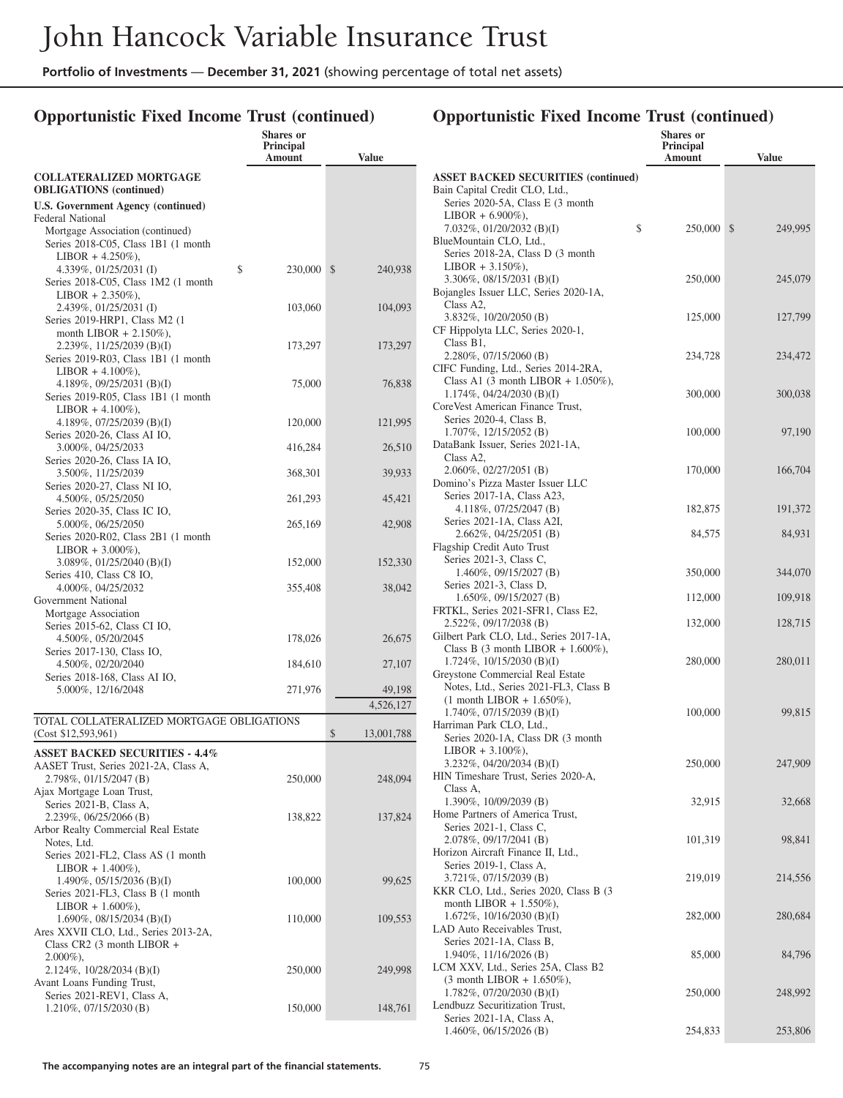## **Opportunistic Fixed Income Trust (continued)**

|                                                                     | <b>Shares</b> or<br><b>Principal</b><br>Amount | <b>Value</b>     |
|---------------------------------------------------------------------|------------------------------------------------|------------------|
| <b>COLLATERALIZED MORTGAGE</b><br><b>OBLIGATIONS</b> (continued)    |                                                |                  |
| <b>U.S. Government Agency (continued)</b>                           |                                                |                  |
| Federal National<br>Mortgage Association (continued)                |                                                |                  |
| Series 2018-C05, Class 1B1 (1 month                                 |                                                |                  |
| $LIBOR + 4.250\%$ ),<br>4.339%, 01/25/2031 (I)                      | \$<br>230,000                                  | \$<br>240,938    |
| Series 2018-C05, Class 1M2 (1 month                                 |                                                |                  |
| $LIBOR + 2.350\%$ ),                                                |                                                |                  |
| 2.439%, 01/25/2031 (I)<br>Series 2019-HRP1, Class M2 (1)            | 103,060                                        | 104,093          |
| month LIBOR $+ 2.150\%$ ),                                          |                                                |                  |
| 2.239%, 11/25/2039 (B)(I)<br>Series 2019-R03, Class 1B1 (1 month    | 173,297                                        | 173,297          |
| $LIBOR + 4.100\%$ ),                                                |                                                |                  |
| 4.189%, $09/25/2031$ (B)(I)                                         | 75,000                                         | 76,838           |
| Series 2019-R05, Class 1B1 (1 month<br>$LIBOR + 4.100\%$ ),         |                                                |                  |
| 4.189%, 07/25/2039 (B)(I)                                           | 120,000                                        | 121,995          |
| Series 2020-26, Class AI IO,<br>3.000%, 04/25/2033                  | 416,284                                        | 26,510           |
| Series 2020-26, Class IA IO,                                        |                                                |                  |
| 3.500%, 11/25/2039                                                  | 368,301                                        | 39,933           |
| Series 2020-27, Class NI IO,<br>4.500%, 05/25/2050                  | 261,293                                        | 45,421           |
| Series 2020-35, Class IC IO,                                        |                                                |                  |
| 5.000%, 06/25/2050<br>Series 2020-R02, Class 2B1 (1 month)          | 265,169                                        | 42,908           |
| $LIBOR + 3.000\%$ ),                                                |                                                |                  |
| $3.089\%, 01/25/2040$ (B)(I)                                        | 152,000                                        | 152,330          |
| Series 410, Class C8 IO,<br>4.000%, 04/25/2032                      | 355,408                                        | 38,042           |
| Government National                                                 |                                                |                  |
| Mortgage Association<br>Series 2015-62, Class CI IO,                |                                                |                  |
| 4.500%, 05/20/2045                                                  | 178,026                                        | 26,675           |
| Series 2017-130, Class IO,                                          |                                                |                  |
| 4.500%, 02/20/2040<br>Series 2018-168, Class AI IO,                 | 184,610                                        | 27,107           |
| 5.000%, 12/16/2048                                                  | 271,976                                        | 49,198           |
|                                                                     |                                                | 4,526,127        |
| TOTAL COLLATERALIZED MORTGAGE OBLIGATIONS<br>(Cost \$12,593,961)    |                                                | \$<br>13,001,788 |
| <b>ASSET BACKED SECURITIES - 4.4%</b>                               |                                                |                  |
| AASET Trust, Series 2021-2A, Class A,                               |                                                |                  |
| 2.798%, 01/15/2047 (B)                                              | 250,000                                        | 248,094          |
| Ajax Mortgage Loan Trust,<br>Series 2021-B, Class A,                |                                                |                  |
| 2.239%, 06/25/2066 (B)                                              | 138,822                                        | 137,824          |
| Arbor Realty Commercial Real Estate                                 |                                                |                  |
| Notes, Ltd.<br>Series 2021-FL2, Class AS (1 month                   |                                                |                  |
| $LIBOR + 1.400\%$ ),                                                |                                                |                  |
| 1.490%, $05/15/2036$ (B)(I)<br>Series 2021-FL3, Class B (1 month    | 100,000                                        | 99,625           |
| $LIBOR + 1.600\%$ ),                                                |                                                |                  |
| 1.690%, $08/15/2034$ (B)(I)                                         | 110,000                                        | 109,553          |
| Ares XXVII CLO, Ltd., Series 2013-2A,<br>Class CR2 (3 month LIBOR + |                                                |                  |
| $2.000\%$ ),                                                        |                                                |                  |
| 2.124%, 10/28/2034 (B)(I)<br>Avant Loans Funding Trust,             | 250,000                                        | 249,998          |
| Series 2021-REV1, Class A,                                          |                                                |                  |
| $1.210\%, 07/15/2030$ (B)                                           | 150,000                                        | 148,761          |
|                                                                     |                                                |                  |

|                                                                              | Shares or<br>Principal |               |
|------------------------------------------------------------------------------|------------------------|---------------|
|                                                                              | Amount                 | <b>Value</b>  |
| <b>ASSET BACKED SECURITIES (continued)</b><br>Bain Capital Credit CLO, Ltd., |                        |               |
| Series 2020-5A, Class E (3 month)                                            |                        |               |
| $LIBOR + 6.900\%$ ),<br>7.032%, 01/20/2032 (B)(I)                            | \$<br>250,000          | \$<br>249,995 |
| BlueMountain CLO, Ltd.,                                                      |                        |               |
| Series 2018-2A, Class D (3 month)                                            |                        |               |
| $LIBOR + 3.150\%$ ),                                                         |                        |               |
| $3.306\%, 08/15/2031$ (B)(I)<br>Bojangles Issuer LLC, Series 2020-1A,        | 250,000                | 245,079       |
| Class A2,                                                                    |                        |               |
| 3.832%, 10/20/2050 (B)                                                       | 125,000                | 127,799       |
| CF Hippolyta LLC, Series 2020-1,                                             |                        |               |
| Class B1,                                                                    |                        |               |
| 2.280%, 07/15/2060 (B)<br>CIFC Funding, Ltd., Series 2014-2RA,               | 234,728                | 234,472       |
| Class A1 $(3 \text{ month LIBOR} + 1.050\%),$                                |                        |               |
| 1.174%, $04/24/2030$ (B)(I)                                                  | 300,000                | 300,038       |
| CoreVest American Finance Trust,                                             |                        |               |
| Series 2020-4, Class B,                                                      |                        |               |
| $1.707\%$ , $12/15/2052$ (B)                                                 | 100,000                | 97,190        |
| DataBank Issuer, Series 2021-1A,<br>Class A2,                                |                        |               |
| 2.060%, 02/27/2051 (B)                                                       | 170,000                | 166,704       |
| Domino's Pizza Master Issuer LLC                                             |                        |               |
| Series 2017-1A, Class A23,                                                   |                        |               |
| 4.118%, $07/25/2047$ (B)<br>Series 2021-1A, Class A2I,                       | 182,875                | 191,372       |
| 2.662%, 04/25/2051 (B)                                                       | 84,575                 | 84,931        |
| Flagship Credit Auto Trust                                                   |                        |               |
| Series 2021-3, Class C,                                                      |                        |               |
| 1.460%, 09/15/2027 (B)                                                       | 350,000                | 344,070       |
| Series 2021-3, Class D,                                                      |                        |               |
| 1.650%, 09/15/2027 (B)<br>FRTKL, Series 2021-SFR1, Class E2,                 | 112,000                | 109,918       |
| 2.522%, 09/17/2038 (B)                                                       | 132,000                | 128,715       |
| Gilbert Park CLO, Ltd., Series 2017-1A,                                      |                        |               |
| Class B $(3 \text{ month LIBOR} + 1.600\%),$                                 |                        |               |
| $1.724\%, 10/15/2030$ (B)(I)                                                 | 280,000                | 280,011       |
| Greystone Commercial Real Estate<br>Notes, Ltd., Series 2021-FL3, Class B    |                        |               |
| $(1 \text{ month LIBOR} + 1.650\%),$                                         |                        |               |
| $1.740\%, 07/15/2039$ (B)(I)                                                 | 100,000                | 99,815        |
| Harriman Park CLO, Ltd.,                                                     |                        |               |
| Series 2020-1A, Class DR (3 month                                            |                        |               |
| $LIBOR + 3.100\%$ ),                                                         |                        |               |
| 3.232%, $04/20/2034$ (B)(I)<br>HIN Timeshare Trust, Series 2020-A,           | 250,000                | 247,909       |
| Class A,                                                                     |                        |               |
| 1.390%, 10/09/2039 (B)                                                       | 32,915                 | 32,668        |
| Home Partners of America Trust,                                              |                        |               |
| Series 2021-1, Class C,                                                      | 101,319                |               |
| 2.078%, 09/17/2041 (B)<br>Horizon Aircraft Finance II, Ltd.,                 |                        | 98,841        |
| Series 2019-1, Class A,                                                      |                        |               |
| 3.721%, 07/15/2039 (B)                                                       | 219,019                | 214,556       |
| KKR CLO, Ltd., Series 2020, Class B (3                                       |                        |               |
| month LIBOR $+ 1.550\%$ ),                                                   |                        |               |
| 1.672%, 10/16/2030 (B)(I)<br>LAD Auto Receivables Trust,                     | 282,000                | 280,684       |
| Series 2021-1A, Class B,                                                     |                        |               |
| $1.940\%, 11/16/2026$ (B)                                                    | 85,000                 | 84,796        |
| LCM XXV, Ltd., Series 25A, Class B2                                          |                        |               |
| $(3 \text{ month LIBOR} + 1.650\%),$                                         |                        |               |
| 1.782%, 07/20/2030 (B)(I)                                                    | 250,000                | 248,992       |
| Lendbuzz Securitization Trust,<br>Series 2021-1A, Class A,                   |                        |               |
| $1.460\%, 06/15/2026$ (B)                                                    | 254,833                | 253,806       |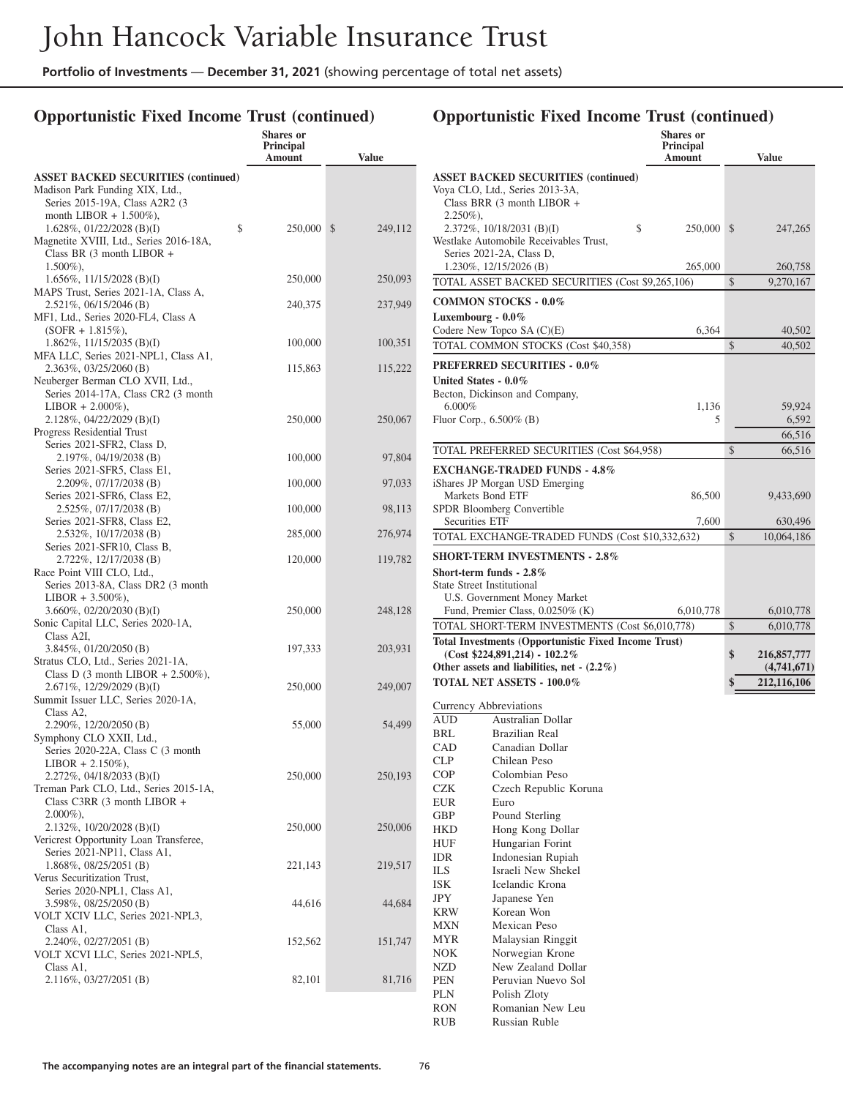## **Opportunistic Fixed Income Trust (continued)**

|                                                                               | <b>Shares</b> or<br><b>Principal</b><br>Amount | <b>Value</b> |  |
|-------------------------------------------------------------------------------|------------------------------------------------|--------------|--|
| <b>ASSET BACKED SECURITIES (continued)</b><br>Madison Park Funding XIX, Ltd., |                                                |              |  |
| Series 2015-19A, Class A2R2 (3                                                |                                                |              |  |
| month LIBOR $+ 1.500\%$ ),                                                    | \$<br>250,000                                  | $\mathbb{S}$ |  |
| 1.628%, $01/22/2028$ (B)(I)<br>Magnetite XVIII, Ltd., Series 2016-18A,        |                                                | 249,112      |  |
| Class BR $(3 \text{ month LIBOR } +$                                          |                                                |              |  |
| $1.500\%$ ),<br>1.656\%, 11/15/2028 (B)(I)                                    | 250,000                                        | 250,093      |  |
| MAPS Trust, Series 2021-1A, Class A,                                          |                                                |              |  |
| $2.521\%, 06/15/2046$ (B)<br>MF1, Ltd., Series 2020-FL4, Class A              | 240,375                                        | 237,949      |  |
| $(SOFR + 1.815\%),$                                                           |                                                |              |  |
| $1.862\%$ , $11/15/2035$ (B)(I)<br>MFA LLC, Series 2021-NPL1, Class A1,       | 100,000                                        | 100,351      |  |
| $2.363\%, 03/25/2060$ (B)                                                     | 115,863                                        | 115,222      |  |
| Neuberger Berman CLO XVII, Ltd.,                                              |                                                |              |  |
| Series 2014-17A, Class CR2 (3 month<br>$LIBOR + 2.000\%$ ),                   |                                                |              |  |
| $2.128\%, 04/22/2029$ (B)(I)                                                  | 250,000                                        | 250,067      |  |
| Progress Residential Trust<br>Series 2021-SFR2, Class D,                      |                                                |              |  |
| 2.197%, 04/19/2038 (B)                                                        | 100,000                                        | 97,804       |  |
| Series 2021-SFR5, Class E1,<br>2.209%, 07/17/2038 (B)                         | 100,000                                        | 97,033       |  |
| Series 2021-SFR6, Class E2,                                                   |                                                |              |  |
| 2.525%, 07/17/2038 (B)                                                        | 100,000                                        | 98,113       |  |
| Series 2021-SFR8, Class E2,<br>2.532%, 10/17/2038 (B)                         | 285,000                                        | 276,974      |  |
| Series 2021-SFR10, Class B,                                                   |                                                |              |  |
| 2.722%, 12/17/2038 (B)<br>Race Point VIII CLO, Ltd.,                          | 120,000                                        | 119,782      |  |
| Series 2013-8A, Class DR2 (3 month                                            |                                                |              |  |
| $LIBOR + 3.500\%$ ),<br>3.660\%, 02/20/2030 (B)(I)                            | 250,000                                        | 248,128      |  |
| Sonic Capital LLC, Series 2020-1A,                                            |                                                |              |  |
| Class A2I,                                                                    |                                                |              |  |
| $3.845\%, 01/20/2050$ (B)<br>Stratus CLO, Ltd., Series 2021-1A,               | 197,333                                        | 203,931      |  |
| Class D $(3 \text{ month LIBOR} + 2.500\%),$                                  |                                                |              |  |
| 2.671%, 12/29/2029 (B)(I)<br>Summit Issuer LLC, Series 2020-1A,               | 250,000                                        | 249,007      |  |
| Class A2,                                                                     |                                                |              |  |
| 2.290%, 12/20/2050 (B)<br>Symphony CLO XXII, Ltd.,                            | 55,000                                         | 54,499       |  |
| Series 2020-22A, Class C (3 month                                             |                                                |              |  |
| $LIBOR + 2.150\%),$<br>$2.272\%$ , 04/18/2033 (B)(I)                          | 250,000                                        | 250,193      |  |
| Treman Park CLO, Ltd., Series 2015-1A,                                        |                                                |              |  |
| Class C3RR (3 month LIBOR +                                                   |                                                |              |  |
| $2.000\%$ ),<br>$2.132\%, 10/20/2028$ (B)(I)                                  | 250,000                                        | 250,006      |  |
| Vericrest Opportunity Loan Transferee,                                        |                                                |              |  |
| Series 2021-NP11, Class A1,<br>1.868%, 08/25/2051 (B)                         | 221,143                                        | 219,517      |  |
| Verus Securitization Trust,                                                   |                                                |              |  |
| Series 2020-NPL1, Class A1,<br>3.598%, 08/25/2050 (B)                         | 44,616                                         | 44,684       |  |
| VOLT XCIV LLC, Series 2021-NPL3,                                              |                                                |              |  |
| Class A1,                                                                     |                                                |              |  |
| 2.240%, 02/27/2051 (B)<br>VOLT XCVI LLC, Series 2021-NPL5,                    | 152,562                                        | 151,747      |  |
| Class A1,                                                                     |                                                |              |  |
| 2.116%, 03/27/2051 (B)                                                        | 82,101                                         | 81,716       |  |

|                                   |                                                                                                                | <b>Shares</b> or<br>Principal |                             |
|-----------------------------------|----------------------------------------------------------------------------------------------------------------|-------------------------------|-----------------------------|
|                                   |                                                                                                                | Amount                        | <b>Value</b>                |
|                                   | <b>ASSET BACKED SECURITIES (continued)</b><br>Voya CLO, Ltd., Series 2013-3A,<br>Class BRR (3 month LIBOR +    |                               |                             |
| $2.250\%$ ),                      | \$<br>$2.372\%, 10/18/2031$ (B)(I)<br>Westlake Automobile Receivables Trust,                                   | 250,000                       | \$<br>247,265               |
|                                   | Series 2021-2A, Class D,<br>1.230%, 12/15/2026 (B)                                                             | 265,000                       | 260,758                     |
|                                   | TOTAL ASSET BACKED SECURITIES (Cost \$9,265,106)                                                               |                               | \$<br>9,270,167             |
|                                   | <b>COMMON STOCKS - 0.0%</b>                                                                                    |                               |                             |
| Luxembourg - $0.0\%$              | Codere New Topco $SA(C)(E)$                                                                                    | 6,364                         | 40,502                      |
|                                   | TOTAL COMMON STOCKS (Cost \$40,358)                                                                            |                               | \$<br>40,502                |
|                                   | <b>PREFERRED SECURITIES - 0.0%</b>                                                                             |                               |                             |
| United States - 0.0%<br>$6.000\%$ | Becton, Dickinson and Company,                                                                                 | 1,136                         | 59,924                      |
|                                   | Fluor Corp., $6.500\%$ (B)                                                                                     | 5                             | 6,592                       |
|                                   |                                                                                                                |                               | 66,516                      |
|                                   | TOTAL PREFERRED SECURITIES (Cost \$64,958)                                                                     |                               | \$<br>66,516                |
|                                   | <b>EXCHANGE-TRADED FUNDS - 4.8%</b><br>iShares JP Morgan USD Emerging                                          |                               |                             |
|                                   | Markets Bond ETF                                                                                               | 86,500                        | 9,433,690                   |
|                                   | SPDR Bloomberg Convertible                                                                                     |                               |                             |
| <b>Securities ETF</b>             | TOTAL EXCHANGE-TRADED FUNDS (Cost \$10,332,632)                                                                | 7,600                         | \$<br>630,496<br>10,064,186 |
|                                   |                                                                                                                |                               |                             |
|                                   | <b>SHORT-TERM INVESTMENTS - 2.8%</b><br>Short-term funds - $2.8\%$                                             |                               |                             |
|                                   | <b>State Street Institutional</b>                                                                              |                               |                             |
|                                   | U.S. Government Money Market                                                                                   |                               |                             |
|                                   | Fund, Premier Class, 0.0250% (K)                                                                               | 6,010,778                     | 6,010,778                   |
|                                   | TOTAL SHORT-TERM INVESTMENTS (Cost \$6,010,778)<br><b>Total Investments (Opportunistic Fixed Income Trust)</b> |                               | \$<br>6,010,778             |
|                                   | $(Cost $224,891,214) - 102.2\%$                                                                                |                               | \$<br>216,857,777           |
|                                   | Other assets and liabilities, net $-(2.2\%)$                                                                   |                               | (4,741,671)                 |
|                                   | <b>TOTAL NET ASSETS - 100.0%</b>                                                                               |                               | \$<br>212,116,106           |
|                                   | Currency Abbreviations                                                                                         |                               |                             |
| <b>AUD</b>                        | Australian Dollar                                                                                              |                               |                             |
| BRL                               | <b>Brazilian Real</b>                                                                                          |                               |                             |
| CAD<br>CLP                        | Canadian Dollar<br>Chilean Peso                                                                                |                               |                             |
| <b>COP</b>                        | Colombian Peso                                                                                                 |                               |                             |
| <b>CZK</b>                        | Czech Republic Koruna                                                                                          |                               |                             |
| <b>EUR</b>                        | Euro                                                                                                           |                               |                             |
| GBP                               | Pound Sterling                                                                                                 |                               |                             |
| HKD                               | Hong Kong Dollar                                                                                               |                               |                             |
| <b>HUF</b><br><b>IDR</b>          | Hungarian Forint<br>Indonesian Rupiah                                                                          |                               |                             |
| ILS.                              | Israeli New Shekel                                                                                             |                               |                             |
| <b>ISK</b>                        | Icelandic Krona                                                                                                |                               |                             |
| JPY                               | Japanese Yen                                                                                                   |                               |                             |
| KRW                               | Korean Won                                                                                                     |                               |                             |
| MXN                               | Mexican Peso                                                                                                   |                               |                             |
| <b>MYR</b>                        | Malaysian Ringgit                                                                                              |                               |                             |
| <b>NOK</b>                        | Norwegian Krone                                                                                                |                               |                             |
| NZD<br>PEN                        | New Zealand Dollar<br>Peruvian Nuevo Sol                                                                       |                               |                             |
| PLN                               | Polish Zloty                                                                                                   |                               |                             |
| RON                               | Romanian New Leu                                                                                               |                               |                             |
| RUB                               | Russian Ruble                                                                                                  |                               |                             |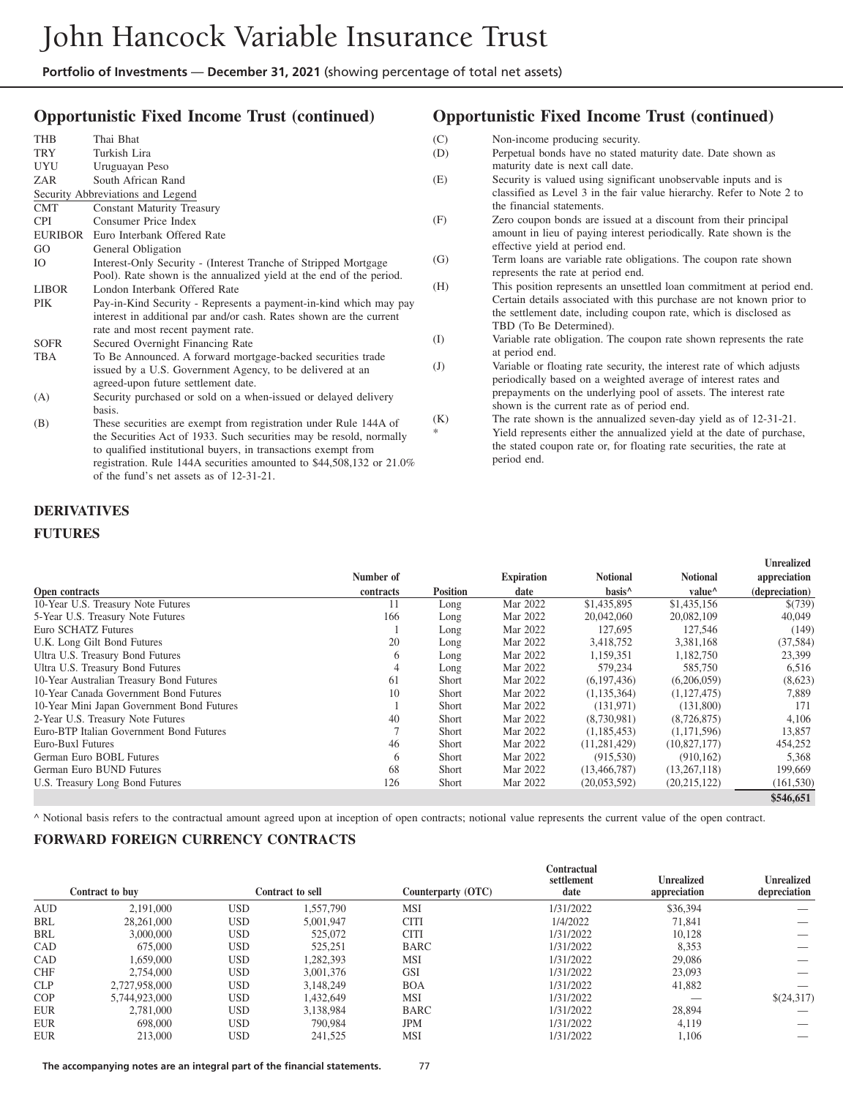#### **Opportunistic Fixed Income Trust (continued)**

| <b>THB</b>   | Thai Bhat                                                            |
|--------------|----------------------------------------------------------------------|
| TRY          | Turkish Lira                                                         |
| UYU          | Uruguayan Peso                                                       |
| ZAR          | South African Rand                                                   |
|              | Security Abbreviations and Legend                                    |
| <b>CMT</b>   | <b>Constant Maturity Treasury</b>                                    |
| <b>CPI</b>   | Consumer Price Index                                                 |
| EURIBOR      | Euro Interbank Offered Rate                                          |
| GO.          | General Obligation                                                   |
| Ю            | Interest-Only Security - (Interest Tranche of Stripped Mortgage)     |
|              | Pool). Rate shown is the annualized yield at the end of the period.  |
| <b>LIBOR</b> | London Interbank Offered Rate                                        |
| <b>PIK</b>   | Pay-in-Kind Security - Represents a payment-in-kind which may pay    |
|              | interest in additional par and/or cash. Rates shown are the current  |
|              | rate and most recent payment rate.                                   |
| <b>SOFR</b>  | Secured Overnight Financing Rate                                     |
| TBA          | To Be Announced. A forward mortgage-backed securities trade          |
|              | issued by a U.S. Government Agency, to be delivered at an            |
|              | agreed-upon future settlement date.                                  |
| (A)          | Security purchased or sold on a when-issued or delayed delivery      |
|              | basis.                                                               |
| (B)          | These securities are exempt from registration under Rule 144A of     |
|              | the Securities Act of 1933. Such securities may be resold, normally  |
|              | to qualified institutional buyers, in transactions exempt from       |
|              | registration. Rule 144A securities amounted to \$44,508,132 or 21.0% |

of the fund's net assets as of 12-31-21.

#### **Opportunistic Fixed Income Trust (continued)**

- (C) Non-income producing security.
- (D) Perpetual bonds have no stated maturity date. Date shown as maturity date is next call date.
- (E) Security is valued using significant unobservable inputs and is classified as Level 3 in the fair value hierarchy. Refer to Note 2 to the financial statements.
- (F) Zero coupon bonds are issued at a discount from their principal amount in lieu of paying interest periodically. Rate shown is the effective yield at period end.
- (G) Term loans are variable rate obligations. The coupon rate shown represents the rate at period end.
- (H) This position represents an unsettled loan commitment at period end. Certain details associated with this purchase are not known prior to the settlement date, including coupon rate, which is disclosed as TBD (To Be Determined).
- (I) Variable rate obligation. The coupon rate shown represents the rate at period end.
- (J) Variable or floating rate security, the interest rate of which adjusts periodically based on a weighted average of interest rates and prepayments on the underlying pool of assets. The interest rate shown is the current rate as of period end.
- (K) The rate shown is the annualized seven-day yield as of 12-31-21. Yield represents either the annualized yield at the date of purchase, the stated coupon rate or, for floating rate securities, the rate at period end.

#### **DERIVATIVES**

#### **FUTURES**

|                                            | Number of |                 | <b>Expiration</b> | <b>Notional</b>    | <b>Notional</b>    | <b>Unrealized</b><br>appreciation |
|--------------------------------------------|-----------|-----------------|-------------------|--------------------|--------------------|-----------------------------------|
| Open contracts                             | contracts | <b>Position</b> | date              | basis <sup>^</sup> | value <sup>^</sup> | (depreciation)                    |
| 10-Year U.S. Treasury Note Futures         | 11        | Long            | Mar 2022          | \$1,435,895        | \$1,435,156        | \$(739)                           |
| 5-Year U.S. Treasury Note Futures          | 166       | Long            | Mar 2022          | 20,042,060         | 20,082,109         | 40,049                            |
| Euro SCHATZ Futures                        |           | Long            | Mar 2022          | 127,695            | 127,546            | (149)                             |
| U.K. Long Gilt Bond Futures                | 20        | Long            | Mar 2022          | 3,418,752          | 3,381,168          | (37, 584)                         |
| Ultra U.S. Treasury Bond Futures           | 6         | Long            | Mar 2022          | 1.159.351          | 1.182.750          | 23,399                            |
| Ultra U.S. Treasury Bond Futures           | 4         | Long            | Mar 2022          | 579,234            | 585,750            | 6,516                             |
| 10-Year Australian Treasury Bond Futures   | 61        | Short           | Mar 2022          | (6,197,436)        | (6,206,059)        | (8,623)                           |
| 10-Year Canada Government Bond Futures     | 10        | <b>Short</b>    | Mar 2022          | (1, 135, 364)      | (1,127,475)        | 7,889                             |
| 10-Year Mini Japan Government Bond Futures |           | <b>Short</b>    | Mar 2022          | (131.971)          | (131,800)          | 171                               |
| 2-Year U.S. Treasury Note Futures          | 40        | <b>Short</b>    | Mar 2022          | (8,730,981)        | (8,726,875)        | 4,106                             |
| Euro-BTP Italian Government Bond Futures   |           | <b>Short</b>    | Mar 2022          | (1,185,453)        | (1,171,596)        | 13,857                            |
| Euro-Buxl Futures                          | 46        | <b>Short</b>    | Mar 2022          | (11, 281, 429)     | (10,827,177)       | 454,252                           |
| German Euro BOBL Futures                   | 6         | Short           | Mar 2022          | (915, 530)         | (910, 162)         | 5,368                             |
| German Euro BUND Futures                   | 68        | Short           | Mar 2022          | (13, 466, 787)     | (13,267,118)       | 199,669                           |
| U.S. Treasury Long Bond Futures            | 126       | Short           | Mar 2022          | (20,053,592)       | (20,215,122)       | (161, 530)                        |
|                                            |           |                 |                   |                    |                    | \$546,651                         |

^ Notional basis refers to the contractual amount agreed upon at inception of open contracts; notional value represents the current value of the open contract.

#### **FORWARD FOREIGN CURRENCY CONTRACTS**

|            | Contract to buy |     | Contract to sell | Counterparty (OTC) | Contractual<br>settlement<br>date | <b>Unrealized</b><br>appreciation | <b>Unrealized</b><br>depreciation |
|------------|-----------------|-----|------------------|--------------------|-----------------------------------|-----------------------------------|-----------------------------------|
| <b>AUD</b> | 2,191,000       | USD | 1.557.790        | <b>MSI</b>         | 1/31/2022                         | \$36,394                          |                                   |
| BRL        | 28,261,000      | USD | 5.001.947        | <b>CITI</b>        | 1/4/2022                          | 71.841                            |                                   |
| BRL        | 3,000,000       | USD | 525,072          | <b>CITI</b>        | 1/31/2022                         | 10.128                            |                                   |
| CAD        | 675,000         | USD | 525,251          | <b>BARC</b>        | 1/31/2022                         | 8,353                             |                                   |
| CAD        | 1.659.000       | USD | 1,282,393        | <b>MSI</b>         | 1/31/2022                         | 29,086                            |                                   |
| <b>CHF</b> | 2,754,000       | USD | 3.001.376        | <b>GSI</b>         | 1/31/2022                         | 23,093                            |                                   |
| <b>CLP</b> | 2,727,958,000   | USD | 3.148.249        | <b>BOA</b>         | 1/31/2022                         | 41,882                            |                                   |
| <b>COP</b> | 5.744.923.000   | USD | 1.432.649        | <b>MSI</b>         | 1/31/2022                         |                                   | \$(24,317)                        |
| <b>EUR</b> | 2.781,000       | USD | 3.138.984        | <b>BARC</b>        | 1/31/2022                         | 28,894                            |                                   |
| <b>EUR</b> | 698,000         | USD | 790,984          | <b>JPM</b>         | 1/31/2022                         | 4,119                             |                                   |
| <b>EUR</b> | 213,000         | USD | 241,525          | <b>MSI</b>         | 1/31/2022                         | 1.106                             |                                   |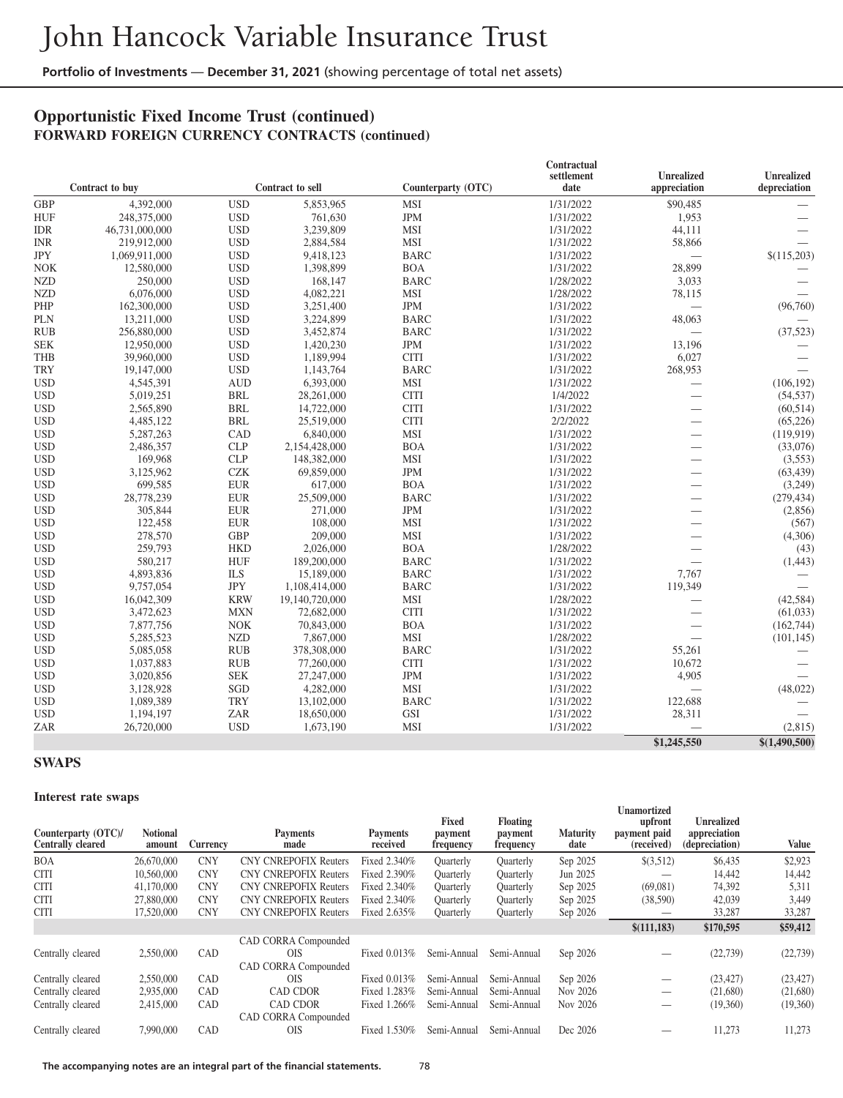## **Opportunistic Fixed Income Trust (continued) FORWARD FOREIGN CURRENCY CONTRACTS (continued)**

|            |                 |            | Contractual      |                    |            |                          |                   |  |  |  |
|------------|-----------------|------------|------------------|--------------------|------------|--------------------------|-------------------|--|--|--|
|            |                 |            |                  |                    | settlement | <b>Unrealized</b>        | <b>Unrealized</b> |  |  |  |
|            | Contract to buy |            | Contract to sell | Counterparty (OTC) | date       | appreciation             | depreciation      |  |  |  |
| <b>GBP</b> | 4,392,000       | <b>USD</b> | 5,853,965        | MSI                | 1/31/2022  | \$90,485                 |                   |  |  |  |
| <b>HUF</b> | 248,375,000     | <b>USD</b> | 761,630          | <b>JPM</b>         | 1/31/2022  | 1,953                    |                   |  |  |  |
| <b>IDR</b> | 46,731,000,000  | <b>USD</b> | 3,239,809        | MSI                | 1/31/2022  | 44,111                   |                   |  |  |  |
| <b>INR</b> | 219,912,000     | <b>USD</b> | 2,884,584        | <b>MSI</b>         | 1/31/2022  | 58,866                   |                   |  |  |  |
| <b>JPY</b> | 1,069,911,000   | <b>USD</b> | 9,418,123        | <b>BARC</b>        | 1/31/2022  | $\overline{\phantom{0}}$ | \$(115,203)       |  |  |  |
| <b>NOK</b> | 12,580,000      | <b>USD</b> | 1,398,899        | <b>BOA</b>         | 1/31/2022  | 28,899                   |                   |  |  |  |
| <b>NZD</b> | 250,000         | <b>USD</b> | 168,147          | <b>BARC</b>        | 1/28/2022  | 3,033                    |                   |  |  |  |
| <b>NZD</b> | 6,076,000       | <b>USD</b> | 4,082,221        | MSI                | 1/28/2022  | 78,115                   |                   |  |  |  |
| PHP        | 162,300,000     | <b>USD</b> | 3,251,400        | <b>JPM</b>         | 1/31/2022  |                          | (96,760)          |  |  |  |
| <b>PLN</b> | 13,211,000      | <b>USD</b> | 3,224,899        | <b>BARC</b>        | 1/31/2022  | 48,063                   |                   |  |  |  |
| <b>RUB</b> | 256,880,000     | <b>USD</b> | 3,452,874        | <b>BARC</b>        | 1/31/2022  | $\qquad \qquad$          | (37, 523)         |  |  |  |
| <b>SEK</b> | 12,950,000      | <b>USD</b> | 1,420,230        | <b>JPM</b>         | 1/31/2022  | 13,196                   |                   |  |  |  |
| <b>THB</b> | 39,960,000      | <b>USD</b> | 1,189,994        | <b>CITI</b>        | 1/31/2022  | 6,027                    |                   |  |  |  |
| <b>TRY</b> | 19,147,000      | <b>USD</b> | 1,143,764        | <b>BARC</b>        | 1/31/2022  | 268,953                  |                   |  |  |  |
| <b>USD</b> | 4,545,391       | <b>AUD</b> | 6,393,000        | <b>MSI</b>         | 1/31/2022  |                          | (106, 192)        |  |  |  |
| <b>USD</b> | 5,019,251       | <b>BRL</b> | 28,261,000       | <b>CITI</b>        | 1/4/2022   |                          | (54, 537)         |  |  |  |
| <b>USD</b> | 2,565,890       | <b>BRL</b> | 14,722,000       | <b>CITI</b>        | 1/31/2022  | $\overline{\phantom{0}}$ | (60, 514)         |  |  |  |
| <b>USD</b> | 4,485,122       | <b>BRL</b> | 25,519,000       | <b>CITI</b>        | 2/2/2022   | $\overline{\phantom{0}}$ | (65, 226)         |  |  |  |
| <b>USD</b> | 5,287,263       | CAD        | 6,840,000        | <b>MSI</b>         | 1/31/2022  |                          | (119, 919)        |  |  |  |
| <b>USD</b> | 2,486,357       | CLP        | 2,154,428,000    | <b>BOA</b>         | 1/31/2022  |                          | (33,076)          |  |  |  |
| <b>USD</b> | 169,968         | <b>CLP</b> | 148,382,000      | <b>MSI</b>         | 1/31/2022  |                          | (3,553)           |  |  |  |
| <b>USD</b> | 3,125,962       | <b>CZK</b> | 69,859,000       | <b>JPM</b>         | 1/31/2022  | $\overline{\phantom{0}}$ | (63, 439)         |  |  |  |
| <b>USD</b> | 699,585         | <b>EUR</b> | 617,000          | <b>BOA</b>         | 1/31/2022  | $\overline{\phantom{0}}$ | (3,249)           |  |  |  |
| <b>USD</b> | 28,778,239      | <b>EUR</b> | 25,509,000       | <b>BARC</b>        | 1/31/2022  | $\overline{\phantom{0}}$ | (279, 434)        |  |  |  |
| <b>USD</b> | 305,844         | <b>EUR</b> | 271,000          | <b>JPM</b>         | 1/31/2022  | $\overline{\phantom{0}}$ | (2,856)           |  |  |  |
| <b>USD</b> | 122,458         | <b>EUR</b> | 108,000          | <b>MSI</b>         | 1/31/2022  | $\overline{\phantom{0}}$ | (567)             |  |  |  |
| <b>USD</b> | 278,570         | <b>GBP</b> | 209,000          | MSI                | 1/31/2022  |                          | (4,306)           |  |  |  |
| <b>USD</b> | 259,793         | <b>HKD</b> | 2,026,000        | <b>BOA</b>         | 1/28/2022  |                          | (43)              |  |  |  |
| <b>USD</b> | 580,217         | <b>HUF</b> | 189,200,000      | <b>BARC</b>        | 1/31/2022  |                          | (1, 443)          |  |  |  |
| <b>USD</b> | 4,893,836       | <b>ILS</b> | 15,189,000       | <b>BARC</b>        | 1/31/2022  | 7,767                    |                   |  |  |  |
| <b>USD</b> | 9,757,054       | <b>JPY</b> | 1,108,414,000    | <b>BARC</b>        | 1/31/2022  | 119,349                  |                   |  |  |  |
| <b>USD</b> | 16,042,309      | <b>KRW</b> | 19,140,720,000   | <b>MSI</b>         | 1/28/2022  |                          | (42, 584)         |  |  |  |
| <b>USD</b> | 3,472,623       | <b>MXN</b> | 72,682,000       | <b>CITI</b>        | 1/31/2022  | $\overline{\phantom{0}}$ | (61,033)          |  |  |  |
| <b>USD</b> | 7,877,756       | <b>NOK</b> | 70,843,000       | <b>BOA</b>         | 1/31/2022  |                          | (162, 744)        |  |  |  |
| <b>USD</b> | 5,285,523       | <b>NZD</b> | 7,867,000        | MSI                | 1/28/2022  |                          |                   |  |  |  |
| <b>USD</b> |                 | <b>RUB</b> |                  | <b>BARC</b>        |            |                          | (101, 145)        |  |  |  |
|            | 5,085,058       |            | 378,308,000      |                    | 1/31/2022  | 55,261                   |                   |  |  |  |
| <b>USD</b> | 1,037,883       | <b>RUB</b> | 77,260,000       | <b>CITI</b>        | 1/31/2022  | 10,672                   |                   |  |  |  |
| <b>USD</b> | 3,020,856       | <b>SEK</b> | 27,247,000       | <b>JPM</b>         | 1/31/2022  | 4,905                    |                   |  |  |  |
| <b>USD</b> | 3,128,928       | SGD        | 4,282,000        | <b>MSI</b>         | 1/31/2022  | $\overline{\phantom{0}}$ | (48, 022)         |  |  |  |
| <b>USD</b> | 1,089,389       | <b>TRY</b> | 13,102,000       | <b>BARC</b>        | 1/31/2022  | 122,688                  |                   |  |  |  |
| <b>USD</b> | 1,194,197       | ZAR        | 18,650,000       | <b>GSI</b>         | 1/31/2022  | 28,311                   |                   |  |  |  |
| ZAR        | 26,720,000      | <b>USD</b> | 1,673,190        | MSI                | 1/31/2022  |                          | (2,815)           |  |  |  |
|            |                 |            |                  |                    |            | \$1,245,550              | \$(1,490,500)     |  |  |  |

#### **SWAPS**

#### **Interest rate swaps**

| Counterparty (OTC)/<br><b>Centrally cleared</b> | л.<br><b>Notional</b><br>amount | Currency   | <b>Payments</b><br>made      | <b>Payments</b><br>received | Fixed<br>payment<br>frequency | <b>Floating</b><br>payment<br>frequency | <b>Maturity</b><br>date | Unamortized<br>upfront<br>payment paid<br>(received) | <b>Unrealized</b><br>appreciation<br>(depreciation) | Value     |
|-------------------------------------------------|---------------------------------|------------|------------------------------|-----------------------------|-------------------------------|-----------------------------------------|-------------------------|------------------------------------------------------|-----------------------------------------------------|-----------|
| <b>BOA</b>                                      | 26,670,000                      | <b>CNY</b> | <b>CNY CNREPOFIX Reuters</b> | Fixed 2.340%                | Ouarterly                     | Ouarterly                               | Sep 2025                | \$(3,512)                                            | \$6,435                                             | \$2,923   |
| <b>CITI</b>                                     | 10,560,000                      | <b>CNY</b> | <b>CNY CNREPOFIX Reuters</b> | Fixed 2.390%                | Ouarterly                     | Quarterly                               | Jun 2025                |                                                      | 14.442                                              | 14,442    |
| <b>CITI</b>                                     | 41,170,000                      | <b>CNY</b> | <b>CNY CNREPOFIX Reuters</b> | Fixed 2.340%                | Ouarterly                     | Quarterly                               | Sep 2025                | (69,081)                                             | 74,392                                              | 5,311     |
| <b>CITI</b>                                     | 27,880,000                      | <b>CNY</b> | <b>CNY CNREPOFIX Reuters</b> | Fixed 2.340%                | Quarterly                     | Quarterly                               | Sep 2025                | (38,590)                                             | 42,039                                              | 3,449     |
| <b>CITI</b>                                     | 17,520,000                      | <b>CNY</b> | <b>CNY CNREPOFIX Reuters</b> | Fixed 2.635%                | Quarterly                     | Quarterly                               | Sep 2026                |                                                      | 33,287                                              | 33,287    |
|                                                 |                                 |            |                              |                             |                               |                                         |                         | \$(111, 183)                                         | \$170,595                                           | \$59,412  |
|                                                 |                                 |            | CAD CORRA Compounded         |                             |                               |                                         |                         |                                                      |                                                     |           |
| Centrally cleared                               | 2,550,000                       | CAD        | <b>OIS</b>                   | Fixed 0.013%                | Semi-Annual                   | Semi-Annual                             | Sep 2026                |                                                      | (22, 739)                                           | (22, 739) |
|                                                 |                                 |            | CAD CORRA Compounded         |                             |                               |                                         |                         |                                                      |                                                     |           |
| Centrally cleared                               | 2.550,000                       | CAD        | <b>OIS</b>                   | Fixed 0.013%                | Semi-Annual                   | Semi-Annual                             | Sep 2026                |                                                      | (23.427)                                            | (23, 427) |
| Centrally cleared                               | 2,935,000                       | CAD        | <b>CAD CDOR</b>              | Fixed 1.283%                | Semi-Annual                   | Semi-Annual                             | Nov 2026                |                                                      | (21,680)                                            | (21,680)  |
| Centrally cleared                               | 2,415,000                       | CAD        | <b>CAD CDOR</b>              | Fixed 1.266%                | Semi-Annual                   | Semi-Annual                             | Nov 2026                |                                                      | (19,360)                                            | (19,360)  |
|                                                 |                                 |            | CAD CORRA Compounded         |                             |                               |                                         |                         |                                                      |                                                     |           |
| Centrally cleared                               | 7,990,000                       | CAD        | <b>OIS</b>                   | 1.530%<br>Fixed             | Semi-Annual                   | Semi-Annual                             | Dec 2026                |                                                      | 11,273                                              | 11,273    |

**The accompanying notes are an integral part of the financial statements.** 78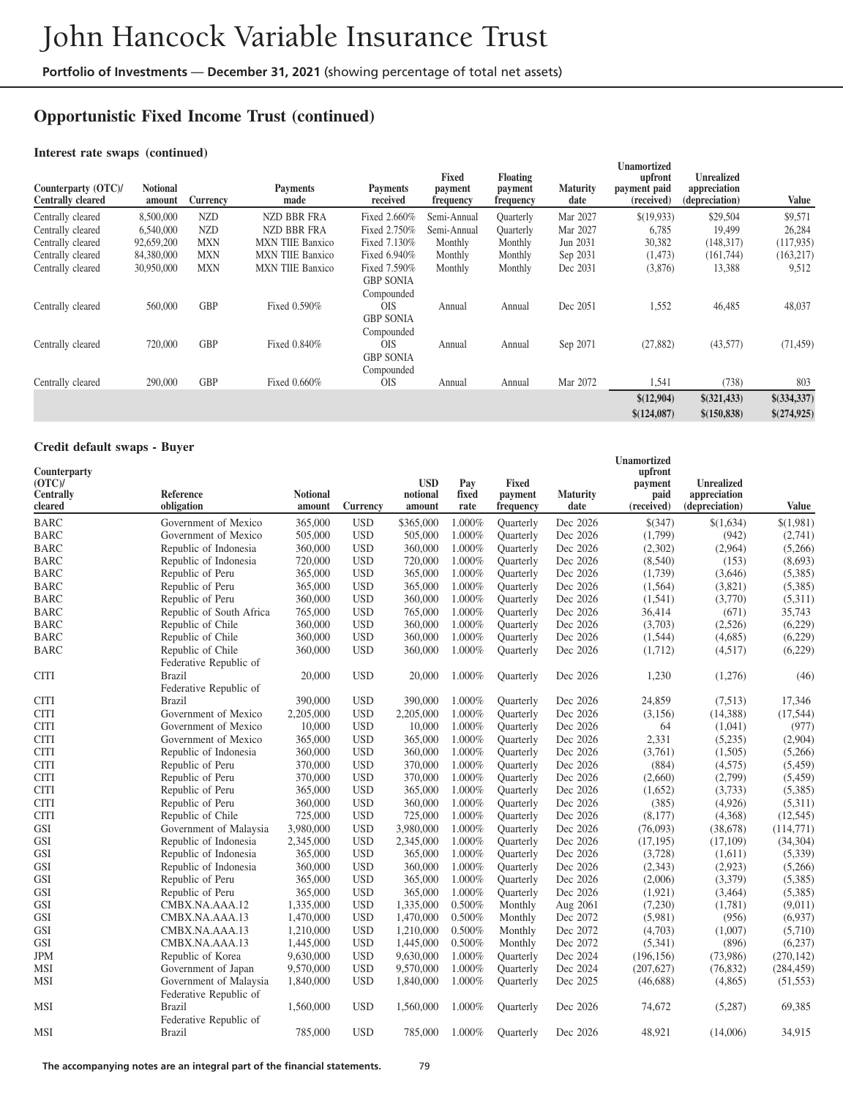# **Opportunistic Fixed Income Trust (continued)**

#### **Interest rate swaps (continued)**

| Counterparty (OTC)/<br>Centrally cleared | <b>Notional</b><br>amount | Currency   | <b>Payments</b><br>made | <b>Payments</b><br>received                    | Fixed<br>payment<br>frequency | <b>Floating</b><br>payment<br>frequency | <b>Maturity</b><br>date | Unamortized<br>upfront<br>payment paid<br>(received) | <b>Unrealized</b><br>appreciation<br>(depreciation) | Value       |
|------------------------------------------|---------------------------|------------|-------------------------|------------------------------------------------|-------------------------------|-----------------------------------------|-------------------------|------------------------------------------------------|-----------------------------------------------------|-------------|
| Centrally cleared                        | 8,500,000                 | <b>NZD</b> | <b>NZD BBR FRA</b>      | Fixed 2.660%                                   | Semi-Annual                   | Quarterly                               | Mar 2027                | \$(19,933)                                           | \$29,504                                            | \$9,571     |
| Centrally cleared                        | 6,540,000                 | <b>NZD</b> | NZD BBR FRA             | Fixed 2.750%                                   | Semi-Annual                   | Ouarterly                               | Mar 2027                | 6,785                                                | 19.499                                              | 26,284      |
| Centrally cleared                        | 92,659,200                | <b>MXN</b> | <b>MXN THE Banxico</b>  | Fixed 7.130%                                   | Monthly                       | Monthly                                 | Jun 2031                | 30,382                                               | (148, 317)                                          | (117, 935)  |
| Centrally cleared                        | 84,380,000                | MXN        | <b>MXN THE Banxico</b>  | Fixed 6.940%                                   | Monthly                       | Monthly                                 | Sep 2031                | (1, 473)                                             | (161,744)                                           | (163, 217)  |
| Centrally cleared                        | 30,950,000                | <b>MXN</b> | <b>MXN THE Banxico</b>  | Fixed 7.590%<br><b>GBP SONIA</b><br>Compounded | Monthly                       | Monthly                                 | Dec 2031                | (3,876)                                              | 13,388                                              | 9,512       |
| Centrally cleared                        | 560,000                   | <b>GBP</b> | Fixed 0.590%            | <b>OIS</b><br><b>GBP SONIA</b><br>Compounded   | Annual                        | Annual                                  | Dec 2051                | 1,552                                                | 46,485                                              | 48,037      |
| Centrally cleared                        | 720,000                   | <b>GBP</b> | Fixed 0.840%            | <b>OIS</b><br><b>GBP SONIA</b><br>Compounded   | Annual                        | Annual                                  | Sep 2071                | (27, 882)                                            | (43,577)                                            | (71, 459)   |
| Centrally cleared                        | 290,000                   | <b>GBP</b> | Fixed 0.660%            | <b>OIS</b>                                     | Annual                        | Annual                                  | Mar 2072                | 1,541                                                | (738)                                               | 803         |
|                                          |                           |            |                         |                                                |                               |                                         |                         | \$(12,904)                                           | $$$ (321,433)                                       | \$(334,337) |
|                                          |                           |            |                         |                                                |                               |                                         |                         | \$(124,087)                                          | \$(150, 838)                                        | \$(274,925) |

#### **Credit default swaps - Buyer**

| Counterparty<br>(OTC)<br>Centrally<br>cleared | <b>Reference</b><br>obligation                   | <b>Notional</b><br>amount | Currency   | <b>USD</b><br>notional<br>amount | Pay<br>fixed<br>rate | <b>Fixed</b><br>payment<br>frequency | <b>Maturity</b><br>date | <b>Unamortized</b><br>upfront<br>payment<br>paid<br>(received) | <b>Unrealized</b><br>appreciation<br>(depreciation) | Value      |
|-----------------------------------------------|--------------------------------------------------|---------------------------|------------|----------------------------------|----------------------|--------------------------------------|-------------------------|----------------------------------------------------------------|-----------------------------------------------------|------------|
| <b>BARC</b>                                   | Government of Mexico                             | 365,000                   | <b>USD</b> | \$365,000                        | 1.000%               | <b>Ouarterly</b>                     | Dec 2026                | \$(347)                                                        | \$(1,634)                                           | \$(1,981)  |
| <b>BARC</b>                                   | Government of Mexico                             | 505,000                   | <b>USD</b> | 505,000                          | 1.000%               | <b>Ouarterly</b>                     | Dec 2026                | (1,799)                                                        | (942)                                               | (2,741)    |
| <b>BARC</b>                                   | Republic of Indonesia                            | 360,000                   | <b>USD</b> | 360,000                          | 1.000%               | <b>Ouarterly</b>                     | Dec 2026                | (2,302)                                                        | (2,964)                                             | (5,266)    |
| <b>BARC</b>                                   | Republic of Indonesia                            | 720,000                   | <b>USD</b> | 720,000                          | 1.000%               | Quarterly                            | Dec 2026                | (8,540)                                                        | (153)                                               | (8,693)    |
| BARC                                          | Republic of Peru                                 | 365,000                   | <b>USD</b> | 365,000                          | 1.000%               | Quarterly                            | Dec 2026                | (1,739)                                                        | (3,646)                                             | (5,385)    |
| <b>BARC</b>                                   | Republic of Peru                                 | 365,000                   | <b>USD</b> | 365,000                          | 1.000%               | <b>Quarterly</b>                     | Dec 2026                | (1,564)                                                        | (3,821)                                             | (5,385)    |
| BARC                                          | Republic of Peru                                 | 360,000                   | <b>USD</b> | 360,000                          | 1.000%               | Ouarterly                            | Dec 2026                | (1,541)                                                        | (3,770)                                             | (5,311)    |
| <b>BARC</b>                                   | Republic of South Africa                         | 765,000                   | <b>USD</b> | 765,000                          | 1.000%               | <b>Quarterly</b>                     | Dec 2026                | 36,414                                                         | (671)                                               | 35,743     |
| BARC                                          | Republic of Chile                                | 360,000                   | <b>USD</b> | 360,000                          | 1.000%               | Quarterly                            | Dec 2026                | (3,703)                                                        | (2,526)                                             | (6,229)    |
| <b>BARC</b>                                   | Republic of Chile                                | 360,000                   | <b>USD</b> | 360,000                          | 1.000%               | <b>Ouarterly</b>                     | Dec 2026                | (1,544)                                                        | (4,685)                                             | (6,229)    |
| <b>BARC</b>                                   | Republic of Chile<br>Federative Republic of      | 360,000                   | <b>USD</b> | 360,000                          | 1.000%               | Quarterly                            | Dec 2026                | (1,712)                                                        | (4,517)                                             | (6,229)    |
| <b>CITI</b>                                   | <b>Brazil</b><br>Federative Republic of          | 20,000                    | <b>USD</b> | 20,000                           | 1.000%               | Quarterly                            | Dec 2026                | 1,230                                                          | (1,276)                                             | (46)       |
| <b>CITI</b>                                   | <b>Brazil</b>                                    | 390,000                   | <b>USD</b> | 390,000                          | 1.000%               | <b>Quarterly</b>                     | Dec 2026                | 24,859                                                         | (7,513)                                             | 17,346     |
| <b>CITI</b>                                   | Government of Mexico                             | 2,205,000                 | <b>USD</b> | 2,205,000                        | 1.000%               | <b>Quarterly</b>                     | Dec 2026                | (3, 156)                                                       | (14,388)                                            | (17, 544)  |
| <b>CITI</b>                                   | Government of Mexico                             | 10,000                    | <b>USD</b> | 10,000                           | 1.000%               | Quarterly                            | Dec 2026                | 64                                                             | (1,041)                                             | (977)      |
| <b>CITI</b>                                   | Government of Mexico                             | 365,000                   | <b>USD</b> | 365,000                          | 1.000%               | Quarterly                            | Dec 2026                | 2,331                                                          | (5,235)                                             | (2,904)    |
| <b>CITI</b>                                   | Republic of Indonesia                            | 360,000                   | <b>USD</b> | 360,000                          | 1.000%               | Quarterly                            | Dec 2026                | (3,761)                                                        | (1,505)                                             | (5,266)    |
| <b>CITI</b>                                   | Republic of Peru                                 | 370,000                   | <b>USD</b> | 370,000                          | 1.000%               | <b>Quarterly</b>                     | Dec 2026                | (884)                                                          | (4,575)                                             | (5, 459)   |
| <b>CITI</b>                                   | Republic of Peru                                 | 370,000                   | <b>USD</b> | 370,000                          | 1.000%               | <b>Quarterly</b>                     | Dec 2026                | (2,660)                                                        | (2,799)                                             | (5, 459)   |
| <b>CITI</b>                                   | Republic of Peru                                 | 365,000                   | <b>USD</b> | 365,000                          | 1.000%               | <b>Ouarterly</b>                     | Dec 2026                | (1,652)                                                        | (3,733)                                             | (5,385)    |
| <b>CITI</b>                                   | Republic of Peru                                 | 360,000                   | <b>USD</b> | 360,000                          | 1.000%               | Quarterly                            | Dec 2026                | (385)                                                          | (4,926)                                             | (5,311)    |
| <b>CITI</b>                                   | Republic of Chile                                | 725,000                   | <b>USD</b> | 725,000                          | 1.000%               | Quarterly                            | Dec 2026                | (8,177)                                                        | (4,368)                                             | (12, 545)  |
| GSI                                           | Government of Malaysia                           | 3,980,000                 | <b>USD</b> | 3,980,000                        | 1.000%               | Quarterly                            | Dec 2026                | (76,093)                                                       | (38,678)                                            | (114,771)  |
| <b>GSI</b>                                    | Republic of Indonesia                            | 2,345,000                 | <b>USD</b> | 2,345,000                        | 1.000%               | Quarterly                            | Dec 2026                | (17, 195)                                                      | (17,109)                                            | (34, 304)  |
| <b>GSI</b>                                    | Republic of Indonesia                            | 365,000                   | <b>USD</b> | 365,000                          | 1.000%               | <b>Quarterly</b>                     | Dec 2026                | (3,728)                                                        | (1,611)                                             | (5,339)    |
| <b>GSI</b>                                    | Republic of Indonesia                            | 360,000                   | <b>USD</b> | 360,000                          | 1.000%               | Quarterly                            | Dec 2026                | (2,343)                                                        | (2,923)                                             | (5,266)    |
| GSI                                           | Republic of Peru                                 | 365,000                   | <b>USD</b> | 365,000                          | 1.000%               | <b>Quarterly</b>                     | Dec 2026                | (2,006)                                                        | (3,379)                                             | (5,385)    |
| <b>GSI</b>                                    | Republic of Peru                                 | 365,000                   | <b>USD</b> | 365,000                          | 1.000%               | Quarterly                            | Dec 2026                | (1,921)                                                        | (3,464)                                             | (5,385)    |
| <b>GSI</b>                                    | CMBX.NA.AAA.12                                   | 1,335,000                 | <b>USD</b> | 1,335,000                        | 0.500%               | Monthly                              | Aug 2061                | (7,230)                                                        | (1,781)                                             | (9,011)    |
| <b>GSI</b>                                    | CMBX.NA.AAA.13                                   | 1,470,000                 | <b>USD</b> | 1,470,000                        | 0.500%               | Monthly                              | Dec 2072                | (5,981)                                                        | (956)                                               | (6,937)    |
| <b>GSI</b>                                    | CMBX.NA.AAA.13                                   | 1,210,000                 | <b>USD</b> | 1,210,000                        | 0.500%               | Monthly                              | Dec 2072                | (4,703)                                                        | (1,007)                                             | (5,710)    |
| <b>GSI</b>                                    | CMBX.NA.AAA.13                                   | 1,445,000                 | <b>USD</b> | 1,445,000                        | 0.500%               | Monthly                              | Dec 2072                | (5,341)                                                        | (896)                                               | (6,237)    |
| JPM                                           | Republic of Korea                                | 9,630,000                 | <b>USD</b> | 9,630,000                        | 1.000%               | <b>Quarterly</b>                     | Dec 2024                | (196, 156)                                                     | (73,986)                                            | (270, 142) |
| MSI                                           | Government of Japan                              | 9,570,000                 | <b>USD</b> | 9,570,000                        | 1.000%               | Quarterly                            | Dec 2024                | (207, 627)                                                     | (76, 832)                                           | (284, 459) |
| MSI                                           | Government of Malaysia<br>Federative Republic of | 1,840,000                 | <b>USD</b> | 1,840,000                        | 1.000%               | Quarterly                            | Dec 2025                | (46,688)                                                       | (4,865)                                             | (51, 553)  |
| MSI                                           | <b>Brazil</b><br>Federative Republic of          | 1,560,000                 | <b>USD</b> | 1,560,000                        | 1.000%               | Quarterly                            | Dec 2026                | 74,672                                                         | (5,287)                                             | 69,385     |
| MSI                                           | <b>Brazil</b>                                    | 785,000                   | <b>USD</b> | 785,000                          | 1.000%               | <b>Quarterly</b>                     | Dec 2026                | 48,921                                                         | (14,006)                                            | 34,915     |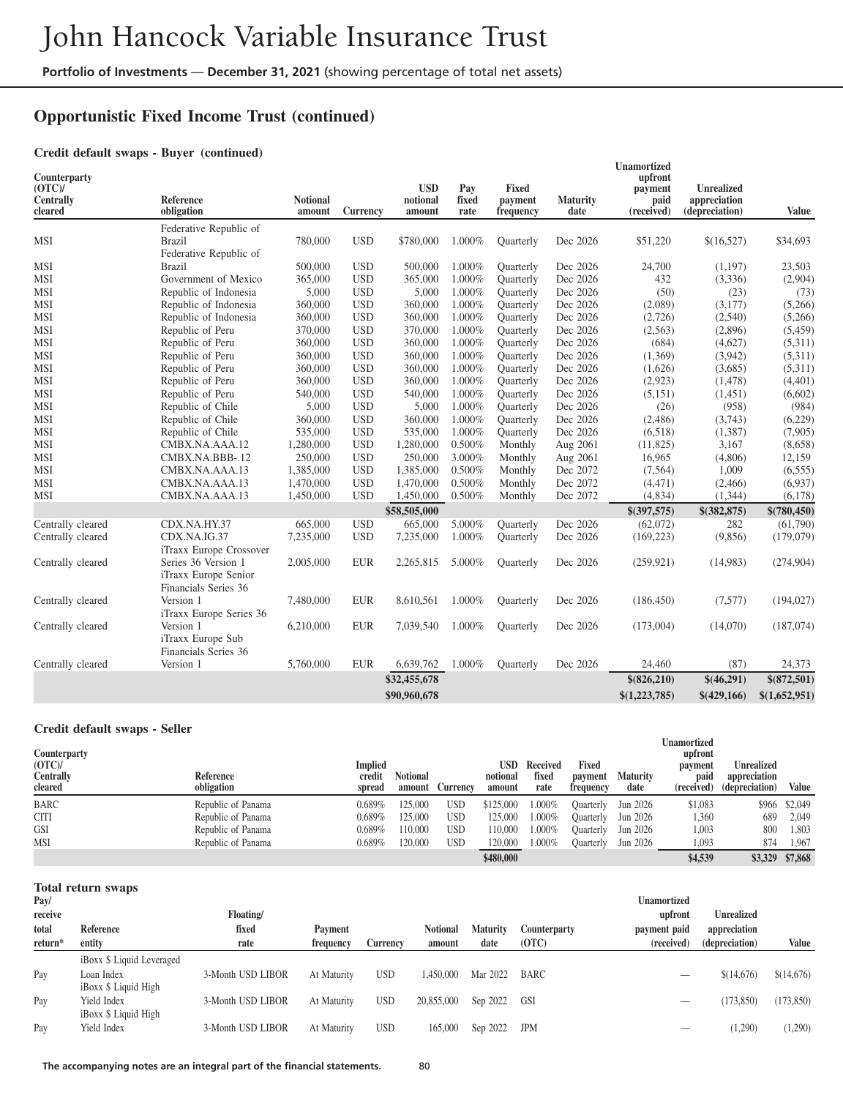# **Opportunistic Fixed Income Trust (continued)**

#### **Credit default swaps - Buyer (continued)**

| Counterparty<br>(OTC)<br><b>Centrally</b><br>cleared | Reference<br>obligation                                             | <b>Notional</b><br>amount | Currency   | <b>USD</b><br>notional<br>amount | Pay<br>fixed<br>rate | Fixed<br>payment<br>frequency | <b>Maturity</b><br>date | <b>Unamortized</b><br>upfront<br>payment<br>paid<br>(received) | <b>Unrealized</b><br>appreciation<br>(depreciation) | <b>Value</b>  |
|------------------------------------------------------|---------------------------------------------------------------------|---------------------------|------------|----------------------------------|----------------------|-------------------------------|-------------------------|----------------------------------------------------------------|-----------------------------------------------------|---------------|
|                                                      | Federative Republic of                                              |                           |            |                                  |                      |                               |                         |                                                                |                                                     |               |
| <b>MSI</b>                                           | <b>Brazil</b>                                                       | 780,000                   | <b>USD</b> | \$780,000                        | 1.000%               | Ouarterly                     | Dec 2026                | \$51,220                                                       | \$(16,527)                                          | \$34,693      |
|                                                      | Federative Republic of                                              |                           |            |                                  |                      |                               |                         |                                                                |                                                     |               |
| <b>MSI</b>                                           | <b>Brazil</b>                                                       | 500,000                   | <b>USD</b> | 500,000                          | 1.000%               | Quarterly                     | Dec 2026                | 24,700                                                         | (1,197)                                             | 23,503        |
| MSI                                                  | Government of Mexico                                                | 365,000                   | <b>USD</b> | 365,000                          | 1.000%               | <b>Quarterly</b>              | Dec 2026                | 432                                                            | (3,336)                                             | (2,904)       |
| MSI                                                  | Republic of Indonesia                                               | 5,000                     | <b>USD</b> | 5,000                            | 1.000%               | <b>Ouarterly</b>              | Dec 2026                | (50)                                                           | (23)                                                | (73)          |
| MSI                                                  | Republic of Indonesia                                               | 360,000                   | <b>USD</b> | 360,000                          | 1.000%               | Quarterly                     | Dec 2026                | (2,089)                                                        | (3,177)                                             | (5,266)       |
| <b>MSI</b>                                           | Republic of Indonesia                                               | 360,000                   | <b>USD</b> | 360,000                          | 1.000%               | <b>Quarterly</b>              | Dec 2026                | (2,726)                                                        | (2,540)                                             | (5,266)       |
| MSI                                                  | Republic of Peru                                                    | 370,000                   | <b>USD</b> | 370,000                          | 1.000%               | <b>Quarterly</b>              | Dec 2026                | (2,563)                                                        | (2,896)                                             | (5, 459)      |
| MSI                                                  | Republic of Peru                                                    | 360,000                   | <b>USD</b> | 360,000                          | 1.000%               | <b>Quarterly</b>              | Dec 2026                | (684)                                                          | (4,627)                                             | (5,311)       |
| MSI                                                  | Republic of Peru                                                    | 360,000                   | <b>USD</b> | 360,000                          | 1.000%               | Quarterly                     | Dec 2026                | (1,369)                                                        | (3,942)                                             | (5,311)       |
| <b>MSI</b>                                           | Republic of Peru                                                    | 360,000                   | <b>USD</b> | 360,000                          | 1.000%               | Quarterly                     | Dec 2026                | (1,626)                                                        | (3,685)                                             | (5,311)       |
| <b>MSI</b>                                           | Republic of Peru                                                    | 360,000                   | <b>USD</b> | 360,000                          | 1.000%               | <b>Ouarterly</b>              | Dec 2026                | (2,923)                                                        | (1, 478)                                            | (4,401)       |
| MSI                                                  | Republic of Peru                                                    | 540,000                   | <b>USD</b> | 540,000                          | 1.000%               | <b>Quarterly</b>              | Dec 2026                | (5,151)                                                        | (1,451)                                             | (6,602)       |
| <b>MSI</b>                                           | Republic of Chile                                                   | 5,000                     | <b>USD</b> | 5,000                            | 1.000%               | <b>Quarterly</b>              | Dec 2026                | (26)                                                           | (958)                                               | (984)         |
| MSI                                                  | Republic of Chile                                                   | 360,000                   | <b>USD</b> | 360,000                          | 1.000%               | <b>Ouarterly</b>              | Dec 2026                | (2,486)                                                        | (3,743)                                             | (6,229)       |
| MSI                                                  | Republic of Chile                                                   | 535,000                   | <b>USD</b> | 535,000                          | 1.000%               | <b>Quarterly</b>              | Dec 2026                | (6.518)                                                        | (1,387)                                             | (7,905)       |
| <b>MSI</b>                                           | CMBX.NA.AAA.12                                                      | 1,280,000                 | <b>USD</b> | 1,280,000                        | 0.500%               | Monthly                       | Aug 2061                | (11,825)                                                       | 3,167                                               | (8,658)       |
| MSI                                                  | CMBX.NA.BBB-.12                                                     | 250,000                   | <b>USD</b> | 250,000                          | 3.000%               | Monthly                       | Aug 2061                | 16,965                                                         | (4,806)                                             | 12,159        |
| MSI                                                  | CMBX.NA.AAA.13                                                      | 1,385,000                 | <b>USD</b> | 1,385,000                        | 0.500%               | Monthly                       | Dec 2072                | (7, 564)                                                       | 1,009                                               | (6, 555)      |
| <b>MSI</b>                                           | CMBX.NA.AAA.13                                                      | 1.470.000                 | <b>USD</b> | 1,470,000                        | 0.500%               | Monthly                       | Dec 2072                | (4, 471)                                                       | (2,466)                                             | (6,937)       |
| <b>MSI</b>                                           | CMBX.NA.AAA.13                                                      | 1,450,000                 | <b>USD</b> | 1,450,000                        | 0.500%               | Monthly                       | Dec 2072                | (4,834)                                                        | (1, 344)                                            | (6,178)       |
|                                                      |                                                                     |                           |            | \$58,505,000                     |                      |                               |                         | \$(397,575)                                                    | \$ (382, 875)                                       | \$(780,450)   |
| Centrally cleared                                    | CDX.NA.HY.37                                                        | 665,000                   | <b>USD</b> | 665,000                          | 5.000%               | <b>Quarterly</b>              | Dec 2026                | (62,072)                                                       | 282                                                 | (61,790)      |
| Centrally cleared                                    | CDX.NA.IG.37<br>iTraxx Europe Crossover                             | 7,235,000                 | <b>USD</b> | 7,235,000                        | 1.000%               | Quarterly                     | Dec 2026                | (169, 223)                                                     | (9,856)                                             | (179,079)     |
| Centrally cleared                                    | Series 36 Version 1<br>iTraxx Europe Senior<br>Financials Series 36 | 2,005,000                 | <b>EUR</b> | 2,265,815                        | 5.000%               | Ouarterly                     | Dec 2026                | (259, 921)                                                     | (14,983)                                            | (274, 904)    |
| Centrally cleared                                    | Version 1                                                           | 7,480,000                 | <b>EUR</b> | 8,610,561                        | 1.000%               | Ouarterly                     | Dec 2026                | (186, 450)                                                     | (7,577)                                             | (194, 027)    |
|                                                      | iTraxx Europe Series 36                                             |                           |            |                                  |                      |                               |                         |                                                                |                                                     |               |
| Centrally cleared                                    | Version 1<br>iTraxx Europe Sub                                      | 6,210,000                 | <b>EUR</b> | 7,039,540                        | 1.000%               | <b>Quarterly</b>              | Dec 2026                | (173,004)                                                      | (14,070)                                            | (187,074)     |
|                                                      | Financials Series 36                                                |                           |            |                                  |                      |                               |                         |                                                                |                                                     |               |
| Centrally cleared                                    | Version 1                                                           | 5,760,000                 | <b>EUR</b> | 6,639,762                        | 1.000%               | Quarterly                     | Dec 2026                | 24,460                                                         | (87)                                                | 24,373        |
|                                                      |                                                                     |                           |            | \$32,455,678                     |                      |                               |                         | \$ (826, 210)                                                  | \$(46,291)                                          | \$(872,501)   |
|                                                      |                                                                     |                           |            | \$90,960,678                     |                      |                               |                         | \$(1,223,785)                                                  | \$(429, 166)                                        | \$(1,652,951) |

#### **Credit default swaps - Seller**

| Counterparty<br>(OTC)<br><b>Centrally</b><br>cleared | Reference<br>obligation | <b>Implied</b><br>credit<br>spread | <b>Notional</b><br>amount | Currency | USD<br>notional<br>amount | Received<br>fixed<br>rate | <b>Fixed</b><br>payment<br>frequency | <b>Maturity</b><br>date | Unamortized<br>upfront<br>payment<br>paid<br>(received) | <b>Unrealized</b><br>appreciation<br>(depreciation) | <b>Value</b> |
|------------------------------------------------------|-------------------------|------------------------------------|---------------------------|----------|---------------------------|---------------------------|--------------------------------------|-------------------------|---------------------------------------------------------|-----------------------------------------------------|--------------|
| <b>BARC</b>                                          | Republic of Panama      | 0.689%                             | 125.000                   | USD      | \$125,000                 | $1.000\%$                 | Ouarterly                            | Jun 2026                | \$1,083                                                 | \$966                                               | \$2,049      |
| <b>CITI</b>                                          | Republic of Panama      | 0.689%                             | 125,000                   | USD      | 125.000                   | $1.000\%$                 | Quarterly                            | Jun 2026                | 1,360                                                   | 689                                                 | 2,049        |
| <b>GSI</b>                                           | Republic of Panama      | 0.689%                             | 110,000                   | USD      | 110.000                   | 1.000%                    | Ouarterly                            | Jun 2026                | 1,003                                                   | 800                                                 | 1,803        |
| <b>MSI</b>                                           | Republic of Panama      | 0.689%                             | 120,000                   | USD      | 120.000                   | $1.000\%$                 | Quarterly                            | Jun 2026                | 1,093                                                   | 874                                                 | 1,967        |
|                                                      |                         |                                    |                           |          | \$480,000                 |                           |                                      |                         | \$4,539                                                 | \$3,329                                             | \$7,868      |

|         | <b>Total return swaps</b> |                   |                |            |                 |                 |              |              |                   |            |
|---------|---------------------------|-------------------|----------------|------------|-----------------|-----------------|--------------|--------------|-------------------|------------|
| Pay/    |                           |                   |                |            |                 |                 |              | Unamortized  |                   |            |
| receive |                           | Floating/         |                |            |                 |                 |              | upfront      | <b>Unrealized</b> |            |
| total   | Reference                 | fixed             | <b>Payment</b> |            | <b>Notional</b> | <b>Maturity</b> | Counterparty | payment paid | appreciation      |            |
| return* | entity                    | rate              | frequency      | Currency   | amount          | date            | (OTC)        | (received)   | (depreciation)    | Value      |
|         | iBoxx \$ Liquid Leveraged |                   |                |            |                 |                 |              |              |                   |            |
| Pay     | Loan Index                | 3-Month USD LIBOR | At Maturity    | <b>USD</b> | 1,450,000       | Mar 2022        | <b>BARC</b>  |              | \$(14,676)        | \$(14,676) |
|         | iBoxx \$ Liquid High      |                   |                |            |                 |                 |              |              |                   |            |
| Pay     | Yield Index               | 3-Month USD LIBOR | At Maturity    | <b>USD</b> | 20,855,000      | Sep 2022        | <b>GSI</b>   |              | (173,850)         | (173,850)  |
|         | iBoxx \$ Liquid High      |                   |                |            |                 |                 |              |              |                   |            |
| Pay     | Yield Index               | 3-Month USD LIBOR | At Maturity    | <b>USD</b> | 165,000         | Sep 2022        | JPM          |              | (1.290)           | (1,290)    |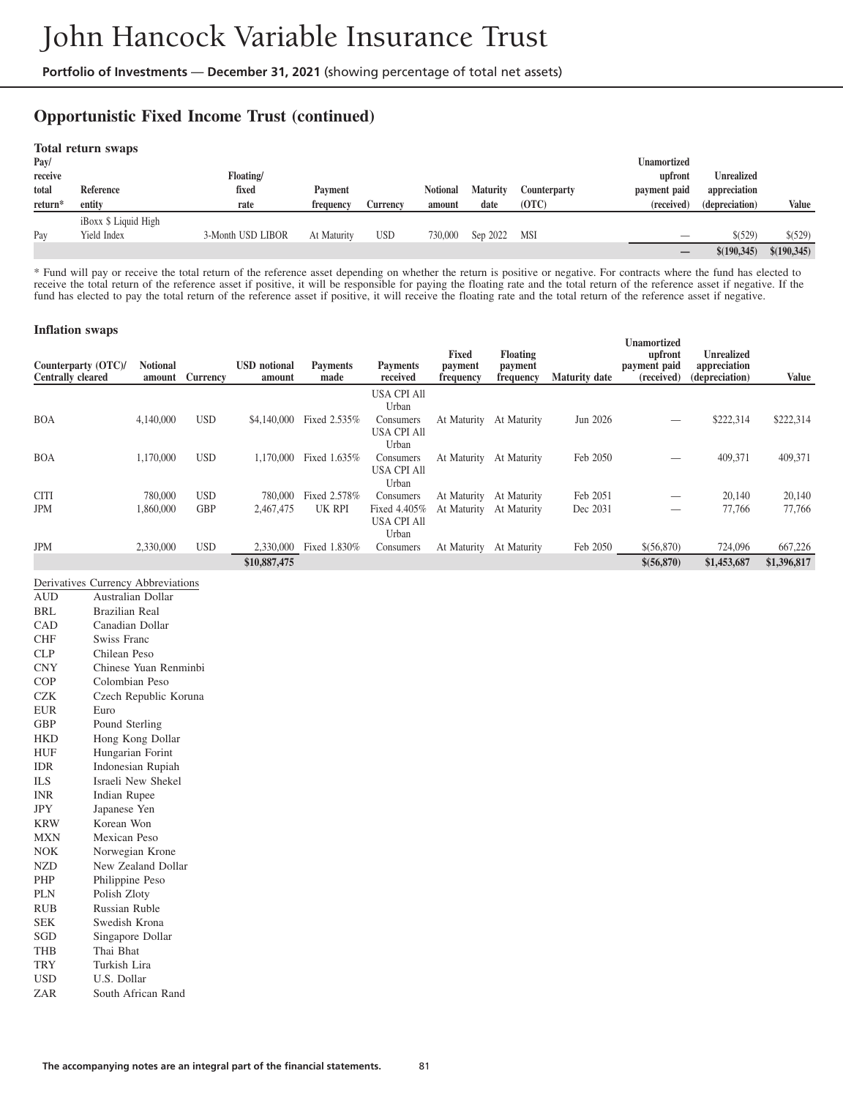## **Opportunistic Fixed Income Trust (continued)**

| Pav/<br>receive<br>total<br>return* | Total return swaps<br>Reference<br>entity | Floating/<br>fixed<br>rate | <b>Payment</b><br>frequency | Currency   | <b>Notional</b><br>amount | <b>Maturity</b><br>date | Counterparty<br>(OTC) | <b>Unamortized</b><br>upfront<br>payment paid<br>(received) | <b>Unrealized</b><br>appreciation<br>(depreciation) | Value       |
|-------------------------------------|-------------------------------------------|----------------------------|-----------------------------|------------|---------------------------|-------------------------|-----------------------|-------------------------------------------------------------|-----------------------------------------------------|-------------|
| Pav                                 | iBoxx \$ Liquid High<br>Yield Index       | 3-Month USD LIBOR          | At Maturity                 | <b>USD</b> | 730,000                   | Sep 2022                | MSI                   | _                                                           | \$(529)                                             | \$ (529)    |
|                                     |                                           |                            |                             |            |                           |                         |                       |                                                             | \$(190,345)                                         | \$(190,345) |

\* Fund will pay or receive the total return of the reference asset depending on whether the return is positive or negative. For contracts where the fund has elected to receive the total return of the reference asset if positive, it will be responsible for paying the floating rate and the total return of the reference asset if negative. If the fund has elected to pay the total return of the reference asset if positive, it will receive the floating rate and the total return of the reference asset if negative.

#### **Inflation swaps**

| Counterparty (OTC)/<br><b>Centrally cleared</b> | <b>Notional</b><br>amount | <b>Currency</b> | <b>USD</b> notional<br>amount | <b>Payments</b><br>made | <b>Payments</b><br>received | <b>Fixed</b><br>payment<br>frequency | <b>Floating</b><br>payment<br>frequency | <b>Maturity date</b> | Unamortized<br>upfront<br>payment paid<br>(received) | <b>Unrealized</b><br>appreciation<br>(depreciation) | <b>Value</b> |
|-------------------------------------------------|---------------------------|-----------------|-------------------------------|-------------------------|-----------------------------|--------------------------------------|-----------------------------------------|----------------------|------------------------------------------------------|-----------------------------------------------------|--------------|
|                                                 |                           |                 |                               |                         | <b>USA CPI All</b>          |                                      |                                         |                      |                                                      |                                                     |              |
|                                                 |                           |                 |                               |                         | Urban                       |                                      |                                         |                      |                                                      |                                                     |              |
| <b>BOA</b>                                      | 4,140,000                 | <b>USD</b>      | \$4,140,000                   | Fixed 2.535%            | Consumers                   | At Maturity                          | At Maturity                             | Jun 2026             |                                                      | \$222,314                                           | \$222,314    |
|                                                 |                           |                 |                               |                         | <b>USA CPI All</b><br>Urban |                                      |                                         |                      |                                                      |                                                     |              |
| <b>BOA</b>                                      | 1,170,000                 | <b>USD</b>      | 1.170.000                     | Fixed 1.635%            | Consumers                   | At Maturity                          | At Maturity                             | Feb 2050             |                                                      | 409,371                                             | 409,371      |
|                                                 |                           |                 |                               |                         | <b>USA CPI All</b>          |                                      |                                         |                      |                                                      |                                                     |              |
|                                                 |                           |                 |                               |                         | Urban                       |                                      |                                         |                      |                                                      |                                                     |              |
| <b>CITI</b>                                     | 780,000                   | <b>USD</b>      | 780,000                       | Fixed 2.578%            | Consumers                   | At Maturity                          | At Maturity                             | Feb 2051             |                                                      | 20,140                                              | 20,140       |
| <b>JPM</b>                                      | 1,860,000                 | <b>GBP</b>      | 2.467.475                     | UK RPI                  | Fixed 4.405%                | At Maturity                          | At Maturity                             | Dec 2031             |                                                      | 77,766                                              | 77,766       |
|                                                 |                           |                 |                               |                         | <b>USA CPI All</b>          |                                      |                                         |                      |                                                      |                                                     |              |
|                                                 |                           |                 |                               |                         | Urban                       |                                      |                                         |                      |                                                      |                                                     |              |
| <b>JPM</b>                                      | 2,330,000                 | <b>USD</b>      | 2,330,000                     | Fixed 1.830%            | Consumers                   | At Maturity                          | At Maturity                             | Feb 2050             | \$(56,870)                                           | 724,096                                             | 667,226      |
|                                                 |                           |                 | \$10,887,475                  |                         |                             |                                      |                                         |                      | \$(56,870)                                           | \$1,453,687                                         | \$1,396,817  |

|            | Derivatives Currency Abbreviations |
|------------|------------------------------------|
| <b>AUD</b> | Australian Dollar                  |
| BRL        | <b>Brazilian Real</b>              |
| CAD        | Canadian Dollar                    |
| <b>CHF</b> | Swiss Franc                        |
| <b>CLP</b> | Chilean Peso                       |
| <b>CNY</b> | Chinese Yuan Renminbi              |
| <b>COP</b> | Colombian Peso                     |
| <b>CZK</b> | Czech Republic Koruna              |
| <b>EUR</b> | Euro                               |
| <b>GBP</b> | Pound Sterling                     |
| <b>HKD</b> | Hong Kong Dollar                   |
| HUF        | Hungarian Forint                   |
| <b>IDR</b> | Indonesian Rupiah                  |
| ILS.       | Israeli New Shekel                 |
| <b>INR</b> | Indian Rupee                       |
| <b>JPY</b> | Japanese Yen                       |
| <b>KRW</b> | Korean Won                         |
| <b>MXN</b> | Mexican Peso                       |
| <b>NOK</b> | Norwegian Krone                    |
| NZD        | New Zealand Dollar                 |
| PHP        | Philippine Peso                    |
| <b>PLN</b> | Polish Zloty                       |
| <b>RUB</b> | <b>Russian Ruble</b>               |
| <b>SEK</b> | Swedish Krona                      |
| SGD        | Singapore Dollar                   |
| <b>THB</b> | Thai Bhat                          |
| <b>TRY</b> | Turkish Lira                       |
| <b>USD</b> | U.S. Dollar                        |
| ZAR        | South African Rand                 |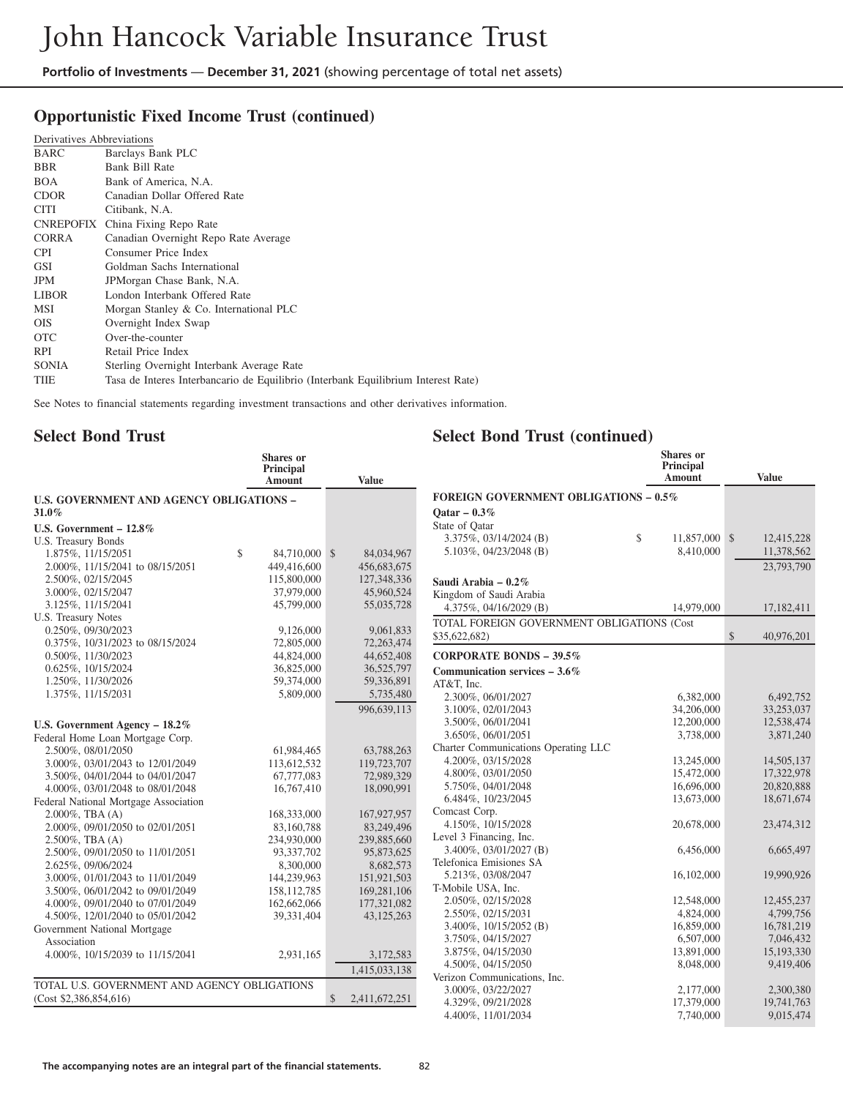# **Opportunistic Fixed Income Trust (continued)**

| Derivatives Abbreviations                                                         |
|-----------------------------------------------------------------------------------|
| Barclays Bank PLC                                                                 |
| Bank Bill Rate                                                                    |
| Bank of America, N.A.                                                             |
| Canadian Dollar Offered Rate                                                      |
| Citibank, N.A.                                                                    |
| China Fixing Repo Rate                                                            |
| Canadian Overnight Repo Rate Average                                              |
| Consumer Price Index                                                              |
| Goldman Sachs International                                                       |
| JPMorgan Chase Bank, N.A.                                                         |
| London Interbank Offered Rate                                                     |
| Morgan Stanley & Co. International PLC                                            |
| Overnight Index Swap                                                              |
| Over-the-counter                                                                  |
| Retail Price Index                                                                |
| Sterling Overnight Interbank Average Rate                                         |
| Tasa de Interes Interbancario de Equilibrio (Interbank Equilibrium Interest Rate) |
|                                                                                   |

See Notes to financial statements regarding investment transactions and other derivatives information.

## **Select Bond Trust**

#### **Select Bond Trust (continued)**

|                                                 | <b>Shares</b> or<br><b>Principal</b><br>Amount | <b>Value</b>        |
|-------------------------------------------------|------------------------------------------------|---------------------|
| <b>U.S. GOVERNMENT AND AGENCY OBLIGATIONS -</b> |                                                |                     |
| 31.0%                                           |                                                |                     |
| U.S. Government $-12.8\%$                       |                                                |                     |
| U.S. Treasury Bonds                             |                                                |                     |
| 1.875%, 11/15/2051                              | \$<br>84,710,000                               | \$<br>84,034,967    |
| 2.000%, 11/15/2041 to 08/15/2051                | 449,416,600                                    | 456,683,675         |
| 2.500%, 02/15/2045                              | 115,800,000                                    | 127,348,336         |
| 3.000%, 02/15/2047                              | 37,979,000                                     | 45,960,524          |
| 3.125%, 11/15/2041                              | 45,799,000                                     | 55,035,728          |
| U.S. Treasury Notes                             |                                                |                     |
| 0.250%, 09/30/2023                              | 9,126,000                                      | 9,061,833           |
| 0.375%, 10/31/2023 to 08/15/2024                | 72,805,000                                     | 72,263,474          |
| 0.500%, 11/30/2023                              | 44,824,000                                     | 44,652,408          |
| 0.625%, 10/15/2024                              | 36,825,000                                     | 36,525,797          |
| 1.250%, 11/30/2026                              | 59,374,000                                     | 59,336,891          |
| 1.375%, 11/15/2031                              | 5,809,000                                      | 5,735,480           |
|                                                 |                                                | 996.639.113         |
| U.S. Government Agency - 18.2%                  |                                                |                     |
| Federal Home Loan Mortgage Corp.                |                                                |                     |
| 2.500%, 08/01/2050                              | 61,984,465                                     | 63,788,263          |
| 3.000%, 03/01/2043 to 12/01/2049                | 113,612,532                                    | 119,723,707         |
| 3.500%, 04/01/2044 to 04/01/2047                | 67,777,083                                     | 72,989,329          |
| 4.000%, 03/01/2048 to 08/01/2048                | 16,767,410                                     | 18,090,991          |
| Federal National Mortgage Association           |                                                |                     |
| $2.000\%$ , TBA $(A)$                           | 168,333,000                                    | 167,927,957         |
| 2.000%, 09/01/2050 to 02/01/2051                | 83,160,788                                     | 83,249,496          |
| $2.500\%$ , TBA $(A)$                           | 234,930,000                                    | 239,885,660         |
| 2.500%, 09/01/2050 to 11/01/2051                | 93,337,702                                     | 95,873,625          |
| 2.625%, 09/06/2024                              | 8,300,000                                      | 8,682,573           |
| 3.000%, 01/01/2043 to 11/01/2049                | 144,239,963                                    | 151,921,503         |
| 3.500%, 06/01/2042 to 09/01/2049                | 158, 112, 785                                  | 169,281,106         |
| 4.000%, 09/01/2040 to 07/01/2049                | 162,662,066                                    | 177,321,082         |
| 4.500%, 12/01/2040 to 05/01/2042                | 39,331,404                                     | 43,125,263          |
| Government National Mortgage                    |                                                |                     |
| Association                                     |                                                |                     |
| 4.000%, 10/15/2039 to 11/15/2041                | 2,931,165                                      | 3,172,583           |
|                                                 |                                                |                     |
|                                                 |                                                | 1,415,033,138       |
| TOTAL U.S. GOVERNMENT AND AGENCY OBLIGATIONS    |                                                |                     |
| (Cost \$2,386,854,616)                          |                                                | \$<br>2,411,672,251 |

|                                              | Principal<br>Amount | <b>Value</b>     |
|----------------------------------------------|---------------------|------------------|
| <b>FOREIGN GOVERNMENT OBLIGATIONS - 0.5%</b> |                     |                  |
| Oatar $-0.3\%$                               |                     |                  |
| State of Oatar                               |                     |                  |
| 3.375%, 03/14/2024 (B)                       | \$<br>11,857,000    | \$<br>12,415,228 |
| 5.103%, $04/23/2048$ (B)                     | 8,410,000           | 11,378,562       |
|                                              |                     | 23,793,790       |
|                                              |                     |                  |
| Saudi Arabia – 0.2%                          |                     |                  |
| Kingdom of Saudi Arabia                      |                     |                  |
| 4.375%, 04/16/2029 (B)                       | 14,979,000          | 17,182,411       |
| TOTAL FOREIGN GOVERNMENT OBLIGATIONS (Cost   |                     |                  |
| \$35,622,682)                                |                     | \$<br>40,976,201 |
| CORPORATE BONDS $-39.5\%$                    |                     |                  |
| Communication services $-3.6\%$              |                     |                  |
| AT&T, Inc.                                   |                     |                  |
| 2.300%, 06/01/2027                           | 6,382,000           | 6,492,752        |
| 3.100%, 02/01/2043                           | 34,206,000          | 33,253,037       |
| 3.500%, 06/01/2041                           | 12,200,000          | 12,538,474       |
| 3.650%, 06/01/2051                           | 3,738,000           | 3,871,240        |
| Charter Communications Operating LLC         |                     |                  |
| 4.200%, 03/15/2028                           | 13,245,000          | 14,505,137       |
| 4.800%, 03/01/2050                           | 15,472,000          | 17,322,978       |
| 5.750%, 04/01/2048                           | 16,696,000          | 20,820,888       |
| 6.484%, 10/23/2045                           | 13,673,000          | 18,671,674       |
| Comcast Corp.                                |                     |                  |
| 4.150%, 10/15/2028                           | 20,678,000          | 23,474,312       |
| Level 3 Financing, Inc.                      |                     |                  |
| $3.400\%$ , $03/01/2027$ (B)                 | 6,456,000           | 6,665,497        |
| Telefonica Emisiones SA                      |                     |                  |
| 5.213%, 03/08/2047                           | 16,102,000          | 19,990,926       |
| T-Mobile USA, Inc.                           |                     |                  |
| 2.050%, 02/15/2028                           | 12,548,000          | 12,455,237       |
| 2.550%, 02/15/2031                           | 4,824,000           | 4,799,756        |
| 3.400%, 10/15/2052 (B)                       | 16,859,000          | 16,781,219       |
| 3.750%, 04/15/2027                           | 6,507,000           | 7,046,432        |
| 3.875%, 04/15/2030                           | 13,891,000          | 15,193,330       |
| 4.500%, 04/15/2050                           | 8,048,000           | 9,419,406        |
| Verizon Communications, Inc.                 |                     |                  |
| 3.000%, 03/22/2027                           | 2,177,000           | 2,300,380        |
| 4.329%, 09/21/2028                           | 17,379,000          | 19,741,763       |
| 4.400%, 11/01/2034                           | 7,740,000           | 9,015,474        |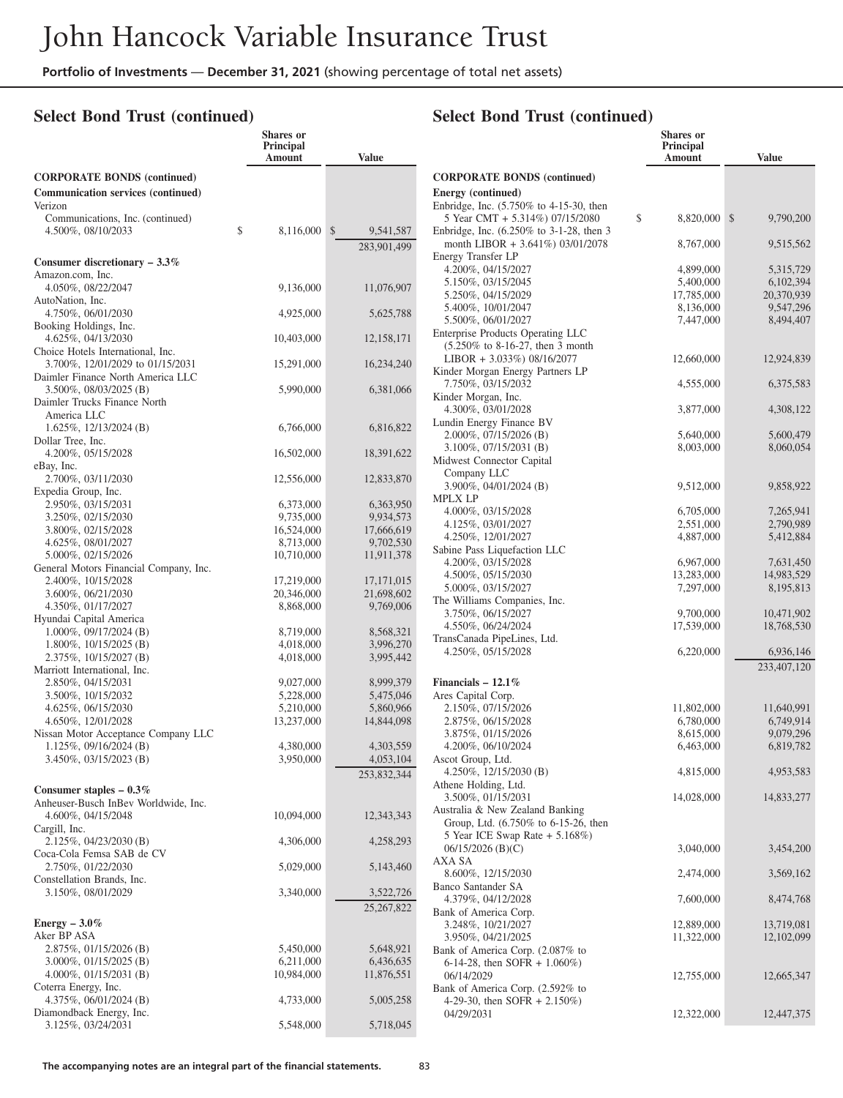**Shares or**

#### **Select Bond Trust (continued)**

|                                                                       | <b>Principal</b><br>Amount | <b>Value</b>           |
|-----------------------------------------------------------------------|----------------------------|------------------------|
| <b>CORPORATE BONDS (continued)</b>                                    |                            |                        |
| <b>Communication services (continued)</b><br>Verizon                  |                            |                        |
| Communications, Inc. (continued)                                      |                            |                        |
| 4.500%, 08/10/2033                                                    | \$<br>8,116,000            | $S_{-}$<br>9,541,587   |
|                                                                       |                            | 283,901,499            |
| Consumer discretionary $-3.3\%$<br>Amazon.com, Inc.                   |                            |                        |
| 4.050%, 08/22/2047                                                    | 9,136,000                  | 11,076,907             |
| AutoNation, Inc.                                                      |                            |                        |
| 4.750%, 06/01/2030<br>Booking Holdings, Inc.                          | 4,925,000                  | 5,625,788              |
| 4.625%, 04/13/2030                                                    | 10,403,000                 | 12,158,171             |
| Choice Hotels International, Inc.                                     |                            |                        |
| 3.700%, 12/01/2029 to 01/15/2031<br>Daimler Finance North America LLC | 15,291,000                 | 16,234,240             |
| 3.500%, 08/03/2025 (B)                                                | 5,990,000                  | 6,381,066              |
| Daimler Trucks Finance North                                          |                            |                        |
| America LLC<br>1.625%, 12/13/2024 (B)                                 | 6,766,000                  | 6,816,822              |
| Dollar Tree, Inc.                                                     |                            |                        |
| 4.200%, 05/15/2028<br>eBay, Inc.                                      | 16,502,000                 | 18,391,622             |
| 2.700%, 03/11/2030                                                    | 12,556,000                 | 12,833,870             |
| Expedia Group, Inc.                                                   |                            |                        |
| 2.950%, 03/15/2031<br>3.250%, 02/15/2030                              | 6,373,000<br>9,735,000     | 6,363,950<br>9,934,573 |
| 3.800%, 02/15/2028                                                    | 16,524,000                 | 17,666,619             |
| 4.625%, 08/01/2027                                                    | 8,713,000                  | 9,702,530              |
| 5.000%, 02/15/2026                                                    | 10,710,000                 | 11,911,378             |
| General Motors Financial Company, Inc.                                |                            |                        |
| 2.400%, 10/15/2028                                                    | 17,219,000                 | 17, 171, 015           |
| 3.600%, 06/21/2030                                                    | 20,346,000                 | 21,698,602             |
| 4.350%, 01/17/2027                                                    | 8,868,000                  | 9,769,006              |
| Hyundai Capital America                                               |                            |                        |
| 1.000%, 09/17/2024 (B)                                                | 8,719,000                  | 8,568,321              |
| 1.800%, 10/15/2025 (B)                                                | 4,018,000                  | 3,996,270              |
| 2.375%, 10/15/2027 (B)                                                | 4,018,000                  | 3,995,442              |
| Marriott International, Inc.<br>2.850%, 04/15/2031                    | 9,027,000                  | 8,999,379              |
| 3.500%, 10/15/2032                                                    | 5,228,000                  | 5,475,046              |
| 4.625%, 06/15/2030                                                    | 5,210,000                  | 5,860,966              |
| 4.650%, 12/01/2028                                                    | 13,237,000                 | 14,844,098             |
| Nissan Motor Acceptance Company LLC                                   |                            |                        |
| $1.125\%, 09/16/2024$ (B)                                             | 4,380,000                  | 4,303,559              |
| $3.450\%, 03/15/2023$ (B)                                             | 3,950,000                  | 4,053,104              |
|                                                                       |                            | 253,832,344            |
| Consumer staples $-0.3\%$                                             |                            |                        |
| Anheuser-Busch InBev Worldwide, Inc.                                  |                            |                        |
| 4.600%, 04/15/2048                                                    | 10,094,000                 | 12,343,343             |
| Cargill, Inc.                                                         |                            |                        |
| 2.125%, 04/23/2030 (B)<br>Coca-Cola Femsa SAB de CV                   | 4,306,000                  | 4,258,293              |
| 2.750%, 01/22/2030                                                    | 5,029,000                  | 5,143,460              |
| Constellation Brands, Inc.                                            |                            |                        |
| 3.150%, 08/01/2029                                                    | 3,340,000                  | 3,522,726              |
|                                                                       |                            | 25, 267, 822           |
| Energy $-3.0\%$                                                       |                            |                        |
| Aker BP ASA                                                           |                            |                        |
| 2.875%, 01/15/2026 (B)                                                | 5,450,000                  | 5,648,921              |
| 3.000%, 01/15/2025 (B)                                                | 6,211,000                  | 6,436,635              |
| 4.000%, $01/15/2031$ (B)                                              | 10,984,000                 | 11,876,551             |
| Coterra Energy, Inc.                                                  |                            |                        |
| 4.375%, $06/01/2024$ (B)                                              | 4,733,000                  | 5,005,258              |
| Diamondback Energy, Inc.<br>3.125%, 03/24/2031                        | 5,548,000                  | 5,718,045              |
|                                                                       |                            |                        |

## **Select Bond Trust (continued)**

|                                                                             | <b>Principal</b><br>Amount | <b>Value</b>              |
|-----------------------------------------------------------------------------|----------------------------|---------------------------|
| <b>CORPORATE BONDS (continued)</b>                                          |                            |                           |
| Energy (continued)                                                          |                            |                           |
| Enbridge, Inc. (5.750% to 4-15-30, then                                     |                            |                           |
| 5 Year CMT + 5.314%) 07/15/2080<br>Enbridge, Inc. (6.250% to 3-1-28, then 3 | \$<br>8,820,000            | $\mathbb{S}$<br>9,790,200 |
| month LIBOR + 3.641%) 03/01/2078                                            | 8,767,000                  | 9,515,562                 |
| Energy Transfer LP                                                          |                            |                           |
| 4.200%, 04/15/2027                                                          | 4,899,000                  | 5,315,729                 |
| 5.150%, 03/15/2045<br>5.250%, 04/15/2029                                    | 5,400,000                  | 6,102,394<br>20,370,939   |
| 5.400%, 10/01/2047                                                          | 17,785,000<br>8,136,000    | 9,547,296                 |
| 5.500%, 06/01/2027                                                          | 7,447,000                  | 8,494,407                 |
| Enterprise Products Operating LLC                                           |                            |                           |
| (5.250% to 8-16-27, then 3 month                                            |                            |                           |
| $LIBOR + 3.033\%)$ 08/16/2077                                               | 12,660,000                 | 12,924,839                |
| Kinder Morgan Energy Partners LP<br>7.750%, 03/15/2032                      | 4,555,000                  | 6,375,583                 |
| Kinder Morgan, Inc.                                                         |                            |                           |
| 4.300%, 03/01/2028                                                          | 3,877,000                  | 4,308,122                 |
| Lundin Energy Finance BV                                                    |                            |                           |
| 2.000%, 07/15/2026 (B)                                                      | 5,640,000                  | 5,600,479                 |
| $3.100\%, 07/15/2031$ (B)                                                   | 8,003,000                  | 8,060,054                 |
| Midwest Connector Capital<br>Company LLC                                    |                            |                           |
| 3.900%, 04/01/2024 (B)                                                      | 9,512,000                  | 9,858,922                 |
| <b>MPLX LP</b>                                                              |                            |                           |
| 4.000%, 03/15/2028                                                          | 6,705,000                  | 7,265,941                 |
| 4.125%, 03/01/2027                                                          | 2,551,000                  | 2,790,989                 |
| 4.250%, 12/01/2027                                                          | 4,887,000                  | 5,412,884                 |
| Sabine Pass Liquefaction LLC<br>4.200%, 03/15/2028                          | 6,967,000                  | 7,631,450                 |
| 4.500%, 05/15/2030                                                          | 13,283,000                 | 14,983,529                |
| 5.000%, 03/15/2027                                                          | 7,297,000                  | 8,195,813                 |
| The Williams Companies, Inc.                                                |                            |                           |
| 3.750%, 06/15/2027                                                          | 9,700,000                  | 10,471,902                |
| 4.550%, 06/24/2024                                                          | 17,539,000                 | 18,768,530                |
| TransCanada PipeLines, Ltd.<br>4.250%, 05/15/2028                           | 6,220,000                  | 6,936,146                 |
|                                                                             |                            | 233,407,120               |
| Financials $-12.1\%$                                                        |                            |                           |
| Ares Capital Corp.                                                          |                            |                           |
| 2.150%, 07/15/2026                                                          | 11,802,000                 | 11,640,991                |
| 2.875%, 06/15/2028                                                          | 6,780,000                  | 6,749,914                 |
| 3.875%, 01/15/2026                                                          | 8,615,000                  | 9,079,296                 |
| 4.200%, 06/10/2024                                                          | 6,463,000                  | 6,819,782                 |
| Ascot Group, Ltd.<br>4.250%, 12/15/2030 (B)                                 |                            |                           |
| Athene Holding, Ltd.                                                        | 4,815,000                  | 4,953,583                 |
| 3.500%, 01/15/2031                                                          | 14,028,000                 | 14,833,277                |
| Australia & New Zealand Banking                                             |                            |                           |
| Group, Ltd. (6.750% to 6-15-26, then                                        |                            |                           |
| 5 Year ICE Swap Rate + 5.168%)                                              |                            |                           |
| $06/15/2026$ (B)(C)                                                         | 3,040,000                  | 3,454,200                 |
| AXA SA<br>8.600%, 12/15/2030                                                | 2,474,000                  | 3,569,162                 |
| Banco Santander SA                                                          |                            |                           |
| 4.379%, 04/12/2028                                                          | 7,600,000                  | 8,474,768                 |
| Bank of America Corp.                                                       |                            |                           |
| 3.248%, 10/21/2027                                                          | 12,889,000                 | 13,719,081                |
| 3.950%, 04/21/2025<br>Bank of America Corp. (2.087% to                      | 11,322,000                 | 12, 102, 099              |
| 6-14-28, then SOFR + $1.060\%$ )                                            |                            |                           |
| 06/14/2029                                                                  | 12,755,000                 | 12,665,347                |
| Bank of America Corp. (2.592% to                                            |                            |                           |
| 4-29-30, then SOFR $+ 2.150\%)$                                             |                            |                           |
| 04/29/2031                                                                  | 12,322,000                 | 12,447,375                |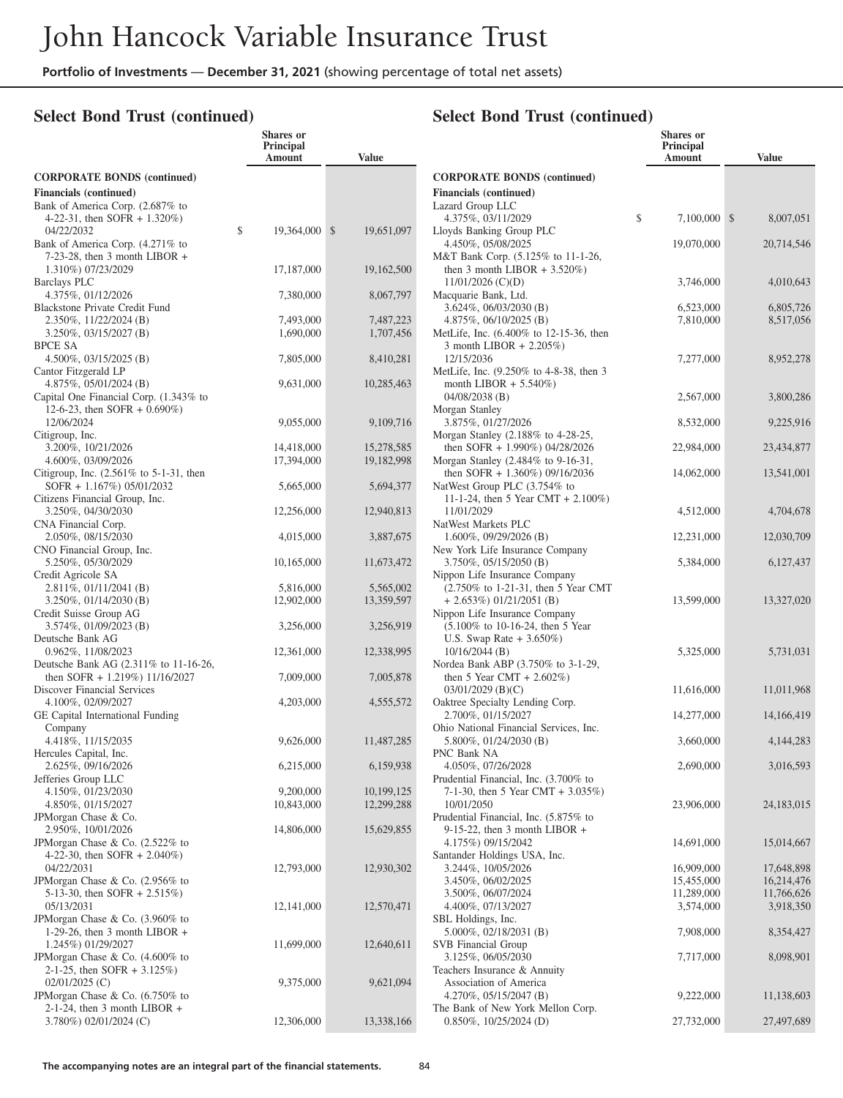**Shares or**

#### **Select Bond Trust (continued)**

|                                                                                          | Principal<br>Amount     | <b>Value</b>             |  |
|------------------------------------------------------------------------------------------|-------------------------|--------------------------|--|
| <b>CORPORATE BONDS (continued)</b>                                                       |                         |                          |  |
| <b>Financials</b> (continued)                                                            |                         |                          |  |
| Bank of America Corp. (2.687% to<br>4-22-31, then SOFR $+ 1.320\%$ )                     |                         |                          |  |
| \$<br>04/22/2032<br>Bank of America Corp. (4.271% to                                     | 19,364,000              | \$<br>19,651,097         |  |
| $7-23-28$ , then 3 month LIBOR +<br>1.310%) 07/23/2029                                   | 17,187,000              | 19,162,500               |  |
| Barclays PLC<br>4.375%, 01/12/2026<br><b>Blackstone Private Credit Fund</b>              | 7,380,000               | 8,067,797                |  |
| 2.350%, 11/22/2024 (B)<br>$3.250\%$ , $03/15/2027$ (B)                                   | 7,493,000<br>1,690,000  | 7,487,223<br>1,707,456   |  |
| <b>BPCE SA</b><br>4.500\%, 03/15/2025 (B)                                                | 7,805,000               | 8,410,281                |  |
| Cantor Fitzgerald LP<br>$4.875\%, 05/01/2024$ (B)                                        | 9,631,000               | 10,285,463               |  |
| Capital One Financial Corp. (1.343% to<br>12-6-23, then SOFR $+$ 0.690%)                 |                         |                          |  |
| 12/06/2024<br>Citigroup, Inc.                                                            | 9,055,000               | 9,109,716                |  |
| 3.200%, 10/21/2026                                                                       | 14,418,000              | 15,278,585               |  |
| 4.600%, 03/09/2026<br>Citigroup, Inc. $(2.561\%$ to 5-1-31, then                         | 17,394,000              | 19,182,998               |  |
| SOFR + $1.167\%$ ) 05/01/2032<br>Citizens Financial Group, Inc.                          | 5,665,000               | 5,694,377                |  |
| 3.250%, 04/30/2030<br>CNA Financial Corp.                                                | 12,256,000              | 12,940,813               |  |
| 2.050%, 08/15/2030<br>CNO Financial Group, Inc.                                          | 4,015,000               | 3,887,675                |  |
| 5.250%, 05/30/2029<br>Credit Agricole SA<br>$2.811\%, 01/11/2041$ (B)                    | 10,165,000<br>5,816,000 | 11,673,472<br>5,565,002  |  |
| $3.250\%, 01/14/2030$ (B)<br>Credit Suisse Group AG                                      | 12,902,000              | 13,359,597               |  |
| 3.574%, 01/09/2023 (B)<br>Deutsche Bank AG                                               | 3,256,000               | 3,256,919                |  |
| 0.962%, 11/08/2023<br>Deutsche Bank AG (2.311% to 11-16-26,                              | 12,361,000              | 12,338,995               |  |
| then SOFR + $1.219\%$ ) $11/16/2027$<br>Discover Financial Services                      | 7,009,000               | 7,005,878                |  |
| 4.100%, 02/09/2027<br>GE Capital International Funding                                   | 4,203,000               | 4,555,572                |  |
| Company<br>4.418%, 11/15/2035<br>Hercules Capital, Inc.                                  | 9,626,000               | 11,487,285               |  |
| 2.625%, 09/16/2026<br>Jefferies Group LLC                                                | 6,215,000               | 6,159,938                |  |
| 4.150\%, 01/23/2030<br>4.850%, 01/15/2027                                                | 9,200,000<br>10,843,000 | 10,199,125<br>12,299,288 |  |
| JPMorgan Chase & Co.<br>2.950%, 10/01/2026                                               | 14,806,000              | 15,629,855               |  |
| JPMorgan Chase & Co. (2.522% to<br>4-22-30, then SOFR + $2.040\%$ )<br>04/22/2031        |                         |                          |  |
| JPMorgan Chase & Co. (2.956% to<br>5-13-30, then SOFR + 2.515%)                          | 12,793,000              | 12,930,302               |  |
| 05/13/2031<br>JPMorgan Chase & Co. (3.960% to<br>1-29-26, then 3 month LIBOR $+$         | 12, 141, 000            | 12,570,471               |  |
| 1.245%) 01/29/2027<br>JPMorgan Chase & Co. (4.600% to<br>2-1-25, then SOFR $+ 3.125\%$ ) | 11,699,000              | 12,640,611               |  |
| $02/01/2025$ (C)<br>JPMorgan Chase & Co. (6.750% to<br>$2-1-24$ , then 3 month LIBOR +   | 9,375,000               | 9,621,094                |  |
| 3.780%) 02/01/2024 (C)                                                                   | 12,306,000              | 13,338,166               |  |

#### **Principal Amount Value CORPORATE BONDS (continued) Financials (continued)** Lazard Group LLC 4.375%, 03/11/2029 \$ 7,100,000 \$ 8,007,051 Lloyds Banking Group PLC 4.450%, 05/08/2025 19,070,000 20,714,546 M&T Bank Corp. (5.125% to 11-1-26, then 3 month LIBOR  $+ 3.520\%$ 11/01/2026 (C)(D) 3,746,000 4,010,643 Macquarie Bank, Ltd. 3.624%, 06/03/2030 (B) 6,523,000 6,805,726 4.875%, 06/10/2025 (B) 7,810,000 8,517,056 MetLife, Inc. (6.400% to 12-15-36, then 3 month LIBOR + 2.205%) 12/15/2036 7,277,000 8,952,278 MetLife, Inc. (9.250% to 4-8-38, then 3 month LIBOR + 5.540%) 04/08/2038 (B) 2,567,000 3,800,286 Morgan Stanley 3.875%, 01/27/2026 8,532,000 9,225,916 Morgan Stanley (2.188% to 4-28-25, then SOFR + 1.990%) 04/28/2026 22,984,000 23,434,877 Morgan Stanley (2.484% to 9-16-31, then SOFR + 1.360%) 09/16/2036 14,062,000 13,541,001 NatWest Group PLC (3.754% to 11-1-24, then 5 Year CMT + 2.100%) 11/01/2029 4,512,000 4,704,678 NatWest Markets PLC 1.600%, 09/29/2026 (B) 12,231,000 12,030,709 New York Life Insurance Company 3.750%, 05/15/2050 (B) 5,384,000 6,127,437 Nippon Life Insurance Company (2.750% to 1-21-31, then 5 Year CMT + 2.653%) 01/21/2051 (B) 13,599,000 13,327,020 Nippon Life Insurance Company (5.100% to 10-16-24, then 5 Year U.S. Swap Rate + 3.650%) 10/16/2044 (B) 5,325,000 5,731,031 Nordea Bank ABP (3.750% to 3-1-29, then 5 Year CMT +  $2.602\%$ ) 03/01/2029 (B)(C) 11,616,000 11,011,968 Oaktree Specialty Lending Corp. 2.700%, 01/15/2027 14,277,000 14,166,419 Ohio National Financial Services, Inc. 5.800%, 01/24/2030 (B) 3,660,000 4,144,283 PNC Bank NA 4.050%, 07/26/2028 2,690,000 3,016,593 Prudential Financial, Inc. (3.700% to 7-1-30, then 5 Year CMT + 3.035%) 23,906,000 24,183,015 Prudential Financial, Inc. (5.875% to 9-15-22, then 3 month LIBOR + 4.175%) 09/15/2042 14,691,000 15,014,667 Santander Holdings USA, Inc. 3.244%, 10/05/2026 16,909,000 17,648,898 3.450%, 06/02/2025 15,455,000 16,214,476<br>3.500%, 06/07/2024 11,289,000 11,766,626 3.500%, 06/07/2024 11,289,000 11,766,626 4.400%, 07/13/2027 3,574,000 3,918,350 SBL Holdings, Inc. 5.000%, 02/18/2031 (B) 7,908,000 8,354,427 SVB Financial Group 3.125%, 06/05/2030 7,717,000 8,098,901 Teachers Insurance & Annuity Association of America 4.270%, 05/15/2047 (B) 9,222,000 11,138,603 The Bank of New York Mellon Corp. 0.850%, 10/25/2024 (D) 27,732,000 27,497,689

**Select Bond Trust (continued)**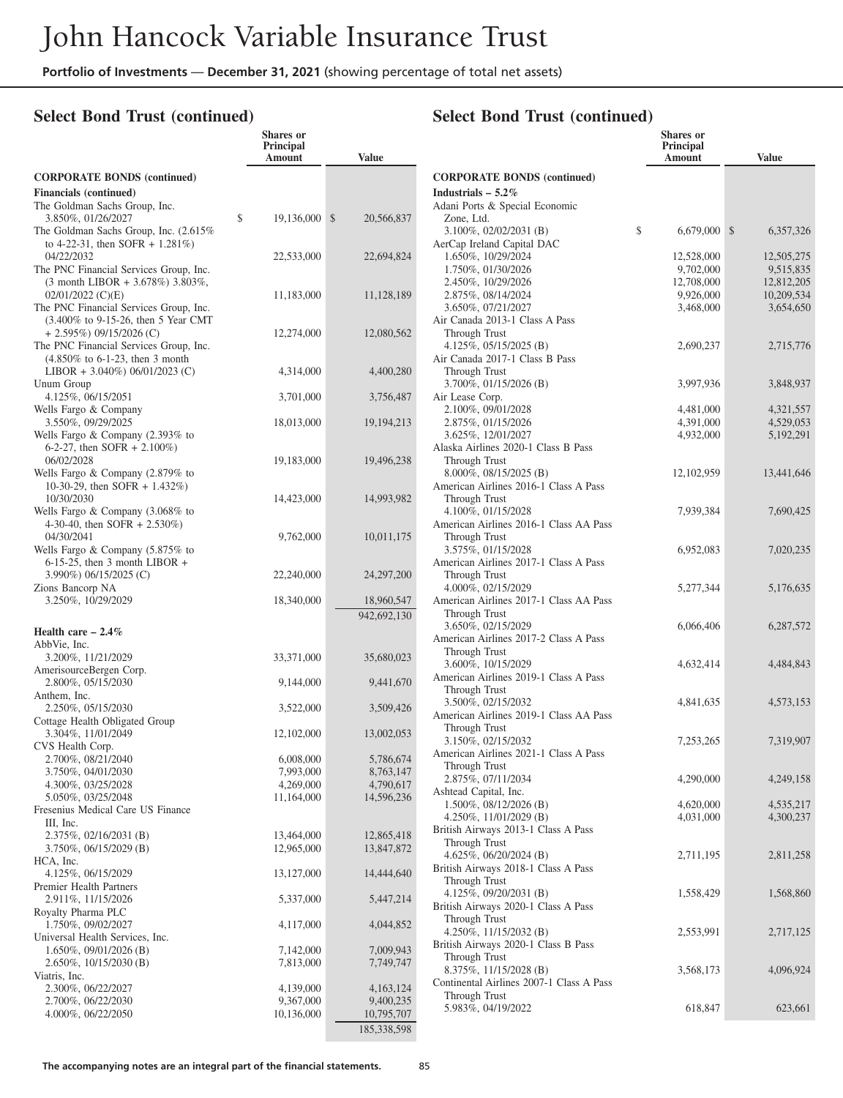**Shares or**

### **Select Bond Trust (continued)**

|                                                                                                 | Principal<br>Amount     | <b>Value</b>            |
|-------------------------------------------------------------------------------------------------|-------------------------|-------------------------|
| <b>CORPORATE BONDS (continued)</b>                                                              |                         |                         |
| <b>Financials</b> (continued)                                                                   |                         |                         |
| The Goldman Sachs Group, Inc.                                                                   |                         |                         |
| 3.850%, 01/26/2027<br>The Goldman Sachs Group, Inc. (2.615%)                                    | \$<br>19,136,000        | \$<br>20,566,837        |
| to 4-22-31, then SOFR + $1.281\%$ )                                                             |                         |                         |
| 04/22/2032                                                                                      | 22,533,000              | 22,694,824              |
| The PNC Financial Services Group, Inc.                                                          |                         |                         |
| (3 month LIBOR + 3.678%) 3.803%,<br>$02/01/2022$ (C)(E)                                         | 11,183,000              | 11,128,189              |
| The PNC Financial Services Group, Inc.                                                          |                         |                         |
| (3.400% to 9-15-26, then 5 Year CMT                                                             |                         |                         |
| $+ 2.595\%$ ) 09/15/2026 (C)                                                                    | 12,274,000              | 12,080,562              |
| The PNC Financial Services Group, Inc.                                                          |                         |                         |
| $(4.850\% \text{ to } 6-1-23, \text{ then } 3 \text{ month})$<br>LIBOR + 3.040%) 06/01/2023 (C) | 4,314,000               | 4,400,280               |
| Unum Group                                                                                      |                         |                         |
| 4.125%, 06/15/2051                                                                              | 3,701,000               | 3,756,487               |
| Wells Fargo & Company                                                                           |                         |                         |
| 3.550%, 09/29/2025<br>Wells Fargo & Company (2.393% to                                          | 18,013,000              | 19, 194, 213            |
| 6-2-27, then SOFR $+ 2.100\%$ )                                                                 |                         |                         |
| 06/02/2028                                                                                      | 19,183,000              | 19,496,238              |
| Wells Fargo & Company (2.879% to                                                                |                         |                         |
| 10-30-29, then SOFR $+$ 1.432%)                                                                 |                         |                         |
| 10/30/2030<br>Wells Fargo & Company (3.068% to                                                  | 14,423,000              | 14,993,982              |
| 4-30-40, then SOFR + 2.530%)                                                                    |                         |                         |
| 04/30/2041                                                                                      | 9,762,000               | 10,011,175              |
| Wells Fargo & Company (5.875% to                                                                |                         |                         |
| $6-15-25$ , then 3 month LIBOR +<br>3.990%) 06/15/2025 (C)                                      |                         |                         |
| Zions Bancorp NA                                                                                | 22,240,000              | 24, 297, 200            |
| 3.250%, 10/29/2029                                                                              | 18,340,000              | 18,960,547              |
|                                                                                                 |                         | 942,692,130             |
| Health care $-2.4\%$                                                                            |                         |                         |
| AbbVie, Inc.                                                                                    |                         |                         |
| 3.200%, 11/21/2029<br>AmerisourceBergen Corp.                                                   | 33,371,000              | 35,680,023              |
| 2.800%, 05/15/2030                                                                              | 9,144,000               | 9,441,670               |
| Anthem, Inc.                                                                                    |                         |                         |
| 2.250%, 05/15/2030                                                                              | 3,522,000               | 3,509,426               |
| Cottage Health Obligated Group<br>3.304%, 11/01/2049                                            | 12,102,000              | 13,002,053              |
| CVS Health Corp.                                                                                |                         |                         |
| 2.700%, 08/21/2040                                                                              | 6,008,000               | 5,786,674               |
| 3.750%, 04/01/2030                                                                              | 7,993,000               | 8,763,147               |
| 4.300%, 03/25/2028                                                                              | 4,269,000               | 4,790,617               |
| 5.050%, 03/25/2048<br>Fresenius Medical Care US Finance                                         | 11,164,000              | 14,596,236              |
| III, Inc.                                                                                       |                         |                         |
| $2.375\%, 02/16/2031$ (B)                                                                       | 13,464,000              | 12,865,418              |
| 3.750%, 06/15/2029 (B)                                                                          | 12,965,000              | 13,847,872              |
| HCA, Inc.<br>4.125%, 06/15/2029                                                                 | 13,127,000              | 14,444,640              |
| Premier Health Partners                                                                         |                         |                         |
| 2.911%, 11/15/2026                                                                              | 5,337,000               | 5,447,214               |
| Royalty Pharma PLC                                                                              |                         |                         |
| 1.750%, 09/02/2027<br>Universal Health Services, Inc.                                           | 4,117,000               | 4,044,852               |
| $1.650\%, 09/01/2026$ (B)                                                                       | 7,142,000               | 7,009,943               |
| $2.650\%, 10/15/2030$ (B)                                                                       | 7,813,000               | 7,749,747               |
| Viatris, Inc.                                                                                   |                         |                         |
| 2.300%, 06/22/2027                                                                              | 4,139,000               | 4,163,124               |
| 2.700%, 06/22/2030<br>4.000%, 06/22/2050                                                        | 9,367,000<br>10,136,000 | 9,400,235<br>10,795,707 |
|                                                                                                 |                         | 185,338,598             |

|                                                               | Shares or<br><b>Principal</b><br>Amount | <b>Value</b>    |
|---------------------------------------------------------------|-----------------------------------------|-----------------|
| <b>CORPORATE BONDS (continued)</b>                            |                                         |                 |
| Industrials $-5.2\%$                                          |                                         |                 |
| Adani Ports & Special Economic                                |                                         |                 |
| Zone, Ltd.                                                    |                                         |                 |
| 3.100%, 02/02/2031 (B)                                        | \$<br>6,679,000                         | \$<br>6,357,326 |
| AerCap Ireland Capital DAC<br>1.650%, 10/29/2024              | 12,528,000                              | 12,505,275      |
| 1.750%, 01/30/2026                                            | 9,702,000                               | 9,515,835       |
| 2.450%, 10/29/2026                                            | 12,708,000                              | 12,812,205      |
| 2.875%, 08/14/2024                                            | 9,926,000                               | 10,209,534      |
| 3.650%, 07/21/2027                                            | 3,468,000                               | 3,654,650       |
| Air Canada 2013-1 Class A Pass                                |                                         |                 |
| Through Trust                                                 |                                         |                 |
| 4.125%, $05/15/2025$ (B)<br>Air Canada 2017-1 Class B Pass    | 2,690,237                               | 2,715,776       |
| Through Trust                                                 |                                         |                 |
| 3.700%, 01/15/2026 (B)                                        | 3,997,936                               | 3,848,937       |
| Air Lease Corp.                                               |                                         |                 |
| 2.100%, 09/01/2028                                            | 4,481,000                               | 4,321,557       |
| 2.875%, 01/15/2026                                            | 4,391,000                               | 4,529,053       |
| 3.625%, 12/01/2027                                            | 4,932,000                               | 5, 192, 291     |
| Alaska Airlines 2020-1 Class B Pass                           |                                         |                 |
| Through Trust<br>8.000%, 08/15/2025 (B)                       | 12, 102, 959                            | 13,441,646      |
| American Airlines 2016-1 Class A Pass                         |                                         |                 |
| Through Trust                                                 |                                         |                 |
| 4.100%, 01/15/2028                                            | 7,939,384                               | 7,690,425       |
| American Airlines 2016-1 Class AA Pass                        |                                         |                 |
| Through Trust                                                 |                                         |                 |
| 3.575%, 01/15/2028                                            | 6,952,083                               | 7,020,235       |
| American Airlines 2017-1 Class A Pass                         |                                         |                 |
| Through Trust<br>4.000%, 02/15/2029                           | 5,277,344                               | 5,176,635       |
| American Airlines 2017-1 Class AA Pass                        |                                         |                 |
| Through Trust                                                 |                                         |                 |
| 3.650%, 02/15/2029                                            | 6,066,406                               | 6,287,572       |
| American Airlines 2017-2 Class A Pass                         |                                         |                 |
| Through Trust                                                 |                                         |                 |
| 3.600%, 10/15/2029                                            | 4,632,414                               | 4,484,843       |
| American Airlines 2019-1 Class A Pass<br>Through Trust        |                                         |                 |
| 3.500%, 02/15/2032                                            | 4,841,635                               | 4,573,153       |
| American Airlines 2019-1 Class AA Pass                        |                                         |                 |
| Through Trust                                                 |                                         |                 |
| 3.150%, 02/15/2032                                            | 7,253,265                               | 7,319,907       |
| American Airlines 2021-1 Class A Pass                         |                                         |                 |
| Through Trust                                                 |                                         |                 |
| 2.875%, 07/11/2034                                            | 4,290,000                               | 4,249,158       |
| Ashtead Capital, Inc.<br>1.500%, 08/12/2026 (B)               | 4,620,000                               | 4,535,217       |
| 4.250%, 11/01/2029 (B)                                        | 4,031,000                               | 4,300,237       |
| British Airways 2013-1 Class A Pass                           |                                         |                 |
| Through Trust                                                 |                                         |                 |
| 4.625%, 06/20/2024 (B)                                        | 2,711,195                               | 2,811,258       |
| British Airways 2018-1 Class A Pass                           |                                         |                 |
| Through Trust                                                 |                                         |                 |
| 4.125%, 09/20/2031 (B)<br>British Airways 2020-1 Class A Pass | 1,558,429                               | 1,568,860       |
| Through Trust                                                 |                                         |                 |
| 4.250%, 11/15/2032 (B)                                        | 2,553,991                               | 2,717,125       |
| British Airways 2020-1 Class B Pass                           |                                         |                 |
| Through Trust                                                 |                                         |                 |
| 8.375%, 11/15/2028 (B)                                        | 3,568,173                               | 4,096,924       |
| Continental Airlines 2007-1 Class A Pass                      |                                         |                 |
| Through Trust                                                 |                                         |                 |
| 5.983%, 04/19/2022                                            | 618,847                                 | 623,661         |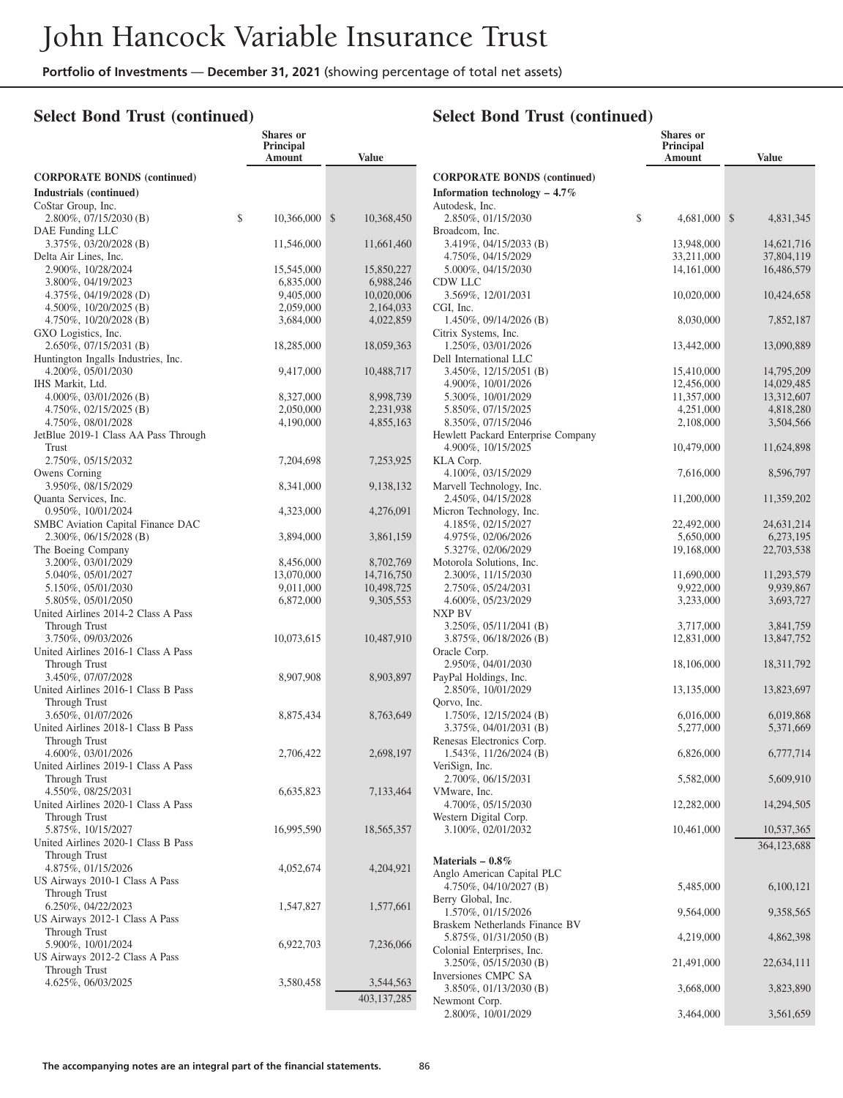#### **Select Bond Trust (continued)**

|                                                           | Shares or<br>Principal<br>Amount | <b>Value</b>               |
|-----------------------------------------------------------|----------------------------------|----------------------------|
| <b>CORPORATE BONDS (continued)</b>                        |                                  |                            |
| Industrials (continued)                                   |                                  |                            |
| CoStar Group, Inc.                                        |                                  |                            |
| $2.800\%, 07/15/2030$ (B)                                 | \$<br>10,366,000                 | $\mathbb{S}$<br>10,368,450 |
| DAE Funding LLC                                           |                                  |                            |
| $3.375\%, 03/20/2028$ (B)                                 | 11,546,000                       | 11,661,460                 |
| Delta Air Lines, Inc.<br>2.900%, 10/28/2024               | 15,545,000                       | 15,850,227                 |
| 3.800%, 04/19/2023                                        | 6,835,000                        | 6,988,246                  |
| 4.375%, 04/19/2028 (D)                                    | 9,405,000                        | 10,020,006                 |
| 4.500\%, 10/20/2025 (B)                                   | 2,059,000                        | 2,164,033                  |
| $4.750\%, 10/20/2028$ (B)                                 | 3,684,000                        | 4,022,859                  |
| GXO Logistics, Inc.                                       |                                  |                            |
| 2.650%, 07/15/2031 (B)                                    | 18,285,000                       | 18,059,363                 |
| Huntington Ingalls Industries, Inc.<br>4.200%, 05/01/2030 | 9,417,000                        | 10,488,717                 |
| IHS Markit, Ltd.                                          |                                  |                            |
| $4.000\%, 03/01/2026$ (B)                                 | 8,327,000                        | 8,998,739                  |
| $4.750\%, 02/15/2025$ (B)                                 | 2,050,000                        | 2,231,938                  |
| 4.750%, 08/01/2028                                        | 4,190,000                        | 4,855,163                  |
| JetBlue 2019-1 Class AA Pass Through                      |                                  |                            |
| Trust                                                     |                                  |                            |
| 2.750%, 05/15/2032<br>Owens Corning                       | 7,204,698                        | 7,253,925                  |
| 3.950%, 08/15/2029                                        | 8,341,000                        | 9,138,132                  |
| Quanta Services, Inc.                                     |                                  |                            |
| 0.950%, 10/01/2024                                        | 4,323,000                        | 4,276,091                  |
| SMBC Aviation Capital Finance DAC                         |                                  |                            |
| $2.300\%$ , 06/15/2028 (B)                                | 3,894,000                        | 3,861,159                  |
| The Boeing Company<br>3.200%, 03/01/2029                  | 8,456,000                        | 8,702,769                  |
| 5.040%, 05/01/2027                                        | 13,070,000                       | 14,716,750                 |
| 5.150%, 05/01/2030                                        | 9,011,000                        | 10,498,725                 |
| 5.805%, 05/01/2050                                        | 6,872,000                        | 9,305,553                  |
| United Airlines 2014-2 Class A Pass                       |                                  |                            |
| Through Trust                                             |                                  |                            |
| 3.750%, 09/03/2026                                        | 10,073,615                       | 10,487,910                 |
| United Airlines 2016-1 Class A Pass<br>Through Trust      |                                  |                            |
| 3.450%, 07/07/2028                                        | 8,907,908                        | 8,903,897                  |
| United Airlines 2016-1 Class B Pass                       |                                  |                            |
| Through Trust                                             |                                  |                            |
| 3.650%, 01/07/2026                                        | 8,875,434                        | 8,763,649                  |
| United Airlines 2018-1 Class B Pass                       |                                  |                            |
| Through Trust<br>4.600%, 03/01/2026                       | 2,706,422                        |                            |
| United Airlines 2019-1 Class A Pass                       |                                  | 2,698,197                  |
| Through Trust                                             |                                  |                            |
| 4.550%, 08/25/2031                                        | 6,635,823                        | 7,133,464                  |
| United Airlines 2020-1 Class A Pass                       |                                  |                            |
| Through Trust                                             |                                  |                            |
| 5.875%, 10/15/2027<br>United Airlines 2020-1 Class B Pass | 16,995,590                       | 18,565,357                 |
| Through Trust                                             |                                  |                            |
| 4.875%, 01/15/2026                                        | 4,052,674                        | 4,204,921                  |
| US Airways 2010-1 Class A Pass                            |                                  |                            |
| Through Trust                                             |                                  |                            |
| 6.250\%, 04/22/2023                                       | 1,547,827                        | 1,577,661                  |
| US Airways 2012-1 Class A Pass                            |                                  |                            |
| Through Trust<br>5.900%, 10/01/2024                       | 6,922,703                        | 7,236,066                  |
| US Airways 2012-2 Class A Pass                            |                                  |                            |
| Through Trust                                             |                                  |                            |
| 4.625%, 06/03/2025                                        | 3,580,458                        | 3,544,563                  |
|                                                           |                                  | 403,137,285                |

|                                                      | Shares or              |                        |
|------------------------------------------------------|------------------------|------------------------|
|                                                      | Principal<br>Amount    | <b>Value</b>           |
|                                                      |                        |                        |
| <b>CORPORATE BONDS (continued)</b>                   |                        |                        |
| Information technology $-4.7\%$                      |                        |                        |
| Autodesk, Inc.<br>2.850%, 01/15/2030                 | \$<br>4,681,000        | \$<br>4,831,345        |
| Broadcom, Inc.                                       |                        |                        |
| 3.419%, 04/15/2033 (B)                               | 13,948,000             | 14,621,716             |
| 4.750%, 04/15/2029                                   | 33,211,000             | 37,804,119             |
| 5.000%, 04/15/2030                                   | 14, 161, 000           | 16,486,579             |
| CDW LLC                                              |                        |                        |
| 3.569%, 12/01/2031                                   | 10,020,000             | 10,424,658             |
| CGI, Inc.                                            |                        |                        |
| $1.450\%, 09/14/2026$ (B)                            | 8,030,000              | 7,852,187              |
| Citrix Systems, Inc.                                 |                        |                        |
| 1.250%, 03/01/2026<br>Dell International LLC         | 13,442,000             | 13,090,889             |
| 3.450%, 12/15/2051 (B)                               | 15,410,000             | 14,795,209             |
| 4.900%, 10/01/2026                                   | 12,456,000             | 14,029,485             |
| 5.300%, 10/01/2029                                   | 11,357,000             | 13,312,607             |
| 5.850%, 07/15/2025                                   | 4,251,000              | 4,818,280              |
| 8.350%, 07/15/2046                                   | 2,108,000              | 3,504,566              |
| Hewlett Packard Enterprise Company                   |                        |                        |
| 4.900%, 10/15/2025                                   | 10,479,000             | 11,624,898             |
| KLA Corp.                                            |                        |                        |
| 4.100%, 03/15/2029                                   | 7,616,000              | 8,596,797              |
| Marvell Technology, Inc.                             |                        |                        |
| 2.450%, 04/15/2028                                   | 11,200,000             | 11,359,202             |
| Micron Technology, Inc.                              |                        |                        |
| 4.185%, 02/15/2027                                   | 22,492,000             | 24,631,214             |
| 4.975%, 02/06/2026                                   | 5,650,000              | 6,273,195              |
| 5.327%, 02/06/2029<br>Motorola Solutions, Inc.       | 19,168,000             | 22,703,538             |
| 2.300%, 11/15/2030                                   | 11,690,000             | 11,293,579             |
| 2.750%, 05/24/2031                                   | 9,922,000              | 9,939,867              |
| 4.600%, 05/23/2029                                   | 3,233,000              | 3,693,727              |
| NXP BV                                               |                        |                        |
| 3.250%, 05/11/2041 (B)                               | 3,717,000              | 3,841,759              |
| 3.875%, 06/18/2026 (B)                               | 12,831,000             | 13,847,752             |
| Oracle Corp.                                         |                        |                        |
| 2.950%, 04/01/2030                                   | 18,106,000             | 18,311,792             |
| PayPal Holdings, Inc.                                |                        |                        |
| 2.850%, 10/01/2029                                   | 13,135,000             | 13,823,697             |
| Qorvo, Inc.                                          |                        |                        |
| $1.750\%, 12/15/2024$ (B)<br>3.375%, 04/01/2031 (B)  | 6,016,000<br>5,277,000 | 6,019,868<br>5,371,669 |
| Renesas Electronics Corp.                            |                        |                        |
| 1.543%, 11/26/2024 (B)                               | 6,826,000              | 6,777,714              |
| VeriSign, Inc.                                       |                        |                        |
| 2.700%, 06/15/2031                                   | 5,582,000              | 5,609,910              |
| VMware, Inc.                                         |                        |                        |
| 4.700%, 05/15/2030                                   | 12,282,000             | 14,294,505             |
| Western Digital Corp.                                |                        |                        |
| 3.100%, 02/01/2032                                   | 10,461,000             | 10,537,365             |
|                                                      |                        | 364,123,688            |
| Materials $-0.8\%$                                   |                        |                        |
| Anglo American Capital PLC                           |                        |                        |
| 4.750%, 04/10/2027 (B)                               | 5,485,000              | 6,100,121              |
| Berry Global, Inc.                                   |                        |                        |
| 1.570%, 01/15/2026                                   | 9,564,000              | 9,358,565              |
| Braskem Netherlands Finance BV                       |                        |                        |
| 5.875%, 01/31/2050 (B)                               | 4,219,000              | 4,862,398              |
| Colonial Enterprises, Inc.<br>3.250%, 05/15/2030 (B) | 21,491,000             | 22,634,111             |
| Inversiones CMPC SA                                  |                        |                        |
| 3.850%, 01/13/2030 (B)                               | 3,668,000              | 3,823,890              |
| Newmont Corp.                                        |                        |                        |
| 2.800%, 10/01/2029                                   | 3,464,000              | 3,561,659              |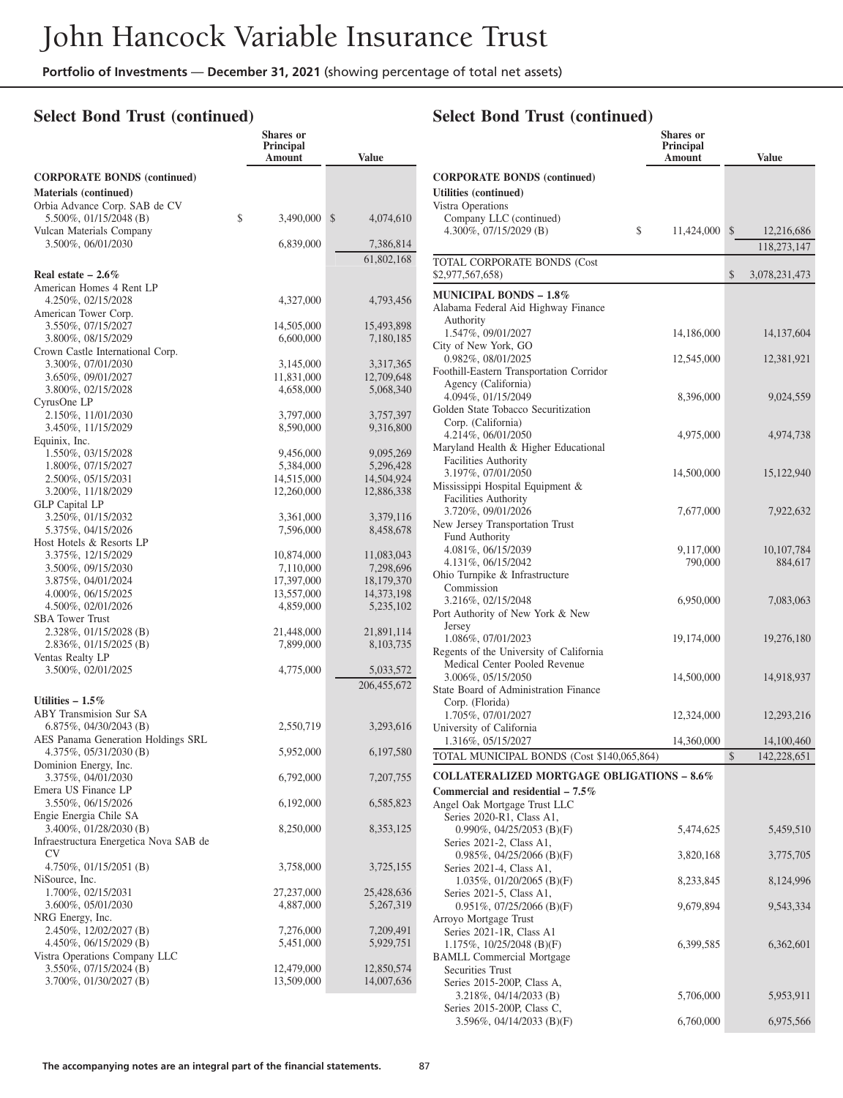### **Select Bond Trust (continued)**

|                                                         | <b>Shares</b> or<br><b>Principal</b><br>Amount | <b>Value</b>             |
|---------------------------------------------------------|------------------------------------------------|--------------------------|
| <b>CORPORATE BONDS (continued)</b>                      |                                                |                          |
| <b>Materials (continued)</b>                            |                                                |                          |
| Orbia Advance Corp. SAB de CV                           |                                                |                          |
| 5.500%, 01/15/2048 (B)                                  | \$<br>3,490,000                                | \$<br>4,074,610          |
| Vulcan Materials Company                                |                                                |                          |
| 3.500%, 06/01/2030                                      | 6,839,000                                      | 7,386,814                |
|                                                         |                                                | 61,802,168               |
| Real estate $-2.6\%$                                    |                                                |                          |
| American Homes 4 Rent LP                                |                                                |                          |
| 4.250%, 02/15/2028                                      | 4,327,000                                      | 4,793,456                |
| American Tower Corp.                                    |                                                |                          |
| 3.550%, 07/15/2027                                      | 14,505,000                                     | 15,493,898               |
| 3.800%, 08/15/2029<br>Crown Castle International Corp.  | 6,600,000                                      | 7,180,185                |
| 3.300%, 07/01/2030                                      | 3,145,000                                      | 3,317,365                |
| 3.650%, 09/01/2027                                      | 11,831,000                                     | 12,709,648               |
| 3.800%, 02/15/2028                                      | 4,658,000                                      | 5,068,340                |
| CyrusOne LP                                             |                                                |                          |
| 2.150%, 11/01/2030                                      | 3,797,000                                      | 3,757,397                |
| 3.450%, 11/15/2029                                      | 8,590,000                                      | 9,316,800                |
| Equinix, Inc.                                           |                                                |                          |
| 1.550%, 03/15/2028                                      | 9,456,000                                      | 9,095,269                |
| 1.800%, 07/15/2027                                      | 5,384,000                                      | 5,296,428                |
| 2.500%, 05/15/2031<br>3.200%, 11/18/2029                | 14,515,000<br>12,260,000                       | 14,504,924<br>12,886,338 |
| <b>GLP Capital LP</b>                                   |                                                |                          |
| 3.250%, 01/15/2032                                      | 3,361,000                                      | 3,379,116                |
| 5.375%, 04/15/2026                                      | 7,596,000                                      | 8,458,678                |
| Host Hotels & Resorts LP                                |                                                |                          |
| 3.375%, 12/15/2029                                      | 10,874,000                                     | 11,083,043               |
| 3.500%, 09/15/2030                                      | 7,110,000                                      | 7,298,696                |
| 3.875%, 04/01/2024                                      | 17,397,000                                     | 18,179,370               |
| 4.000%, 06/15/2025                                      | 13,557,000                                     | 14,373,198               |
| 4.500%, 02/01/2026                                      | 4,859,000                                      | 5,235,102                |
| <b>SBA Tower Trust</b><br>2.328%, 01/15/2028 (B)        | 21,448,000                                     | 21,891,114               |
| 2.836%, 01/15/2025 (B)                                  | 7,899,000                                      | 8,103,735                |
| Ventas Realty LP                                        |                                                |                          |
| 3.500%, 02/01/2025                                      | 4,775,000                                      | 5,033,572                |
|                                                         |                                                | 206,455,672              |
| Utilities $-1.5\%$                                      |                                                |                          |
| <b>ABY Transmision Sur SA</b>                           |                                                |                          |
| 6.875%, $04/30/2043$ (B)                                | 2,550,719                                      | 3,293,616                |
| AES Panama Generation Holdings SRL                      |                                                |                          |
| 4.375%, 05/31/2030 (B)                                  | 5,952,000                                      | 6,197,580                |
| Dominion Energy, Inc.                                   |                                                |                          |
| 3.375%, 04/01/2030                                      | 6,792,000                                      | 7,207,755                |
| Emera US Finance LP                                     |                                                |                          |
| 3.550%, 06/15/2026                                      | 6,192,000                                      | 6,585,823                |
| Engie Energia Chile SA<br>3.400%, 01/28/2030 (B)        | 8,250,000                                      | 8,353,125                |
| Infraestructura Energetica Nova SAB de                  |                                                |                          |
| CV                                                      |                                                |                          |
| 4.750\%, $01/15/2051$ (B)                               | 3,758,000                                      | 3,725,155                |
| NiSource, Inc.                                          |                                                |                          |
| 1.700%, 02/15/2031                                      | 27,237,000                                     | 25,428,636               |
| 3.600%, 05/01/2030                                      | 4,887,000                                      | 5,267,319                |
| NRG Energy, Inc.                                        |                                                |                          |
| 2.450%, 12/02/2027 (B)                                  | 7,276,000                                      | 7,209,491                |
| 4.450%, 06/15/2029 (B)<br>Vistra Operations Company LLC | 5,451,000                                      | 5,929,751                |
| 3.550%, 07/15/2024 (B)                                  | 12,479,000                                     | 12,850,574               |
| 3.700%, 01/30/2027 (B)                                  | 13,509,000                                     | 14,007,636               |
|                                                         |                                                |                          |

|                                                                      | Shares or<br>Principal |                            |
|----------------------------------------------------------------------|------------------------|----------------------------|
|                                                                      | Amount                 | <b>Value</b>               |
| <b>CORPORATE BONDS (continued)</b><br>Utilities (continued)          |                        |                            |
| Vistra Operations                                                    |                        |                            |
| Company LLC (continued)<br>\$<br>4.300%, 07/15/2029 (B)              | 11,424,000             | $\mathbb{S}$<br>12,216,686 |
|                                                                      |                        | 118,273,147                |
| <b>TOTAL CORPORATE BONDS (Cost</b>                                   |                        |                            |
| \$2,977,567,658)                                                     |                        | \$<br>3,078,231,473        |
| <b>MUNICIPAL BONDS - 1.8%</b><br>Alabama Federal Aid Highway Finance |                        |                            |
| Authority                                                            |                        |                            |
| 1.547%, 09/01/2027                                                   | 14,186,000             | 14, 137, 604               |
| City of New York, GO<br>0.982%, 08/01/2025                           | 12,545,000             | 12,381,921                 |
| Foothill-Eastern Transportation Corridor                             |                        |                            |
| Agency (California)                                                  |                        |                            |
| 4.094%, 01/15/2049<br>Golden State Tobacco Securitization            | 8,396,000              | 9,024,559                  |
| Corp. (California)                                                   |                        |                            |
| 4.214%, 06/01/2050                                                   | 4,975,000              | 4,974,738                  |
| Maryland Health & Higher Educational                                 |                        |                            |
| <b>Facilities Authority</b><br>3.197%, 07/01/2050                    | 14,500,000             | 15,122,940                 |
| Mississippi Hospital Equipment &                                     |                        |                            |
| <b>Facilities Authority</b>                                          |                        |                            |
| 3.720%, 09/01/2026<br>New Jersey Transportation Trust                | 7,677,000              | 7,922,632                  |
| Fund Authority                                                       |                        |                            |
| 4.081%, 06/15/2039                                                   | 9,117,000              | 10, 107, 784               |
| 4.131%, 06/15/2042                                                   | 790,000                | 884,617                    |
| Ohio Turnpike & Infrastructure<br>Commission                         |                        |                            |
| 3.216%, 02/15/2048                                                   | 6,950,000              | 7,083,063                  |
| Port Authority of New York & New                                     |                        |                            |
| Jersey                                                               |                        |                            |
| 1.086%, 07/01/2023<br>Regents of the University of California        | 19,174,000             | 19,276,180                 |
| Medical Center Pooled Revenue                                        |                        |                            |
| 3.006%, 05/15/2050                                                   | 14,500,000             | 14,918,937                 |
| State Board of Administration Finance<br>Corp. (Florida)             |                        |                            |
| 1.705%, 07/01/2027                                                   | 12,324,000             | 12,293,216                 |
| University of California                                             |                        |                            |
| 1.316%, 05/15/2027                                                   | 14,360,000             | 14,100,460                 |
| TOTAL MUNICIPAL BONDS (Cost \$140,065,864)                           |                        | \$<br>142,228,651          |
| <b>COLLATERALIZED MORTGAGE OBLIGATIONS - 8.6%</b>                    |                        |                            |
| Commercial and residential $-7.5\%$<br>Angel Oak Mortgage Trust LLC  |                        |                            |
| Series 2020-R1, Class A1,                                            |                        |                            |
| 0.990%, 04/25/2053 (B)(F)                                            | 5,474,625              | 5,459,510                  |
| Series 2021-2, Class A1,<br>0.985%, 04/25/2066 (B)(F)                | 3,820,168              | 3,775,705                  |
| Series 2021-4, Class A1,                                             |                        |                            |
| 1.035%, 01/20/2065 (B)(F)                                            | 8,233,845              | 8,124,996                  |
| Series 2021-5, Class A1,<br>0.951%, 07/25/2066 (B)(F)                | 9,679,894              | 9,543,334                  |
| Arroyo Mortgage Trust                                                |                        |                            |
| Series 2021-1R, Class A1                                             |                        |                            |
| 1.175%, 10/25/2048 (B)(F)<br><b>BAMLL Commercial Mortgage</b>        | 6,399,585              | 6,362,601                  |
| Securities Trust                                                     |                        |                            |
| Series 2015-200P, Class A,                                           |                        |                            |
| 3.218%, 04/14/2033 (B)                                               | 5,706,000              | 5,953,911                  |
| Series 2015-200P, Class C,<br>3.596%, 04/14/2033 (B)(F)              | 6,760,000              | 6,975,566                  |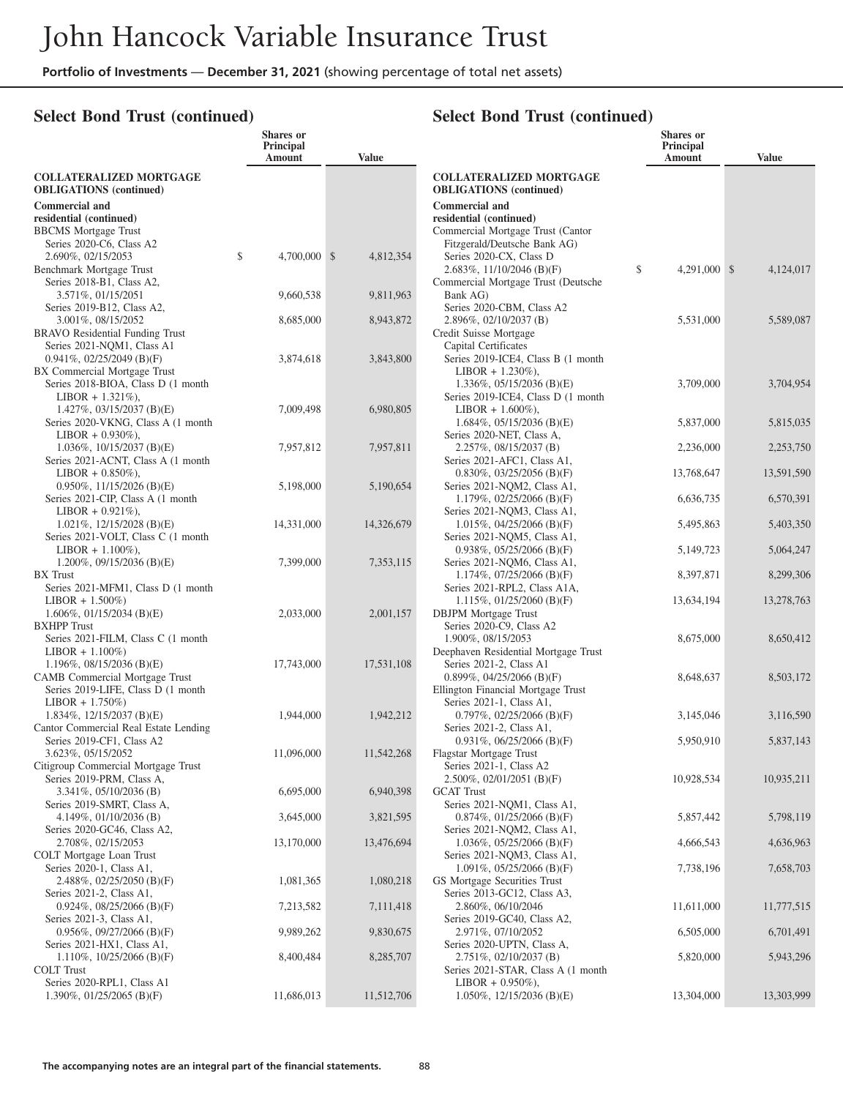#### **Select Bond Trust (continued)**

| <b>COLLATERALIZED MORTGAGE</b><br><b>COLLATERALIZED MORTGAGE</b><br><b>OBLIGATIONS</b> (continued)<br><b>OBLIGATIONS</b> (continued)<br><b>Commercial and</b><br><b>Commercial and</b><br>residential (continued)<br>residential (continued)<br>Commercial Mortgage Trust (Cantor<br><b>BBCMS</b> Mortgage Trust<br>Fitzgerald/Deutsche Bank AG)<br>Series 2020-C6, Class A2<br>\$<br>4,700,000 \$<br>Series 2020-CX, Class D<br>4,812,354<br>2.690%, 02/15/2053<br>\$<br>4,291,000 \$<br>Benchmark Mortgage Trust<br>2.683%, 11/10/2046 (B)(F)<br>4,124,017<br>Series 2018-B1, Class A2,<br>Commercial Mortgage Trust (Deutsche<br>9,660,538<br>9,811,963<br>3.571%, 01/15/2051<br>Bank AG)<br>Series 2020-CBM, Class A2<br>Series 2019-B12, Class A2,<br>3.001%, 08/15/2052<br>2.896%, 02/10/2037 (B)<br>5,531,000<br>5,589,087<br>8,685,000<br>8,943,872<br><b>BRAVO</b> Residential Funding Trust<br>Credit Suisse Mortgage<br>Series 2021-NQM1, Class A1<br>Capital Certificates<br>Series 2019-ICE4, Class B (1 month<br>$0.941\%, 02/25/2049$ (B)(F)<br>3,843,800<br>3,874,618<br>BX Commercial Mortgage Trust<br>$LIBOR + 1.230\%$ ),<br>Series 2018-BIOA, Class D (1 month<br>1.336\%, 05/15/2036 (B)(E)<br>3,709,000<br>3,704,954<br>$LIBOR + 1.321\%$ ),<br>Series 2019-ICE4, Class D (1 month<br>1.427%, $03/15/2037$ (B)(E)<br>7,009,498<br>6,980,805<br>$LIBOR + 1.600\%$ ),<br>Series 2020-VKNG, Class A (1 month)<br>$1.684\%, 05/15/2036$ (B)(E)<br>5,815,035<br>5,837,000<br>$LIBOR + 0.930\%$ ),<br>Series 2020-NET, Class A,<br>7,957,812<br>7,957,811<br>2,253,750<br>$1.036\%, 10/15/2037$ (B)(E)<br>$2.257\%, 08/15/2037$ (B)<br>2,236,000<br>Series 2021-ACNT, Class A (1 month)<br>Series 2021-AFC1, Class A1,<br>$LIBOR + 0.850\%$ ),<br>13,768,647<br>13,591,590<br>$0.830\%, 03/25/2056$ (B)(F)<br>$0.950\%, 11/15/2026$ (B)(E)<br>5,198,000<br>5,190,654<br>Series 2021-NQM2, Class A1,<br>Series 2021-CIP, Class A (1 month<br>6,636,735<br>6,570,391<br>1.179%, 02/25/2066 (B)(F)<br>$LIBOR + 0.921\%$ ,<br>Series 2021-NQM3, Class A1,<br>14,331,000<br>14,326,679<br>5,495,863<br>5,403,350<br>1.021\%, 12/15/2028 (B)(E)<br>$1.015\%, 04/25/2066$ (B)(F)<br>Series 2021-VOLT, Class C (1 month<br>Series 2021-NQM5, Class A1,<br>$0.938\%, 05/25/2066$ (B)(F)<br>5,149,723<br>5,064,247<br>$LIBOR + 1.100\%$ ),<br>1.200%, 09/15/2036 (B)(E)<br>7,399,000<br>7,353,115<br>Series 2021-NQM6, Class A1,<br><b>BX</b> Trust<br>$1.174\%, 07/25/2066$ (B)(F)<br>8,397,871<br>8,299,306<br>Series 2021-MFM1, Class D (1 month<br>Series 2021-RPL2, Class A1A,<br>$LIBOR + 1.500\%)$<br>1.115%, $01/25/2060$ (B)(F)<br>13,634,194<br>13,278,763<br>$1.606\%, 01/15/2034$ (B)(E)<br>2,033,000<br>2,001,157<br><b>DBJPM</b> Mortgage Trust<br><b>BXHPP</b> Trust<br>Series 2020-C9, Class A2<br>Series 2021-FILM, Class C (1 month<br>1.900%, 08/15/2053<br>8,675,000<br>8,650,412<br>$LIBOR + 1.100\%)$<br>Deephaven Residential Mortgage Trust<br>1.196%, $08/15/2036$ (B)(E)<br>17,743,000<br>17,531,108<br>Series 2021-2, Class A1<br>CAMB Commercial Mortgage Trust<br>$0.899\%$ , 04/25/2066 (B)(F)<br>8,648,637<br>8,503,172<br>Series 2019-LIFE, Class D (1 month<br>Ellington Financial Mortgage Trust<br>$LIBOR + 1.750\%)$<br>Series 2021-1, Class A1,<br>1.834%, 12/15/2037 (B)(E)<br>1,944,000<br>1,942,212<br>$0.797\%$ , $02/25/2066$ (B)(F)<br>3,145,046<br>3,116,590<br>Cantor Commercial Real Estate Lending<br>Series 2021-2, Class A1,<br>Series 2019-CF1, Class A2<br>$0.931\%, 06/25/2066$ (B)(F)<br>5,950,910<br>5,837,143<br>11,096,000<br>11,542,268<br>3.623%, 05/15/2052<br>Flagstar Mortgage Trust<br>Citigroup Commercial Mortgage Trust<br>Series 2021-1, Class A2<br>$2.500\%$ , 02/01/2051 (B)(F)<br>10,928,534<br>10,935,211<br>Series 2019-PRM, Class A,<br>6,695,000<br>6,940,398<br>$3.341\%$ , $05/10/2036$ (B)<br><b>GCAT</b> Trust<br>Series 2021-NQM1, Class A1,<br>Series 2019-SMRT, Class A,<br>3,645,000<br>3,821,595<br>5,857,442<br>5,798,119<br>4.149%, $01/10/2036$ (B)<br>$0.874\%, 01/25/2066$ (B)(F)<br>Series 2020-GC46, Class A2,<br>Series 2021-NQM2, Class A1,<br>2.708%, 02/15/2053<br>$1.036\%, 05/25/2066$ (B)(F)<br>4,666,543<br>4,636,963<br>13,170,000<br>13,476,694<br>COLT Mortgage Loan Trust<br>Series 2021-NQM3, Class A1,<br>Series 2020-1, Class A1,<br>1.091%, $05/25/2066$ (B)(F)<br>7,738,196<br>7,658,703<br>1,081,365<br>1,080,218<br>GS Mortgage Securities Trust<br>2.488\%, $02/25/2050$ (B)(F)<br>Series 2013-GC12, Class A3,<br>Series 2021-2, Class A1,<br>7,213,582<br>2.860%, 06/10/2046<br>11,611,000<br>11,777,515<br>$0.924\%$ , 08/25/2066 (B)(F)<br>7,111,418<br>Series 2019-GC40, Class A2,<br>Series 2021-3, Class A1,<br>9,989,262<br>9,830,675<br>2.971%, 07/10/2052<br>6,505,000<br>6,701,491<br>$0.956\%, 09/27/2066$ (B)(F)<br>Series 2020-UPTN, Class A,<br>Series 2021-HX1, Class A1,<br>8,400,484<br>$2.751\%, 02/10/2037$ (B)<br>5,820,000<br>5,943,296<br>1.110\%, 10/25/2066 (B)(F)<br>8,285,707<br><b>COLT</b> Trust<br>Series 2021-STAR, Class A (1 month)<br>Series 2020-RPL1, Class A1<br>$LIBOR + 0.950\%$ ),<br>1.390%, 01/25/2065 (B)(F)<br>11,686,013<br>11,512,706<br>1.050%, $12/15/2036$ (B)(E)<br>13,304,000<br>13,303,999 | Shares or<br>Principal<br>Amount | <b>Value</b> | <b>Shares</b> or<br>Principal<br>Amount | <b>Value</b> |
|--------------------------------------------------------------------------------------------------------------------------------------------------------------------------------------------------------------------------------------------------------------------------------------------------------------------------------------------------------------------------------------------------------------------------------------------------------------------------------------------------------------------------------------------------------------------------------------------------------------------------------------------------------------------------------------------------------------------------------------------------------------------------------------------------------------------------------------------------------------------------------------------------------------------------------------------------------------------------------------------------------------------------------------------------------------------------------------------------------------------------------------------------------------------------------------------------------------------------------------------------------------------------------------------------------------------------------------------------------------------------------------------------------------------------------------------------------------------------------------------------------------------------------------------------------------------------------------------------------------------------------------------------------------------------------------------------------------------------------------------------------------------------------------------------------------------------------------------------------------------------------------------------------------------------------------------------------------------------------------------------------------------------------------------------------------------------------------------------------------------------------------------------------------------------------------------------------------------------------------------------------------------------------------------------------------------------------------------------------------------------------------------------------------------------------------------------------------------------------------------------------------------------------------------------------------------------------------------------------------------------------------------------------------------------------------------------------------------------------------------------------------------------------------------------------------------------------------------------------------------------------------------------------------------------------------------------------------------------------------------------------------------------------------------------------------------------------------------------------------------------------------------------------------------------------------------------------------------------------------------------------------------------------------------------------------------------------------------------------------------------------------------------------------------------------------------------------------------------------------------------------------------------------------------------------------------------------------------------------------------------------------------------------------------------------------------------------------------------------------------------------------------------------------------------------------------------------------------------------------------------------------------------------------------------------------------------------------------------------------------------------------------------------------------------------------------------------------------------------------------------------------------------------------------------------------------------------------------------------------------------------------------------------------------------------------------------------------------------------------------------------------------------------------------------------------------------------------------------------------------------------------------------------------------------------------------------------------------------------------------------------------------------------------------------------------------------------------------------------------------------------------------------------------------------------------------------------------------------------------------------------------------------------------------------------------------------------------------------------------------------------------------------------------------------------------------------------------------------------------------------------------------------------------------------------------------------------------------------------------------------------------------|----------------------------------|--------------|-----------------------------------------|--------------|
|                                                                                                                                                                                                                                                                                                                                                                                                                                                                                                                                                                                                                                                                                                                                                                                                                                                                                                                                                                                                                                                                                                                                                                                                                                                                                                                                                                                                                                                                                                                                                                                                                                                                                                                                                                                                                                                                                                                                                                                                                                                                                                                                                                                                                                                                                                                                                                                                                                                                                                                                                                                                                                                                                                                                                                                                                                                                                                                                                                                                                                                                                                                                                                                                                                                                                                                                                                                                                                                                                                                                                                                                                                                                                                                                                                                                                                                                                                                                                                                                                                                                                                                                                                                                                                                                                                                                                                                                                                                                                                                                                                                                                                                                                                                                                                                                                                                                                                                                                                                                                                                                                                                                                                                                                                                                    |                                  |              |                                         |              |
|                                                                                                                                                                                                                                                                                                                                                                                                                                                                                                                                                                                                                                                                                                                                                                                                                                                                                                                                                                                                                                                                                                                                                                                                                                                                                                                                                                                                                                                                                                                                                                                                                                                                                                                                                                                                                                                                                                                                                                                                                                                                                                                                                                                                                                                                                                                                                                                                                                                                                                                                                                                                                                                                                                                                                                                                                                                                                                                                                                                                                                                                                                                                                                                                                                                                                                                                                                                                                                                                                                                                                                                                                                                                                                                                                                                                                                                                                                                                                                                                                                                                                                                                                                                                                                                                                                                                                                                                                                                                                                                                                                                                                                                                                                                                                                                                                                                                                                                                                                                                                                                                                                                                                                                                                                                                    |                                  |              |                                         |              |
|                                                                                                                                                                                                                                                                                                                                                                                                                                                                                                                                                                                                                                                                                                                                                                                                                                                                                                                                                                                                                                                                                                                                                                                                                                                                                                                                                                                                                                                                                                                                                                                                                                                                                                                                                                                                                                                                                                                                                                                                                                                                                                                                                                                                                                                                                                                                                                                                                                                                                                                                                                                                                                                                                                                                                                                                                                                                                                                                                                                                                                                                                                                                                                                                                                                                                                                                                                                                                                                                                                                                                                                                                                                                                                                                                                                                                                                                                                                                                                                                                                                                                                                                                                                                                                                                                                                                                                                                                                                                                                                                                                                                                                                                                                                                                                                                                                                                                                                                                                                                                                                                                                                                                                                                                                                                    |                                  |              |                                         |              |
|                                                                                                                                                                                                                                                                                                                                                                                                                                                                                                                                                                                                                                                                                                                                                                                                                                                                                                                                                                                                                                                                                                                                                                                                                                                                                                                                                                                                                                                                                                                                                                                                                                                                                                                                                                                                                                                                                                                                                                                                                                                                                                                                                                                                                                                                                                                                                                                                                                                                                                                                                                                                                                                                                                                                                                                                                                                                                                                                                                                                                                                                                                                                                                                                                                                                                                                                                                                                                                                                                                                                                                                                                                                                                                                                                                                                                                                                                                                                                                                                                                                                                                                                                                                                                                                                                                                                                                                                                                                                                                                                                                                                                                                                                                                                                                                                                                                                                                                                                                                                                                                                                                                                                                                                                                                                    |                                  |              |                                         |              |
|                                                                                                                                                                                                                                                                                                                                                                                                                                                                                                                                                                                                                                                                                                                                                                                                                                                                                                                                                                                                                                                                                                                                                                                                                                                                                                                                                                                                                                                                                                                                                                                                                                                                                                                                                                                                                                                                                                                                                                                                                                                                                                                                                                                                                                                                                                                                                                                                                                                                                                                                                                                                                                                                                                                                                                                                                                                                                                                                                                                                                                                                                                                                                                                                                                                                                                                                                                                                                                                                                                                                                                                                                                                                                                                                                                                                                                                                                                                                                                                                                                                                                                                                                                                                                                                                                                                                                                                                                                                                                                                                                                                                                                                                                                                                                                                                                                                                                                                                                                                                                                                                                                                                                                                                                                                                    |                                  |              |                                         |              |
|                                                                                                                                                                                                                                                                                                                                                                                                                                                                                                                                                                                                                                                                                                                                                                                                                                                                                                                                                                                                                                                                                                                                                                                                                                                                                                                                                                                                                                                                                                                                                                                                                                                                                                                                                                                                                                                                                                                                                                                                                                                                                                                                                                                                                                                                                                                                                                                                                                                                                                                                                                                                                                                                                                                                                                                                                                                                                                                                                                                                                                                                                                                                                                                                                                                                                                                                                                                                                                                                                                                                                                                                                                                                                                                                                                                                                                                                                                                                                                                                                                                                                                                                                                                                                                                                                                                                                                                                                                                                                                                                                                                                                                                                                                                                                                                                                                                                                                                                                                                                                                                                                                                                                                                                                                                                    |                                  |              |                                         |              |
|                                                                                                                                                                                                                                                                                                                                                                                                                                                                                                                                                                                                                                                                                                                                                                                                                                                                                                                                                                                                                                                                                                                                                                                                                                                                                                                                                                                                                                                                                                                                                                                                                                                                                                                                                                                                                                                                                                                                                                                                                                                                                                                                                                                                                                                                                                                                                                                                                                                                                                                                                                                                                                                                                                                                                                                                                                                                                                                                                                                                                                                                                                                                                                                                                                                                                                                                                                                                                                                                                                                                                                                                                                                                                                                                                                                                                                                                                                                                                                                                                                                                                                                                                                                                                                                                                                                                                                                                                                                                                                                                                                                                                                                                                                                                                                                                                                                                                                                                                                                                                                                                                                                                                                                                                                                                    |                                  |              |                                         |              |
|                                                                                                                                                                                                                                                                                                                                                                                                                                                                                                                                                                                                                                                                                                                                                                                                                                                                                                                                                                                                                                                                                                                                                                                                                                                                                                                                                                                                                                                                                                                                                                                                                                                                                                                                                                                                                                                                                                                                                                                                                                                                                                                                                                                                                                                                                                                                                                                                                                                                                                                                                                                                                                                                                                                                                                                                                                                                                                                                                                                                                                                                                                                                                                                                                                                                                                                                                                                                                                                                                                                                                                                                                                                                                                                                                                                                                                                                                                                                                                                                                                                                                                                                                                                                                                                                                                                                                                                                                                                                                                                                                                                                                                                                                                                                                                                                                                                                                                                                                                                                                                                                                                                                                                                                                                                                    |                                  |              |                                         |              |
|                                                                                                                                                                                                                                                                                                                                                                                                                                                                                                                                                                                                                                                                                                                                                                                                                                                                                                                                                                                                                                                                                                                                                                                                                                                                                                                                                                                                                                                                                                                                                                                                                                                                                                                                                                                                                                                                                                                                                                                                                                                                                                                                                                                                                                                                                                                                                                                                                                                                                                                                                                                                                                                                                                                                                                                                                                                                                                                                                                                                                                                                                                                                                                                                                                                                                                                                                                                                                                                                                                                                                                                                                                                                                                                                                                                                                                                                                                                                                                                                                                                                                                                                                                                                                                                                                                                                                                                                                                                                                                                                                                                                                                                                                                                                                                                                                                                                                                                                                                                                                                                                                                                                                                                                                                                                    |                                  |              |                                         |              |
|                                                                                                                                                                                                                                                                                                                                                                                                                                                                                                                                                                                                                                                                                                                                                                                                                                                                                                                                                                                                                                                                                                                                                                                                                                                                                                                                                                                                                                                                                                                                                                                                                                                                                                                                                                                                                                                                                                                                                                                                                                                                                                                                                                                                                                                                                                                                                                                                                                                                                                                                                                                                                                                                                                                                                                                                                                                                                                                                                                                                                                                                                                                                                                                                                                                                                                                                                                                                                                                                                                                                                                                                                                                                                                                                                                                                                                                                                                                                                                                                                                                                                                                                                                                                                                                                                                                                                                                                                                                                                                                                                                                                                                                                                                                                                                                                                                                                                                                                                                                                                                                                                                                                                                                                                                                                    |                                  |              |                                         |              |
|                                                                                                                                                                                                                                                                                                                                                                                                                                                                                                                                                                                                                                                                                                                                                                                                                                                                                                                                                                                                                                                                                                                                                                                                                                                                                                                                                                                                                                                                                                                                                                                                                                                                                                                                                                                                                                                                                                                                                                                                                                                                                                                                                                                                                                                                                                                                                                                                                                                                                                                                                                                                                                                                                                                                                                                                                                                                                                                                                                                                                                                                                                                                                                                                                                                                                                                                                                                                                                                                                                                                                                                                                                                                                                                                                                                                                                                                                                                                                                                                                                                                                                                                                                                                                                                                                                                                                                                                                                                                                                                                                                                                                                                                                                                                                                                                                                                                                                                                                                                                                                                                                                                                                                                                                                                                    |                                  |              |                                         |              |
|                                                                                                                                                                                                                                                                                                                                                                                                                                                                                                                                                                                                                                                                                                                                                                                                                                                                                                                                                                                                                                                                                                                                                                                                                                                                                                                                                                                                                                                                                                                                                                                                                                                                                                                                                                                                                                                                                                                                                                                                                                                                                                                                                                                                                                                                                                                                                                                                                                                                                                                                                                                                                                                                                                                                                                                                                                                                                                                                                                                                                                                                                                                                                                                                                                                                                                                                                                                                                                                                                                                                                                                                                                                                                                                                                                                                                                                                                                                                                                                                                                                                                                                                                                                                                                                                                                                                                                                                                                                                                                                                                                                                                                                                                                                                                                                                                                                                                                                                                                                                                                                                                                                                                                                                                                                                    |                                  |              |                                         |              |
|                                                                                                                                                                                                                                                                                                                                                                                                                                                                                                                                                                                                                                                                                                                                                                                                                                                                                                                                                                                                                                                                                                                                                                                                                                                                                                                                                                                                                                                                                                                                                                                                                                                                                                                                                                                                                                                                                                                                                                                                                                                                                                                                                                                                                                                                                                                                                                                                                                                                                                                                                                                                                                                                                                                                                                                                                                                                                                                                                                                                                                                                                                                                                                                                                                                                                                                                                                                                                                                                                                                                                                                                                                                                                                                                                                                                                                                                                                                                                                                                                                                                                                                                                                                                                                                                                                                                                                                                                                                                                                                                                                                                                                                                                                                                                                                                                                                                                                                                                                                                                                                                                                                                                                                                                                                                    |                                  |              |                                         |              |
|                                                                                                                                                                                                                                                                                                                                                                                                                                                                                                                                                                                                                                                                                                                                                                                                                                                                                                                                                                                                                                                                                                                                                                                                                                                                                                                                                                                                                                                                                                                                                                                                                                                                                                                                                                                                                                                                                                                                                                                                                                                                                                                                                                                                                                                                                                                                                                                                                                                                                                                                                                                                                                                                                                                                                                                                                                                                                                                                                                                                                                                                                                                                                                                                                                                                                                                                                                                                                                                                                                                                                                                                                                                                                                                                                                                                                                                                                                                                                                                                                                                                                                                                                                                                                                                                                                                                                                                                                                                                                                                                                                                                                                                                                                                                                                                                                                                                                                                                                                                                                                                                                                                                                                                                                                                                    |                                  |              |                                         |              |
|                                                                                                                                                                                                                                                                                                                                                                                                                                                                                                                                                                                                                                                                                                                                                                                                                                                                                                                                                                                                                                                                                                                                                                                                                                                                                                                                                                                                                                                                                                                                                                                                                                                                                                                                                                                                                                                                                                                                                                                                                                                                                                                                                                                                                                                                                                                                                                                                                                                                                                                                                                                                                                                                                                                                                                                                                                                                                                                                                                                                                                                                                                                                                                                                                                                                                                                                                                                                                                                                                                                                                                                                                                                                                                                                                                                                                                                                                                                                                                                                                                                                                                                                                                                                                                                                                                                                                                                                                                                                                                                                                                                                                                                                                                                                                                                                                                                                                                                                                                                                                                                                                                                                                                                                                                                                    |                                  |              |                                         |              |
|                                                                                                                                                                                                                                                                                                                                                                                                                                                                                                                                                                                                                                                                                                                                                                                                                                                                                                                                                                                                                                                                                                                                                                                                                                                                                                                                                                                                                                                                                                                                                                                                                                                                                                                                                                                                                                                                                                                                                                                                                                                                                                                                                                                                                                                                                                                                                                                                                                                                                                                                                                                                                                                                                                                                                                                                                                                                                                                                                                                                                                                                                                                                                                                                                                                                                                                                                                                                                                                                                                                                                                                                                                                                                                                                                                                                                                                                                                                                                                                                                                                                                                                                                                                                                                                                                                                                                                                                                                                                                                                                                                                                                                                                                                                                                                                                                                                                                                                                                                                                                                                                                                                                                                                                                                                                    |                                  |              |                                         |              |
|                                                                                                                                                                                                                                                                                                                                                                                                                                                                                                                                                                                                                                                                                                                                                                                                                                                                                                                                                                                                                                                                                                                                                                                                                                                                                                                                                                                                                                                                                                                                                                                                                                                                                                                                                                                                                                                                                                                                                                                                                                                                                                                                                                                                                                                                                                                                                                                                                                                                                                                                                                                                                                                                                                                                                                                                                                                                                                                                                                                                                                                                                                                                                                                                                                                                                                                                                                                                                                                                                                                                                                                                                                                                                                                                                                                                                                                                                                                                                                                                                                                                                                                                                                                                                                                                                                                                                                                                                                                                                                                                                                                                                                                                                                                                                                                                                                                                                                                                                                                                                                                                                                                                                                                                                                                                    |                                  |              |                                         |              |
|                                                                                                                                                                                                                                                                                                                                                                                                                                                                                                                                                                                                                                                                                                                                                                                                                                                                                                                                                                                                                                                                                                                                                                                                                                                                                                                                                                                                                                                                                                                                                                                                                                                                                                                                                                                                                                                                                                                                                                                                                                                                                                                                                                                                                                                                                                                                                                                                                                                                                                                                                                                                                                                                                                                                                                                                                                                                                                                                                                                                                                                                                                                                                                                                                                                                                                                                                                                                                                                                                                                                                                                                                                                                                                                                                                                                                                                                                                                                                                                                                                                                                                                                                                                                                                                                                                                                                                                                                                                                                                                                                                                                                                                                                                                                                                                                                                                                                                                                                                                                                                                                                                                                                                                                                                                                    |                                  |              |                                         |              |
|                                                                                                                                                                                                                                                                                                                                                                                                                                                                                                                                                                                                                                                                                                                                                                                                                                                                                                                                                                                                                                                                                                                                                                                                                                                                                                                                                                                                                                                                                                                                                                                                                                                                                                                                                                                                                                                                                                                                                                                                                                                                                                                                                                                                                                                                                                                                                                                                                                                                                                                                                                                                                                                                                                                                                                                                                                                                                                                                                                                                                                                                                                                                                                                                                                                                                                                                                                                                                                                                                                                                                                                                                                                                                                                                                                                                                                                                                                                                                                                                                                                                                                                                                                                                                                                                                                                                                                                                                                                                                                                                                                                                                                                                                                                                                                                                                                                                                                                                                                                                                                                                                                                                                                                                                                                                    |                                  |              |                                         |              |
|                                                                                                                                                                                                                                                                                                                                                                                                                                                                                                                                                                                                                                                                                                                                                                                                                                                                                                                                                                                                                                                                                                                                                                                                                                                                                                                                                                                                                                                                                                                                                                                                                                                                                                                                                                                                                                                                                                                                                                                                                                                                                                                                                                                                                                                                                                                                                                                                                                                                                                                                                                                                                                                                                                                                                                                                                                                                                                                                                                                                                                                                                                                                                                                                                                                                                                                                                                                                                                                                                                                                                                                                                                                                                                                                                                                                                                                                                                                                                                                                                                                                                                                                                                                                                                                                                                                                                                                                                                                                                                                                                                                                                                                                                                                                                                                                                                                                                                                                                                                                                                                                                                                                                                                                                                                                    |                                  |              |                                         |              |
|                                                                                                                                                                                                                                                                                                                                                                                                                                                                                                                                                                                                                                                                                                                                                                                                                                                                                                                                                                                                                                                                                                                                                                                                                                                                                                                                                                                                                                                                                                                                                                                                                                                                                                                                                                                                                                                                                                                                                                                                                                                                                                                                                                                                                                                                                                                                                                                                                                                                                                                                                                                                                                                                                                                                                                                                                                                                                                                                                                                                                                                                                                                                                                                                                                                                                                                                                                                                                                                                                                                                                                                                                                                                                                                                                                                                                                                                                                                                                                                                                                                                                                                                                                                                                                                                                                                                                                                                                                                                                                                                                                                                                                                                                                                                                                                                                                                                                                                                                                                                                                                                                                                                                                                                                                                                    |                                  |              |                                         |              |
|                                                                                                                                                                                                                                                                                                                                                                                                                                                                                                                                                                                                                                                                                                                                                                                                                                                                                                                                                                                                                                                                                                                                                                                                                                                                                                                                                                                                                                                                                                                                                                                                                                                                                                                                                                                                                                                                                                                                                                                                                                                                                                                                                                                                                                                                                                                                                                                                                                                                                                                                                                                                                                                                                                                                                                                                                                                                                                                                                                                                                                                                                                                                                                                                                                                                                                                                                                                                                                                                                                                                                                                                                                                                                                                                                                                                                                                                                                                                                                                                                                                                                                                                                                                                                                                                                                                                                                                                                                                                                                                                                                                                                                                                                                                                                                                                                                                                                                                                                                                                                                                                                                                                                                                                                                                                    |                                  |              |                                         |              |
|                                                                                                                                                                                                                                                                                                                                                                                                                                                                                                                                                                                                                                                                                                                                                                                                                                                                                                                                                                                                                                                                                                                                                                                                                                                                                                                                                                                                                                                                                                                                                                                                                                                                                                                                                                                                                                                                                                                                                                                                                                                                                                                                                                                                                                                                                                                                                                                                                                                                                                                                                                                                                                                                                                                                                                                                                                                                                                                                                                                                                                                                                                                                                                                                                                                                                                                                                                                                                                                                                                                                                                                                                                                                                                                                                                                                                                                                                                                                                                                                                                                                                                                                                                                                                                                                                                                                                                                                                                                                                                                                                                                                                                                                                                                                                                                                                                                                                                                                                                                                                                                                                                                                                                                                                                                                    |                                  |              |                                         |              |
|                                                                                                                                                                                                                                                                                                                                                                                                                                                                                                                                                                                                                                                                                                                                                                                                                                                                                                                                                                                                                                                                                                                                                                                                                                                                                                                                                                                                                                                                                                                                                                                                                                                                                                                                                                                                                                                                                                                                                                                                                                                                                                                                                                                                                                                                                                                                                                                                                                                                                                                                                                                                                                                                                                                                                                                                                                                                                                                                                                                                                                                                                                                                                                                                                                                                                                                                                                                                                                                                                                                                                                                                                                                                                                                                                                                                                                                                                                                                                                                                                                                                                                                                                                                                                                                                                                                                                                                                                                                                                                                                                                                                                                                                                                                                                                                                                                                                                                                                                                                                                                                                                                                                                                                                                                                                    |                                  |              |                                         |              |
|                                                                                                                                                                                                                                                                                                                                                                                                                                                                                                                                                                                                                                                                                                                                                                                                                                                                                                                                                                                                                                                                                                                                                                                                                                                                                                                                                                                                                                                                                                                                                                                                                                                                                                                                                                                                                                                                                                                                                                                                                                                                                                                                                                                                                                                                                                                                                                                                                                                                                                                                                                                                                                                                                                                                                                                                                                                                                                                                                                                                                                                                                                                                                                                                                                                                                                                                                                                                                                                                                                                                                                                                                                                                                                                                                                                                                                                                                                                                                                                                                                                                                                                                                                                                                                                                                                                                                                                                                                                                                                                                                                                                                                                                                                                                                                                                                                                                                                                                                                                                                                                                                                                                                                                                                                                                    |                                  |              |                                         |              |
|                                                                                                                                                                                                                                                                                                                                                                                                                                                                                                                                                                                                                                                                                                                                                                                                                                                                                                                                                                                                                                                                                                                                                                                                                                                                                                                                                                                                                                                                                                                                                                                                                                                                                                                                                                                                                                                                                                                                                                                                                                                                                                                                                                                                                                                                                                                                                                                                                                                                                                                                                                                                                                                                                                                                                                                                                                                                                                                                                                                                                                                                                                                                                                                                                                                                                                                                                                                                                                                                                                                                                                                                                                                                                                                                                                                                                                                                                                                                                                                                                                                                                                                                                                                                                                                                                                                                                                                                                                                                                                                                                                                                                                                                                                                                                                                                                                                                                                                                                                                                                                                                                                                                                                                                                                                                    |                                  |              |                                         |              |
|                                                                                                                                                                                                                                                                                                                                                                                                                                                                                                                                                                                                                                                                                                                                                                                                                                                                                                                                                                                                                                                                                                                                                                                                                                                                                                                                                                                                                                                                                                                                                                                                                                                                                                                                                                                                                                                                                                                                                                                                                                                                                                                                                                                                                                                                                                                                                                                                                                                                                                                                                                                                                                                                                                                                                                                                                                                                                                                                                                                                                                                                                                                                                                                                                                                                                                                                                                                                                                                                                                                                                                                                                                                                                                                                                                                                                                                                                                                                                                                                                                                                                                                                                                                                                                                                                                                                                                                                                                                                                                                                                                                                                                                                                                                                                                                                                                                                                                                                                                                                                                                                                                                                                                                                                                                                    |                                  |              |                                         |              |
|                                                                                                                                                                                                                                                                                                                                                                                                                                                                                                                                                                                                                                                                                                                                                                                                                                                                                                                                                                                                                                                                                                                                                                                                                                                                                                                                                                                                                                                                                                                                                                                                                                                                                                                                                                                                                                                                                                                                                                                                                                                                                                                                                                                                                                                                                                                                                                                                                                                                                                                                                                                                                                                                                                                                                                                                                                                                                                                                                                                                                                                                                                                                                                                                                                                                                                                                                                                                                                                                                                                                                                                                                                                                                                                                                                                                                                                                                                                                                                                                                                                                                                                                                                                                                                                                                                                                                                                                                                                                                                                                                                                                                                                                                                                                                                                                                                                                                                                                                                                                                                                                                                                                                                                                                                                                    |                                  |              |                                         |              |
|                                                                                                                                                                                                                                                                                                                                                                                                                                                                                                                                                                                                                                                                                                                                                                                                                                                                                                                                                                                                                                                                                                                                                                                                                                                                                                                                                                                                                                                                                                                                                                                                                                                                                                                                                                                                                                                                                                                                                                                                                                                                                                                                                                                                                                                                                                                                                                                                                                                                                                                                                                                                                                                                                                                                                                                                                                                                                                                                                                                                                                                                                                                                                                                                                                                                                                                                                                                                                                                                                                                                                                                                                                                                                                                                                                                                                                                                                                                                                                                                                                                                                                                                                                                                                                                                                                                                                                                                                                                                                                                                                                                                                                                                                                                                                                                                                                                                                                                                                                                                                                                                                                                                                                                                                                                                    |                                  |              |                                         |              |
|                                                                                                                                                                                                                                                                                                                                                                                                                                                                                                                                                                                                                                                                                                                                                                                                                                                                                                                                                                                                                                                                                                                                                                                                                                                                                                                                                                                                                                                                                                                                                                                                                                                                                                                                                                                                                                                                                                                                                                                                                                                                                                                                                                                                                                                                                                                                                                                                                                                                                                                                                                                                                                                                                                                                                                                                                                                                                                                                                                                                                                                                                                                                                                                                                                                                                                                                                                                                                                                                                                                                                                                                                                                                                                                                                                                                                                                                                                                                                                                                                                                                                                                                                                                                                                                                                                                                                                                                                                                                                                                                                                                                                                                                                                                                                                                                                                                                                                                                                                                                                                                                                                                                                                                                                                                                    |                                  |              |                                         |              |
|                                                                                                                                                                                                                                                                                                                                                                                                                                                                                                                                                                                                                                                                                                                                                                                                                                                                                                                                                                                                                                                                                                                                                                                                                                                                                                                                                                                                                                                                                                                                                                                                                                                                                                                                                                                                                                                                                                                                                                                                                                                                                                                                                                                                                                                                                                                                                                                                                                                                                                                                                                                                                                                                                                                                                                                                                                                                                                                                                                                                                                                                                                                                                                                                                                                                                                                                                                                                                                                                                                                                                                                                                                                                                                                                                                                                                                                                                                                                                                                                                                                                                                                                                                                                                                                                                                                                                                                                                                                                                                                                                                                                                                                                                                                                                                                                                                                                                                                                                                                                                                                                                                                                                                                                                                                                    |                                  |              |                                         |              |
|                                                                                                                                                                                                                                                                                                                                                                                                                                                                                                                                                                                                                                                                                                                                                                                                                                                                                                                                                                                                                                                                                                                                                                                                                                                                                                                                                                                                                                                                                                                                                                                                                                                                                                                                                                                                                                                                                                                                                                                                                                                                                                                                                                                                                                                                                                                                                                                                                                                                                                                                                                                                                                                                                                                                                                                                                                                                                                                                                                                                                                                                                                                                                                                                                                                                                                                                                                                                                                                                                                                                                                                                                                                                                                                                                                                                                                                                                                                                                                                                                                                                                                                                                                                                                                                                                                                                                                                                                                                                                                                                                                                                                                                                                                                                                                                                                                                                                                                                                                                                                                                                                                                                                                                                                                                                    |                                  |              |                                         |              |
|                                                                                                                                                                                                                                                                                                                                                                                                                                                                                                                                                                                                                                                                                                                                                                                                                                                                                                                                                                                                                                                                                                                                                                                                                                                                                                                                                                                                                                                                                                                                                                                                                                                                                                                                                                                                                                                                                                                                                                                                                                                                                                                                                                                                                                                                                                                                                                                                                                                                                                                                                                                                                                                                                                                                                                                                                                                                                                                                                                                                                                                                                                                                                                                                                                                                                                                                                                                                                                                                                                                                                                                                                                                                                                                                                                                                                                                                                                                                                                                                                                                                                                                                                                                                                                                                                                                                                                                                                                                                                                                                                                                                                                                                                                                                                                                                                                                                                                                                                                                                                                                                                                                                                                                                                                                                    |                                  |              |                                         |              |
|                                                                                                                                                                                                                                                                                                                                                                                                                                                                                                                                                                                                                                                                                                                                                                                                                                                                                                                                                                                                                                                                                                                                                                                                                                                                                                                                                                                                                                                                                                                                                                                                                                                                                                                                                                                                                                                                                                                                                                                                                                                                                                                                                                                                                                                                                                                                                                                                                                                                                                                                                                                                                                                                                                                                                                                                                                                                                                                                                                                                                                                                                                                                                                                                                                                                                                                                                                                                                                                                                                                                                                                                                                                                                                                                                                                                                                                                                                                                                                                                                                                                                                                                                                                                                                                                                                                                                                                                                                                                                                                                                                                                                                                                                                                                                                                                                                                                                                                                                                                                                                                                                                                                                                                                                                                                    |                                  |              |                                         |              |
|                                                                                                                                                                                                                                                                                                                                                                                                                                                                                                                                                                                                                                                                                                                                                                                                                                                                                                                                                                                                                                                                                                                                                                                                                                                                                                                                                                                                                                                                                                                                                                                                                                                                                                                                                                                                                                                                                                                                                                                                                                                                                                                                                                                                                                                                                                                                                                                                                                                                                                                                                                                                                                                                                                                                                                                                                                                                                                                                                                                                                                                                                                                                                                                                                                                                                                                                                                                                                                                                                                                                                                                                                                                                                                                                                                                                                                                                                                                                                                                                                                                                                                                                                                                                                                                                                                                                                                                                                                                                                                                                                                                                                                                                                                                                                                                                                                                                                                                                                                                                                                                                                                                                                                                                                                                                    |                                  |              |                                         |              |
|                                                                                                                                                                                                                                                                                                                                                                                                                                                                                                                                                                                                                                                                                                                                                                                                                                                                                                                                                                                                                                                                                                                                                                                                                                                                                                                                                                                                                                                                                                                                                                                                                                                                                                                                                                                                                                                                                                                                                                                                                                                                                                                                                                                                                                                                                                                                                                                                                                                                                                                                                                                                                                                                                                                                                                                                                                                                                                                                                                                                                                                                                                                                                                                                                                                                                                                                                                                                                                                                                                                                                                                                                                                                                                                                                                                                                                                                                                                                                                                                                                                                                                                                                                                                                                                                                                                                                                                                                                                                                                                                                                                                                                                                                                                                                                                                                                                                                                                                                                                                                                                                                                                                                                                                                                                                    |                                  |              |                                         |              |
|                                                                                                                                                                                                                                                                                                                                                                                                                                                                                                                                                                                                                                                                                                                                                                                                                                                                                                                                                                                                                                                                                                                                                                                                                                                                                                                                                                                                                                                                                                                                                                                                                                                                                                                                                                                                                                                                                                                                                                                                                                                                                                                                                                                                                                                                                                                                                                                                                                                                                                                                                                                                                                                                                                                                                                                                                                                                                                                                                                                                                                                                                                                                                                                                                                                                                                                                                                                                                                                                                                                                                                                                                                                                                                                                                                                                                                                                                                                                                                                                                                                                                                                                                                                                                                                                                                                                                                                                                                                                                                                                                                                                                                                                                                                                                                                                                                                                                                                                                                                                                                                                                                                                                                                                                                                                    |                                  |              |                                         |              |
|                                                                                                                                                                                                                                                                                                                                                                                                                                                                                                                                                                                                                                                                                                                                                                                                                                                                                                                                                                                                                                                                                                                                                                                                                                                                                                                                                                                                                                                                                                                                                                                                                                                                                                                                                                                                                                                                                                                                                                                                                                                                                                                                                                                                                                                                                                                                                                                                                                                                                                                                                                                                                                                                                                                                                                                                                                                                                                                                                                                                                                                                                                                                                                                                                                                                                                                                                                                                                                                                                                                                                                                                                                                                                                                                                                                                                                                                                                                                                                                                                                                                                                                                                                                                                                                                                                                                                                                                                                                                                                                                                                                                                                                                                                                                                                                                                                                                                                                                                                                                                                                                                                                                                                                                                                                                    |                                  |              |                                         |              |
|                                                                                                                                                                                                                                                                                                                                                                                                                                                                                                                                                                                                                                                                                                                                                                                                                                                                                                                                                                                                                                                                                                                                                                                                                                                                                                                                                                                                                                                                                                                                                                                                                                                                                                                                                                                                                                                                                                                                                                                                                                                                                                                                                                                                                                                                                                                                                                                                                                                                                                                                                                                                                                                                                                                                                                                                                                                                                                                                                                                                                                                                                                                                                                                                                                                                                                                                                                                                                                                                                                                                                                                                                                                                                                                                                                                                                                                                                                                                                                                                                                                                                                                                                                                                                                                                                                                                                                                                                                                                                                                                                                                                                                                                                                                                                                                                                                                                                                                                                                                                                                                                                                                                                                                                                                                                    |                                  |              |                                         |              |
|                                                                                                                                                                                                                                                                                                                                                                                                                                                                                                                                                                                                                                                                                                                                                                                                                                                                                                                                                                                                                                                                                                                                                                                                                                                                                                                                                                                                                                                                                                                                                                                                                                                                                                                                                                                                                                                                                                                                                                                                                                                                                                                                                                                                                                                                                                                                                                                                                                                                                                                                                                                                                                                                                                                                                                                                                                                                                                                                                                                                                                                                                                                                                                                                                                                                                                                                                                                                                                                                                                                                                                                                                                                                                                                                                                                                                                                                                                                                                                                                                                                                                                                                                                                                                                                                                                                                                                                                                                                                                                                                                                                                                                                                                                                                                                                                                                                                                                                                                                                                                                                                                                                                                                                                                                                                    |                                  |              |                                         |              |
|                                                                                                                                                                                                                                                                                                                                                                                                                                                                                                                                                                                                                                                                                                                                                                                                                                                                                                                                                                                                                                                                                                                                                                                                                                                                                                                                                                                                                                                                                                                                                                                                                                                                                                                                                                                                                                                                                                                                                                                                                                                                                                                                                                                                                                                                                                                                                                                                                                                                                                                                                                                                                                                                                                                                                                                                                                                                                                                                                                                                                                                                                                                                                                                                                                                                                                                                                                                                                                                                                                                                                                                                                                                                                                                                                                                                                                                                                                                                                                                                                                                                                                                                                                                                                                                                                                                                                                                                                                                                                                                                                                                                                                                                                                                                                                                                                                                                                                                                                                                                                                                                                                                                                                                                                                                                    |                                  |              |                                         |              |
|                                                                                                                                                                                                                                                                                                                                                                                                                                                                                                                                                                                                                                                                                                                                                                                                                                                                                                                                                                                                                                                                                                                                                                                                                                                                                                                                                                                                                                                                                                                                                                                                                                                                                                                                                                                                                                                                                                                                                                                                                                                                                                                                                                                                                                                                                                                                                                                                                                                                                                                                                                                                                                                                                                                                                                                                                                                                                                                                                                                                                                                                                                                                                                                                                                                                                                                                                                                                                                                                                                                                                                                                                                                                                                                                                                                                                                                                                                                                                                                                                                                                                                                                                                                                                                                                                                                                                                                                                                                                                                                                                                                                                                                                                                                                                                                                                                                                                                                                                                                                                                                                                                                                                                                                                                                                    |                                  |              |                                         |              |
|                                                                                                                                                                                                                                                                                                                                                                                                                                                                                                                                                                                                                                                                                                                                                                                                                                                                                                                                                                                                                                                                                                                                                                                                                                                                                                                                                                                                                                                                                                                                                                                                                                                                                                                                                                                                                                                                                                                                                                                                                                                                                                                                                                                                                                                                                                                                                                                                                                                                                                                                                                                                                                                                                                                                                                                                                                                                                                                                                                                                                                                                                                                                                                                                                                                                                                                                                                                                                                                                                                                                                                                                                                                                                                                                                                                                                                                                                                                                                                                                                                                                                                                                                                                                                                                                                                                                                                                                                                                                                                                                                                                                                                                                                                                                                                                                                                                                                                                                                                                                                                                                                                                                                                                                                                                                    |                                  |              |                                         |              |
|                                                                                                                                                                                                                                                                                                                                                                                                                                                                                                                                                                                                                                                                                                                                                                                                                                                                                                                                                                                                                                                                                                                                                                                                                                                                                                                                                                                                                                                                                                                                                                                                                                                                                                                                                                                                                                                                                                                                                                                                                                                                                                                                                                                                                                                                                                                                                                                                                                                                                                                                                                                                                                                                                                                                                                                                                                                                                                                                                                                                                                                                                                                                                                                                                                                                                                                                                                                                                                                                                                                                                                                                                                                                                                                                                                                                                                                                                                                                                                                                                                                                                                                                                                                                                                                                                                                                                                                                                                                                                                                                                                                                                                                                                                                                                                                                                                                                                                                                                                                                                                                                                                                                                                                                                                                                    |                                  |              |                                         |              |
|                                                                                                                                                                                                                                                                                                                                                                                                                                                                                                                                                                                                                                                                                                                                                                                                                                                                                                                                                                                                                                                                                                                                                                                                                                                                                                                                                                                                                                                                                                                                                                                                                                                                                                                                                                                                                                                                                                                                                                                                                                                                                                                                                                                                                                                                                                                                                                                                                                                                                                                                                                                                                                                                                                                                                                                                                                                                                                                                                                                                                                                                                                                                                                                                                                                                                                                                                                                                                                                                                                                                                                                                                                                                                                                                                                                                                                                                                                                                                                                                                                                                                                                                                                                                                                                                                                                                                                                                                                                                                                                                                                                                                                                                                                                                                                                                                                                                                                                                                                                                                                                                                                                                                                                                                                                                    |                                  |              |                                         |              |
|                                                                                                                                                                                                                                                                                                                                                                                                                                                                                                                                                                                                                                                                                                                                                                                                                                                                                                                                                                                                                                                                                                                                                                                                                                                                                                                                                                                                                                                                                                                                                                                                                                                                                                                                                                                                                                                                                                                                                                                                                                                                                                                                                                                                                                                                                                                                                                                                                                                                                                                                                                                                                                                                                                                                                                                                                                                                                                                                                                                                                                                                                                                                                                                                                                                                                                                                                                                                                                                                                                                                                                                                                                                                                                                                                                                                                                                                                                                                                                                                                                                                                                                                                                                                                                                                                                                                                                                                                                                                                                                                                                                                                                                                                                                                                                                                                                                                                                                                                                                                                                                                                                                                                                                                                                                                    |                                  |              |                                         |              |
|                                                                                                                                                                                                                                                                                                                                                                                                                                                                                                                                                                                                                                                                                                                                                                                                                                                                                                                                                                                                                                                                                                                                                                                                                                                                                                                                                                                                                                                                                                                                                                                                                                                                                                                                                                                                                                                                                                                                                                                                                                                                                                                                                                                                                                                                                                                                                                                                                                                                                                                                                                                                                                                                                                                                                                                                                                                                                                                                                                                                                                                                                                                                                                                                                                                                                                                                                                                                                                                                                                                                                                                                                                                                                                                                                                                                                                                                                                                                                                                                                                                                                                                                                                                                                                                                                                                                                                                                                                                                                                                                                                                                                                                                                                                                                                                                                                                                                                                                                                                                                                                                                                                                                                                                                                                                    |                                  |              |                                         |              |
|                                                                                                                                                                                                                                                                                                                                                                                                                                                                                                                                                                                                                                                                                                                                                                                                                                                                                                                                                                                                                                                                                                                                                                                                                                                                                                                                                                                                                                                                                                                                                                                                                                                                                                                                                                                                                                                                                                                                                                                                                                                                                                                                                                                                                                                                                                                                                                                                                                                                                                                                                                                                                                                                                                                                                                                                                                                                                                                                                                                                                                                                                                                                                                                                                                                                                                                                                                                                                                                                                                                                                                                                                                                                                                                                                                                                                                                                                                                                                                                                                                                                                                                                                                                                                                                                                                                                                                                                                                                                                                                                                                                                                                                                                                                                                                                                                                                                                                                                                                                                                                                                                                                                                                                                                                                                    |                                  |              |                                         |              |
|                                                                                                                                                                                                                                                                                                                                                                                                                                                                                                                                                                                                                                                                                                                                                                                                                                                                                                                                                                                                                                                                                                                                                                                                                                                                                                                                                                                                                                                                                                                                                                                                                                                                                                                                                                                                                                                                                                                                                                                                                                                                                                                                                                                                                                                                                                                                                                                                                                                                                                                                                                                                                                                                                                                                                                                                                                                                                                                                                                                                                                                                                                                                                                                                                                                                                                                                                                                                                                                                                                                                                                                                                                                                                                                                                                                                                                                                                                                                                                                                                                                                                                                                                                                                                                                                                                                                                                                                                                                                                                                                                                                                                                                                                                                                                                                                                                                                                                                                                                                                                                                                                                                                                                                                                                                                    |                                  |              |                                         |              |
|                                                                                                                                                                                                                                                                                                                                                                                                                                                                                                                                                                                                                                                                                                                                                                                                                                                                                                                                                                                                                                                                                                                                                                                                                                                                                                                                                                                                                                                                                                                                                                                                                                                                                                                                                                                                                                                                                                                                                                                                                                                                                                                                                                                                                                                                                                                                                                                                                                                                                                                                                                                                                                                                                                                                                                                                                                                                                                                                                                                                                                                                                                                                                                                                                                                                                                                                                                                                                                                                                                                                                                                                                                                                                                                                                                                                                                                                                                                                                                                                                                                                                                                                                                                                                                                                                                                                                                                                                                                                                                                                                                                                                                                                                                                                                                                                                                                                                                                                                                                                                                                                                                                                                                                                                                                                    |                                  |              |                                         |              |
|                                                                                                                                                                                                                                                                                                                                                                                                                                                                                                                                                                                                                                                                                                                                                                                                                                                                                                                                                                                                                                                                                                                                                                                                                                                                                                                                                                                                                                                                                                                                                                                                                                                                                                                                                                                                                                                                                                                                                                                                                                                                                                                                                                                                                                                                                                                                                                                                                                                                                                                                                                                                                                                                                                                                                                                                                                                                                                                                                                                                                                                                                                                                                                                                                                                                                                                                                                                                                                                                                                                                                                                                                                                                                                                                                                                                                                                                                                                                                                                                                                                                                                                                                                                                                                                                                                                                                                                                                                                                                                                                                                                                                                                                                                                                                                                                                                                                                                                                                                                                                                                                                                                                                                                                                                                                    |                                  |              |                                         |              |
|                                                                                                                                                                                                                                                                                                                                                                                                                                                                                                                                                                                                                                                                                                                                                                                                                                                                                                                                                                                                                                                                                                                                                                                                                                                                                                                                                                                                                                                                                                                                                                                                                                                                                                                                                                                                                                                                                                                                                                                                                                                                                                                                                                                                                                                                                                                                                                                                                                                                                                                                                                                                                                                                                                                                                                                                                                                                                                                                                                                                                                                                                                                                                                                                                                                                                                                                                                                                                                                                                                                                                                                                                                                                                                                                                                                                                                                                                                                                                                                                                                                                                                                                                                                                                                                                                                                                                                                                                                                                                                                                                                                                                                                                                                                                                                                                                                                                                                                                                                                                                                                                                                                                                                                                                                                                    |                                  |              |                                         |              |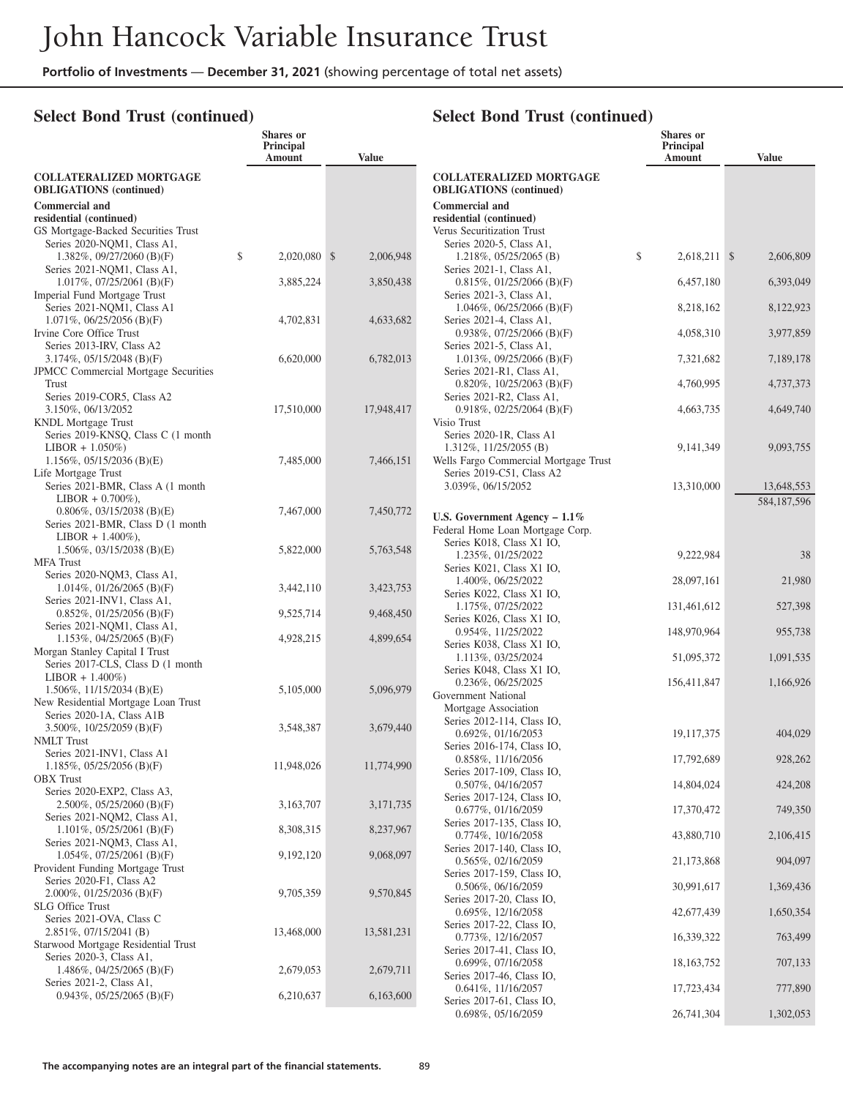### **Select Bond Trust (continued)**

|                                                                    | Shares or<br>Principal<br>Amount | <b>Value</b> |                                                                  | Shares or<br><b>Principal</b><br>Amount | <b>Value</b> |
|--------------------------------------------------------------------|----------------------------------|--------------|------------------------------------------------------------------|-----------------------------------------|--------------|
| <b>COLLATERALIZED MORTGAGE</b><br><b>OBLIGATIONS</b> (continued)   |                                  |              | <b>COLLATERALIZED MORTGAGE</b><br><b>OBLIGATIONS</b> (continued) |                                         |              |
| <b>Commercial and</b>                                              |                                  |              | <b>Commercial and</b>                                            |                                         |              |
| residential (continued)                                            |                                  |              | residential (continued)                                          |                                         |              |
| GS Mortgage-Backed Securities Trust<br>Series 2020-NQM1, Class A1, |                                  |              | Verus Securitization Trust<br>Series 2020-5, Class A1,           |                                         |              |
| 1.382%, $09/27/2060$ (B)(F)                                        | \$<br>$2,020,080$ \$             | 2,006,948    | $1.218\%, 05/25/2065$ (B)                                        | \$<br>2,618,211 \$                      | 2,606,809    |
| Series 2021-NQM1, Class A1,                                        |                                  |              | Series 2021-1, Class A1,                                         |                                         |              |
| $1.017\%, 07/25/2061$ (B)(F)                                       | 3,885,224                        | 3,850,438    | $0.815\%, 01/25/2066$ (B)(F)                                     | 6,457,180                               | 6,393,049    |
| Imperial Fund Mortgage Trust                                       |                                  |              | Series 2021-3, Class A1,                                         |                                         |              |
| Series 2021-NQM1, Class A1                                         |                                  |              | 1.046\%, 06/25/2066 (B)(F)                                       | 8,218,162                               | 8,122,923    |
| $1.071\%, 06/25/2056$ (B)(F)<br>Irvine Core Office Trust           | 4,702,831                        | 4,633,682    | Series 2021-4, Class A1,<br>$0.938\%$ , $07/25/2066$ (B)(F)      | 4,058,310                               | 3,977,859    |
| Series 2013-IRV, Class A2                                          |                                  |              | Series 2021-5, Class A1,                                         |                                         |              |
| $3.174\%, 05/15/2048$ (B)(F)                                       | 6,620,000                        | 6,782,013    | $1.013\%, 09/25/2066$ (B)(F)                                     | 7,321,682                               | 7,189,178    |
| <b>JPMCC</b> Commercial Mortgage Securities                        |                                  |              | Series 2021-R1, Class A1,                                        |                                         |              |
| Trust                                                              |                                  |              | $0.820\%$ , 10/25/2063 (B)(F)                                    | 4,760,995                               | 4,737,373    |
| Series 2019-COR5, Class A2<br>3.150%, 06/13/2052                   | 17,510,000                       | 17,948,417   | Series 2021-R2, Class A1,<br>$0.918\%, 02/25/2064$ (B)(F)        | 4,663,735                               | 4,649,740    |
| <b>KNDL</b> Mortgage Trust                                         |                                  |              | Visio Trust                                                      |                                         |              |
| Series 2019-KNSQ, Class C (1 month                                 |                                  |              | Series 2020-1R, Class A1                                         |                                         |              |
| $LIBOR + 1.050\%)$                                                 |                                  |              | $1.312\%$ , $11/25/2055$ (B)                                     | 9, 141, 349                             | 9,093,755    |
| $1.156\%, 05/15/2036$ (B)(E)                                       | 7,485,000                        | 7,466,151    | Wells Fargo Commercial Mortgage Trust                            |                                         |              |
| Life Mortgage Trust<br>Series 2021-BMR, Class A (1 month)          |                                  |              | Series 2019-C51, Class A2<br>3.039%, 06/15/2052                  | 13,310,000                              | 13,648,553   |
| $LIBOR + 0.700\%$ ),                                               |                                  |              |                                                                  |                                         | 584,187,596  |
| $0.806\%$ , 03/15/2038 (B)(E)                                      | 7,467,000                        | 7,450,772    | U.S. Government Agency - 1.1%                                    |                                         |              |
| Series 2021-BMR, Class D (1 month                                  |                                  |              | Federal Home Loan Mortgage Corp.                                 |                                         |              |
| $LIBOR + 1.400\%$ ),                                               |                                  |              | Series K018, Class X1 IO,                                        |                                         |              |
| $1.506\%, 03/15/2038$ (B)(E)<br><b>MFA</b> Trust                   | 5,822,000                        | 5,763,548    | 1.235%, 01/25/2022                                               | 9,222,984                               | 38           |
| Series 2020-NQM3, Class A1,                                        |                                  |              | Series K021, Class X1 IO,                                        |                                         |              |
| $1.014\%, 01/26/2065$ (B)(F)                                       | 3,442,110                        | 3,423,753    | 1.400%, 06/25/2022<br>Series K022, Class X1 IO,                  | 28,097,161                              | 21,980       |
| Series 2021-INV1, Class A1,                                        |                                  |              | 1.175%, 07/25/2022                                               | 131,461,612                             | 527,398      |
| $0.852\%$ , $01/25/2056$ (B)(F)                                    | 9,525,714                        | 9,468,450    | Series K026, Class X1 IO,                                        |                                         |              |
| Series 2021-NQM1, Class A1,<br>1.153\%, 04/25/2065 (B)(F)          | 4,928,215                        | 4,899,654    | 0.954%, 11/25/2022                                               | 148,970,964                             | 955,738      |
| Morgan Stanley Capital I Trust                                     |                                  |              | Series K038, Class X1 IO,                                        |                                         |              |
| Series 2017-CLS, Class D (1 month                                  |                                  |              | 1.113%, 03/25/2024<br>Series K048, Class X1 IO,                  | 51,095,372                              | 1,091,535    |
| $LIBOR + 1.400\%)$                                                 |                                  |              | 0.236%, 06/25/2025                                               | 156,411,847                             | 1,166,926    |
| $1.506\%, 11/15/2034$ (B)(E)                                       | 5,105,000                        | 5,096,979    | Government National                                              |                                         |              |
| New Residential Mortgage Loan Trust<br>Series 2020-1A, Class A1B   |                                  |              | Mortgage Association                                             |                                         |              |
| 3.500%, 10/25/2059 (B)(F)                                          | 3,548,387                        | 3,679,440    | Series 2012-114, Class IO,                                       |                                         |              |
| <b>NMLT</b> Trust                                                  |                                  |              | $0.692\%, 01/16/2053$<br>Series 2016-174, Class IO,              | 19,117,375                              | 404,029      |
| Series 2021-INV1, Class A1                                         |                                  |              | 0.858%, 11/16/2056                                               | 17,792,689                              | 928,262      |
| $1.185\%, 05/25/2056$ (B)(F)                                       | 11,948,026                       | 11,774,990   | Series 2017-109, Class IO,                                       |                                         |              |
| <b>OBX</b> Trust<br>Series 2020-EXP2, Class A3,                    |                                  |              | $0.507\%, 04/16/2057$                                            | 14,804,024                              | 424,208      |
| 2.500%, 05/25/2060 (B)(F)                                          | 3,163,707                        | 3,171,735    | Series 2017-124, Class IO,                                       |                                         |              |
| Series 2021-NQM2, Class A1,                                        |                                  |              | 0.677%, 01/16/2059<br>Series 2017-135, Class IO,                 | 17,370,472                              | 749,350      |
| 1.101%, $05/25/2061$ (B)(F)                                        | 8,308,315                        | 8,237,967    | 0.774%, 10/16/2058                                               | 43,880,710                              | 2,106,415    |
| Series 2021-NQM3, Class A1,                                        |                                  | 9,068,097    | Series 2017-140, Class IO,                                       |                                         |              |
| $1.054\%, 07/25/2061$ (B)(F)<br>Provident Funding Mortgage Trust   | 9,192,120                        |              | 0.565%, 02/16/2059                                               | 21,173,868                              | 904,097      |
| Series 2020-F1, Class A2                                           |                                  |              | Series 2017-159, Class IO,                                       |                                         |              |
| $2.000\%$ , 01/25/2036 (B)(F)                                      | 9,705,359                        | 9,570,845    | 0.506%, 06/16/2059<br>Series 2017-20, Class IO,                  | 30,991,617                              | 1,369,436    |
| <b>SLG</b> Office Trust                                            |                                  |              | $0.695\%, 12/16/2058$                                            | 42,677,439                              | 1,650,354    |
| Series 2021-OVA, Class C                                           |                                  |              | Series 2017-22, Class IO,                                        |                                         |              |
| $2.851\%$ , 07/15/2041 (B)<br>Starwood Mortgage Residential Trust  | 13,468,000                       | 13,581,231   | $0.773\%, 12/16/2057$                                            | 16,339,322                              | 763,499      |
| Series 2020-3, Class A1,                                           |                                  |              | Series 2017-41, Class IO,                                        |                                         |              |
| 1.486\%, 04/25/2065 (B)(F)                                         | 2,679,053                        | 2,679,711    | 0.699%, 07/16/2058<br>Series 2017-46, Class IO,                  | 18, 163, 752                            | 707,133      |
| Series 2021-2, Class A1,                                           |                                  |              | $0.641\%, 11/16/2057$                                            | 17,723,434                              | 777,890      |
| $0.943\%, 05/25/2065$ (B)(F)                                       | 6,210,637                        | 6,163,600    | Series 2017-61, Class IO,                                        |                                         |              |
|                                                                    |                                  |              | 0.698%, 05/16/2059                                               | 26,741,304                              | 1,302,053    |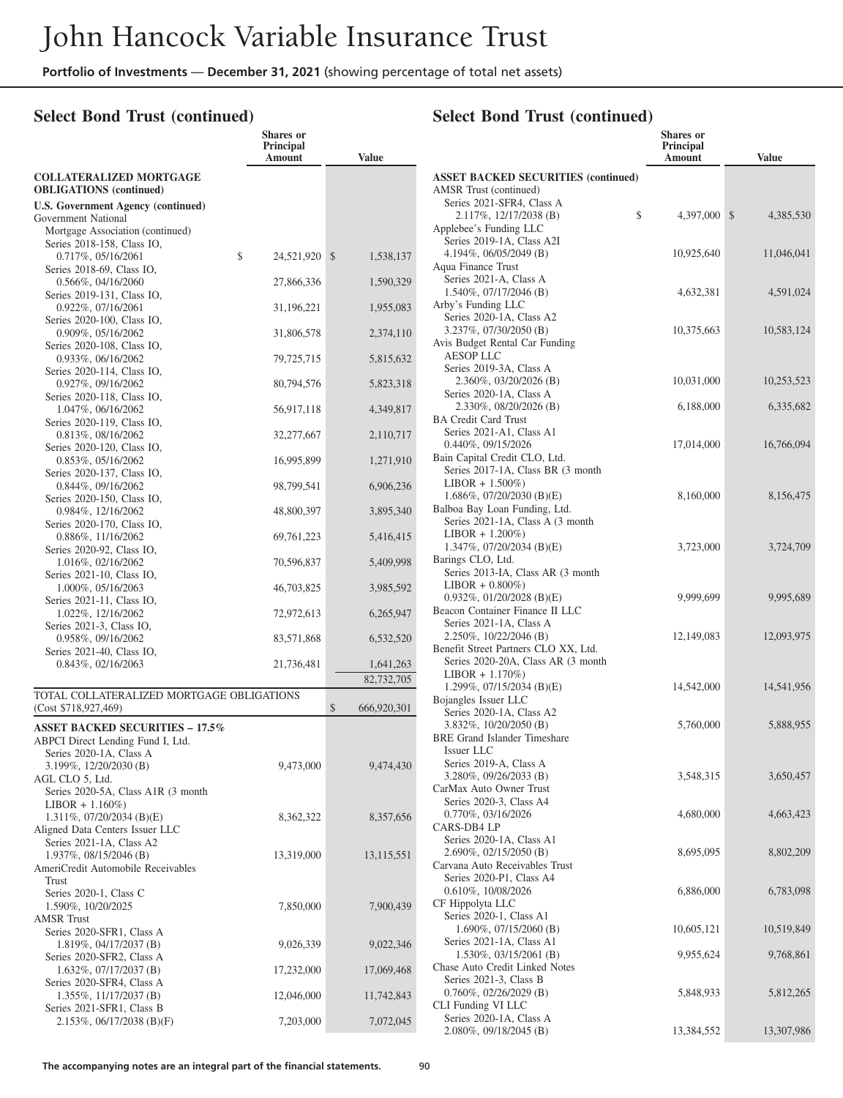### **Select Bond Trust (continued)**

|                                                                  | Shares or<br><b>Principal</b><br>Amount | <b>Value</b>      |
|------------------------------------------------------------------|-----------------------------------------|-------------------|
| <b>COLLATERALIZED MORTGAGE</b><br><b>OBLIGATIONS</b> (continued) |                                         |                   |
| U.S. Government Agency (continued)                               |                                         |                   |
| Government National                                              |                                         |                   |
| Mortgage Association (continued)                                 |                                         |                   |
| Series 2018-158, Class IO,<br>$0.717\%, 05/16/2061$              | \$<br>24,521,920 \$                     | 1,538,137         |
| Series 2018-69, Class IO,                                        |                                         |                   |
| $0.566\%$ , 04/16/2060                                           | 27,866,336                              | 1,590,329         |
| Series 2019-131, Class IO,                                       |                                         |                   |
| 0.922%, 07/16/2061<br>Series 2020-100, Class IO,                 | 31,196,221                              | 1,955,083         |
| 0.909%, 05/16/2062                                               | 31,806,578                              | 2,374,110         |
| Series 2020-108, Class IO,                                       |                                         |                   |
| 0.933%, 06/16/2062                                               | 79,725,715                              | 5,815,632         |
| Series 2020-114, Class IO,                                       |                                         |                   |
| 0.927%, 09/16/2062<br>Series 2020-118, Class IO,                 | 80,794,576                              | 5,823,318         |
| 1.047%, 06/16/2062                                               | 56,917,118                              | 4,349,817         |
| Series 2020-119, Class IO,                                       |                                         |                   |
| 0.813%, 08/16/2062                                               | 32,277,667                              | 2,110,717         |
| Series 2020-120, Class IO,                                       |                                         |                   |
| 0.853%, 05/16/2062<br>Series 2020-137, Class IO,                 | 16,995,899                              | 1,271,910         |
| 0.844%, 09/16/2062                                               | 98,799,541                              | 6,906,236         |
| Series 2020-150, Class IO,<br>0.984%, 12/16/2062                 | 48,800,397                              | 3,895,340         |
| Series 2020-170, Class IO,<br>0.886%, 11/16/2062                 | 69,761,223                              | 5,416,415         |
| Series 2020-92, Class IO,                                        |                                         |                   |
| 1.016%, 02/16/2062                                               | 70,596,837                              | 5,409,998         |
| Series 2021-10, Class IO,<br>1.000%, 05/16/2063                  | 46,703,825                              | 3,985,592         |
| Series 2021-11, Class IO,<br>1.022%, 12/16/2062                  | 72,972,613                              | 6,265,947         |
| Series 2021-3, Class IO,<br>0.958%, 09/16/2062                   |                                         |                   |
| Series 2021-40, Class IO,                                        | 83,571,868                              | 6,532,520         |
| 0.843%, 02/16/2063                                               | 21,736,481                              | 1,641,263         |
|                                                                  |                                         | 82,732,705        |
| TOTAL COLLATERALIZED MORTGAGE OBLIGATIONS                        |                                         |                   |
| (Cost \$718,927,469)                                             |                                         | \$<br>666,920,301 |
| <b>ASSET BACKED SECURITIES - 17.5%</b>                           |                                         |                   |
| ABPCI Direct Lending Fund I, Ltd.                                |                                         |                   |
| Series 2020-1A, Class A<br>3.199%, 12/20/2030 (B)                | 9,473,000                               | 9,474,430         |
| AGL CLO 5, Ltd.                                                  |                                         |                   |
| Series 2020-5A, Class A1R (3 month                               |                                         |                   |
| $LIBOR + 1.160\%)$                                               |                                         |                   |
| 1.311%, $07/20/2034$ (B)(E)                                      | 8,362,322                               | 8,357,656         |
| Aligned Data Centers Issuer LLC<br>Series 2021-1A, Class A2      |                                         |                   |
| 1.937%, 08/15/2046 (B)                                           | 13,319,000                              | 13,115,551        |
| AmeriCredit Automobile Receivables                               |                                         |                   |
| Trust                                                            |                                         |                   |
| Series 2020-1, Class C                                           |                                         |                   |
| 1.590%, 10/20/2025<br><b>AMSR Trust</b>                          | 7,850,000                               | 7,900,439         |
| Series 2020-SFR1, Class A                                        |                                         |                   |
| 1.819%, 04/17/2037 (B)                                           | 9,026,339                               | 9,022,346         |
| Series 2020-SFR2, Class A                                        |                                         |                   |
| 1.632%, 07/17/2037 (B)                                           | 17,232,000                              | 17,069,468        |
| Series 2020-SFR4, Class A                                        |                                         |                   |
| 1.355%, 11/17/2037 (B)<br>Series 2021-SFR1, Class B              | 12,046,000                              | 11,742,843        |
| 2.153%, 06/17/2038 (B)(F)                                        | 7,203,000                               | 7,072,045         |

|                                                                            | Shares or<br>Principal |              |
|----------------------------------------------------------------------------|------------------------|--------------|
|                                                                            | Amount                 | <b>Value</b> |
| <b>ASSET BACKED SECURITIES (continued)</b>                                 |                        |              |
| AMSR Trust (continued)                                                     |                        |              |
| Series 2021-SFR4, Class A<br>\$                                            |                        |              |
| 2.117%, 12/17/2038 (B)<br>Applebee's Funding LLC                           | 4,397,000 \$           | 4,385,530    |
| Series 2019-1A, Class A2I                                                  |                        |              |
| 4.194%, 06/05/2049 (B)                                                     | 10,925,640             | 11,046,041   |
| Aqua Finance Trust                                                         |                        |              |
| Series 2021-A, Class A<br>1.540%, 07/17/2046 (B)                           | 4,632,381              | 4,591,024    |
| Arby's Funding LLC                                                         |                        |              |
| Series 2020-1A, Class A2                                                   |                        |              |
| 3.237%, 07/30/2050 (B)                                                     | 10,375,663             | 10,583,124   |
| Avis Budget Rental Car Funding                                             |                        |              |
| <b>AESOP LLC</b><br>Series 2019-3A, Class A                                |                        |              |
| 2.360%, 03/20/2026 (B)                                                     | 10,031,000             | 10,253,523   |
| Series 2020-1A, Class A                                                    |                        |              |
| 2.330%, 08/20/2026 (B)                                                     | 6,188,000              | 6,335,682    |
| <b>BA Credit Card Trust</b>                                                |                        |              |
| Series 2021-A1, Class A1<br>0.440%, 09/15/2026                             | 17,014,000             | 16,766,094   |
| Bain Capital Credit CLO, Ltd.                                              |                        |              |
| Series 2017-1A, Class BR (3 month                                          |                        |              |
| $LIBOR + 1.500\%)$                                                         |                        |              |
| 1.686%, 07/20/2030 (B)(E)<br>Balboa Bay Loan Funding, Ltd.                 | 8,160,000              | 8,156,475    |
| Series 2021-1A, Class A (3 month                                           |                        |              |
| $LIBOR + 1.200\%)$                                                         |                        |              |
| $1.347\%$ , 07/20/2034 (B)(E)                                              | 3,723,000              | 3,724,709    |
| Barings CLO, Ltd.                                                          |                        |              |
| Series 2013-IA, Class AR (3 month<br>$LIBOR + 0.800\%)$                    |                        |              |
| $0.932\%, 01/20/2028$ (B)(E)                                               | 9,999,699              | 9,995,689    |
| Beacon Container Finance II LLC                                            |                        |              |
| Series 2021-1A, Class A                                                    |                        |              |
| 2.250%, 10/22/2046 (B)                                                     | 12,149,083             | 12,093,975   |
| Benefit Street Partners CLO XX, Ltd.<br>Series 2020-20A, Class AR (3 month |                        |              |
| $LIBOR + 1.170\%)$                                                         |                        |              |
| 1.299%, $07/15/2034$ (B)(E)                                                | 14,542,000             | 14,541,956   |
| Bojangles Issuer LLC                                                       |                        |              |
| Series 2020-1A, Class A2<br>3.832%, 10/20/2050 (B)                         | 5,760,000              | 5,888,955    |
| <b>BRE</b> Grand Islander Timeshare                                        |                        |              |
| Issuer LLC                                                                 |                        |              |
| Series 2019-A, Class A                                                     |                        |              |
| 3.280%, 09/26/2033 (B)<br>CarMax Auto Owner Trust                          | 3,548,315              | 3,650,457    |
| Series 2020-3, Class A4                                                    |                        |              |
| 0.770%, 03/16/2026                                                         | 4,680,000              | 4,663,423    |
| CARS-DB4 LP                                                                |                        |              |
| Series 2020-1A, Class A1                                                   |                        |              |
| 2.690%, 02/15/2050 (B)<br>Carvana Auto Receivables Trust                   | 8,695,095              | 8,802,209    |
| Series 2020-P1, Class A4                                                   |                        |              |
| 0.610%, 10/08/2026                                                         | 6,886,000              | 6,783,098    |
| CF Hippolyta LLC                                                           |                        |              |
| Series 2020-1, Class A1                                                    |                        |              |
| $1.690\%, 07/15/2060$ (B)<br>Series 2021-1A, Class A1                      | 10,605,121             | 10,519,849   |
| 1.530%, 03/15/2061 (B)                                                     | 9,955,624              | 9,768,861    |
| Chase Auto Credit Linked Notes                                             |                        |              |
| Series 2021-3, Class B                                                     |                        |              |
| $0.760\%, 02/26/2029$ (B)                                                  | 5,848,933              | 5,812,265    |
| CLI Funding VI LLC<br>Series 2020-1A, Class A                              |                        |              |
| 2.080%, 09/18/2045 (B)                                                     | 13,384,552             | 13,307,986   |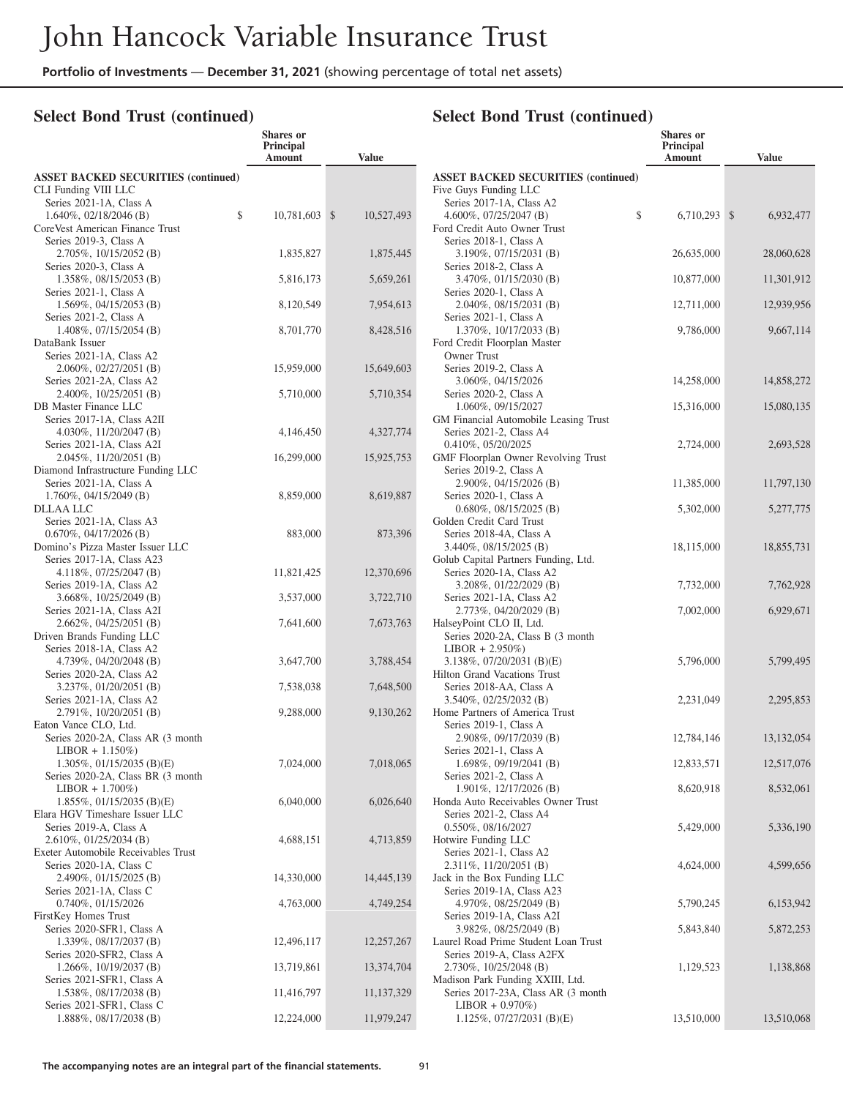**Shares or**

### **Select Bond Trust (continued)**

|                                                                | Principal<br>Amount | <b>Value</b>     |                |
|----------------------------------------------------------------|---------------------|------------------|----------------|
| <b>ASSET BACKED SECURITIES (continued)</b>                     |                     |                  | AS             |
| CLI Funding VIII LLC                                           |                     |                  | Fi             |
| Series 2021-1A, Class A                                        |                     |                  |                |
| $1.640\%, 02/18/2046$ (B)<br>\$                                | 10,781,603          | 10,527,493<br>\$ |                |
| CoreVest American Finance Trust                                |                     |                  | Fo             |
| Series 2019-3, Class A<br>2.705%, 10/15/2052 (B)               |                     |                  |                |
| Series 2020-3, Class A                                         | 1,835,827           | 1,875,445        |                |
| 1.358%, 08/15/2053 (B)                                         | 5,816,173           | 5,659,261        |                |
| Series 2021-1, Class A                                         |                     |                  |                |
| 1.569%, 04/15/2053 (B)                                         | 8,120,549           | 7,954,613        |                |
| Series 2021-2, Class A                                         |                     |                  |                |
| 1.408%, 07/15/2054 (B)                                         | 8,701,770           | 8,428,516        |                |
| DataBank Issuer                                                |                     |                  | Fo             |
| Series 2021-1A, Class A2                                       |                     |                  |                |
| 2.060%, 02/27/2051 (B)                                         | 15,959,000          | 15,649,603       |                |
| Series 2021-2A, Class A2                                       |                     |                  |                |
| 2.400%, 10/25/2051 (B)                                         | 5,710,000           | 5,710,354        |                |
| DB Master Finance LLC<br>Series 2017-1A. Class A2II            |                     |                  |                |
| 4.030%, 11/20/2047 (B)                                         | 4,146,450           | 4,327,774        | G <sub>N</sub> |
| Series 2021-1A, Class A2I                                      |                     |                  |                |
| 2.045%, 11/20/2051 (B)                                         | 16,299,000          | 15,925,753       | GN             |
| Diamond Infrastructure Funding LLC                             |                     |                  |                |
| Series 2021-1A, Class A                                        |                     |                  |                |
| 1.760%, 04/15/2049 (B)                                         | 8,859,000           | 8,619,887        |                |
| DLLAA LLC                                                      |                     |                  |                |
| Series 2021-1A, Class A3                                       |                     |                  | Gc             |
| $0.670\%, 04/17/2026$ (B)                                      | 883,000             | 873,396          |                |
| Domino's Pizza Master Issuer LLC                               |                     |                  |                |
| Series 2017-1A, Class A23                                      |                     |                  | Gc             |
| 4.118%, 07/25/2047 (B)<br>Series 2019-1A, Class A2             | 11,821,425          | 12,370,696       |                |
| 3.668%, 10/25/2049 (B)                                         | 3,537,000           | 3,722,710        |                |
| Series 2021-1A, Class A2I                                      |                     |                  |                |
| $2.662\%, 04/25/2051$ (B)                                      | 7,641,600           | 7,673,763        | Ha             |
| Driven Brands Funding LLC                                      |                     |                  |                |
| Series 2018-1A, Class A2                                       |                     |                  |                |
| 4.739%, 04/20/2048 (B)                                         | 3,647,700           | 3,788,454        |                |
| Series 2020-2A, Class A2                                       |                     |                  | Hi             |
| 3.237%, 01/20/2051 (B)                                         | 7,538,038           | 7,648,500        |                |
| Series 2021-1A, Class A2                                       |                     |                  |                |
| 2.791%, 10/20/2051 (B)<br>Eaton Vance CLO, Ltd.                | 9,288,000           | 9,130,262        | Hc             |
| Series 2020-2A, Class AR (3 month                              |                     |                  |                |
| $LIBOR + 1.150\%)$                                             |                     |                  |                |
| 1.305%, $01/15/2035$ (B)(E)                                    | 7,024,000           | 7,018,065        |                |
| Series 2020-2A, Class BR (3 month)                             |                     |                  |                |
| $LIBOR + 1.700\%)$                                             |                     |                  |                |
| $1.855\%, 01/15/2035$ (B)(E)                                   | 6,040,000           | 6,026,640        | Hc             |
| Elara HGV Timeshare Issuer LLC                                 |                     |                  |                |
| Series 2019-A, Class A                                         |                     |                  |                |
| 2.610%, 01/25/2034 (B)                                         | 4,688,151           | 4,713,859        | Hc             |
| Exeter Automobile Receivables Trust<br>Series 2020-1A, Class C |                     |                  |                |
| 2.490%, 01/15/2025 (B)                                         | 14,330,000          | 14,445,139       | Jac            |
| Series 2021-1A, Class C                                        |                     |                  |                |
| 0.740%, 01/15/2026                                             | 4,763,000           | 4,749,254        |                |
| FirstKey Homes Trust                                           |                     |                  |                |
| Series 2020-SFR1, Class A                                      |                     |                  |                |
| 1.339%, 08/17/2037 (B)                                         | 12,496,117          | 12,257,267       | La             |
| Series 2020-SFR2, Class A                                      |                     |                  |                |
| 1.266%, 10/19/2037 (B)                                         | 13,719,861          | 13,374,704       |                |
| Series 2021-SFR1, Class A                                      |                     |                  | M              |
| 1.538%, 08/17/2038 (B)                                         | 11,416,797          | 11,137,329       |                |
| Series 2021-SFR1, Class C<br>1.888%, 08/17/2038 (B)            | 12,224,000          | 11,979,247       |                |
|                                                                |                     |                  |                |

|                                                                                                                               | <b>Shares</b> or<br>Principal<br>Amount | <b>Value</b>               |
|-------------------------------------------------------------------------------------------------------------------------------|-----------------------------------------|----------------------------|
| <b>ASSET BACKED SECURITIES (continued)</b><br>Five Guys Funding LLC                                                           |                                         |                            |
| Series 2017-1A, Class A2<br>\$<br>4.600%, $07/25/2047$ (B)<br>Ford Credit Auto Owner Trust                                    | 6,710,293                               | $\mathcal{S}$<br>6,932,477 |
| Series 2018-1, Class A<br>3.190%, 07/15/2031 (B)<br>Series 2018-2, Class A                                                    | 26,635,000                              | 28,060,628                 |
| 3.470%, 01/15/2030 (B)<br>Series 2020-1, Class A                                                                              | 10,877,000                              | 11,301,912                 |
| 2.040%, 08/15/2031 (B)<br>Series 2021-1, Class A                                                                              | 12,711,000                              | 12,939,956                 |
| 1.370%, 10/17/2033 (B)<br>Ford Credit Floorplan Master<br>Owner Trust                                                         | 9,786,000                               | 9,667,114                  |
| Series 2019-2, Class A<br>3.060%, 04/15/2026                                                                                  | 14,258,000                              | 14,858,272                 |
| Series 2020-2, Class A<br>1.060%, 09/15/2027                                                                                  | 15,316,000                              | 15,080,135                 |
| GM Financial Automobile Leasing Trust<br>Series 2021-2, Class A4<br>0.410%, 05/20/2025<br>GMF Floorplan Owner Revolving Trust | 2,724,000                               | 2,693,528                  |
| Series 2019-2, Class A<br>2.900%, 04/15/2026 (B)                                                                              | 11,385,000                              | 11,797,130                 |
| Series 2020-1, Class A<br>$0.680\%$ , $08/15/2025$ (B)                                                                        | 5,302,000                               | 5,277,775                  |
| Golden Credit Card Trust<br>Series 2018-4A, Class A<br>3.440%, 08/15/2025 (B)<br>Golub Capital Partners Funding, Ltd.         | 18,115,000                              | 18,855,731                 |
| Series 2020-1A, Class A2<br>3.208%, 01/22/2029 (B)                                                                            | 7,732,000                               | 7,762,928                  |
| Series 2021-1A, Class A2<br>2.773%, 04/20/2029 (B)                                                                            | 7,002,000                               | 6,929,671                  |
| HalseyPoint CLO II, Ltd.<br>Series 2020-2A, Class B (3 month)<br>$LIBOR + 2.950\%)$                                           |                                         |                            |
| 3.138%, 07/20/2031 (B)(E)<br>Hilton Grand Vacations Trust<br>Series 2018-AA, Class A                                          | 5,796,000                               | 5,799,495                  |
| 3.540\%, 02/25/2032 (B)<br>Home Partners of America Trust<br>Series 2019-1, Class A                                           | 2,231,049                               | 2,295,853                  |
| 2.908%, 09/17/2039 (B)<br>Series 2021-1, Class A                                                                              | 12,784,146                              | 13, 132, 054               |
| 1.698%, 09/19/2041 (B)<br>Series 2021-2, Class A                                                                              | 12,833,571                              | 12,517,076                 |
| 1.901%, 12/17/2026 (B)<br>Honda Auto Receivables Owner Trust                                                                  | 8,620,918                               | 8,532,061                  |
| Series 2021-2, Class A4<br>0.550%, 08/16/2027<br>Hotwire Funding LLC                                                          | 5,429,000                               | 5,336,190                  |
| Series 2021-1, Class A2<br>2.311%, 11/20/2051 (B)<br>Jack in the Box Funding LLC                                              | 4,624,000                               | 4,599,656                  |
| Series 2019-1A, Class A23<br>4.970%, 08/25/2049 (B)                                                                           | 5,790,245                               | 6,153,942                  |
| Series 2019-1A, Class A2I<br>3.982%, 08/25/2049 (B)<br>Laurel Road Prime Student Loan Trust                                   | 5,843,840                               | 5,872,253                  |
| Series 2019-A, Class A2FX<br>2.730%, 10/25/2048 (B)<br>Madison Park Funding XXIII, Ltd.<br>Series 2017-23A, Class AR (3 month | 1,129,523                               | 1,138,868                  |
| $LIBOR + 0.970\%)$<br>1.125%, $07/27/2031$ (B)(E)                                                                             | 13,510,000                              | 13,510,068                 |

**Select Bond Trust (continued)**

#### **The accompanying notes are an integral part of the financial statements.** 91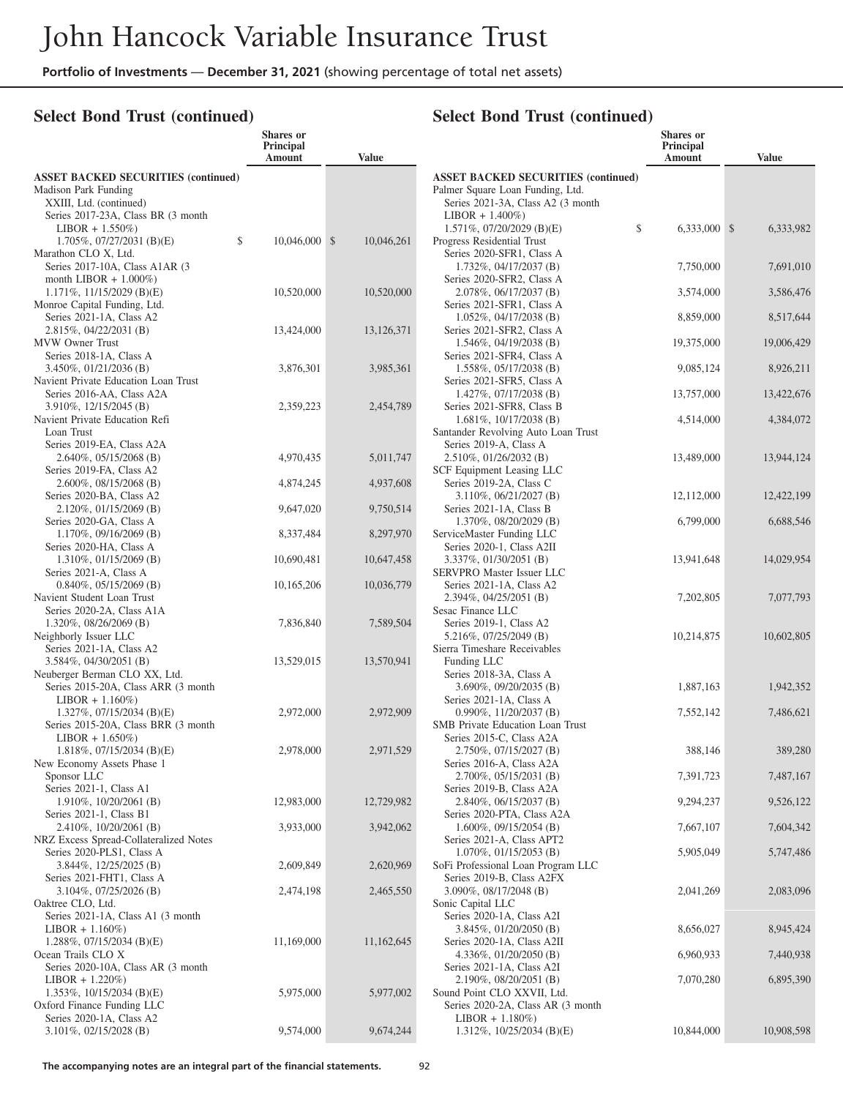#### **Select Bond Trust (continued)**

### **Select Bond Trust (continued)**

|                                                                                               | <b>Shares</b> or<br>Principal<br>Amount | <b>Value</b>           |                                                                                                                     | <b>Shares</b> or<br>Principal<br>Amount | <b>Value</b>            |
|-----------------------------------------------------------------------------------------------|-----------------------------------------|------------------------|---------------------------------------------------------------------------------------------------------------------|-----------------------------------------|-------------------------|
| <b>ASSET BACKED SECURITIES (continued)</b><br>Madison Park Funding<br>XXIII, Ltd. (continued) |                                         |                        | <b>ASSET BACKED SECURITIES (continued)</b><br>Palmer Square Loan Funding, Ltd.<br>Series 2021-3A, Class A2 (3 month |                                         |                         |
| Series 2017-23A, Class BR (3 month<br>$LIBOR + 1.550\%)$<br>$1.705\%, 07/27/2031$ (B)(E)      | \$<br>$10,046,000$ \$                   | 10,046,261             | $LIBOR + 1.400\%)$<br>$1.571\%$ , 07/20/2029 (B)(E)<br>Progress Residential Trust                                   | \$<br>6,333,000 \$                      | 6,333,982               |
| Marathon CLO X, Ltd.<br>Series 2017-10A, Class A1AR (3)<br>month LIBOR $+ 1.000\%)$           |                                         |                        | Series 2020-SFR1, Class A<br>$1.732\%, 04/17/2037$ (B)<br>Series 2020-SFR2, Class A                                 | 7,750,000                               | 7,691,010               |
| $1.171\%, 11/15/2029$ (B)(E)<br>Monroe Capital Funding, Ltd.<br>Series 2021-1A, Class A2      | 10,520,000                              | 10,520,000             | 2.078%, 06/17/2037 (B)<br>Series 2021-SFR1, Class A                                                                 | 3,574,000                               | 3,586,476               |
| 2.815%, 04/22/2031 (B)<br>MVW Owner Trust                                                     | 13,424,000                              | 13,126,371             | $1.052\%$ , 04/17/2038 (B)<br>Series 2021-SFR2, Class A<br>$1.546\%, 04/19/2038$ (B)                                | 8,859,000<br>19,375,000                 | 8,517,644<br>19,006,429 |
| Series 2018-1A, Class A<br>$3.450\%, 01/21/2036$ (B)<br>Navient Private Education Loan Trust  | 3,876,301                               | 3,985,361              | Series 2021-SFR4, Class A<br>$1.558\%, 05/17/2038$ (B)<br>Series 2021-SFR5, Class A                                 | 9,085,124                               | 8,926,211               |
| Series 2016-AA, Class A2A<br>3.910%, 12/15/2045 (B)                                           | 2,359,223                               | 2,454,789              | $1.427\%, 07/17/2038$ (B)<br>Series 2021-SFR8, Class B                                                              | 13,757,000                              | 13,422,676              |
| Navient Private Education Refi<br>Loan Trust<br>Series 2019-EA, Class A2A                     |                                         |                        | $1.681\%, 10/17/2038$ (B)<br>Santander Revolving Auto Loan Trust<br>Series 2019-A, Class A                          | 4,514,000                               | 4,384,072               |
| $2.640\%, 05/15/2068$ (B)<br>Series 2019-FA, Class A2                                         | 4,970,435                               | 5,011,747              | $2.510\%, 01/26/2032$ (B)<br>SCF Equipment Leasing LLC                                                              | 13,489,000                              | 13,944,124              |
| $2.600\%$ , 08/15/2068 (B)<br>Series 2020-BA, Class A2<br>$2.120\%$ , 01/15/2069 (B)          | 4,874,245<br>9,647,020                  | 4,937,608<br>9,750,514 | Series 2019-2A, Class C<br>3.110%, 06/21/2027 (B)<br>Series 2021-1A, Class B                                        | 12,112,000                              | 12,422,199              |
| Series 2020-GA, Class A<br>$1.170\%$ , 09/16/2069 (B)<br>Series 2020-HA, Class A              | 8,337,484                               | 8,297,970              | 1.370%, 08/20/2029 (B)<br>ServiceMaster Funding LLC<br>Series 2020-1, Class A2II                                    | 6,799,000                               | 6,688,546               |
| $1.310\%, 01/15/2069$ (B)<br>Series 2021-A, Class A                                           | 10,690,481                              | 10,647,458             | $3.337\%, 01/30/2051$ (B)<br>SERVPRO Master Issuer LLC                                                              | 13,941,648                              | 14,029,954              |
| $0.840\%, 05/15/2069$ (B)<br>Navient Student Loan Trust<br>Series 2020-2A, Class A1A          | 10,165,206                              | 10,036,779             | Series 2021-1A, Class A2<br>$2.394\%, 04/25/2051$ (B)<br>Sesac Finance LLC                                          | 7,202,805                               | 7,077,793               |
| $1.320\%$ , 08/26/2069 (B)<br>Neighborly Issuer LLC<br>Series 2021-1A, Class A2               | 7,836,840                               | 7,589,504              | Series 2019-1, Class A2<br>5.216%, 07/25/2049 (B)<br>Sierra Timeshare Receivables                                   | 10,214,875                              | 10,602,805              |
| $3.584\%, 04/30/2051$ (B)<br>Neuberger Berman CLO XX, Ltd.                                    | 13,529,015                              | 13,570,941             | Funding LLC<br>Series 2018-3A, Class A                                                                              |                                         |                         |
| Series 2015-20A, Class ARR (3 month<br>$LIBOR + 1.160\%)$<br>1.327%, $07/15/2034$ (B)(E)      | 2,972,000                               | 2,972,909              | 3.690%, 09/20/2035 (B)<br>Series 2021-1A, Class A<br>$0.990\%$ , $11/20/2037$ (B)                                   | 1,887,163<br>7,552,142                  | 1,942,352<br>7,486,621  |
| Series 2015-20A, Class BRR (3 month<br>$LIBOR + 1.650\%)$                                     |                                         |                        | SMB Private Education Loan Trust<br>Series 2015-C, Class A2A                                                        |                                         |                         |
| 1.818%, 07/15/2034 (B)(E)<br>New Economy Assets Phase 1<br>Sponsor LLC                        | 2,978,000                               | 2,971,529              | 2.750%, 07/15/2027 (B)<br>Series 2016-A, Class A2A<br>2.700%, 05/15/2031 (B)                                        | 388,146<br>7,391,723                    | 389,280<br>7,487,167    |
| Series 2021-1, Class A1<br>$1.910\%$ , $10/20/2061$ (B)<br>Series 2021-1, Class B1            | 12,983,000                              | 12,729,982             | Series 2019-B, Class A2A<br>2.840%, 06/15/2037 (B)<br>Series 2020-PTA, Class A2A                                    | 9,294,237                               | 9,526,122               |
| $2.410\%, 10/20/2061$ (B)<br>NRZ Excess Spread-Collateralized Notes                           | 3,933,000                               | 3,942,062              | $1.600\%$ , 09/15/2054 (B)<br>Series 2021-A, Class APT2                                                             | 7,667,107                               | 7,604,342               |
| Series 2020-PLS1, Class A<br>$3.844\%, 12/25/2025$ (B)<br>Series 2021-FHT1, Class A           | 2,609,849                               | 2,620,969              | $1.070\%, 01/15/2053$ (B)<br>SoFi Professional Loan Program LLC<br>Series 2019-B, Class A2FX                        | 5,905,049                               | 5,747,486               |
| $3.104\%, 07/25/2026$ (B)<br>Oaktree CLO, Ltd.                                                | 2,474,198                               | 2,465,550              | $3.090\%$ , 08/17/2048 (B)<br>Sonic Capital LLC                                                                     | 2,041,269                               | 2,083,096               |
| Series 2021-1A, Class A1 (3 month)<br>$LIBOR + 1.160\%)$<br>$1.288\%, 07/15/2034$ (B)(E)      | 11,169,000                              | 11,162,645             | Series 2020-1A, Class A2I<br>3.845%, 01/20/2050 (B)<br>Series 2020-1A, Class A2II                                   | 8,656,027                               | 8,945,424               |
| Ocean Trails CLO X<br>Series 2020-10A, Class AR (3 month)<br>$LIBOR + 1.220\%)$               |                                         |                        | 4.336%, 01/20/2050 (B)<br>Series 2021-1A, Class A2I<br>2.190%, 08/20/2051 (B)                                       | 6,960,933<br>7,070,280                  | 7,440,938<br>6,895,390  |
| $1.353\%$ , $10/15/2034$ (B)(E)<br>Oxford Finance Funding LLC                                 | 5,975,000                               | 5,977,002              | Sound Point CLO XXVII, Ltd.<br>Series 2020-2A, Class AR (3 month)                                                   |                                         |                         |
| Series 2020-1A, Class A2<br>$3.101\%, 02/15/2028$ (B)                                         | 9,574,000                               | 9,674,244              | $LIBOR + 1.180\%)$<br>1.312\%, 10/25/2034 (B)(E)                                                                    | 10,844,000                              | 10,908,598              |

**The accompanying notes are an integral part of the financial statements.** 92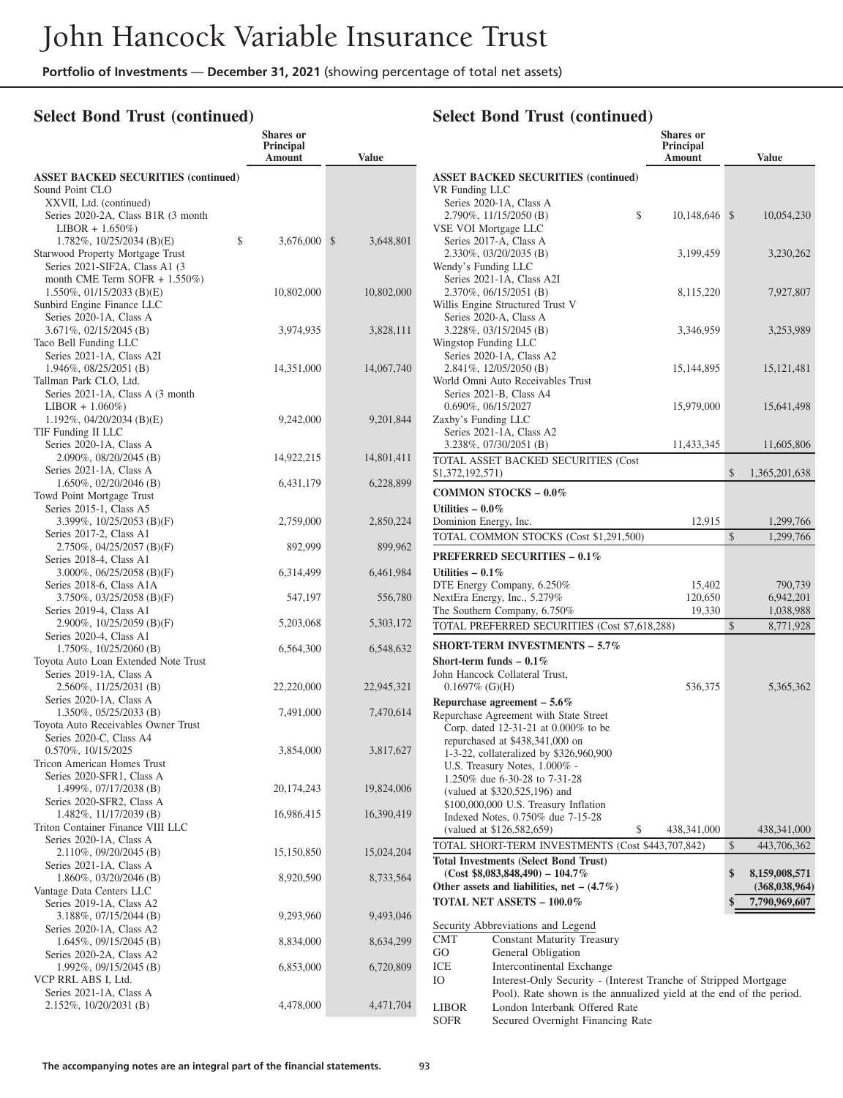**Shares or**

### **Select Bond Trust (continued)**

|                                                             | Principal<br>Amount | <b>Value</b> |                          |
|-------------------------------------------------------------|---------------------|--------------|--------------------------|
| <b>ASSET BACKED SECURITIES (continued)</b>                  |                     |              | ASSET B                  |
| Sound Point CLO                                             |                     |              | VR Fundi                 |
| XXVII, Ltd. (continued)                                     |                     |              | Series 2                 |
| Series 2020-2A, Class B1R (3 month                          |                     |              | 2.790%<br><b>VSE VOI</b> |
| $LIBOR + 1.650\%)$<br>\$<br>$1.782\%$ , $10/25/2034$ (B)(E) | 3,676,000 \$        | 3,648,801    | Series 2                 |
| Starwood Property Mortgage Trust                            |                     |              | 2.330%                   |
| Series 2021-SIF2A, Class A1 (3)                             |                     |              | Wendy's I                |
| month CME Term SOFR $+ 1.550\%)$                            |                     |              | Series 2                 |
| $1.550\%$ , 01/15/2033 (B)(E)                               | 10,802,000          | 10,802,000   | 2.370%                   |
| Sunbird Engine Finance LLC                                  |                     |              | Willis Eng               |
| Series 2020-1A, Class A<br>3.671%, 02/15/2045 (B)           | 3,974,935           | 3,828,111    | Series 2<br>3.228%       |
| Taco Bell Funding LLC                                       |                     |              | Wingstop                 |
| Series 2021-1A, Class A2I                                   |                     |              | Series 2                 |
| 1.946%, 08/25/2051 (B)                                      | 14,351,000          | 14,067,740   | 2.841%                   |
| Tallman Park CLO, Ltd.                                      |                     |              | World On                 |
| Series 2021-1A, Class A (3 month                            |                     |              | Series 2                 |
| $LIBOR + 1.060\%)$<br>$1.192\%$ , 04/20/2034 (B)(E)         |                     |              | 0.690%                   |
| TIF Funding II LLC                                          | 9,242,000           | 9,201,844    | Zaxby's F<br>Series 2    |
| Series 2020-1A, Class A                                     |                     |              | 3.238%                   |
| 2.090%, 08/20/2045 (B)                                      | 14,922,215          | 14,801,411   | <b>TOTAL A</b>           |
| Series 2021-1A, Class A                                     |                     |              | \$1,372,19               |
| 1.650%, 02/20/2046 (B)                                      | 6,431,179           | 6,228,899    |                          |
| Towd Point Mortgage Trust                                   |                     |              | <b>COMMO</b>             |
| Series 2015-1, Class A5<br>3.399%, $10/25/2053$ (B)(F)      | 2,759,000           | 2,850,224    | Utilities -<br>Dominion  |
| Series 2017-2, Class A1                                     |                     |              | <b>TOTAL C</b>           |
| 2.750%, 04/25/2057 (B)(F)                                   | 892,999             | 899,962      |                          |
| Series 2018-4, Class A1                                     |                     |              | <b>PREFER</b>            |
| 3.000\%, 06/25/2058 (B)(F)                                  | 6,314,499           | 6,461,984    | <b>Utilities -</b>       |
| Series 2018-6, Class A1A                                    |                     |              | DTE Ener                 |
| $3.750\%$ , $03/25/2058$ (B)(F)<br>Series 2019-4, Class A1  | 547,197             | 556,780      | NextEra E<br>The South   |
| 2.900\%, 10/25/2059 (B)(F)                                  | 5,203,068           | 5,303,172    | <b>TOTAL P</b>           |
| Series 2020-4, Class A1                                     |                     |              |                          |
| 1.750%, 10/25/2060 (B)                                      | 6,564,300           | 6,548,632    | <b>SHORT-T</b>           |
| Toyota Auto Loan Extended Note Trust                        |                     |              | Short-teri               |
| Series 2019-1A, Class A                                     |                     |              | John Hand                |
| 2.560%, 11/25/2031 (B)<br>Series 2020-1A, Class A           | 22,220,000          | 22,945,321   | 0.16979                  |
| 1.350%, 05/25/2033 (B)                                      | 7,491,000           | 7,470,614    | Repurcha                 |
| Toyota Auto Receivables Owner Trust                         |                     |              | Repurchas<br>Corp. d     |
| Series 2020-C, Class A4                                     |                     |              | repurch                  |
| 0.570%, 10/15/2025                                          | 3,854,000           | 3,817,627    | $1 - 3 - 22$ ,           |
| <b>Tricon American Homes Trust</b>                          |                     |              | U.S. Tr                  |
| Series 2020-SFR1, Class A                                   | 20,174,243          | 19,824,006   | 1.250%                   |
| 1.499%, 07/17/2038 (B)<br>Series 2020-SFR2, Class A         |                     |              | (valued                  |
| 1.482%, 11/17/2039 (B)                                      | 16,986,415          | 16,390,419   | \$100,00<br>Indexed      |
| Triton Container Finance VIII LLC                           |                     |              | (valued                  |
| Series 2020-1A, Class A                                     |                     |              | <b>TOTAL S</b>           |
| 2.110%, 09/20/2045 (B)                                      | 15,150,850          | 15,024,204   | <b>Total Invo</b>        |
| Series 2021-1A, Class A                                     |                     |              | (Cost                    |
| 1.860%, 03/20/2046 (B)<br>Vantage Data Centers LLC          | 8,920,590           | 8,733,564    | Other ass                |
| Series 2019-1A, Class A2                                    |                     |              | <b>TOTAL N</b>           |
| 3.188%, 07/15/2044 (B)                                      | 9,293,960           | 9,493,046    |                          |
| Series 2020-1A, Class A2                                    |                     |              | Security .               |
| 1.645%, 09/15/2045 (B)                                      | 8,834,000           | 8,634,299    | CMT                      |
| Series 2020-2A, Class A2                                    |                     |              | GO                       |
| 1.992%, 09/15/2045 (B)                                      | 6,853,000           | 6,720,809    | ICE                      |
| VCP RRL ABS I, Ltd.                                         |                     |              | Ю                        |
| Series 2021-1A, Class A<br>2.152%, 10/20/2031 (B)           | 4,478,000           | 4,471,704    |                          |
|                                                             |                     |              | LIBOR                    |

|                                                                                   | <b>Shares</b> or                                                                                     |               |                                  |
|-----------------------------------------------------------------------------------|------------------------------------------------------------------------------------------------------|---------------|----------------------------------|
|                                                                                   | Principal<br>Amount                                                                                  |               | <b>Value</b>                     |
|                                                                                   |                                                                                                      |               |                                  |
| <b>ASSET BACKED SECURITIES (continued)</b><br>VR Funding LLC                      |                                                                                                      |               |                                  |
| Series 2020-1A, Class A                                                           |                                                                                                      |               |                                  |
| 2.790%, 11/15/2050 (B)                                                            | \$<br>10,148,646                                                                                     | $\mathcal{S}$ | 10,054,230                       |
| VSE VOI Mortgage LLC                                                              |                                                                                                      |               |                                  |
| Series 2017-A, Class A                                                            |                                                                                                      |               |                                  |
| 2.330%, 03/20/2035 (B)<br>Wendy's Funding LLC                                     | 3,199,459                                                                                            |               | 3,230,262                        |
| Series 2021-1A, Class A2I                                                         |                                                                                                      |               |                                  |
| 2.370%, 06/15/2051 (B)                                                            | 8,115,220                                                                                            |               | 7,927,807                        |
| Willis Engine Structured Trust V                                                  |                                                                                                      |               |                                  |
| Series 2020-A, Class A                                                            |                                                                                                      |               |                                  |
| 3.228%, 03/15/2045 (B)                                                            | 3,346,959                                                                                            |               | 3,253,989                        |
| Wingstop Funding LLC                                                              |                                                                                                      |               |                                  |
| Series 2020-1A, Class A2<br>2.841%, 12/05/2050 (B)                                | 15, 144, 895                                                                                         |               | 15, 121, 481                     |
| World Omni Auto Receivables Trust                                                 |                                                                                                      |               |                                  |
| Series 2021-B, Class A4                                                           |                                                                                                      |               |                                  |
| 0.690%, 06/15/2027                                                                | 15,979,000                                                                                           |               | 15,641,498                       |
| Zaxby's Funding LLC                                                               |                                                                                                      |               |                                  |
| Series 2021-1A, Class A2                                                          |                                                                                                      |               |                                  |
| 3.238%, 07/30/2051 (B)                                                            | 11,433,345                                                                                           |               | 11,605,806                       |
| TOTAL ASSET BACKED SECURITIES (Cost                                               |                                                                                                      |               |                                  |
| \$1,372,192,571)                                                                  |                                                                                                      | \$            | 1,365,201,638                    |
| <b>COMMON STOCKS - 0.0%</b>                                                       |                                                                                                      |               |                                  |
| Utilities $-0.0\%$                                                                |                                                                                                      |               |                                  |
| Dominion Energy, Inc.                                                             | 12,915                                                                                               | \$            | 1,299,766<br>1,299,766           |
| TOTAL COMMON STOCKS (Cost \$1,291,500)                                            |                                                                                                      |               |                                  |
| <b>PREFERRED SECURITIES - 0.1%</b>                                                |                                                                                                      |               |                                  |
| Utilities $-0.1\%$                                                                |                                                                                                      |               |                                  |
| DTE Energy Company, 6.250%                                                        | 15,402                                                                                               |               | 790,739                          |
| NextEra Energy, Inc., 5.279%<br>The Southern Company, 6.750%                      | 120,650<br>19,330                                                                                    |               | 6,942,201<br>1,038,988           |
| TOTAL PREFERRED SECURITIES (Cost \$7,618,288)                                     |                                                                                                      | \$            | 8,771,928                        |
| <b>SHORT-TERM INVESTMENTS - 5.7%</b>                                              |                                                                                                      |               |                                  |
| Short-term funds $-0.1\%$                                                         |                                                                                                      |               |                                  |
| John Hancock Collateral Trust,                                                    |                                                                                                      |               |                                  |
| $0.1697\%$ (G)(H)                                                                 | 536,375                                                                                              |               | 5,365,362                        |
| Repurchase agreement $-5.6\%$                                                     |                                                                                                      |               |                                  |
| Repurchase Agreement with State Street                                            |                                                                                                      |               |                                  |
| Corp. dated 12-31-21 at 0.000% to be                                              |                                                                                                      |               |                                  |
| repurchased at \$438,341,000 on                                                   |                                                                                                      |               |                                  |
| 1-3-22, collateralized by \$326,960,900                                           |                                                                                                      |               |                                  |
| U.S. Treasury Notes, 1.000% -<br>1.250% due 6-30-28 to 7-31-28                    |                                                                                                      |               |                                  |
| (valued at \$320,525,196) and                                                     |                                                                                                      |               |                                  |
| \$100,000,000 U.S. Treasury Inflation                                             |                                                                                                      |               |                                  |
| Indexed Notes, 0.750% due 7-15-28                                                 |                                                                                                      |               |                                  |
| (valued at \$126,582,659)                                                         | \$<br>438,341,000                                                                                    |               | 438, 341, 000                    |
|                                                                                   | TOTAL SHORT-TERM INVESTMENTS (Cost \$443,707,842)                                                    | \$            | 443,706,362                      |
| <b>Total Investments (Select Bond Trust)</b>                                      |                                                                                                      |               |                                  |
| $(Cost $8,083,848,490) - 104.7\%$<br>Other assets and liabilities, net $-$ (4.7%) |                                                                                                      | \$            | 8,159,008,571<br>(368, 038, 964) |
| TOTAL NET ASSETS - 100.0%                                                         |                                                                                                      | \$            | 7,790,969,607                    |
|                                                                                   |                                                                                                      |               |                                  |
| Security Abbreviations and Legend                                                 |                                                                                                      |               |                                  |
| <b>CMT</b><br><b>Constant Maturity Treasury</b>                                   |                                                                                                      |               |                                  |
| GO.<br>General Obligation                                                         |                                                                                                      |               |                                  |
| ICE<br>Intercontinental Exchange                                                  |                                                                                                      |               |                                  |
| Ю                                                                                 | Interest-Only Security - (Interest Tranche of Stripped Mortgage                                      |               |                                  |
| LIBOR                                                                             | Pool). Rate shown is the annualized yield at the end of the period.<br>London Interbank Offered Rate |               |                                  |
| <b>SOFR</b>                                                                       | Secured Overnight Financing Rate                                                                     |               |                                  |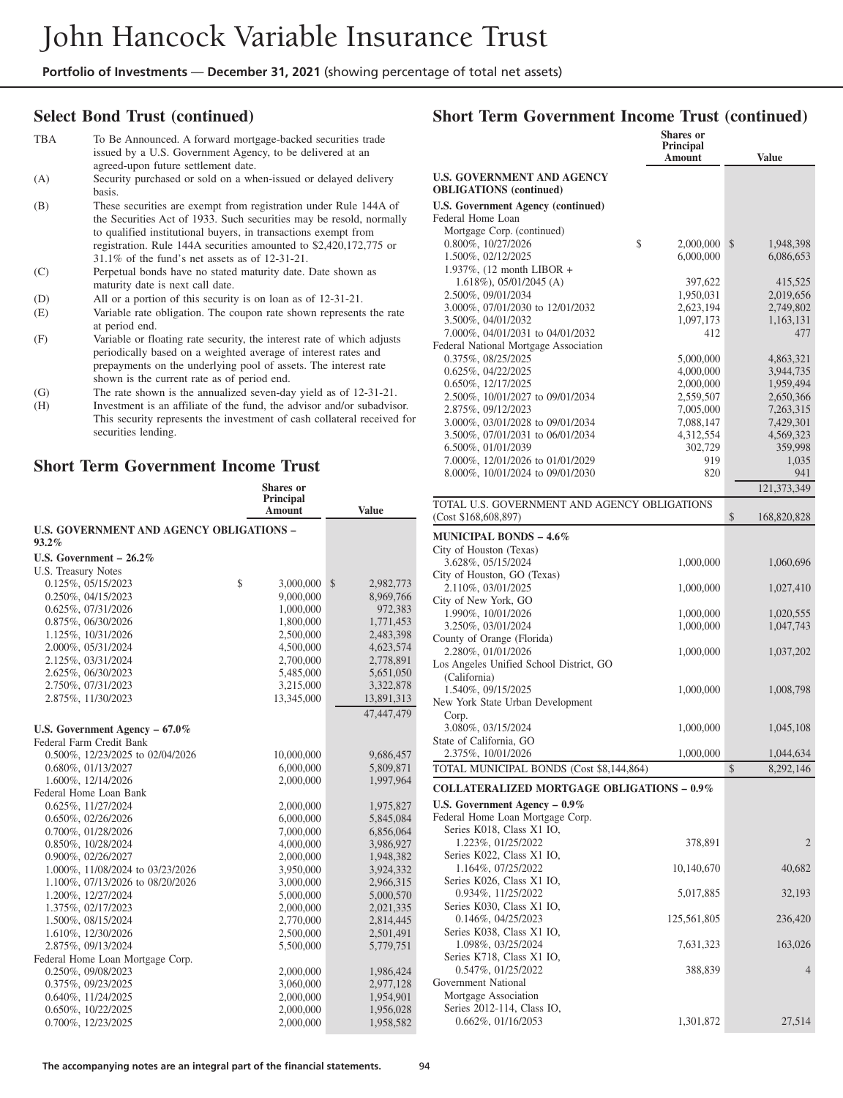#### **Select Bond Trust (continued)**

| TBA | To Be Announced. A forward mortgage-backed securities trade<br>issued by a U.S. Government Agency, to be delivered at an<br>agreed-upon future settlement date.                                                                                                                                                                     |
|-----|-------------------------------------------------------------------------------------------------------------------------------------------------------------------------------------------------------------------------------------------------------------------------------------------------------------------------------------|
| (A) | Security purchased or sold on a when-issued or delayed delivery<br>basis.                                                                                                                                                                                                                                                           |
| (B) | These securities are exempt from registration under Rule 144A of<br>the Securities Act of 1933. Such securities may be resold, normally<br>to qualified institutional buyers, in transactions exempt from<br>registration. Rule 144A securities amounted to \$2,420,172,775 or<br>$31.1\%$ of the fund's net assets as of 12-31-21. |
| (C) | Perpetual bonds have no stated maturity date. Date shown as<br>maturity date is next call date.                                                                                                                                                                                                                                     |
| (D) | All or a portion of this security is on loan as of 12-31-21.                                                                                                                                                                                                                                                                        |
| (E) | Variable rate obligation. The coupon rate shown represents the rate<br>at period end.                                                                                                                                                                                                                                               |
| (F) | Variable or floating rate security, the interest rate of which adjusts<br>periodically based on a weighted average of interest rates and<br>prepayments on the underlying pool of assets. The interest rate<br>shown is the current rate as of period end.                                                                          |
| (G) | The rate shown is the annualized seven-day yield as of 12-31-21.                                                                                                                                                                                                                                                                    |
| (H) | Investment is an affiliate of the fund, the advisor and/or subadvisor.                                                                                                                                                                                                                                                              |

This security represents the investment of cash collateral received for

# **Short Term Government Income Trust**

securities lending.

|                                                             | <b>Shares</b> or<br>Principal<br>Amount | <b>Value</b>    |
|-------------------------------------------------------------|-----------------------------------------|-----------------|
| <b>U.S. GOVERNMENT AND AGENCY OBLIGATIONS -</b><br>$93.2\%$ |                                         |                 |
| U.S. Government $-26.2\%$                                   |                                         |                 |
| U.S. Treasury Notes                                         |                                         |                 |
| 0.125%, 05/15/2023                                          | \$<br>3,000,000                         | \$<br>2,982,773 |
| 0.250%, 04/15/2023                                          | 9,000,000                               | 8,969,766       |
| 0.625%, 07/31/2026                                          | 1,000,000                               | 972,383         |
| 0.875%, 06/30/2026                                          | 1,800,000                               | 1,771,453       |
| 1.125%, 10/31/2026                                          | 2,500,000                               | 2,483,398       |
| 2.000%, 05/31/2024                                          | 4,500,000                               | 4,623,574       |
| 2.125%, 03/31/2024                                          | 2,700,000                               | 2,778,891       |
| 2.625%, 06/30/2023                                          | 5,485,000                               | 5,651,050       |
| 2.750%, 07/31/2023                                          | 3,215,000                               | 3,322,878       |
| 2.875%, 11/30/2023                                          | 13,345,000                              | 13,891,313      |
|                                                             |                                         | 47,447,479      |
| U.S. Government Agency $-67.0\%$                            |                                         |                 |
| Federal Farm Credit Bank                                    |                                         |                 |
| 0.500%, 12/23/2025 to 02/04/2026                            | 10,000,000                              | 9,686,457       |
| 0.680%, 01/13/2027                                          | 6,000,000                               | 5,809,871       |
| 1.600%, 12/14/2026                                          | 2,000,000                               | 1,997,964       |
| Federal Home Loan Bank                                      |                                         |                 |
| 0.625%, 11/27/2024                                          | 2,000,000                               | 1,975,827       |
| 0.650%, 02/26/2026                                          | 6,000,000                               | 5,845,084       |
| 0.700%, 01/28/2026                                          | 7,000,000                               | 6,856,064       |
| 0.850%, 10/28/2024                                          | 4,000,000                               | 3,986,927       |
| 0.900%, 02/26/2027                                          | 2,000,000                               | 1,948,382       |
| 1.000%, 11/08/2024 to 03/23/2026                            | 3,950,000                               | 3,924,332       |
| 1.100%, 07/13/2026 to 08/20/2026                            | 3,000,000                               | 2,966,315       |
| 1.200%, 12/27/2024                                          | 5,000,000                               | 5,000,570       |
| 1.375%, 02/17/2023                                          | 2,000,000                               | 2,021,335       |
| 1.500%, 08/15/2024                                          | 2,770,000                               | 2,814,445       |
| 1.610%, 12/30/2026                                          | 2,500,000                               | 2,501,491       |
| 2.875%, 09/13/2024                                          | 5,500,000                               | 5,779,751       |
| Federal Home Loan Mortgage Corp.                            |                                         |                 |
| 0.250%, 09/08/2023                                          | 2,000,000                               | 1,986,424       |
| 0.375%, 09/23/2025                                          | 3,060,000                               | 2,977,128       |
| 0.640%, 11/24/2025                                          | 2,000,000                               | 1,954,901       |
| 0.650%, 10/22/2025                                          | 2,000,000                               | 1,956,028       |
| 0.700%, 12/23/2025                                          | 2,000,000                               | 1,958,582       |

## **Short Term Government Income Trust (continued)**

|                                                                     | <b>Shares</b> or       |                        |
|---------------------------------------------------------------------|------------------------|------------------------|
|                                                                     | Principal<br>Amount    | <b>Value</b>           |
| <b>U.S. GOVERNMENT AND AGENCY</b><br><b>OBLIGATIONS</b> (continued) |                        |                        |
|                                                                     |                        |                        |
| <b>U.S. Government Agency (continued)</b><br>Federal Home Loan      |                        |                        |
| Mortgage Corp. (continued)                                          |                        |                        |
| 0.800%, 10/27/2026                                                  | \$<br>2,000,000        | \$<br>1,948,398        |
| 1.500%, 02/12/2025                                                  | 6,000,000              | 6,086,653              |
| 1.937%, $(12 \text{ month LIBOR } +$                                |                        |                        |
| $1.618\%)$ , 05/01/2045 (A)                                         | 397,622                | 415,525                |
| 2.500%, 09/01/2034                                                  | 1,950,031              | 2,019,656              |
| 3.000%, 07/01/2030 to 12/01/2032                                    | 2,623,194              | 2,749,802              |
| 3.500%, 04/01/2032                                                  | 1,097,173              | 1,163,131              |
| 7.000%, 04/01/2031 to 04/01/2032                                    | 412                    | 477                    |
| Federal National Mortgage Association                               |                        |                        |
| 0.375%, 08/25/2025                                                  | 5,000,000              | 4,863,321              |
| 0.625%, 04/22/2025                                                  | 4,000,000              | 3,944,735              |
| 0.650%, 12/17/2025                                                  | 2,000,000              | 1,959,494              |
| 2.500%, 10/01/2027 to 09/01/2034<br>2.875%, 09/12/2023              | 2,559,507<br>7,005,000 | 2,650,366<br>7,263,315 |
| 3.000%, 03/01/2028 to 09/01/2034                                    | 7,088,147              | 7,429,301              |
| 3.500%, 07/01/2031 to 06/01/2034                                    | 4,312,554              | 4,569,323              |
| 6.500%, 01/01/2039                                                  | 302,729                | 359,998                |
| 7.000%, 12/01/2026 to 01/01/2029                                    | 919                    | 1,035                  |
| 8.000%, 10/01/2024 to 09/01/2030                                    | 820                    | 941                    |
|                                                                     |                        | 121,373,349            |
| TOTAL U.S. GOVERNMENT AND AGENCY OBLIGATIONS                        |                        |                        |
| (Cost \$168,608,897)                                                |                        | \$<br>168,820,828      |
|                                                                     |                        |                        |
| <b>MUNICIPAL BONDS - 4.6%</b>                                       |                        |                        |
| City of Houston (Texas)                                             |                        |                        |
| 3.628%, 05/15/2024<br>City of Houston, GO (Texas)                   | 1,000,000              | 1,060,696              |
| 2.110%, 03/01/2025                                                  | 1,000,000              | 1,027,410              |
| City of New York, GO                                                |                        |                        |
| 1.990%, 10/01/2026                                                  | 1,000,000              | 1,020,555              |
| 3.250%, 03/01/2024                                                  | 1,000,000              | 1,047,743              |
| County of Orange (Florida)                                          |                        |                        |
| 2.280%, 01/01/2026                                                  | 1,000,000              | 1,037,202              |
| Los Angeles Unified School District, GO                             |                        |                        |
| (California)                                                        |                        |                        |
| 1.540%, 09/15/2025                                                  | 1,000,000              | 1,008,798              |
| New York State Urban Development                                    |                        |                        |
| Corp.                                                               |                        |                        |
| 3.080%, 03/15/2024                                                  | 1,000,000              | 1,045,108              |
| State of California, GO                                             |                        |                        |
| 2.375%, 10/01/2026                                                  | 1,000,000              | 1,044,634              |
| TOTAL MUNICIPAL BONDS (Cost \$8,144,864)                            |                        | $\$\,$<br>8,292,146    |
| <b>COLLATERALIZED MORTGAGE OBLIGATIONS - 0.9%</b>                   |                        |                        |
| U.S. Government Agency $-0.9\%$                                     |                        |                        |
| Federal Home Loan Mortgage Corp.                                    |                        |                        |
| Series K018, Class X1 IO,                                           |                        |                        |
| 1.223%, 01/25/2022                                                  | 378,891                | 2                      |
| Series K022, Class X1 IO,                                           |                        |                        |
| 1.164%, 07/25/2022                                                  | 10,140,670             | 40,682                 |
| Series K026, Class X1 IO,                                           |                        |                        |
| 0.934%, 11/25/2022<br>Series K030, Class X1 IO,                     | 5,017,885              | 32,193                 |
| 0.146%, 04/25/2023                                                  | 125,561,805            | 236,420                |
| Series K038, Class X1 IO,                                           |                        |                        |
| 1.098%, 03/25/2024                                                  | 7,631,323              | 163,026                |
| Series K718, Class X1 IO,                                           |                        |                        |
| 0.547%, 01/25/2022                                                  | 388,839                | 4                      |
| Government National                                                 |                        |                        |
| Mortgage Association                                                |                        |                        |
| Series 2012-114, Class IO,                                          |                        |                        |
| 0.662%, 01/16/2053                                                  | 1,301,872              | 27,514                 |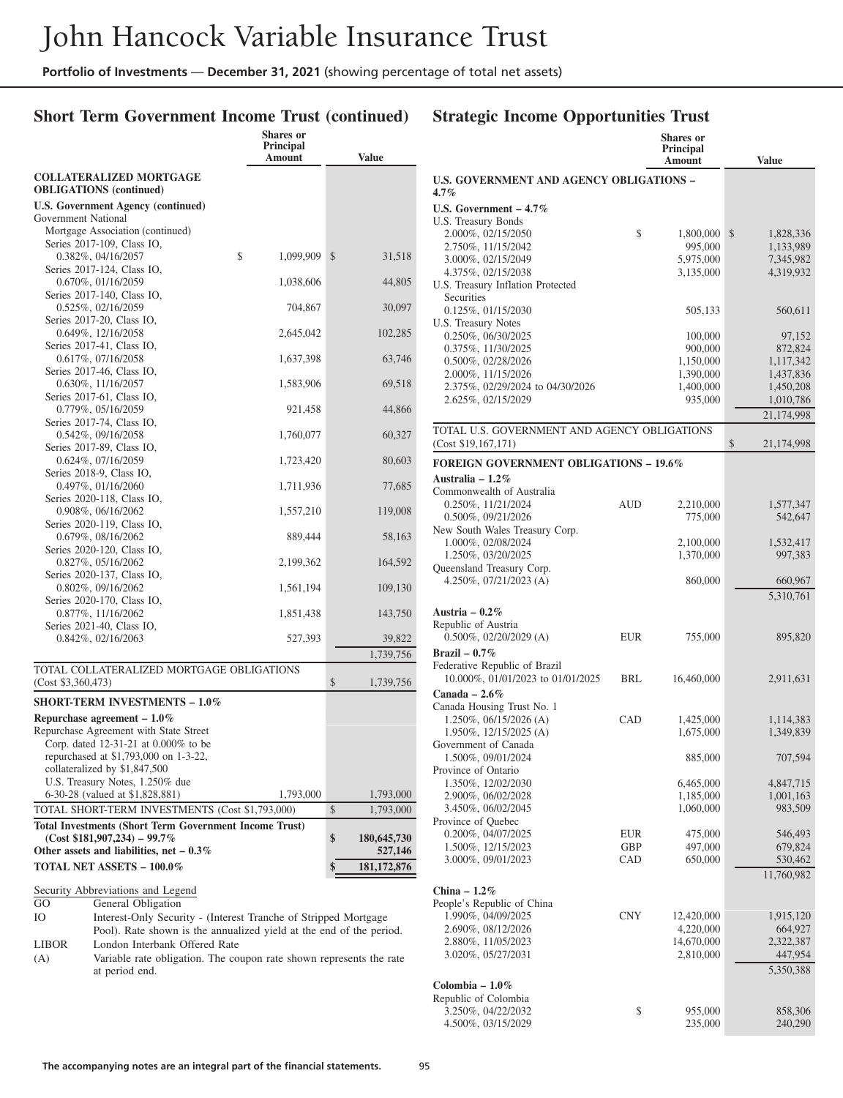# **Short Term Government Income Trust (continued)**

# **Strategic Income Opportunities Trust**

|                                                                                                               | <b>Shares</b> or           |                   |
|---------------------------------------------------------------------------------------------------------------|----------------------------|-------------------|
|                                                                                                               | <b>Principal</b><br>Amount | Value             |
| <b>COLLATERALIZED MORTGAGE</b><br><b>OBLIGATIONS</b> (continued)                                              |                            |                   |
| <b>U.S. Government Agency (continued)</b>                                                                     |                            |                   |
| Government National                                                                                           |                            |                   |
| Mortgage Association (continued)                                                                              |                            |                   |
| Series 2017-109, Class IO,                                                                                    |                            |                   |
| 0.382%, 04/16/2057                                                                                            | \$<br>1,099,909            | \$<br>31,518      |
| Series 2017-124, Class IO,<br>0.670%, 01/16/2059                                                              | 1,038,606                  | 44,805            |
| Series 2017-140, Class IO,                                                                                    |                            |                   |
| 0.525%, 02/16/2059                                                                                            | 704,867                    | 30,097            |
| Series 2017-20, Class IO,                                                                                     |                            |                   |
| 0.649%, 12/16/2058                                                                                            | 2,645,042                  | 102,285           |
| Series 2017-41, Class IO,                                                                                     |                            |                   |
| 0.617%, 07/16/2058                                                                                            | 1,637,398                  | 63,746            |
| Series 2017-46, Class IO,<br>$0.630\%, 11/16/2057$                                                            | 1,583,906                  | 69,518            |
| Series 2017-61, Class IO,                                                                                     |                            |                   |
| 0.779%, 05/16/2059                                                                                            | 921,458                    | 44,866            |
| Series 2017-74, Class IO,                                                                                     |                            |                   |
| $0.542\%, 09/16/2058$                                                                                         | 1,760,077                  | 60,327            |
| Series 2017-89, Class IO,                                                                                     |                            |                   |
| 0.624%, 07/16/2059<br>Series 2018-9, Class IO,                                                                | 1,723,420                  | 80,603            |
| 0.497%, 01/16/2060                                                                                            | 1,711,936                  | 77,685            |
| Series 2020-118, Class IO,                                                                                    |                            |                   |
| 0.908%, 06/16/2062                                                                                            | 1,557,210                  | 119,008           |
| Series 2020-119, Class IO,                                                                                    |                            |                   |
| 0.679%, 08/16/2062                                                                                            | 889,444                    | 58,163            |
| Series 2020-120, Class IO,                                                                                    |                            |                   |
| 0.827%, 05/16/2062<br>Series 2020-137, Class IO,                                                              | 2,199,362                  | 164,592           |
| 0.802%, 09/16/2062                                                                                            | 1,561,194                  | 109,130           |
| Series 2020-170, Class IO,                                                                                    |                            |                   |
| 0.877%, 11/16/2062                                                                                            | 1,851,438                  | 143,750           |
| Series 2021-40, Class IO,                                                                                     |                            |                   |
| $0.842\%, 02/16/2063$                                                                                         | 527,393                    | 39,822            |
|                                                                                                               |                            | 1,739,756         |
| TOTAL COLLATERALIZED MORTGAGE OBLIGATIONS                                                                     |                            |                   |
| (Cost \$3,360,473)                                                                                            |                            | \$<br>1,739,756   |
| <b>SHORT-TERM INVESTMENTS - 1.0%</b>                                                                          |                            |                   |
| Repurchase agreement $-1.0\%$                                                                                 |                            |                   |
| Repurchase Agreement with State Street                                                                        |                            |                   |
| Corp. dated 12-31-21 at 0.000% to be                                                                          |                            |                   |
| repurchased at \$1,793,000 on 1-3-22,                                                                         |                            |                   |
| collateralized by \$1,847,500<br>U.S. Treasury Notes, 1.250% due                                              |                            |                   |
| 6-30-28 (valued at \$1,828,881)                                                                               | 1,793,000                  | 1,793,000         |
| TOTAL SHORT-TERM INVESTMENTS (Cost \$1,793,000)                                                               |                            | \$<br>1,793,000   |
| <b>Total Investments (Short Term Government Income Trust)</b>                                                 |                            |                   |
| $(Cost $181,907,234) - 99.7\%$                                                                                |                            | \$<br>180,645,730 |
| Other assets and liabilities, net $-0.3\%$                                                                    |                            | 527,146           |
| <b>TOTAL NET ASSETS - 100.0%</b>                                                                              |                            | 181, 172, 876     |
|                                                                                                               |                            |                   |
| Security Abbreviations and Legend                                                                             |                            |                   |
| GO<br>General Obligation                                                                                      |                            |                   |
| Ю<br>Interest-Only Security - (Interest Tranche of Stripped Mortgage                                          |                            |                   |
| Pool). Rate shown is the annualized yield at the end of the period.                                           |                            |                   |
| London Interbank Offered Rate<br>LIBOR<br>Variable rate obligation. The coupon rate shown represents the rate |                            |                   |
| (A)<br>at period end.                                                                                         |                            |                   |
|                                                                                                               |                            |                   |

|                                                      |            | <b>Shares</b> or<br><b>Principal</b><br>Amount | <b>Value</b>           |
|------------------------------------------------------|------------|------------------------------------------------|------------------------|
| U.S. GOVERNMENT AND AGENCY OBLIGATIONS -<br>$4.7\%$  |            |                                                |                        |
| U.S. Government $-4.7\%$                             |            |                                                |                        |
| U.S. Treasury Bonds                                  |            |                                                |                        |
| 2.000%, 02/15/2050                                   | \$         | 1,800,000                                      | \$<br>1,828,336        |
| 2.750%, 11/15/2042                                   |            | 995,000                                        | 1,133,989              |
| 3.000%, 02/15/2049                                   |            | 5,975,000                                      | 7,345,982              |
| 4.375%, 02/15/2038                                   |            | 3,135,000                                      | 4,319,932              |
| U.S. Treasury Inflation Protected                    |            |                                                |                        |
| Securities                                           |            |                                                |                        |
| 0.125%, 01/15/2030<br>U.S. Treasury Notes            |            | 505,133                                        | 560,611                |
| 0.250%, 06/30/2025                                   |            | 100,000                                        | 97,152                 |
| 0.375%, 11/30/2025                                   |            | 900,000                                        | 872,824                |
| $0.500\%$ , $02/28/2026$                             |            | 1,150,000                                      | 1,117,342              |
| 2.000%, 11/15/2026                                   |            | 1,390,000                                      | 1,437,836              |
| 2.375%, 02/29/2024 to 04/30/2026                     |            | 1,400,000                                      | 1,450,208              |
| 2.625%, 02/15/2029                                   |            | 935,000                                        | 1,010,786              |
|                                                      |            |                                                | 21,174,998             |
| TOTAL U.S. GOVERNMENT AND AGENCY OBLIGATIONS         |            |                                                |                        |
| (Cost \$19,167,171)                                  |            |                                                | \$<br>21,174,998       |
| <b>FOREIGN GOVERNMENT OBLIGATIONS - 19.6%</b>        |            |                                                |                        |
| Australia – $1.2\%$                                  |            |                                                |                        |
| Commonwealth of Australia                            |            |                                                |                        |
| 0.250%, 11/21/2024                                   | <b>AUD</b> | 2,210,000                                      | 1,577,347              |
| $0.500\%$ , $09/21/2026$                             |            | 775,000                                        | 542,647                |
| New South Wales Treasury Corp.                       |            |                                                |                        |
| 1.000%, 02/08/2024                                   |            | 2,100,000                                      | 1,532,417              |
| 1.250%, 03/20/2025                                   |            | 1,370,000                                      | 997,383                |
| Queensland Treasury Corp.                            |            |                                                |                        |
| 4.250%, $07/21/2023$ (A)                             |            | 860,000                                        | 660,967                |
|                                                      |            |                                                | 5,310,761              |
| Austria – $0.2\%$                                    |            |                                                |                        |
| Republic of Austria                                  |            |                                                |                        |
| $0.500\%$ , $02/20/2029$ (A)                         | <b>EUR</b> | 755,000                                        | 895,820                |
| Brazil – $0.7\%$                                     |            |                                                |                        |
| Federative Republic of Brazil                        |            |                                                |                        |
| 10.000%, 01/01/2023 to 01/01/2025                    | BRL        | 16,460,000                                     | 2,911,631              |
| Canada - $2.6\%$                                     |            |                                                |                        |
| Canada Housing Trust No. 1<br>1.250%, 06/15/2026 (A) | CAD        |                                                |                        |
| 1.950%, 12/15/2025 (A)                               |            | 1,425,000<br>1,675,000                         | 1,114,383<br>1,349,839 |
| Government of Canada                                 |            |                                                |                        |
| 1.500%, 09/01/2024                                   |            | 885,000                                        | 707,594                |
| Province of Ontario                                  |            |                                                |                        |
| 1.350%, 12/02/2030                                   |            | 6,465,000                                      | 4,847,715              |
| 2.900%, 06/02/2028                                   |            | 1,185,000                                      | 1,001,163              |
| 3.450%, 06/02/2045                                   |            | 1,060,000                                      | 983,509                |
| Province of Quebec                                   |            |                                                |                        |
| 0.200%, 04/07/2025                                   | EUR        | 475,000                                        | 546,493                |
| 1.500%, 12/15/2023                                   | GBP        | 497,000                                        | 679,824                |
| 3.000%, 09/01/2023                                   | CAD        | 650,000                                        | 530,462                |
|                                                      |            |                                                | 11,760,982             |
| China $-1.2\%$                                       |            |                                                |                        |
| People's Republic of China                           |            |                                                |                        |
| 1.990%, 04/09/2025                                   | <b>CNY</b> | 12,420,000                                     | 1,915,120              |
| 2.690%, 08/12/2026                                   |            | 4,220,000                                      | 664,927                |
| 2.880%, 11/05/2023                                   |            | 14,670,000                                     | 2,322,387              |
| 3.020%, 05/27/2031                                   |            | 2,810,000                                      | 447,954                |
|                                                      |            |                                                | 5,350,388              |
| Colombia – $1.0\%$                                   |            |                                                |                        |
| Republic of Colombia                                 |            |                                                |                        |
| 3.250%, 04/22/2032                                   | \$         | 955,000                                        | 858,306                |
| 4.500%, 03/15/2029                                   |            | 235,000                                        | 240,290                |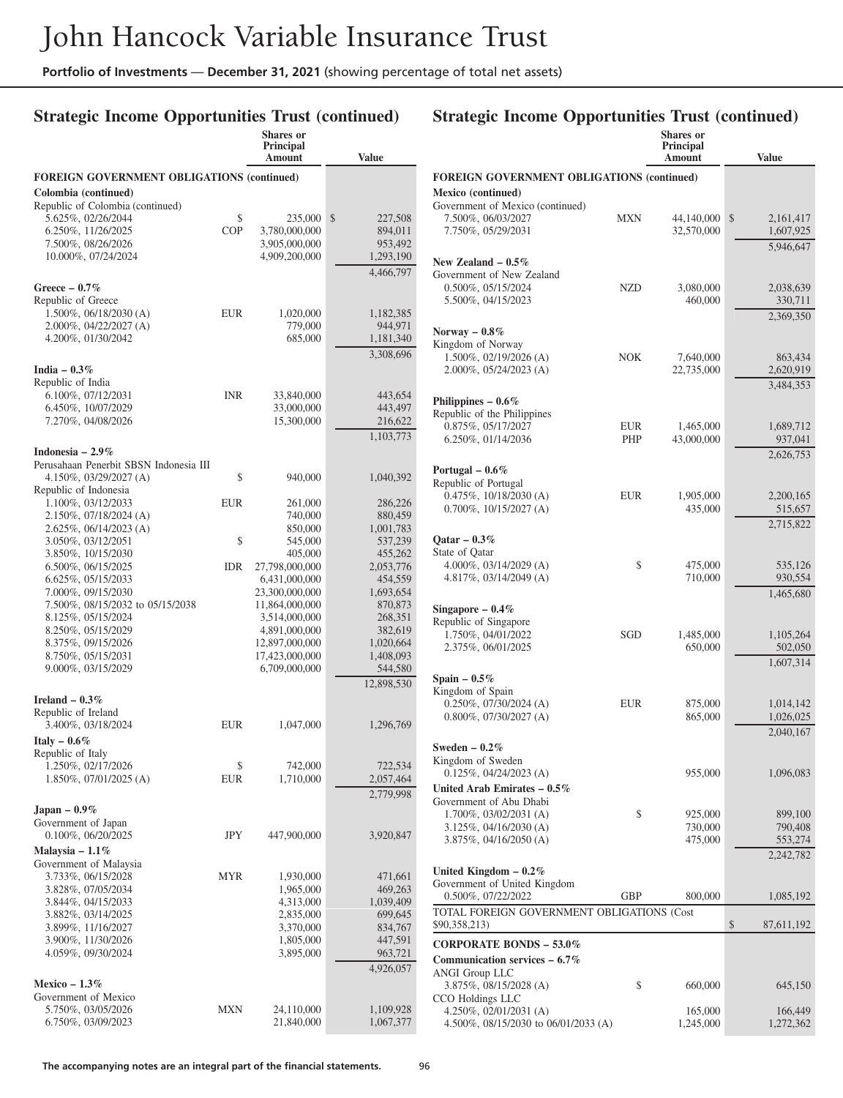**Shares or**

## **Strategic Income Opportunities Trust (continued)**

|                                                        |            | Principal<br>Amount              | <b>Value</b>         |
|--------------------------------------------------------|------------|----------------------------------|----------------------|
| <b>FOREIGN GOVERNMENT OBLIGATIONS (continued)</b>      |            |                                  |                      |
| Colombia (continued)                                   |            |                                  |                      |
| Republic of Colombia (continued)                       |            |                                  |                      |
| 5.625%, 02/26/2044                                     | \$         | 235,000                          | \$<br>227,508        |
| 6.250%, 11/26/2025                                     | <b>COP</b> | 3,780,000,000                    | 894,011              |
| 7.500%, 08/26/2026                                     |            | 3,905,000,000                    | 953,492              |
| 10.000%, 07/24/2024                                    |            | 4,909,200,000                    | 1,293,190            |
|                                                        |            |                                  | 4,466,797            |
| Greece $-0.7\%$                                        |            |                                  |                      |
| Republic of Greece<br>$1.500\%$ , 06/18/2030 (A)       |            |                                  | 1,182,385            |
| 2.000%, 04/22/2027 (A)                                 | <b>EUR</b> | 1,020,000<br>779,000             | 944,971              |
| 4.200%, 01/30/2042                                     |            | 685,000                          | 1,181,340            |
|                                                        |            |                                  | 3,308,696            |
|                                                        |            |                                  |                      |
| India $-0.3\%$<br>Republic of India                    |            |                                  |                      |
| 6.100%, 07/12/2031                                     | <b>INR</b> | 33,840,000                       | 443,654              |
| 6.450%, 10/07/2029                                     |            | 33,000,000                       | 443,497              |
| 7.270%, 04/08/2026                                     |            | 15,300,000                       | 216,622              |
|                                                        |            |                                  | 1,103,773            |
| Indonesia – $2.9\%$                                    |            |                                  |                      |
| Perusahaan Penerbit SBSN Indonesia III                 |            |                                  |                      |
| 4.150%, 03/29/2027 (A)                                 | \$         | 940,000                          | 1,040,392            |
| Republic of Indonesia                                  |            |                                  |                      |
| 1.100%, 03/12/2033                                     | EUR        | 261,000                          | 286,226              |
| 2.150%, 07/18/2024 (A)                                 |            | 740,000                          | 880,459              |
| 2.625%, 06/14/2023 (A)                                 |            | 850,000                          | 1,001,783            |
| 3.050%, 03/12/2051                                     | \$         | 545,000                          | 537,239              |
| 3.850%, 10/15/2030                                     |            | 405,000                          | 455,262              |
| 6.500%, 06/15/2025                                     | <b>IDR</b> | 27,798,000,000                   | 2,053,776            |
| 6.625%, 05/15/2033                                     |            | 6,431,000,000                    | 454,559              |
| 7.000%, 09/15/2030<br>7.500%, 08/15/2032 to 05/15/2038 |            | 23,300,000,000<br>11,864,000,000 | 1,693,654<br>870,873 |
| 8.125%, 05/15/2024                                     |            | 3,514,000,000                    | 268,351              |
| 8.250%, 05/15/2029                                     |            | 4,891,000,000                    | 382,619              |
| 8.375%, 09/15/2026                                     |            | 12,897,000,000                   | 1,020,664            |
| 8.750%, 05/15/2031                                     |            | 17,423,000,000                   | 1,408,093            |
| 9.000%, 03/15/2029                                     |            | 6,709,000,000                    | 544,580              |
|                                                        |            |                                  | 12,898,530           |
| Ireland $-0.3\%$                                       |            |                                  |                      |
| Republic of Ireland                                    |            |                                  |                      |
| 3.400%, 03/18/2024                                     | EUR        | 1,047,000                        | 1,296,769            |
| Italy $-0.6\%$                                         |            |                                  |                      |
| Republic of Italy                                      |            |                                  |                      |
| 1.250%, 02/17/2026                                     | \$         | 742,000                          | 722,534              |
| 1.850%, 07/01/2025 (A)                                 | <b>EUR</b> | 1,710,000                        | 2,057,464            |
|                                                        |            |                                  | 2,779,998            |
| Japan $-0.9\%$                                         |            |                                  |                      |
| Government of Japan                                    |            |                                  |                      |
| $0.100\%$ , $06/20/2025$                               | JPY        | 447,900,000                      | 3,920,847            |
| Malaysia - $1.1\%$                                     |            |                                  |                      |
| Government of Malaysia                                 |            |                                  |                      |
| 3.733%, 06/15/2028                                     | MYR        | 1,930,000                        | 471,661              |
| 3.828%, 07/05/2034                                     |            | 1,965,000                        | 469,263              |
| 3.844%, 04/15/2033                                     |            | 4,313,000                        | 1,039,409            |
| 3.882%, 03/14/2025                                     |            | 2,835,000                        | 699,645              |
| 3.899%, 11/16/2027                                     |            | 3,370,000                        | 834,767              |
| 3.900%, 11/30/2026                                     |            | 1,805,000                        | 447,591              |
| 4.059%, 09/30/2024                                     |            | 3,895,000                        | 963,721              |
|                                                        |            |                                  | 4,926,057            |
| Mexico $-1.3\%$                                        |            |                                  |                      |
| Government of Mexico                                   |            |                                  |                      |
| 5.750%, 03/05/2026                                     | MXN        | 24,110,000                       | 1,109,928            |
| 6.750%, 03/09/2023                                     |            | 21,840,000                       | 1,067,377            |

|                                                        |     | <b>Shares</b> or<br><b>Principal</b> | <b>Value</b>                 |
|--------------------------------------------------------|-----|--------------------------------------|------------------------------|
|                                                        |     | Amount                               |                              |
| <b>FOREIGN GOVERNMENT OBLIGATIONS (continued)</b>      |     |                                      |                              |
| Mexico (continued)                                     |     |                                      |                              |
| Government of Mexico (continued)<br>7.500%, 06/03/2027 |     |                                      |                              |
| 7.750%, 05/29/2031                                     | MXN | 44,140,000<br>32,570,000             | \$<br>2,161,417<br>1,607,925 |
|                                                        |     |                                      | 5,946,647                    |
|                                                        |     |                                      |                              |
| New Zealand $-0.5\%$<br>Government of New Zealand      |     |                                      |                              |
| 0.500%, 05/15/2024                                     | NZD | 3,080,000                            | 2,038,639                    |
| 5.500%, 04/15/2023                                     |     | 460,000                              | 330,711                      |
|                                                        |     |                                      | 2,369,350                    |
|                                                        |     |                                      |                              |
| Norway $-0.8\%$<br>Kingdom of Norway                   |     |                                      |                              |
| 1.500%, 02/19/2026 (A)                                 | NOK | 7,640,000                            | 863,434                      |
| 2.000%, 05/24/2023 (A)                                 |     | 22,735,000                           | 2,620,919                    |
|                                                        |     |                                      | 3,484,353                    |
| Philippines $-0.6\%$                                   |     |                                      |                              |
| Republic of the Philippines                            |     |                                      |                              |
| 0.875%, 05/17/2027                                     | EUR | 1,465,000                            | 1,689,712                    |
| 6.250%, 01/14/2036                                     | PHP | 43,000,000                           | 937,041                      |
|                                                        |     |                                      | 2,626,753                    |
|                                                        |     |                                      |                              |
| Portugal $-0.6\%$<br>Republic of Portugal              |     |                                      |                              |
| $0.475\%, 10/18/2030$ (A)                              | EUR | 1,905,000                            | 2,200,165                    |
| $0.700\%$ , $10/15/2027$ (A)                           |     | 435,000                              | 515,657                      |
|                                                        |     |                                      | 2,715,822                    |
|                                                        |     |                                      |                              |
| Qatar $-0.3\%$                                         |     |                                      |                              |
| State of Qatar<br>4.000%, $03/14/2029$ (A)             | \$  | 475,000                              | 535,126                      |
| 4.817%, $03/14/2049$ (A)                               |     | 710,000                              | 930,554                      |
|                                                        |     |                                      | 1,465,680                    |
|                                                        |     |                                      |                              |
| Singapore - $0.4\%$<br>Republic of Singapore           |     |                                      |                              |
| 1.750%, 04/01/2022                                     | SGD | 1,485,000                            | 1,105,264                    |
| 2.375%, 06/01/2025                                     |     | 650,000                              | 502,050                      |
|                                                        |     |                                      | 1,607,314                    |
|                                                        |     |                                      |                              |
| Spain $-0.5\%$<br>Kingdom of Spain                     |     |                                      |                              |
| $0.250\%$ , $07/30/2024$ (A)                           | EUR | 875,000                              | 1,014,142                    |
| $0.800\%$ , $07/30/2027$ (A)                           |     | 865,000                              | 1,026,025                    |
|                                                        |     |                                      | 2,040,167                    |
| Sweden $-0.2\%$                                        |     |                                      |                              |
| Kingdom of Sweden                                      |     |                                      |                              |
| $0.125\%, 04/24/2023$ (A)                              |     | 955,000                              | 1,096,083                    |
| United Arab Emirates $-0.5\%$                          |     |                                      |                              |
| Government of Abu Dhabi                                |     |                                      |                              |
| $1.700\%$ , 03/02/2031 (A)                             | \$  | 925,000                              | 899,100                      |
| 3.125%, 04/16/2030 (A)                                 |     | 730,000                              | 790,408                      |
| 3.875%, 04/16/2050 (A)                                 |     | 475,000                              | 553,274                      |
|                                                        |     |                                      | 2,242,782                    |
| United Kingdom $-0.2\%$                                |     |                                      |                              |
| Government of United Kingdom                           |     |                                      |                              |
| 0.500%, 07/22/2022                                     | GBP | 800,000                              | 1,085,192                    |
| TOTAL FOREIGN GOVERNMENT OBLIGATIONS (Cost             |     |                                      |                              |
| \$90,358,213)                                          |     |                                      | \$<br>87,611,192             |
|                                                        |     |                                      |                              |
| <b>CORPORATE BONDS - 53.0%</b>                         |     |                                      |                              |
| Communication services $-6.7\%$                        |     |                                      |                              |
| ANGI Group LLC                                         |     |                                      |                              |
| 3.875%, 08/15/2028 (A)                                 | \$  | 660,000                              | 645,150                      |
| CCO Holdings LLC<br>4.250\%, 02/01/2031 (A)            |     | 165,000                              | 166,449                      |
| 4.500%, 08/15/2030 to 06/01/2033 (A)                   |     | 1,245,000                            | 1,272,362                    |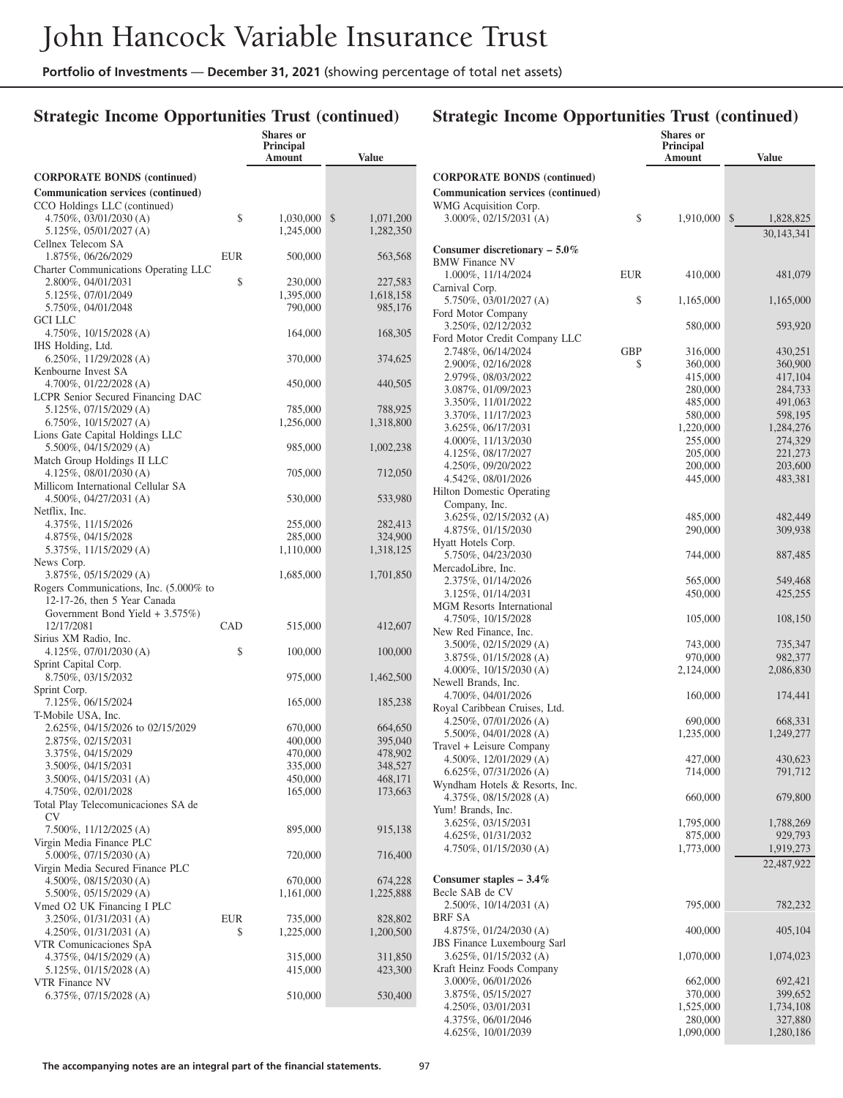## **Strategic Income Opportunities Trust (continued)**

|                                                              |            | <b>Shares or</b>     |                      |
|--------------------------------------------------------------|------------|----------------------|----------------------|
|                                                              |            | Principal<br>Amount  | <b>Value</b>         |
| <b>CORPORATE BONDS</b> (continued)                           |            |                      |                      |
| Communication services (continued)                           |            |                      |                      |
| CCO Holdings LLC (continued)                                 |            |                      |                      |
| $4.750\%, 03/01/2030$ (A)                                    | \$         | 1,030,000            | \$<br>1,071,200      |
| 5.125%, 05/01/2027 (A)                                       |            | 1,245,000            | 1,282,350            |
| Cellnex Telecom SA                                           |            |                      |                      |
| 1.875%, 06/26/2029                                           | EUR        | 500,000              | 563,568              |
| Charter Communications Operating LLC                         |            |                      |                      |
| 2.800%, 04/01/2031                                           | \$         | 230,000              | 227,583              |
| 5.125%, 07/01/2049<br>5.750%, 04/01/2048                     |            | 1,395,000<br>790,000 | 1,618,158<br>985,176 |
| <b>GCI LLC</b>                                               |            |                      |                      |
| $4.750\%, 10/15/2028$ (A)                                    |            | 164,000              | 168,305              |
| IHS Holding, Ltd.                                            |            |                      |                      |
| $6.250\%$ , 11/29/2028 (A)                                   |            | 370,000              | 374,625              |
| Kenbourne Invest SA                                          |            |                      |                      |
| 4.700%, $01/22/2028$ (A)                                     |            | 450,000              | 440,505              |
| LCPR Senior Secured Financing DAC                            |            |                      | 788,925              |
| 5.125%, 07/15/2029 (A)<br>$6.750\%, 10/15/2027$ (A)          |            | 785,000<br>1,256,000 | 1,318,800            |
| Lions Gate Capital Holdings LLC                              |            |                      |                      |
| $5.500\%$ , 04/15/2029 (A)                                   |            | 985,000              | 1,002,238            |
| Match Group Holdings II LLC                                  |            |                      |                      |
| $4.125\%, 08/01/2030 (A)$                                    |            | 705,000              | 712,050              |
| Millicom International Cellular SA                           |            |                      |                      |
| $4.500\%$ , 04/27/2031 (A)                                   |            | 530,000              | 533,980              |
| Netflix, Inc.                                                |            |                      |                      |
| 4.375%, 11/15/2026<br>4.875%, 04/15/2028                     |            | 255,000<br>285,000   | 282,413<br>324,900   |
| 5.375%, 11/15/2029 (A)                                       |            | 1,110,000            | 1,318,125            |
| News Corp.                                                   |            |                      |                      |
| $3.875\%, 05/15/2029 (A)$                                    |            | 1,685,000            | 1,701,850            |
| Rogers Communications, Inc. (5.000% to                       |            |                      |                      |
| 12-17-26, then 5 Year Canada                                 |            |                      |                      |
| Government Bond Yield $+3.575\%)$                            |            |                      |                      |
| 12/17/2081                                                   | CAD        | 515,000              | 412,607              |
| Sirius XM Radio, Inc.<br>$4.125\%, 07/01/2030 (A)$           | \$         | 100,000              | 100,000              |
| Sprint Capital Corp.                                         |            |                      |                      |
| 8.750%, 03/15/2032                                           |            | 975,000              | 1,462,500            |
| Sprint Corp.                                                 |            |                      |                      |
| 7.125%, 06/15/2024                                           |            | 165,000              | 185,238              |
| T-Mobile USA, Inc.                                           |            |                      |                      |
| 2.625%, 04/15/2026 to 02/15/2029                             |            | 670,000              | 664,650              |
| 2.875%, 02/15/2031<br>3.375%, 04/15/2029                     |            | 400,000<br>470,000   | 395,040<br>478,902   |
| 3.500%, 04/15/2031                                           |            | 335,000              | 348,527              |
| $3.500\%, 04/15/2031$ (A)                                    |            | 450,000              | 468,171              |
| 4.750%, 02/01/2028                                           |            | 165,000              | 173,663              |
| Total Play Telecomunicaciones SA de                          |            |                      |                      |
| CV                                                           |            |                      |                      |
| 7.500%, 11/12/2025 (A)                                       |            | 895,000              | 915,138              |
| Virgin Media Finance PLC                                     |            |                      |                      |
| $5.000\%$ , $07/15/2030$ (A)                                 |            | 720,000              | 716,400              |
| Virgin Media Secured Finance PLC<br>4.500%, $08/15/2030$ (A) |            | 670,000              | 674,228              |
| $5.500\%$ , $05/15/2029$ (A)                                 |            | 1,161,000            | 1,225,888            |
| Vmed O2 UK Financing I PLC                                   |            |                      |                      |
| $3.250\%, 01/31/2031$ (A)                                    | <b>EUR</b> | 735,000              | 828,802              |
| 4.250\%, $01/31/2031$ (A)                                    | \$         | 1,225,000            | 1,200,500            |
| VTR Comunicaciones SpA                                       |            |                      |                      |
| $4.375\%, 04/15/2029$ (A)                                    |            | 315,000              | 311,850              |
| $5.125\%, 01/15/2028$ (A)                                    |            | 415,000              | 423,300              |
| VTR Finance NV<br>$6.375\%, 07/15/2028$ (A)                  |            | 510,000              | 530,400              |
|                                                              |            |                      |                      |

#### **Amount Value CORPORATE BONDS (continued) Communication services (continued)** WMG Acquisition Corp. 3.000%, 02/15/2031 (A) \$ 1,910,000 \$ 1,828,825 30,143,341 **Consumer discretionary – 5.0%** BMW Finance NV 1.000%, 11/14/2024 EUR 410,000 481,079 Carnival Corp. 5.750%, 03/01/2027 (A) \$ 1,165,000 1,165,000 Ford Motor Company 3.250%, 02/12/2032 580,000 593,920 Ford Motor Credit Company LLC 2.748%, 06/14/2024 GBP 316,000 430,251<br>2.900%, 02/16/2028 \$360,000 360,900 2.900%, 02/16/2028 <br>2.979%, 08/03/2022 <br>2.979%, 08/03/2022 <br>360,000 <br>360,000 <br>3.979%, 08/03/2022 <br>3.980 <br>3.980 <br>3.980 <br>3.980 <br>3.980 <br>3.980 <br>3.980 <br>3.980 <br>3.980 <br>3.980 <br>3.980 <br>3.980 <br>3.980 <br>3.980 <br>3.980 <br>3.980 <br>3.980 <br>3.980 2.979%, 08/03/2022<br>3.087%, 01/09/2023<br>280,000<br>280,000 3.087%, 01/09/2023 280,000 284,733<br>3.350%, 11/01/2022 485,000 491,063 3.350%, 11/01/2022 3.370%, 11/17/2023 580,000 598,195<br>3.625%, 06/17/2031 1.220,000 1.284,276 3.625%, 06/17/2031 1,220,000<br>4.000%, 11/13/2030 255,000 255,000 4.000%, 11/13/2030 255,000 274,329<br>4.125%, 08/17/2027 205,000 221,273 4.125%, 08/17/2027 205,000 221,273<br>4.250%, 09/20/2022 200.000 203,600 4.250%, 09/20/2022 200,000 203,600<br>4.542%, 08/01/2026 203,000 483,381 4.542%, 08/01/2026 Hilton Domestic Operating Company, Inc. 3.625%, 02/15/2032 (A) 485,000 482,449 4.875%, 01/15/2030 290,000 309,938 Hyatt Hotels Corp. 5.750%, 04/23/2030 744,000 887,485 MercadoLibre, Inc. 2.375%, 01/14/2026 565,000 549,468<br>3.125%, 01/14/2031 450,000 425.255 3.125%, 01/14/2031 MGM Resorts International 4.750%, 10/15/2028 105,000 108,150 New Red Finance, Inc. 3.500%, 02/15/2029 (A) 743,000 735,347 3.875%, 01/15/2028 (A) 970,000 982,377<br>4.000%, 10/15/2030 (A) 2.124,000 2.086,830 4.000%, 10/15/2030 (A) Newell Brands, Inc.

| Yum! Brands, Inc.                  |           |            |
|------------------------------------|-----------|------------|
| 3.625%, 03/15/2031                 | 1,795,000 | 1,788,269  |
| 4.625%, 01/31/2032                 | 875,000   | 929,793    |
| 4.750\%, 01/15/2030 (A)            | 1,773,000 | 1,919,273  |
|                                    |           | 22,487,922 |
| Consumer staples $-3.4\%$          |           |            |
| Becle SAB de CV                    |           |            |
| $2.500\%$ , 10/14/2031 (A)         | 795,000   | 782,232    |
| BRF SA                             |           |            |
| 4.875%, $01/24/2030$ (A)           | 400,000   | 405,104    |
| <b>JBS</b> Finance Luxembourg Sarl |           |            |
| $3.625\%$ , 01/15/2032 (A)         | 1,070,000 | 1,074,023  |
| Kraft Heinz Foods Company          |           |            |
| 3.000%, 06/01/2026                 | 662,000   | 692,421    |
| 3.875%, 05/15/2027                 | 370,000   | 399,652    |
| 4.250%, 03/01/2031                 | 1,525,000 | 1,734,108  |
| 4.375%, 06/01/2046                 | 280,000   | 327,880    |
| 4.625%, 10/01/2039                 | 1,090,000 | 1,280,186  |
|                                    |           |            |

4.700%, 04/01/2026 160,000 174,441

4.250%, 07/01/2026 (A) 690,000 668,331<br>5.500%, 04/01/2028 (A) 1,235,000 1,249,277

4.500%, 12/01/2029 (A) 427,000 430,623<br>6.625%, 07/31/2026 (A) 714,000 791,712

4.375%, 08/15/2028 (A) 660,000 679,800

5.500%, 04/01/2028 (A) 1,235,000

Royal Caribbean Cruises, Ltd.

Travel + Leisure Company

6.625%, 07/31/2026 (A) Wyndham Hotels & Resorts, Inc.

## **Strategic Income Opportunities Trust (continued)**

**Shares or Principal**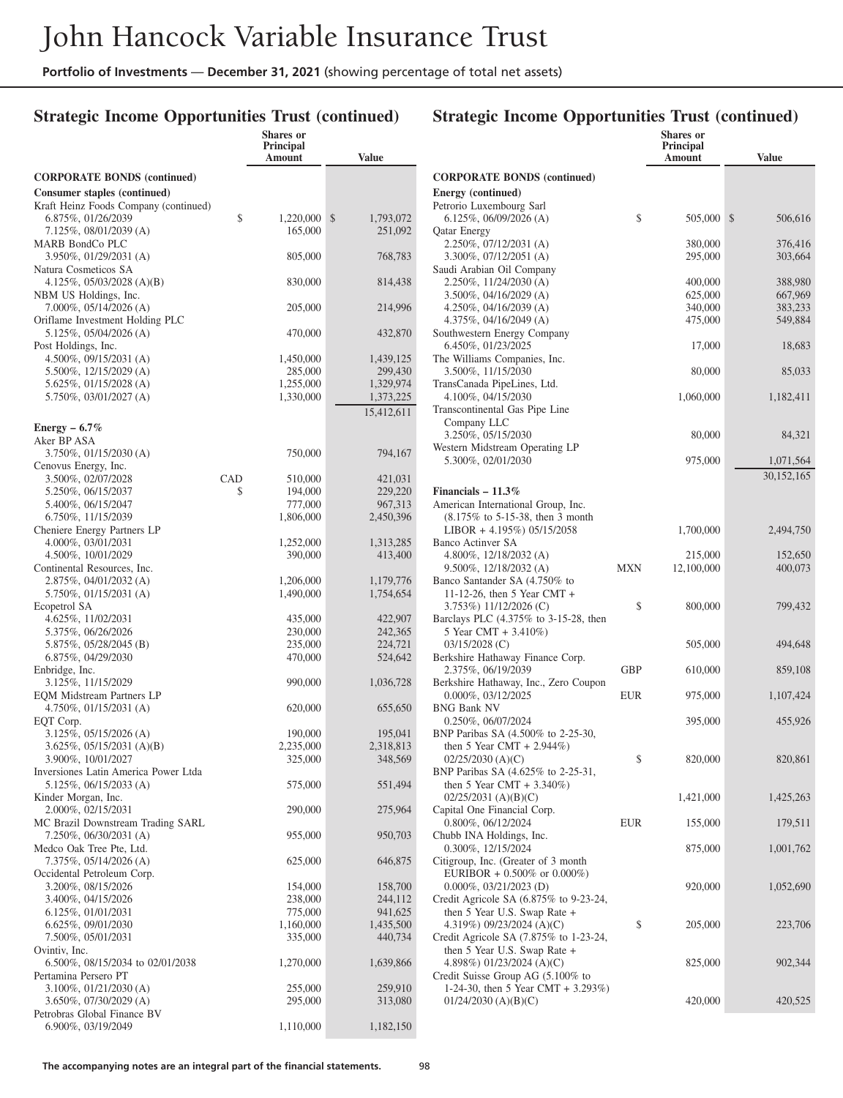## **Strategic Income Opportunities Trust (continued)**

## **Strategic Income Opportunities Trust (continued)**

|                                                             |     | Shares or<br><b>Principal</b><br>Amount | <b>Value</b>         |
|-------------------------------------------------------------|-----|-----------------------------------------|----------------------|
| <b>CORPORATE BONDS (continued)</b>                          |     |                                         |                      |
| Consumer staples (continued)                                |     |                                         |                      |
| Kraft Heinz Foods Company (continued)                       |     |                                         |                      |
| 6.875%, 01/26/2039                                          | \$  | 1,220,000                               | \$<br>1,793,072      |
| 7.125%, 08/01/2039 (A)<br>MARB BondCo PLC                   |     | 165,000                                 | 251,092              |
| 3.950%, 01/29/2031 (A)                                      |     | 805,000                                 | 768,783              |
| Natura Cosmeticos SA                                        |     |                                         |                      |
| 4.125%, 05/03/2028 (A)(B)                                   |     | 830,000                                 | 814,438              |
| NBM US Holdings, Inc.<br>7.000%, 05/14/2026 (A)             |     | 205,000                                 | 214,996              |
| Oriflame Investment Holding PLC                             |     |                                         |                      |
| 5.125%, 05/04/2026 (A)                                      |     | 470,000                                 | 432,870              |
| Post Holdings, Inc.                                         |     |                                         |                      |
| 4.500%, 09/15/2031 (A)                                      |     | 1,450,000                               | 1,439,125            |
| 5.500%, 12/15/2029 (A)<br>5.625%, 01/15/2028 (A)            |     | 285,000<br>1,255,000                    | 299,430<br>1,329,974 |
| 5.750%, 03/01/2027 (A)                                      |     | 1,330,000                               | 1,373,225            |
|                                                             |     |                                         | 15,412,611           |
| Energy $-6.7\%$                                             |     |                                         |                      |
| Aker BP ASA                                                 |     |                                         |                      |
| 3.750%, 01/15/2030 (A)                                      |     | 750,000                                 | 794,167              |
| Cenovus Energy, Inc.<br>3.500%, 02/07/2028                  | CAD | 510,000                                 | 421,031              |
| 5.250%, 06/15/2037                                          | \$  | 194,000                                 | 229,220              |
| 5.400%, 06/15/2047                                          |     | 777,000                                 | 967,313              |
| 6.750%, 11/15/2039                                          |     | 1,806,000                               | 2,450,396            |
| Cheniere Energy Partners LP                                 |     |                                         |                      |
| 4.000%, 03/01/2031<br>4.500%, 10/01/2029                    |     | 1,252,000<br>390,000                    | 1,313,285<br>413,400 |
| Continental Resources, Inc.                                 |     |                                         |                      |
| 2.875%, 04/01/2032 (A)                                      |     | 1,206,000                               | 1,179,776            |
| 5.750%, 01/15/2031 (A)                                      |     | 1,490,000                               | 1,754,654            |
| Ecopetrol SA<br>4.625%, 11/02/2031                          |     |                                         | 422,907              |
| 5.375%, 06/26/2026                                          |     | 435,000<br>230,000                      | 242,365              |
| 5.875%, 05/28/2045 (B)                                      |     | 235,000                                 | 224,721              |
| 6.875%, 04/29/2030                                          |     | 470,000                                 | 524,642              |
| Enbridge, Inc.                                              |     |                                         |                      |
| 3.125%, 11/15/2029<br><b>EQM</b> Midstream Partners LP      |     | 990,000                                 | 1,036,728            |
| $4.750\%, 01/15/2031$ (A)                                   |     | 620,000                                 | 655,650              |
| EQT Corp.                                                   |     |                                         |                      |
| 3.125%, 05/15/2026 (A)                                      |     | 190,000                                 | 195,041              |
| $3.625\%, 05/15/2031 (A)(B)$<br>3.900%, 10/01/2027          |     | 2,235,000<br>325,000                    | 2,318,813<br>348,569 |
| Inversiones Latin America Power Ltda                        |     |                                         |                      |
| 5.125%, 06/15/2033 (A)                                      |     | 575,000                                 | 551,494              |
| Kinder Morgan, Inc.                                         |     |                                         |                      |
| 2.000%, 02/15/2031                                          |     | 290,000                                 | 275,964              |
| MC Brazil Downstream Trading SARL<br>7.250%, 06/30/2031 (A) |     | 955,000                                 | 950,703              |
| Medco Oak Tree Pte, Ltd.                                    |     |                                         |                      |
| 7.375%, 05/14/2026 (A)                                      |     | 625,000                                 | 646,875              |
| Occidental Petroleum Corp.                                  |     |                                         |                      |
| 3.200%, 08/15/2026<br>3.400%, 04/15/2026                    |     | 154,000<br>238,000                      | 158,700<br>244,112   |
| 6.125%, 01/01/2031                                          |     | 775,000                                 | 941,625              |
| 6.625%, 09/01/2030                                          |     | 1,160,000                               | 1,435,500            |
| 7.500%, 05/01/2031                                          |     | 335,000                                 | 440,734              |
| Ovintiv, Inc.                                               |     |                                         |                      |
| 6.500%, 08/15/2034 to 02/01/2038<br>Pertamina Persero PT    |     | 1,270,000                               | 1,639,866            |
| 3.100%, 01/21/2030 (A)                                      |     | 255,000                                 | 259,910              |
| 3.650%, 07/30/2029 (A)                                      |     | 295,000                                 | 313,080              |
| Petrobras Global Finance BV                                 |     |                                         |                      |
| 6.900%, 03/19/2049                                          |     | 1,110,000                               | 1,182,150            |

|                                                                           |     | Principal<br>Amount | <b>Value</b>       |
|---------------------------------------------------------------------------|-----|---------------------|--------------------|
| <b>CORPORATE BONDS (continued)</b>                                        |     |                     |                    |
| Energy (continued)                                                        |     |                     |                    |
| Petrorio Luxembourg Sarl<br>$6.125\%, 06/09/2026$ (A)                     | \$  | 505,000             | \$<br>506,616      |
| <b>Qatar Energy</b><br>2.250%, 07/12/2031 (A)                             |     | 380,000             | 376,416            |
| $3.300\%$ , $07/12/2051$ (A)<br>Saudi Arabian Oil Company                 |     | 295,000             | 303,664            |
| $2.250\%, 11/24/2030$ (A)<br>3.500%, 04/16/2029 (A)                       |     | 400,000<br>625,000  | 388,980<br>667,969 |
| 4.250\%, 04/16/2039 (A)                                                   |     | 340,000             | 383,233            |
| 4.375%, 04/16/2049 (A)                                                    |     | 475,000             | 549,884            |
| Southwestern Energy Company<br>6.450%, 01/23/2025                         |     | 17,000              | 18,683             |
| The Williams Companies, Inc.<br>3.500%, 11/15/2030                        |     | 80,000              | 85,033             |
| TransCanada PipeLines, Ltd.<br>4.100%, 04/15/2030                         |     | 1,060,000           | 1,182,411          |
| Transcontinental Gas Pipe Line<br>Company LLC                             |     |                     |                    |
| 3.250%, 05/15/2030<br>Western Midstream Operating LP                      |     | 80,000              | 84,321             |
| 5.300%, 02/01/2030                                                        |     | 975,000             | 1,071,564          |
|                                                                           |     |                     | 30, 152, 165       |
| Financials $-11.3\%$<br>American International Group, Inc.                |     |                     |                    |
| $(8.175\% \text{ to } 5-15-38, \text{ then } 3 \text{ month})$            |     |                     |                    |
| LIBOR + 4.195%) $05/15/2058$                                              |     | 1,700,000           | 2,494,750          |
| Banco Actinver SA<br>4.800%, $12/18/2032$ (A)                             |     | 215,000             | 152,650            |
| $9.500\%$ , 12/18/2032 (A)                                                | MXN | 12,100,000          | 400,073            |
| Banco Santander SA (4.750% to                                             |     |                     |                    |
| 11-12-26, then 5 Year CMT $+$<br>3.753%) 11/12/2026 (C)                   | \$  | 800,000             | 799,432            |
| Barclays PLC (4.375% to 3-15-28, then                                     |     |                     |                    |
| 5 Year CMT + $3.410\%$ )                                                  |     |                     |                    |
| $03/15/2028$ (C)<br>Berkshire Hathaway Finance Corp.                      |     | 505,000             | 494,648            |
| 2.375%, 06/19/2039<br>Berkshire Hathaway, Inc., Zero Coupon               | GBP | 610,000             | 859,108            |
| $0.000\%$ , $03/12/2025$                                                  | EUR | 975,000             | 1,107,424          |
| <b>BNG Bank NV</b><br>$0.250\%, 06/07/2024$                               |     | 395,000             | 455,926            |
| BNP Paribas SA (4.500% to 2-25-30,<br>then 5 Year CMT + $2.944\%$ )       |     |                     |                    |
| $02/25/2030$ (A)(C)                                                       | \$  | 820,000             | 820,861            |
| BNP Paribas SA (4.625% to 2-25-31,<br>then 5 Year CMT + $3.340\%$ )       |     |                     |                    |
| $02/25/2031$ (A)(B)(C)<br>Capital One Financial Corp.                     |     | 1,421,000           | 1,425,263          |
| 0.800%, 06/12/2024                                                        | EUR | 155,000             | 179,511            |
| Chubb INA Holdings, Inc.<br>0.300%, 12/15/2024                            |     | 875,000             | 1,001,762          |
| Citigroup, Inc. (Greater of 3 month<br>EURIBOR + $0.500\%$ or $0.000\%$ ) |     |                     |                    |
| $0.000\%, 03/21/2023$ (D)<br>Credit Agricole SA (6.875% to 9-23-24,       |     | 920,000             | 1,052,690          |
| then 5 Year U.S. Swap Rate +<br>4.319%) 09/23/2024 (A)(C)                 | \$  | 205,000             | 223,706            |
| Credit Agricole SA (7.875% to 1-23-24,                                    |     |                     |                    |
| then 5 Year U.S. Swap Rate +<br>4.898%) 01/23/2024 (A)(C)                 |     | 825,000             | 902,344            |
| Credit Suisse Group AG (5.100% to                                         |     |                     |                    |
| 1-24-30, then 5 Year CMT + 3.293%)<br>$01/24/2030$ (A)(B)(C)              |     | 420,000             | 420,525            |
|                                                                           |     |                     |                    |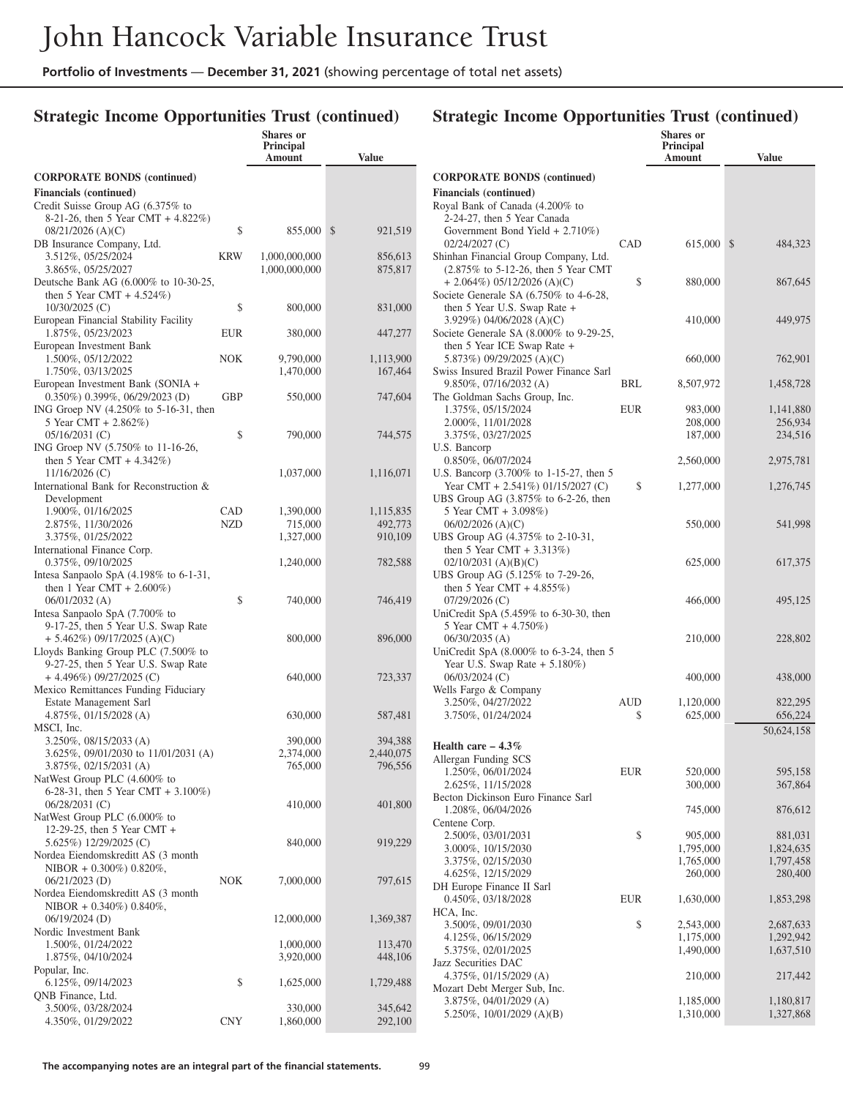## **Strategic Income Opportunities Trust (continued)**

|                                                                         |            | <b>Shares</b> or<br><b>Principal</b><br>Amount | <b>Value</b>         |
|-------------------------------------------------------------------------|------------|------------------------------------------------|----------------------|
| <b>CORPORATE BONDS (continued)</b>                                      |            |                                                |                      |
| <b>Financials</b> (continued)                                           |            |                                                |                      |
| Credit Suisse Group AG (6.375% to                                       |            |                                                |                      |
| 8-21-26, then 5 Year CMT + $4.822\%$ )<br>$08/21/2026$ (A)(C)           | \$         | 855,000                                        | \$<br>921,519        |
| DB Insurance Company, Ltd.                                              |            |                                                |                      |
| 3.512%, 05/25/2024                                                      | KRW        | 1,000,000,000                                  | 856,613              |
| 3.865%, 05/25/2027                                                      |            | 1,000,000,000                                  | 875,817              |
| Deutsche Bank AG (6.000% to 10-30-25,<br>then 5 Year CMT + $4.524\%$ )  |            |                                                |                      |
| $10/30/2025$ (C)                                                        | \$         | 800,000                                        | 831,000              |
| European Financial Stability Facility                                   |            |                                                |                      |
| 1.875%, 05/23/2023<br>European Investment Bank                          | EUR        | 380,000                                        | 447,277              |
| 1.500%, 05/12/2022                                                      | NOK        | 9,790,000                                      | 1,113,900            |
| 1.750%, 03/13/2025                                                      |            | 1,470,000                                      | 167,464              |
| European Investment Bank (SONIA +                                       |            |                                                |                      |
| 0.350%) 0.399%, 06/29/2023 (D)<br>ING Groep NV (4.250% to 5-16-31, then | GBP        | 550,000                                        | 747,604              |
| 5 Year CMT + 2.862%)                                                    |            |                                                |                      |
| $05/16/2031$ (C)                                                        | \$         | 790,000                                        | 744,575              |
| ING Groep NV (5.750% to 11-16-26,<br>then 5 Year CMT + $4.342\%$ )      |            |                                                |                      |
| $11/16/2026$ (C)                                                        |            | 1,037,000                                      | 1,116,071            |
| International Bank for Reconstruction &                                 |            |                                                |                      |
| Development                                                             |            |                                                |                      |
| 1.900%, 01/16/2025<br>2.875%, 11/30/2026                                | CAD<br>NZD | 1,390,000<br>715,000                           | 1,115,835<br>492,773 |
| 3.375%, 01/25/2022                                                      |            | 1,327,000                                      | 910,109              |
| International Finance Corp.                                             |            |                                                |                      |
| 0.375%, 09/10/2025<br>Intesa Sanpaolo SpA $(4.198\%$ to 6-1-31,         |            | 1,240,000                                      | 782,588              |
| then 1 Year CMT + $2.600\%$ )                                           |            |                                                |                      |
| $06/01/2032$ (A)                                                        | \$         | 740,000                                        | 746,419              |
| Intesa Sanpaolo SpA (7.700% to<br>9-17-25, then 5 Year U.S. Swap Rate   |            |                                                |                      |
| $+ 5.462\%)$ 09/17/2025 (A)(C)                                          |            | 800,000                                        | 896,000              |
| Lloyds Banking Group PLC (7.500% to                                     |            |                                                |                      |
| 9-27-25, then 5 Year U.S. Swap Rate                                     |            |                                                |                      |
| $+$ 4.496%) 09/27/2025 (C)<br>Mexico Remittances Funding Fiduciary      |            | 640,000                                        | 723,337              |
| Estate Management Sarl                                                  |            |                                                |                      |
| 4.875%, 01/15/2028 (A)                                                  |            | 630,000                                        | 587,481              |
| MSCI, Inc.<br>3.250%, 08/15/2033 (A)                                    |            | 390,000                                        | 394,388              |
| 3.625%, 09/01/2030 to 11/01/2031 (A)                                    |            | 2,374,000                                      | 2,440,075            |
| 3.875%, 02/15/2031 (A)                                                  |            | 765,000                                        | 796,556              |
| NatWest Group PLC (4.600% to<br>6-28-31, then 5 Year CMT + $3.100\%$ )  |            |                                                |                      |
| 06/28/2031 (C)                                                          |            | 410,000                                        | 401,800              |
| NatWest Group PLC (6.000% to                                            |            |                                                |                      |
| 12-29-25, then 5 Year CMT +                                             |            |                                                |                      |
| 5.625%) 12/29/2025 (C)<br>Nordea Eiendomskreditt AS (3 month)           |            | 840,000                                        | 919,229              |
| NIBOR + $0.300\%$ ) $0.820\%$ ,                                         |            |                                                |                      |
| 06/21/2023 (D)                                                          | <b>NOK</b> | 7,000,000                                      | 797,615              |
| Nordea Eiendomskreditt AS (3 month)<br>NIBOR + $0.340\%$ ) $0.840\%$ ,  |            |                                                |                      |
| 06/19/2024 (D)                                                          |            | 12,000,000                                     | 1,369,387            |
| Nordic Investment Bank                                                  |            |                                                |                      |
| 1.500%, 01/24/2022<br>1.875%, 04/10/2024                                |            | 1,000,000                                      | 113,470<br>448,106   |
| Popular, Inc.                                                           |            | 3,920,000                                      |                      |
| 6.125%, 09/14/2023                                                      | \$         | 1,625,000                                      | 1,729,488            |
| QNB Finance, Ltd.                                                       |            | 330,000                                        | 345,642              |
| 3.500%, 03/28/2024<br>4.350%, 01/29/2022                                | <b>CNY</b> | 1,860,000                                      | 292,100              |
|                                                                         |            |                                                |                      |

|                                                                             |            | Shares or<br>Principal |                        |
|-----------------------------------------------------------------------------|------------|------------------------|------------------------|
|                                                                             |            | Amount                 | <b>Value</b>           |
| <b>CORPORATE BONDS (continued)</b>                                          |            |                        |                        |
| <b>Financials</b> (continued)                                               |            |                        |                        |
| Royal Bank of Canada (4.200% to                                             |            |                        |                        |
| 2-24-27, then 5 Year Canada<br>Government Bond Yield $+ 2.710\%)$           |            |                        |                        |
| 02/24/2027 (C)                                                              | CAD        | 615,000                | \$<br>484,323          |
| Shinhan Financial Group Company, Ltd.                                       |            |                        |                        |
| (2.875% to 5-12-26, then 5 Year CMT                                         |            |                        |                        |
| $+ 2.064\%) 05/12/2026 (A)(C)$<br>Societe Generale SA $(6.750\%$ to 4-6-28, | \$         | 880,000                | 867,645                |
| then 5 Year U.S. Swap Rate +                                                |            |                        |                        |
| 3.929%) 04/06/2028 (A)(C)                                                   |            | 410,000                | 449,975                |
| Societe Generale SA $(8.000\%$ to 9-29-25,                                  |            |                        |                        |
| then 5 Year ICE Swap Rate +<br>5.873%) 09/29/2025 (A)(C)                    |            | 660,000                | 762,901                |
| Swiss Insured Brazil Power Finance Sarl                                     |            |                        |                        |
| 9.850%, 07/16/2032 (A)                                                      | BRL        | 8,507,972              | 1,458,728              |
| The Goldman Sachs Group, Inc.                                               |            |                        |                        |
| 1.375%, 05/15/2024<br>2.000%, 11/01/2028                                    | <b>EUR</b> | 983,000<br>208,000     | 1,141,880<br>256,934   |
| 3.375%, 03/27/2025                                                          |            | 187,000                | 234,516                |
| U.S. Bancorp                                                                |            |                        |                        |
| 0.850%, 06/07/2024<br>U.S. Bancorp (3.700% to 1-15-27, then 5               |            | 2,560,000              | 2,975,781              |
| Year CMT + 2.541\% 01/15/2027 (C)                                           | \$         | 1,277,000              | 1,276,745              |
| UBS Group AG (3.875% to 6-2-26, then                                        |            |                        |                        |
| 5 Year CMT + 3.098%)                                                        |            |                        |                        |
| $06/02/2026$ (A)(C)<br>UBS Group AG (4.375% to 2-10-31,                     |            | 550,000                | 541,998                |
| then 5 Year CMT + $3.313\%$ )                                               |            |                        |                        |
| $02/10/2031$ (A)(B)(C)                                                      |            | 625,000                | 617,375                |
| UBS Group AG (5.125% to 7-29-26,<br>then 5 Year CMT + $4.855\%$ )           |            |                        |                        |
| 07/29/2026 (C)                                                              |            | 466,000                | 495,125                |
| UniCredit SpA $(5.459\%$ to 6-30-30, then                                   |            |                        |                        |
| 5 Year CMT + 4.750%)                                                        |            |                        |                        |
| 06/30/2035 (A)<br>UniCredit SpA $(8.000\%$ to 6-3-24, then 5                |            | 210,000                | 228,802                |
| Year U.S. Swap Rate $+ 5.180\%)$                                            |            |                        |                        |
| 06/03/2024 (C)                                                              |            | 400,000                | 438,000                |
| Wells Fargo & Company                                                       |            |                        |                        |
| 3.250%, 04/27/2022<br>3.750%, 01/24/2024                                    | AUD<br>\$  | 1,120,000<br>625,000   | 822,295<br>656,224     |
|                                                                             |            |                        | 50,624,158             |
| Health care $-4.3\%$                                                        |            |                        |                        |
| Allergan Funding SCS                                                        |            |                        |                        |
| 1.250%, 06/01/2024                                                          | <b>EUR</b> | 520,000                | 595,158                |
| 2.625%, 11/15/2028<br>Becton Dickinson Euro Finance Sarl                    |            | 300,000                | 367,864                |
| 1.208%, 06/04/2026                                                          |            | 745,000                | 876,612                |
| Centene Corp.                                                               |            |                        |                        |
| 2.500%, 03/01/2031                                                          | \$         | 905,000                | 881,031                |
| 3.000%, 10/15/2030<br>3.375%, 02/15/2030                                    |            | 1,795,000<br>1,765,000 | 1,824,635<br>1,797,458 |
| 4.625%, 12/15/2029                                                          |            | 260,000                | 280,400                |
| DH Europe Finance II Sarl                                                   |            |                        |                        |
| 0.450%, 03/18/2028<br>HCA, Inc.                                             | EUR        | 1,630,000              | 1,853,298              |
| 3.500%, 09/01/2030                                                          | \$         | 2,543,000              | 2,687,633              |
| 4.125%, 06/15/2029                                                          |            | 1,175,000              | 1,292,942              |
| 5.375%, 02/01/2025                                                          |            | 1,490,000              | 1,637,510              |
| Jazz Securities DAC<br>4.375%, 01/15/2029 (A)                               |            | 210,000                | 217,442                |
| Mozart Debt Merger Sub, Inc.                                                |            |                        |                        |
| 3.875%, 04/01/2029 (A)                                                      |            | 1,185,000              | 1,180,817              |
| 5.250%, 10/01/2029 (A)(B)                                                   |            | 1,310,000              | 1,327,868              |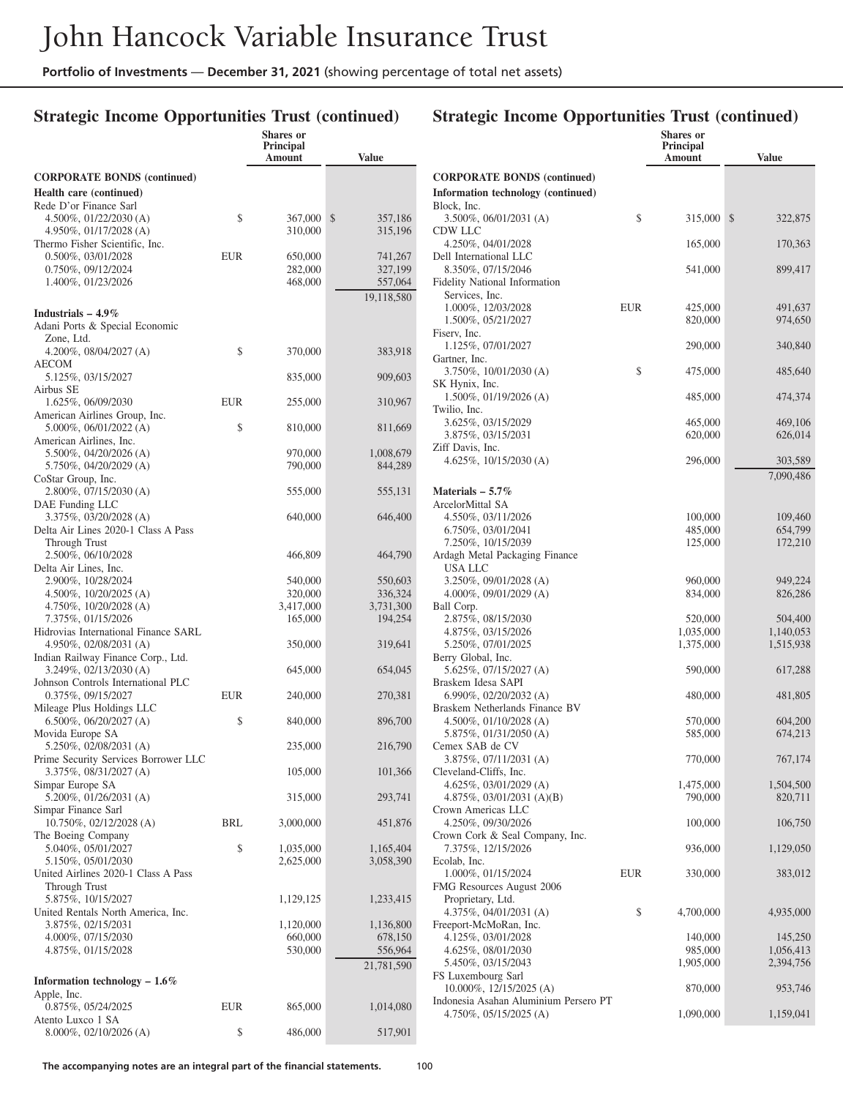**Shares or**

## **Strategic Income Opportunities Trust (continued)**

|                                                                |     | <b>Principal</b><br>Amount | <b>Value</b>  |
|----------------------------------------------------------------|-----|----------------------------|---------------|
| <b>CORPORATE BONDS (continued)</b>                             |     |                            |               |
| <b>Health care (continued)</b>                                 |     |                            |               |
| Rede D'or Finance Sarl                                         |     |                            |               |
| 4.500%, 01/22/2030 (A)                                         | \$  | 367,000                    | \$<br>357,186 |
| 4.950%, 01/17/2028 (A)<br>Thermo Fisher Scientific, Inc.       |     | 310,000                    | 315,196       |
| 0.500%, 03/01/2028                                             | EUR | 650,000                    | 741,267       |
| 0.750%, 09/12/2024                                             |     | 282,000                    | 327,199       |
| 1.400%, 01/23/2026                                             |     | 468,000                    | 557,064       |
|                                                                |     |                            | 19,118,580    |
| Industrials $-4.9\%$                                           |     |                            |               |
| Adani Ports & Special Economic<br>Zone, Ltd.                   |     |                            |               |
| 4.200%, $08/04/2027$ (A)                                       | \$  | 370,000                    | 383,918       |
| AECOM                                                          |     |                            |               |
| 5.125%, 03/15/2027<br>Airbus SE                                |     | 835,000                    | 909,603       |
| 1.625%, 06/09/2030                                             | EUR | 255,000                    | 310,967       |
| American Airlines Group, Inc.                                  |     |                            |               |
| 5.000%, 06/01/2022 (A)                                         | \$  | 810,000                    | 811,669       |
| American Airlines, Inc.<br>5.500%, 04/20/2026 (A)              |     | 970,000                    | 1,008,679     |
| 5.750%, 04/20/2029 (A)                                         |     | 790,000                    | 844,289       |
| CoStar Group, Inc.                                             |     |                            |               |
| 2.800%, 07/15/2030 (A)                                         |     | 555,000                    | 555,131       |
| DAE Funding LLC<br>3.375%, 03/20/2028 (A)                      |     | 640,000                    | 646,400       |
| Delta Air Lines 2020-1 Class A Pass                            |     |                            |               |
| Through Trust                                                  |     |                            |               |
| 2.500%, 06/10/2028                                             |     | 466,809                    | 464,790       |
| Delta Air Lines, Inc.<br>2.900%, 10/28/2024                    |     | 540,000                    | 550,603       |
| $4.500\%$ , $10/20/2025$ (A)                                   |     | 320,000                    | 336,324       |
| $4.750\%$ , $10/20/2028$ (A)                                   |     | 3,417,000                  | 3,731,300     |
| 7.375%, 01/15/2026                                             |     | 165,000                    | 194,254       |
| Hidrovias International Finance SARL<br>4.950%, 02/08/2031 (A) |     | 350,000                    | 319,641       |
| Indian Railway Finance Corp., Ltd.                             |     |                            |               |
| 3.249%, 02/13/2030 (A)                                         |     | 645,000                    | 654,045       |
| Johnson Controls International PLC                             |     |                            |               |
| 0.375%, 09/15/2027<br>Mileage Plus Holdings LLC                | EUR | 240,000                    | 270,381       |
| $6.500\%$ , $06/20/2027$ (A)                                   | \$  | 840,000                    | 896,700       |
| Movida Europe SA                                               |     |                            |               |
| 5.250%, 02/08/2031 (A)                                         |     | 235,000                    | 216,790       |
| Prime Security Services Borrower LLC<br>3.375%, 08/31/2027 (A) |     | 105,000                    | 101,366       |
| Simpar Europe SA                                               |     |                            |               |
| 5.200%, 01/26/2031 (A)                                         |     | 315,000                    | 293,741       |
| Simpar Finance Sarl                                            |     |                            |               |
| 10.750%, 02/12/2028 (A)<br>The Boeing Company                  | BRL | 3,000,000                  | 451,876       |
| 5.040%, 05/01/2027                                             | \$  | 1,035,000                  | 1,165,404     |
| 5.150%, 05/01/2030                                             |     | 2,625,000                  | 3,058,390     |
| United Airlines 2020-1 Class A Pass                            |     |                            |               |
| Through Trust<br>5.875%, 10/15/2027                            |     | 1,129,125                  | 1,233,415     |
| United Rentals North America, Inc.                             |     |                            |               |
| 3.875%, 02/15/2031                                             |     | 1,120,000                  | 1,136,800     |
| 4.000%, 07/15/2030                                             |     | 660,000                    | 678,150       |
| 4.875%, 01/15/2028                                             |     | 530,000                    | 556,964       |
| Information technology $-1.6\%$                                |     |                            | 21,781,590    |
| Apple, Inc.                                                    |     |                            |               |
| 0.875%, 05/24/2025                                             | EUR | 865,000                    | 1,014,080     |
| Atento Luxco 1 SA                                              |     |                            |               |
| 8.000%, 02/10/2026 (A)                                         | \$  | 486,000                    | 517,901       |

|                                                                       |     | <b>Shares</b> or<br><b>Principal</b><br>Amount | <b>Value</b>           |
|-----------------------------------------------------------------------|-----|------------------------------------------------|------------------------|
| <b>CORPORATE BONDS (continued)</b>                                    |     |                                                |                        |
| Information technology (continued)                                    |     |                                                |                        |
| Block, Inc.<br>3.500%, 06/01/2031 (A)                                 | \$  | 315,000                                        | \$<br>322,875          |
| CDW LLC<br>4.250%, 04/01/2028                                         |     | 165,000                                        | 170,363                |
| Dell International LLC                                                |     |                                                |                        |
| 8.350%, 07/15/2046<br>Fidelity National Information<br>Services, Inc. |     | 541,000                                        | 899,417                |
| 1.000%, 12/03/2028                                                    | EUR | 425,000                                        | 491,637                |
| 1.500%, 05/21/2027<br>Fiserv, Inc.                                    |     | 820,000                                        | 974,650                |
| 1.125%, 07/01/2027                                                    |     | 290,000                                        | 340,840                |
| Gartner, Inc.<br>$3.750\%, 10/01/2030$ (A)                            | \$  | 475,000                                        | 485,640                |
| SK Hynix, Inc.                                                        |     |                                                |                        |
| $1.500\%$ , 01/19/2026 (A)<br>Twilio, Inc.                            |     | 485,000                                        | 474,374                |
| 3.625%, 03/15/2029                                                    |     | 465,000<br>620,000                             | 469,106<br>626,014     |
| 3.875%, 03/15/2031<br>Ziff Davis, Inc.                                |     |                                                |                        |
| 4.625%, $10/15/2030$ (A)                                              |     | 296,000                                        | 303,589                |
| Materials – 5.7%                                                      |     |                                                | 7,090,486              |
| ArcelorMittal SA                                                      |     |                                                |                        |
| 4.550%, 03/11/2026                                                    |     | 100,000                                        | 109,460                |
| 6.750%, 03/01/2041                                                    |     | 485,000                                        | 654,799                |
| 7.250%, 10/15/2039                                                    |     | 125,000                                        | 172,210                |
| Ardagh Metal Packaging Finance<br>USA LLC                             |     |                                                |                        |
| 3.250%, 09/01/2028 (A)                                                |     | 960,000                                        | 949,224                |
| $4.000\%$ , 09/01/2029 (A)                                            |     | 834,000                                        | 826,286                |
| Ball Corp.                                                            |     |                                                |                        |
| 2.875%, 08/15/2030                                                    |     | 520,000                                        | 504,400                |
| 4.875%, 03/15/2026<br>5.250%, 07/01/2025                              |     | 1,035,000<br>1,375,000                         | 1,140,053<br>1,515,938 |
| Berry Global, Inc.                                                    |     |                                                |                        |
| 5.625%, 07/15/2027 (A)                                                |     | 590,000                                        | 617,288                |
| Braskem Idesa SAPI                                                    |     |                                                |                        |
| 6.990%, $02/20/2032$ (A)<br>Braskem Netherlands Finance BV            |     | 480,000                                        | 481,805                |
| 4.500%, $01/10/2028$ (A)                                              |     | 570,000                                        | 604,200                |
| 5.875%, 01/31/2050 (A)                                                |     | 585,000                                        | 674,213                |
| Cemex SAB de CV                                                       |     |                                                |                        |
| 3.875%, 07/11/2031 (A)<br>Cleveland-Cliffs, Inc.                      |     | 770,000                                        | 767,174                |
| 4.625%, 03/01/2029 (A)                                                |     | 1,475,000                                      | 1,504,500              |
| 4.875%, 03/01/2031 (A)(B)                                             |     | 790,000                                        | 820,711                |
| Crown Americas LLC                                                    |     |                                                |                        |
| 4.250%, 09/30/2026<br>Crown Cork & Seal Company, Inc.                 |     | 100,000                                        | 106,750                |
| 7.375%, 12/15/2026                                                    |     | 936,000                                        | 1,129,050              |
| Ecolab, Inc.                                                          |     |                                                |                        |
| 1.000%, 01/15/2024<br><b>FMG Resources August 2006</b>                | EUR | 330,000                                        | 383,012                |
| Proprietary, Ltd.                                                     |     |                                                |                        |
| 4.375%, 04/01/2031 (A)                                                | \$  | 4,700,000                                      | 4,935,000              |
| Freeport-McMoRan, Inc.                                                |     |                                                |                        |
| 4.125%, 03/01/2028                                                    |     | 140,000                                        | 145,250                |
| 4.625%, 08/01/2030                                                    |     | 985,000                                        | 1,056,413              |
| 5.450%, 03/15/2043<br>FS Luxembourg Sarl                              |     | 1,905,000                                      | 2,394,756              |
| $10.000\%$ , $12/15/2025$ (A)                                         |     | 870,000                                        | 953,746                |
| Indonesia Asahan Aluminium Persero PT                                 |     |                                                |                        |
| 4.750%, 05/15/2025 (A)                                                |     | 1,090,000                                      | 1,159,041              |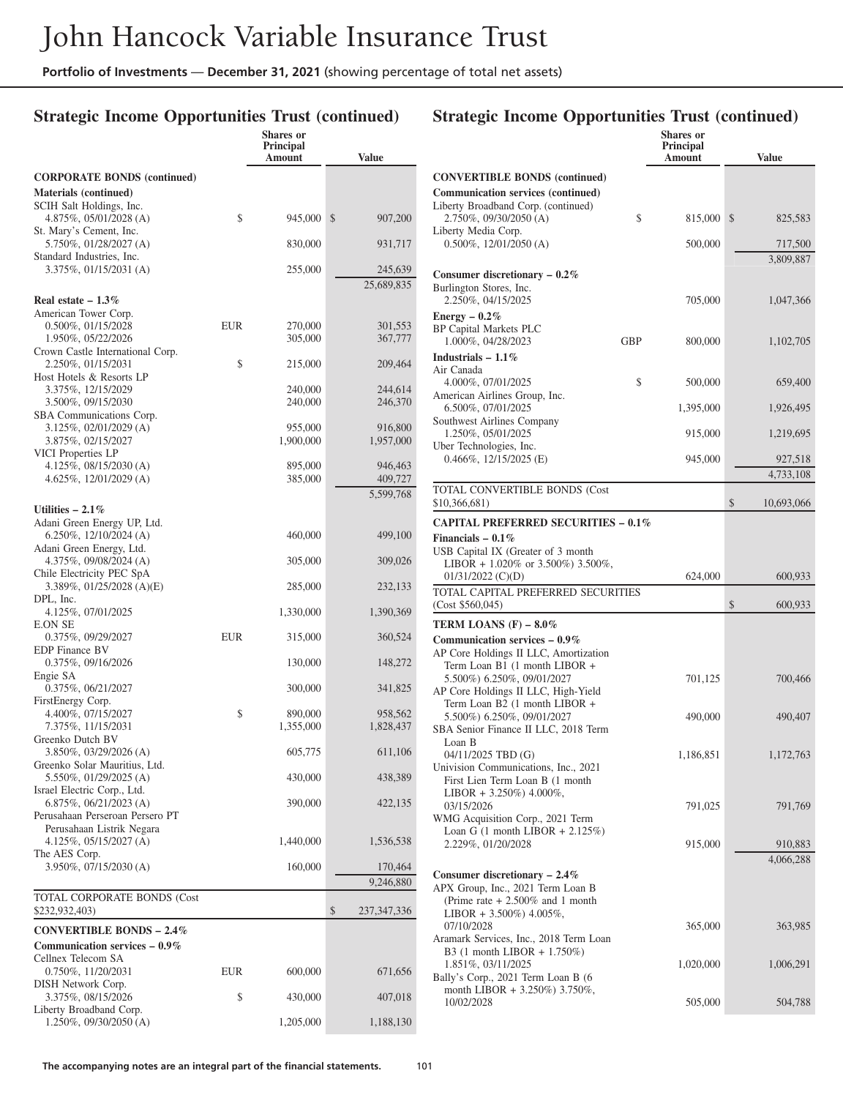## **Strategic Income Opportunities Trust (continued)**

| <b>CORPORATE BONDS (continued)</b><br>Materials (continued)<br>SCIH Salt Holdings, Inc.<br>\$<br>\$<br>4.875%, 05/01/2028 (A)<br>945,000<br>907,200<br>St. Mary's Cement, Inc.<br>5.750%, 01/28/2027 (A)<br>830,000<br>931,717<br>Standard Industries, Inc.<br>3.375%, 01/15/2031 (A)<br>255,000<br>245,639<br>25,689,835<br>Real estate $-1.3\%$<br>American Tower Corp.<br>0.500%, 01/15/2028<br>EUR<br>270,000<br>301,553<br>1.950%, 05/22/2026<br>305,000<br>367,777<br>Crown Castle International Corp.<br>\$<br>2.250%, 01/15/2031<br>215,000<br>209,464<br>Host Hotels & Resorts LP<br>3.375%, 12/15/2029<br>240,000<br>244,614<br>3.500%, 09/15/2030<br>246,370<br>240,000<br>SBA Communications Corp.<br>3.125%, 02/01/2029 (A)<br>955,000<br>916,800<br>3.875%, 02/15/2027<br>1,900,000<br>1,957,000<br>VICI Properties LP<br>4.125%, $08/15/2030$ (A)<br>946,463<br>895,000<br>$4.625\%, 12/01/2029$ (A)<br>385,000<br>409,727<br>5,599,768<br>Utilities $-2.1\%$<br>Adani Green Energy UP, Ltd.<br>6.250%, $12/10/2024$ (A)<br>460,000<br>499,100<br>Adani Green Energy, Ltd.<br>4.375%, 09/08/2024 (A)<br>309,026<br>305,000<br>Chile Electricity PEC SpA<br>3.389%, 01/25/2028 (A)(E)<br>285,000<br>232,133<br>DPL, Inc.<br>4.125%, 07/01/2025<br>1,390,369<br>1,330,000<br>E.ON SE<br>0.375%, 09/29/2027<br>EUR<br>315,000<br>360,524<br><b>EDP</b> Finance BV<br>0.375%, 09/16/2026<br>148,272<br>130,000<br>Engie SA<br>0.375%, 06/21/2027<br>300,000<br>341,825<br>FirstEnergy Corp.<br>\$<br>4.400%, 07/15/2027<br>890,000<br>958,562<br>7.375%, 11/15/2031<br>1,355,000<br>1,828,437<br>Greenko Dutch BV<br>3.850%, 03/29/2026 (A)<br>605,775<br>611,106<br>Greenko Solar Mauritius, Ltd.<br>5.550%, 01/29/2025 (A)<br>430,000<br>438,389<br>Israel Electric Corp., Ltd.<br>6.875%, 06/21/2023 (A)<br>390,000<br>422,135<br>Perusahaan Perseroan Persero PT<br>Perusahaan Listrik Negara<br>$4.125\%, 05/15/2027 (A)$<br>1,440,000<br>1,536,538<br>The AES Corp.<br>160,000<br>3.950%, 07/15/2030 (A)<br>170,464<br>9,246,880<br>TOTAL CORPORATE BONDS (Cost<br>\$<br>\$232,932,403)<br>237, 347, 336<br><b>CONVERTIBLE BONDS - 2.4%</b><br>Communication services $-0.9\%$<br>Cellnex Telecom SA<br>0.750%, 11/20/2031<br>EUR<br>600,000<br>671,656<br>DISH Network Corp.<br>3.375%, 08/15/2026<br>\$<br>430,000<br>407,018<br>Liberty Broadband Corp.<br>$1.250\%$ , 09/30/2050 (A)<br>1,205,000<br>1,188,130 |  | Shares or<br><b>Principal</b><br>Amount | <b>Value</b> |
|-------------------------------------------------------------------------------------------------------------------------------------------------------------------------------------------------------------------------------------------------------------------------------------------------------------------------------------------------------------------------------------------------------------------------------------------------------------------------------------------------------------------------------------------------------------------------------------------------------------------------------------------------------------------------------------------------------------------------------------------------------------------------------------------------------------------------------------------------------------------------------------------------------------------------------------------------------------------------------------------------------------------------------------------------------------------------------------------------------------------------------------------------------------------------------------------------------------------------------------------------------------------------------------------------------------------------------------------------------------------------------------------------------------------------------------------------------------------------------------------------------------------------------------------------------------------------------------------------------------------------------------------------------------------------------------------------------------------------------------------------------------------------------------------------------------------------------------------------------------------------------------------------------------------------------------------------------------------------------------------------------------------------------------------------------------------------------------------------------------------------------------------------------------------------------------------------------------------------------------------------------------------------------------------------------------------------------------------------------------------------------------------------------------------------------------|--|-----------------------------------------|--------------|
|                                                                                                                                                                                                                                                                                                                                                                                                                                                                                                                                                                                                                                                                                                                                                                                                                                                                                                                                                                                                                                                                                                                                                                                                                                                                                                                                                                                                                                                                                                                                                                                                                                                                                                                                                                                                                                                                                                                                                                                                                                                                                                                                                                                                                                                                                                                                                                                                                                     |  |                                         |              |
|                                                                                                                                                                                                                                                                                                                                                                                                                                                                                                                                                                                                                                                                                                                                                                                                                                                                                                                                                                                                                                                                                                                                                                                                                                                                                                                                                                                                                                                                                                                                                                                                                                                                                                                                                                                                                                                                                                                                                                                                                                                                                                                                                                                                                                                                                                                                                                                                                                     |  |                                         |              |
|                                                                                                                                                                                                                                                                                                                                                                                                                                                                                                                                                                                                                                                                                                                                                                                                                                                                                                                                                                                                                                                                                                                                                                                                                                                                                                                                                                                                                                                                                                                                                                                                                                                                                                                                                                                                                                                                                                                                                                                                                                                                                                                                                                                                                                                                                                                                                                                                                                     |  |                                         |              |
|                                                                                                                                                                                                                                                                                                                                                                                                                                                                                                                                                                                                                                                                                                                                                                                                                                                                                                                                                                                                                                                                                                                                                                                                                                                                                                                                                                                                                                                                                                                                                                                                                                                                                                                                                                                                                                                                                                                                                                                                                                                                                                                                                                                                                                                                                                                                                                                                                                     |  |                                         |              |
|                                                                                                                                                                                                                                                                                                                                                                                                                                                                                                                                                                                                                                                                                                                                                                                                                                                                                                                                                                                                                                                                                                                                                                                                                                                                                                                                                                                                                                                                                                                                                                                                                                                                                                                                                                                                                                                                                                                                                                                                                                                                                                                                                                                                                                                                                                                                                                                                                                     |  |                                         |              |
|                                                                                                                                                                                                                                                                                                                                                                                                                                                                                                                                                                                                                                                                                                                                                                                                                                                                                                                                                                                                                                                                                                                                                                                                                                                                                                                                                                                                                                                                                                                                                                                                                                                                                                                                                                                                                                                                                                                                                                                                                                                                                                                                                                                                                                                                                                                                                                                                                                     |  |                                         |              |
|                                                                                                                                                                                                                                                                                                                                                                                                                                                                                                                                                                                                                                                                                                                                                                                                                                                                                                                                                                                                                                                                                                                                                                                                                                                                                                                                                                                                                                                                                                                                                                                                                                                                                                                                                                                                                                                                                                                                                                                                                                                                                                                                                                                                                                                                                                                                                                                                                                     |  |                                         |              |
|                                                                                                                                                                                                                                                                                                                                                                                                                                                                                                                                                                                                                                                                                                                                                                                                                                                                                                                                                                                                                                                                                                                                                                                                                                                                                                                                                                                                                                                                                                                                                                                                                                                                                                                                                                                                                                                                                                                                                                                                                                                                                                                                                                                                                                                                                                                                                                                                                                     |  |                                         |              |
|                                                                                                                                                                                                                                                                                                                                                                                                                                                                                                                                                                                                                                                                                                                                                                                                                                                                                                                                                                                                                                                                                                                                                                                                                                                                                                                                                                                                                                                                                                                                                                                                                                                                                                                                                                                                                                                                                                                                                                                                                                                                                                                                                                                                                                                                                                                                                                                                                                     |  |                                         |              |
|                                                                                                                                                                                                                                                                                                                                                                                                                                                                                                                                                                                                                                                                                                                                                                                                                                                                                                                                                                                                                                                                                                                                                                                                                                                                                                                                                                                                                                                                                                                                                                                                                                                                                                                                                                                                                                                                                                                                                                                                                                                                                                                                                                                                                                                                                                                                                                                                                                     |  |                                         |              |
|                                                                                                                                                                                                                                                                                                                                                                                                                                                                                                                                                                                                                                                                                                                                                                                                                                                                                                                                                                                                                                                                                                                                                                                                                                                                                                                                                                                                                                                                                                                                                                                                                                                                                                                                                                                                                                                                                                                                                                                                                                                                                                                                                                                                                                                                                                                                                                                                                                     |  |                                         |              |
|                                                                                                                                                                                                                                                                                                                                                                                                                                                                                                                                                                                                                                                                                                                                                                                                                                                                                                                                                                                                                                                                                                                                                                                                                                                                                                                                                                                                                                                                                                                                                                                                                                                                                                                                                                                                                                                                                                                                                                                                                                                                                                                                                                                                                                                                                                                                                                                                                                     |  |                                         |              |
|                                                                                                                                                                                                                                                                                                                                                                                                                                                                                                                                                                                                                                                                                                                                                                                                                                                                                                                                                                                                                                                                                                                                                                                                                                                                                                                                                                                                                                                                                                                                                                                                                                                                                                                                                                                                                                                                                                                                                                                                                                                                                                                                                                                                                                                                                                                                                                                                                                     |  |                                         |              |
|                                                                                                                                                                                                                                                                                                                                                                                                                                                                                                                                                                                                                                                                                                                                                                                                                                                                                                                                                                                                                                                                                                                                                                                                                                                                                                                                                                                                                                                                                                                                                                                                                                                                                                                                                                                                                                                                                                                                                                                                                                                                                                                                                                                                                                                                                                                                                                                                                                     |  |                                         |              |
|                                                                                                                                                                                                                                                                                                                                                                                                                                                                                                                                                                                                                                                                                                                                                                                                                                                                                                                                                                                                                                                                                                                                                                                                                                                                                                                                                                                                                                                                                                                                                                                                                                                                                                                                                                                                                                                                                                                                                                                                                                                                                                                                                                                                                                                                                                                                                                                                                                     |  |                                         |              |
|                                                                                                                                                                                                                                                                                                                                                                                                                                                                                                                                                                                                                                                                                                                                                                                                                                                                                                                                                                                                                                                                                                                                                                                                                                                                                                                                                                                                                                                                                                                                                                                                                                                                                                                                                                                                                                                                                                                                                                                                                                                                                                                                                                                                                                                                                                                                                                                                                                     |  |                                         |              |
|                                                                                                                                                                                                                                                                                                                                                                                                                                                                                                                                                                                                                                                                                                                                                                                                                                                                                                                                                                                                                                                                                                                                                                                                                                                                                                                                                                                                                                                                                                                                                                                                                                                                                                                                                                                                                                                                                                                                                                                                                                                                                                                                                                                                                                                                                                                                                                                                                                     |  |                                         |              |
|                                                                                                                                                                                                                                                                                                                                                                                                                                                                                                                                                                                                                                                                                                                                                                                                                                                                                                                                                                                                                                                                                                                                                                                                                                                                                                                                                                                                                                                                                                                                                                                                                                                                                                                                                                                                                                                                                                                                                                                                                                                                                                                                                                                                                                                                                                                                                                                                                                     |  |                                         |              |
|                                                                                                                                                                                                                                                                                                                                                                                                                                                                                                                                                                                                                                                                                                                                                                                                                                                                                                                                                                                                                                                                                                                                                                                                                                                                                                                                                                                                                                                                                                                                                                                                                                                                                                                                                                                                                                                                                                                                                                                                                                                                                                                                                                                                                                                                                                                                                                                                                                     |  |                                         |              |
|                                                                                                                                                                                                                                                                                                                                                                                                                                                                                                                                                                                                                                                                                                                                                                                                                                                                                                                                                                                                                                                                                                                                                                                                                                                                                                                                                                                                                                                                                                                                                                                                                                                                                                                                                                                                                                                                                                                                                                                                                                                                                                                                                                                                                                                                                                                                                                                                                                     |  |                                         |              |
|                                                                                                                                                                                                                                                                                                                                                                                                                                                                                                                                                                                                                                                                                                                                                                                                                                                                                                                                                                                                                                                                                                                                                                                                                                                                                                                                                                                                                                                                                                                                                                                                                                                                                                                                                                                                                                                                                                                                                                                                                                                                                                                                                                                                                                                                                                                                                                                                                                     |  |                                         |              |
|                                                                                                                                                                                                                                                                                                                                                                                                                                                                                                                                                                                                                                                                                                                                                                                                                                                                                                                                                                                                                                                                                                                                                                                                                                                                                                                                                                                                                                                                                                                                                                                                                                                                                                                                                                                                                                                                                                                                                                                                                                                                                                                                                                                                                                                                                                                                                                                                                                     |  |                                         |              |
|                                                                                                                                                                                                                                                                                                                                                                                                                                                                                                                                                                                                                                                                                                                                                                                                                                                                                                                                                                                                                                                                                                                                                                                                                                                                                                                                                                                                                                                                                                                                                                                                                                                                                                                                                                                                                                                                                                                                                                                                                                                                                                                                                                                                                                                                                                                                                                                                                                     |  |                                         |              |
|                                                                                                                                                                                                                                                                                                                                                                                                                                                                                                                                                                                                                                                                                                                                                                                                                                                                                                                                                                                                                                                                                                                                                                                                                                                                                                                                                                                                                                                                                                                                                                                                                                                                                                                                                                                                                                                                                                                                                                                                                                                                                                                                                                                                                                                                                                                                                                                                                                     |  |                                         |              |
|                                                                                                                                                                                                                                                                                                                                                                                                                                                                                                                                                                                                                                                                                                                                                                                                                                                                                                                                                                                                                                                                                                                                                                                                                                                                                                                                                                                                                                                                                                                                                                                                                                                                                                                                                                                                                                                                                                                                                                                                                                                                                                                                                                                                                                                                                                                                                                                                                                     |  |                                         |              |
|                                                                                                                                                                                                                                                                                                                                                                                                                                                                                                                                                                                                                                                                                                                                                                                                                                                                                                                                                                                                                                                                                                                                                                                                                                                                                                                                                                                                                                                                                                                                                                                                                                                                                                                                                                                                                                                                                                                                                                                                                                                                                                                                                                                                                                                                                                                                                                                                                                     |  |                                         |              |
|                                                                                                                                                                                                                                                                                                                                                                                                                                                                                                                                                                                                                                                                                                                                                                                                                                                                                                                                                                                                                                                                                                                                                                                                                                                                                                                                                                                                                                                                                                                                                                                                                                                                                                                                                                                                                                                                                                                                                                                                                                                                                                                                                                                                                                                                                                                                                                                                                                     |  |                                         |              |
|                                                                                                                                                                                                                                                                                                                                                                                                                                                                                                                                                                                                                                                                                                                                                                                                                                                                                                                                                                                                                                                                                                                                                                                                                                                                                                                                                                                                                                                                                                                                                                                                                                                                                                                                                                                                                                                                                                                                                                                                                                                                                                                                                                                                                                                                                                                                                                                                                                     |  |                                         |              |
|                                                                                                                                                                                                                                                                                                                                                                                                                                                                                                                                                                                                                                                                                                                                                                                                                                                                                                                                                                                                                                                                                                                                                                                                                                                                                                                                                                                                                                                                                                                                                                                                                                                                                                                                                                                                                                                                                                                                                                                                                                                                                                                                                                                                                                                                                                                                                                                                                                     |  |                                         |              |
|                                                                                                                                                                                                                                                                                                                                                                                                                                                                                                                                                                                                                                                                                                                                                                                                                                                                                                                                                                                                                                                                                                                                                                                                                                                                                                                                                                                                                                                                                                                                                                                                                                                                                                                                                                                                                                                                                                                                                                                                                                                                                                                                                                                                                                                                                                                                                                                                                                     |  |                                         |              |
|                                                                                                                                                                                                                                                                                                                                                                                                                                                                                                                                                                                                                                                                                                                                                                                                                                                                                                                                                                                                                                                                                                                                                                                                                                                                                                                                                                                                                                                                                                                                                                                                                                                                                                                                                                                                                                                                                                                                                                                                                                                                                                                                                                                                                                                                                                                                                                                                                                     |  |                                         |              |
|                                                                                                                                                                                                                                                                                                                                                                                                                                                                                                                                                                                                                                                                                                                                                                                                                                                                                                                                                                                                                                                                                                                                                                                                                                                                                                                                                                                                                                                                                                                                                                                                                                                                                                                                                                                                                                                                                                                                                                                                                                                                                                                                                                                                                                                                                                                                                                                                                                     |  |                                         |              |
|                                                                                                                                                                                                                                                                                                                                                                                                                                                                                                                                                                                                                                                                                                                                                                                                                                                                                                                                                                                                                                                                                                                                                                                                                                                                                                                                                                                                                                                                                                                                                                                                                                                                                                                                                                                                                                                                                                                                                                                                                                                                                                                                                                                                                                                                                                                                                                                                                                     |  |                                         |              |
|                                                                                                                                                                                                                                                                                                                                                                                                                                                                                                                                                                                                                                                                                                                                                                                                                                                                                                                                                                                                                                                                                                                                                                                                                                                                                                                                                                                                                                                                                                                                                                                                                                                                                                                                                                                                                                                                                                                                                                                                                                                                                                                                                                                                                                                                                                                                                                                                                                     |  |                                         |              |
|                                                                                                                                                                                                                                                                                                                                                                                                                                                                                                                                                                                                                                                                                                                                                                                                                                                                                                                                                                                                                                                                                                                                                                                                                                                                                                                                                                                                                                                                                                                                                                                                                                                                                                                                                                                                                                                                                                                                                                                                                                                                                                                                                                                                                                                                                                                                                                                                                                     |  |                                         |              |
|                                                                                                                                                                                                                                                                                                                                                                                                                                                                                                                                                                                                                                                                                                                                                                                                                                                                                                                                                                                                                                                                                                                                                                                                                                                                                                                                                                                                                                                                                                                                                                                                                                                                                                                                                                                                                                                                                                                                                                                                                                                                                                                                                                                                                                                                                                                                                                                                                                     |  |                                         |              |
|                                                                                                                                                                                                                                                                                                                                                                                                                                                                                                                                                                                                                                                                                                                                                                                                                                                                                                                                                                                                                                                                                                                                                                                                                                                                                                                                                                                                                                                                                                                                                                                                                                                                                                                                                                                                                                                                                                                                                                                                                                                                                                                                                                                                                                                                                                                                                                                                                                     |  |                                         |              |
|                                                                                                                                                                                                                                                                                                                                                                                                                                                                                                                                                                                                                                                                                                                                                                                                                                                                                                                                                                                                                                                                                                                                                                                                                                                                                                                                                                                                                                                                                                                                                                                                                                                                                                                                                                                                                                                                                                                                                                                                                                                                                                                                                                                                                                                                                                                                                                                                                                     |  |                                         |              |
|                                                                                                                                                                                                                                                                                                                                                                                                                                                                                                                                                                                                                                                                                                                                                                                                                                                                                                                                                                                                                                                                                                                                                                                                                                                                                                                                                                                                                                                                                                                                                                                                                                                                                                                                                                                                                                                                                                                                                                                                                                                                                                                                                                                                                                                                                                                                                                                                                                     |  |                                         |              |
|                                                                                                                                                                                                                                                                                                                                                                                                                                                                                                                                                                                                                                                                                                                                                                                                                                                                                                                                                                                                                                                                                                                                                                                                                                                                                                                                                                                                                                                                                                                                                                                                                                                                                                                                                                                                                                                                                                                                                                                                                                                                                                                                                                                                                                                                                                                                                                                                                                     |  |                                         |              |
|                                                                                                                                                                                                                                                                                                                                                                                                                                                                                                                                                                                                                                                                                                                                                                                                                                                                                                                                                                                                                                                                                                                                                                                                                                                                                                                                                                                                                                                                                                                                                                                                                                                                                                                                                                                                                                                                                                                                                                                                                                                                                                                                                                                                                                                                                                                                                                                                                                     |  |                                         |              |
|                                                                                                                                                                                                                                                                                                                                                                                                                                                                                                                                                                                                                                                                                                                                                                                                                                                                                                                                                                                                                                                                                                                                                                                                                                                                                                                                                                                                                                                                                                                                                                                                                                                                                                                                                                                                                                                                                                                                                                                                                                                                                                                                                                                                                                                                                                                                                                                                                                     |  |                                         |              |
|                                                                                                                                                                                                                                                                                                                                                                                                                                                                                                                                                                                                                                                                                                                                                                                                                                                                                                                                                                                                                                                                                                                                                                                                                                                                                                                                                                                                                                                                                                                                                                                                                                                                                                                                                                                                                                                                                                                                                                                                                                                                                                                                                                                                                                                                                                                                                                                                                                     |  |                                         |              |
|                                                                                                                                                                                                                                                                                                                                                                                                                                                                                                                                                                                                                                                                                                                                                                                                                                                                                                                                                                                                                                                                                                                                                                                                                                                                                                                                                                                                                                                                                                                                                                                                                                                                                                                                                                                                                                                                                                                                                                                                                                                                                                                                                                                                                                                                                                                                                                                                                                     |  |                                         |              |
|                                                                                                                                                                                                                                                                                                                                                                                                                                                                                                                                                                                                                                                                                                                                                                                                                                                                                                                                                                                                                                                                                                                                                                                                                                                                                                                                                                                                                                                                                                                                                                                                                                                                                                                                                                                                                                                                                                                                                                                                                                                                                                                                                                                                                                                                                                                                                                                                                                     |  |                                         |              |
|                                                                                                                                                                                                                                                                                                                                                                                                                                                                                                                                                                                                                                                                                                                                                                                                                                                                                                                                                                                                                                                                                                                                                                                                                                                                                                                                                                                                                                                                                                                                                                                                                                                                                                                                                                                                                                                                                                                                                                                                                                                                                                                                                                                                                                                                                                                                                                                                                                     |  |                                         |              |
|                                                                                                                                                                                                                                                                                                                                                                                                                                                                                                                                                                                                                                                                                                                                                                                                                                                                                                                                                                                                                                                                                                                                                                                                                                                                                                                                                                                                                                                                                                                                                                                                                                                                                                                                                                                                                                                                                                                                                                                                                                                                                                                                                                                                                                                                                                                                                                                                                                     |  |                                         |              |
|                                                                                                                                                                                                                                                                                                                                                                                                                                                                                                                                                                                                                                                                                                                                                                                                                                                                                                                                                                                                                                                                                                                                                                                                                                                                                                                                                                                                                                                                                                                                                                                                                                                                                                                                                                                                                                                                                                                                                                                                                                                                                                                                                                                                                                                                                                                                                                                                                                     |  |                                         |              |
|                                                                                                                                                                                                                                                                                                                                                                                                                                                                                                                                                                                                                                                                                                                                                                                                                                                                                                                                                                                                                                                                                                                                                                                                                                                                                                                                                                                                                                                                                                                                                                                                                                                                                                                                                                                                                                                                                                                                                                                                                                                                                                                                                                                                                                                                                                                                                                                                                                     |  |                                         |              |
|                                                                                                                                                                                                                                                                                                                                                                                                                                                                                                                                                                                                                                                                                                                                                                                                                                                                                                                                                                                                                                                                                                                                                                                                                                                                                                                                                                                                                                                                                                                                                                                                                                                                                                                                                                                                                                                                                                                                                                                                                                                                                                                                                                                                                                                                                                                                                                                                                                     |  |                                         |              |
|                                                                                                                                                                                                                                                                                                                                                                                                                                                                                                                                                                                                                                                                                                                                                                                                                                                                                                                                                                                                                                                                                                                                                                                                                                                                                                                                                                                                                                                                                                                                                                                                                                                                                                                                                                                                                                                                                                                                                                                                                                                                                                                                                                                                                                                                                                                                                                                                                                     |  |                                         |              |
|                                                                                                                                                                                                                                                                                                                                                                                                                                                                                                                                                                                                                                                                                                                                                                                                                                                                                                                                                                                                                                                                                                                                                                                                                                                                                                                                                                                                                                                                                                                                                                                                                                                                                                                                                                                                                                                                                                                                                                                                                                                                                                                                                                                                                                                                                                                                                                                                                                     |  |                                         |              |
|                                                                                                                                                                                                                                                                                                                                                                                                                                                                                                                                                                                                                                                                                                                                                                                                                                                                                                                                                                                                                                                                                                                                                                                                                                                                                                                                                                                                                                                                                                                                                                                                                                                                                                                                                                                                                                                                                                                                                                                                                                                                                                                                                                                                                                                                                                                                                                                                                                     |  |                                         |              |

|                                                                                                            |            | <b>Shares</b> or<br>Principal |                      |
|------------------------------------------------------------------------------------------------------------|------------|-------------------------------|----------------------|
|                                                                                                            |            | Amount                        | <b>Value</b>         |
| <b>CONVERTIBLE BONDS</b> (continued)<br><b>Communication services (continued)</b>                          |            |                               |                      |
| Liberty Broadband Corp. (continued)<br>2.750%, 09/30/2050 (A)<br>Liberty Media Corp.                       | \$         | 815,000                       | \$<br>825,583        |
| $0.500\%$ , 12/01/2050 (A)                                                                                 |            | 500,000                       | 717,500<br>3,809,887 |
| Consumer discretionary $-0.2\%$<br>Burlington Stores, Inc.                                                 |            |                               |                      |
| 2.250%, 04/15/2025                                                                                         |            | 705,000                       | 1,047,366            |
| Energy $-0.2\%$<br><b>BP Capital Markets PLC</b><br>1.000%, 04/28/2023                                     | <b>GBP</b> | 800,000                       | 1,102,705            |
| Industrials $-1.1\%$<br>Air Canada                                                                         |            |                               |                      |
| 4.000%, 07/01/2025<br>American Airlines Group, Inc.                                                        | \$         | 500,000                       | 659,400              |
| 6.500%, 07/01/2025<br>Southwest Airlines Company                                                           |            | 1,395,000                     | 1,926,495            |
| 1.250%, 05/01/2025<br>Uber Technologies, Inc.                                                              |            | 915,000                       | 1,219,695            |
| $0.466\%, 12/15/2025$ (E)                                                                                  |            | 945,000                       | 927,518<br>4,733,108 |
| <b>TOTAL CONVERTIBLE BONDS (Cost</b>                                                                       |            |                               |                      |
| \$10,366,681)                                                                                              |            |                               | \$<br>10,693,066     |
| <b>CAPITAL PREFERRED SECURITIES - 0.1%</b>                                                                 |            |                               |                      |
| Financials $-0.1\%$<br>USB Capital IX (Greater of 3 month                                                  |            |                               |                      |
| LIBOR + 1.020% or 3.500%) 3.500%,<br>$01/31/2022$ (C)(D)                                                   |            | 624,000                       | 600,933              |
| TOTAL CAPITAL PREFERRED SECURITIES<br>(Cost \$560,045)                                                     |            |                               | \$<br>600,933        |
| TERM LOANS (F) $-8.0\%$                                                                                    |            |                               |                      |
| Communication services $-0.9\%$<br>AP Core Holdings II LLC, Amortization                                   |            |                               |                      |
| Term Loan B1 (1 month LIBOR +<br>5.500%) 6.250%, 09/01/2027<br>AP Core Holdings II LLC, High-Yield         |            | 701,125                       | 700,466              |
| Term Loan B2 (1 month LIBOR +<br>5.500%) 6.250%, 09/01/2027                                                |            | 490,000                       | 490,407              |
| SBA Senior Finance II LLC, 2018 Term<br>Loan B                                                             |            |                               |                      |
| 04/11/2025 TBD (G)<br>Univision Communications, Inc., 2021                                                 |            | 1,186,851                     | 1,172,763            |
| First Lien Term Loan B (1 month<br>LIBOR + $3.250\%$ ) $4.000\%$ ,                                         |            |                               |                      |
| 03/15/2026<br>WMG Acquisition Corp., 2021 Term                                                             |            | 791,025                       | 791,769              |
| Loan G $(1 \text{ month LIBOR} + 2.125\%)$<br>2.229%, 01/20/2028                                           |            | 915,000                       | 910,883              |
|                                                                                                            |            |                               | 4,066,288            |
| Consumer discretionary $-2.4\%$<br>APX Group, Inc., 2021 Term Loan B<br>(Prime rate $+2.500\%$ and 1 month |            |                               |                      |
| LIBOR + 3.500%) 4.005%,<br>07/10/2028<br>Aramark Services, Inc., 2018 Term Loan                            |            | 365,000                       | 363,985              |
| B3 $(1 \text{ month LIBOR} + 1.750\%)$<br>1.851%, 03/11/2025                                               |            | 1,020,000                     | 1,006,291            |
| Bally's Corp., 2021 Term Loan B (6<br>month LIBOR + 3.250%) 3.750%,                                        |            |                               |                      |
| 10/02/2028                                                                                                 |            | 505,000                       | 504,788              |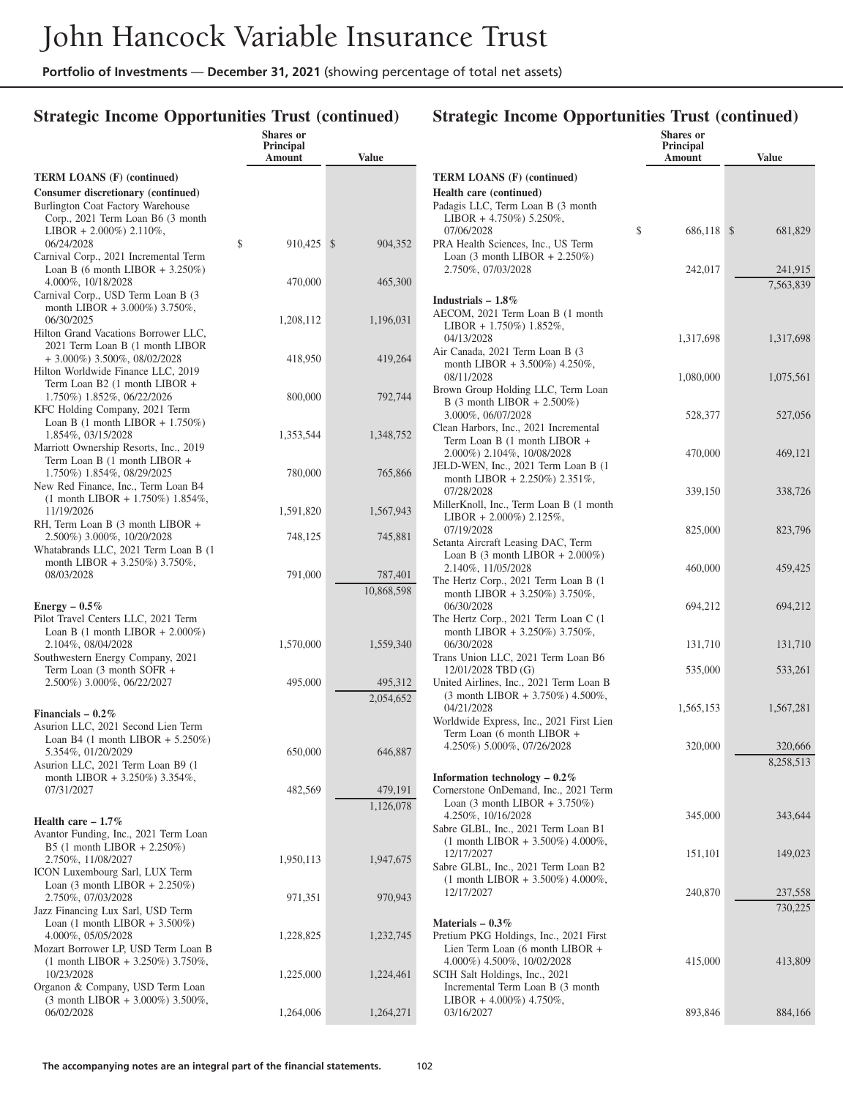## **Strategic Income Opportunities Trust (continued)**

|                                                                                  | <b>Shares</b> or<br><b>Principal</b><br>Amount | <b>Value</b>            |                             |
|----------------------------------------------------------------------------------|------------------------------------------------|-------------------------|-----------------------------|
| <b>TERM LOANS (F) (continued)</b>                                                |                                                |                         | <b>TERM</b>                 |
| Consumer discretionary (continued)                                               |                                                |                         | Health                      |
| Burlington Coat Factory Warehouse                                                |                                                |                         | Padagis                     |
| Corp., 2021 Term Loan B6 (3 month<br>LIBOR + 2.000%) 2.110%,                     |                                                |                         | <b>LIBC</b><br>07/06        |
| 06/24/2028                                                                       | \$<br>910,425                                  | $\mathbb{S}$<br>904,352 | PRA H                       |
| Carnival Corp., 2021 Incremental Term                                            |                                                |                         | Loan                        |
| Loan B (6 month LIBOR + $3.250\%$ )                                              |                                                |                         | 2.750                       |
| 4.000%, 10/18/2028<br>Carnival Corp., USD Term Loan B (3                         | 470,000                                        | 465,300                 |                             |
| month LIBOR + 3.000%) 3.750%,                                                    |                                                |                         | Industr                     |
| 06/30/2025                                                                       | 1,208,112                                      | 1,196,031               | <b>AECON</b><br><b>LIBC</b> |
| Hilton Grand Vacations Borrower LLC,                                             |                                                |                         | 04/13                       |
| 2021 Term Loan B (1 month LIBOR<br>$+3.000\%$ ) 3.500%, 08/02/2028               | 418,950                                        | 419,264                 | Air Car                     |
| Hilton Worldwide Finance LLC, 2019                                               |                                                |                         | mont<br>08/11               |
| Term Loan B2 (1 month LIBOR +                                                    |                                                |                         | Brown                       |
| 1.750%) 1.852%, 06/22/2026<br>KFC Holding Company, 2021 Term                     | 800,000                                        | 792,744                 | B(3)                        |
| Loan B $(1 \text{ month LIBOR} + 1.750\%)$                                       |                                                |                         | 3.000                       |
| 1.854%, 03/15/2028                                                               | 1,353,544                                      | 1,348,752               | Clean F<br>Term             |
| Marriott Ownership Resorts, Inc., 2019                                           |                                                |                         | 2.000                       |
| Term Loan B (1 month LIBOR +<br>1.750%) 1.854%, 08/29/2025                       | 780,000                                        | 765,866                 | JELD-V                      |
| New Red Finance, Inc., Term Loan B4                                              |                                                |                         | mont<br>07/28               |
| $(1$ month LIBOR + 1.750%) 1.854%,                                               |                                                |                         | MillerK                     |
| 11/19/2026<br>RH, Term Loan B (3 month LIBOR +                                   | 1,591,820                                      | 1,567,943               | <b>LIBC</b>                 |
| 2.500%) 3.000%, 10/20/2028                                                       | 748,125                                        | 745,881                 | 07/19                       |
| Whatabrands LLC, 2021 Term Loan B (1                                             |                                                |                         | Setanta<br>Loan             |
| month LIBOR + 3.250%) 3.750%,                                                    |                                                |                         | 2.140                       |
| 08/03/2028                                                                       | 791,000                                        | 787,401                 | The He                      |
| Energy $-0.5\%$                                                                  |                                                | 10,868,598              | mont<br>06/30               |
| Pilot Travel Centers LLC, 2021 Term                                              |                                                |                         | The He                      |
| Loan B $(1 \text{ month LIBOR} + 2.000\%)$                                       |                                                |                         | mont                        |
| 2.104%, 08/04/2028                                                               | 1,570,000                                      | 1,559,340               | 06/30                       |
| Southwestern Energy Company, 2021<br>Term Loan (3 month SOFR +                   |                                                |                         | Trans U<br>12/01            |
| 2.500%) 3.000%, 06/22/2027                                                       | 495,000                                        | 495,312                 | United.                     |
|                                                                                  |                                                | 2,054,652               | $(3 \text{ m})$             |
| Financials $-0.2\%$                                                              |                                                |                         | 04/21<br>Worldw             |
| Asurion LLC, 2021 Second Lien Term                                               |                                                |                         | Term                        |
| Loan B4 $(1 \text{ month LIBOR} + 5.250\%)$<br>5.354%, 01/20/2029                | 650,000                                        | 646,887                 | 4.250                       |
| Asurion LLC, 2021 Term Loan B9 (1                                                |                                                |                         |                             |
| month LIBOR + 3.250%) 3.354%,                                                    |                                                |                         | Inform                      |
| 07/31/2027                                                                       | 482,569                                        | 479,191                 | Corners<br>Loan             |
|                                                                                  |                                                | 1,126,078               | 4.250                       |
| Health care $-1.7\%$<br>Avantor Funding, Inc., 2021 Term Loan                    |                                                |                         | Sabre C                     |
| B5 $(1 \text{ month LIBOR} + 2.250\%)$                                           |                                                |                         | $(1 \text{ m})$             |
| 2.750%, 11/08/2027                                                               | 1,950,113                                      | 1,947,675               | 12/17<br>Sabre C            |
| ICON Luxembourg Sarl, LUX Term<br>Loan $(3 \text{ month LIBOR} + 2.250\%)$       |                                                |                         | $(1 \text{ m})$             |
| 2.750%, 07/03/2028                                                               | 971,351                                        | 970,943                 | 12/17                       |
| Jazz Financing Lux Sarl, USD Term                                                |                                                |                         |                             |
| Loan (1 month LIBOR + $3.500\%$ )                                                |                                                |                         | Materia                     |
| 4.000%, 05/05/2028<br>Mozart Borrower LP, USD Term Loan B                        | 1,228,825                                      | 1,232,745               | Pretium<br>Lien             |
| $(1$ month LIBOR + 3.250%) 3.750%,                                               |                                                |                         | 4.000                       |
| 10/23/2028                                                                       | 1,225,000                                      | 1,224,461               | <b>SCIH S</b>               |
| Organon & Company, USD Term Loan<br>$(3 \text{ month LIBOR } + 3.000\%)$ 3.500%, |                                                |                         | Incre<br><b>LIBC</b>        |
| 06/02/2028                                                                       | 1,264,006                                      | 1,264,271               | 03/16                       |
|                                                                                  |                                                |                         |                             |

|                                                                             | Shares or<br>Principal<br>Amount | <b>Value</b>         |
|-----------------------------------------------------------------------------|----------------------------------|----------------------|
| <b>TERM LOANS (F) (continued)</b>                                           |                                  |                      |
| Health care (continued)                                                     |                                  |                      |
| Padagis LLC, Term Loan B (3 month                                           |                                  |                      |
| LIBOR + 4.750%) 5.250%,<br>07/06/2028                                       | \$<br>686,118 \$                 | 681,829              |
| PRA Health Sciences, Inc., US Term                                          |                                  |                      |
| Loan $(3 \text{ month LIBOR} + 2.250\%)$                                    |                                  |                      |
| 2.750%, 07/03/2028                                                          | 242,017                          | 241,915              |
|                                                                             |                                  | 7,563,839            |
| Industrials $-1.8\%$<br>AECOM, 2021 Term Loan B (1 month                    |                                  |                      |
| LIBOR + 1.750%) 1.852%,                                                     |                                  |                      |
| 04/13/2028                                                                  | 1,317,698                        | 1,317,698            |
| Air Canada, 2021 Term Loan B (3                                             |                                  |                      |
| month LIBOR + 3.500%) 4.250%,<br>08/11/2028                                 | 1,080,000                        | 1,075,561            |
| Brown Group Holding LLC, Term Loan                                          |                                  |                      |
| B (3 month LIBOR + $2.500\%$ )                                              |                                  |                      |
| 3.000%, 06/07/2028<br>Clean Harbors, Inc., 2021 Incremental                 | 528,377                          | 527,056              |
| Term Loan B (1 month LIBOR +                                                |                                  |                      |
| 2.000%) 2.104%, 10/08/2028                                                  | 470,000                          | 469,121              |
| JELD-WEN, Inc., 2021 Term Loan B (1<br>month LIBOR + 2.250%) 2.351%,        |                                  |                      |
| 07/28/2028                                                                  | 339,150                          | 338,726              |
| MillerKnoll, Inc., Term Loan B (1 month                                     |                                  |                      |
| LIBOR + 2.000%) 2.125%,                                                     |                                  |                      |
| 07/19/2028<br>Setanta Aircraft Leasing DAC, Term                            | 825,000                          | 823,796              |
| Loan B $(3 \text{ month LIBOR} + 2.000\%)$                                  |                                  |                      |
| 2.140%, 11/05/2028                                                          | 460,000                          | 459,425              |
| The Hertz Corp., 2021 Term Loan B (1<br>month LIBOR + 3.250%) 3.750%,       |                                  |                      |
| 06/30/2028                                                                  | 694,212                          | 694,212              |
| The Hertz Corp., 2021 Term Loan C (1                                        |                                  |                      |
| month LIBOR + 3.250%) 3.750%,<br>06/30/2028                                 | 131,710                          | 131,710              |
| Trans Union LLC, 2021 Term Loan B6                                          |                                  |                      |
| 12/01/2028 TBD (G)                                                          | 535,000                          | 533,261              |
| United Airlines, Inc., 2021 Term Loan B<br>(3 month LIBOR + 3.750%) 4.500%, |                                  |                      |
| 04/21/2028                                                                  | 1,565,153                        | 1,567,281            |
| Worldwide Express, Inc., 2021 First Lien                                    |                                  |                      |
| Term Loan (6 month LIBOR +                                                  |                                  |                      |
| 4.250%) 5.000%, 07/26/2028                                                  | 320,000                          | 320,666<br>8,258,513 |
| Information technology $-0.2\%$                                             |                                  |                      |
| Cornerstone OnDemand, Inc., 2021 Term                                       |                                  |                      |
| Loan $(3 \text{ month LIBOR} + 3.750\%)$                                    |                                  |                      |
| 4.250%, 10/16/2028<br>Sabre GLBL, Inc., 2021 Term Loan B1                   | 345,000                          | 343,644              |
| $(1$ month LIBOR + 3.500%) 4.000%,                                          |                                  |                      |
| 12/17/2027                                                                  | 151,101                          | 149,023              |
| Sabre GLBL, Inc., 2021 Term Loan B2<br>$(1$ month LIBOR + 3.500%) 4.000%,   |                                  |                      |
| 12/17/2027                                                                  | 240,870                          | 237,558              |
|                                                                             |                                  | 730,225              |
| Materials $-0.3\%$                                                          |                                  |                      |
| Pretium PKG Holdings, Inc., 2021 First                                      |                                  |                      |
| Lien Term Loan (6 month LIBOR +<br>4.000%) 4.500%, 10/02/2028               | 415,000                          | 413,809              |
| SCIH Salt Holdings, Inc., 2021                                              |                                  |                      |
| Incremental Term Loan B (3 month                                            |                                  |                      |
| LIBOR + $4.000\%$ ) $4.750\%$ ,<br>03/16/2027                               | 893,846                          | 884,166              |
|                                                                             |                                  |                      |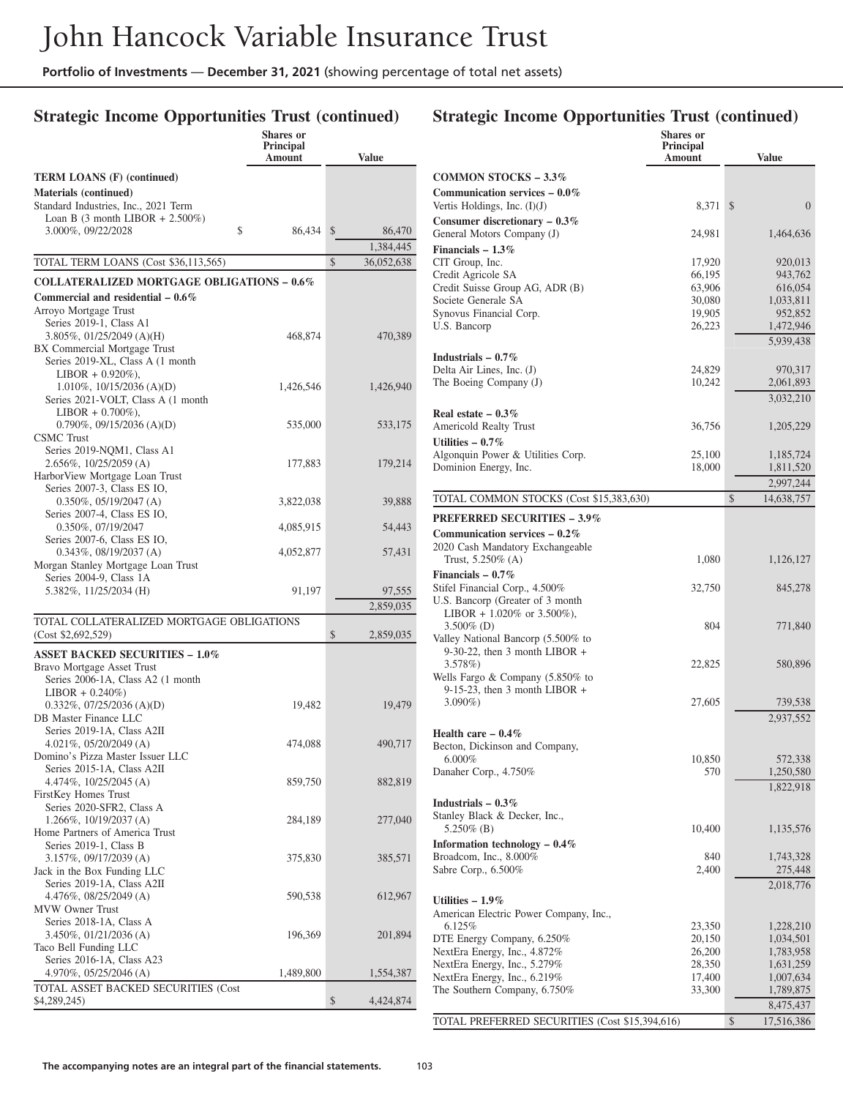# **Strategic Income Opportunities Trust (continued)**

|                                                                  | <b>Shares</b> or<br>Principal<br>Amount | <b>Value</b>                  |
|------------------------------------------------------------------|-----------------------------------------|-------------------------------|
| <b>TERM LOANS (F) (continued)</b>                                |                                         |                               |
| <b>Materials (continued)</b>                                     |                                         |                               |
| Standard Industries, Inc., 2021 Term                             |                                         |                               |
| Loan B $(3 \text{ month LIBOR} + 2.500\%)$                       |                                         |                               |
| 3.000%, 09/22/2028<br>\$                                         | 86,434                                  | $\mathbb{S}$<br>86,470        |
| TOTAL TERM LOANS (Cost \$36,113,565)                             |                                         | 1,384,445<br>\$<br>36,052,638 |
|                                                                  |                                         |                               |
| <b>COLLATERALIZED MORTGAGE OBLIGATIONS - 0.6%</b>                |                                         |                               |
| Commercial and residential $-0.6\%$<br>Arroyo Mortgage Trust     |                                         |                               |
| Series 2019-1, Class A1                                          |                                         |                               |
| 3.805%, 01/25/2049 (A)(H)                                        | 468,874                                 | 470,389                       |
| BX Commercial Mortgage Trust<br>Series 2019-XL, Class A (1 month |                                         |                               |
| $LIBOR + 0.920\%$ ),                                             |                                         |                               |
| 1.010%, 10/15/2036 (A)(D)                                        | 1,426,546                               | 1,426,940                     |
| Series 2021-VOLT, Class A (1 month                               |                                         |                               |
| $LIBOR + 0.700\%$ ),                                             |                                         |                               |
| $0.790\%$ , $09/15/2036$ (A)(D)<br><b>CSMC</b> Trust             | 535,000                                 | 533,175                       |
| Series 2019-NQM1, Class A1                                       |                                         |                               |
| 2.656%, 10/25/2059 (A)                                           | 177,883                                 | 179,214                       |
| HarborView Mortgage Loan Trust                                   |                                         |                               |
| Series 2007-3, Class ES IO,<br>$0.350\%, 05/19/2047$ (A)         | 3,822,038                               | 39,888                        |
| Series 2007-4, Class ES IO,                                      |                                         |                               |
| 0.350%, 07/19/2047                                               | 4,085,915                               | 54,443                        |
| Series 2007-6, Class ES IO,                                      |                                         |                               |
| $0.343\%, 08/19/2037$ (A)<br>Morgan Stanley Mortgage Loan Trust  | 4,052,877                               | 57,431                        |
| Series 2004-9, Class 1A                                          |                                         |                               |
| 5.382%, 11/25/2034 (H)                                           | 91,197                                  | 97,555                        |
|                                                                  |                                         | 2,859,035                     |
| TOTAL COLLATERALIZED MORTGAGE OBLIGATIONS<br>(Cost \$2,692,529)  |                                         | \$<br>2,859,035               |
| <b>ASSET BACKED SECURITIES - 1.0%</b>                            |                                         |                               |
| Bravo Mortgage Asset Trust                                       |                                         |                               |
| Series 2006-1A, Class A2 (1 month<br>$LIBOR + 0.240\%)$          |                                         |                               |
| $0.332\%$ , $07/25/2036$ (A)(D)                                  | 19,482                                  | 19,479                        |
| DB Master Finance LLC                                            |                                         |                               |
| Series 2019-1A, Class A2II                                       |                                         |                               |
| 4.021%, $05/20/2049$ (A)<br>Domino's Pizza Master Issuer LLC     | 474,088                                 | 490,717                       |
| Series 2015-1A, Class A2II                                       |                                         |                               |
| 4.474%, 10/25/2045 (A)                                           | 859,750                                 | 882,819                       |
| FirstKey Homes Trust                                             |                                         |                               |
| Series 2020-SFR2, Class A<br>1.266%, 10/19/2037 (A)              | 284,189                                 |                               |
| Home Partners of America Trust                                   |                                         | 277,040                       |
| Series 2019-1, Class B                                           |                                         |                               |
| 3.157%, 09/17/2039 (A)                                           | 375,830                                 | 385,571                       |
| Jack in the Box Funding LLC                                      |                                         |                               |
| Series 2019-1A, Class A2II<br>4.476%, 08/25/2049 (A)             | 590,538                                 | 612,967                       |
| <b>MVW Owner Trust</b>                                           |                                         |                               |
| Series 2018-1A, Class A                                          |                                         |                               |
| 3.450%, 01/21/2036 (A)                                           | 196,369                                 | 201,894                       |
| Taco Bell Funding LLC<br>Series 2016-1A, Class A23               |                                         |                               |
| 4.970%, 05/25/2046 (A)                                           | 1,489,800                               | 1,554,387                     |
| TOTAL ASSET BACKED SECURITIES (Cost                              |                                         |                               |
| \$4,289,245)                                                     |                                         | \$<br>4,424,874               |

|                                                                         | <b>Shares</b> or<br>Principal |                        |
|-------------------------------------------------------------------------|-------------------------------|------------------------|
|                                                                         | Amount                        | <b>Value</b>           |
| <b>COMMON STOCKS - 3.3%</b>                                             |                               |                        |
| Communication services $-0.0\%$<br>Vertis Holdings, Inc. $(I)(J)$       | 8,371                         | $\overline{0}$<br>\$   |
| Consumer discretionary $-0.3\%$                                         |                               |                        |
| General Motors Company (J)<br>Financials $-1.3\%$                       | 24,981                        | 1,464,636              |
| CIT Group, Inc.                                                         | 17,920                        | 920,013                |
| Credit Agricole SA                                                      | 66,195                        | 943,762                |
| Credit Suisse Group AG, ADR (B)<br>Societe Generale SA                  | 63,906<br>30,080              | 616,054<br>1,033,811   |
| Synovus Financial Corp.                                                 | 19,905                        | 952,852                |
| U.S. Bancorp                                                            | 26,223                        | 1,472,946              |
|                                                                         |                               | 5,939,438              |
| Industrials $-0.7\%$<br>Delta Air Lines, Inc. (J)                       | 24,829                        | 970,317                |
| The Boeing Company (J)                                                  | 10,242                        | 2,061,893              |
|                                                                         |                               | 3,032,210              |
| Real estate $-0.3\%$                                                    |                               |                        |
| Americold Realty Trust<br>Utilities $-0.7\%$                            | 36,756                        | 1,205,229              |
| Algonquin Power & Utilities Corp.                                       | 25,100                        | 1,185,724              |
| Dominion Energy, Inc.                                                   | 18,000                        | 1,811,520              |
|                                                                         |                               | 2,997,244              |
| TOTAL COMMON STOCKS (Cost \$15,383,630)                                 |                               | \$<br>14,638,757       |
| <b>PREFERRED SECURITIES - 3.9%</b>                                      |                               |                        |
| Communication services $-0.2\%$<br>2020 Cash Mandatory Exchangeable     |                               |                        |
| Trust, $5.250\%$ (A)                                                    | 1,080                         | 1,126,127              |
| Financials $-0.7\%$                                                     |                               |                        |
| Stifel Financial Corp., 4.500%<br>U.S. Bancorp (Greater of 3 month)     | 32,750                        | 845,278                |
| LIBOR + 1.020\% or 3.500\%),                                            |                               |                        |
| $3.500\%$ (D)<br>Valley National Bancorp (5.500% to                     | 804                           | 771,840                |
| $9-30-22$ , then 3 month LIBOR +                                        |                               |                        |
| $3.578\%)$                                                              | 22,825                        | 580,896                |
| Wells Fargo & Company $(5.850\%$ to<br>$9-15-23$ , then 3 month LIBOR + |                               |                        |
| $3.090\%)$                                                              | 27,605                        | 739,538                |
|                                                                         |                               | 2,937,552              |
| Health care $-0.4\%$<br>Becton, Dickinson and Company,                  |                               |                        |
| $6.000\%$                                                               | 10,850                        | 572,338                |
| Danaher Corp., 4.750%                                                   | 570                           | 1,250,580              |
|                                                                         |                               | 1,822,918              |
| Industrials $-0.3\%$<br>Stanley Black & Decker, Inc.,                   |                               |                        |
| 5.250% (B)                                                              | 10,400                        | 1,135,576              |
| Information technology - $0.4\,\%$                                      |                               |                        |
| Broadcom, Inc., 8.000%<br>Sabre Corp., 6.500%                           | 840<br>2,400                  | 1,743,328<br>275,448   |
|                                                                         |                               | 2,018,776              |
| Utilities $-1.9\%$                                                      |                               |                        |
| American Electric Power Company, Inc.,<br>6.125%                        |                               |                        |
| DTE Energy Company, 6.250%                                              | 23,350<br>20,150              | 1,228,210<br>1,034,501 |
| NextEra Energy, Inc., 4.872%                                            | 26,200                        | 1,783,958              |
| NextEra Energy, Inc., 5.279%<br>NextEra Energy, Inc., 6.219%            | 28,350<br>17,400              | 1,631,259<br>1,007,634 |
| The Southern Company, 6.750%                                            | 33,300                        | 1,789,875              |
|                                                                         |                               | 8,475,437              |
| TOTAL PREFERRED SECURITIES (Cost \$15,394,616)                          |                               | \$<br>17,516,386       |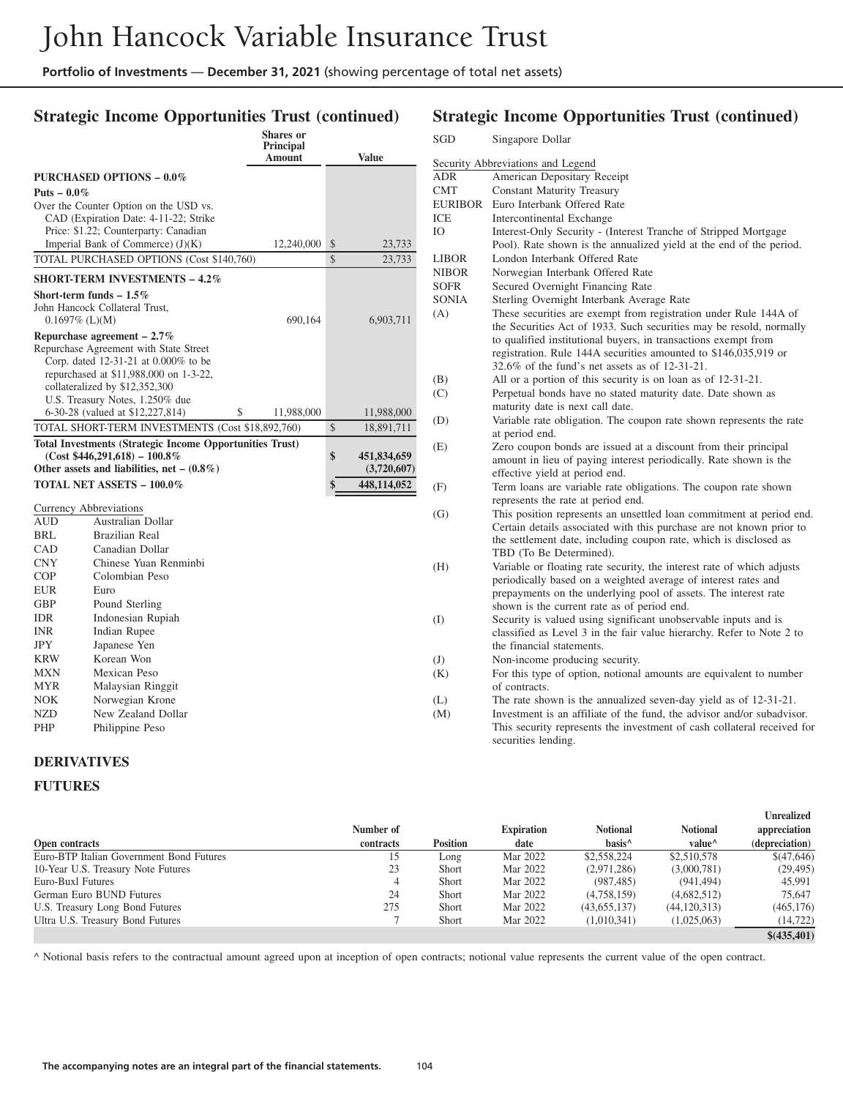## **Strategic Income Opportunities Trust (continued)**

|                               |                                                                                | <b>Shares</b> or<br><b>Principal</b><br>Amount |               | Value            |  |
|-------------------------------|--------------------------------------------------------------------------------|------------------------------------------------|---------------|------------------|--|
|                               |                                                                                |                                                |               |                  |  |
|                               | PURCHASED OPTIONS - 0.0%                                                       |                                                |               |                  |  |
| Puts $-0.0\%$                 |                                                                                |                                                |               |                  |  |
|                               | Over the Counter Option on the USD vs.                                         |                                                |               |                  |  |
|                               | CAD (Expiration Date: 4-11-22; Strike                                          |                                                |               |                  |  |
|                               | Price: \$1.22; Counterparty: Canadian<br>Imperial Bank of Commerce) $(J)(K)$   | 12,240,000                                     | \$            |                  |  |
|                               | TOTAL PURCHASED OPTIONS (Cost \$140,760)                                       |                                                | $\mathcal{S}$ | 23,733<br>23,733 |  |
|                               |                                                                                |                                                |               |                  |  |
|                               | <b>SHORT-TERM INVESTMENTS - 4.2%</b>                                           |                                                |               |                  |  |
|                               | Short-term funds $-1.5\%$                                                      |                                                |               |                  |  |
|                               | John Hancock Collateral Trust,                                                 |                                                |               |                  |  |
| $0.1697\%$ (L)(M)             |                                                                                | 690,164                                        |               | 6,903,711        |  |
|                               | Repurchase agreement $-2.7\%$                                                  |                                                |               |                  |  |
|                               | Repurchase Agreement with State Street<br>Corp. dated 12-31-21 at 0.000% to be |                                                |               |                  |  |
|                               | repurchased at \$11,988,000 on 1-3-22,                                         |                                                |               |                  |  |
|                               | collateralized by \$12,352,300                                                 |                                                |               |                  |  |
|                               | U.S. Treasury Notes, 1.250% due                                                |                                                |               |                  |  |
|                               | 6-30-28 (valued at \$12,227,814)<br>\$                                         | 11,988,000                                     |               | 11,988,000       |  |
|                               | TOTAL SHORT-TERM INVESTMENTS (Cost \$18,892,760)                               |                                                | $\mathcal{S}$ | 18,891,711       |  |
|                               | <b>Total Investments (Strategic Income Opportunities Trust)</b>                |                                                |               |                  |  |
|                               | $(Cost $446,291,618) - 100.8\%$                                                |                                                | \$            | 451,834,659      |  |
|                               | Other assets and liabilities, net $- (0.8\%)$                                  |                                                |               | (3,720,607)      |  |
|                               | TOTAL NET ASSETS - 100.0%                                                      |                                                | \$            | 448,114,052      |  |
|                               |                                                                                |                                                |               |                  |  |
| <b>Currency Abbreviations</b> |                                                                                |                                                |               |                  |  |
| AUD                           | Australian Dollar                                                              |                                                |               |                  |  |
| BRL                           | <b>Brazilian Real</b>                                                          |                                                |               |                  |  |
| CAD                           | Canadian Dollar                                                                |                                                |               |                  |  |
| <b>CNY</b>                    | Chinese Yuan Renminbi                                                          |                                                |               |                  |  |
| COP                           | Colombian Peso                                                                 |                                                |               |                  |  |
| EUR                           | Euro                                                                           |                                                |               |                  |  |
| <b>GBP</b>                    | Pound Sterling                                                                 |                                                |               |                  |  |
| IDR                           | Indonesian Rupiah                                                              |                                                |               |                  |  |
|                               |                                                                                |                                                |               |                  |  |
| INR                           | <b>Indian Rupee</b>                                                            |                                                |               |                  |  |
| <b>JPY</b>                    | Japanese Yen                                                                   |                                                |               |                  |  |
| <b>KRW</b>                    | Korean Won                                                                     |                                                |               |                  |  |
| MXN                           | Mexican Peso                                                                   |                                                |               |                  |  |
| <b>MYR</b>                    | Malaysian Ringgit                                                              |                                                |               |                  |  |
| NOK                           | Norwegian Krone                                                                |                                                |               |                  |  |
| <b>NZD</b><br>PHP             | New Zealand Dollar<br>Philippine Peso                                          |                                                |               |                  |  |

## **Strategic Income Opportunities Trust (continued)**

| SGD          | Singapore Dollar                                                        |
|--------------|-------------------------------------------------------------------------|
|              | Security Abbreviations and Legend                                       |
| ADR          | American Depositary Receipt                                             |
| CMT          | <b>Constant Maturity Treasury</b>                                       |
| EURIBOR      | Euro Interbank Offered Rate                                             |
| ICE          | <b>Intercontinental Exchange</b>                                        |
| IO           | Interest-Only Security - (Interest Tranche of Stripped Mortgage         |
|              | Pool). Rate shown is the annualized yield at the end of the period.     |
| LIBOR        | London Interbank Offered Rate                                           |
| <b>NIBOR</b> | Norwegian Interbank Offered Rate                                        |
| <b>SOFR</b>  | Secured Overnight Financing Rate                                        |
| <b>SONIA</b> | Sterling Overnight Interbank Average Rate                               |
| (A)          | These securities are exempt from registration under Rule 144A of        |
|              | the Securities Act of 1933. Such securities may be resold, normally     |
|              | to qualified institutional buyers, in transactions exempt from          |
|              | registration. Rule 144A securities amounted to \$146,035,919 or         |
|              | 32.6% of the fund's net assets as of 12-31-21.                          |
| (B)          | All or a portion of this security is on loan as of 12-31-21.            |
| (C)          | Perpetual bonds have no stated maturity date. Date shown as             |
|              | maturity date is next call date.                                        |
| (D)          | Variable rate obligation. The coupon rate shown represents the rate     |
|              | at period end.                                                          |
| (E)          | Zero coupon bonds are issued at a discount from their principal         |
|              | amount in lieu of paying interest periodically. Rate shown is the       |
|              | effective yield at period end.                                          |
| (F)          | Term loans are variable rate obligations. The coupon rate shown         |
|              | represents the rate at period end.                                      |
| (G)          | This position represents an unsettled loan commitment at period end.    |
|              | Certain details associated with this purchase are not known prior to    |
|              | the settlement date, including coupon rate, which is disclosed as       |
|              | TBD (To Be Determined).                                                 |
| (H)          | Variable or floating rate security, the interest rate of which adjusts  |
|              | periodically based on a weighted average of interest rates and          |
|              | prepayments on the underlying pool of assets. The interest rate         |
|              | shown is the current rate as of period end.                             |
| (I)          | Security is valued using significant unobservable inputs and is         |
|              | classified as Level 3 in the fair value hierarchy. Refer to Note 2 to   |
|              | the financial statements.                                               |
| (J)          | Non-income producing security.                                          |
| (K)          | For this type of option, notional amounts are equivalent to number      |
|              | of contracts.                                                           |
| (L)          | The rate shown is the annualized seven-day yield as of 12-31-21.        |
| (M)          | Investment is an affiliate of the fund, the advisor and/or subadvisor.  |
|              | This security represents the investment of cash collateral received for |
|              | securities lending.                                                     |

#### **DERIVATIVES**

#### **FUTURES**

|                                          | Number of |                 | <b>Expiration</b> | <b>Notional</b>    | <b>Notional</b>    | <b>Unrealized</b><br>appreciation |
|------------------------------------------|-----------|-----------------|-------------------|--------------------|--------------------|-----------------------------------|
| Open contracts                           | contracts | <b>Position</b> | date              | basis <sup>^</sup> | value <sup>^</sup> | (depreciation)                    |
| Euro-BTP Italian Government Bond Futures | 15        | Long            | Mar 2022          | \$2,558,224        | \$2,510,578        | \$(47,646)                        |
| 10-Year U.S. Treasury Note Futures       | 23        | <b>Short</b>    | Mar 2022          | (2,971,286)        | (3,000,781)        | (29, 495)                         |
| Euro-Buxl Futures                        | 4         | <b>Short</b>    | Mar 2022          | (987, 485)         | (941.494)          | 45.991                            |
| German Euro BUND Futures                 | 24        | Short           | Mar 2022          | (4,758,159)        | (4,682,512)        | 75.647                            |
| U.S. Treasury Long Bond Futures          | 275       | <b>Short</b>    | Mar 2022          | (43,655,137)       | (44, 120, 313)     | (465, 176)                        |
| Ultra U.S. Treasury Bond Futures         |           | <b>Short</b>    | Mar 2022          | (1,010,341)        | (1,025,063)        | (14, 722)                         |
|                                          |           |                 |                   |                    |                    | \$(435, 401)                      |

^ Notional basis refers to the contractual amount agreed upon at inception of open contracts; notional value represents the current value of the open contract.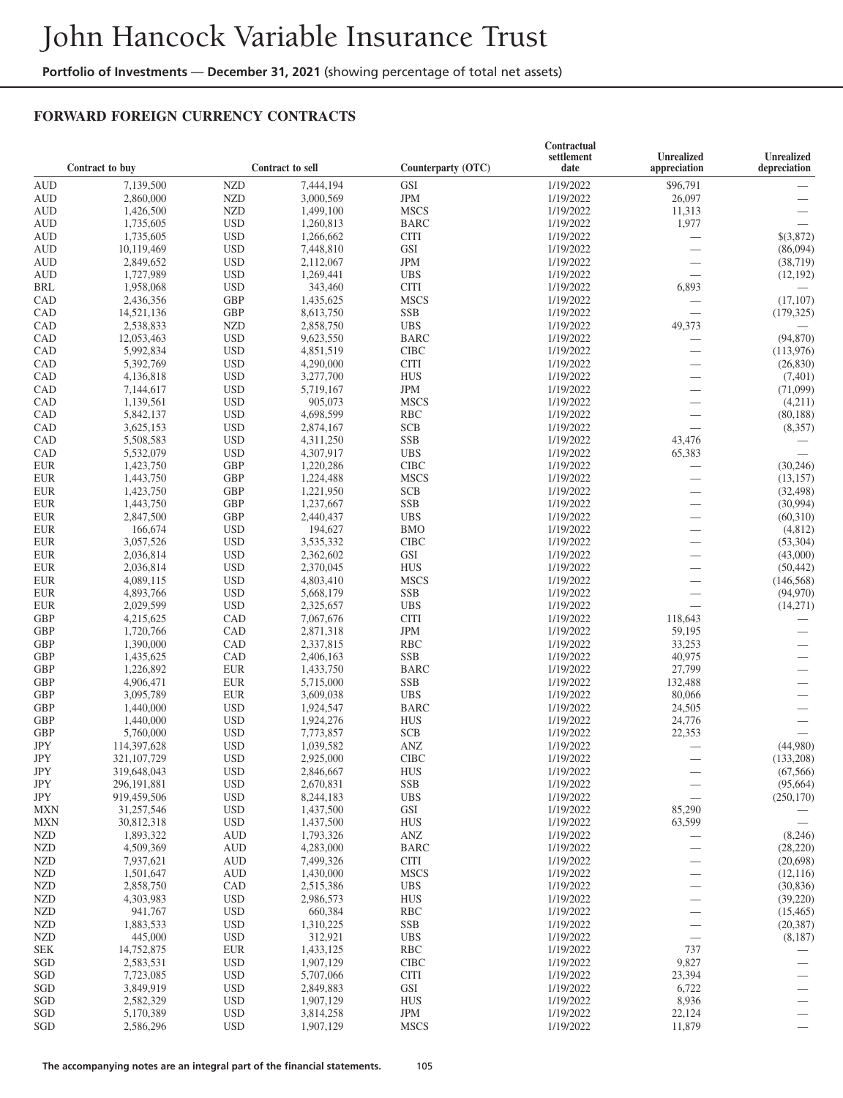#### **FORWARD FOREIGN CURRENCY CONTRACTS**

|                          |                              |                          |                        |                          | Contractual            |                                   |                                |
|--------------------------|------------------------------|--------------------------|------------------------|--------------------------|------------------------|-----------------------------------|--------------------------------|
|                          | Contract to buy              |                          | Contract to sell       | Counterparty (OTC)       | settlement<br>date     | <b>Unrealized</b><br>appreciation | Unrealized<br>depreciation     |
| <b>AUD</b>               | 7,139,500                    | <b>NZD</b>               | 7,444,194              | GSI                      | 1/19/2022              | \$96,791                          |                                |
| <b>AUD</b>               | 2,860,000                    | <b>NZD</b>               | 3,000,569              | <b>JPM</b>               | 1/19/2022              | 26,097                            |                                |
| <b>AUD</b>               | 1,426,500                    | <b>NZD</b>               | 1,499,100              | <b>MSCS</b>              | 1/19/2022              | 11,313                            |                                |
| <b>AUD</b>               | 1,735,605                    | <b>USD</b>               | 1,260,813              | <b>BARC</b>              | 1/19/2022              | 1,977                             |                                |
| <b>AUD</b>               | 1,735,605                    | <b>USD</b>               | 1,266,662              | <b>CITI</b>              | 1/19/2022              |                                   | \$(3,872)                      |
| <b>AUD</b>               | 10,119,469                   | <b>USD</b>               | 7,448,810              | GSI                      | 1/19/2022              |                                   | (86,094)                       |
| <b>AUD</b>               | 2,849,652                    | <b>USD</b>               | 2,112,067              | <b>JPM</b>               | 1/19/2022              | $\qquad \qquad$                   | (38, 719)                      |
| <b>AUD</b>               | 1,727,989                    | <b>USD</b>               | 1,269,441              | <b>UBS</b>               | 1/19/2022              |                                   | (12, 192)                      |
| BRL                      | 1,958,068                    | <b>USD</b>               | 343,460                | <b>CITI</b>              | 1/19/2022              | 6,893                             |                                |
| CAD                      | 2,436,356                    | <b>GBP</b>               | 1,435,625              | <b>MSCS</b>              | 1/19/2022              |                                   | (17, 107)                      |
| CAD                      | 14,521,136                   | <b>GBP</b>               | 8,613,750              | <b>SSB</b>               | 1/19/2022              |                                   | (179, 325)                     |
| CAD                      | 2,538,833                    | <b>NZD</b>               | 2,858,750              | <b>UBS</b>               | 1/19/2022              | 49,373                            |                                |
| CAD                      | 12,053,463                   | <b>USD</b>               | 9,623,550              | <b>BARC</b>              | 1/19/2022              |                                   | (94, 870)                      |
| CAD                      | 5,992,834                    | <b>USD</b>               | 4,851,519              | <b>CIBC</b>              | 1/19/2022              | $\overline{\phantom{0}}$          | (113, 976)                     |
| CAD                      | 5,392,769                    | <b>USD</b>               | 4,290,000              | <b>CITI</b>              | 1/19/2022              |                                   | (26, 830)                      |
| CAD                      | 4,136,818                    | <b>USD</b>               | 3,277,700              | <b>HUS</b>               | 1/19/2022              | $\overline{\phantom{0}}$          | (7,401)                        |
| CAD                      | 7,144,617                    | <b>USD</b>               | 5,719,167              | <b>JPM</b>               | 1/19/2022              |                                   | (71,099)                       |
| CAD                      | 1,139,561                    | <b>USD</b>               | 905,073                | <b>MSCS</b>              | 1/19/2022              |                                   | (4,211)                        |
| CAD                      | 5,842,137                    | <b>USD</b>               | 4,698,599              | <b>RBC</b>               | 1/19/2022              |                                   | (80, 188)                      |
| CAD                      | 3,625,153                    | <b>USD</b>               | 2,874,167              | <b>SCB</b>               | 1/19/2022              | $\qquad \qquad$                   | (8,357)                        |
| CAD                      | 5,508,583                    | <b>USD</b>               | 4,311,250              | <b>SSB</b>               | 1/19/2022              | 43,476                            |                                |
| CAD                      | 5,532,079                    | <b>USD</b>               | 4,307,917              | <b>UBS</b>               | 1/19/2022              | 65,383                            |                                |
| <b>EUR</b>               | 1,423,750                    | <b>GBP</b>               | 1,220,286              | <b>CIBC</b>              | 1/19/2022              |                                   | (30, 246)                      |
| <b>EUR</b>               | 1,443,750                    | <b>GBP</b>               | 1,224,488              | <b>MSCS</b>              | 1/19/2022              |                                   | (13, 157)                      |
| <b>EUR</b>               | 1,423,750                    | <b>GBP</b>               | 1,221,950              | <b>SCB</b>               | 1/19/2022              |                                   | (32, 498)                      |
| <b>EUR</b>               | 1,443,750                    | <b>GBP</b>               | 1,237,667              | <b>SSB</b>               | 1/19/2022              | $\overline{\phantom{0}}$          | (30,994)                       |
| <b>EUR</b>               | 2,847,500                    | <b>GBP</b>               | 2,440,437              | <b>UBS</b>               | 1/19/2022              |                                   | (60,310)                       |
| <b>EUR</b>               | 166,674                      | <b>USD</b>               | 194,627                | <b>BMO</b>               | 1/19/2022              | $\overline{\phantom{0}}$          | (4,812)                        |
| <b>EUR</b>               | 3,057,526                    | <b>USD</b>               | 3,535,332              | <b>CIBC</b>              | 1/19/2022              | $\overline{\phantom{0}}$          | (53,304)                       |
| <b>EUR</b>               | 2,036,814                    | <b>USD</b>               | 2,362,602              | <b>GSI</b>               | 1/19/2022              | $\overline{\phantom{0}}$          | (43,000)                       |
| <b>EUR</b>               | 2,036,814                    | <b>USD</b>               | 2,370,045              | <b>HUS</b>               | 1/19/2022              | $\overline{\phantom{0}}$          | (50, 442)                      |
| <b>EUR</b>               | 4,089,115                    | <b>USD</b>               | 4,803,410              | <b>MSCS</b>              | 1/19/2022              | $\overline{\phantom{0}}$          | (146, 568)                     |
| <b>EUR</b>               | 4,893,766                    | <b>USD</b>               | 5,668,179              | <b>SSB</b>               | 1/19/2022              | $\overbrace{\phantom{12322111}}$  | (94, 970)                      |
| <b>EUR</b>               | 2,029,599                    | <b>USD</b>               | 2,325,657              | <b>UBS</b>               | 1/19/2022              |                                   | (14,271)                       |
| <b>GBP</b>               | 4,215,625                    | CAD                      | 7,067,676              | <b>CITI</b>              | 1/19/2022              | 118,643                           |                                |
| <b>GBP</b>               | 1,720,766                    | CAD                      | 2,871,318              | <b>JPM</b>               | 1/19/2022              | 59,195                            |                                |
| <b>GBP</b>               | 1,390,000                    | CAD                      | 2,337,815              | <b>RBC</b>               | 1/19/2022              | 33,253                            |                                |
| <b>GBP</b>               | 1,435,625                    | CAD                      | 2,406,163              | <b>SSB</b>               | 1/19/2022              | 40,975                            |                                |
| <b>GBP</b>               | 1,226,892                    | <b>EUR</b>               | 1,433,750              | <b>BARC</b>              | 1/19/2022              | 27,799                            | $\qquad \qquad$                |
| <b>GBP</b>               | 4,906,471                    | <b>EUR</b>               | 5,715,000              | <b>SSB</b>               | 1/19/2022              | 132,488                           | $\overbrace{\phantom{123321}}$ |
| <b>GBP</b>               | 3,095,789                    | <b>EUR</b>               | 3,609,038              | <b>UBS</b>               | 1/19/2022              | 80,066                            |                                |
| <b>GBP</b>               | 1,440,000                    | <b>USD</b>               | 1,924,547              | <b>BARC</b>              | 1/19/2022              | 24,505                            |                                |
| <b>GBP</b><br><b>GBP</b> | 1,440,000                    | <b>USD</b><br><b>USD</b> | 1,924,276              | <b>HUS</b><br><b>SCB</b> | 1/19/2022              | 24,776<br>22,353                  |                                |
| <b>JPY</b>               | 5,760,000                    | <b>USD</b>               | 7,773,857              | <b>ANZ</b>               | 1/19/2022<br>1/19/2022 |                                   | (44,980)                       |
| JPY                      | 114,397,628<br>321, 107, 729 | <b>USD</b>               | 1,039,582<br>2,925,000 | <b>CIBC</b>              | 1/19/2022              | $\overline{\phantom{0}}$          | (133,208)                      |
| JPY                      | 319,648,043                  | <b>USD</b>               | 2,846,667              | <b>HUS</b>               | 1/19/2022              | $\overbrace{\phantom{12322111}}$  | (67, 566)                      |
| JPY                      | 296,191,881                  | <b>USD</b>               | 2,670,831              | <b>SSB</b>               | 1/19/2022              |                                   | (95, 664)                      |
| JPY                      | 919,459,506                  | <b>USD</b>               | 8,244,183              | <b>UBS</b>               | 1/19/2022              |                                   | (250, 170)                     |
| <b>MXN</b>               | 31,257,546                   | <b>USD</b>               | 1,437,500              | GSI                      | 1/19/2022              | 85,290                            |                                |
| <b>MXN</b>               | 30,812,318                   | <b>USD</b>               | 1,437,500              | <b>HUS</b>               | 1/19/2022              | 63,599                            |                                |
| <b>NZD</b>               | 1,893,322                    | <b>AUD</b>               | 1,793,326              | $\mathbf{ANZ}$           | 1/19/2022              | $\overline{\phantom{m}}$          | (8,246)                        |
| <b>NZD</b>               | 4,509,369                    | <b>AUD</b>               | 4,283,000              | <b>BARC</b>              | 1/19/2022              |                                   | (28, 220)                      |
| <b>NZD</b>               | 7,937,621                    | <b>AUD</b>               | 7,499,326              | <b>CITI</b>              | 1/19/2022              |                                   | (20,698)                       |
| <b>NZD</b>               | 1,501,647                    | <b>AUD</b>               | 1,430,000              | <b>MSCS</b>              | 1/19/2022              |                                   | (12, 116)                      |
| <b>NZD</b>               | 2,858,750                    | CAD                      | 2,515,386              | <b>UBS</b>               | 1/19/2022              |                                   | (30, 836)                      |
| <b>NZD</b>               | 4,303,983                    | <b>USD</b>               | 2,986,573              | <b>HUS</b>               | 1/19/2022              |                                   | (39,220)                       |
| <b>NZD</b>               | 941,767                      | <b>USD</b>               | 660,384                | <b>RBC</b>               | 1/19/2022              |                                   | (15, 465)                      |
| <b>NZD</b>               | 1,883,533                    | <b>USD</b>               | 1,310,225              | <b>SSB</b>               | 1/19/2022              |                                   | (20, 387)                      |
| <b>NZD</b>               | 445,000                      | <b>USD</b>               | 312,921                | <b>UBS</b>               | 1/19/2022              |                                   | (8,187)                        |
| <b>SEK</b>               | 14,752,875                   | EUR                      | 1,433,125              | <b>RBC</b>               | 1/19/2022              | 737                               |                                |
| SGD                      | 2,583,531                    | <b>USD</b>               | 1,907,129              | <b>CIBC</b>              | 1/19/2022              | 9,827                             |                                |
| SGD                      | 7,723,085                    | <b>USD</b>               | 5,707,066              | <b>CITI</b>              | 1/19/2022              | 23,394                            |                                |
| SGD                      | 3,849,919                    | <b>USD</b>               | 2,849,883              | GSI                      | 1/19/2022              | 6,722                             |                                |
| SGD                      | 2,582,329                    | <b>USD</b>               | 1,907,129              | <b>HUS</b>               | 1/19/2022              | 8,936                             |                                |
| SGD                      | 5,170,389                    | <b>USD</b>               | 3,814,258              | JPM                      | 1/19/2022              | 22,124                            |                                |
| $\operatorname{SGD}$     | 2,586,296                    | <b>USD</b>               | 1,907,129              | <b>MSCS</b>              | 1/19/2022              | 11,879                            |                                |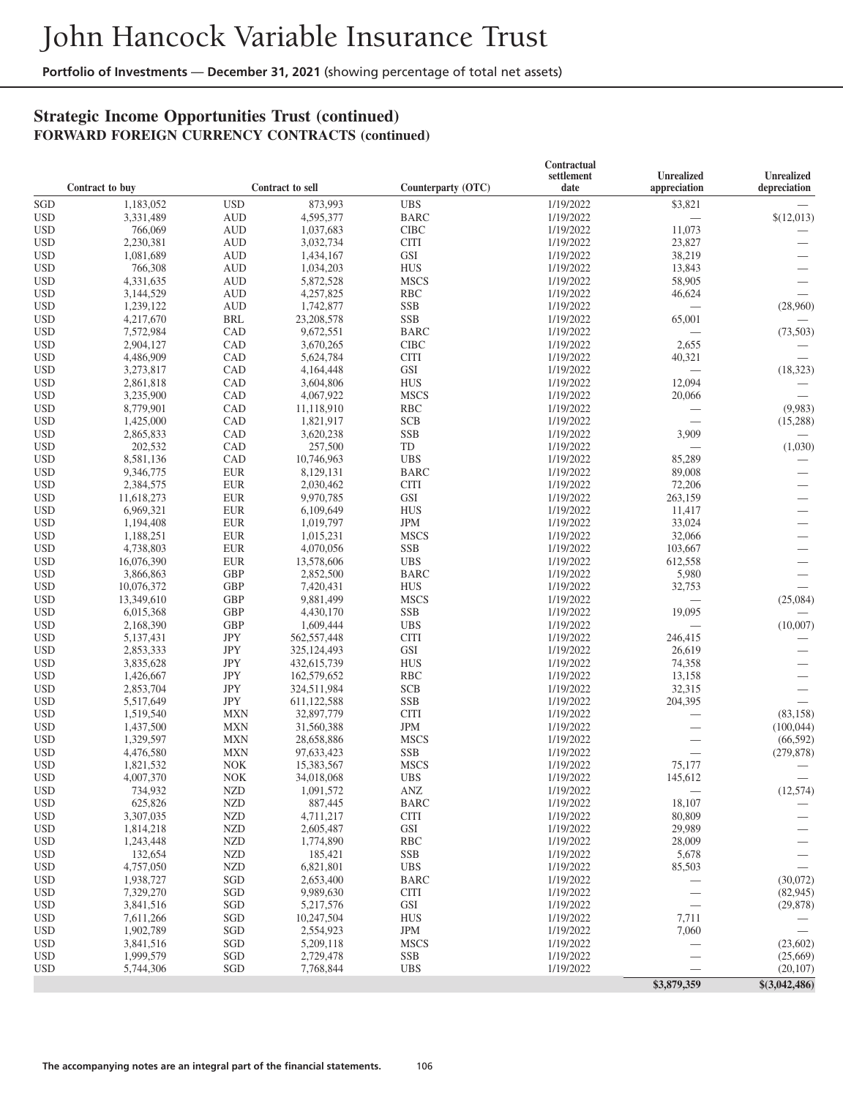## **Strategic Income Opportunities Trust (continued) FORWARD FOREIGN CURRENCY CONTRACTS (continued)**

|                          |                         |                              |                         |                           | Contractual            |                            |                            |
|--------------------------|-------------------------|------------------------------|-------------------------|---------------------------|------------------------|----------------------------|----------------------------|
|                          | Contract to buy         |                              | <b>Contract to sell</b> | Counterparty (OTC)        | settlement<br>date     | Unrealized<br>appreciation | Unrealized<br>depreciation |
| SGD                      | 1,183,052               | <b>USD</b>                   | 873,993                 | <b>UBS</b>                | 1/19/2022              | \$3,821                    |                            |
| <b>USD</b>               | 3,331,489               | <b>AUD</b>                   | 4,595,377               | <b>BARC</b>               | 1/19/2022              |                            | \$(12,013)                 |
| <b>USD</b>               | 766,069                 | <b>AUD</b>                   | 1,037,683               | <b>CIBC</b>               | 1/19/2022              | 11,073                     |                            |
| <b>USD</b>               | 2,230,381               | <b>AUD</b>                   | 3,032,734               | <b>CITI</b>               | 1/19/2022              | 23,827                     |                            |
| <b>USD</b>               | 1,081,689               | <b>AUD</b>                   | 1,434,167               | GSI                       | 1/19/2022              | 38,219                     |                            |
| <b>USD</b>               | 766,308                 | <b>AUD</b>                   | 1,034,203               | <b>HUS</b>                | 1/19/2022              | 13,843                     |                            |
| <b>USD</b>               | 4,331,635               | <b>AUD</b>                   | 5,872,528               | <b>MSCS</b>               | 1/19/2022              | 58,905                     |                            |
| <b>USD</b>               | 3,144,529               | <b>AUD</b>                   | 4,257,825               | <b>RBC</b>                | 1/19/2022              | 46,624                     |                            |
| <b>USD</b>               | 1,239,122               | <b>AUD</b>                   | 1,742,877               | <b>SSB</b>                | 1/19/2022              | $\overline{\phantom{0}}$   | (28,960)                   |
| <b>USD</b>               | 4,217,670               | <b>BRL</b>                   | 23,208,578              | <b>SSB</b>                | 1/19/2022              | 65,001                     |                            |
| <b>USD</b>               | 7,572,984               | CAD                          | 9,672,551               | <b>BARC</b>               | 1/19/2022              | $\overline{\phantom{0}}$   | (73, 503)                  |
| <b>USD</b>               | 2,904,127               | CAD                          | 3,670,265               | <b>CIBC</b>               | 1/19/2022              | 2,655                      |                            |
| <b>USD</b>               | 4,486,909               | CAD                          | 5,624,784               | <b>CITI</b>               | 1/19/2022              | 40,321                     |                            |
| <b>USD</b>               | 3,273,817               | CAD                          | 4,164,448               | GSI                       | 1/19/2022              | $\equiv$                   | (18, 323)                  |
| <b>USD</b>               | 2,861,818               | CAD                          | 3,604,806               | <b>HUS</b>                | 1/19/2022              | 12,094                     |                            |
| <b>USD</b>               | 3,235,900               | CAD                          | 4,067,922               | <b>MSCS</b>               | 1/19/2022              | 20,066                     |                            |
| <b>USD</b>               | 8,779,901               | CAD                          | 11,118,910              | <b>RBC</b>                | 1/19/2022              |                            | (9,983)                    |
| <b>USD</b>               | 1,425,000               | CAD                          | 1,821,917               | <b>SCB</b>                | 1/19/2022              | $\overline{\phantom{0}}$   | (15,288)                   |
|                          |                         | CAD                          |                         | <b>SSB</b>                |                        | 3,909                      |                            |
| <b>USD</b>               | 2,865,833               |                              | 3,620,238               |                           | 1/19/2022              |                            |                            |
| <b>USD</b>               | 202,532                 | CAD                          | 257,500                 | TD                        | 1/19/2022              |                            | (1,030)                    |
| <b>USD</b>               | 8,581,136               | CAD                          | 10,746,963              | <b>UBS</b>                | 1/19/2022              | 85,289                     |                            |
| <b>USD</b>               | 9,346,775               | <b>EUR</b>                   | 8,129,131               | <b>BARC</b>               | 1/19/2022              | 89,008                     |                            |
| <b>USD</b>               | 2,384,575               | <b>EUR</b>                   | 2,030,462               | <b>CITI</b>               | 1/19/2022              | 72,206                     |                            |
| <b>USD</b>               | 11,618,273              | <b>EUR</b>                   | 9,970,785               | GSI                       | 1/19/2022              | 263,159                    |                            |
| <b>USD</b>               | 6,969,321               | <b>EUR</b>                   | 6,109,649               | <b>HUS</b>                | 1/19/2022              | 11,417                     |                            |
| <b>USD</b>               | 1,194,408               | <b>EUR</b>                   | 1,019,797               | <b>JPM</b>                | 1/19/2022<br>1/19/2022 | 33,024                     |                            |
| <b>USD</b>               | 1,188,251               | <b>EUR</b>                   | 1,015,231               | <b>MSCS</b>               |                        | 32,066                     | $\overline{\phantom{0}}$   |
| <b>USD</b><br><b>USD</b> | 4,738,803<br>16,076,390 | <b>EUR</b><br><b>EUR</b>     | 4,070,056               | <b>SSB</b><br><b>UBS</b>  | 1/19/2022<br>1/19/2022 | 103,667<br>612,558         | $\overline{\phantom{0}}$   |
| <b>USD</b>               |                         | <b>GBP</b>                   | 13,578,606              |                           | 1/19/2022              |                            |                            |
| <b>USD</b>               | 3,866,863               | <b>GBP</b>                   | 2,852,500<br>7,420,431  | <b>BARC</b><br><b>HUS</b> |                        | 5,980<br>32,753            | $\overline{\phantom{0}}$   |
|                          | 10,076,372              |                              |                         |                           | 1/19/2022              |                            |                            |
| <b>USD</b>               | 13,349,610              | <b>GBP</b>                   | 9,881,499               | <b>MSCS</b>               | 1/19/2022              | $\equiv$                   | (25,084)                   |
| <b>USD</b>               | 6,015,368               | <b>GBP</b>                   | 4,430,170               | <b>SSB</b>                | 1/19/2022              | 19,095                     |                            |
| <b>USD</b>               | 2,168,390               | <b>GBP</b>                   | 1,609,444               | <b>UBS</b>                | 1/19/2022              |                            | (10,007)                   |
| <b>USD</b>               | 5,137,431               | $\mathrm{JPY}$<br><b>JPY</b> | 562,557,448             | <b>CITI</b>               | 1/19/2022              | 246,415                    |                            |
| <b>USD</b>               | 2,853,333               |                              | 325,124,493             | GSI                       | 1/19/2022              | 26,619                     |                            |
| <b>USD</b>               | 3,835,628               | <b>JPY</b><br><b>JPY</b>     | 432,615,739             | <b>HUS</b>                | 1/19/2022              | 74,358                     |                            |
| <b>USD</b>               | 1,426,667               |                              | 162,579,652             | <b>RBC</b>                | 1/19/2022              | 13,158                     | $\overline{\phantom{0}}$   |
| <b>USD</b>               | 2,853,704               | $\mathrm{JPY}$               | 324,511,984             | <b>SCB</b>                | 1/19/2022              | 32,315                     |                            |
| <b>USD</b>               | 5,517,649               | $\mathrm{JPY}$               | 611,122,588             | <b>SSB</b>                | 1/19/2022              | 204,395                    |                            |
| <b>USD</b>               | 1,519,540               | <b>MXN</b>                   | 32,897,779              | <b>CITI</b>               | 1/19/2022              | $\overline{\phantom{0}}$   | (83, 158)                  |
| <b>USD</b>               | 1,437,500               | <b>MXN</b>                   | 31,560,388              | <b>JPM</b>                | 1/19/2022              | $\overline{\phantom{0}}$   | (100, 044)                 |
| <b>USD</b>               | 1,329,597               | <b>MXN</b>                   | 28,658,886              | <b>MSCS</b>               | 1/19/2022              |                            | (66, 592)                  |
| <b>USD</b>               | 4,476,580               | <b>MXN</b>                   | 97,633,423              | <b>SSB</b><br><b>MSCS</b> | 1/19/2022              |                            | (279, 878)                 |
| <b>USD</b>               | 1,821,532               | <b>NOK</b>                   | 15,383,567              |                           | 1/19/2022<br>1/19/2022 | 75,177                     |                            |
| <b>USD</b>               | 4,007,370               | <b>NOK</b>                   | 34,018,068              | <b>UBS</b>                |                        | 145,612                    |                            |
| <b>USD</b>               | 734,932                 | <b>NZD</b>                   | 1,091,572               | ANZ                       | 1/19/2022              |                            | (12, 574)                  |
| <b>USD</b>               | 625,826                 | <b>NZD</b>                   | 887,445                 | <b>BARC</b>               | 1/19/2022              | 18,107                     |                            |
| <b>USD</b>               | 3,307,035               | <b>NZD</b>                   | 4,711,217               | <b>CITI</b>               | 1/19/2022              | 80,809                     |                            |
| <b>USD</b>               | 1,814,218               | <b>NZD</b>                   | 2,605,487               | GSI                       | 1/19/2022              | 29,989                     |                            |
| USD                      | 1,243,448               | <b>NZD</b>                   | 1,774,890               | <b>RBC</b>                | 1/19/2022              | 28,009                     |                            |
| <b>USD</b>               | 132,654                 | <b>NZD</b>                   | 185,421                 | SSB                       | 1/19/2022              | 5,678                      |                            |
| <b>USD</b>               | 4,757,050               | <b>NZD</b>                   | 6,821,801               | <b>UBS</b>                | 1/19/2022              | 85,503                     |                            |
| <b>USD</b>               | 1,938,727               | SGD                          | 2,653,400               | <b>BARC</b>               | 1/19/2022              |                            | (30,072)                   |
| USD                      | 7,329,270               | SGD                          | 9,989,630               | <b>CITI</b>               | 1/19/2022              | $\overline{\phantom{m}}$   | (82, 945)                  |
| <b>USD</b>               | 3,841,516               | SGD                          | 5,217,576               | GSI                       | 1/19/2022              |                            | (29, 878)                  |
| <b>USD</b>               | 7,611,266               | SGD                          | 10,247,504              | <b>HUS</b>                | 1/19/2022              | 7,711                      |                            |
| <b>USD</b>               | 1,902,789               | SGD                          | 2,554,923               | JPM                       | 1/19/2022              | 7,060                      |                            |
| USD                      | 3,841,516               | SGD                          | 5,209,118               | <b>MSCS</b>               | 1/19/2022              |                            | (23,602)                   |
| <b>USD</b>               | 1,999,579               | SGD                          | 2,729,478               | <b>SSB</b>                | 1/19/2022              |                            | (25,669)                   |
| <b>USD</b>               | 5,744,306               | SGD                          | 7,768,844               | <b>UBS</b>                | 1/19/2022              |                            | (20, 107)                  |
|                          |                         |                              |                         |                           |                        | \$3,879,359                | \$(3,042,486)              |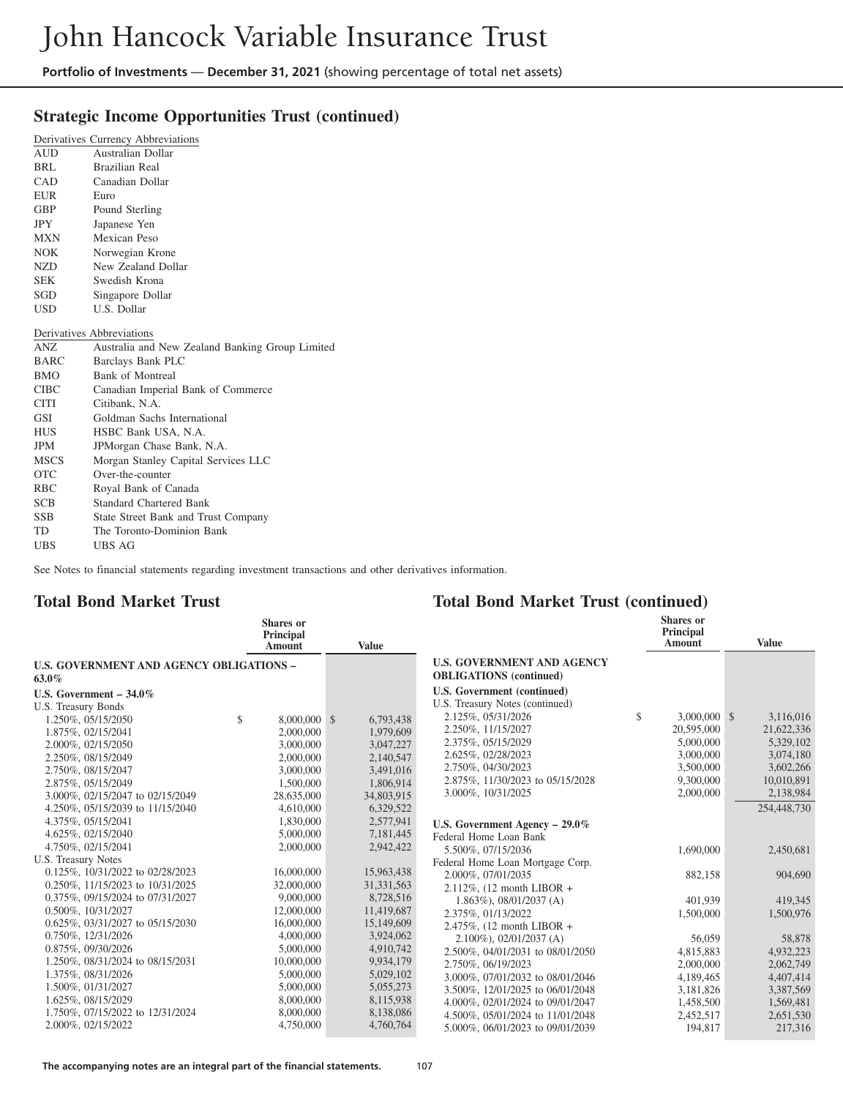## **Strategic Income Opportunities Trust (continued)**

|             | Derivatives Currency Abbreviations              |
|-------------|-------------------------------------------------|
| <b>AUD</b>  | Australian Dollar                               |
| BRL         | <b>Brazilian Real</b>                           |
| <b>CAD</b>  | Canadian Dollar                                 |
| EUR         | Euro                                            |
| GBP.        | Pound Sterling                                  |
| JPY         | Japanese Yen                                    |
| <b>MXN</b>  | Mexican Peso                                    |
| NOK.        | Norwegian Krone                                 |
| NZD         | New Zealand Dollar                              |
| <b>SEK</b>  | Swedish Krona                                   |
| SGD         | Singapore Dollar                                |
| USD.        | U.S. Dollar                                     |
|             | Derivatives Abbreviations                       |
| ANZ         | Australia and New Zealand Banking Group Limited |
| <b>BARC</b> | Barclays Bank PLC                               |
| <b>BMO</b>  | <b>Bank of Montreal</b>                         |
| <b>CIBC</b> | Canadian Imperial Bank of Commerce              |
| CITI        | Citibank, N.A.                                  |
| GSI         | Goldman Sachs International                     |
| <b>HUS</b>  | HSBC Bank USA, N.A.                             |
| JPM         | JPMorgan Chase Bank, N.A.                       |
| <b>MSCS</b> | Morgan Stanley Capital Services LLC             |
| <b>OTC</b>  | Over-the-counter                                |
| <b>RBC</b>  | Royal Bank of Canada                            |
| SCB.        | <b>Standard Chartered Bank</b>                  |
| <b>SSB</b>  | State Street Bank and Trust Company             |
| TD          | The Toronto-Dominion Bank                       |
| <b>UBS</b>  | UBS AG                                          |

See Notes to financial statements regarding investment transactions and other derivatives information.

#### **Total Bond Market Trust**

#### **Total Bond Market Trust (continued)**

| <b>Shares</b> or<br>Shares or<br>Principal<br><b>Principal</b>                                                                  |                             |
|---------------------------------------------------------------------------------------------------------------------------------|-----------------------------|
| Amount<br><b>Value</b><br>Amount                                                                                                | <b>Value</b>                |
| <b>U.S. GOVERNMENT AND AGENCY</b><br><b>U.S. GOVERNMENT AND AGENCY OBLIGATIONS -</b><br><b>OBLIGATIONS</b> (continued)<br>63.0% |                             |
| U.S. Government (continued)<br>U.S. Government $-34.0\%$                                                                        |                             |
| U.S. Treasury Notes (continued)<br>U.S. Treasury Bonds                                                                          |                             |
| \$<br>2.125%, 05/31/2026<br>8,000,000 \$<br>1.250%, 05/15/2050<br>\$<br>6,793,438                                               | $3,000,000$ \$<br>3,116,016 |
| 2.250%, 11/15/2027<br>2,000,000<br>1,979,609<br>1.875%, 02/15/2041                                                              | 20,595,000<br>21,622,336    |
| 2.375%, 05/15/2029<br>3,000,000<br>3.047.227<br>2.000%, 02/15/2050                                                              | 5,000,000<br>5,329,102      |
| 2.625%, 02/28/2023<br>2,000,000<br>2.250%, 08/15/2049<br>2,140,547                                                              | 3,074,180<br>3,000,000      |
| 2.750%, 04/30/2023<br>3,000,000<br>3,491,016<br>2.750%, 08/15/2047                                                              | 3,500,000<br>3,602,266      |
| 2.875%, 11/30/2023 to 05/15/2028<br>1,806,914<br>2.875%, 05/15/2049<br>1,500,000                                                | 10,010,891<br>9,300,000     |
| 3.000%, 10/31/2025<br>3.000%, 02/15/2047 to 02/15/2049<br>28,635,000<br>34,803,915                                              | 2,138,984<br>2,000,000      |
| 4,610,000<br>6.329.522<br>4.250%, 05/15/2039 to 11/15/2040                                                                      | 254,448,730                 |
| 1,830,000<br>2,577,941<br>4.375%, 05/15/2041<br>U.S. Government Agency $-29.0\%$                                                |                             |
| 4.625%, 02/15/2040<br>7,181,445<br>5,000,000<br>Federal Home Loan Bank                                                          |                             |
| 2,942,422<br>4.750%, 02/15/2041<br>2,000,000<br>5.500%, 07/15/2036                                                              | 2,450,681<br>1,690,000      |
| U.S. Treasury Notes<br>Federal Home Loan Mortgage Corp.                                                                         |                             |
| 0.125%, 10/31/2022 to 02/28/2023<br>15,963,438<br>16,000,000<br>2.000%, 07/01/2035                                              | 882,158<br>904,690          |
| 0.250\%, 11/15/2023 to 10/31/2025<br>32,000,000<br>31, 331, 563<br>2.112%, $(12 \text{ month LIBOR } +$                         |                             |
| 9,000,000<br>8,728,516<br>0.375%, 09/15/2024 to 07/31/2027<br>$1.863\%$ , 08/01/2037 (A)                                        | 419,345<br>401,939          |
| 12,000,000<br>11,419,687<br>0.500%, 10/31/2027<br>2.375%, 01/13/2022                                                            | 1,500,000<br>1,500,976      |
| 16,000,000<br>15,149,609<br>0.625%, 03/31/2027 to 05/15/2030<br>2.475%, $(12 \text{ month LIBOR } +$                            |                             |
| 0.750%, 12/31/2026<br>4,000,000<br>3,924,062<br>$2.100\%$ , 02/01/2037 (A)                                                      | 56,059<br>58,878            |
| 5,000,000<br>4,910,742<br>$0.875\%$ , 09/30/2026<br>2.500%, 04/01/2031 to 08/01/2050                                            | 4,815,883<br>4,932,223      |
| 9,934,179<br>1.250%, 08/31/2024 to 08/15/2031<br>10,000,000<br>2.750\%, 06/19/2023                                              | 2,000,000<br>2,062,749      |
| 1.375%, 08/31/2026<br>5,000,000<br>5,029,102<br>3.000%, 07/01/2032 to 08/01/2046                                                | 4,189,465<br>4,407,414      |
| 1.500%, 01/31/2027<br>5,000,000<br>5,055,273<br>3.500%, 12/01/2025 to 06/01/2048                                                | 3,387,569<br>3,181,826      |
| 1.625%, 08/15/2029<br>8,000,000<br>8,115,938<br>4.000%, 02/01/2024 to 09/01/2047                                                | 1,569,481<br>1,458,500      |
| 8,000,000<br>8,138,086<br>1.750%, 07/15/2022 to 12/31/2024<br>4.500%, 05/01/2024 to 11/01/2048                                  | 2,651,530<br>2,452,517      |
| 4,760,764<br>2.000%, 02/15/2022<br>4,750,000<br>5.000%, 06/01/2023 to 09/01/2039                                                | 194,817<br>217,316          |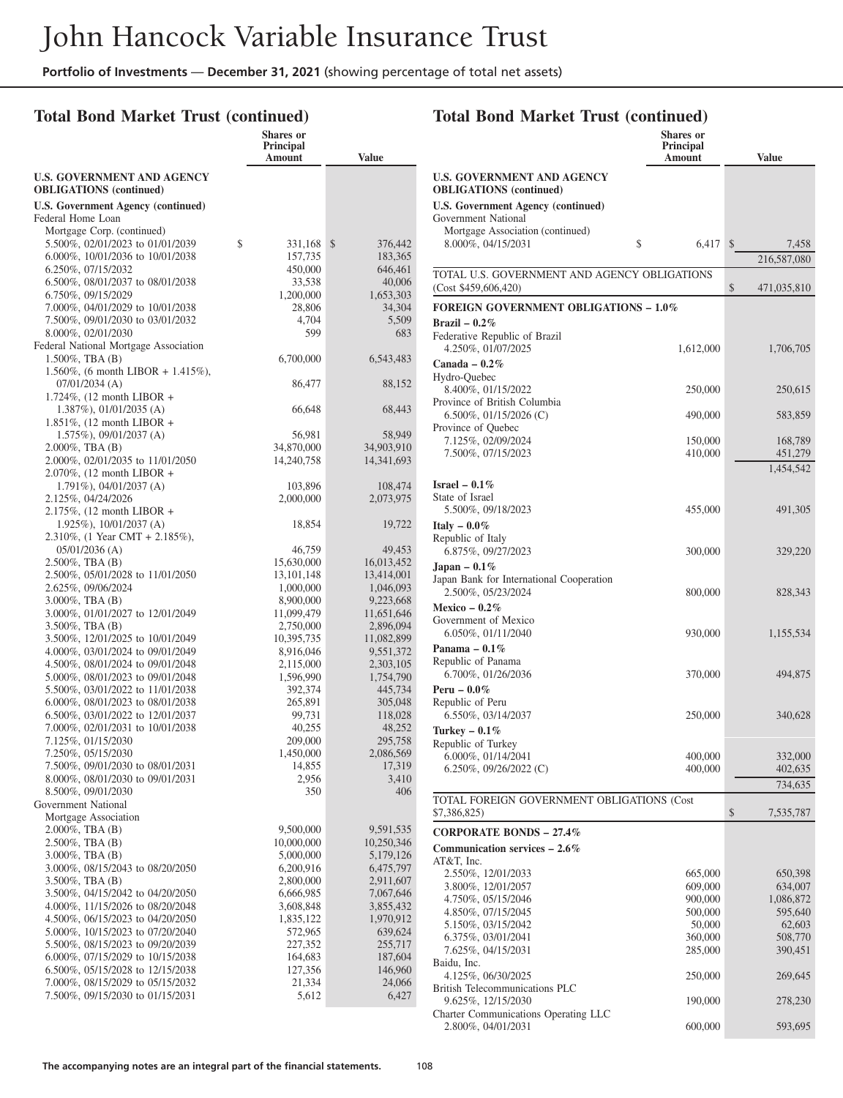## **Total Bond Market Trust (continued)**

| <b>U.S. GOVERNMENT AND AGENCY</b><br><b>OBLIGATIONS</b> (continued)<br><b>U.S. Government Agency (continued)</b><br>Federal Home Loan<br>Mortgage Corp. (continued)<br>\$<br>5.500%, 02/01/2023 to 01/01/2039<br>\$<br>331,168<br>376,442<br>6.000%, 10/01/2036 to 10/01/2038<br>157,735<br>183,365<br>6.250%, 07/15/2032<br>450,000<br>646,461<br>6.500\%, 08/01/2037 to 08/01/2038<br>33,538<br>40,006 |     |
|----------------------------------------------------------------------------------------------------------------------------------------------------------------------------------------------------------------------------------------------------------------------------------------------------------------------------------------------------------------------------------------------------------|-----|
|                                                                                                                                                                                                                                                                                                                                                                                                          |     |
|                                                                                                                                                                                                                                                                                                                                                                                                          |     |
|                                                                                                                                                                                                                                                                                                                                                                                                          |     |
|                                                                                                                                                                                                                                                                                                                                                                                                          |     |
|                                                                                                                                                                                                                                                                                                                                                                                                          |     |
|                                                                                                                                                                                                                                                                                                                                                                                                          |     |
|                                                                                                                                                                                                                                                                                                                                                                                                          |     |
| 6.750%, 09/15/2029<br>1,200,000<br>1,653,303                                                                                                                                                                                                                                                                                                                                                             |     |
| 7.000%, 04/01/2029 to 10/01/2038<br>34,304<br>28,806                                                                                                                                                                                                                                                                                                                                                     |     |
| 7.500%, 09/01/2030 to 03/01/2032<br>4,704<br>5,509                                                                                                                                                                                                                                                                                                                                                       |     |
| 599<br>8.000%, 02/01/2030                                                                                                                                                                                                                                                                                                                                                                                | 683 |
| Federal National Mortgage Association                                                                                                                                                                                                                                                                                                                                                                    |     |
| $1.500\%$ , TBA $(B)$<br>6,700,000<br>6,543,483                                                                                                                                                                                                                                                                                                                                                          |     |
| 1.560%, (6 month LIBOR + 1.415%),                                                                                                                                                                                                                                                                                                                                                                        |     |
| $07/01/2034$ (A)<br>86,477<br>88,152                                                                                                                                                                                                                                                                                                                                                                     |     |
| 1.724\%, $(12 \text{ month LIBOR } +$<br>$1.387\%$ , 01/01/2035 (A)<br>66,648<br>68,443                                                                                                                                                                                                                                                                                                                  |     |
| 1.851%, $(12 \text{ month LIBOR } +$                                                                                                                                                                                                                                                                                                                                                                     |     |
| $1.575\%$ , 09/01/2037 (A)<br>56,981<br>58,949                                                                                                                                                                                                                                                                                                                                                           |     |
| $2.000\%$ , TBA $(B)$<br>34,870,000<br>34,903,910                                                                                                                                                                                                                                                                                                                                                        |     |
| 2.000%, 02/01/2035 to 11/01/2050<br>14,240,758<br>14, 341, 693                                                                                                                                                                                                                                                                                                                                           |     |
| 2.070%, (12 month LIBOR +                                                                                                                                                                                                                                                                                                                                                                                |     |
| $1.791\%$ , 04/01/2037 (A)<br>103,896<br>108,474                                                                                                                                                                                                                                                                                                                                                         |     |
| 2.125%, 04/24/2026<br>2,000,000<br>2,073,975                                                                                                                                                                                                                                                                                                                                                             |     |
| 2.175%, (12 month LIBOR +<br>1.925%), 10/01/2037 (A)<br>19,722<br>18,854                                                                                                                                                                                                                                                                                                                                 |     |
| 2.310\%, (1 Year CMT + 2.185\%),                                                                                                                                                                                                                                                                                                                                                                         |     |
| $05/01/2036$ (A)<br>46,759<br>49,453                                                                                                                                                                                                                                                                                                                                                                     |     |
| 2.500%, TBA (B)<br>15,630,000<br>16,013,452                                                                                                                                                                                                                                                                                                                                                              |     |
| 2.500%, 05/01/2028 to 11/01/2050<br>13, 101, 148<br>13,414,001                                                                                                                                                                                                                                                                                                                                           |     |
| 2.625%, 09/06/2024<br>1,000,000<br>1,046,093                                                                                                                                                                                                                                                                                                                                                             |     |
| $3.000\%$ , TBA $(B)$<br>9,223,668<br>8,900,000                                                                                                                                                                                                                                                                                                                                                          |     |
| 3.000%, 01/01/2027 to 12/01/2049<br>11,651,646<br>11,099,479                                                                                                                                                                                                                                                                                                                                             |     |
| $3.500\%$ , TBA $(B)$<br>2,750,000<br>2,896,094                                                                                                                                                                                                                                                                                                                                                          |     |
| 3.500%, 12/01/2025 to 10/01/2049<br>10,395,735<br>11,082,899<br>4.000%, 03/01/2024 to 09/01/2049<br>8,916,046<br>9,551,372                                                                                                                                                                                                                                                                               |     |
| 4.500%, 08/01/2024 to 09/01/2048<br>2,115,000<br>2,303,105                                                                                                                                                                                                                                                                                                                                               |     |
| 1,596,990<br>5.000%, 08/01/2023 to 09/01/2048<br>1,754,790                                                                                                                                                                                                                                                                                                                                               |     |
| 5.500%, 03/01/2022 to 11/01/2038<br>392,374<br>445,734                                                                                                                                                                                                                                                                                                                                                   |     |
| 6.000%, 08/01/2023 to 08/01/2038<br>265,891<br>305,048                                                                                                                                                                                                                                                                                                                                                   |     |
| 6.500\%, 03/01/2022 to 12/01/2037<br>99,731<br>118,028                                                                                                                                                                                                                                                                                                                                                   |     |
| 7.000%, 02/01/2031 to 10/01/2038<br>40,255<br>48,252                                                                                                                                                                                                                                                                                                                                                     |     |
| 7.125%, 01/15/2030<br>209,000<br>295,758                                                                                                                                                                                                                                                                                                                                                                 |     |
| 7.250%, 05/15/2030<br>2,086,569<br>1,450,000<br>7.500%, 09/01/2030 to 08/01/2031<br>14,855<br>17,319                                                                                                                                                                                                                                                                                                     |     |
| 8.000%, 08/01/2030 to 09/01/2031<br>2,956<br>3,410                                                                                                                                                                                                                                                                                                                                                       |     |
| 8.500%, 09/01/2030<br>350                                                                                                                                                                                                                                                                                                                                                                                | 406 |
| Government National                                                                                                                                                                                                                                                                                                                                                                                      |     |
| Mortgage Association                                                                                                                                                                                                                                                                                                                                                                                     |     |
| $2.000\%$ , TBA $(B)$<br>9,500,000<br>9,591,535                                                                                                                                                                                                                                                                                                                                                          |     |
| 2.500%, TBA (B)<br>10,000,000<br>10,250,346                                                                                                                                                                                                                                                                                                                                                              |     |
| $3.000\%$ , TBA $(B)$<br>5,000,000<br>5,179,126                                                                                                                                                                                                                                                                                                                                                          |     |
| 3.000%, 08/15/2043 to 08/20/2050<br>6,200,916<br>6,475,797<br>$3.500\%$ , TBA $(B)$<br>2,800,000<br>2,911,607                                                                                                                                                                                                                                                                                            |     |
| 3.500%, 04/15/2042 to 04/20/2050<br>6,666,985<br>7,067,646                                                                                                                                                                                                                                                                                                                                               |     |
| 4.000%, 11/15/2026 to 08/20/2048<br>3,608,848<br>3,855,432                                                                                                                                                                                                                                                                                                                                               |     |
| 4.500\%, 06/15/2023 to 04/20/2050<br>1,835,122<br>1,970,912                                                                                                                                                                                                                                                                                                                                              |     |
| 5.000%, 10/15/2023 to 07/20/2040<br>572,965<br>639,624                                                                                                                                                                                                                                                                                                                                                   |     |
| 5.500%, 08/15/2023 to 09/20/2039<br>227,352<br>255,717                                                                                                                                                                                                                                                                                                                                                   |     |
| 6.000%, 07/15/2029 to 10/15/2038<br>164,683<br>187,604                                                                                                                                                                                                                                                                                                                                                   |     |
| 6.500%, 05/15/2028 to 12/15/2038<br>127,356<br>146,960                                                                                                                                                                                                                                                                                                                                                   |     |
| 7.000%, 08/15/2029 to 05/15/2032<br>21,334<br>24,066<br>7.500%, 09/15/2030 to 01/15/2031<br>5,612<br>6,427                                                                                                                                                                                                                                                                                               |     |
|                                                                                                                                                                                                                                                                                                                                                                                                          |     |

# **Total Bond Market Trust (continued)**

|                                                                      | Shares or<br>Principal |                      |
|----------------------------------------------------------------------|------------------------|----------------------|
|                                                                      | Amount                 | <b>Value</b>         |
| <b>U.S. GOVERNMENT AND AGENCY</b><br><b>OBLIGATIONS</b> (continued)  |                        |                      |
| <b>U.S. Government Agency (continued)</b>                            |                        |                      |
| Government National                                                  |                        |                      |
| Mortgage Association (continued)                                     |                        |                      |
| \$<br>8.000%, 04/15/2031                                             | 6,417                  | \$<br>7,458          |
|                                                                      |                        | 216,587,080          |
| TOTAL U.S. GOVERNMENT AND AGENCY OBLIGATIONS<br>(Cost \$459,606,420) |                        | \$<br>471,035,810    |
|                                                                      |                        |                      |
| <b>FOREIGN GOVERNMENT OBLIGATIONS - 1.0%</b><br>Brazil – $0.2\%$     |                        |                      |
| Federative Republic of Brazil                                        |                        |                      |
| 4.250%, 01/07/2025                                                   | 1,612,000              | 1,706,705            |
| Canada - $0.2\%$                                                     |                        |                      |
| Hydro-Quebec                                                         |                        |                      |
| 8.400%, 01/15/2022                                                   | 250,000                | 250,615              |
| Province of British Columbia<br>6.500%, 01/15/2026 (C)               | 490,000                |                      |
| Province of Quebec                                                   |                        | 583,859              |
| 7.125%, 02/09/2024                                                   | 150,000                | 168,789              |
| 7.500%, 07/15/2023                                                   | 410,000                | 451,279              |
|                                                                      |                        | 1,454,542            |
| Israel – $0.1\%$                                                     |                        |                      |
| State of Israel                                                      |                        |                      |
| 5.500%, 09/18/2023                                                   | 455,000                | 491,305              |
| Italy $-0.0\%$<br>Republic of Italy                                  |                        |                      |
| 6.875%, 09/27/2023                                                   | 300,000                | 329,220              |
| Japan – $0.1\%$                                                      |                        |                      |
| Japan Bank for International Cooperation                             |                        |                      |
| 2.500%, 05/23/2024                                                   | 800,000                | 828,343              |
| <b>Mexico – 0.2%</b>                                                 |                        |                      |
| Government of Mexico                                                 |                        |                      |
| 6.050%, 01/11/2040                                                   | 930,000                | 1,155,534            |
| Panama – $0.1\%$<br>Republic of Panama                               |                        |                      |
| 6.700%, 01/26/2036                                                   | 370,000                | 494,875              |
| Peru – $0.0\%$                                                       |                        |                      |
| Republic of Peru                                                     |                        |                      |
| 6.550%, 03/14/2037                                                   | 250,000                | 340,628              |
| Turkey – $0.1\%$                                                     |                        |                      |
| Republic of Turkey                                                   |                        |                      |
| $6.000\%$ , 01/14/2041<br>6.250%, 09/26/2022 (C)                     | 400,000<br>400,000     | 332,000<br>402,635   |
|                                                                      |                        | 734,635              |
| TOTAL FOREIGN GOVERNMENT OBLIGATIONS (Cost                           |                        |                      |
| \$7,386,825)                                                         |                        | \$<br>7,535,787      |
| <b>CORPORATE BONDS - 27.4%</b>                                       |                        |                      |
| Communication services $-2.6\%$                                      |                        |                      |
| AT&T, Inc.                                                           |                        |                      |
| 2.550%, 12/01/2033                                                   | 665,000                | 650,398              |
| 3.800%, 12/01/2057                                                   | 609,000                | 634,007              |
| 4.750%, 05/15/2046<br>4.850%, 07/15/2045                             | 900,000<br>500,000     | 1,086,872<br>595,640 |
| 5.150%, 03/15/2042                                                   | 50,000                 | 62,603               |
| 6.375%, 03/01/2041                                                   | 360,000                | 508,770              |
| 7.625%, 04/15/2031                                                   | 285,000                | 390,451              |
| Baidu, Inc.                                                          |                        |                      |
| 4.125%, 06/30/2025<br>British Telecommunications PLC                 | 250,000                | 269,645              |
| 9.625%, 12/15/2030                                                   | 190,000                | 278,230              |
| Charter Communications Operating LLC                                 |                        |                      |
| 2.800%, 04/01/2031                                                   | 600,000                | 593,695              |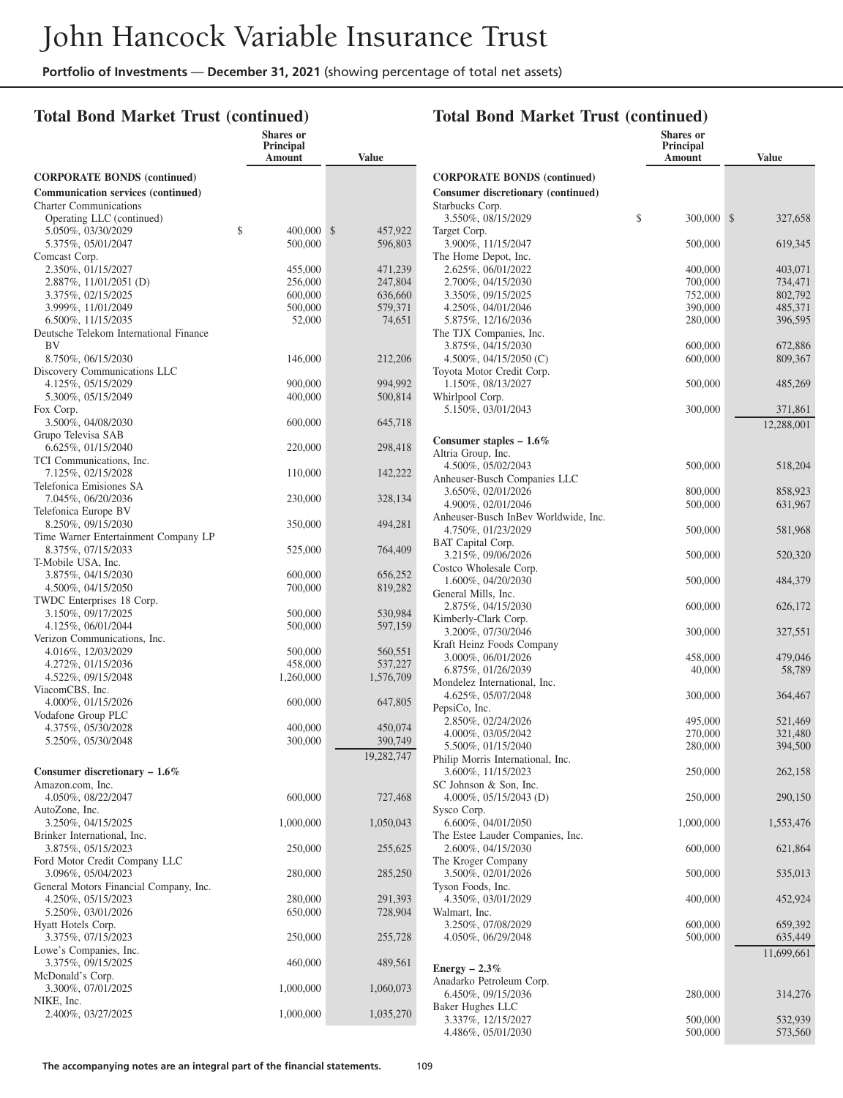#### **Total Bond Market Trust (continued)**

|                                                              | <b>Shares</b> or<br><b>Principal</b><br>Amount | Value                    |
|--------------------------------------------------------------|------------------------------------------------|--------------------------|
| <b>CORPORATE BONDS (continued)</b>                           |                                                |                          |
| <b>Communication services (continued)</b>                    |                                                |                          |
| <b>Charter Communications</b>                                |                                                |                          |
| Operating LLC (continued)                                    |                                                |                          |
| 5.050%, 03/30/2029<br>5.375%, 05/01/2047                     | \$<br>400,000<br>500,000                       | \$<br>457,922<br>596,803 |
| Comcast Corp.                                                |                                                |                          |
| 2.350%, 01/15/2027                                           | 455,000                                        | 471,239                  |
| 2.887%, 11/01/2051 (D)                                       | 256,000                                        | 247,804                  |
| 3.375%, 02/15/2025                                           | 600,000                                        | 636,660                  |
| 3.999%, 11/01/2049                                           | 500,000                                        | 579,371                  |
| 6.500%, 11/15/2035<br>Deutsche Telekom International Finance | 52,000                                         | 74,651                   |
| BV                                                           |                                                |                          |
| 8.750%, 06/15/2030                                           | 146,000                                        | 212,206                  |
| Discovery Communications LLC                                 |                                                |                          |
| 4.125%, 05/15/2029                                           | 900,000                                        | 994,992                  |
| 5.300%, 05/15/2049<br>Fox Corp.                              | 400,000                                        | 500,814                  |
| 3.500%, 04/08/2030                                           | 600,000                                        | 645,718                  |
| Grupo Televisa SAB                                           |                                                |                          |
| 6.625%, 01/15/2040                                           | 220,000                                        | 298,418                  |
| TCI Communications, Inc.                                     |                                                |                          |
| 7.125%, 02/15/2028<br>Telefonica Emisiones SA                | 110,000                                        | 142,222                  |
| 7.045%, 06/20/2036                                           | 230,000                                        | 328,134                  |
| Telefonica Europe BV                                         |                                                |                          |
| 8.250%, 09/15/2030<br>Time Warner Entertainment Company LP   | 350,000                                        | 494,281                  |
| 8.375%, 07/15/2033                                           | 525,000                                        | 764,409                  |
| T-Mobile USA, Inc.                                           |                                                |                          |
| 3.875%, 04/15/2030                                           | 600,000                                        | 656,252                  |
| 4.500%, 04/15/2050                                           | 700,000                                        | 819,282                  |
| TWDC Enterprises 18 Corp.<br>3.150%, 09/17/2025              | 500,000                                        | 530,984                  |
| 4.125%, 06/01/2044                                           | 500,000                                        | 597,159                  |
| Verizon Communications, Inc.                                 |                                                |                          |
| 4.016%, 12/03/2029                                           | 500,000                                        | 560,551                  |
| 4.272%, 01/15/2036                                           | 458,000                                        | 537,227                  |
| 4.522%, 09/15/2048                                           | 1,260,000                                      | 1,576,709                |
| ViacomCBS, Inc.<br>4.000%, 01/15/2026                        | 600,000                                        | 647,805                  |
| Vodafone Group PLC                                           |                                                |                          |
| 4.375%, 05/30/2028                                           | 400,000                                        | 450,074                  |
| 5.250%, 05/30/2048                                           | 300,000                                        | 390,749                  |
|                                                              |                                                | 19,282,747               |
| Consumer discretionary $-1.6\%$                              |                                                |                          |
| Amazon.com, Inc.                                             |                                                |                          |
| 4.050%, 08/22/2047<br>AutoZone, Inc.                         | 600,000                                        | 727,468                  |
| 3.250%, 04/15/2025                                           | 1,000,000                                      | 1,050,043                |
| Brinker International, Inc.                                  |                                                |                          |
| 3.875%, 05/15/2023                                           | 250,000                                        | 255,625                  |
| Ford Motor Credit Company LLC<br>3.096%, 05/04/2023          | 280,000                                        | 285,250                  |
| General Motors Financial Company, Inc.                       |                                                |                          |
| 4.250%, 05/15/2023                                           | 280,000                                        | 291,393                  |
| 5.250%, 03/01/2026                                           | 650,000                                        | 728,904                  |
| Hyatt Hotels Corp.                                           |                                                |                          |
| 3.375%, 07/15/2023                                           | 250,000                                        | 255,728                  |
| Lowe's Companies, Inc.<br>3.375%, 09/15/2025                 | 460,000                                        | 489,561                  |
| McDonald's Corp.                                             |                                                |                          |
| 3.300%, 07/01/2025                                           | 1,000,000                                      | 1,060,073                |
| NIKE, Inc.                                                   |                                                |                          |
| 2.400%, 03/27/2025                                           | 1,000,000                                      | 1,035,270                |

|                                                    | Shares or<br>Principal |                    |
|----------------------------------------------------|------------------------|--------------------|
|                                                    | Amount                 | <b>Value</b>       |
| <b>CORPORATE BONDS (continued)</b>                 |                        |                    |
| Consumer discretionary (continued)                 |                        |                    |
| Starbucks Corp.                                    |                        |                    |
| 3.550%, 08/15/2029                                 | \$<br>300,000          | \$<br>327,658      |
| Target Corp.<br>3.900%, 11/15/2047                 | 500,000                | 619,345            |
| The Home Depot, Inc.                               |                        |                    |
| 2.625%, 06/01/2022                                 | 400,000                | 403,071            |
| 2.700%, 04/15/2030                                 | 700,000                | 734,471            |
| 3.350%, 09/15/2025                                 | 752,000                | 802,792            |
| 4.250%, 04/01/2046<br>5.875%, 12/16/2036           | 390,000<br>280,000     | 485,371<br>396,595 |
| The TJX Companies, Inc.                            |                        |                    |
| 3.875%, 04/15/2030                                 | 600,000                | 672,886            |
| 4.500\%, 04/15/2050 (C)                            | 600,000                | 809,367            |
| Toyota Motor Credit Corp.                          |                        |                    |
| 1.150%, 08/13/2027                                 | 500,000                | 485,269            |
| Whirlpool Corp.<br>5.150%, 03/01/2043              | 300,000                | 371,861            |
|                                                    |                        | 12,288,001         |
|                                                    |                        |                    |
| Consumer staples $-1.6\%$<br>Altria Group, Inc.    |                        |                    |
| 4.500%, 05/02/2043                                 | 500,000                | 518,204            |
| Anheuser-Busch Companies LLC                       |                        |                    |
| 3.650%, 02/01/2026                                 | 800,000                | 858,923            |
| 4.900%, 02/01/2046                                 | 500,000                | 631,967            |
| Anheuser-Busch InBev Worldwide, Inc.               |                        |                    |
| 4.750%, 01/23/2029<br>BAT Capital Corp.            | 500,000                | 581,968            |
| 3.215%, 09/06/2026                                 | 500,000                | 520,320            |
| Costco Wholesale Corp.                             |                        |                    |
| 1.600%, 04/20/2030                                 | 500,000                | 484,379            |
| General Mills, Inc.                                |                        |                    |
| 2.875%, 04/15/2030                                 | 600,000                | 626,172            |
| Kimberly-Clark Corp.<br>3.200%, 07/30/2046         | 300,000                | 327,551            |
| Kraft Heinz Foods Company                          |                        |                    |
| 3.000%, 06/01/2026                                 | 458,000                | 479,046            |
| 6.875%, 01/26/2039                                 | 40,000                 | 58,789             |
| Mondelez International, Inc.<br>4.625%, 05/07/2048 |                        | 364,467            |
| PepsiCo, Inc.                                      | 300,000                |                    |
| 2.850%, 02/24/2026                                 | 495,000                | 521,469            |
| 4.000%, 03/05/2042                                 | 270,000                | 321,480            |
| 5.500%, 01/15/2040                                 | 280,000                | 394,500            |
| Philip Morris International, Inc.                  |                        |                    |
| 3.600%, 11/15/2023<br>SC Johnson & Son, Inc.       | 250,000                | 262,158            |
| 4.000%, 05/15/2043 (D)                             | 250,000                | 290,150            |
| Sysco Corp.                                        |                        |                    |
| 6.600%, 04/01/2050                                 | 1,000,000              | 1,553,476          |
| The Estee Lauder Companies, Inc.                   |                        |                    |
| 2.600%, 04/15/2030<br>The Kroger Company           | 600,000                | 621,864            |
| 3.500%, 02/01/2026                                 | 500,000                | 535,013            |
| Tyson Foods, Inc.                                  |                        |                    |
| 4.350%, 03/01/2029                                 | 400,000                | 452,924            |
| Walmart, Inc.                                      |                        |                    |
| 3.250%, 07/08/2029                                 | 600,000                | 659,392            |
| 4.050%, 06/29/2048                                 | 500,000                | 635,449            |
|                                                    |                        | 11,699,661         |
| Energy $-2.3\%$                                    |                        |                    |
| Anadarko Petroleum Corp.<br>6.450%, 09/15/2036     | 280,000                | 314,276            |
| Baker Hughes LLC                                   |                        |                    |
| 3.337%, 12/15/2027                                 | 500,000                | 532,939            |
| 4.486%, 05/01/2030                                 | 500,000                | 573,560            |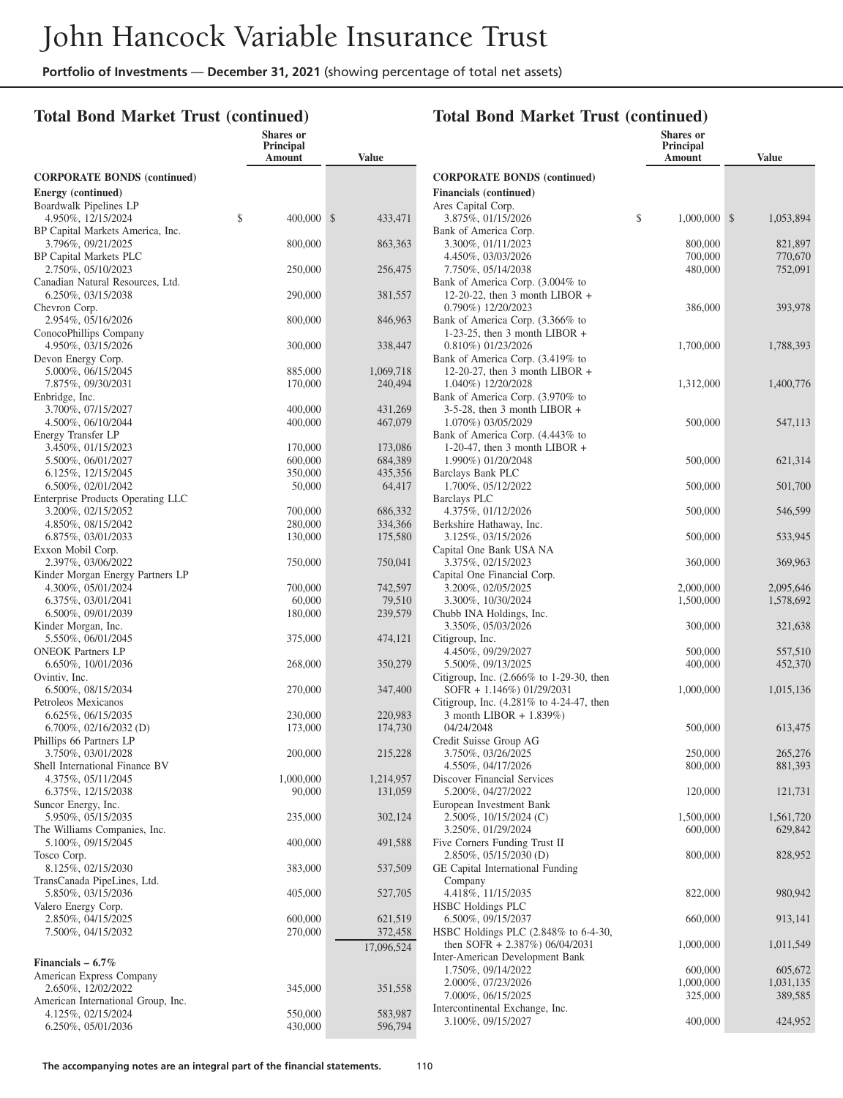**Shares or**

#### **Total Bond Market Trust (continued)**

|                                                         | Principal<br>Amount | <b>Value</b>       |
|---------------------------------------------------------|---------------------|--------------------|
| <b>CORPORATE BONDS (continued)</b>                      |                     |                    |
| Energy (continued)<br>Boardwalk Pipelines LP            |                     |                    |
| 4.950%, 12/15/2024<br>BP Capital Markets America, Inc.  | \$<br>400,000       | \$<br>433,471      |
| 3.796%, 09/21/2025<br>BP Capital Markets PLC            | 800,000             | 863,363            |
| 2.750%, 05/10/2023                                      | 250,000             | 256,475            |
| Canadian Natural Resources, Ltd.<br>6.250%, 03/15/2038  | 290,000             | 381,557            |
| Chevron Corp.<br>2.954%, 05/16/2026                     | 800,000             | 846,963            |
| ConocoPhillips Company<br>4.950%, 03/15/2026            | 300,000             | 338,447            |
| Devon Energy Corp.                                      |                     |                    |
| 5.000%, 06/15/2045                                      | 885,000             | 1,069,718          |
| 7.875%, 09/30/2031                                      | 170,000             | 240,494            |
| Enbridge, Inc.                                          |                     |                    |
| 3.700%, 07/15/2027                                      | 400,000             | 431,269            |
| 4.500%, 06/10/2044                                      | 400,000             | 467,079            |
| Energy Transfer LP                                      |                     |                    |
| 3.450%, 01/15/2023                                      | 170,000             | 173,086            |
| 5.500%, 06/01/2027                                      | 600,000             | 684,389<br>435,356 |
| 6.125%, 12/15/2045                                      | 350,000             |                    |
| 6.500%, 02/01/2042<br>Enterprise Products Operating LLC | 50,000              | 64,417             |
| 3.200%, 02/15/2052                                      | 700,000             | 686,332            |
| 4.850%, 08/15/2042                                      | 280,000             | 334,366            |
| 6.875%, 03/01/2033                                      | 130,000             | 175,580            |
| Exxon Mobil Corp.                                       |                     |                    |
| 2.397%, 03/06/2022<br>Kinder Morgan Energy Partners LP  | 750,000             | 750,041            |
| 4.300%, 05/01/2024                                      | 700,000             | 742,597            |
| 6.375%, 03/01/2041                                      | 60,000              | 79,510             |
| 6.500%, 09/01/2039                                      | 180,000             | 239,579            |
| Kinder Morgan, Inc.                                     |                     |                    |
| 5.550%, 06/01/2045                                      | 375,000             | 474,121            |
| <b>ONEOK Partners LP</b>                                |                     |                    |
| 6.650%, 10/01/2036                                      | 268,000             | 350,279            |
| Ovintiv, Inc.                                           |                     |                    |
| 6.500%, 08/15/2034                                      | 270,000             | 347,400            |
| Petroleos Mexicanos                                     |                     |                    |
| 6.625%, 06/15/2035                                      | 230,000             | 220,983            |
| $6.700\%, 02/16/2032$ (D)                               | 173,000             | 174,730            |
| Phillips 66 Partners LP                                 |                     |                    |
| 3.750%, 03/01/2028                                      | 200,000             | 215,228            |
| Shell International Finance BV                          |                     |                    |
| 4.375\%, 05/11/2045                                     | 1,000,000           | 1,214,957          |
| 6.375%, 12/15/2038                                      | 90,000              | 131,059            |
| Suncor Energy, Inc.<br>5.950%, 05/15/2035               | 235,000             | 302,124            |
| The Williams Companies, Inc.                            |                     |                    |
| 5.100%, 09/15/2045                                      | 400,000             | 491,588            |
| Tosco Corp.                                             |                     |                    |
| 8.125%, 02/15/2030                                      | 383,000             | 537,509            |
| TransCanada PipeLines, Ltd.                             |                     |                    |
| 5.850%, 03/15/2036                                      | 405,000             | 527,705            |
| Valero Energy Corp.                                     |                     |                    |
| 2.850%, 04/15/2025                                      | 600,000             | 621,519            |
| 7.500%, 04/15/2032                                      | 270,000             | 372,458            |
|                                                         |                     | 17,096,524         |
| Financials $-6.7\%$                                     |                     |                    |
| American Express Company                                |                     |                    |
| 2.650%, 12/02/2022                                      | 345,000             | 351,558            |
| American International Group, Inc.                      |                     |                    |
| 4.125%, 02/15/2024                                      | 550,000             | 583,987            |
| 6.250%, 05/01/2036                                      | 430,000             | 596,794            |

#### **Amount Value CORPORATE BONDS (continued) Financials (continued)** Ares Capital Corp. 3.875%, 01/15/2026 \$ 1,000,000 \$ 1,053,894 Bank of America Corp. 3.300%, 01/11/2023 800,000 821,897<br>4.450%, 03/03/2026 700.000 770.670 4.450%, 03/03/2026 7.750%, 05/14/2038 480,000 752,091 Bank of America Corp. (3.004% to 12-20-22, then 3 month LIBOR + 0.790%) 12/20/2023 386,000 393,978 Bank of America Corp. (3.366% to 1-23-25, then 3 month LIBOR + 0.810%) 01/23/2026 1,700,000 1,788,393 Bank of America Corp. (3.419% to 12-20-27, then 3 month LIBOR + 1.040%) 12/20/2028 1,312,000 1,400,776 Bank of America Corp. (3.970% to 3-5-28, then 3 month LIBOR + 1.070%) 03/05/2029 500,000 547,113 Bank of America Corp. (4.443% to 1-20-47, then 3 month LIBOR  $+$ 1.990%) 01/20/2048 500,000 621,314 Barclays Bank PLC 1.700%, 05/12/2022 500,000 501,700 Barclays PLC 4.375%, 01/12/2026 500,000 546,599 Berkshire Hathaway, Inc. 3.125%, 03/15/2026 500,000 533,945 Capital One Bank USA NA 3.375%, 02/15/2023 360,000 369,963 Capital One Financial Corp. 3.200%, 02/05/2025 2,000,000 2,095,646<br>3.300%, 10/30/2024 1,500,000 1,578,692 3.300%, 10/30/2024 Chubb INA Holdings, Inc. 3.350%, 05/03/2026 300,000 321,638 Citigroup, Inc. 4.450%, 09/29/2027 500,000 557,510 5.500%, 09/13/2025 400,000 452,370 Citigroup, Inc. (2.666% to 1-29-30, then SOFR + 1.146%) 01/29/2031 1,000,000 1,015,136 Citigroup, Inc. (4.281% to 4-24-47, then 3 month LIBOR + 1.839%) 04/24/2048 500,000 613,475 Credit Suisse Group AG 3.750%, 03/26/2025<br>4.550%, 04/17/2026 265,276 250,000 265,276 4.550%, 04/17/2026 800,000 Discover Financial Services 5.200%, 04/27/2022 120,000 121,731 European Investment Bank 2.500%, 10/15/2024 (C) 1,500,000 1,561,720 3.250%, 01/29/2024 600,000 629,842 Five Corners Funding Trust II 2.850%, 05/15/2030 (D) 800,000 828,952 GE Capital International Funding Company 4.418%, 11/15/2035 822,000 980,942 HSBC Holdings PLC 6.500%, 09/15/2037 660,000 913,141 HSBC Holdings PLC (2.848% to 6-4-30, then SOFR + 2.387%) 06/04/2031 1,000,000 1,011,549 Inter-American Development Bank 1.750%, 09/14/2022<br>
2.000%, 07/23/2026<br>
1.000.000 1.031.135 2.000%, 07/23/2026 1,000,000 1,031,135<br>7.000%, 06/15/2025 325,000 389,585 7.000%, 06/15/2025

3.100%, 09/15/2027 400,000 424,952

**Total Bond Market Trust (continued)**

**Shares or Principal**

Intercontinental Exchange, Inc.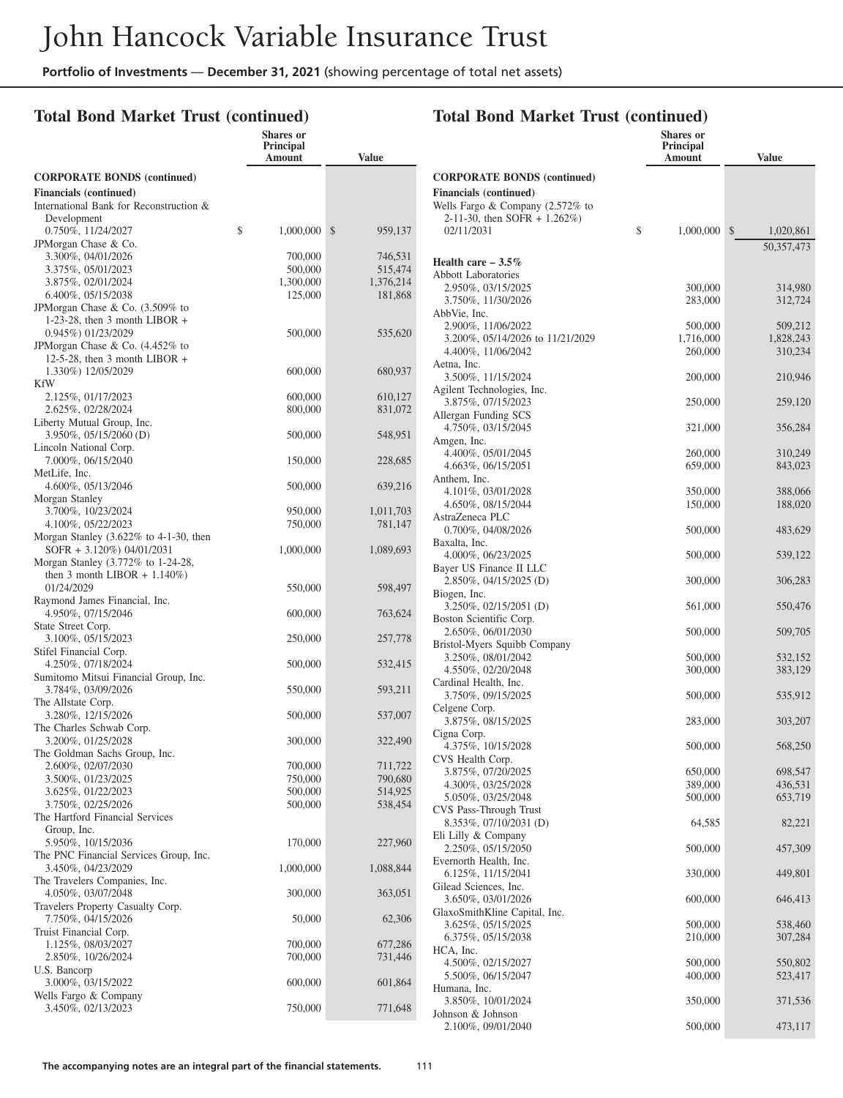### **Total Bond Market Trust (continued)**

|                                                                       | <b>Shares</b> or<br><b>Principal</b><br>Amount | <b>Value</b>  |
|-----------------------------------------------------------------------|------------------------------------------------|---------------|
| <b>CORPORATE BONDS (continued)</b>                                    |                                                |               |
| <b>Financials</b> (continued)                                         |                                                |               |
| International Bank for Reconstruction &                               |                                                |               |
| Development                                                           |                                                |               |
| 0.750%, 11/24/2027<br>JPMorgan Chase & Co.                            | \$<br>1,000,000                                | \$<br>959,137 |
| 3.300%, 04/01/2026                                                    | 700,000                                        | 746,531       |
| 3.375%, 05/01/2023                                                    | 500,000                                        | 515,474       |
| 3.875%, 02/01/2024                                                    | 1,300,000                                      | 1,376,214     |
| 6.400%, 05/15/2038                                                    | 125,000                                        | 181,868       |
| JPMorgan Chase & Co. (3.509% to                                       |                                                |               |
| 1-23-28, then 3 month LIBOR $+$                                       |                                                |               |
| 0.945%) 01/23/2029<br>JPMorgan Chase & Co. (4.452% to                 | 500,000                                        | 535,620       |
| 12-5-28, then 3 month LIBOR $+$                                       |                                                |               |
| 1.330%) 12/05/2029                                                    | 600,000                                        | 680,937       |
| KfW                                                                   |                                                |               |
| 2.125%, 01/17/2023                                                    | 600,000                                        | 610,127       |
| 2.625%, 02/28/2024                                                    | 800,000                                        | 831,072       |
| Liberty Mutual Group, Inc.                                            |                                                |               |
| 3.950%, 05/15/2060 (D)                                                | 500,000                                        | 548,951       |
| Lincoln National Corp.<br>7.000%, 06/15/2040                          | 150,000                                        | 228,685       |
| MetLife, Inc.                                                         |                                                |               |
| 4.600%, 05/13/2046                                                    | 500,000                                        | 639,216       |
| Morgan Stanley                                                        |                                                |               |
| 3.700%, 10/23/2024                                                    | 950,000                                        | 1,011,703     |
| 4.100%, 05/22/2023                                                    | 750,000                                        | 781,147       |
| Morgan Stanley $(3.622\% \text{ to } 4-1-30, \text{ then})$           |                                                |               |
| $SOFR + 3.120\%) 04/01/2031$                                          | 1,000,000                                      | 1,089,693     |
| Morgan Stanley (3.772% to 1-24-28,<br>then 3 month LIBOR $+ 1.140\%)$ |                                                |               |
| 01/24/2029                                                            | 550,000                                        | 598,497       |
| Raymond James Financial, Inc.                                         |                                                |               |
| 4.950%, 07/15/2046                                                    | 600,000                                        | 763,624       |
| State Street Corp.                                                    |                                                |               |
| 3.100%, 05/15/2023                                                    | 250,000                                        | 257,778       |
| Stifel Financial Corp.                                                |                                                |               |
| 4.250%, 07/18/2024<br>Sumitomo Mitsui Financial Group, Inc.           | 500,000                                        | 532,415       |
| 3.784%, 03/09/2026                                                    | 550,000                                        | 593,211       |
| The Allstate Corp.                                                    |                                                |               |
| 3.280%, 12/15/2026                                                    | 500,000                                        | 537,007       |
| The Charles Schwab Corp.                                              |                                                |               |
| 3.200%, 01/25/2028                                                    | 300,000                                        | 322,490       |
| The Goldman Sachs Group, Inc.                                         | 700,000                                        | 711,722       |
| 2.600%, 02/07/2030<br>3.500%, 01/23/2025                              | 750,000                                        | 790,680       |
| 3.625%, 01/22/2023                                                    | 500,000                                        | 514,925       |
| 3.750%, 02/25/2026                                                    | 500,000                                        | 538,454       |
| The Hartford Financial Services                                       |                                                |               |
| Group, Inc.                                                           |                                                |               |
| 5.950%, 10/15/2036                                                    | 170,000                                        | 227,960       |
| The PNC Financial Services Group, Inc.                                |                                                |               |
| 3.450%, 04/23/2029                                                    | 1,000,000                                      | 1,088,844     |
| The Travelers Companies, Inc.<br>4.050%, 03/07/2048                   | 300,000                                        | 363,051       |
| Travelers Property Casualty Corp.                                     |                                                |               |
| 7.750%, 04/15/2026                                                    | 50,000                                         | 62,306        |
| Truist Financial Corp.                                                |                                                |               |
| 1.125%, 08/03/2027                                                    | 700,000                                        | 677,286       |
| 2.850%, 10/26/2024                                                    | 700,000                                        | 731,446       |
| U.S. Bancorp                                                          |                                                |               |
| 3.000%, 03/15/2022                                                    | 600,000                                        | 601,864       |
| Wells Fargo & Company<br>3.450%, 02/13/2023                           | 750,000                                        | 771,648       |
|                                                                       |                                                |               |

|                                                        | <b>Shares</b> or<br><b>Principal</b><br>Amount | Value                     |
|--------------------------------------------------------|------------------------------------------------|---------------------------|
| <b>CORPORATE BONDS (continued)</b>                     |                                                |                           |
| <b>Financials (continued)</b>                          |                                                |                           |
| Wells Fargo & Company $(2.572\%$ to                    |                                                |                           |
| 2-11-30, then SOFR $+$ 1.262%)                         |                                                |                           |
| 02/11/2031                                             | \$<br>1,000,000                                | $\mathbb{S}$<br>1,020,861 |
|                                                        |                                                | 50, 357, 473              |
| Health care $-3.5\%$                                   |                                                |                           |
| <b>Abbott Laboratories</b>                             |                                                |                           |
| 2.950%, 03/15/2025                                     | 300,000                                        | 314,980                   |
| 3.750%, 11/30/2026                                     | 283,000                                        | 312,724                   |
| AbbVie, Inc.                                           |                                                |                           |
| 2.900%, 11/06/2022<br>3.200%, 05/14/2026 to 11/21/2029 | 500,000<br>1,716,000                           | 509,212<br>1,828,243      |
| 4.400%, 11/06/2042                                     | 260,000                                        | 310,234                   |
| Aetna, Inc.                                            |                                                |                           |
| 3.500%, 11/15/2024                                     | 200,000                                        | 210,946                   |
| Agilent Technologies, Inc.                             |                                                |                           |
| 3.875%, 07/15/2023                                     | 250,000                                        | 259,120                   |
| Allergan Funding SCS                                   |                                                |                           |
| 4.750%, 03/15/2045                                     | 321,000                                        | 356,284                   |
| Amgen, Inc.                                            |                                                |                           |
| 4.400%, 05/01/2045                                     | 260,000                                        | 310,249                   |
| 4.663%, 06/15/2051<br>Anthem, Inc.                     | 659,000                                        | 843,023                   |
| 4.101%, 03/01/2028                                     | 350,000                                        | 388,066                   |
| 4.650%, 08/15/2044                                     | 150,000                                        | 188,020                   |
| AstraZeneca PLC                                        |                                                |                           |
| 0.700%, 04/08/2026                                     | 500,000                                        | 483,629                   |
| Baxalta, Inc.                                          |                                                |                           |
| 4.000%, 06/23/2025                                     | 500,000                                        | 539,122                   |
| Bayer US Finance II LLC                                |                                                |                           |
| 2.850%, 04/15/2025 (D)                                 | 300,000                                        | 306,283                   |
| Biogen, Inc.<br>3.250\%, 02/15/2051 (D)                | 561,000                                        | 550,476                   |
| Boston Scientific Corp.                                |                                                |                           |
| 2.650%, 06/01/2030                                     | 500,000                                        | 509,705                   |
| Bristol-Myers Squibb Company                           |                                                |                           |
| 3.250%, 08/01/2042                                     | 500,000                                        | 532,152                   |
| 4.550%, 02/20/2048                                     | 300,000                                        | 383,129                   |
| Cardinal Health, Inc.                                  |                                                |                           |
| 3.750%, 09/15/2025                                     | 500,000                                        | 535,912                   |
| Celgene Corp.<br>3.875%, 08/15/2025                    | 283,000                                        | 303,207                   |
| Cigna Corp.                                            |                                                |                           |
| 4.375%, 10/15/2028                                     | 500,000                                        | 568,250                   |
| CVS Health Corp.                                       |                                                |                           |
| 3.875%, 07/20/2025                                     | 650,000                                        | 698,547                   |
| 4.300%, 03/25/2028                                     | 389,000                                        | 436,531                   |
| 5.050%, 03/25/2048                                     | 500,000                                        | 653,719                   |
| CVS Pass-Through Trust                                 |                                                |                           |
| 8.353%, 07/10/2031 (D)                                 | 64,585                                         | 82,221                    |
| Eli Lilly & Company<br>2.250%, 05/15/2050              | 500,000                                        | 457,309                   |
| Evernorth Health, Inc.                                 |                                                |                           |
| 6.125%, 11/15/2041                                     | 330,000                                        | 449,801                   |
| Gilead Sciences, Inc.                                  |                                                |                           |
| 3.650%, 03/01/2026                                     | 600,000                                        | 646,413                   |
| GlaxoSmithKline Capital, Inc.                          |                                                |                           |
| 3.625%, 05/15/2025                                     | 500,000                                        | 538,460                   |
| 6.375%, 05/15/2038                                     | 210,000                                        | 307,284                   |
| HCA, Inc.                                              |                                                |                           |
| 4.500%, 02/15/2027<br>5.500%, 06/15/2047               | 500,000<br>400,000                             | 550,802<br>523,417        |
| Humana, Inc.                                           |                                                |                           |
| 3.850%, 10/01/2024                                     | 350,000                                        | 371,536                   |
| Johnson & Johnson                                      |                                                |                           |
| 2.100%, 09/01/2040                                     | 500,000                                        | 473,117                   |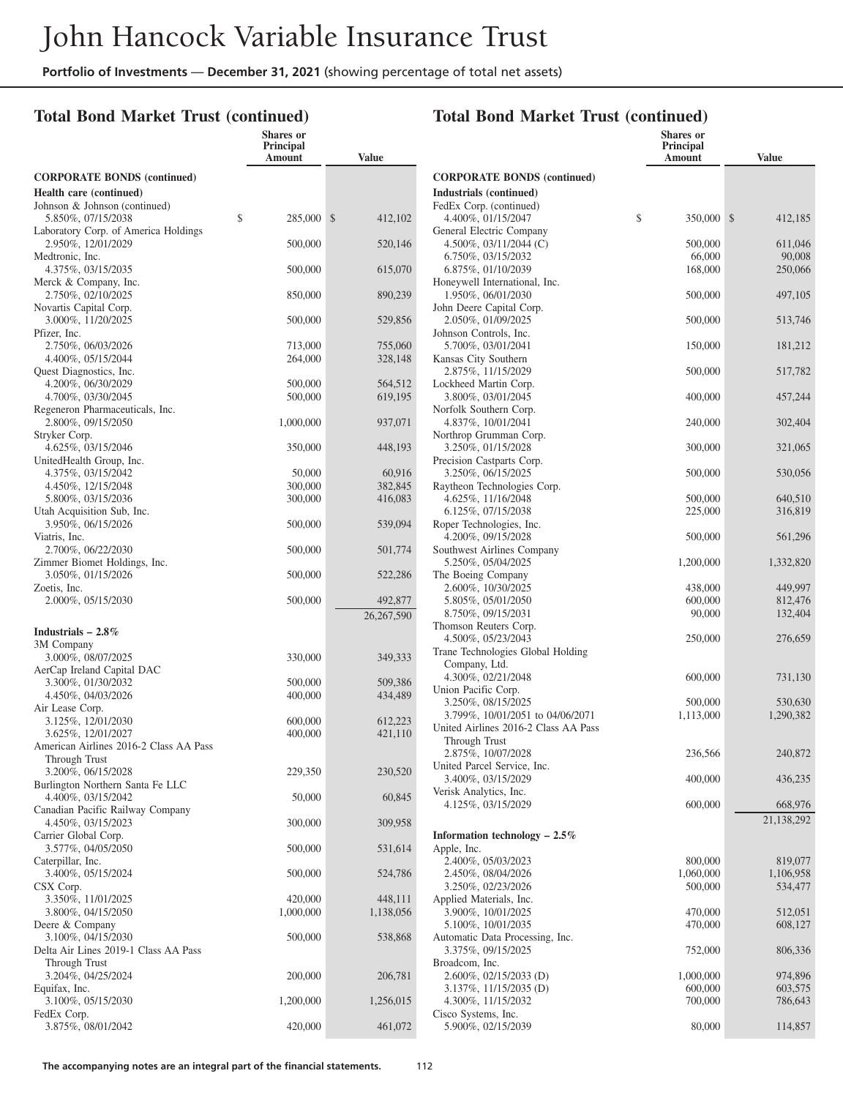|                                                            | <b>Shares</b> or<br><b>Principal</b><br>Amount | <b>Value</b>         |
|------------------------------------------------------------|------------------------------------------------|----------------------|
| <b>CORPORATE BONDS (continued)</b>                         |                                                |                      |
| Health care (continued)                                    |                                                |                      |
| Johnson & Johnson (continued)<br>\$<br>5.850%, 07/15/2038  | 285,000                                        | \$<br>412,102        |
| Laboratory Corp. of America Holdings<br>2.950%, 12/01/2029 | 500,000                                        | 520,146              |
| Medtronic, Inc.<br>4.375%, 03/15/2035                      | 500,000                                        | 615,070              |
| Merck & Company, Inc.<br>2.750%, 02/10/2025                | 850,000                                        | 890,239              |
| Novartis Capital Corp.<br>3.000%, 11/20/2025               | 500,000                                        | 529,856              |
| Pfizer, Inc.<br>2.750%, 06/03/2026                         | 713,000                                        | 755,060              |
| 4.400%, 05/15/2044<br>Quest Diagnostics, Inc.              | 264,000                                        | 328,148              |
| 4.200%, 06/30/2029                                         | 500,000                                        | 564,512              |
| 4.700%, 03/30/2045                                         | 500,000                                        | 619,195              |
| Regeneron Pharmaceuticals, Inc.                            |                                                |                      |
| 2.800%, 09/15/2050<br>Stryker Corp.                        | 1,000,000                                      | 937,071              |
| 4.625%, 03/15/2046<br>UnitedHealth Group, Inc.             | 350,000                                        | 448,193              |
| 4.375%, 03/15/2042                                         | 50,000                                         | 60,916               |
| 4.450%, 12/15/2048                                         | 300,000                                        | 382,845              |
| 5.800%, 03/15/2036                                         | 300,000                                        | 416,083              |
| Utah Acquisition Sub, Inc.<br>3.950%, 06/15/2026           | 500,000                                        | 539,094              |
| Viatris, Inc.<br>2.700%, 06/22/2030                        | 500,000                                        | 501,774              |
| Zimmer Biomet Holdings, Inc.<br>3.050%, 01/15/2026         | 500,000                                        | 522,286              |
| Zoetis, Inc.<br>2.000%, 05/15/2030                         | 500,000                                        | 492,877              |
|                                                            |                                                | 26,267,590           |
| Industrials $-2.8\%$                                       |                                                |                      |
| 3M Company                                                 |                                                |                      |
| 3.000%, 08/07/2025<br>AerCap Ireland Capital DAC           | 330,000                                        | 349,333              |
| 3.300%, 01/30/2032                                         | 500,000                                        | 509,386              |
| 4.450%, 04/03/2026                                         | 400,000                                        | 434,489              |
| Air Lease Corp.                                            |                                                |                      |
| 3.125%, 12/01/2030                                         | 600,000                                        | 612,223              |
| 3.625%, 12/01/2027                                         | 400,000                                        | 421,110              |
| American Airlines 2016-2 Class AA Pass<br>Through Trust    |                                                |                      |
| 3.200%, 06/15/2028<br>Burlington Northern Santa Fe LLC     | 229,350                                        | 230,520              |
| 4.400%, 03/15/2042<br>Canadian Pacific Railway Company     | 50,000                                         | 60,845               |
| 4.450%, 03/15/2023<br>Carrier Global Corp.                 | 300,000                                        | 309,958              |
| 3.577%, 04/05/2050<br>Caterpillar, Inc.                    | 500,000                                        | 531,614              |
| 3.400%, 05/15/2024<br>CSX Corp.                            | 500,000                                        | 524,786              |
| 3.350%, 11/01/2025<br>3.800%, 04/15/2050                   | 420,000<br>1,000,000                           | 448,111<br>1,138,056 |
| Deere & Company<br>3.100%, 04/15/2030                      | 500,000                                        | 538,868              |
| Delta Air Lines 2019-1 Class AA Pass                       |                                                |                      |
| Through Trust<br>3.204%, 04/25/2024                        | 200,000                                        | 206,781              |
| Equifax, Inc.<br>3.100%, 05/15/2030                        | 1,200,000                                      | 1,256,015            |
| FedEx Corp.<br>3.875%, 08/01/2042                          | 420,000                                        | 461,072              |

|                                                     | Shares or<br>Principal<br>Amount | <b>Value</b>       |
|-----------------------------------------------------|----------------------------------|--------------------|
| <b>CORPORATE BONDS (continued)</b>                  |                                  |                    |
| Industrials (continued)                             |                                  |                    |
| FedEx Corp. (continued)                             |                                  |                    |
| 4.400%, 01/15/2047                                  | \$<br>350,000                    | \$<br>412,185      |
| General Electric Company                            |                                  |                    |
| 4.500%, 03/11/2044 (C)                              | 500,000                          | 611,046            |
| 6.750%, 03/15/2032                                  | 66,000                           | 90,008             |
| 6.875%, 01/10/2039<br>Honeywell International, Inc. | 168,000                          | 250,066            |
| 1.950%, 06/01/2030                                  | 500,000                          | 497,105            |
| John Deere Capital Corp.                            |                                  |                    |
| 2.050%, 01/09/2025                                  | 500,000                          | 513,746            |
| Johnson Controls, Inc.                              |                                  |                    |
| 5.700%, 03/01/2041                                  | 150,000                          | 181,212            |
| Kansas City Southern<br>2.875%, 11/15/2029          | 500,000                          | 517,782            |
| Lockheed Martin Corp.                               |                                  |                    |
| 3.800%, 03/01/2045                                  | 400,000                          | 457,244            |
| Norfolk Southern Corp.                              |                                  |                    |
| 4.837%, 10/01/2041                                  | 240,000                          | 302,404            |
| Northrop Grumman Corp.                              |                                  |                    |
| 3.250%, 01/15/2028                                  | 300,000                          | 321,065            |
| Precision Castparts Corp.<br>3.250%, 06/15/2025     | 500,000                          | 530,056            |
| Raytheon Technologies Corp.                         |                                  |                    |
| 4.625%, 11/16/2048                                  | 500,000                          | 640,510            |
| 6.125%, 07/15/2038                                  | 225,000                          | 316,819            |
| Roper Technologies, Inc.                            |                                  |                    |
| 4.200%, 09/15/2028                                  | 500,000                          | 561,296            |
| Southwest Airlines Company<br>5.250%, 05/04/2025    |                                  |                    |
| The Boeing Company                                  | 1,200,000                        | 1,332,820          |
| 2.600%, 10/30/2025                                  | 438,000                          | 449,997            |
| 5.805%, 05/01/2050                                  | 600,000                          | 812,476            |
| 8.750%, 09/15/2031                                  | 90,000                           | 132,404            |
| Thomson Reuters Corp.                               |                                  |                    |
| 4.500%, 05/23/2043                                  | 250,000                          | 276,659            |
| Trane Technologies Global Holding<br>Company, Ltd.  |                                  |                    |
| 4.300%, 02/21/2048                                  | 600,000                          | 731,130            |
| Union Pacific Corp.                                 |                                  |                    |
| 3.250%, 08/15/2025                                  | 500,000                          | 530,630            |
| 3.799%, 10/01/2051 to 04/06/2071                    | 1,113,000                        | 1,290,382          |
| United Airlines 2016-2 Class AA Pass                |                                  |                    |
| Through Trust                                       | 236,566                          |                    |
| 2.875%, 10/07/2028<br>United Parcel Service, Inc.   |                                  | 240,872            |
| 3.400%, 03/15/2029                                  | 400,000                          | 436,235            |
| Verisk Analytics, Inc.                              |                                  |                    |
| 4.125%, 03/15/2029                                  | 600,000                          | 668,976            |
|                                                     |                                  | 21,138,292         |
| Information technology $-2.5\%$                     |                                  |                    |
| Apple, Inc.                                         |                                  |                    |
| 2.400%, 05/03/2023                                  | 800,000                          | 819,077            |
| 2.450%, 08/04/2026                                  | 1,060,000                        | 1,106,958          |
| 3.250%, 02/23/2026<br>Applied Materials, Inc.       | 500,000                          | 534,477            |
| 3.900%, 10/01/2025                                  | 470,000                          | 512,051            |
| 5.100%, 10/01/2035                                  | 470,000                          | 608,127            |
| Automatic Data Processing, Inc.                     |                                  |                    |
| 3.375%, 09/15/2025                                  | 752,000                          | 806,336            |
| Broadcom, Inc.                                      |                                  |                    |
| 2.600%, 02/15/2033 (D)                              | 1,000,000                        | 974,896            |
| 3.137%, 11/15/2035 (D)<br>4.300%, 11/15/2032        | 600,000<br>700,000               | 603,575<br>786,643 |
| Cisco Systems, Inc.                                 |                                  |                    |
| 5.900%, 02/15/2039                                  | 80,000                           | 114,857            |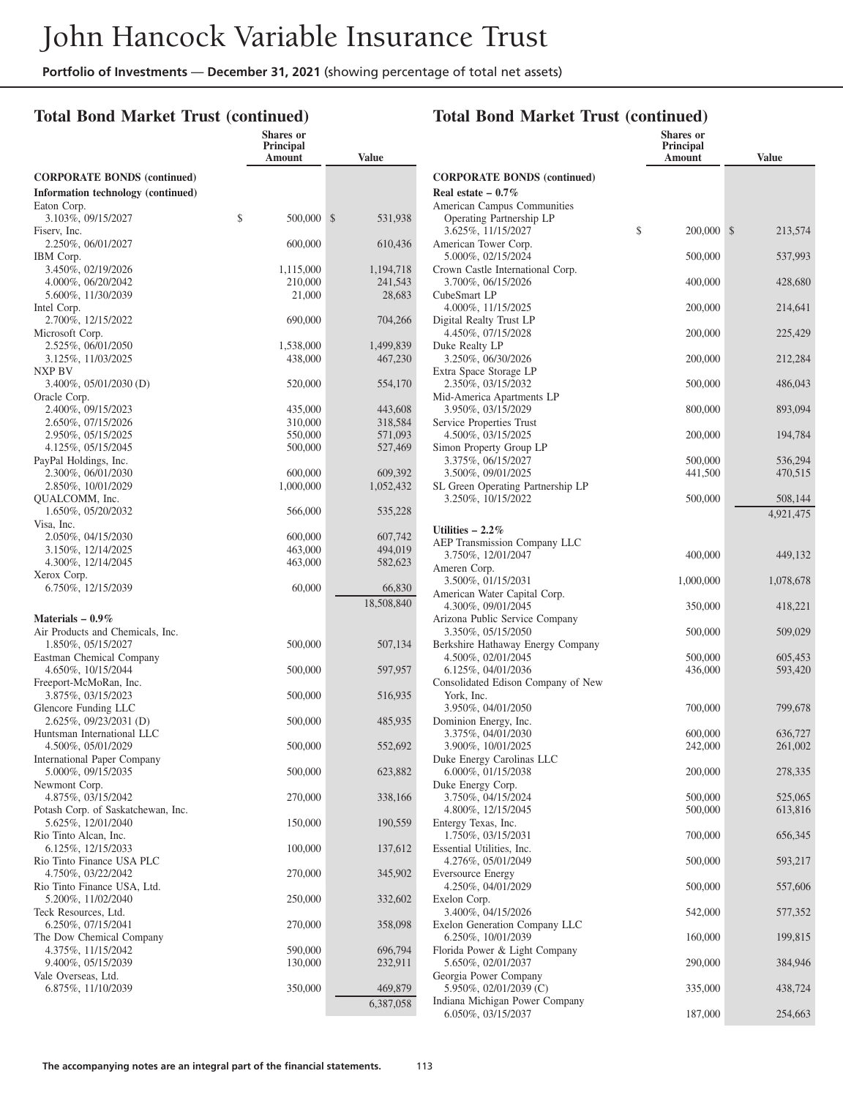#### **Total Bond Market Trust (continued)**

|                                                        | <b>Shares</b> or<br><b>Principal</b><br>Amount | <b>Value</b>       |
|--------------------------------------------------------|------------------------------------------------|--------------------|
| <b>CORPORATE BONDS (continued)</b>                     |                                                |                    |
| Information technology (continued)                     |                                                |                    |
| Eaton Corp.                                            |                                                |                    |
| 3.103%, 09/15/2027                                     | \$<br>500,000                                  | \$<br>531,938      |
| Fisery, Inc.<br>2.250%, 06/01/2027                     | 600,000                                        | 610,436            |
| IBM Corp.                                              |                                                |                    |
| 3.450%, 02/19/2026                                     | 1,115,000                                      | 1,194,718          |
| 4.000%, 06/20/2042                                     | 210,000                                        | 241,543            |
| 5.600%, 11/30/2039                                     | 21,000                                         | 28,683             |
| Intel Corp.                                            |                                                |                    |
| 2.700%, 12/15/2022<br>Microsoft Corp.                  | 690,000                                        | 704,266            |
| 2.525%, 06/01/2050                                     | 1,538,000                                      | 1,499,839          |
| 3.125%, 11/03/2025                                     | 438,000                                        | 467,230            |
| NXP BV                                                 |                                                |                    |
| $3.400\%$ , $05/01/2030$ (D)                           | 520,000                                        | 554,170            |
| Oracle Corp.                                           |                                                |                    |
| 2.400%, 09/15/2023                                     | 435,000                                        | 443,608            |
| 2.650%, 07/15/2026<br>2.950%, 05/15/2025               | 310,000<br>550,000                             | 318,584<br>571,093 |
| 4.125%, 05/15/2045                                     | 500,000                                        | 527,469            |
| PayPal Holdings, Inc.                                  |                                                |                    |
| 2.300%, 06/01/2030                                     | 600,000                                        | 609,392            |
| 2.850%, 10/01/2029                                     | 1,000,000                                      | 1,052,432          |
| QUALCOMM, Inc.                                         |                                                |                    |
| 1.650%, 05/20/2032<br>Visa, Inc.                       | 566,000                                        | 535,228            |
| 2.050%, 04/15/2030                                     | 600,000                                        | 607,742            |
| 3.150%, 12/14/2025                                     | 463,000                                        | 494,019            |
| 4.300%, 12/14/2045                                     | 463,000                                        | 582,623            |
| Xerox Corp.                                            |                                                |                    |
| 6.750%, 12/15/2039                                     | 60,000                                         | 66,830             |
|                                                        |                                                | 18,508,840         |
| Materials $-0.9\%$<br>Air Products and Chemicals, Inc. |                                                |                    |
| 1.850%, 05/15/2027                                     | 500,000                                        | 507,134            |
| Eastman Chemical Company                               |                                                |                    |
| 4.650%, 10/15/2044                                     | 500,000                                        | 597,957            |
| Freeport-McMoRan, Inc.                                 |                                                |                    |
| 3.875%, 03/15/2023<br>Glencore Funding LLC             | 500,000                                        | 516,935            |
| 2.625%, 09/23/2031 (D)                                 | 500,000                                        | 485,935            |
| Huntsman International LLC                             |                                                |                    |
| 4.500%, 05/01/2029                                     | 500,000                                        | 552,692            |
| International Paper Company                            |                                                |                    |
| 5.000%, 09/15/2035                                     | 500,000                                        | 623,882            |
| Newmont Corp.<br>4.875%, 03/15/2042                    | 270,000                                        | 338,166            |
| Potash Corp. of Saskatchewan, Inc.                     |                                                |                    |
| 5.625%, 12/01/2040                                     | 150,000                                        | 190,559            |
| Rio Tinto Alcan, Inc.                                  |                                                |                    |
| 6.125%, 12/15/2033                                     | 100,000                                        | 137,612            |
| Rio Tinto Finance USA PLC                              |                                                |                    |
| 4.750%, 03/22/2042<br>Rio Tinto Finance USA, Ltd.      | 270,000                                        | 345,902            |
| 5.200%, 11/02/2040                                     | 250,000                                        | 332,602            |
| Teck Resources, Ltd.                                   |                                                |                    |
| 6.250%, 07/15/2041                                     | 270,000                                        | 358,098            |
| The Dow Chemical Company                               |                                                |                    |
| 4.375%, 11/15/2042                                     | 590,000                                        | 696,794            |
| 9.400%, 05/15/2039<br>Vale Overseas, Ltd.              | 130,000                                        | 232,911            |
| 6.875%, 11/10/2039                                     | 350,000                                        | 469,879            |
|                                                        |                                                | 6,387,058          |

|                                                        | Principal<br>Amount | <b>Value</b>  |
|--------------------------------------------------------|---------------------|---------------|
| <b>CORPORATE BONDS (continued)</b>                     |                     |               |
| Real estate $-0.7\%$                                   |                     |               |
| American Campus Communities                            |                     |               |
| Operating Partnership LP                               |                     |               |
| 3.625%, 11/15/2027                                     | \$<br>200,000       | \$<br>213,574 |
| American Tower Corp.                                   |                     |               |
| 5.000%, 02/15/2024<br>Crown Castle International Corp. | 500,000             | 537,993       |
| 3.700%, 06/15/2026                                     | 400,000             | 428,680       |
| CubeSmart LP                                           |                     |               |
| 4.000%, 11/15/2025                                     | 200,000             | 214,641       |
| Digital Realty Trust LP                                |                     |               |
| 4.450%, 07/15/2028                                     | 200,000             | 225,429       |
| Duke Realty LP                                         |                     |               |
| 3.250%, 06/30/2026<br>Extra Space Storage LP           | 200,000             | 212,284       |
| 2.350%, 03/15/2032                                     | 500,000             | 486,043       |
| Mid-America Apartments LP                              |                     |               |
| 3.950%, 03/15/2029                                     | 800,000             | 893,094       |
| Service Properties Trust                               |                     |               |
| 4.500%, 03/15/2025                                     | 200,000             | 194,784       |
| Simon Property Group LP                                |                     |               |
| 3.375%, 06/15/2027<br>3.500%, 09/01/2025               | 500,000             | 536,294       |
| SL Green Operating Partnership LP                      | 441,500             | 470,515       |
| 3.250%, 10/15/2022                                     | 500,000             | 508,144       |
|                                                        |                     | 4,921,475     |
| Utilities $-2.2\%$                                     |                     |               |
| AEP Transmission Company LLC                           |                     |               |
| 3.750%, 12/01/2047                                     | 400,000             | 449,132       |
| Ameren Corp.                                           |                     |               |
| 3.500%, 01/15/2031                                     | 1,000,000           | 1,078,678     |
| American Water Capital Corp.                           |                     |               |
| 4.300%, 09/01/2045<br>Arizona Public Service Company   | 350,000             | 418,221       |
| 3.350%, 05/15/2050                                     | 500,000             | 509,029       |
| Berkshire Hathaway Energy Company                      |                     |               |
| 4.500%, 02/01/2045                                     | 500,000             | 605,453       |
| 6.125%, 04/01/2036                                     | 436,000             | 593,420       |
| Consolidated Edison Company of New                     |                     |               |
| York, Inc.                                             |                     |               |
| 3.950%, 04/01/2050<br>Dominion Energy, Inc.            | 700,000             | 799,678       |
| 3.375%, 04/01/2030                                     | 600,000             | 636,727       |
| 3.900%, 10/01/2025                                     | 242,000             | 261,002       |
| Duke Energy Carolinas LLC                              |                     |               |
| 6.000%, 01/15/2038                                     | 200,000             | 278,335       |
| Duke Energy Corp.                                      |                     |               |
| 3.750%, 04/15/2024                                     | 500,000             | 525,065       |
| 4.800%, 12/15/2045<br>Entergy Texas, Inc.              | 500,000             | 613,816       |
| 1.750%, 03/15/2031                                     | 700,000             | 656,345       |
| Essential Utilities, Inc.                              |                     |               |
| 4.276%, 05/01/2049                                     | 500,000             | 593,217       |
| <b>Eversource Energy</b>                               |                     |               |
| 4.250%, 04/01/2029                                     | 500,000             | 557,606       |
| Exelon Corp.<br>3.400%, 04/15/2026                     | 542,000             | 577,352       |
| Exelon Generation Company LLC                          |                     |               |
| 6.250%, 10/01/2039                                     | 160,000             | 199,815       |
| Florida Power & Light Company                          |                     |               |
| 5.650%, 02/01/2037                                     | 290,000             | 384,946       |
| Georgia Power Company                                  |                     |               |
| 5.950%, 02/01/2039 (C)                                 | 335,000             | 438,724       |
| Indiana Michigan Power Company<br>6.050%, 03/15/2037   | 187,000             | 254,663       |
|                                                        |                     |               |

# **Total Bond Market Trust (continued)**

**Shares or**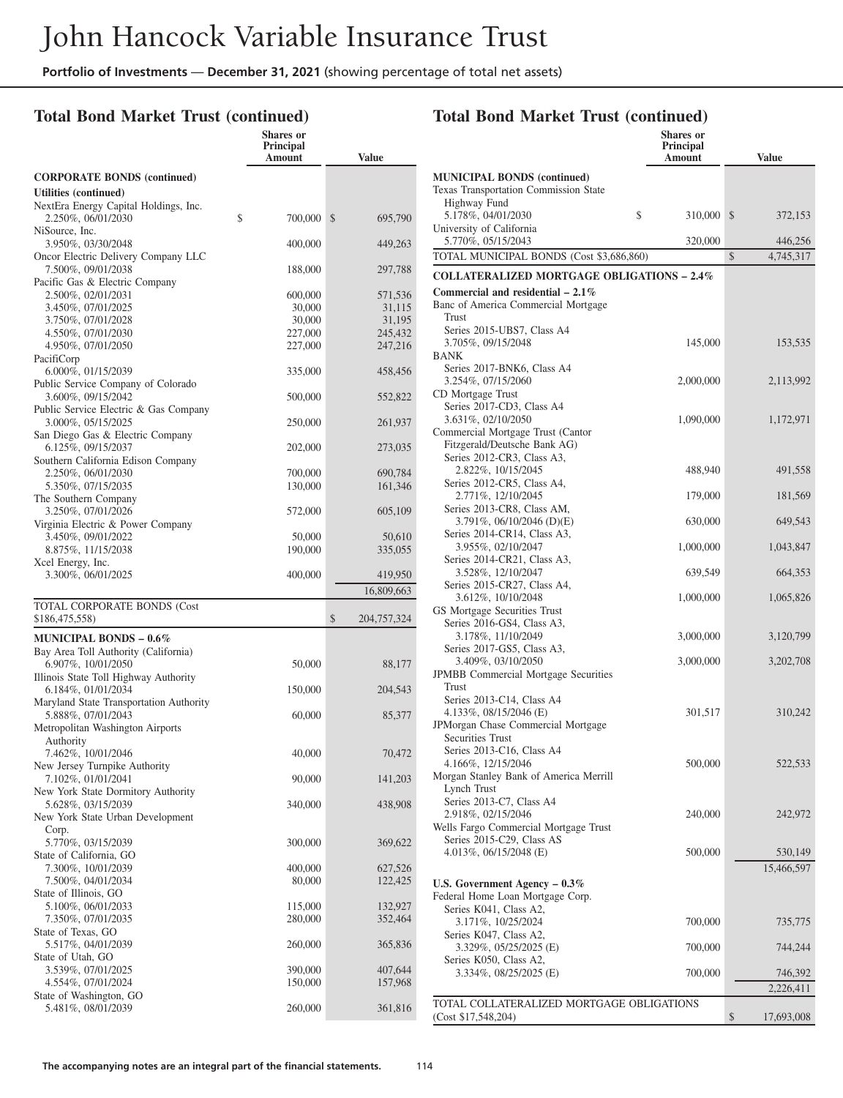### **Total Bond Market Trust (continued)**

|                                                               | <b>Shares</b> or<br><b>Principal</b><br>Amount | <b>Value</b>       |
|---------------------------------------------------------------|------------------------------------------------|--------------------|
| <b>CORPORATE BONDS (continued)</b>                            |                                                |                    |
| Utilities (continued)                                         |                                                |                    |
| NextEra Energy Capital Holdings, Inc.<br>2.250%, 06/01/2030   | \$<br>700,000                                  | \$<br>695,790      |
| NiSource, Inc.<br>3.950%, 03/30/2048                          | 400,000                                        | 449,263            |
| Oncor Electric Delivery Company LLC<br>7.500%, 09/01/2038     | 188,000                                        | 297,788            |
| Pacific Gas & Electric Company<br>2.500%, 02/01/2031          | 600,000                                        | 571,536            |
| 3.450%, 07/01/2025                                            | 30,000                                         | 31,115             |
| 3.750%, 07/01/2028                                            | 30,000                                         | 31,195             |
| 4.550%, 07/01/2030                                            | 227,000                                        | 245,432            |
| 4.950%, 07/01/2050<br>PacifiCorp                              | 227,000                                        | 247,216            |
| 6.000%, 01/15/2039                                            | 335,000                                        | 458,456            |
| Public Service Company of Colorado<br>3.600%, 09/15/2042      | 500,000                                        | 552,822            |
| Public Service Electric & Gas Company<br>3.000%, 05/15/2025   | 250,000                                        | 261,937            |
| San Diego Gas & Electric Company<br>6.125%, 09/15/2037        | 202,000                                        | 273,035            |
| Southern California Edison Company<br>2.250%, 06/01/2030      |                                                | 690,784            |
| 5.350%, 07/15/2035                                            | 700,000<br>130,000                             | 161,346            |
| The Southern Company                                          |                                                |                    |
| 3.250%, 07/01/2026<br>Virginia Electric & Power Company       | 572,000                                        | 605,109            |
| 3.450%, 09/01/2022<br>8.875%, 11/15/2038                      | 50,000<br>190,000                              | 50,610<br>335,055  |
| Xcel Energy, Inc.                                             |                                                |                    |
| 3.300%, 06/01/2025                                            | 400,000                                        | 419,950            |
|                                                               |                                                | 16,809,663         |
| TOTAL CORPORATE BONDS (Cost<br>\$186,475,558)                 |                                                | \$<br>204,757,324  |
| <b>MUNICIPAL BONDS - 0.6%</b>                                 |                                                |                    |
| Bay Area Toll Authority (California)<br>6.907%, 10/01/2050    | 50,000                                         | 88,177             |
| Illinois State Toll Highway Authority<br>6.184%, 01/01/2034   | 150,000                                        | 204,543            |
| Maryland State Transportation Authority<br>5.888%, 07/01/2043 | 60,000                                         | 85,377             |
| Metropolitan Washington Airports<br>Authority                 |                                                |                    |
| 7.462%, 10/01/2046<br>New Jersey Turnpike Authority           | 40,000                                         | 70,472             |
| 7.102%, 01/01/2041                                            | 90,000                                         | 141,203            |
| New York State Dormitory Authority<br>5.628%, 03/15/2039      | 340,000                                        | 438,908            |
| New York State Urban Development                              |                                                |                    |
| Corp.<br>5.770%, 03/15/2039                                   | 300,000                                        | 369,622            |
| State of California, GO<br>7.300%, 10/01/2039                 | 400,000                                        | 627,526            |
| 7.500%, 04/01/2034                                            | 80,000                                         | 122,425            |
| State of Illinois, GO                                         |                                                |                    |
| 5.100%, 06/01/2033<br>7.350%, 07/01/2035                      | 115,000<br>280,000                             | 132,927<br>352,464 |
| State of Texas, GO                                            |                                                |                    |
| 5.517%, 04/01/2039                                            | 260,000                                        | 365,836            |
| State of Utah, GO                                             |                                                |                    |
| 3.539%, 07/01/2025                                            | 390,000                                        | 407,644            |
| 4.554%, 07/01/2024<br>State of Washington, GO                 | 150,000                                        | 157,968            |
| 5.481%, 08/01/2039                                            | 260,000                                        | 361,816            |

|                                                                                             | <b>Shares or</b><br>Principal<br>Amount | <b>Value</b>     |
|---------------------------------------------------------------------------------------------|-----------------------------------------|------------------|
| <b>MUNICIPAL BONDS (continued)</b><br>Texas Transportation Commission State<br>Highway Fund |                                         |                  |
| \$<br>5.178%, 04/01/2030<br>University of California                                        | 310,000                                 | \$<br>372,153    |
| 5.770%, 05/15/2043                                                                          | 320,000                                 | 446,256          |
| TOTAL MUNICIPAL BONDS (Cost \$3,686,860)                                                    |                                         | \$<br>4,745,317  |
| <b>COLLATERALIZED MORTGAGE OBLIGATIONS - 2.4%</b>                                           |                                         |                  |
| Commercial and residential $-2.1\%$                                                         |                                         |                  |
| Banc of America Commercial Mortgage                                                         |                                         |                  |
| Trust                                                                                       |                                         |                  |
| Series 2015-UBS7, Class A4                                                                  |                                         |                  |
| 3.705%, 09/15/2048<br>BANK                                                                  | 145,000                                 | 153,535          |
| Series 2017-BNK6, Class A4                                                                  |                                         |                  |
| 3.254%, 07/15/2060                                                                          | 2,000,000                               | 2,113,992        |
| CD Mortgage Trust                                                                           |                                         |                  |
| Series 2017-CD3, Class A4                                                                   |                                         |                  |
| 3.631%, 02/10/2050                                                                          | 1,090,000                               | 1,172,971        |
| Commercial Mortgage Trust (Cantor                                                           |                                         |                  |
| Fitzgerald/Deutsche Bank AG)                                                                |                                         |                  |
| Series 2012-CR3, Class A3,                                                                  |                                         |                  |
| 2.822%, 10/15/2045                                                                          | 488,940                                 | 491,558          |
| Series 2012-CR5, Class A4,<br>2.771%, 12/10/2045                                            |                                         |                  |
| Series 2013-CR8, Class AM,                                                                  | 179,000                                 | 181,569          |
| 3.791%, 06/10/2046 (D)(E)                                                                   | 630,000                                 | 649,543          |
| Series 2014-CR14, Class A3,                                                                 |                                         |                  |
| 3.955%, 02/10/2047                                                                          | 1,000,000                               | 1,043,847        |
| Series 2014-CR21, Class A3,                                                                 |                                         |                  |
| 3.528%, 12/10/2047                                                                          | 639,549                                 | 664,353          |
| Series 2015-CR27, Class A4,                                                                 |                                         |                  |
| 3.612%, 10/10/2048                                                                          | 1,000,000                               | 1,065,826        |
| GS Mortgage Securities Trust                                                                |                                         |                  |
| Series 2016-GS4, Class A3,                                                                  |                                         |                  |
| 3.178%, 11/10/2049<br>Series 2017-GS5, Class A3,                                            | 3,000,000                               | 3,120,799        |
| 3.409%, 03/10/2050                                                                          | 3,000,000                               | 3,202,708        |
| JPMBB Commercial Mortgage Securities                                                        |                                         |                  |
| Trust                                                                                       |                                         |                  |
| Series 2013-C14, Class A4                                                                   |                                         |                  |
| 4.133%, 08/15/2046 (E)                                                                      | 301,517                                 | 310,242          |
| JPMorgan Chase Commercial Mortgage                                                          |                                         |                  |
| <b>Securities Trust</b>                                                                     |                                         |                  |
| Series 2013-C16, Class A4                                                                   |                                         |                  |
| 4.166%, 12/15/2046                                                                          | 500,000                                 | 522,533          |
| Morgan Stanley Bank of America Merrill<br>Lynch Trust                                       |                                         |                  |
| Series 2013-C7, Class A4                                                                    |                                         |                  |
| 2.918%, 02/15/2046                                                                          | 240,000                                 | 242,972          |
| Wells Fargo Commercial Mortgage Trust                                                       |                                         |                  |
| Series 2015-C29, Class AS                                                                   |                                         |                  |
| 4.013%, 06/15/2048 (E)                                                                      | 500,000                                 | 530,149          |
|                                                                                             |                                         | 15,466,597       |
| U.S. Government Agency $-0.3\%$                                                             |                                         |                  |
| Federal Home Loan Mortgage Corp.                                                            |                                         |                  |
| Series K041, Class A2,                                                                      |                                         |                  |
| 3.171%, 10/25/2024                                                                          | 700,000                                 | 735,775          |
| Series K047, Class A2,                                                                      |                                         |                  |
| 3.329%, 05/25/2025 (E)                                                                      | 700,000                                 | 744,244          |
| Series K050, Class A2,                                                                      |                                         |                  |
| 3.334%, 08/25/2025 (E)                                                                      | 700,000                                 | 746,392          |
|                                                                                             |                                         | 2,226,411        |
| TOTAL COLLATERALIZED MORTGAGE OBLIGATIONS                                                   |                                         |                  |
| (Cost \$17,548,204)                                                                         |                                         | \$<br>17,693,008 |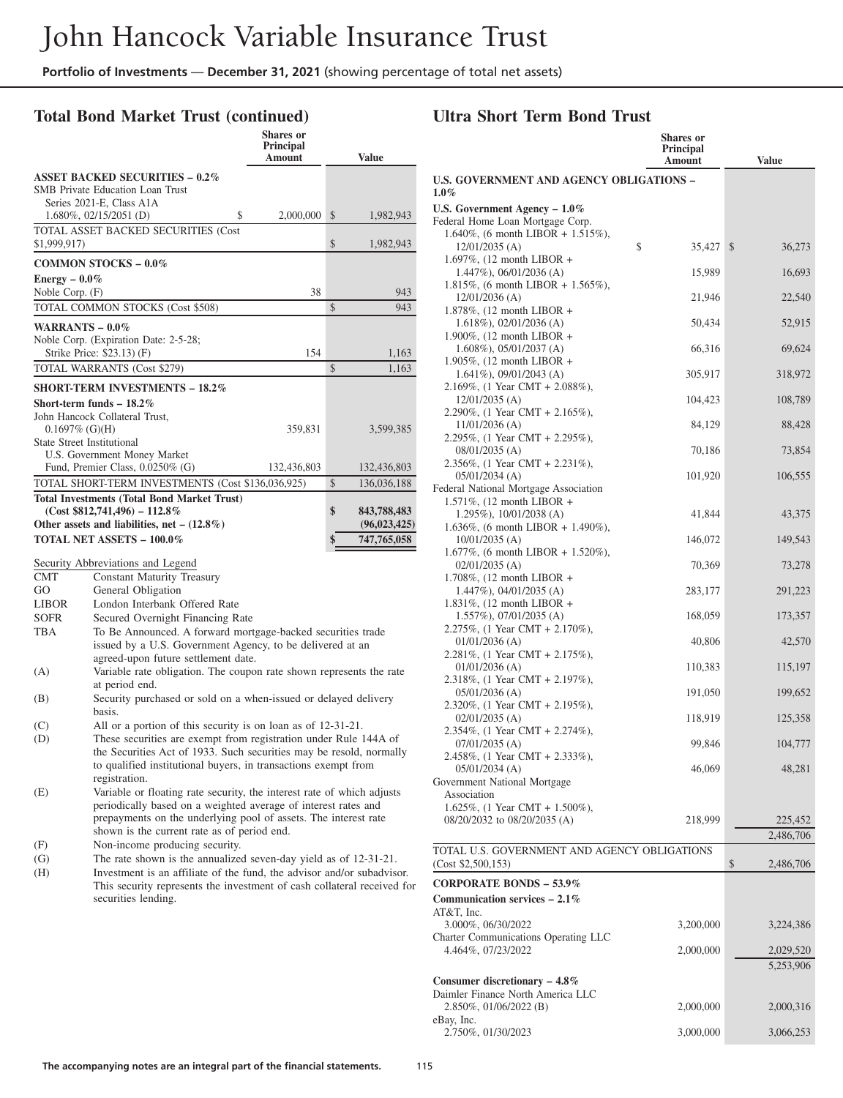## **Total Bond Market Trust (continued)**

|                                                    | <b>Shares</b> or<br><b>Principal</b><br><b>Amount</b> |               | <b>Value</b>   |
|----------------------------------------------------|-------------------------------------------------------|---------------|----------------|
| <b>ASSET BACKED SECURITIES - 0.2%</b>              |                                                       |               |                |
| <b>SMB</b> Private Education Loan Trust            |                                                       |               |                |
| Series 2021-E, Class A1A                           |                                                       |               |                |
| $1.680\%$ , 02/15/2051 (D)                         | \$<br>2,000,000                                       | $\mathcal{S}$ | 1,982,943      |
| TOTAL ASSET BACKED SECURITIES (Cost                |                                                       |               |                |
| \$1,999,917)                                       |                                                       | \$            | 1,982,943      |
| <b>COMMON STOCKS - 0.0%</b>                        |                                                       |               |                |
| Energy $-0.0\%$                                    |                                                       |               |                |
| Noble Corp. $(F)$                                  | 38                                                    |               | 943            |
| TOTAL COMMON STOCKS (Cost \$508)                   |                                                       | \$            | 943            |
| WARRANTS $-0.0\%$                                  |                                                       |               |                |
| Noble Corp. (Expiration Date: 2-5-28;              |                                                       |               |                |
| Strike Price: \$23.13) (F)                         | 154                                                   |               | 1,163          |
| <b>TOTAL WARRANTS (Cost \$279)</b>                 |                                                       | \$            | 1,163          |
| <b>SHORT-TERM INVESTMENTS - 18.2%</b>              |                                                       |               |                |
| Short-term funds $-18.2\%$                         |                                                       |               |                |
| John Hancock Collateral Trust.                     |                                                       |               |                |
| $0.1697\%$ (G)(H)                                  | 359,831                                               |               | 3,599,385      |
| <b>State Street Institutional</b>                  |                                                       |               |                |
| U.S. Government Money Market                       |                                                       |               |                |
| Fund, Premier Class, 0.0250% (G)                   | 132,436,803                                           |               | 132,436,803    |
| TOTAL SHORT-TERM INVESTMENTS (Cost \$136,036,925)  |                                                       | \$            | 136,036,188    |
| <b>Total Investments (Total Bond Market Trust)</b> |                                                       |               |                |
| $(Cost $812,741,496) - 112.8\%$                    |                                                       | \$            | 843,788,483    |
| Other assets and liabilities, net $- (12.8\%)$     |                                                       |               | (96, 023, 425) |
| <b>TOTAL NET ASSETS - 100.0%</b>                   |                                                       | \$            | 747,765,058    |
| Security Abbreviations and Legend                  |                                                       |               |                |
| <b>CMT</b><br><b>Constant Maturity Treasury</b>    |                                                       |               |                |
|                                                    |                                                       |               |                |

| U JVI L |  |       | Constant Maturity Ticasur |
|---------|--|-------|---------------------------|
| $\sim$  |  | 1.011 |                           |

- GO General Obligation
- LIBOR London Interbank Offered Rate
- SOFR Secured Overnight Financing Rate
- TBA To Be Announced. A forward mortgage-backed securities trade issued by a U.S. Government Agency, to be delivered at an agreed-upon future settlement date. (A) Variable rate obligation. The coupon rate shown represents the rate
- at period end.
- (B) Security purchased or sold on a when-issued or delayed delivery basis.
- (C) All or a portion of this security is on loan as of 12-31-21.
- (D) These securities are exempt from registration under Rule 144A of the Securities Act of 1933. Such securities may be resold, normally to qualified institutional buyers, in transactions exempt from registration.
- (E) Variable or floating rate security, the interest rate of which adjusts periodically based on a weighted average of interest rates and prepayments on the underlying pool of assets. The interest rate shown is the current rate as of period end.
- (F) Non-income producing security.
- (G) The rate shown is the annualized seven-day yield as of 12-31-21.
- (H) Investment is an affiliate of the fund, the advisor and/or subadvisor. This security represents the investment of cash collateral received for securities lending.

#### **Ultra Short Term Bond Trust**

|                                                                    | <b>Shares</b> or<br>Principal |                         |
|--------------------------------------------------------------------|-------------------------------|-------------------------|
|                                                                    | Amount                        | <b>Value</b>            |
| <b>U.S. GOVERNMENT AND AGENCY OBLIGATIONS -</b><br>$1.0\%$         |                               |                         |
| U.S. Government Agency - 1.0%                                      |                               |                         |
| Federal Home Loan Mortgage Corp.                                   |                               |                         |
| 1.640%, (6 month LIBOR + 1.515%),                                  |                               |                         |
| 12/01/2035 (A)                                                     | \$<br>35,427                  | $\mathcal{S}$<br>36,273 |
| 1.697%, $(12 \text{ month LIBOR } +$<br>$1.447\%$ , 06/01/2036 (A) | 15,989                        | 16,693                  |
| 1.815%, (6 month LIBOR + 1.565%),                                  |                               |                         |
| 12/01/2036 (A)                                                     | 21,946                        | 22,540                  |
| 1.878%, $(12 \text{ month LIBOR } +$<br>$1.618\%$ , 02/01/2036 (A) | 50,434                        | 52,915                  |
| 1.900%, (12 month LIBOR +                                          |                               |                         |
| $1.608\%$ , 05/01/2037 (A)                                         | 66,316                        | 69,624                  |
| 1.905%, $(12 \text{ month LIBOR } +$<br>$1.641\%$ , 09/01/2043 (A) | 305,917                       | 318,972                 |
| 2.169%, (1 Year CMT + 2.088%),                                     |                               |                         |
| 12/01/2035 (A)                                                     | 104,423                       | 108,789                 |
| 2.290%, (1 Year CMT + 2.165%),<br>$11/01/2036$ (A)                 | 84,129                        | 88,428                  |
| 2.295%, (1 Year CMT + 2.295%),                                     |                               |                         |
| 08/01/2035 (A)                                                     | 70,186                        | 73,854                  |
| 2.356%, (1 Year CMT + 2.231%),<br>$05/01/2034$ (A)                 | 101,920                       | 106,555                 |
| Federal National Mortgage Association                              |                               |                         |
| 1.571%, (12 month LIBOR +                                          |                               |                         |
| 1.295%), 10/01/2038 (A)                                            | 41,844                        | 43,375                  |
| 1.636%, (6 month LIBOR + 1.490%),<br>10/01/2035 (A)                | 146,072                       | 149,543                 |
| 1.677%, (6 month LIBOR + 1.520%),                                  |                               |                         |
| $02/01/2035$ (A)<br>1.708%, $(12 \text{ month LIBOR } +$           | 70,369                        | 73,278                  |
| $1.447\%$ , 04/01/2035 (A)                                         | 283,177                       | 291,223                 |
| 1.831%, $(12 \text{ month LIBOR } +$<br>1.557%), 07/01/2035 (A)    | 168,059                       | 173,357                 |
| 2.275\%\, $(1 \text{ Year CMT} + 2.170\%),$                        |                               |                         |
| $01/01/2036$ (A)<br>2.281%, (1 Year CMT + 2.175%),                 | 40,806                        | 42,570                  |
| $01/01/2036$ (A)                                                   | 110,383                       | 115,197                 |
| 2.318%, (1 Year CMT + 2.197%),<br>$05/01/2036$ (A)                 | 191,050                       | 199,652                 |
| 2.320%, (1 Year CMT + 2.195%),                                     |                               |                         |
| $02/01/2035$ (A)<br>2.354%, (1 Year CMT + 2.274%),                 | 118,919                       | 125,358                 |
| $07/01/2035$ (A)                                                   | 99,846                        | 104,777                 |
| 2.458%, $(1$ Year CMT + 2.333%),                                   |                               |                         |
| $05/01/2034$ (A)                                                   | 46,069                        | 48,281                  |
| Government National Mortgage<br>Association                        |                               |                         |
| 1.625%, (1 Year CMT + 1.500%),                                     |                               |                         |
| 08/20/2032 to 08/20/2035 (A)                                       | 218,999                       | 225,452                 |
|                                                                    |                               | 2,486,706               |
| TOTAL U.S. GOVERNMENT AND AGENCY OBLIGATIONS                       |                               |                         |
| (Cost \$2,500,153)                                                 |                               | \$<br>2,486,706         |
| <b>CORPORATE BONDS - 53.9%</b>                                     |                               |                         |
| Communication services $-2.1\%$<br>AT&T. Inc.                      |                               |                         |
| 3.000%, 06/30/2022                                                 | 3,200,000                     | 3,224,386               |
| Charter Communications Operating LLC                               |                               |                         |
| 4.464%, 07/23/2022                                                 | 2,000,000                     | 2,029,520<br>5,253,906  |
| Consumer discretionary $-4.8\%$                                    |                               |                         |
| Daimler Finance North America LLC                                  |                               |                         |
| 2.850%, 01/06/2022 (B)                                             | 2,000,000                     | 2,000,316               |
| eBay, Inc.<br>2.750%, 01/30/2023                                   | 3,000,000                     | 3,066,253               |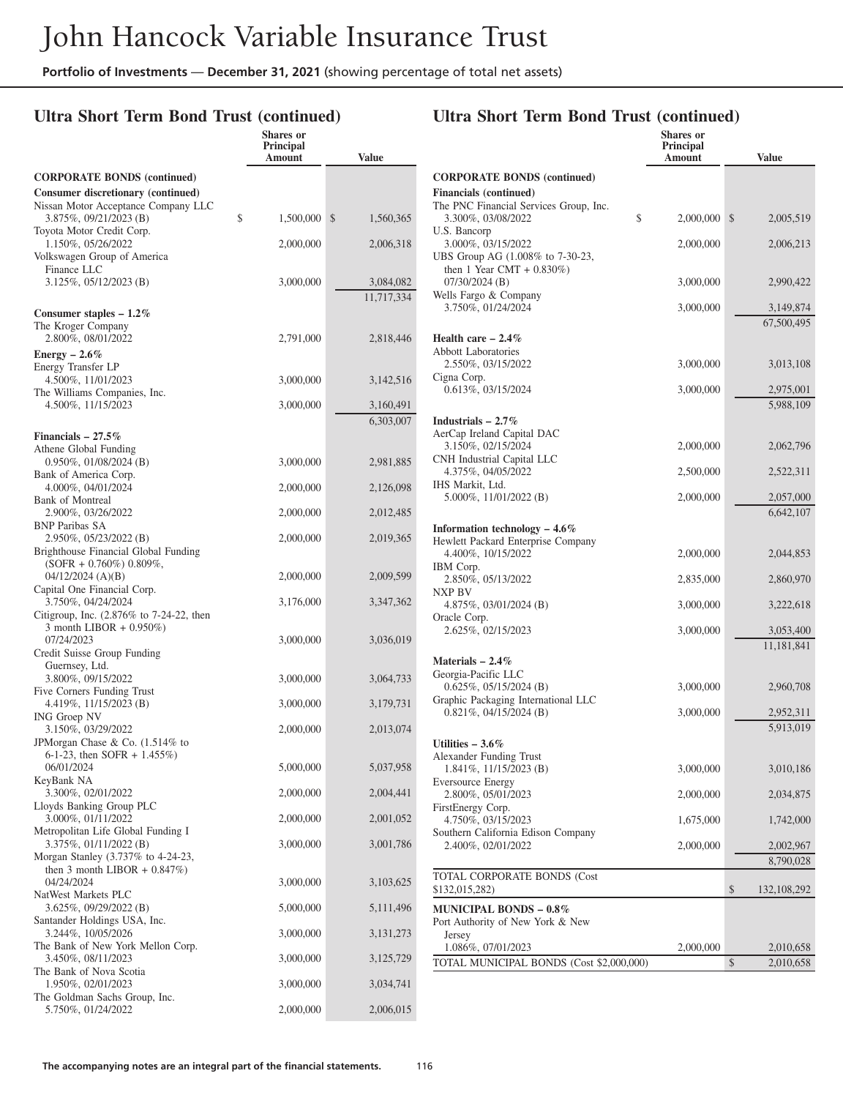### **Ultra Short Term Bond Trust (continued)**

|                                                                | Shares or<br>Principal |                 |
|----------------------------------------------------------------|------------------------|-----------------|
|                                                                | Amount                 | Value           |
| <b>CORPORATE BONDS (continued)</b>                             |                        |                 |
| Consumer discretionary (continued)                             |                        |                 |
| Nissan Motor Acceptance Company LLC<br>3.875%, 09/21/2023 (B)  | \$<br>1,500,000        | \$<br>1,560,365 |
| Toyota Motor Credit Corp.                                      |                        |                 |
| 1.150%, 05/26/2022<br>Volkswagen Group of America              | 2,000,000              | 2,006,318       |
| Finance LLC                                                    |                        |                 |
| $3.125\%, 05/12/2023$ (B)                                      | 3,000,000              | 3,084,082       |
|                                                                |                        | 11,717,334      |
| Consumer staples $-1.2\%$<br>The Kroger Company                |                        |                 |
| 2.800%, 08/01/2022                                             | 2,791,000              | 2,818,446       |
| Energy $-2.6\%$                                                |                        |                 |
| Energy Transfer LP                                             |                        |                 |
| 4.500%, 11/01/2023                                             | 3,000,000              | 3,142,516       |
| The Williams Companies, Inc.<br>4.500%, 11/15/2023             | 3,000,000              | 3,160,491       |
|                                                                |                        | 6,303,007       |
| Financials $-27.5%$                                            |                        |                 |
| Athene Global Funding                                          |                        |                 |
| $0.950\%, 01/08/2024$ (B)                                      | 3,000,000              | 2,981,885       |
| Bank of America Corp.<br>4.000%, 04/01/2024                    | 2,000,000              | 2,126,098       |
| Bank of Montreal                                               |                        |                 |
| 2.900%, 03/26/2022                                             | 2,000,000              | 2,012,485       |
| <b>BNP Paribas SA</b>                                          |                        |                 |
| 2.950%, 05/23/2022 (B)<br>Brighthouse Financial Global Funding | 2,000,000              | 2,019,365       |
| $(SOFR + 0.760\%) 0.809\%,$                                    |                        |                 |
| $04/12/2024$ (A)(B)                                            | 2,000,000              | 2,009,599       |
| Capital One Financial Corp.                                    |                        |                 |
| 3.750%, 04/24/2024<br>Citigroup, Inc. (2.876% to 7-24-22, then | 3,176,000              | 3,347,362       |
| 3 month LIBOR $+$ 0.950%)                                      |                        |                 |
| 07/24/2023                                                     | 3,000,000              | 3,036,019       |
| Credit Suisse Group Funding                                    |                        |                 |
| Guernsey, Ltd.<br>3.800%, 09/15/2022                           | 3,000,000              | 3,064,733       |
| Five Corners Funding Trust                                     |                        |                 |
| 4.419%, 11/15/2023 (B)                                         | 3,000,000              | 3,179,731       |
| ING Groep NV<br>3.150%, 03/29/2022                             | 2,000,000              | 2,013,074       |
| JPMorgan Chase & Co. (1.514% to                                |                        |                 |
| 6-1-23, then SOFR + $1.455\%$ )                                |                        |                 |
| 06/01/2024                                                     | 5,000,000              | 5,037,958       |
| KeyBank NA<br>3.300%, 02/01/2022                               | 2,000,000              | 2,004,441       |
| Lloyds Banking Group PLC                                       |                        |                 |
| 3.000%, 01/11/2022                                             | 2,000,000              | 2,001,052       |
| Metropolitan Life Global Funding I<br>3.375%, 01/11/2022 (B)   | 3,000,000              | 3,001,786       |
| Morgan Stanley (3.737% to 4-24-23,                             |                        |                 |
| then 3 month LIBOR + $0.847\%$ )                               |                        |                 |
| 04/24/2024                                                     | 3,000,000              | 3,103,625       |
| NatWest Markets PLC<br>3.625%, 09/29/2022 (B)                  | 5,000,000              | 5, 111, 496     |
| Santander Holdings USA, Inc.                                   |                        |                 |
| 3.244%, 10/05/2026                                             | 3,000,000              | 3, 131, 273     |
| The Bank of New York Mellon Corp.                              |                        |                 |
| 3.450%, 08/11/2023<br>The Bank of Nova Scotia                  | 3,000,000              | 3,125,729       |
| 1.950%, 02/01/2023                                             | 3,000,000              | 3,034,741       |
| The Goldman Sachs Group, Inc.                                  |                        |                 |
| 5.750%, 01/24/2022                                             | 2,000,000              | 2,006,015       |

| <b>Financials</b> (continued)<br>The PNC Financial Services Group, Inc.<br>\$<br>3.300%, 03/08/2022<br>\$<br>2,000,000<br>2,005,519<br>U.S. Bancorp<br>3.000%, 03/15/2022<br>2,000,000<br>2,006,213<br>UBS Group AG (1.008% to 7-30-23,<br>then 1 Year CMT + $0.830\%$ )<br>$07/30/2024$ (B)<br>3,000,000<br>2,990,422<br>Wells Fargo & Company<br>3.750%, 01/24/2024<br>3,000,000<br>3,149,874<br>67,500,495<br>Health care $-2.4\%$<br><b>Abbott Laboratories</b><br>2.550%, 03/15/2022<br>3,000,000<br>3,013,108<br>Cigna Corp.<br>0.613%, 03/15/2024<br>3,000,000<br>2,975,001<br>5,988,109<br>Industrials $-2.7\%$<br>AerCap Ireland Capital DAC<br>3.150%, 02/15/2024<br>2,000,000<br>2,062,796<br>CNH Industrial Capital LLC<br>4.375%, 04/05/2022<br>2,500,000<br>2,522,311<br>IHS Markit, Ltd.<br>5.000%, 11/01/2022 (B)<br>2,000,000<br>2,057,000<br>6,642,107<br>Information technology $-4.6\%$<br>Hewlett Packard Enterprise Company<br>4.400%, 10/15/2022<br>2,000,000<br>2,044,853<br>IBM Corp.<br>2.850%, 05/13/2022<br>2,835,000<br>2,860,970<br>NXP BV<br>4.875\%, 03/01/2024 (B)<br>3,000,000<br>3,222,618<br>Oracle Corp.<br>2.625%, 02/15/2023<br>3,000,000<br>3,053,400<br>11,181,841<br>Materials $-2.4\%$<br>Georgia-Pacific LLC<br>$0.625\%, 05/15/2024$ (B)<br>3,000,000<br>2,960,708<br>Graphic Packaging International LLC<br>$0.821\%, 04/15/2024$ (B)<br>3,000,000<br>2,952,311<br>5,913,019<br>Utilities $-3.6\%$<br>Alexander Funding Trust<br>1.841%, 11/15/2023 (B)<br>3,000,000<br>3,010,186<br><b>Eversource Energy</b><br>2.800%, 05/01/2023<br>2,000,000<br>2,034,875<br>FirstEnergy Corp.<br>1,675,000<br>4.750%, 03/15/2023<br>1,742,000<br>Southern California Edison Company<br>2.400%, 02/01/2022<br>2,000,000<br>2,002,967<br>8,790,028<br>TOTAL CORPORATE BONDS (Cost<br>\$<br>\$132,015,282)<br>132, 108, 292<br><b>MUNICIPAL BONDS – 0.8%</b><br>Port Authority of New York & New<br>Jersey<br>1.086%, 07/01/2023<br>2,000,000<br>2,010,658<br>\$<br>TOTAL MUNICIPAL BONDS (Cost \$2,000,000)<br>2,010,658 | <b>CORPORATE BONDS (continued)</b> |  |  |
|-----------------------------------------------------------------------------------------------------------------------------------------------------------------------------------------------------------------------------------------------------------------------------------------------------------------------------------------------------------------------------------------------------------------------------------------------------------------------------------------------------------------------------------------------------------------------------------------------------------------------------------------------------------------------------------------------------------------------------------------------------------------------------------------------------------------------------------------------------------------------------------------------------------------------------------------------------------------------------------------------------------------------------------------------------------------------------------------------------------------------------------------------------------------------------------------------------------------------------------------------------------------------------------------------------------------------------------------------------------------------------------------------------------------------------------------------------------------------------------------------------------------------------------------------------------------------------------------------------------------------------------------------------------------------------------------------------------------------------------------------------------------------------------------------------------------------------------------------------------------------------------------------------------------------------------------------------------------------------------------------------------------------------------------------------------|------------------------------------|--|--|
|                                                                                                                                                                                                                                                                                                                                                                                                                                                                                                                                                                                                                                                                                                                                                                                                                                                                                                                                                                                                                                                                                                                                                                                                                                                                                                                                                                                                                                                                                                                                                                                                                                                                                                                                                                                                                                                                                                                                                                                                                                                           |                                    |  |  |
|                                                                                                                                                                                                                                                                                                                                                                                                                                                                                                                                                                                                                                                                                                                                                                                                                                                                                                                                                                                                                                                                                                                                                                                                                                                                                                                                                                                                                                                                                                                                                                                                                                                                                                                                                                                                                                                                                                                                                                                                                                                           |                                    |  |  |
|                                                                                                                                                                                                                                                                                                                                                                                                                                                                                                                                                                                                                                                                                                                                                                                                                                                                                                                                                                                                                                                                                                                                                                                                                                                                                                                                                                                                                                                                                                                                                                                                                                                                                                                                                                                                                                                                                                                                                                                                                                                           |                                    |  |  |
|                                                                                                                                                                                                                                                                                                                                                                                                                                                                                                                                                                                                                                                                                                                                                                                                                                                                                                                                                                                                                                                                                                                                                                                                                                                                                                                                                                                                                                                                                                                                                                                                                                                                                                                                                                                                                                                                                                                                                                                                                                                           |                                    |  |  |
|                                                                                                                                                                                                                                                                                                                                                                                                                                                                                                                                                                                                                                                                                                                                                                                                                                                                                                                                                                                                                                                                                                                                                                                                                                                                                                                                                                                                                                                                                                                                                                                                                                                                                                                                                                                                                                                                                                                                                                                                                                                           |                                    |  |  |
|                                                                                                                                                                                                                                                                                                                                                                                                                                                                                                                                                                                                                                                                                                                                                                                                                                                                                                                                                                                                                                                                                                                                                                                                                                                                                                                                                                                                                                                                                                                                                                                                                                                                                                                                                                                                                                                                                                                                                                                                                                                           |                                    |  |  |
|                                                                                                                                                                                                                                                                                                                                                                                                                                                                                                                                                                                                                                                                                                                                                                                                                                                                                                                                                                                                                                                                                                                                                                                                                                                                                                                                                                                                                                                                                                                                                                                                                                                                                                                                                                                                                                                                                                                                                                                                                                                           |                                    |  |  |
|                                                                                                                                                                                                                                                                                                                                                                                                                                                                                                                                                                                                                                                                                                                                                                                                                                                                                                                                                                                                                                                                                                                                                                                                                                                                                                                                                                                                                                                                                                                                                                                                                                                                                                                                                                                                                                                                                                                                                                                                                                                           |                                    |  |  |
|                                                                                                                                                                                                                                                                                                                                                                                                                                                                                                                                                                                                                                                                                                                                                                                                                                                                                                                                                                                                                                                                                                                                                                                                                                                                                                                                                                                                                                                                                                                                                                                                                                                                                                                                                                                                                                                                                                                                                                                                                                                           |                                    |  |  |
|                                                                                                                                                                                                                                                                                                                                                                                                                                                                                                                                                                                                                                                                                                                                                                                                                                                                                                                                                                                                                                                                                                                                                                                                                                                                                                                                                                                                                                                                                                                                                                                                                                                                                                                                                                                                                                                                                                                                                                                                                                                           |                                    |  |  |
|                                                                                                                                                                                                                                                                                                                                                                                                                                                                                                                                                                                                                                                                                                                                                                                                                                                                                                                                                                                                                                                                                                                                                                                                                                                                                                                                                                                                                                                                                                                                                                                                                                                                                                                                                                                                                                                                                                                                                                                                                                                           |                                    |  |  |
|                                                                                                                                                                                                                                                                                                                                                                                                                                                                                                                                                                                                                                                                                                                                                                                                                                                                                                                                                                                                                                                                                                                                                                                                                                                                                                                                                                                                                                                                                                                                                                                                                                                                                                                                                                                                                                                                                                                                                                                                                                                           |                                    |  |  |
|                                                                                                                                                                                                                                                                                                                                                                                                                                                                                                                                                                                                                                                                                                                                                                                                                                                                                                                                                                                                                                                                                                                                                                                                                                                                                                                                                                                                                                                                                                                                                                                                                                                                                                                                                                                                                                                                                                                                                                                                                                                           |                                    |  |  |
|                                                                                                                                                                                                                                                                                                                                                                                                                                                                                                                                                                                                                                                                                                                                                                                                                                                                                                                                                                                                                                                                                                                                                                                                                                                                                                                                                                                                                                                                                                                                                                                                                                                                                                                                                                                                                                                                                                                                                                                                                                                           |                                    |  |  |
|                                                                                                                                                                                                                                                                                                                                                                                                                                                                                                                                                                                                                                                                                                                                                                                                                                                                                                                                                                                                                                                                                                                                                                                                                                                                                                                                                                                                                                                                                                                                                                                                                                                                                                                                                                                                                                                                                                                                                                                                                                                           |                                    |  |  |
|                                                                                                                                                                                                                                                                                                                                                                                                                                                                                                                                                                                                                                                                                                                                                                                                                                                                                                                                                                                                                                                                                                                                                                                                                                                                                                                                                                                                                                                                                                                                                                                                                                                                                                                                                                                                                                                                                                                                                                                                                                                           |                                    |  |  |
|                                                                                                                                                                                                                                                                                                                                                                                                                                                                                                                                                                                                                                                                                                                                                                                                                                                                                                                                                                                                                                                                                                                                                                                                                                                                                                                                                                                                                                                                                                                                                                                                                                                                                                                                                                                                                                                                                                                                                                                                                                                           |                                    |  |  |
|                                                                                                                                                                                                                                                                                                                                                                                                                                                                                                                                                                                                                                                                                                                                                                                                                                                                                                                                                                                                                                                                                                                                                                                                                                                                                                                                                                                                                                                                                                                                                                                                                                                                                                                                                                                                                                                                                                                                                                                                                                                           |                                    |  |  |
|                                                                                                                                                                                                                                                                                                                                                                                                                                                                                                                                                                                                                                                                                                                                                                                                                                                                                                                                                                                                                                                                                                                                                                                                                                                                                                                                                                                                                                                                                                                                                                                                                                                                                                                                                                                                                                                                                                                                                                                                                                                           |                                    |  |  |
|                                                                                                                                                                                                                                                                                                                                                                                                                                                                                                                                                                                                                                                                                                                                                                                                                                                                                                                                                                                                                                                                                                                                                                                                                                                                                                                                                                                                                                                                                                                                                                                                                                                                                                                                                                                                                                                                                                                                                                                                                                                           |                                    |  |  |
|                                                                                                                                                                                                                                                                                                                                                                                                                                                                                                                                                                                                                                                                                                                                                                                                                                                                                                                                                                                                                                                                                                                                                                                                                                                                                                                                                                                                                                                                                                                                                                                                                                                                                                                                                                                                                                                                                                                                                                                                                                                           |                                    |  |  |
|                                                                                                                                                                                                                                                                                                                                                                                                                                                                                                                                                                                                                                                                                                                                                                                                                                                                                                                                                                                                                                                                                                                                                                                                                                                                                                                                                                                                                                                                                                                                                                                                                                                                                                                                                                                                                                                                                                                                                                                                                                                           |                                    |  |  |
|                                                                                                                                                                                                                                                                                                                                                                                                                                                                                                                                                                                                                                                                                                                                                                                                                                                                                                                                                                                                                                                                                                                                                                                                                                                                                                                                                                                                                                                                                                                                                                                                                                                                                                                                                                                                                                                                                                                                                                                                                                                           |                                    |  |  |
|                                                                                                                                                                                                                                                                                                                                                                                                                                                                                                                                                                                                                                                                                                                                                                                                                                                                                                                                                                                                                                                                                                                                                                                                                                                                                                                                                                                                                                                                                                                                                                                                                                                                                                                                                                                                                                                                                                                                                                                                                                                           |                                    |  |  |
|                                                                                                                                                                                                                                                                                                                                                                                                                                                                                                                                                                                                                                                                                                                                                                                                                                                                                                                                                                                                                                                                                                                                                                                                                                                                                                                                                                                                                                                                                                                                                                                                                                                                                                                                                                                                                                                                                                                                                                                                                                                           |                                    |  |  |
|                                                                                                                                                                                                                                                                                                                                                                                                                                                                                                                                                                                                                                                                                                                                                                                                                                                                                                                                                                                                                                                                                                                                                                                                                                                                                                                                                                                                                                                                                                                                                                                                                                                                                                                                                                                                                                                                                                                                                                                                                                                           |                                    |  |  |
|                                                                                                                                                                                                                                                                                                                                                                                                                                                                                                                                                                                                                                                                                                                                                                                                                                                                                                                                                                                                                                                                                                                                                                                                                                                                                                                                                                                                                                                                                                                                                                                                                                                                                                                                                                                                                                                                                                                                                                                                                                                           |                                    |  |  |
|                                                                                                                                                                                                                                                                                                                                                                                                                                                                                                                                                                                                                                                                                                                                                                                                                                                                                                                                                                                                                                                                                                                                                                                                                                                                                                                                                                                                                                                                                                                                                                                                                                                                                                                                                                                                                                                                                                                                                                                                                                                           |                                    |  |  |
|                                                                                                                                                                                                                                                                                                                                                                                                                                                                                                                                                                                                                                                                                                                                                                                                                                                                                                                                                                                                                                                                                                                                                                                                                                                                                                                                                                                                                                                                                                                                                                                                                                                                                                                                                                                                                                                                                                                                                                                                                                                           |                                    |  |  |
|                                                                                                                                                                                                                                                                                                                                                                                                                                                                                                                                                                                                                                                                                                                                                                                                                                                                                                                                                                                                                                                                                                                                                                                                                                                                                                                                                                                                                                                                                                                                                                                                                                                                                                                                                                                                                                                                                                                                                                                                                                                           |                                    |  |  |
|                                                                                                                                                                                                                                                                                                                                                                                                                                                                                                                                                                                                                                                                                                                                                                                                                                                                                                                                                                                                                                                                                                                                                                                                                                                                                                                                                                                                                                                                                                                                                                                                                                                                                                                                                                                                                                                                                                                                                                                                                                                           |                                    |  |  |
|                                                                                                                                                                                                                                                                                                                                                                                                                                                                                                                                                                                                                                                                                                                                                                                                                                                                                                                                                                                                                                                                                                                                                                                                                                                                                                                                                                                                                                                                                                                                                                                                                                                                                                                                                                                                                                                                                                                                                                                                                                                           |                                    |  |  |
|                                                                                                                                                                                                                                                                                                                                                                                                                                                                                                                                                                                                                                                                                                                                                                                                                                                                                                                                                                                                                                                                                                                                                                                                                                                                                                                                                                                                                                                                                                                                                                                                                                                                                                                                                                                                                                                                                                                                                                                                                                                           |                                    |  |  |
|                                                                                                                                                                                                                                                                                                                                                                                                                                                                                                                                                                                                                                                                                                                                                                                                                                                                                                                                                                                                                                                                                                                                                                                                                                                                                                                                                                                                                                                                                                                                                                                                                                                                                                                                                                                                                                                                                                                                                                                                                                                           |                                    |  |  |
|                                                                                                                                                                                                                                                                                                                                                                                                                                                                                                                                                                                                                                                                                                                                                                                                                                                                                                                                                                                                                                                                                                                                                                                                                                                                                                                                                                                                                                                                                                                                                                                                                                                                                                                                                                                                                                                                                                                                                                                                                                                           |                                    |  |  |
|                                                                                                                                                                                                                                                                                                                                                                                                                                                                                                                                                                                                                                                                                                                                                                                                                                                                                                                                                                                                                                                                                                                                                                                                                                                                                                                                                                                                                                                                                                                                                                                                                                                                                                                                                                                                                                                                                                                                                                                                                                                           |                                    |  |  |
|                                                                                                                                                                                                                                                                                                                                                                                                                                                                                                                                                                                                                                                                                                                                                                                                                                                                                                                                                                                                                                                                                                                                                                                                                                                                                                                                                                                                                                                                                                                                                                                                                                                                                                                                                                                                                                                                                                                                                                                                                                                           |                                    |  |  |
|                                                                                                                                                                                                                                                                                                                                                                                                                                                                                                                                                                                                                                                                                                                                                                                                                                                                                                                                                                                                                                                                                                                                                                                                                                                                                                                                                                                                                                                                                                                                                                                                                                                                                                                                                                                                                                                                                                                                                                                                                                                           |                                    |  |  |
|                                                                                                                                                                                                                                                                                                                                                                                                                                                                                                                                                                                                                                                                                                                                                                                                                                                                                                                                                                                                                                                                                                                                                                                                                                                                                                                                                                                                                                                                                                                                                                                                                                                                                                                                                                                                                                                                                                                                                                                                                                                           |                                    |  |  |
|                                                                                                                                                                                                                                                                                                                                                                                                                                                                                                                                                                                                                                                                                                                                                                                                                                                                                                                                                                                                                                                                                                                                                                                                                                                                                                                                                                                                                                                                                                                                                                                                                                                                                                                                                                                                                                                                                                                                                                                                                                                           |                                    |  |  |
|                                                                                                                                                                                                                                                                                                                                                                                                                                                                                                                                                                                                                                                                                                                                                                                                                                                                                                                                                                                                                                                                                                                                                                                                                                                                                                                                                                                                                                                                                                                                                                                                                                                                                                                                                                                                                                                                                                                                                                                                                                                           |                                    |  |  |
|                                                                                                                                                                                                                                                                                                                                                                                                                                                                                                                                                                                                                                                                                                                                                                                                                                                                                                                                                                                                                                                                                                                                                                                                                                                                                                                                                                                                                                                                                                                                                                                                                                                                                                                                                                                                                                                                                                                                                                                                                                                           |                                    |  |  |
|                                                                                                                                                                                                                                                                                                                                                                                                                                                                                                                                                                                                                                                                                                                                                                                                                                                                                                                                                                                                                                                                                                                                                                                                                                                                                                                                                                                                                                                                                                                                                                                                                                                                                                                                                                                                                                                                                                                                                                                                                                                           |                                    |  |  |
|                                                                                                                                                                                                                                                                                                                                                                                                                                                                                                                                                                                                                                                                                                                                                                                                                                                                                                                                                                                                                                                                                                                                                                                                                                                                                                                                                                                                                                                                                                                                                                                                                                                                                                                                                                                                                                                                                                                                                                                                                                                           |                                    |  |  |
|                                                                                                                                                                                                                                                                                                                                                                                                                                                                                                                                                                                                                                                                                                                                                                                                                                                                                                                                                                                                                                                                                                                                                                                                                                                                                                                                                                                                                                                                                                                                                                                                                                                                                                                                                                                                                                                                                                                                                                                                                                                           |                                    |  |  |
|                                                                                                                                                                                                                                                                                                                                                                                                                                                                                                                                                                                                                                                                                                                                                                                                                                                                                                                                                                                                                                                                                                                                                                                                                                                                                                                                                                                                                                                                                                                                                                                                                                                                                                                                                                                                                                                                                                                                                                                                                                                           |                                    |  |  |
|                                                                                                                                                                                                                                                                                                                                                                                                                                                                                                                                                                                                                                                                                                                                                                                                                                                                                                                                                                                                                                                                                                                                                                                                                                                                                                                                                                                                                                                                                                                                                                                                                                                                                                                                                                                                                                                                                                                                                                                                                                                           |                                    |  |  |
|                                                                                                                                                                                                                                                                                                                                                                                                                                                                                                                                                                                                                                                                                                                                                                                                                                                                                                                                                                                                                                                                                                                                                                                                                                                                                                                                                                                                                                                                                                                                                                                                                                                                                                                                                                                                                                                                                                                                                                                                                                                           |                                    |  |  |
|                                                                                                                                                                                                                                                                                                                                                                                                                                                                                                                                                                                                                                                                                                                                                                                                                                                                                                                                                                                                                                                                                                                                                                                                                                                                                                                                                                                                                                                                                                                                                                                                                                                                                                                                                                                                                                                                                                                                                                                                                                                           |                                    |  |  |
|                                                                                                                                                                                                                                                                                                                                                                                                                                                                                                                                                                                                                                                                                                                                                                                                                                                                                                                                                                                                                                                                                                                                                                                                                                                                                                                                                                                                                                                                                                                                                                                                                                                                                                                                                                                                                                                                                                                                                                                                                                                           |                                    |  |  |
|                                                                                                                                                                                                                                                                                                                                                                                                                                                                                                                                                                                                                                                                                                                                                                                                                                                                                                                                                                                                                                                                                                                                                                                                                                                                                                                                                                                                                                                                                                                                                                                                                                                                                                                                                                                                                                                                                                                                                                                                                                                           |                                    |  |  |
|                                                                                                                                                                                                                                                                                                                                                                                                                                                                                                                                                                                                                                                                                                                                                                                                                                                                                                                                                                                                                                                                                                                                                                                                                                                                                                                                                                                                                                                                                                                                                                                                                                                                                                                                                                                                                                                                                                                                                                                                                                                           |                                    |  |  |
|                                                                                                                                                                                                                                                                                                                                                                                                                                                                                                                                                                                                                                                                                                                                                                                                                                                                                                                                                                                                                                                                                                                                                                                                                                                                                                                                                                                                                                                                                                                                                                                                                                                                                                                                                                                                                                                                                                                                                                                                                                                           |                                    |  |  |
|                                                                                                                                                                                                                                                                                                                                                                                                                                                                                                                                                                                                                                                                                                                                                                                                                                                                                                                                                                                                                                                                                                                                                                                                                                                                                                                                                                                                                                                                                                                                                                                                                                                                                                                                                                                                                                                                                                                                                                                                                                                           |                                    |  |  |

**Ultra Short Term Bond Trust (continued)**

**Shares or Principal**

**Amount Value**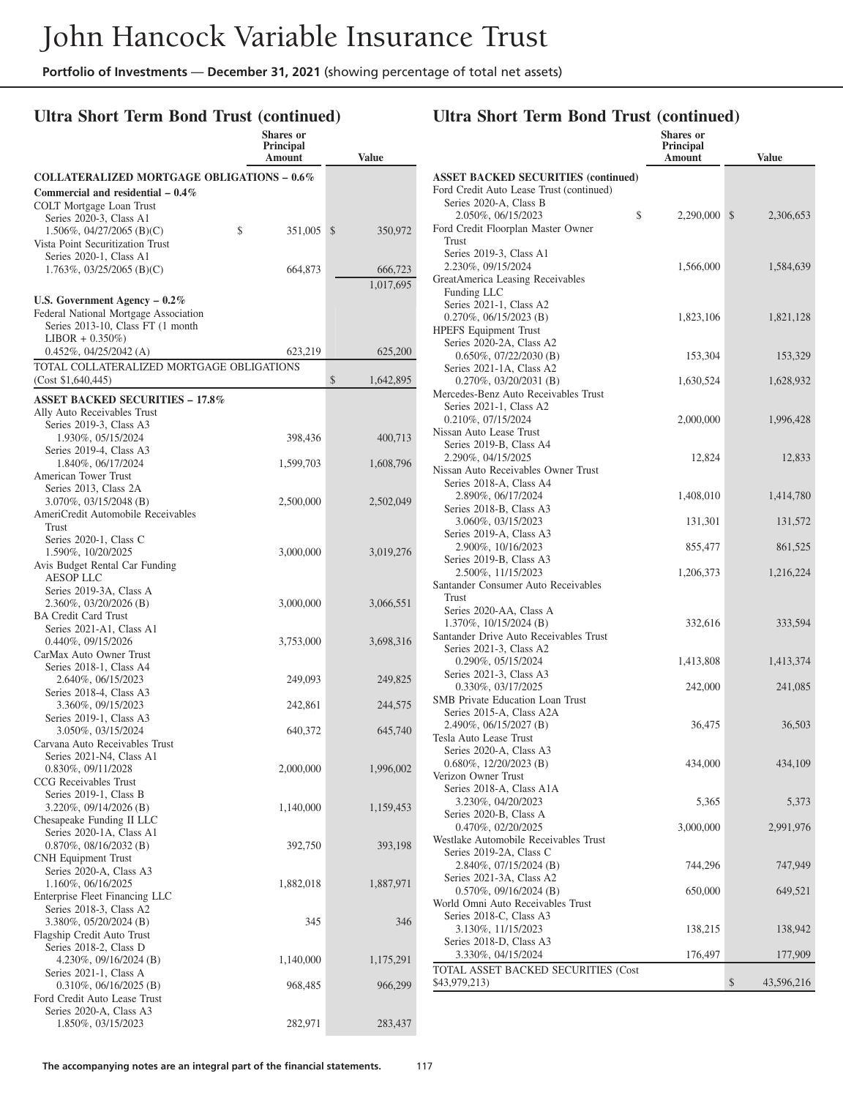#### **Ultra Short Term Bond Trust (continued)**

|                                                         | <b>Shares or</b><br><b>Principal</b> |                 |
|---------------------------------------------------------|--------------------------------------|-----------------|
|                                                         | Amount                               | <b>Value</b>    |
| <b>COLLATERALIZED MORTGAGE OBLIGATIONS - 0.6%</b>       |                                      |                 |
| Commercial and residential $-0.4\%$                     |                                      |                 |
| COLT Mortgage Loan Trust                                |                                      |                 |
| Series 2020-3, Class A1<br>1.506%, 04/27/2065 (B)(C)    | \$                                   | \$              |
| Vista Point Securitization Trust                        | 351,005                              | 350,972         |
| Series 2020-1, Class A1                                 |                                      |                 |
| $1.763\%, 03/25/2065$ (B)(C)                            | 664,873                              | 666,723         |
|                                                         |                                      | 1,017,695       |
| U.S. Government Agency $-0.2\%$                         |                                      |                 |
| Federal National Mortgage Association                   |                                      |                 |
| Series 2013-10, Class FT (1 month<br>$LIBOR + 0.350\%)$ |                                      |                 |
| 0.452%, 04/25/2042 (A)                                  | 623,219                              | 625,200         |
| TOTAL COLLATERALIZED MORTGAGE OBLIGATIONS               |                                      |                 |
| (Cost \$1,640,445)                                      |                                      | \$<br>1,642,895 |
| <b>ASSET BACKED SECURITIES - 17.8%</b>                  |                                      |                 |
| Ally Auto Receivables Trust                             |                                      |                 |
| Series 2019-3, Class A3                                 |                                      |                 |
| 1.930%, 05/15/2024<br>Series 2019-4, Class A3           | 398,436                              | 400,713         |
| 1.840%, 06/17/2024                                      | 1,599,703                            | 1,608,796       |
| American Tower Trust                                    |                                      |                 |
| Series 2013, Class 2A                                   |                                      |                 |
| 3.070%, 03/15/2048 (B)                                  | 2,500,000                            | 2,502,049       |
| AmeriCredit Automobile Receivables<br>Trust             |                                      |                 |
| Series 2020-1, Class C                                  |                                      |                 |
| 1.590%, 10/20/2025                                      | 3,000,000                            | 3,019,276       |
| Avis Budget Rental Car Funding                          |                                      |                 |
| <b>AESOP LLC</b>                                        |                                      |                 |
| Series 2019-3A, Class A<br>2.360%, 03/20/2026 (B)       | 3,000,000                            | 3,066,551       |
| <b>BA Credit Card Trust</b>                             |                                      |                 |
| Series 2021-A1, Class A1                                |                                      |                 |
| 0.440%, 09/15/2026                                      | 3,753,000                            | 3,698,316       |
| CarMax Auto Owner Trust<br>Series 2018-1, Class A4      |                                      |                 |
| 2.640%, 06/15/2023                                      | 249,093                              | 249,825         |
| Series 2018-4, Class A3                                 |                                      |                 |
| 3.360%, 09/15/2023                                      | 242,861                              | 244,575         |
| Series 2019-1, Class A3<br>3.050%, 03/15/2024           |                                      |                 |
| Carvana Auto Receivables Trust                          | 640,372                              | 645,740         |
| Series 2021-N4, Class A1                                |                                      |                 |
| 0.830%, 09/11/2028                                      | 2,000,000                            | 1,996,002       |
| CCG Receivables Trust                                   |                                      |                 |
| Series 2019-1, Class B<br>3.220%, 09/14/2026 (B)        | 1,140,000                            | 1,159,453       |
| Chesapeake Funding II LLC                               |                                      |                 |
| Series 2020-1A, Class A1                                |                                      |                 |
| 0.870%, 08/16/2032 (B)                                  | 392,750                              | 393,198         |
| <b>CNH</b> Equipment Trust<br>Series 2020-A, Class A3   |                                      |                 |
| 1.160%, 06/16/2025                                      | 1,882,018                            | 1,887,971       |
| Enterprise Fleet Financing LLC                          |                                      |                 |
| Series 2018-3, Class A2                                 |                                      |                 |
| 3.380%, 05/20/2024 (B)                                  | 345                                  | 346             |
| Flagship Credit Auto Trust<br>Series 2018-2, Class D    |                                      |                 |
| 4.230\%, 09/16/2024 (B)                                 | 1,140,000                            | 1,175,291       |
| Series 2021-1, Class A                                  |                                      |                 |
| $0.310\%, 06/16/2025$ (B)                               | 968,485                              | 966,299         |
| Ford Credit Auto Lease Trust<br>Series 2020-A, Class A3 |                                      |                 |
| 1.850%, 03/15/2023                                      | 282,971                              | 283,437         |
|                                                         |                                      |                 |

#### **Principal Amount Value ASSET BACKED SECURITIES (continued)** Ford Credit Auto Lease Trust (continued) Series 2020-A, Class B 2.050%, 06/15/2023 \$ 2,290,000 \$ 2,306,653 Ford Credit Floorplan Master Owner Trust Series 2019-3, Class A1 2.230%, 09/15/2024 1,566,000 1,584,639 GreatAmerica Leasing Receivables Funding LLC Series 2021-1, Class A2 0.270%, 06/15/2023 (B) 1,823,106 1,821,128 HPEFS Equipment Trust Series 2020-2A, Class A2 0.650%, 07/22/2030 (B) 153,304 153,329 Series 2021-1A, Class A2 0.270\%, 03/20/2031 (B) 1.630,524 1.628,932 Mercedes-Benz Auto Receivables Trust Series 2021-1, Class A2 0.210%, 07/15/2024 2,000,000 1,996,428 Nissan Auto Lease Trust Series 2019-B, Class A4 2.290%, 04/15/2025 12,824 12,833 Nissan Auto Receivables Owner Trust Series 2018-A, Class A4 2.890%, 06/17/2024 1,408,010 1,414,780 Series 2018-B, Class A3 3.060%, 03/15/2023 131,301 131,572 Series 2019-A, Class A3 2.900%, 10/16/2023 855,477 861,525 Series 2019-B, Class A3 2.500%, 11/15/2023 1,206,373 1,216,224 Santander Consumer Auto Receivables Trust Series 2020-AA, Class A 1.370\%, 10/15/2024 (B) 332,616 333,594 Santander Drive Auto Receivables Trust Series 2021-3, Class A2 0.290%, 05/15/2024 1,413,808 1,413,374 Series 2021-3, Class A3 0.330%, 03/17/2025 242,000 241,085 SMB Private Education Loan Trust Series 2015-A, Class A2A 2.490%, 06/15/2027 (B) 36,475 36,503 Tesla Auto Lease Trust Series 2020-A, Class A3 0.680%, 12/20/2023 (B) 434,000 434,109 Verizon Owner Trust Series 2018-A, Class A1A 3.230%, 04/20/2023 5,365 5,373 Series 2020-B, Class A 0.470%, 02/20/2025 3,000,000 2,991,976 Westlake Automobile Receivables Trust Series 2019-2A, Class C 2.840%, 07/15/2024 (B) 744,296 747,949 Series 2021-3A, Class A2 0.570%, 09/16/2024 (B) 650,000 649,521 World Omni Auto Receivables Trust Series 2018-C, Class A3 3.130%, 11/15/2023 138,215 138,942

**Ultra Short Term Bond Trust (continued)**

**Shares or**

Series 2018-D, Class A3 3.330%, 04/15/2024 176,497 177,909 TOTAL ASSET BACKED SECURITIES (Cost \$43,979,213) \$43,596,216